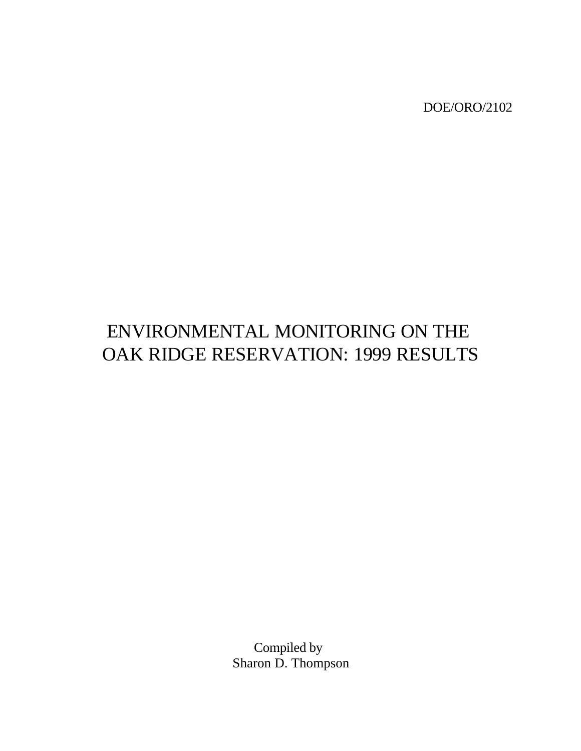DOE/ORO/2102

# ENVIRONMENTAL MONITORING ON THE OAK RIDGE RESERVATION: 1999 RESULTS

Compiled by Sharon D. Thompson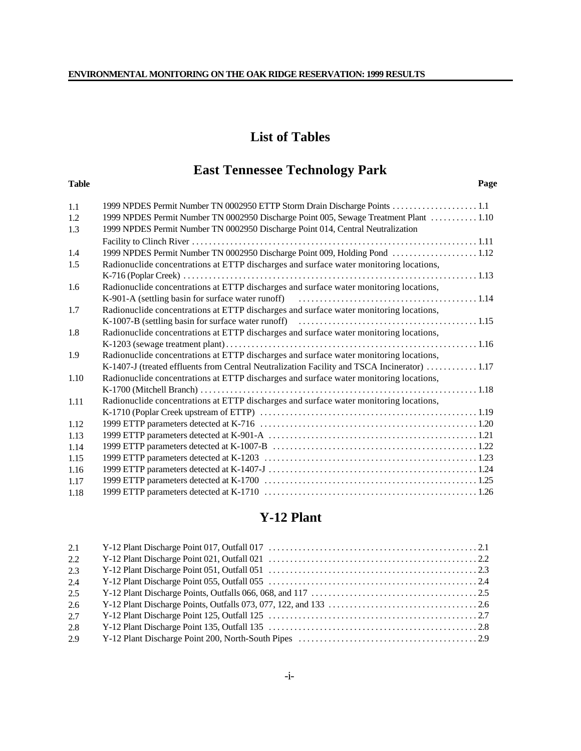## **List of Tables**

## **East Tennessee Technology Park**

#### **Table Page**

| 1.1  |                                                                                              |  |
|------|----------------------------------------------------------------------------------------------|--|
| 1.2  | 1999 NPDES Permit Number TN 0002950 Discharge Point 005, Sewage Treatment Plant  1.10        |  |
| 1.3  | 1999 NPDES Permit Number TN 0002950 Discharge Point 014, Central Neutralization              |  |
|      |                                                                                              |  |
| 1.4  |                                                                                              |  |
| 1.5  | Radionuclide concentrations at ETTP discharges and surface water monitoring locations,       |  |
|      |                                                                                              |  |
| 1.6  | Radionuclide concentrations at ETTP discharges and surface water monitoring locations,       |  |
|      |                                                                                              |  |
| 1.7  | Radionuclide concentrations at ETTP discharges and surface water monitoring locations,       |  |
|      |                                                                                              |  |
| 1.8  | Radionuclide concentrations at ETTP discharges and surface water monitoring locations,       |  |
|      |                                                                                              |  |
| 1.9  | Radionuclide concentrations at ETTP discharges and surface water monitoring locations,       |  |
|      | K-1407-J (treated effluents from Central Neutralization Facility and TSCA Incinerator)  1.17 |  |
| 1.10 | Radionuclide concentrations at ETTP discharges and surface water monitoring locations,       |  |
|      |                                                                                              |  |
| 1.11 | Radionuclide concentrations at ETTP discharges and surface water monitoring locations,       |  |
|      |                                                                                              |  |
| 1.12 |                                                                                              |  |
| 1.13 |                                                                                              |  |
| 1.14 |                                                                                              |  |
| 1.15 |                                                                                              |  |
| 1.16 |                                                                                              |  |
| 1.17 |                                                                                              |  |
| 1.18 |                                                                                              |  |

## **Y-12 Plant**

| 2.1 |  |
|-----|--|
| 2.2 |  |
| 2.3 |  |
| 2.4 |  |
| 2.5 |  |
| 2.6 |  |
| 2.7 |  |
| 2.8 |  |
| 2.9 |  |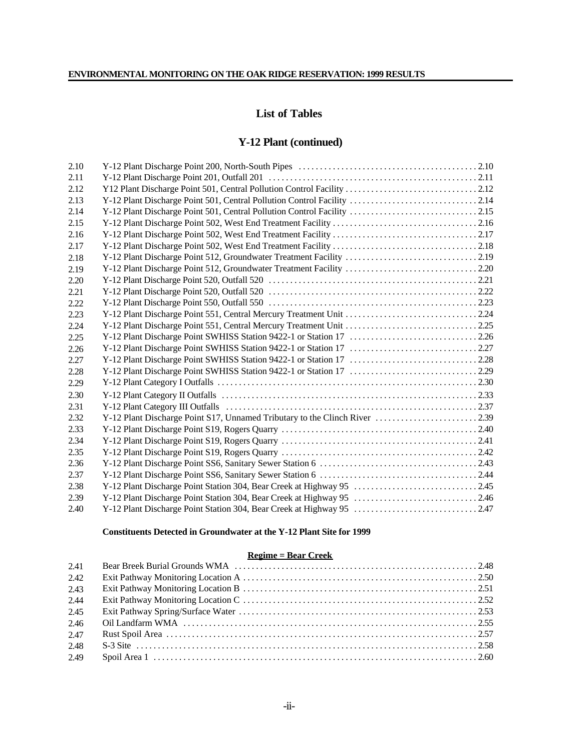## **List of Tables**

## **Y-12 Plant (continued)**

| 2.10 |                                                                         |  |
|------|-------------------------------------------------------------------------|--|
| 2.11 |                                                                         |  |
| 2.12 |                                                                         |  |
| 2.13 |                                                                         |  |
| 2.14 | Y-12 Plant Discharge Point 501, Central Pollution Control Facility 2.15 |  |
| 2.15 |                                                                         |  |
| 2.16 |                                                                         |  |
| 2.17 |                                                                         |  |
| 2.18 |                                                                         |  |
| 2.19 |                                                                         |  |
| 2.20 |                                                                         |  |
| 2.21 |                                                                         |  |
| 2.22 |                                                                         |  |
| 2.23 |                                                                         |  |
| 2.24 | Y-12 Plant Discharge Point 551, Central Mercury Treatment Unit 225      |  |
| 2.25 |                                                                         |  |
| 2.26 |                                                                         |  |
| 2.27 |                                                                         |  |
| 2.28 |                                                                         |  |
| 2.29 |                                                                         |  |
| 2.30 |                                                                         |  |
| 2.31 |                                                                         |  |
| 2.32 |                                                                         |  |
| 2.33 |                                                                         |  |
| 2.34 |                                                                         |  |
| 2.35 |                                                                         |  |
| 2.36 |                                                                         |  |
| 2.37 |                                                                         |  |
| 2.38 |                                                                         |  |
| 2.39 | Y-12 Plant Discharge Point Station 304, Bear Creek at Highway 95 2.46   |  |
| 2.40 |                                                                         |  |
|      |                                                                         |  |

#### **Constituents Detected in Groundwater at the Y-12 Plant Site for 1999**

## **Regime = Bear Creek**

| 2.41 |  |
|------|--|
| 2.42 |  |
| 2.43 |  |
| 2.44 |  |
| 2.45 |  |
| 2.46 |  |
| 2.47 |  |
| 2.48 |  |
| 2.49 |  |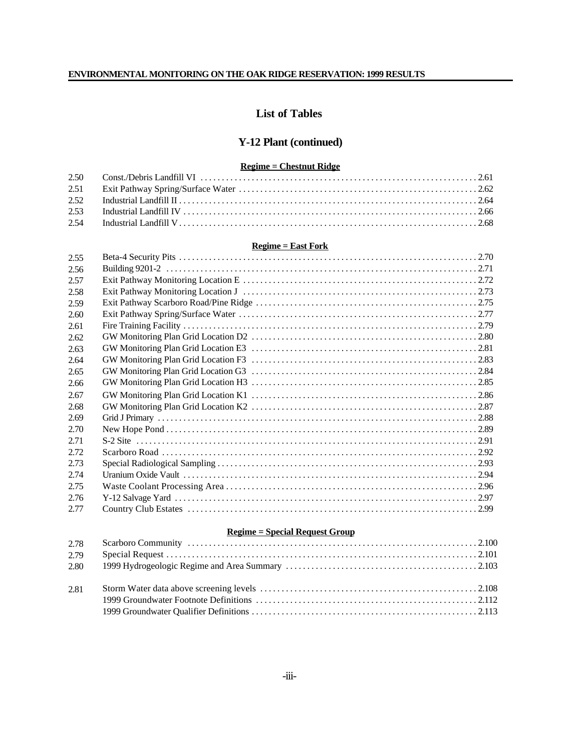## **List of Tables**

## **Y-12 Plant (continued)**

#### **Regime = Chestnut Ridge**

#### **Regime = East Fork**

| 2.55  |  |
|-------|--|
| 2.56  |  |
| 2.57  |  |
| 2.58  |  |
| 2.59  |  |
| 2.60  |  |
| 2.61  |  |
| 2.62  |  |
| 2.63  |  |
| 2.64  |  |
| 2.65  |  |
| 2.66  |  |
| 2.67  |  |
| 2.68  |  |
| 2.69  |  |
| 2.70  |  |
| 2.71  |  |
| 2.72. |  |
| 2.73  |  |
| 2.74  |  |
| 2.75  |  |
| 2.76  |  |
| 2.77  |  |

#### **Regime = Special Request Group**

| 2.79 |  |
|------|--|
| 2.80 |  |
| 2.81 |  |
|      |  |
|      |  |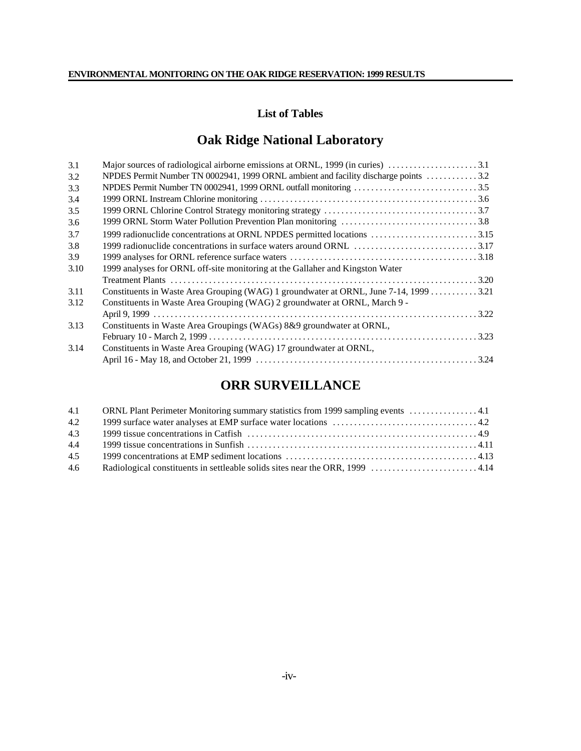## **List of Tables**

## **Oak Ridge National Laboratory**

| 3.1  |                                                                                       |  |
|------|---------------------------------------------------------------------------------------|--|
| 3.2  | NPDES Permit Number TN 0002941, 1999 ORNL ambient and facility discharge points 3.2   |  |
| 3.3  |                                                                                       |  |
| 3.4  |                                                                                       |  |
| 3.5  |                                                                                       |  |
| 3.6  |                                                                                       |  |
| 3.7  | 1999 radionuclide concentrations at ORNL NPDES permitted locations 3.15               |  |
| 3.8  |                                                                                       |  |
| 3.9  |                                                                                       |  |
| 3.10 | 1999 analyses for ORNL off-site monitoring at the Gallaher and Kingston Water         |  |
|      |                                                                                       |  |
| 3.11 | Constituents in Waste Area Grouping (WAG) 1 groundwater at ORNL, June 7-14, 1999 3.21 |  |
| 3.12 | Constituents in Waste Area Grouping (WAG) 2 groundwater at ORNL, March 9 -            |  |
|      |                                                                                       |  |
| 3.13 | Constituents in Waste Area Groupings (WAGs) 8&9 groundwater at ORNL,                  |  |
|      |                                                                                       |  |
| 3.14 | Constituents in Waste Area Grouping (WAG) 17 groundwater at ORNL,                     |  |
|      |                                                                                       |  |
|      |                                                                                       |  |

## **ORR SURVEILLANCE**

| 4.1 | ORNL Plant Perimeter Monitoring summary statistics from 1999 sampling events 4.1 |  |
|-----|----------------------------------------------------------------------------------|--|
| 4.2 |                                                                                  |  |
| 4.3 |                                                                                  |  |
| 4.4 |                                                                                  |  |
| 4.5 |                                                                                  |  |
| 4.6 |                                                                                  |  |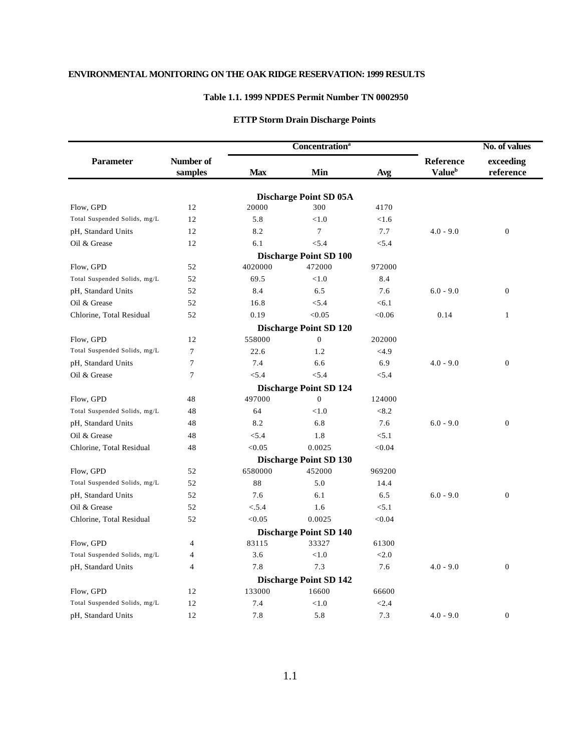### **Table 1.1. 1999 NPDES Permit Number TN 0002950**

## **ETTP Storm Drain Discharge Points**

|                                    |                      |            | <b>Concentration</b> <sup>a</sup>    |        |                                               | No. of values          |  |
|------------------------------------|----------------------|------------|--------------------------------------|--------|-----------------------------------------------|------------------------|--|
| <b>Parameter</b>                   | Number of<br>samples | <b>Max</b> | Min                                  | Avg    | <b>Reference</b><br><b>Value</b> <sup>b</sup> | exceeding<br>reference |  |
|                                    |                      |            |                                      |        |                                               |                        |  |
| Flow, GPD                          | 12                   | 20000      | <b>Discharge Point SD 05A</b><br>300 | 4170   |                                               |                        |  |
| Total Suspended Solids, mg/L       | 12                   | 5.8        | < 1.0                                | < 1.6  |                                               |                        |  |
|                                    | 12                   | 8.2        | $\overline{7}$                       | 7.7    | $4.0 - 9.0$                                   | $\boldsymbol{0}$       |  |
| pH, Standard Units<br>Oil & Grease | 12                   | 6.1        | < 5.4                                | < 5.4  |                                               |                        |  |
|                                    |                      |            | <b>Discharge Point SD 100</b>        |        |                                               |                        |  |
| Flow, GPD                          | 52                   | 4020000    | 472000                               | 972000 |                                               |                        |  |
| Total Suspended Solids, mg/L       | 52                   | 69.5       | < 1.0                                | 8.4    |                                               |                        |  |
| pH, Standard Units                 | 52                   | 8.4        | 6.5                                  | 7.6    | $6.0 - 9.0$                                   | $\boldsymbol{0}$       |  |
| Oil & Grease                       | 52                   | 16.8       | < 5.4                                | < 6.1  |                                               |                        |  |
| Chlorine, Total Residual           | 52                   | 0.19       | < 0.05                               | < 0.06 | 0.14                                          | $\mathbf{1}$           |  |
|                                    |                      |            | <b>Discharge Point SD 120</b>        |        |                                               |                        |  |
| Flow, GPD                          | 12                   | 558000     | $\mathbf{0}$                         | 202000 |                                               |                        |  |
| Total Suspended Solids, mg/L       | $\overline{7}$       | 22.6       | 1.2                                  | <4.9   |                                               |                        |  |
| pH, Standard Units                 | $\overline{7}$       | 7.4        | 6.6                                  | 6.9    | $4.0 - 9.0$                                   | $\boldsymbol{0}$       |  |
| Oil & Grease                       | $\overline{7}$       | < 5.4      | < 5.4                                | < 5.4  |                                               |                        |  |
|                                    |                      |            | <b>Discharge Point SD 124</b>        |        |                                               |                        |  |
| Flow, GPD                          | 48                   | 497000     | $\overline{0}$                       | 124000 |                                               |                        |  |
| Total Suspended Solids, mg/L       | 48                   | 64         | < 1.0                                | < 8.2  |                                               |                        |  |
| pH, Standard Units                 | 48                   | 8.2        | 6.8                                  | 7.6    | $6.0 - 9.0$                                   | $\boldsymbol{0}$       |  |
| Oil & Grease                       | 48                   | < 5.4      | 1.8                                  | < 5.1  |                                               |                        |  |
| Chlorine, Total Residual           | 48                   | < 0.05     | 0.0025                               | < 0.04 |                                               |                        |  |
|                                    |                      |            | <b>Discharge Point SD 130</b>        |        |                                               |                        |  |
| Flow, GPD                          | 52                   | 6580000    | 452000                               | 969200 |                                               |                        |  |
| Total Suspended Solids, mg/L       | 52                   | 88         | 5.0                                  | 14.4   |                                               |                        |  |
| pH, Standard Units                 | 52                   | 7.6        | 6.1                                  | 6.5    | $6.0 - 9.0$                                   | $\boldsymbol{0}$       |  |
| Oil & Grease                       | 52                   | < 5.4      | 1.6                                  | < 5.1  |                                               |                        |  |
| Chlorine, Total Residual           | 52                   | < 0.05     | 0.0025                               | < 0.04 |                                               |                        |  |
|                                    |                      |            | <b>Discharge Point SD 140</b>        |        |                                               |                        |  |
| Flow, GPD                          | $\overline{4}$       | 83115      | 33327                                | 61300  |                                               |                        |  |
| Total Suspended Solids, mg/L       | 4                    | 3.6        | < 1.0                                | < 2.0  |                                               |                        |  |
| pH, Standard Units                 | 4                    | 7.8        | 7.3                                  | 7.6    | $4.0 - 9.0$                                   | $\boldsymbol{0}$       |  |
|                                    |                      |            | <b>Discharge Point SD 142</b>        |        |                                               |                        |  |
| Flow, GPD                          | 12                   | 133000     | 16600                                | 66600  |                                               |                        |  |
| Total Suspended Solids, mg/L       | 12                   | 7.4        | < 1.0                                | < 2.4  |                                               |                        |  |
| pH, Standard Units                 | 12                   | 7.8        | 5.8                                  | 7.3    | $4.0 - 9.0$                                   | $\boldsymbol{0}$       |  |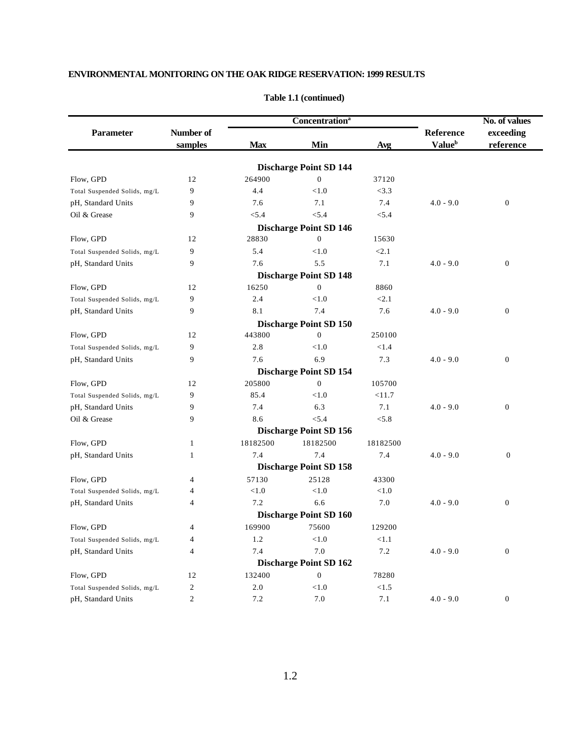|                              |                |            | <b>Concentration</b> <sup>a</sup> |          |                           | No. of values    |  |
|------------------------------|----------------|------------|-----------------------------------|----------|---------------------------|------------------|--|
| <b>Parameter</b>             | Number of      |            |                                   |          | <b>Reference</b>          | exceeding        |  |
|                              | samples        | <b>Max</b> | Min                               | Avg      | <b>Value</b> <sup>b</sup> | reference        |  |
|                              |                |            | <b>Discharge Point SD 144</b>     |          |                           |                  |  |
| Flow, GPD                    | 12             | 264900     | $\mathbf{0}$                      | 37120    |                           |                  |  |
| Total Suspended Solids, mg/L | 9              | 4.4        | < 1.0                             | <3.3     |                           |                  |  |
| pH, Standard Units           | 9              | 7.6        | 7.1                               | 7.4      | $4.0 - 9.0$               | $\overline{0}$   |  |
| Oil & Grease                 | 9              | < 5.4      | < 5.4                             | < 5.4    |                           |                  |  |
|                              |                |            | <b>Discharge Point SD 146</b>     |          |                           |                  |  |
| Flow, GPD                    | 12             | 28830      | $\mathbf{0}$                      | 15630    |                           |                  |  |
| Total Suspended Solids, mg/L | 9              | 5.4        | < 1.0                             | < 2.1    |                           |                  |  |
| pH, Standard Units           | 9              | 7.6        | 5.5                               | 7.1      | $4.0 - 9.0$               | $\mathbf{0}$     |  |
|                              |                |            | <b>Discharge Point SD 148</b>     |          |                           |                  |  |
| Flow, GPD                    | 12             | 16250      | $\mathbf{0}$                      | 8860     |                           |                  |  |
| Total Suspended Solids, mg/L | 9              | 2.4        | < 1.0                             | < 2.1    |                           |                  |  |
| pH, Standard Units           | 9              | 8.1        | 7.4                               | 7.6      | $4.0 - 9.0$               | $\boldsymbol{0}$ |  |
|                              |                |            | <b>Discharge Point SD 150</b>     |          |                           |                  |  |
| Flow, GPD                    | 12             | 443800     | $\overline{0}$                    | 250100   |                           |                  |  |
| Total Suspended Solids, mg/L | 9              | 2.8        | < 1.0                             | < 1.4    |                           |                  |  |
| pH, Standard Units           | 9              | 7.6        | 6.9                               | 7.3      | $4.0 - 9.0$               | $\overline{0}$   |  |
|                              |                |            | <b>Discharge Point SD 154</b>     |          |                           |                  |  |
| Flow, GPD                    | 12             | 205800     | $\mathbf{0}$                      | 105700   |                           |                  |  |
| Total Suspended Solids, mg/L | 9              | 85.4       | < 1.0                             | <11.7    |                           |                  |  |
| pH, Standard Units           | 9              | 7.4        | 6.3                               | 7.1      | $4.0 - 9.0$               | $\boldsymbol{0}$ |  |
| Oil & Grease                 | 9              | 8.6        | < 5.4                             | < 5.8    |                           |                  |  |
|                              |                |            | <b>Discharge Point SD 156</b>     |          |                           |                  |  |
| Flow, GPD                    | $\mathbf{1}$   | 18182500   | 18182500                          | 18182500 |                           |                  |  |
| pH, Standard Units           | $\mathbf{1}$   | 7.4        | 7.4                               | 7.4      | $4.0 - 9.0$               | $\mathbf{0}$     |  |
|                              |                |            | <b>Discharge Point SD 158</b>     |          |                           |                  |  |
| Flow, GPD                    | $\overline{4}$ | 57130      | 25128                             | 43300    |                           |                  |  |
| Total Suspended Solids, mg/L | 4              | < 1.0      | < 1.0                             | < 1.0    |                           |                  |  |
| pH, Standard Units           | $\overline{4}$ | 7.2        | 6.6                               | 7.0      | $4.0 - 9.0$               | $\overline{0}$   |  |
|                              |                |            | <b>Discharge Point SD 160</b>     |          |                           |                  |  |
| Flow, GPD                    | $\overline{4}$ | 169900     | 75600                             | 129200   |                           |                  |  |
| Total Suspended Solids, mg/L | 4              | 1.2        | < 1.0                             | < 1.1    |                           |                  |  |
| pH, Standard Units           | $\overline{4}$ | 7.4        | 7.0                               | 7.2      | $4.0 - 9.0$               | $\boldsymbol{0}$ |  |
|                              |                |            | <b>Discharge Point SD 162</b>     |          |                           |                  |  |
| Flow, GPD                    | 12             | 132400     | $\mathbf{0}$                      | 78280    |                           |                  |  |
| Total Suspended Solids, mg/L | $\overline{2}$ | 2.0        | < 1.0                             | < 1.5    |                           |                  |  |
| pH, Standard Units           | $\overline{2}$ | 7.2        | 7.0                               | 7.1      | $4.0 - 9.0$               | $\mathbf{0}$     |  |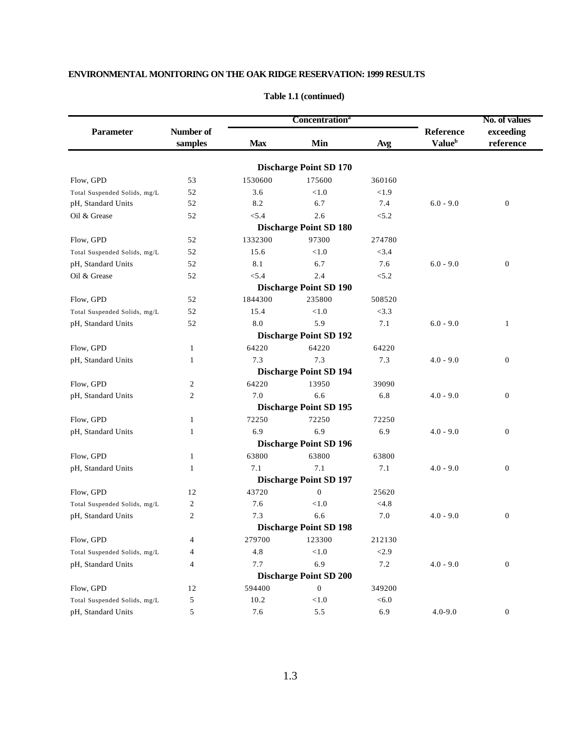|                              |                      | Concentration <sup>a</sup> |                               |         |                                        | No. of values          |
|------------------------------|----------------------|----------------------------|-------------------------------|---------|----------------------------------------|------------------------|
| Parameter                    | Number of<br>samples | <b>Max</b>                 | Min                           | Avg     | Reference<br><b>Value</b> <sup>b</sup> | exceeding<br>reference |
|                              |                      |                            | <b>Discharge Point SD 170</b> |         |                                        |                        |
| Flow, GPD                    | 53                   | 1530600                    | 175600                        | 360160  |                                        |                        |
| Total Suspended Solids, mg/L | 52                   | 3.6                        | < 1.0                         | < 1.9   |                                        |                        |
| pH, Standard Units           | 52                   | 8.2                        | 6.7                           | 7.4     | $6.0 - 9.0$                            | $\boldsymbol{0}$       |
| Oil & Grease                 | 52                   | < 5.4                      | 2.6                           | < 5.2   |                                        |                        |
|                              |                      |                            | <b>Discharge Point SD 180</b> |         |                                        |                        |
| Flow, GPD                    | 52                   | 1332300                    | 97300                         | 274780  |                                        |                        |
| Total Suspended Solids, mg/L | 52                   | 15.6                       | < 1.0                         | < 3.4   |                                        |                        |
| pH, Standard Units           | 52                   | 8.1                        | 6.7                           | 7.6     | $6.0 - 9.0$                            | $\mathbf{0}$           |
| Oil & Grease                 | 52                   | < 5.4                      | 2.4                           | < 5.2   |                                        |                        |
|                              |                      |                            | <b>Discharge Point SD 190</b> |         |                                        |                        |
| Flow, GPD                    | 52                   | 1844300                    | 235800                        | 508520  |                                        |                        |
| Total Suspended Solids, mg/L | 52                   | 15.4                       | < 1.0                         | <3.3    |                                        |                        |
| pH, Standard Units           | 52                   | 8.0                        | 5.9                           | 7.1     | $6.0 - 9.0$                            | $\mathbf{1}$           |
|                              |                      |                            | <b>Discharge Point SD 192</b> |         |                                        |                        |
| Flow, GPD                    | 1                    | 64220                      | 64220                         | 64220   |                                        |                        |
| pH, Standard Units           | $\mathbf{1}$         | 7.3                        | 7.3                           | 7.3     | $4.0 - 9.0$                            | $\boldsymbol{0}$       |
|                              |                      |                            | <b>Discharge Point SD 194</b> |         |                                        |                        |
| Flow, GPD                    | $\mathfrak{2}$       | 64220                      | 13950                         | 39090   |                                        |                        |
| pH, Standard Units           | $\mathfrak{2}$       | 7.0                        | 6.6                           | 6.8     | $4.0 - 9.0$                            | $\boldsymbol{0}$       |
|                              |                      |                            | <b>Discharge Point SD 195</b> |         |                                        |                        |
| Flow, GPD                    | $\mathbf{1}$         | 72250                      | 72250                         | 72250   |                                        |                        |
| pH, Standard Units           | 1                    | 6.9                        | 6.9                           | 6.9     | $4.0 - 9.0$                            | $\boldsymbol{0}$       |
|                              |                      |                            | <b>Discharge Point SD 196</b> |         |                                        |                        |
| Flow, GPD                    | 1                    | 63800                      | 63800                         | 63800   |                                        |                        |
| pH, Standard Units           | 1                    | 7.1                        | 7.1                           | 7.1     | $4.0 - 9.0$                            | $\mathbf{0}$           |
|                              |                      |                            | <b>Discharge Point SD 197</b> |         |                                        |                        |
| Flow, GPD                    | 12                   | 43720                      | $\overline{0}$                | 25620   |                                        |                        |
| Total Suspended Solids, mg/L | $\overline{c}$       | 7.6                        | < 1.0                         | < 4.8   |                                        |                        |
| pH, Standard Units           | $\overline{c}$       | 7.3                        | 6.6                           | 7.0     | $4.0 - 9.0$                            | $\boldsymbol{0}$       |
|                              |                      |                            | <b>Discharge Point SD 198</b> |         |                                        |                        |
| Flow, GPD                    | 4                    | 279700                     | 123300                        | 212130  |                                        |                        |
| Total Suspended Solids, mg/L | 4                    | 4.8                        | < 1.0                         | $<2.9$  |                                        |                        |
| pH, Standard Units           | 4                    | 7.7                        | 6.9                           | $7.2\,$ | $4.0 - 9.0$                            | $\boldsymbol{0}$       |
|                              |                      |                            | <b>Discharge Point SD 200</b> |         |                                        |                        |
| Flow, GPD                    | 12                   | 594400                     | $\boldsymbol{0}$              | 349200  |                                        |                        |
| Total Suspended Solids, mg/L | 5                    | 10.2                       | < 1.0                         | < 6.0   |                                        |                        |
| pH, Standard Units           | 5                    | 7.6                        | 5.5                           | 6.9     | $4.0 - 9.0$                            | $\boldsymbol{0}$       |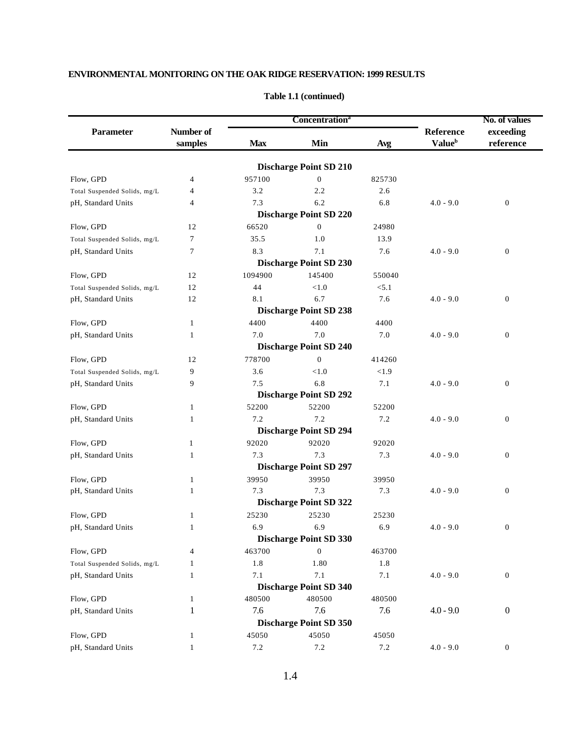|                              |                      |                          | <b>Concentration</b> <sup>a</sup> |         |                                        | No. of values          |  |
|------------------------------|----------------------|--------------------------|-----------------------------------|---------|----------------------------------------|------------------------|--|
| <b>Parameter</b>             | Number of<br>samples | <b>Max</b><br>Min<br>Avg |                                   |         | Reference<br><b>Value</b> <sup>b</sup> | exceeding<br>reference |  |
|                              |                      |                          |                                   |         |                                        |                        |  |
|                              |                      |                          | <b>Discharge Point SD 210</b>     |         |                                        |                        |  |
| Flow, GPD                    | 4                    | 957100                   | $\overline{0}$                    | 825730  |                                        |                        |  |
| Total Suspended Solids, mg/L | 4                    | 3.2                      | 2.2                               | 2.6     |                                        |                        |  |
| pH, Standard Units           | 4                    | 7.3                      | 6.2                               | 6.8     | $4.0 - 9.0$                            | $\boldsymbol{0}$       |  |
|                              |                      |                          | <b>Discharge Point SD 220</b>     |         |                                        |                        |  |
| Flow, GPD                    | 12                   | 66520                    | $\overline{0}$                    | 24980   |                                        |                        |  |
| Total Suspended Solids, mg/L | 7                    | 35.5                     | 1.0                               | 13.9    |                                        |                        |  |
| pH, Standard Units           | 7                    | 8.3                      | 7.1                               | 7.6     | $4.0 - 9.0$                            | $\boldsymbol{0}$       |  |
|                              |                      |                          | <b>Discharge Point SD 230</b>     |         |                                        |                        |  |
| Flow, GPD                    | 12                   | 1094900                  | 145400                            | 550040  |                                        |                        |  |
| Total Suspended Solids, mg/L | 12                   | 44                       | < 1.0                             | < 5.1   |                                        |                        |  |
| pH, Standard Units           | 12                   | 8.1                      | 6.7                               | 7.6     | $4.0 - 9.0$                            | $\boldsymbol{0}$       |  |
|                              |                      |                          | <b>Discharge Point SD 238</b>     |         |                                        |                        |  |
| Flow, GPD                    | 1                    | 4400                     | 4400                              | 4400    |                                        |                        |  |
| pH, Standard Units           | 1                    | 7.0                      | 7.0                               | $7.0\,$ | $4.0 - 9.0$                            | $\boldsymbol{0}$       |  |
|                              |                      |                          | <b>Discharge Point SD 240</b>     |         |                                        |                        |  |
| Flow, GPD                    | 12                   | 778700                   | $\boldsymbol{0}$                  | 414260  |                                        |                        |  |
| Total Suspended Solids, mg/L | 9                    | 3.6                      | < 1.0                             | < 1.9   |                                        |                        |  |
| pH, Standard Units           | 9                    | 7.5                      | 6.8                               | 7.1     | $4.0 - 9.0$                            | $\boldsymbol{0}$       |  |
|                              |                      |                          | <b>Discharge Point SD 292</b>     |         |                                        |                        |  |
| Flow, GPD                    | 1                    | 52200                    | 52200                             | 52200   |                                        |                        |  |
| pH, Standard Units           | 1                    | 7.2                      | 7.2                               | 7.2     | $4.0 - 9.0$                            | $\boldsymbol{0}$       |  |
|                              |                      |                          | <b>Discharge Point SD 294</b>     |         |                                        |                        |  |
| Flow, GPD                    | 1                    | 92020                    | 92020                             | 92020   |                                        |                        |  |
| pH, Standard Units           | 1                    | 7.3                      | 7.3                               | 7.3     | $4.0 - 9.0$                            | $\boldsymbol{0}$       |  |
|                              |                      |                          | <b>Discharge Point SD 297</b>     |         |                                        |                        |  |
| Flow. GPD                    | 1                    | 39950                    | 39950                             | 39950   |                                        |                        |  |
| pH, Standard Units           | 1                    | 7.3                      | 7.3                               | 7.3     | $4.0 - 9.0$                            | $\boldsymbol{0}$       |  |
|                              |                      |                          | <b>Discharge Point SD 322</b>     |         |                                        |                        |  |
| Flow, GPD                    | 1                    | 25230                    | 25230                             | 25230   |                                        |                        |  |
| pH, Standard Units           | $\mathbf{1}$         | 6.9                      | 6.9                               | 6.9     | $4.0 - 9.0$                            | $\boldsymbol{0}$       |  |
|                              |                      |                          | <b>Discharge Point SD 330</b>     |         |                                        |                        |  |
| Flow, GPD                    | 4                    | 463700                   | $\boldsymbol{0}$                  | 463700  |                                        |                        |  |
| Total Suspended Solids, mg/L | 1                    | 1.8                      | 1.80                              | 1.8     |                                        |                        |  |
| pH, Standard Units           | $\mathbf{1}$         | 7.1                      | 7.1                               | $7.1\,$ | $4.0 - 9.0$                            | $\boldsymbol{0}$       |  |
|                              |                      |                          | <b>Discharge Point SD 340</b>     |         |                                        |                        |  |
| Flow, GPD                    | 1                    | 480500                   | 480500                            | 480500  |                                        |                        |  |
| pH, Standard Units           | 1                    | 7.6                      | 7.6                               | 7.6     | $4.0 - 9.0$                            | $\boldsymbol{0}$       |  |
|                              |                      |                          | <b>Discharge Point SD 350</b>     |         |                                        |                        |  |
| Flow, GPD                    | 1                    | 45050                    | 45050                             | 45050   |                                        |                        |  |
| pH, Standard Units           | $\mathbf{1}$         | $7.2\,$                  | 7.2                               | 7.2     | $4.0 - 9.0$                            | $\boldsymbol{0}$       |  |
|                              |                      |                          |                                   |         |                                        |                        |  |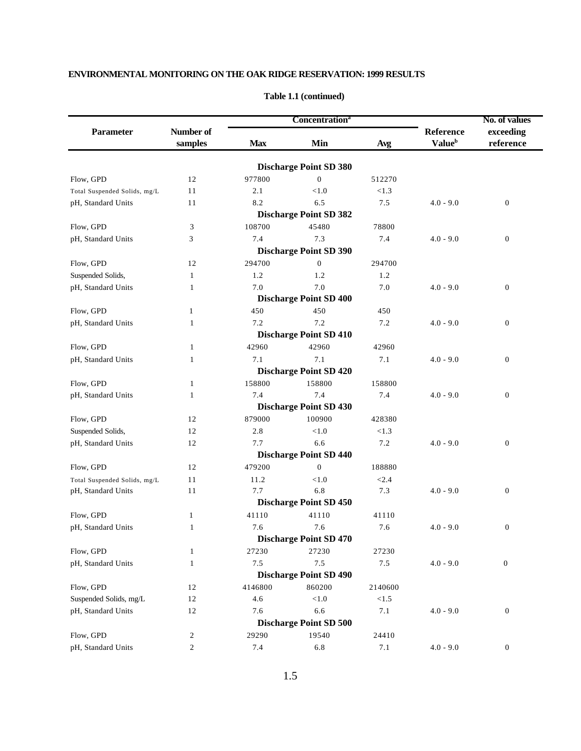|                                                       |                                        |                     | Concentration <sup>a</sup>                           |                     |                                               | No. of values                        |  |
|-------------------------------------------------------|----------------------------------------|---------------------|------------------------------------------------------|---------------------|-----------------------------------------------|--------------------------------------|--|
| <b>Parameter</b>                                      | Number of<br>samples                   | <b>Max</b>          | Min<br>Avg                                           |                     | <b>Reference</b><br><b>Value</b> <sup>b</sup> | exceeding<br>reference               |  |
|                                                       |                                        |                     |                                                      |                     |                                               |                                      |  |
|                                                       |                                        |                     | <b>Discharge Point SD 380</b>                        |                     |                                               |                                      |  |
| Flow, GPD                                             | 12                                     | 977800              | $\boldsymbol{0}$<br>< 1.0                            | 512270              |                                               |                                      |  |
| Total Suspended Solids, mg/L                          | 11<br>11                               | 2.1<br>8.2          | 6.5                                                  | < 1.3<br>7.5        |                                               |                                      |  |
| pH, Standard Units                                    |                                        |                     | <b>Discharge Point SD 382</b>                        |                     | $4.0 - 9.0$                                   | $\boldsymbol{0}$                     |  |
|                                                       |                                        |                     |                                                      | 78800               |                                               |                                      |  |
| Flow, GPD                                             | 3                                      | 108700              | 45480                                                |                     |                                               |                                      |  |
| pH, Standard Units                                    | 3                                      | 7.4                 | 7.3                                                  | 7.4                 | $4.0 - 9.0$                                   | $\boldsymbol{0}$                     |  |
|                                                       |                                        |                     | <b>Discharge Point SD 390</b>                        |                     |                                               |                                      |  |
| Flow, GPD                                             | 12                                     | 294700              | $\boldsymbol{0}$                                     | 294700              |                                               |                                      |  |
| Suspended Solids,                                     | 1                                      | 1.2                 | 1.2                                                  | 1.2                 |                                               |                                      |  |
| pH, Standard Units                                    | 1                                      | 7.0                 | 7.0                                                  | 7.0                 | $4.0 - 9.0$                                   | $\boldsymbol{0}$                     |  |
|                                                       |                                        |                     | <b>Discharge Point SD 400</b>                        |                     |                                               |                                      |  |
| Flow, GPD                                             | $\mathbf{1}$                           | 450                 | 450                                                  | 450                 |                                               |                                      |  |
| pH, Standard Units                                    | 1                                      | 7.2                 | 7.2                                                  | 7.2                 | $4.0 - 9.0$                                   | $\boldsymbol{0}$                     |  |
|                                                       |                                        |                     | <b>Discharge Point SD 410</b>                        |                     |                                               |                                      |  |
| Flow, GPD                                             | 1                                      | 42960               | 42960                                                | 42960               |                                               |                                      |  |
| pH, Standard Units                                    | 1                                      | 7.1                 | 7.1                                                  | 7.1                 | $4.0 - 9.0$                                   | $\boldsymbol{0}$                     |  |
|                                                       |                                        |                     | <b>Discharge Point SD 420</b>                        |                     |                                               |                                      |  |
| Flow, GPD                                             | 1                                      | 158800              | 158800                                               | 158800              |                                               |                                      |  |
| pH, Standard Units                                    | 1                                      | 7.4                 | 7.4                                                  | 7.4                 | $4.0 - 9.0$                                   | $\boldsymbol{0}$                     |  |
|                                                       |                                        |                     | <b>Discharge Point SD 430</b>                        |                     |                                               |                                      |  |
| Flow, GPD                                             | 12                                     | 879000              | 100900                                               | 428380              |                                               |                                      |  |
| Suspended Solids,                                     | 12                                     | 2.8                 | $<1.0$                                               | < 1.3               |                                               |                                      |  |
| pH, Standard Units                                    | 12                                     | 7.7                 | 6.6                                                  | 7.2                 | $4.0 - 9.0$                                   | $\boldsymbol{0}$                     |  |
|                                                       |                                        |                     | <b>Discharge Point SD 440</b>                        |                     |                                               |                                      |  |
| Flow, GPD                                             | 12                                     | 479200              | $\mathbf{0}$                                         | 188880              |                                               |                                      |  |
| Total Suspended Solids, mg/L                          | 11                                     | 11.2                | < 1.0                                                | < 2.4               |                                               |                                      |  |
| pH, Standard Units                                    | 11                                     | 7.7                 | 6.8                                                  | 7.3                 | $4.0 - 9.0$                                   | $\boldsymbol{0}$                     |  |
|                                                       |                                        |                     | <b>Discharge Point SD 450</b>                        |                     |                                               |                                      |  |
| Flow, GPD                                             | $\mathbf{1}$                           | 41110               | 41110                                                | 41110               |                                               |                                      |  |
| pH, Standard Units                                    | $\mathbf{1}$                           | 7.6                 | 7.6                                                  | 7.6                 | $4.0 - 9.0$                                   | $\boldsymbol{0}$                     |  |
|                                                       |                                        |                     | <b>Discharge Point SD 470</b>                        |                     |                                               |                                      |  |
| Flow, GPD                                             | $\mathbf{1}$                           | 27230               | 27230                                                | 27230               |                                               |                                      |  |
| pH, Standard Units                                    | $\mathbf{1}$                           | 7.5                 | 7.5                                                  | 7.5                 | $4.0 - 9.0$                                   | $\boldsymbol{0}$                     |  |
|                                                       |                                        |                     | <b>Discharge Point SD 490</b>                        |                     |                                               |                                      |  |
| Flow, GPD                                             | 12                                     | 4146800             | 860200                                               | 2140600             |                                               |                                      |  |
| Suspended Solids, mg/L                                | 12                                     | 4.6                 | $<\!\!1.0$                                           | < 1.5               |                                               |                                      |  |
|                                                       |                                        |                     |                                                      |                     |                                               |                                      |  |
|                                                       |                                        |                     |                                                      |                     |                                               |                                      |  |
|                                                       |                                        |                     |                                                      |                     |                                               |                                      |  |
|                                                       |                                        |                     |                                                      |                     |                                               |                                      |  |
| pH, Standard Units<br>Flow, GPD<br>pH, Standard Units | 12<br>$\overline{c}$<br>$\overline{c}$ | 7.6<br>29290<br>7.4 | 6.6<br><b>Discharge Point SD 500</b><br>19540<br>6.8 | 7.1<br>24410<br>7.1 | $4.0 - 9.0$<br>$4.0 - 9.0$                    | $\boldsymbol{0}$<br>$\boldsymbol{0}$ |  |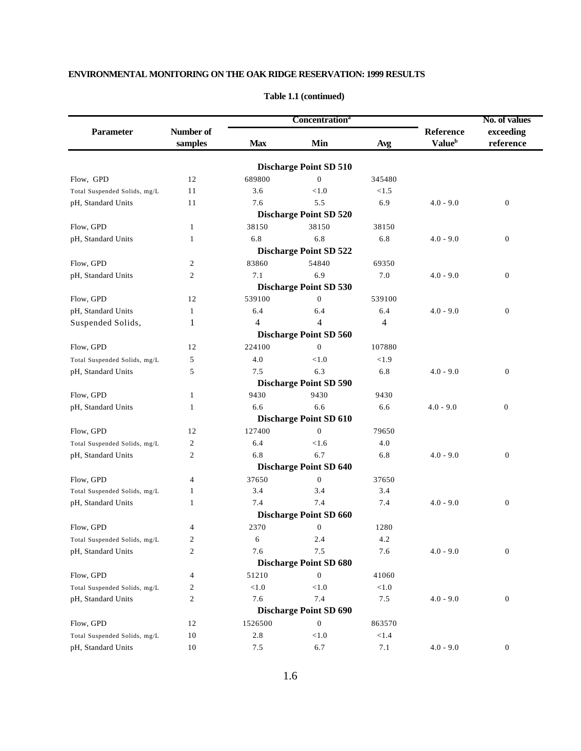| <b>Parameter</b><br>Flow, GPD<br>Total Suspended Solids, mg/L<br>pH, Standard Units<br>Flow, GPD<br>pH, Standard Units<br>Flow, GPD<br>pH, Standard Units |                      |            | Concentration <sup>a</sup>    |          |                                        | No. of values          |  |
|-----------------------------------------------------------------------------------------------------------------------------------------------------------|----------------------|------------|-------------------------------|----------|----------------------------------------|------------------------|--|
|                                                                                                                                                           | Number of<br>samples | <b>Max</b> | Min                           | Avg      | Reference<br><b>Value</b> <sup>b</sup> | exceeding<br>reference |  |
|                                                                                                                                                           |                      |            |                               |          |                                        |                        |  |
|                                                                                                                                                           |                      |            | <b>Discharge Point SD 510</b> |          |                                        |                        |  |
|                                                                                                                                                           | 12                   | 689800     | $\boldsymbol{0}$              | 345480   |                                        |                        |  |
|                                                                                                                                                           | 11                   | 3.6        | < 1.0                         | < 1.5    |                                        |                        |  |
|                                                                                                                                                           | 11                   | 7.6        | 5.5                           | 6.9      | $4.0 - 9.0$                            | $\boldsymbol{0}$       |  |
|                                                                                                                                                           |                      |            | <b>Discharge Point SD 520</b> |          |                                        |                        |  |
|                                                                                                                                                           | $\mathbf{1}$         | 38150      | 38150                         | 38150    |                                        |                        |  |
|                                                                                                                                                           | 1                    | 6.8        | 6.8                           | 6.8      | $4.0 - 9.0$                            | $\boldsymbol{0}$       |  |
|                                                                                                                                                           |                      |            | <b>Discharge Point SD 522</b> |          |                                        |                        |  |
|                                                                                                                                                           | 2                    | 83860      | 54840                         | 69350    |                                        |                        |  |
|                                                                                                                                                           | 2                    | 7.1        | 6.9                           | 7.0      | $4.0 - 9.0$                            | $\boldsymbol{0}$       |  |
|                                                                                                                                                           |                      |            | <b>Discharge Point SD 530</b> |          |                                        |                        |  |
| Flow, GPD                                                                                                                                                 | 12                   | 539100     | $\mathbf{0}$                  | 539100   |                                        |                        |  |
| pH, Standard Units                                                                                                                                        | 1                    | 6.4        | 6.4                           | 6.4      | $4.0 - 9.0$                            | $\boldsymbol{0}$       |  |
| Suspended Solids,                                                                                                                                         | 1                    | 4          | 4                             | 4        |                                        |                        |  |
|                                                                                                                                                           |                      |            | <b>Discharge Point SD 560</b> |          |                                        |                        |  |
| Flow, GPD                                                                                                                                                 | 12                   | 224100     | $\mathbf{0}$                  | 107880   |                                        |                        |  |
| Total Suspended Solids, mg/L                                                                                                                              | 5                    | 4.0        | < 1.0                         | < 1.9    |                                        |                        |  |
| pH, Standard Units                                                                                                                                        | 5                    | 7.5        | 6.3                           | 6.8      | $4.0 - 9.0$                            | $\boldsymbol{0}$       |  |
|                                                                                                                                                           |                      |            | <b>Discharge Point SD 590</b> |          |                                        |                        |  |
| Flow, GPD                                                                                                                                                 | 1                    | 9430       | 9430                          | 9430     |                                        |                        |  |
| pH, Standard Units                                                                                                                                        | 1                    | 6.6        | 6.6                           | 6.6      | $4.0 - 9.0$                            | $\boldsymbol{0}$       |  |
|                                                                                                                                                           |                      |            | <b>Discharge Point SD 610</b> |          |                                        |                        |  |
| Flow, GPD                                                                                                                                                 | 12                   | 127400     | $\mathbf{0}$                  | 79650    |                                        |                        |  |
| Total Suspended Solids, mg/L                                                                                                                              | 2                    | 6.4        | < 1.6                         | 4.0      |                                        |                        |  |
| pH, Standard Units                                                                                                                                        | 2                    | 6.8        | 6.7                           | 6.8      | $4.0 - 9.0$                            | $\boldsymbol{0}$       |  |
|                                                                                                                                                           |                      |            | <b>Discharge Point SD 640</b> |          |                                        |                        |  |
| Flow, GPD                                                                                                                                                 | 4                    | 37650      | $\mathbf{0}$                  | 37650    |                                        |                        |  |
| Total Suspended Solids, mg/L                                                                                                                              | 1                    | 3.4        | 3.4                           | 3.4      |                                        |                        |  |
| pH, Standard Units                                                                                                                                        | 1                    | 7.4        | 7.4                           | 7.4      | $4.0 - 9.0$                            | $\boldsymbol{0}$       |  |
|                                                                                                                                                           |                      |            | <b>Discharge Point SD 660</b> |          |                                        |                        |  |
| Flow, GPD                                                                                                                                                 | 4                    | 2370       | $\mathbf{0}$                  | 1280     |                                        |                        |  |
| Total Suspended Solids, mg/L                                                                                                                              | 2                    | 6          | 2.4                           | 4.2      |                                        |                        |  |
| pH, Standard Units                                                                                                                                        | $\mathfrak{2}$       | 7.6        | 7.5                           | 7.6      | $4.0 - 9.0$                            | $\boldsymbol{0}$       |  |
|                                                                                                                                                           |                      |            | <b>Discharge Point SD 680</b> |          |                                        |                        |  |
| Flow, GPD                                                                                                                                                 | 4                    | 51210      | $\boldsymbol{0}$              | 41060    |                                        |                        |  |
| Total Suspended Solids, mg/L                                                                                                                              | 2                    | $<1.0$     | $<1.0$                        | < 1.0    |                                        |                        |  |
| pH, Standard Units                                                                                                                                        | 2                    | 7.6        | 7.4                           | 7.5      | $4.0 - 9.0$                            | $\boldsymbol{0}$       |  |
|                                                                                                                                                           |                      |            | <b>Discharge Point SD 690</b> |          |                                        |                        |  |
| Flow, GPD                                                                                                                                                 | 12                   | 1526500    | $\boldsymbol{0}$              | 863570   |                                        |                        |  |
| Total Suspended Solids, mg/L                                                                                                                              | 10                   | $2.8\,$    | ${<}1.0$                      | $<1.4\,$ |                                        |                        |  |
| pH, Standard Units                                                                                                                                        | 10                   | 7.5        | 6.7                           | 7.1      | $4.0 - 9.0$                            | $\boldsymbol{0}$       |  |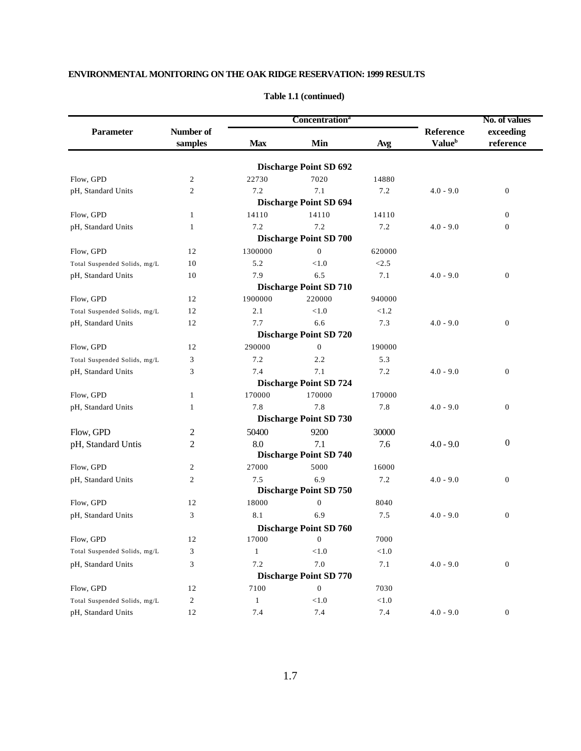|                              |                         |              | Concentration <sup>a</sup>    |         |                           | No. of values    |  |
|------------------------------|-------------------------|--------------|-------------------------------|---------|---------------------------|------------------|--|
| <b>Parameter</b>             | Number of               |              |                               |         | Reference                 | exceeding        |  |
|                              | samples                 | <b>Max</b>   | Min                           | Avg     | <b>Value</b> <sup>b</sup> | reference        |  |
|                              |                         |              | <b>Discharge Point SD 692</b> |         |                           |                  |  |
| Flow, GPD                    | $\overline{c}$          | 22730        | 7020                          | 14880   |                           |                  |  |
| pH, Standard Units           | $\mathfrak{2}$          | 7.2          | 7.1                           | 7.2     | $4.0 - 9.0$               | $\mathbf{0}$     |  |
|                              |                         |              | <b>Discharge Point SD 694</b> |         |                           |                  |  |
| Flow, GPD                    | $\mathbf{1}$            | 14110        | 14110                         | 14110   |                           | $\mathbf{0}$     |  |
| pH, Standard Units           | 1                       | 7.2          | 7.2                           | 7.2     | $4.0 - 9.0$               | $\boldsymbol{0}$ |  |
|                              |                         |              | <b>Discharge Point SD 700</b> |         |                           |                  |  |
| Flow, GPD                    | 12                      | 1300000      | $\overline{0}$                | 620000  |                           |                  |  |
| Total Suspended Solids, mg/L | 10                      | 5.2          | < 1.0                         | < 2.5   |                           |                  |  |
| pH, Standard Units           | 10                      | 7.9          | 6.5                           | 7.1     | $4.0 - 9.0$               | $\boldsymbol{0}$ |  |
|                              |                         |              | <b>Discharge Point SD 710</b> |         |                           |                  |  |
| Flow, GPD                    | 12                      | 1900000      | 220000                        | 940000  |                           |                  |  |
| Total Suspended Solids, mg/L | 12                      | 2.1          | < 1.0                         | < 1.2   |                           |                  |  |
| pH, Standard Units           | 12                      | 7.7          | 6.6                           | 7.3     | $4.0 - 9.0$               | $\mathbf{0}$     |  |
|                              |                         |              | <b>Discharge Point SD 720</b> |         |                           |                  |  |
| Flow, GPD                    | 12                      | 290000       | $\mathbf{0}$                  | 190000  |                           |                  |  |
| Total Suspended Solids, mg/L | 3                       | 7.2          | 2.2                           | 5.3     |                           |                  |  |
| pH, Standard Units           | 3                       | 7.4          | 7.1                           | 7.2     | $4.0 - 9.0$               | $\boldsymbol{0}$ |  |
|                              |                         |              | <b>Discharge Point SD 724</b> |         |                           |                  |  |
| Flow, GPD                    | 1                       | 170000       | 170000                        | 170000  |                           |                  |  |
| pH, Standard Units           | 1                       | 7.8          | 7.8                           | 7.8     | $4.0 - 9.0$               | $\mathbf{0}$     |  |
|                              |                         |              | <b>Discharge Point SD 730</b> |         |                           |                  |  |
| Flow, GPD                    | 2                       | 50400        | 9200                          | 30000   |                           |                  |  |
| pH, Standard Untis           | 2                       | 8.0          | 7.1                           | 7.6     | $4.0 - 9.0$               | $\boldsymbol{0}$ |  |
|                              |                         |              | <b>Discharge Point SD 740</b> |         |                           |                  |  |
| Flow, GPD                    | $\overline{c}$          | 27000        | 5000                          | 16000   |                           |                  |  |
| pH, Standard Units           | $\overline{2}$          | 7.5          | 6.9                           | 7.2     | $4.0 - 9.0$               | $\boldsymbol{0}$ |  |
|                              |                         |              | <b>Discharge Point SD 750</b> |         |                           |                  |  |
| Flow, GPD                    | 12                      | 18000        | $\mathbf{0}$                  | 8040    |                           |                  |  |
| pH, Standard Units           | 3                       | 8.1          | 6.9                           | 7.5     | $4.0 - 9.0$               | $\boldsymbol{0}$ |  |
|                              |                         |              | <b>Discharge Point SD 760</b> |         |                           |                  |  |
| Flow, GPD                    | 12                      | 17000        | $\theta$                      | 7000    |                           |                  |  |
| Total Suspended Solids, mg/L | 3                       | $\mathbf{1}$ | < 1.0                         | < 1.0   |                           |                  |  |
| pH, Standard Units           | 3                       | 7.2          | $7.0\,$                       | $7.1\,$ | $4.0 - 9.0$               | $\boldsymbol{0}$ |  |
|                              |                         |              | <b>Discharge Point SD 770</b> |         |                           |                  |  |
| Flow, GPD                    | 12                      | 7100         | $\boldsymbol{0}$              | 7030    |                           |                  |  |
| Total Suspended Solids, mg/L | $\overline{\mathbf{c}}$ | $\mathbf{1}$ | < 1.0                         | < 1.0   |                           |                  |  |
| pH, Standard Units           | 12                      | 7.4          | $7.4\,$                       | 7.4     | $4.0 - 9.0$               | $\boldsymbol{0}$ |  |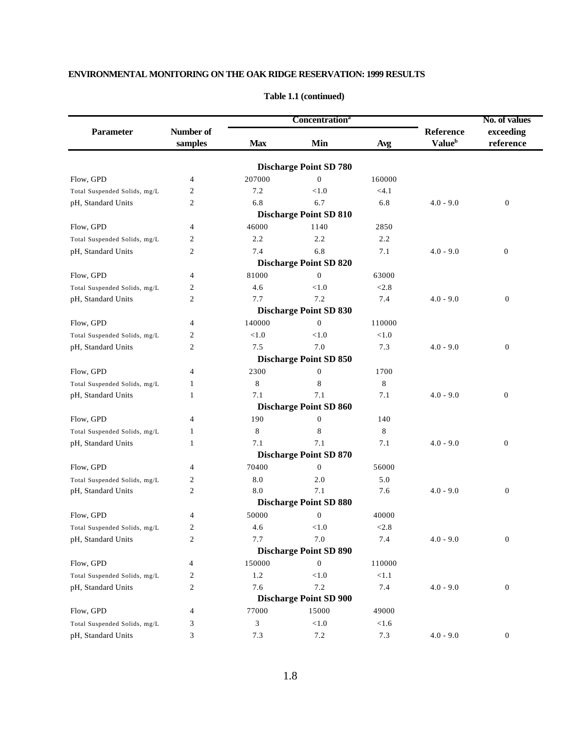|                              |                      |            | <b>Concentration</b> <sup>a</sup> |        |                                        | No. of values<br>exceeding<br>reference |  |
|------------------------------|----------------------|------------|-----------------------------------|--------|----------------------------------------|-----------------------------------------|--|
| <b>Parameter</b>             | Number of<br>samples | <b>Max</b> | Min                               | Avg    | Reference<br><b>Value</b> <sup>b</sup> |                                         |  |
|                              |                      |            |                                   |        |                                        |                                         |  |
|                              |                      |            | <b>Discharge Point SD 780</b>     |        |                                        |                                         |  |
| Flow, GPD                    | 4                    | 207000     | $\boldsymbol{0}$                  | 160000 |                                        |                                         |  |
| Total Suspended Solids, mg/L | 2                    | 7.2        | < 1.0                             | < 4.1  |                                        |                                         |  |
| pH, Standard Units           | 2                    | 6.8        | 6.7                               | 6.8    | $4.0 - 9.0$                            | $\boldsymbol{0}$                        |  |
|                              |                      |            | <b>Discharge Point SD 810</b>     |        |                                        |                                         |  |
| Flow, GPD                    | 4                    | 46000      | 1140                              | 2850   |                                        |                                         |  |
| Total Suspended Solids, mg/L | 2                    | 2.2        | 2.2                               | 2.2    |                                        |                                         |  |
| pH, Standard Units           | 2                    | 7.4        | 6.8                               | 7.1    | $4.0 - 9.0$                            | $\boldsymbol{0}$                        |  |
|                              |                      |            | <b>Discharge Point SD 820</b>     |        |                                        |                                         |  |
| Flow, GPD                    | 4                    | 81000      | $\mathbf{0}$                      | 63000  |                                        |                                         |  |
| Total Suspended Solids, mg/L | 2                    | 4.6        | < 1.0                             | < 2.8  |                                        |                                         |  |
| pH, Standard Units           | 2                    | 7.7        | 7.2                               | 7.4    | $4.0 - 9.0$                            | $\boldsymbol{0}$                        |  |
|                              |                      |            | <b>Discharge Point SD 830</b>     |        |                                        |                                         |  |
| Flow, GPD                    | 4                    | 140000     | $\boldsymbol{0}$                  | 110000 |                                        |                                         |  |
| Total Suspended Solids, mg/L | 2                    | < 1.0      | < 1.0                             | < 1.0  |                                        |                                         |  |
| pH, Standard Units           | 2                    | 7.5        | 7.0                               | 7.3    | $4.0 - 9.0$                            | $\boldsymbol{0}$                        |  |
|                              |                      |            | <b>Discharge Point SD 850</b>     |        |                                        |                                         |  |
| Flow, GPD                    | 4                    | 2300       | $\boldsymbol{0}$                  | 1700   |                                        |                                         |  |
| Total Suspended Solids, mg/L | 1                    | 8          | 8                                 | 8      |                                        |                                         |  |
| pH, Standard Units           | 1                    | 7.1        | 7.1                               | 7.1    | $4.0 - 9.0$                            | $\boldsymbol{0}$                        |  |
|                              |                      |            | <b>Discharge Point SD 860</b>     |        |                                        |                                         |  |
| Flow, GPD                    | 4                    | 190        | $\mathbf{0}$                      | 140    |                                        |                                         |  |
| Total Suspended Solids, mg/L | 1                    | 8          | 8                                 | 8      |                                        |                                         |  |
| pH, Standard Units           | 1                    | 7.1        | 7.1                               | 7.1    | $4.0 - 9.0$                            | $\mathbf{0}$                            |  |
|                              |                      |            | <b>Discharge Point SD 870</b>     |        |                                        |                                         |  |
| Flow, GPD                    | 4                    | 70400      | $\mathbf{0}$                      | 56000  |                                        |                                         |  |
| Total Suspended Solids, mg/L | 2                    | 8.0        | 2.0                               | 5.0    |                                        |                                         |  |
| pH, Standard Units           | 2                    | 8.0        | 7.1                               | 7.6    | $4.0 - 9.0$                            | $\boldsymbol{0}$                        |  |
|                              |                      |            | <b>Discharge Point SD 880</b>     |        |                                        |                                         |  |
| Flow, GPD                    | 4                    | 50000      | $\boldsymbol{0}$                  | 40000  |                                        |                                         |  |
| Total Suspended Solids, mg/L | 2                    | 4.6        | < 1.0                             | < 2.8  |                                        |                                         |  |
| pH, Standard Units           | 2                    | 7.7        | 7.0                               | 7.4    | $4.0 - 9.0$                            | $\boldsymbol{0}$                        |  |
|                              |                      |            | <b>Discharge Point SD 890</b>     |        |                                        |                                         |  |
| Flow, GPD                    | 4                    | 150000     | $\boldsymbol{0}$                  | 110000 |                                        |                                         |  |
| Total Suspended Solids, mg/L | 2                    | $1.2\,$    | < 1.0                             | < 1.1  |                                        |                                         |  |
| pH, Standard Units           | 2                    | 7.6        | 7.2                               | 7.4    | $4.0 - 9.0$                            | $\boldsymbol{0}$                        |  |
|                              |                      |            | <b>Discharge Point SD 900</b>     |        |                                        |                                         |  |
| Flow, GPD                    | 4                    | 77000      | 15000                             | 49000  |                                        |                                         |  |
| Total Suspended Solids, mg/L | 3                    | 3          | $<1.0$                            | < 1.6  |                                        |                                         |  |
| pH, Standard Units           | 3                    | 7.3        | $7.2\,$                           | 7.3    | $4.0 - 9.0$                            | $\boldsymbol{0}$                        |  |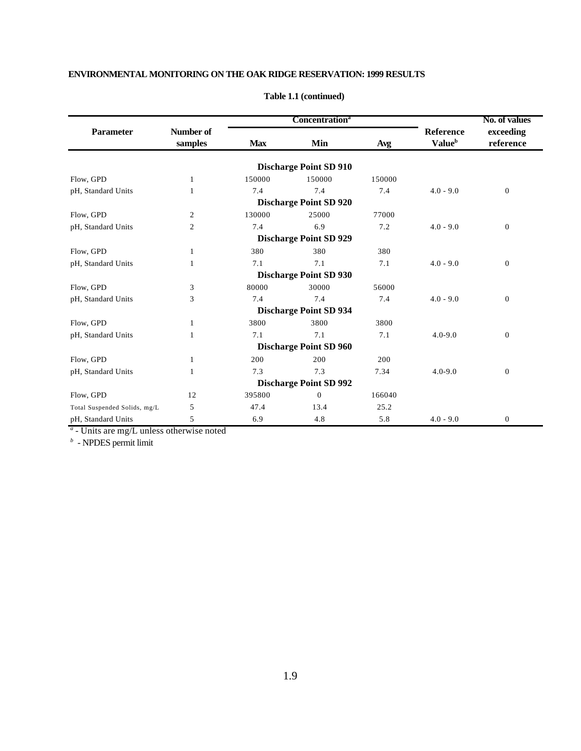|                              |                      |            | <b>Concentration</b> <sup>a</sup> |        | No. of values                          |                        |
|------------------------------|----------------------|------------|-----------------------------------|--------|----------------------------------------|------------------------|
| <b>Parameter</b>             | Number of<br>samples | <b>Max</b> | Min                               | Avg    | Reference<br><b>Value</b> <sup>b</sup> | exceeding<br>reference |
|                              |                      |            | <b>Discharge Point SD 910</b>     |        |                                        |                        |
| Flow, GPD                    | 1                    | 150000     | 150000                            | 150000 |                                        |                        |
| pH, Standard Units           |                      | 7.4        | 7.4                               | 7.4    | $4.0 - 9.0$                            | $\boldsymbol{0}$       |
|                              |                      |            | <b>Discharge Point SD 920</b>     |        |                                        |                        |
| Flow, GPD                    | 2                    | 130000     | 25000                             | 77000  |                                        |                        |
| pH, Standard Units           | $\overline{c}$       | 7.4        | 6.9                               | 7.2    | $4.0 - 9.0$                            | $\mathbf{0}$           |
|                              |                      |            | <b>Discharge Point SD 929</b>     |        |                                        |                        |
| Flow, GPD                    | 1                    | 380        | 380                               | 380    |                                        |                        |
| pH, Standard Units           | 1                    | 7.1        | 7.1                               | 7.1    | $4.0 - 9.0$                            | $\boldsymbol{0}$       |
|                              |                      |            | <b>Discharge Point SD 930</b>     |        |                                        |                        |
| Flow, GPD                    | 3                    | 80000      | 30000                             | 56000  |                                        |                        |
| pH, Standard Units           | 3                    | 7.4        | 7.4                               | 7.4    | $4.0 - 9.0$                            | $\boldsymbol{0}$       |
|                              |                      |            | <b>Discharge Point SD 934</b>     |        |                                        |                        |
| Flow, GPD                    | 1                    | 3800       | 3800                              | 3800   |                                        |                        |
| pH, Standard Units           | 1                    | 7.1        | 7.1                               | 7.1    | $4.0 - 9.0$                            | $\boldsymbol{0}$       |
|                              |                      |            | <b>Discharge Point SD 960</b>     |        |                                        |                        |
| Flow, GPD                    | 1                    | 200        | 200                               | 200    |                                        |                        |
| pH, Standard Units           | 1                    | 7.3        | 7.3                               | 7.34   | $4.0 - 9.0$                            | $\boldsymbol{0}$       |
|                              |                      |            | <b>Discharge Point SD 992</b>     |        |                                        |                        |
| Flow, GPD                    | 12                   | 395800     | $\mathbf{0}$                      | 166040 |                                        |                        |
| Total Suspended Solids, mg/L | 5                    | 47.4       | 13.4                              | 25.2   |                                        |                        |
| pH, Standard Units           | 5                    | 6.9        | 4.8                               | 5.8    | $4.0 - 9.0$                            | $\boldsymbol{0}$       |

#### **Table 1.1 (continued)**

*a* - Units are mg/L unless otherwise noted

*b* - NPDES permit limit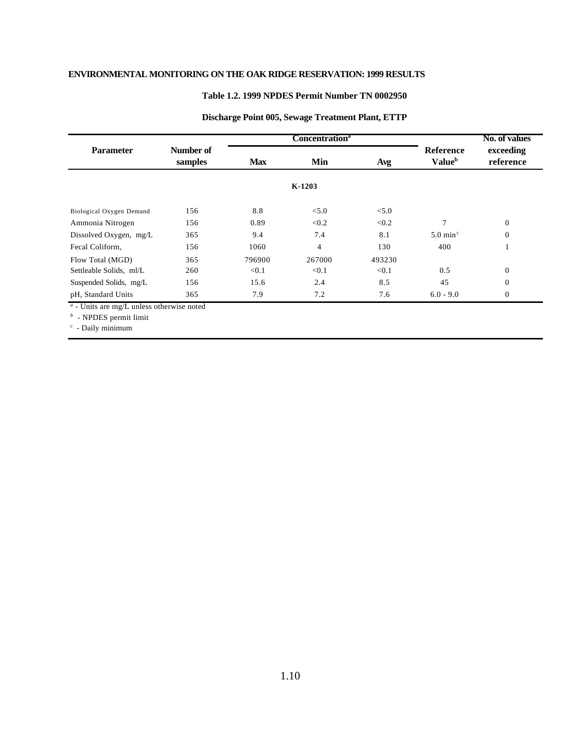#### **Table 1.2. 1999 NPDES Permit Number TN 0002950**

|                                                                                                                  |                      |            | Concentration <sup>a</sup> |        |                                               | No. of values          |  |
|------------------------------------------------------------------------------------------------------------------|----------------------|------------|----------------------------|--------|-----------------------------------------------|------------------------|--|
| <b>Parameter</b>                                                                                                 | Number of<br>samples | <b>Max</b> | Min                        | Avg    | <b>Reference</b><br><b>Value</b> <sup>b</sup> | exceeding<br>reference |  |
|                                                                                                                  |                      |            | $K-1203$                   |        |                                               |                        |  |
| Biological Oxygen Demand                                                                                         | 156                  | 8.8        | < 5.0                      | < 5.0  |                                               |                        |  |
| Ammonia Nitrogen                                                                                                 | 156                  | 0.89       | < 0.2                      | < 0.2  | 7                                             | $\overline{0}$         |  |
| Dissolved Oxygen, mg/L                                                                                           | 365                  | 9.4        | 7.4                        | 8.1    | $5.0 \text{ min}^{\circ}$                     | $\overline{0}$         |  |
| Fecal Coliform,                                                                                                  | 156                  | 1060       | 4                          | 130    | 400                                           |                        |  |
| Flow Total (MGD)                                                                                                 | 365                  | 796900     | 267000                     | 493230 |                                               |                        |  |
| Settleable Solids, ml/L                                                                                          | 260                  | < 0.1      | < 0.1                      | < 0.1  | 0.5                                           | $\Omega$               |  |
| Suspended Solids, mg/L                                                                                           | 156                  | 15.6       | 2.4                        | 8.5    | 45                                            | $\overline{0}$         |  |
| pH, Standard Units                                                                                               | 365                  | 7.9        | 7.2                        | 7.6    | $6.0 - 9.0$                                   | $\overline{0}$         |  |
| $a$ - Units are mg/L unless otherwise noted<br>$\mathcal{L}$ are not as $\mathcal{L}$ . The set of $\mathcal{L}$ |                      |            |                            |        |                                               |                        |  |

#### **Discharge Point 005, Sewage Treatment Plant, ETTP**

*b* - NPDES permit limit

*c* - Daily minimum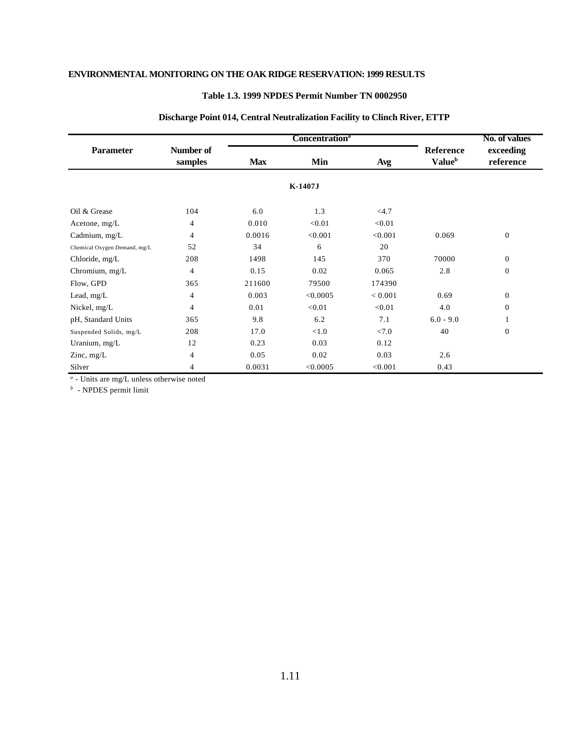#### **Table 1.3. 1999 NPDES Permit Number TN 0002950**

|                              |                      |                   | <b>Concentration</b> <sup>a</sup> |         |                                               | No. of values          |  |
|------------------------------|----------------------|-------------------|-----------------------------------|---------|-----------------------------------------------|------------------------|--|
| <b>Parameter</b>             | Number of<br>samples | Min<br><b>Max</b> |                                   | Avg     | <b>Reference</b><br><b>Value</b> <sup>b</sup> | exceeding<br>reference |  |
|                              |                      |                   | K-1407J                           |         |                                               |                        |  |
| Oil & Grease                 | 104                  | 6.0               | 1.3                               | <4.7    |                                               |                        |  |
| Acetone, $mg/L$              | 4                    | 0.010             | < 0.01                            | < 0.01  |                                               |                        |  |
| Cadmium, mg/L                | $\overline{4}$       | 0.0016            | < 0.001                           | < 0.001 | 0.069                                         | $\mathbf{0}$           |  |
| Chemical Oxygen Demand, mg/L | 52                   | 34                | 6                                 | 20      |                                               |                        |  |
| Chloride, mg/L               | 208                  | 1498              | 145                               | 370     | 70000                                         | $\mathbf{0}$           |  |
| Chromium, mg/L               | 4                    | 0.15              | 0.02                              | 0.065   | 2.8                                           | $\mathbf{0}$           |  |
| Flow, GPD                    | 365                  | 211600            | 79500                             | 174390  |                                               |                        |  |
| Lead, mg/L                   | 4                    | 0.003             | < 0.0005                          | < 0.001 | 0.69                                          | $\overline{0}$         |  |
| Nickel, mg/L                 | 4                    | 0.01              | < 0.01                            | < 0.01  | 4.0                                           | $\Omega$               |  |
| pH, Standard Units           | 365                  | 9.8               | 6.2                               | 7.1     | $6.0 - 9.0$                                   |                        |  |
| Suspended Solids, mg/L       | 208                  | 17.0              | < 1.0                             | < 7.0   | 40                                            | $\mathbf{0}$           |  |
| Uranium, mg/L                | 12                   | 0.23              | 0.03                              | 0.12    |                                               |                        |  |
| Zinc, $mg/L$                 | 4                    | 0.05              | 0.02                              | 0.03    | 2.6                                           |                        |  |
| Silver                       | 4                    | 0.0031            | < 0.0005                          | < 0.001 | 0.43                                          |                        |  |

#### **Discharge Point 014, Central Neutralization Facility to Clinch River, ETTP**

*a* - Units are mg/L unless otherwise noted

*b* - NPDES permit limit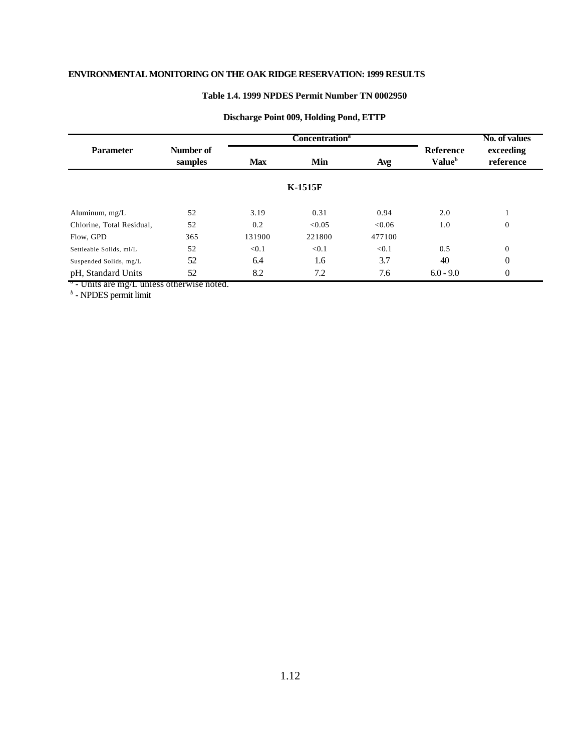#### **Table 1.4. 1999 NPDES Permit Number TN 0002950**

|                           |                      |            | Concentration <sup>a</sup> |        | No. of values                                 |                        |
|---------------------------|----------------------|------------|----------------------------|--------|-----------------------------------------------|------------------------|
| <b>Parameter</b>          | Number of<br>samples | <b>Max</b> | Min<br>Avg                 |        | <b>Reference</b><br><b>Value</b> <sup>b</sup> | exceeding<br>reference |
|                           |                      |            | <b>K-1515F</b>             |        |                                               |                        |
| Aluminum, mg/L            | 52                   | 3.19       | 0.31                       | 0.94   | 2.0                                           |                        |
| Chlorine, Total Residual, | 52                   | 0.2        | < 0.05                     | < 0.06 | 1.0                                           | $\mathbf{0}$           |
| Flow, GPD                 | 365                  | 131900     | 221800                     | 477100 |                                               |                        |
| Settleable Solids, ml/L   | 52                   | < 0.1      | < 0.1                      | < 0.1  | 0.5                                           | $\Omega$               |
| Suspended Solids, mg/L    | 52                   | 6.4        | 1.6                        | 3.7    | 40                                            | $\theta$               |
| pH, Standard Units        | 52                   | 8.2        | 7.2                        | 7.6    | $6.0 - 9.0$                                   | $\theta$               |

#### **Discharge Point 009, Holding Pond, ETTP**

*a* - Units are mg/L unless otherwise noted. *b* - NPDES permit limit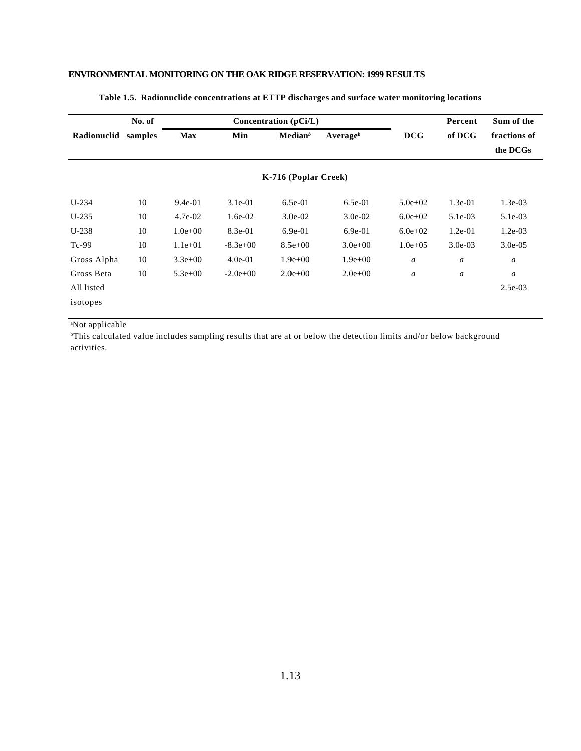|             | No. of  | Concentration $(pCi/L)$ |            |                      |              |                  | Percent          | Sum of the       |
|-------------|---------|-------------------------|------------|----------------------|--------------|------------------|------------------|------------------|
| Radionuclid | samples | <b>Max</b>              | Min        | Median <sup>b</sup>  | Average $^b$ | <b>DCG</b>       | of DCG           | fractions of     |
|             |         |                         |            |                      |              |                  |                  | the DCGs         |
|             |         |                         |            | K-716 (Poplar Creek) |              |                  |                  |                  |
| $U-234$     | 10      | $9.4e-01$               | $3.1e-01$  | $6.5e-01$            | $6.5e-01$    | $5.0e + 02$      | $1.3e-01$        | $1.3e-03$        |
| $U-235$     | 10      | $4.7e-02$               | $1.6e-02$  | $3.0e-02$            | $3.0e-02$    | $6.0e + 02$      | $5.1e-03$        | $5.1e-03$        |
| $U-238$     | 10      | $1.0e + 00$             | 8.3e-01    | $6.9e-01$            | $6.9e-01$    | $6.0e + 02$      | $1.2e-01$        | $1.2e-03$        |
| $Tc-99$     | 10      | $1.1e+01$               | $-8.3e+00$ | $8.5e+00$            | $3.0e + 00$  | $1.0e + 0.5$     | $3.0e-03$        | $3.0e-0.5$       |
| Gross Alpha | 10      | $3.3e+00$               | $4.0e-01$  | $1.9e+00$            | $1.9e + 00$  | $\boldsymbol{a}$ | $\boldsymbol{a}$ | a                |
| Gross Beta  | 10      | $5.3e+00$               | $-2.0e+00$ | $2.0e+00$            | $2.0e+00$    | $\boldsymbol{a}$ | a                | $\boldsymbol{a}$ |
| All listed  |         |                         |            |                      |              |                  |                  | $2.5e-03$        |
| isotopes    |         |                         |            |                      |              |                  |                  |                  |

#### **Table 1.5. Radionuclide concentrations at ETTP discharges and surface water monitoring locations**

<sup>a</sup>Not applicable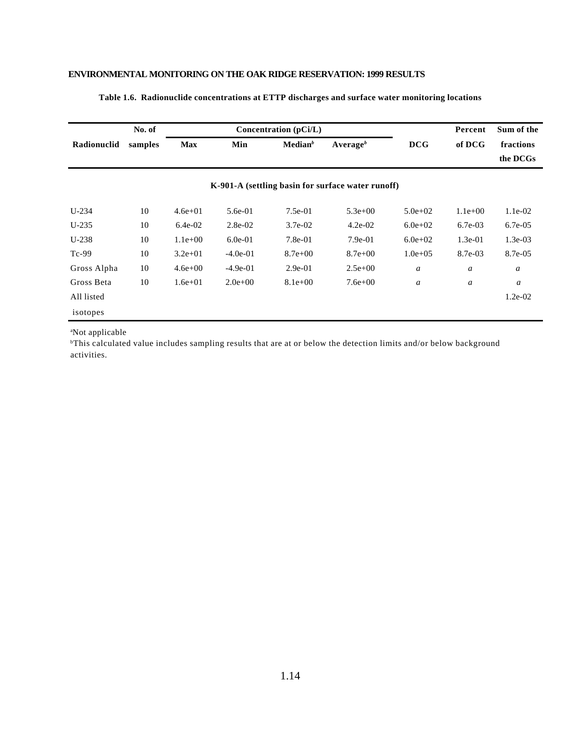|             | No. of  |             |            | Concentration $(pCi/L)$ |                                                   |                  | Percent   | Sum of the |
|-------------|---------|-------------|------------|-------------------------|---------------------------------------------------|------------------|-----------|------------|
| Radionuclid | samples | <b>Max</b>  | Min        | Median <sup>b</sup>     | Average <sup>b</sup>                              | <b>DCG</b>       | of DCG    | fractions  |
|             |         |             |            |                         |                                                   |                  |           | the DCGs   |
|             |         |             |            |                         | K-901-A (settling basin for surface water runoff) |                  |           |            |
| $U-234$     | 10      | $4.6e + 01$ | $5.6e-01$  | $7.5e-01$               | $5.3e+00$                                         | $5.0e + 02$      | $1.1e+00$ | $1.1e-02$  |
| $U-235$     | 10      | $6.4e-02$   | $2.8e-02$  | $3.7e-02$               | $4.2e-02$                                         | $6.0e + 02$      | $6.7e-03$ | $6.7e-0.5$ |
| $U-238$     | 10      | $1.1e+00$   | $6.0e-01$  | $7.8e-01$               | $7.9e-01$                                         | $6.0e + 02$      | $1.3e-01$ | $1.3e-03$  |
| $Tc-99$     | 10      | $3.2e + 01$ | $-4.0e-01$ | $8.7e + 00$             | $8.7e + 00$                                       | $1.0e + 0.5$     | 8.7e-03   | 8.7e-05    |
| Gross Alpha | 10      | $4.6e + 00$ | $-4.9e-01$ | $2.9e-01$               | $2.5e+00$                                         | $\boldsymbol{a}$ | a         | a          |
| Gross Beta  | 10      | $1.6e + 01$ | $2.0e+00$  | $8.1e+00$               | $7.6e+00$                                         | $\boldsymbol{a}$ | a         | a          |
| All listed  |         |             |            |                         |                                                   |                  |           | $1.2e-02$  |
| isotopes    |         |             |            |                         |                                                   |                  |           |            |

#### **Table 1.6. Radionuclide concentrations at ETTP discharges and surface water monitoring locations**

<sup>a</sup>Not applicable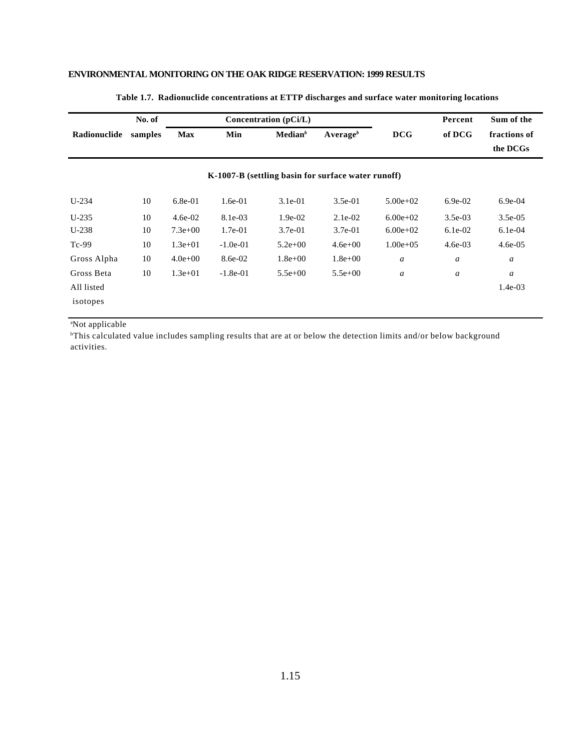|              | No. of  |             | Concentration (pCi/L) |                     |                                                    | Percent          | Sum of the       |                          |
|--------------|---------|-------------|-----------------------|---------------------|----------------------------------------------------|------------------|------------------|--------------------------|
| Radionuclide | samples | <b>Max</b>  | Min                   | Median <sup>b</sup> | Average $^b$                                       | <b>DCG</b>       | of DCG           | fractions of<br>the DCGs |
|              |         |             |                       |                     | K-1007-B (settling basin for surface water runoff) |                  |                  |                          |
| $U-234$      | 10      | $6.8e-01$   | $1.6e-01$             | $3.1e-01$           | $3.5e-01$                                          | $5.00e+02$       | $6.9e-02$        | $6.9e-04$                |
| $U-235$      | 10      | $4.6e-02$   | 8.1e-03               | $1.9e-02$           | $2.1e-02$                                          | $6.00e+02$       | $3.5e-03$        | $3.5e-0.5$               |
| $U-238$      | 10      | $7.3e+00$   | $1.7e-01$             | $3.7e-01$           | $3.7e-01$                                          | $6.00e+02$       | $6.1e-02$        | $6.1e-04$                |
| $Tc-99$      | 10      | $1.3e+01$   | $-1.0e-01$            | $5.2e + 00$         | $4.6e + 00$                                        | $1.00e + 0.5$    | $4.6e-03$        | $4.6e-0.5$               |
| Gross Alpha  | 10      | $4.0e + 00$ | 8.6e-02               | $1.8e + 00$         | $1.8e + 00$                                        | $\boldsymbol{a}$ | $\boldsymbol{a}$ | a                        |
| Gross Beta   | 10      | $1.3e+01$   | $-1.8e-01$            | $5.5e+00$           | $5.5e+00$                                          | $\boldsymbol{a}$ | a                | a                        |
| All listed   |         |             |                       |                     |                                                    |                  |                  | $1.4e-03$                |
| isotopes     |         |             |                       |                     |                                                    |                  |                  |                          |

#### **Table 1.7. Radionuclide concentrations at ETTP discharges and surface water monitoring locations**

<sup>a</sup>Not applicable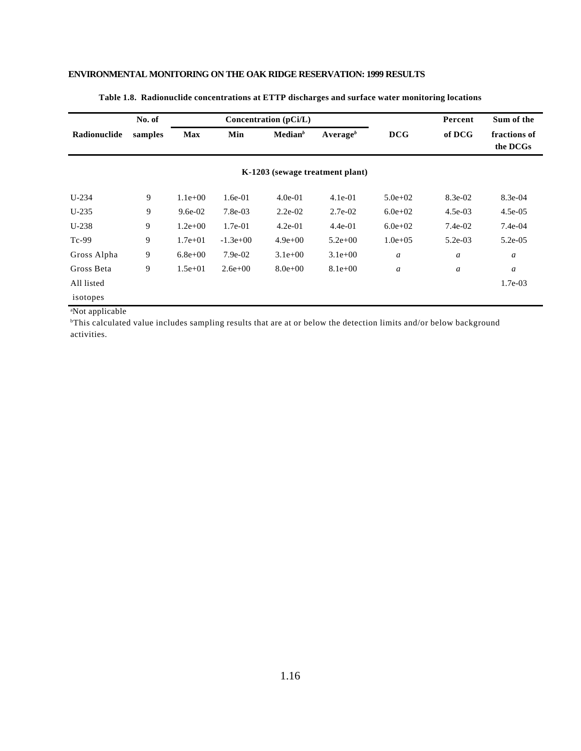|              | No. of  |             |            | Concentration (pCi/L) |                                 |                  | Percent          | Sum of the               |
|--------------|---------|-------------|------------|-----------------------|---------------------------------|------------------|------------------|--------------------------|
| Radionuclide | samples | <b>Max</b>  | Min        | Median <sup>b</sup>   | Average $^b$                    | DCG              | of DCG           | fractions of<br>the DCGs |
|              |         |             |            |                       | K-1203 (sewage treatment plant) |                  |                  |                          |
| $U-234$      | 9       | $1.1e+00$   | $1.6e-01$  | $4.0e-01$             | $4.1e-01$                       | $5.0e + 02$      | 8.3e-02          | $8.3e-04$                |
| $U-235$      | 9       | $9.6e-02$   | $7.8e-03$  | $2.2e-02$             | $2.7e-02$                       | $6.0e + 02$      | $4.5e-03$        | $4.5e-05$                |
| $U-238$      | 9       | $1.2e+00$   | $1.7e-01$  | $4.2e-01$             | $4.4e-01$                       | $6.0e + 02$      | $7.4e-02$        | $7.4e-04$                |
| $Tc-99$      | 9       | $1.7e + 01$ | $-1.3e+00$ | $4.9e+00$             | $5.2e+00$                       | $1.0e + 0.5$     | $5.2e-03$        | $5.2e-05$                |
| Gross Alpha  | 9       | $6.8e + 00$ | $7.9e-02$  | $3.1e+00$             | $3.1e+00$                       | $\boldsymbol{a}$ | $\boldsymbol{a}$ | a                        |
| Gross Beta   | 9       | $1.5e+01$   | $2.6e+00$  | $8.0e + 00$           | $8.1e+00$                       | a                | $\boldsymbol{a}$ | a                        |
| All listed   |         |             |            |                       |                                 |                  |                  | $1.7e-03$                |
| isotopes     |         |             |            |                       |                                 |                  |                  |                          |

#### **Table 1.8. Radionuclide concentrations at ETTP discharges and surface water monitoring locations**

<sup>a</sup>Not applicable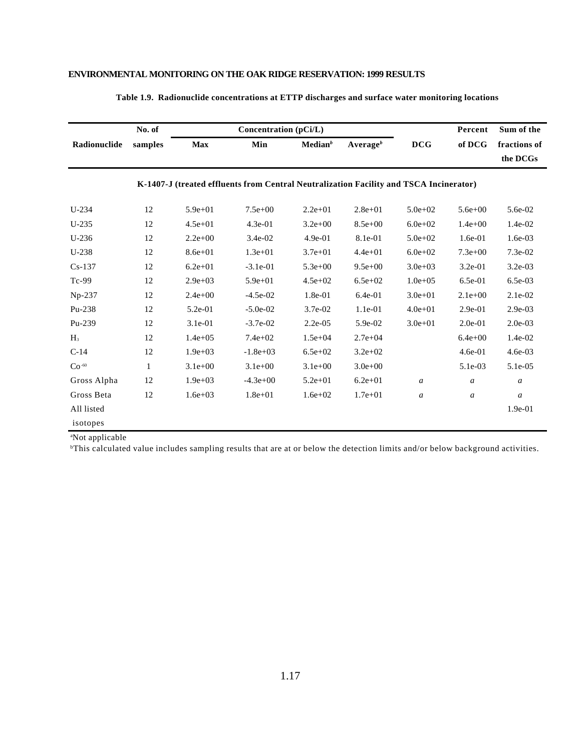|                | No. of  |              | Concentration (pCi/L)                                                                  |                     |                      |                  | Percent          | Sum of the       |
|----------------|---------|--------------|----------------------------------------------------------------------------------------|---------------------|----------------------|------------------|------------------|------------------|
| Radionuclide   | samples | <b>Max</b>   | Min                                                                                    | Median <sup>b</sup> | Average <sup>b</sup> | <b>DCG</b>       | of DCG           | fractions of     |
|                |         |              |                                                                                        |                     |                      |                  |                  | the DCGs         |
|                |         |              | K-1407-J (treated effluents from Central Neutralization Facility and TSCA Incinerator) |                     |                      |                  |                  |                  |
| $U-234$        | 12      | $5.9e + 01$  | $7.5e+00$                                                                              | $2.2e+01$           | $2.8e + 01$          | $5.0e + 02$      | $5.6e + 00$      | 5.6e-02          |
| $U-235$        | 12      | $4.5e + 01$  | 4.3e-01                                                                                | $3.2e + 00$         | $8.5e + 00$          | $6.0e + 02$      | $1.4e + 00$      | $1.4e-02$        |
| $U-236$        | 12      | $2.2e+00$    | 3.4e-02                                                                                | 4.9e-01             | 8.1e-01              | $5.0e + 02$      | 1.6e-01          | 1.6e-03          |
| $U-238$        | 12      | $8.6e + 01$  | $1.3e + 01$                                                                            | $3.7e + 01$         | $4.4e + 01$          | $6.0e + 02$      | $7.3e + 00$      | $7.3e-02$        |
| $Cs-137$       | 12      | $6.2e + 01$  | $-3.1e-01$                                                                             | $5.3e+00$           | $9.5e + 00$          | $3.0e + 03$      | 3.2e-01          | $3.2e-03$        |
| Tc-99          | 12      | $2.9e+03$    | $5.9e + 01$                                                                            | $4.5e + 02$         | $6.5e + 02$          | $1.0e + 0.5$     | 6.5e-01          | 6.5e-03          |
| Np-237         | 12      | $2.4e + 00$  | $-4.5e-02$                                                                             | 1.8e-01             | 6.4e-01              | $3.0e + 01$      | $2.1e+00$        | $2.1e-02$        |
| Pu-238         | 12      | 5.2e-01      | $-5.0e-02$                                                                             | 3.7e-02             | 1.1e-01              | $4.0e + 01$      | 2.9e-01          | 2.9e-03          |
| Pu-239         | 12      | 3.1e-01      | $-3.7e-02$                                                                             | $2.2e-05$           | 5.9e-02              | $3.0e + 01$      | $2.0e-01$        | $2.0e-03$        |
| H <sub>3</sub> | 12      | $1.4e + 0.5$ | $7.4e + 02$                                                                            | $1.5e + 04$         | $2.7e + 04$          |                  | $6.4e + 00$      | $1.4e-02$        |
| $C-14$         | 12      | $1.9e + 03$  | $-1.8e+03$                                                                             | $6.5e+02$           | $3.2e + 02$          |                  | 4.6e-01          | 4.6e-03          |
| $Co -60$       | 1       | $3.1e+00$    | $3.1e+00$                                                                              | $3.1e+00$           | $3.0e + 00$          |                  | 5.1e-03          | 5.1e-05          |
| Gross Alpha    | 12      | $1.9e + 03$  | $-4.3e+00$                                                                             | $5.2e + 01$         | $6.2e + 01$          | $\boldsymbol{a}$ | $\boldsymbol{a}$ | $\boldsymbol{a}$ |
| Gross Beta     | 12      | $1.6e + 03$  | $1.8e + 01$                                                                            | $1.6e + 02$         | $1.7e + 01$          | $\boldsymbol{a}$ | $\boldsymbol{a}$ | $\boldsymbol{a}$ |
| All listed     |         |              |                                                                                        |                     |                      |                  |                  | 1.9e-01          |
| isotopes       |         |              |                                                                                        |                     |                      |                  |                  |                  |

#### **Table 1.9. Radionuclide concentrations at ETTP discharges and surface water monitoring locations**

<sup>a</sup>Not applicable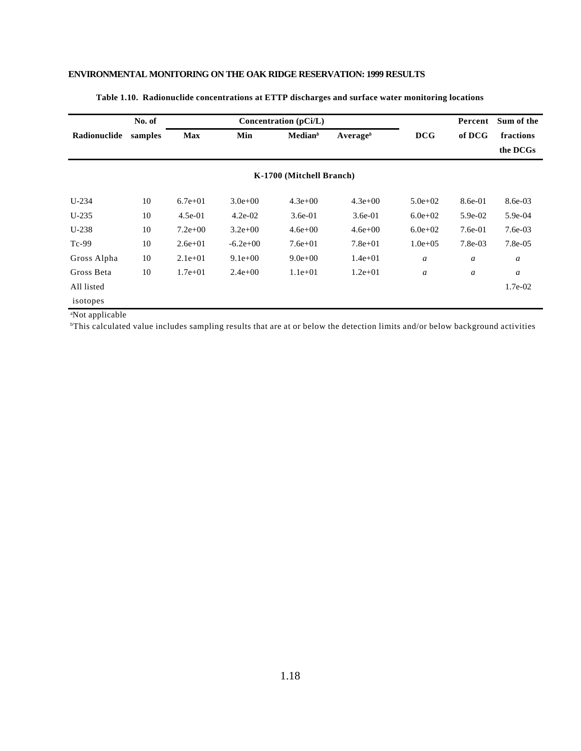|              | No. of  |             |             | Concentration (pCi/L)    |                      |                  | Percent          | Sum of the |  |
|--------------|---------|-------------|-------------|--------------------------|----------------------|------------------|------------------|------------|--|
| Radionuclide | samples | <b>Max</b>  | Min         | Median <sup>b</sup>      | Average <sup>b</sup> | DCG              | of DCG           | fractions  |  |
|              |         |             |             |                          |                      |                  |                  | the DCGs   |  |
|              |         |             |             | K-1700 (Mitchell Branch) |                      |                  |                  |            |  |
| $U-234$      | 10      | $6.7e + 01$ | $3.0e + 00$ | $4.3e+00$                | $4.3e + 00$          | $5.0e + 02$      | 8.6e-01          | 8.6e-03    |  |
| $U-235$      | 10      | $4.5e-01$   | $4.2e-02$   | $3.6e-01$                | $3.6e-01$            | $6.0e + 02$      | $5.9e-02$        | $5.9e-04$  |  |
| $U-238$      | 10      | $7.2e+00$   | $3.2e+00$   | $4.6e + 00$              | $4.6e + 00$          | $6.0e + 02$      | $7.6e-01$        | $7.6e-03$  |  |
| $Tc-99$      | 10      | $2.6e+01$   | $-6.2e+00$  | $7.6e + 01$              | $7.8e + 01$          | $1.0e + 0.5$     | $7.8e-03$        | $7.8e-0.5$ |  |
| Gross Alpha  | 10      | $2.1e+01$   | $9.1e+00$   | $9.0e + 00$              | $1.4e + 01$          | $\boldsymbol{a}$ | $\boldsymbol{a}$ | a          |  |
| Gross Beta   | 10      | $1.7e + 01$ | $2.4e+00$   | $1.1e+01$                | $1.2e + 01$          | $\boldsymbol{a}$ | $\boldsymbol{a}$ | a          |  |
| All listed   |         |             |             |                          |                      |                  |                  | 1.7e-02    |  |
| isotopes     |         |             |             |                          |                      |                  |                  |            |  |

#### **Table 1.10. Radionuclide concentrations at ETTP discharges and surface water monitoring locations**

<sup>a</sup>Not applicable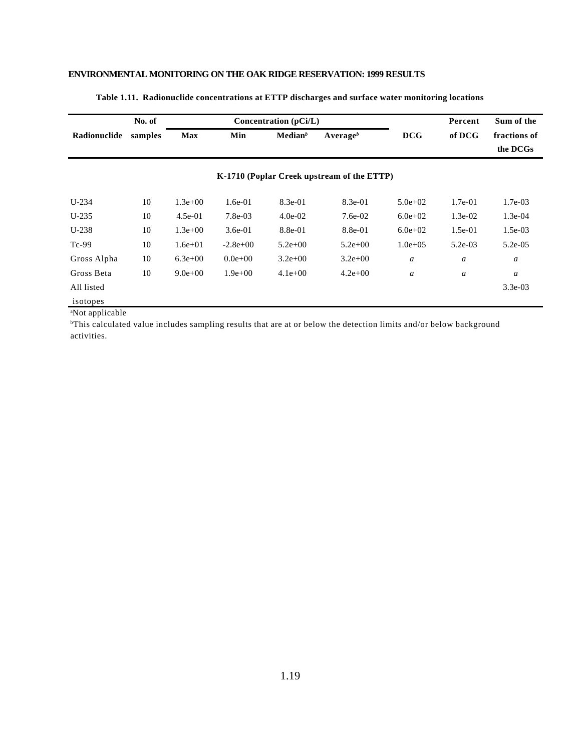|              | No. of  |             |             | Concentration $(pCi/L)$ |                                            |              | Percent   | Sum of the               |
|--------------|---------|-------------|-------------|-------------------------|--------------------------------------------|--------------|-----------|--------------------------|
| Radionuclide | samples | <b>Max</b>  | Min         | Median <sup>b</sup>     | Average $^b$                               | <b>DCG</b>   | of DCG    | fractions of<br>the DCGs |
|              |         |             |             |                         | K-1710 (Poplar Creek upstream of the ETTP) |              |           |                          |
| $U-234$      | 10      | $1.3e+00$   | $1.6e-01$   | $8.3e-01$               | $8.3e-01$                                  | $5.0e + 02$  | $1.7e-01$ | $1.7e-03$                |
| $U-235$      | 10      | $4.5e-01$   | 7.8e-03     | $4.0e-02$               | $7.6e-02$                                  | $6.0e + 02$  | $1.3e-02$ | $1.3e-04$                |
| $U-238$      | 10      | $1.3e+00$   | $3.6e-01$   | 8.8e-01                 | 8.8e-01                                    | $6.0e + 02$  | $1.5e-01$ | $1.5e-03$                |
| $Tc-99$      | 10      | $1.6e + 01$ | $-2.8e+00$  | $5.2e+00$               | $5.2e+00$                                  | $1.0e + 0.5$ | $5.2e-03$ | $5.2e-05$                |
| Gross Alpha  | 10      | $6.3e+00$   | $0.0e+00$   | $3.2e+00$               | $3.2e+00$                                  | a            | a         | $\boldsymbol{a}$         |
| Gross Beta   | 10      | $9.0e + 00$ | $1.9e + 00$ | $4.1e+00$               | $4.2e + 00$                                | a            | a         | $\boldsymbol{a}$         |
| All listed   |         |             |             |                         |                                            |              |           | $3.3e-03$                |
| isotopes     |         |             |             |                         |                                            |              |           |                          |

#### **Table 1.11. Radionuclide concentrations at ETTP discharges and surface water monitoring locations**

<sup>a</sup>Not applicable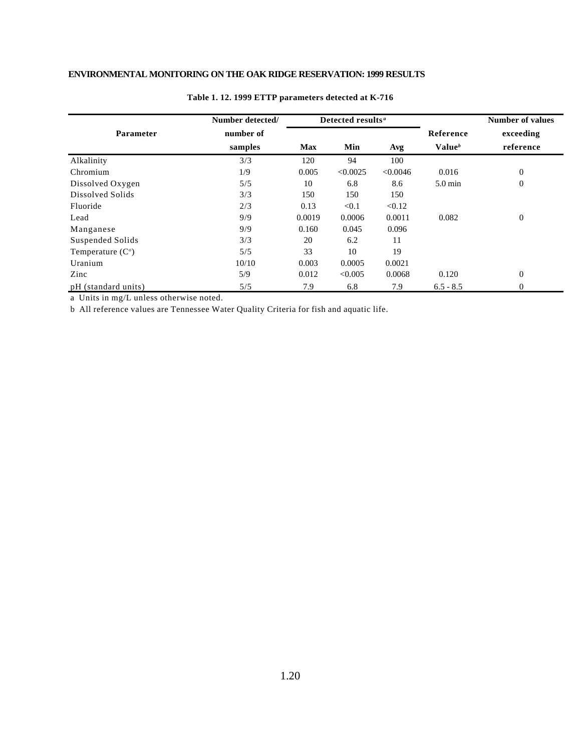|                     | Number detected/ |            | Detected results <sup>a</sup> |          |                    | <b>Number of values</b> |
|---------------------|------------------|------------|-------------------------------|----------|--------------------|-------------------------|
| <b>Parameter</b>    | number of        |            |                               |          | Reference          | exceeding               |
|                     | samples          | <b>Max</b> | Min                           | Avg      | Value <sup>b</sup> | reference               |
| Alkalinity          | 3/3              | 120        | 94                            | 100      |                    |                         |
| Chromium            | 1/9              | 0.005      | < 0.0025                      | < 0.0046 | 0.016              | $\boldsymbol{0}$        |
| Dissolved Oxygen    | 5/5              | 10         | 6.8                           | 8.6      | $5.0 \text{ min}$  | $\boldsymbol{0}$        |
| Dissolved Solids    | 3/3              | 150        | 150                           | 150      |                    |                         |
| Fluoride            | 2/3              | 0.13       | < 0.1                         | < 0.12   |                    |                         |
| Lead                | 9/9              | 0.0019     | 0.0006                        | 0.0011   | 0.082              | $\boldsymbol{0}$        |
| Manganese           | 9/9              | 0.160      | 0.045                         | 0.096    |                    |                         |
| Suspended Solids    | 3/3              | 20         | 6.2                           | 11       |                    |                         |
| Temperature $(Co)$  | 5/5              | 33         | 10                            | 19       |                    |                         |
| Uranium             | 10/10            | 0.003      | 0.0005                        | 0.0021   |                    |                         |
| Zinc                | 5/9              | 0.012      | < 0.005                       | 0.0068   | 0.120              | $\boldsymbol{0}$        |
| pH (standard units) | 5/5              | 7.9        | 6.8                           | 7.9      | $6.5 - 8.5$        | $\theta$                |

#### **Table 1. 12. 1999 ETTP parameters detected at K-716**

a Units in mg/L unless otherwise noted.

b All reference values are Tennessee Water Quality Criteria for fish and aquatic life.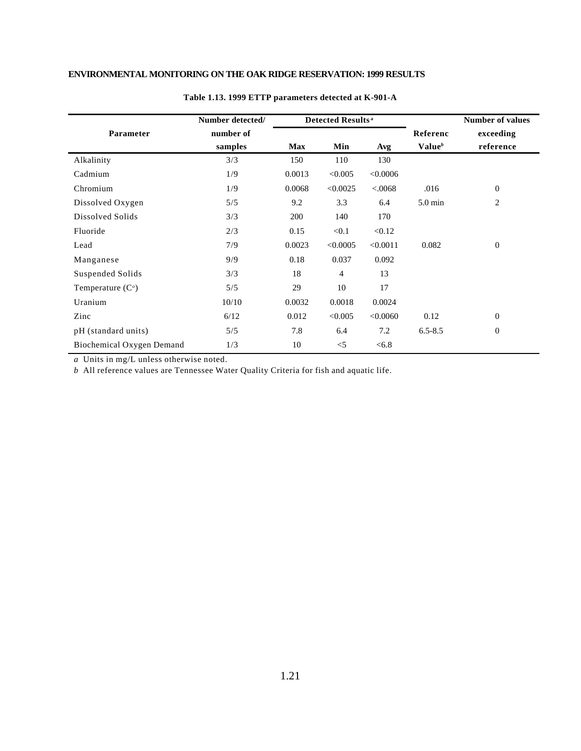|                           | Number detected/ |            | Detected Results <sup>a</sup> |          |                    | <b>Number of values</b> |
|---------------------------|------------------|------------|-------------------------------|----------|--------------------|-------------------------|
| Parameter                 | number of        |            |                               |          | Referenc           | exceeding               |
|                           | samples          | <b>Max</b> | Min                           | Avg      | Value <sup>b</sup> | reference               |
| Alkalinity                | 3/3              | 150        | 110                           | 130      |                    |                         |
| Cadmium                   | 1/9              | 0.0013     | < 0.005                       | <0.0006  |                    |                         |
| Chromium                  | 1/9              | 0.0068     | < 0.0025                      | < 0.068  | .016               | 0                       |
| Dissolved Oxygen          | 5/5              | 9.2        | 3.3                           | 6.4      | $5.0 \text{ min}$  | $\overline{c}$          |
| Dissolved Solids          | 3/3              | 200        | 140                           | 170      |                    |                         |
| Fluoride                  | 2/3              | 0.15       | < 0.1                         | < 0.12   |                    |                         |
| Lead                      | 7/9              | 0.0023     | < 0.0005                      | < 0.0011 | 0.082              | $\boldsymbol{0}$        |
| Manganese                 | 9/9              | 0.18       | 0.037                         | 0.092    |                    |                         |
| Suspended Solids          | 3/3              | 18         | $\overline{4}$                | 13       |                    |                         |
| Temperature $(Co)$        | 5/5              | 29         | 10                            | 17       |                    |                         |
| Uranium                   | 10/10            | 0.0032     | 0.0018                        | 0.0024   |                    |                         |
| Zinc                      | 6/12             | 0.012      | < 0.005                       | < 0.0060 | 0.12               | $\boldsymbol{0}$        |
| pH (standard units)       | 5/5              | 7.8        | 6.4                           | 7.2      | $6.5 - 8.5$        | $\boldsymbol{0}$        |
| Biochemical Oxygen Demand | 1/3              | 10         | $<$ 5                         | < 6.8    |                    |                         |

#### **Table 1.13. 1999 ETTP parameters detected at K-901-A**

*a* Units in mg/L unless otherwise noted.

*b* All reference values are Tennessee Water Quality Criteria for fish and aquatic life.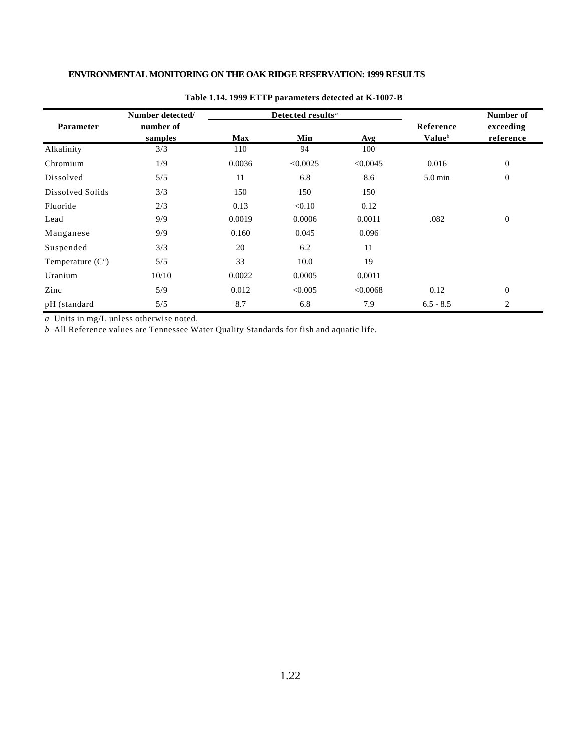|                    | Number detected/     |            | Detected results <sup>a</sup> |          |                     | Number of              |
|--------------------|----------------------|------------|-------------------------------|----------|---------------------|------------------------|
| <b>Parameter</b>   | number of<br>samples | <b>Max</b> | Min                           | Avg      | Reference<br>Valueb | exceeding<br>reference |
| Alkalinity         | 3/3                  | 110        | 94                            | 100      |                     |                        |
| Chromium           | 1/9                  | 0.0036     | < 0.0025                      | < 0.0045 | 0.016               | $\mathbf{0}$           |
| Dissolved          | 5/5                  | 11         | 6.8                           | 8.6      | $5.0 \text{ min}$   | $\boldsymbol{0}$       |
| Dissolved Solids   | 3/3                  | 150        | 150                           | 150      |                     |                        |
| Fluoride           | 2/3                  | 0.13       | < 0.10                        | 0.12     |                     |                        |
| Lead               | 9/9                  | 0.0019     | 0.0006                        | 0.0011   | .082                | $\mathbf{0}$           |
| Manganese          | 9/9                  | 0.160      | 0.045                         | 0.096    |                     |                        |
| Suspended          | 3/3                  | 20         | 6.2                           | 11       |                     |                        |
| Temperature $(Co)$ | 5/5                  | 33         | 10.0                          | 19       |                     |                        |
| Uranium            | 10/10                | 0.0022     | 0.0005                        | 0.0011   |                     |                        |
| Zinc               | 5/9                  | 0.012      | < 0.005                       | < 0.0068 | 0.12                | $\theta$               |
| pH (standard       | 5/5                  | 8.7        | 6.8                           | 7.9      | $6.5 - 8.5$         | 2                      |

#### **Table 1.14. 1999 ETTP parameters detected at K-1007-B**

*a* Units in mg/L unless otherwise noted.

*b* All Reference values are Tennessee Water Quality Standards for fish and aquatic life.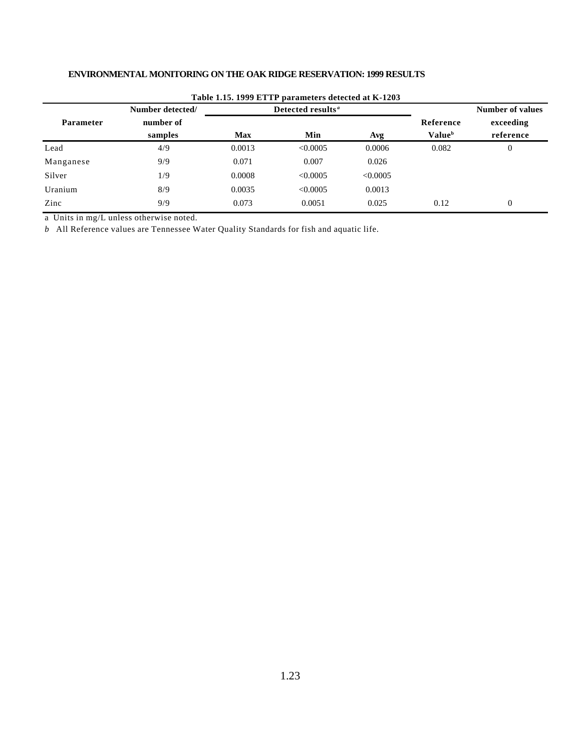|                  |                  |            | Table 1.15. 1999 ETTP parameters detected at K-1203 |          |                           |                         |  |
|------------------|------------------|------------|-----------------------------------------------------|----------|---------------------------|-------------------------|--|
|                  | Number detected/ |            | Detected results <sup>a</sup>                       |          |                           | <b>Number of values</b> |  |
| <b>Parameter</b> | number of        |            |                                                     |          | Reference                 | exceeding               |  |
|                  | samples          | <b>Max</b> | Min                                                 | Avg      | <b>Value</b> <sup>b</sup> | reference               |  |
| Lead             | 4/9              | 0.0013     | < 0.0005                                            | 0.0006   | 0.082                     | $\overline{0}$          |  |
| Manganese        | 9/9              | 0.071      | 0.007                                               | 0.026    |                           |                         |  |
| Silver           | 1/9              | 0.0008     | < 0.0005                                            | < 0.0005 |                           |                         |  |
| Uranium          | 8/9              | 0.0035     | < 0.0005                                            | 0.0013   |                           |                         |  |
| Zinc             | 9/9              | 0.073      | 0.0051                                              | 0.025    | 0.12                      | $\overline{0}$          |  |

**Table 1.15. 1999 ETTP parameters detected at K-1203**

a Units in mg/L unless otherwise noted.

*b* All Reference values are Tennessee Water Quality Standards for fish and aquatic life.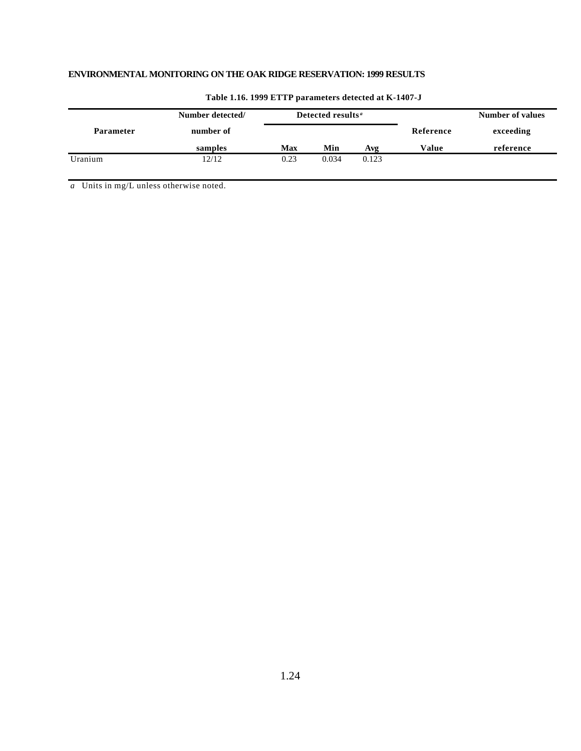|                  | Number detected/ | Detected results <sup>a</sup> |       |       | <b>Number of values</b> |           |  |
|------------------|------------------|-------------------------------|-------|-------|-------------------------|-----------|--|
| <b>Parameter</b> | number of        |                               |       |       | Reference               | exceeding |  |
|                  | samples          | Max                           | Min   | Avg   | Value                   | reference |  |
| Uranium          | 12/12            | 0.23                          | 0.034 | 0.123 |                         |           |  |

#### **Table 1.16. 1999 ETTP parameters detected at K-1407-J**

*a* Units in mg/L unless otherwise noted.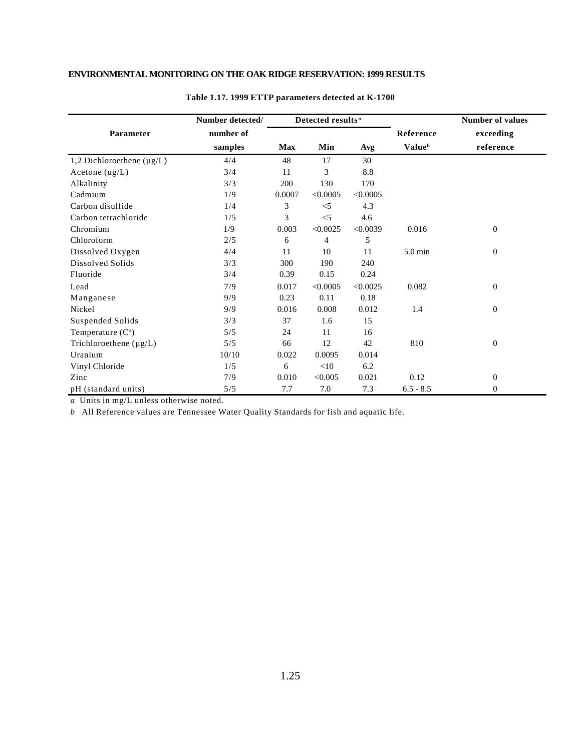|                                 | Number detected/ |            | Detected results <sup>a</sup> |          |                           | <b>Number of values</b> |
|---------------------------------|------------------|------------|-------------------------------|----------|---------------------------|-------------------------|
| Parameter                       | number of        |            |                               |          | Reference                 | exceeding               |
|                                 | samples          | <b>Max</b> | Min                           | Avg      | <b>Value</b> <sup>b</sup> | reference               |
| 1,2 Dichloroethene ( $\mu$ g/L) | 4/4              | 48         | 17                            | 30       |                           |                         |
| Acetone $(ug/L)$                | 3/4              | 11         | 3                             | 8.8      |                           |                         |
| Alkalinity                      | 3/3              | 200        | 130                           | 170      |                           |                         |
| Cadmium                         | 1/9              | 0.0007     | < 0.0005                      | < 0.0005 |                           |                         |
| Carbon disulfide                | 1/4              | 3          | $<$ 5                         | 4.3      |                           |                         |
| Carbon tetrachloride            | 1/5              | 3          | $<$ 5                         | 4.6      |                           |                         |
| Chromium                        | 1/9              | 0.003      | < 0.0025                      | < 0.0039 | 0.016                     | $\Omega$                |
| Chloroform                      | 2/5              | 6          | 4                             | 5        |                           |                         |
| Dissolved Oxygen                | 4/4              | 11         | 10                            | 11       | 5.0 min                   | $\overline{0}$          |
| Dissolved Solids                | 3/3              | 300        | 190                           | 240      |                           |                         |
| Fluoride                        | 3/4              | 0.39       | 0.15                          | 0.24     |                           |                         |
| Lead                            | 7/9              | 0.017      | < 0.0005                      | < 0.0025 | 0.082                     | $\overline{0}$          |
| Manganese                       | 9/9              | 0.23       | 0.11                          | 0.18     |                           |                         |
| Nickel                          | 9/9              | 0.016      | 0.008                         | 0.012    | 1.4                       | $\mathbf{0}$            |
| Suspended Solids                | 3/3              | 37         | 1.6                           | 15       |                           |                         |
| Temperature $(Co)$              | 5/5              | 24         | 11                            | 16       |                           |                         |
| Trichloroethene $(\mu g/L)$     | 5/5              | 66         | 12                            | 42       | 810                       | $\mathbf{0}$            |
| Uranium                         | 10/10            | 0.022      | 0.0095                        | 0.014    |                           |                         |
| Vinyl Chloride                  | 1/5              | 6          | $<\!\!10$                     | 6.2      |                           |                         |
| Zinc                            | 7/9              | 0.010      | < 0.005                       | 0.021    | 0.12                      | $\mathbf{0}$            |
| pH (standard units)             | 5/5              | 7.7        | 7.0                           | 7.3      | $6.5 - 8.5$               | $\Omega$                |

#### **Table 1.17. 1999 ETTP parameters detected at K-1700**

*a* Units in mg/L unless otherwise noted.

*b* All Reference values are Tennessee Water Quality Standards for fish and aquatic life.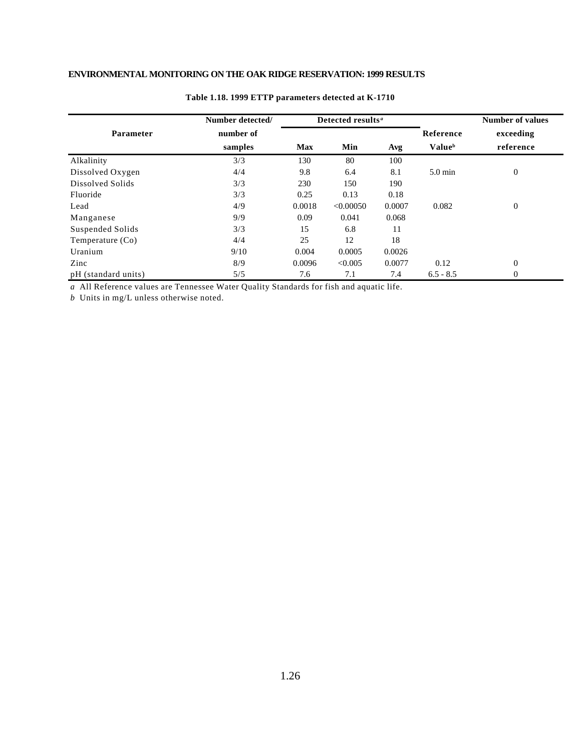|                     | Number detected/ |            | Detected results <sup>a</sup> |        |                           | <b>Number of values</b> |
|---------------------|------------------|------------|-------------------------------|--------|---------------------------|-------------------------|
| Parameter           | number of        |            |                               |        | Reference                 | exceeding               |
|                     | samples          | <b>Max</b> | Min                           | Avg    | <b>Value</b> <sup>b</sup> | reference               |
| Alkalinity          | 3/3              | 130        | 80                            | 100    |                           |                         |
| Dissolved Oxygen    | 4/4              | 9.8        | 6.4                           | 8.1    | $5.0 \text{ min}$         | $\overline{0}$          |
| Dissolved Solids    | 3/3              | 230        | 150                           | 190    |                           |                         |
| Fluoride            | 3/3              | 0.25       | 0.13                          | 0.18   |                           |                         |
| Lead                | 4/9              | 0.0018     | < 0.00050                     | 0.0007 | 0.082                     | $\overline{0}$          |
| Manganese           | 9/9              | 0.09       | 0.041                         | 0.068  |                           |                         |
| Suspended Solids    | 3/3              | 15         | 6.8                           | 11     |                           |                         |
| Temperature (Co)    | 4/4              | 25         | 12                            | 18     |                           |                         |
| Uranium             | 9/10             | 0.004      | 0.0005                        | 0.0026 |                           |                         |
| Zinc                | 8/9              | 0.0096     | < 0.005                       | 0.0077 | 0.12                      | $\overline{0}$          |
| pH (standard units) | 5/5              | 7.6        | 7.1                           | 7.4    | $6.5 - 8.5$               | $\overline{0}$          |

#### **Table 1.18. 1999 ETTP parameters detected at K-1710**

*a* All Reference values are Tennessee Water Quality Standards for fish and aquatic life.

*b* Units in mg/L unless otherwise noted.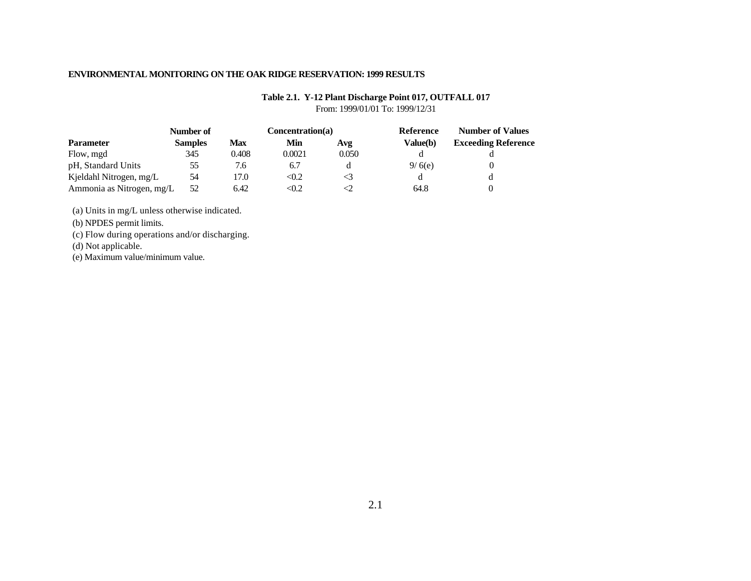#### **Table 2.1. Y-12 Plant Discharge Point 017, OUTFALL 017**

From: 1999/01/01 To: 1999/12/31

|                           | Number of      |            | Concentration(a) |       |          | <b>Number of Values</b>    |  |
|---------------------------|----------------|------------|------------------|-------|----------|----------------------------|--|
| <b>Parameter</b>          | <b>Samples</b> | <b>Max</b> | Min              | Avg   | Value(b) | <b>Exceeding Reference</b> |  |
| Flow, mgd                 | 345            | 0.408      | 0.0021           | 0.050 |          |                            |  |
| pH, Standard Units        | 55             | 7.6        | 6.7              |       | 9/6(e)   |                            |  |
| Kjeldahl Nitrogen, mg/L   | 54             | 17.0       | < 0.2            |       |          |                            |  |
| Ammonia as Nitrogen, mg/L | 52             | 6.42       | $<\!\!0.2$       |       | 64.8     |                            |  |

(a) Units in mg/L unless otherwise indicated.

(b) NPDES permit limits.

(c) Flow during operations and/or discharging.

(d) Not applicable.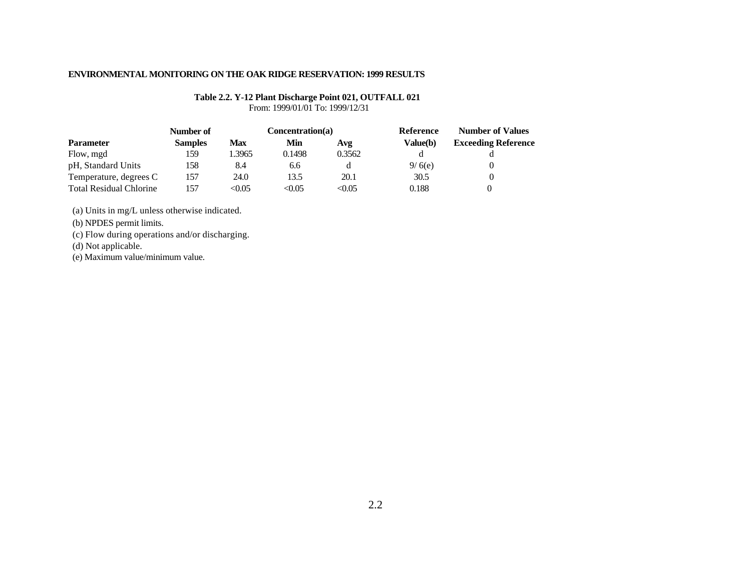## **Table 2.2. Y-12 Plant Discharge Point 021, OUTFALL 021**

From: 1999/01/01 To: 1999/12/31

| <b>Parameter</b>               | Number of      | Concentration(a) |        |        | Reference | <b>Number of Values</b>    |
|--------------------------------|----------------|------------------|--------|--------|-----------|----------------------------|
|                                | <b>Samples</b> | <b>Max</b>       | Min    | Avg    | Value(b)  | <b>Exceeding Reference</b> |
| Flow, mgd                      | 159            | .3965            | 0.1498 | 0.3562 |           |                            |
| pH, Standard Units             | 158            | 8.4              | 6.6    |        | 9/6(e)    |                            |
| Temperature, degrees C         | 157            | 24.0             | 13.5   | 20.1   | 30.5      |                            |
| <b>Total Residual Chlorine</b> | 157            | <0.05            | < 0.05 | <0.05  | 0.188     |                            |

(a) Units in mg/L unless otherwise indicated.

(b) NPDES permit limits.

(c) Flow during operations and/or discharging.

(d) Not applicable.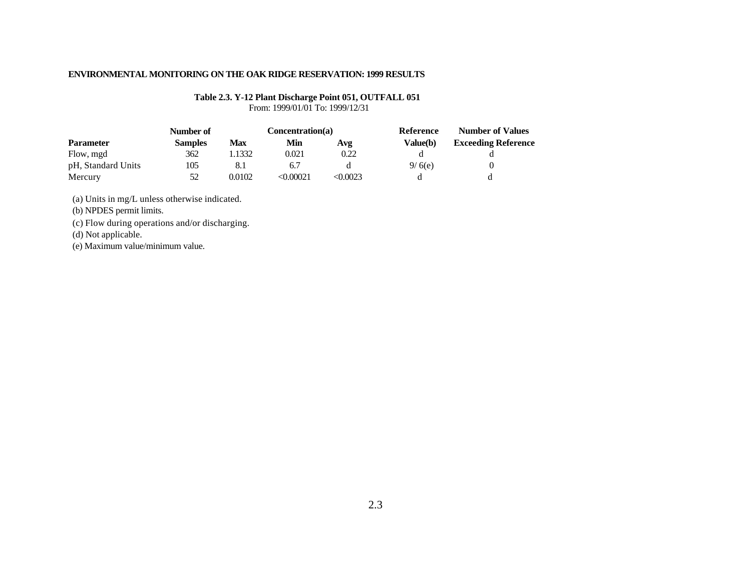## **Table 2.3. Y-12 Plant Discharge Point 051, OUTFALL 051**

From: 1999/01/01 To: 1999/12/31

| <b>Parameter</b>   | Number of      | Concentration(a) |          |          | Reference | <b>Number of Values</b>    |
|--------------------|----------------|------------------|----------|----------|-----------|----------------------------|
|                    | <b>Samples</b> | <b>Max</b>       | Min      | Avg      | Value(b)  | <b>Exceeding Reference</b> |
| Flow, mgd          | 362            | .1332            | 0.021    | 0.22     |           |                            |
| pH, Standard Units | 105            |                  | 6.7      |          | 9/6(e)    |                            |
| Mercury            | 52             | 0.0102           | <0.00021 | < 0.0023 |           |                            |

(a) Units in mg/L unless otherwise indicated.

(b) NPDES permit limits.

(c) Flow during operations and/or discharging.

(d) Not applicable.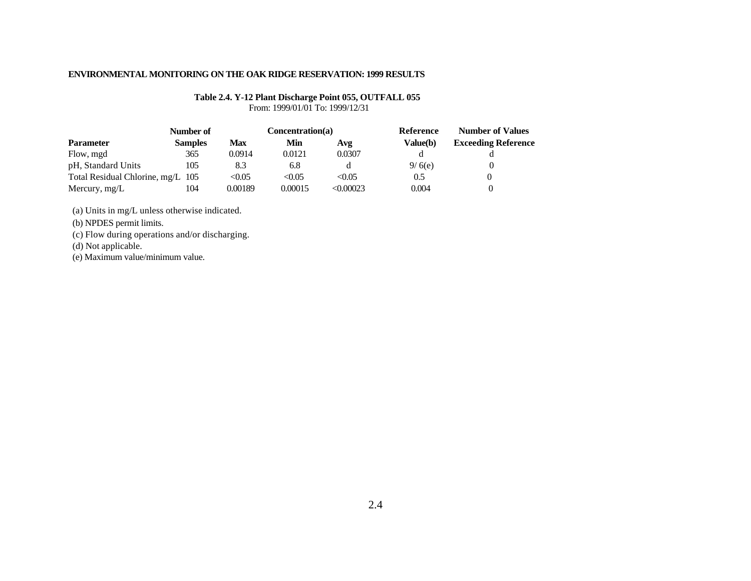## **Table 2.4. Y-12 Plant Discharge Point 055, OUTFALL 055**

From: 1999/01/01 To: 1999/12/31

|                                   | Number of      | Concentration(a) |         |           | Reference | <b>Number of Values</b>    |
|-----------------------------------|----------------|------------------|---------|-----------|-----------|----------------------------|
| <b>Parameter</b>                  | <b>Samples</b> | <b>Max</b>       | Min     | Avg       | Value(b)  | <b>Exceeding Reference</b> |
| Flow, mgd                         | 365            | 0.0914           | 0.0121  | 0.0307    |           |                            |
| pH, Standard Units                | 105            | 8.3              | 6.8     |           | 9/6(e)    |                            |
| Total Residual Chlorine, mg/L 105 |                | < 0.05           | < 0.05  | < 0.05    | 0.5       |                            |
| Mercury, mg/L                     | 104            | 0.00189          | 0.00015 | < 0.00023 | 0.004     |                            |

(a) Units in mg/L unless otherwise indicated.

(b) NPDES permit limits.

(c) Flow during operations and/or discharging.

(d) Not applicable.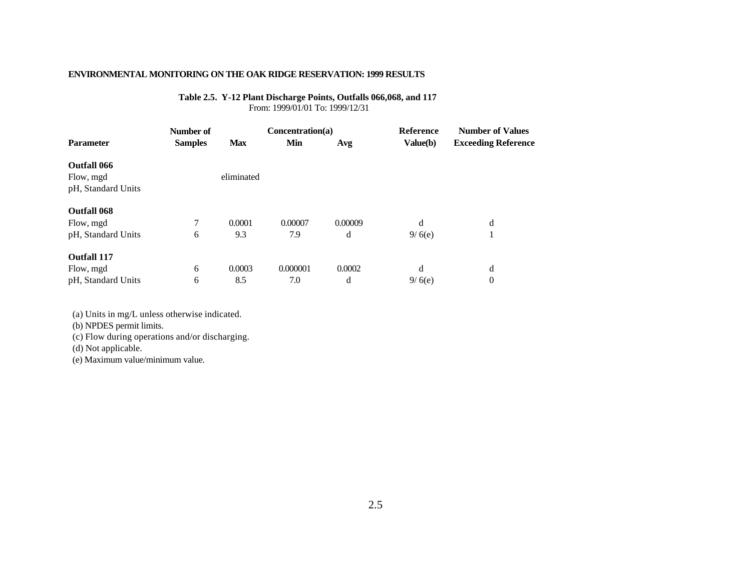#### **Table 2.5. Y-12 Plant Discharge Points, Outfalls 066,068, and 117** From: 1999/01/01 To: 1999/12/31

|                                                | Number of      |            | Concentration(a) |         | <b>Reference</b> | <b>Number of Values</b>    |
|------------------------------------------------|----------------|------------|------------------|---------|------------------|----------------------------|
| <b>Parameter</b>                               | <b>Samples</b> | <b>Max</b> | Min              | Avg     | Value(b)         | <b>Exceeding Reference</b> |
| Outfall 066<br>Flow, mgd<br>pH, Standard Units |                | eliminated |                  |         |                  |                            |
| <b>Outfall 068</b>                             |                |            |                  |         |                  |                            |
| Flow, mgd                                      | 7              | 0.0001     | 0.00007          | 0.00009 | d                | d                          |
| pH, Standard Units                             | 6              | 9.3        | 7.9              | d       | 9/6(e)           |                            |
| <b>Outfall 117</b>                             |                |            |                  |         |                  |                            |
| Flow, mgd                                      | 6              | 0.0003     | 0.000001         | 0.0002  | d                | d                          |
| pH, Standard Units                             | 6              | 8.5        | 7.0              | d       | 9/6(e)           | $\theta$                   |

(a) Units in mg/L unless otherwise indicated.

(b) NPDES permit limits.

(c) Flow during operations and/or discharging.

(d) Not applicable.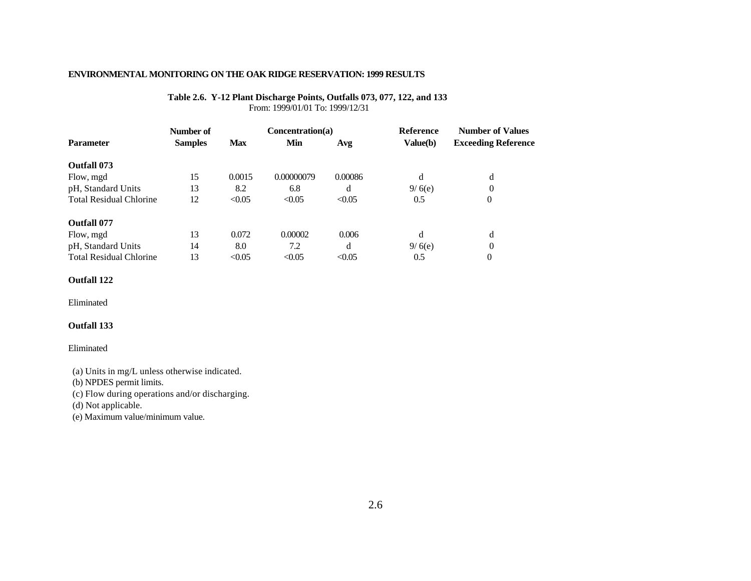#### **Table 2.6. Y-12 Plant Discharge Points, Outfalls 073, 077, 122, and 133** From: 1999/01/01 To: 1999/12/31

|                                | Number of      |            | Concentration(a) |         | <b>Reference</b> | <b>Number of Values</b>    |  |
|--------------------------------|----------------|------------|------------------|---------|------------------|----------------------------|--|
| <b>Parameter</b>               | <b>Samples</b> | <b>Max</b> | Min              | Avg     | Value(b)         | <b>Exceeding Reference</b> |  |
| Outfall 073                    |                |            |                  |         |                  |                            |  |
| Flow, mgd                      | 15             | 0.0015     | 0.00000079       | 0.00086 | d                | d                          |  |
| pH, Standard Units             | 13             | 8.2        | 6.8              | d       | 9/6(e)           | 0                          |  |
| <b>Total Residual Chlorine</b> | 12             | < 0.05     | < 0.05           | < 0.05  | 0.5              | $\theta$                   |  |
| Outfall 077                    |                |            |                  |         |                  |                            |  |
| Flow, mgd                      | 13             | 0.072      | 0.00002          | 0.006   | d                | d                          |  |
| pH, Standard Units             | 14             | 8.0        | 7.2              | d       | 9/6(e)           | $\Omega$                   |  |
| <b>Total Residual Chlorine</b> | 13             | < 0.05     | < 0.05           | < 0.05  | 0.5              | $\theta$                   |  |

### **Outfall 122**

Eliminated

#### **Outfall 133**

#### Eliminated

(a) Units in mg/L unless otherwise indicated.

(b) NPDES permit limits.

(c) Flow during operations and/or discharging.

(d) Not applicable.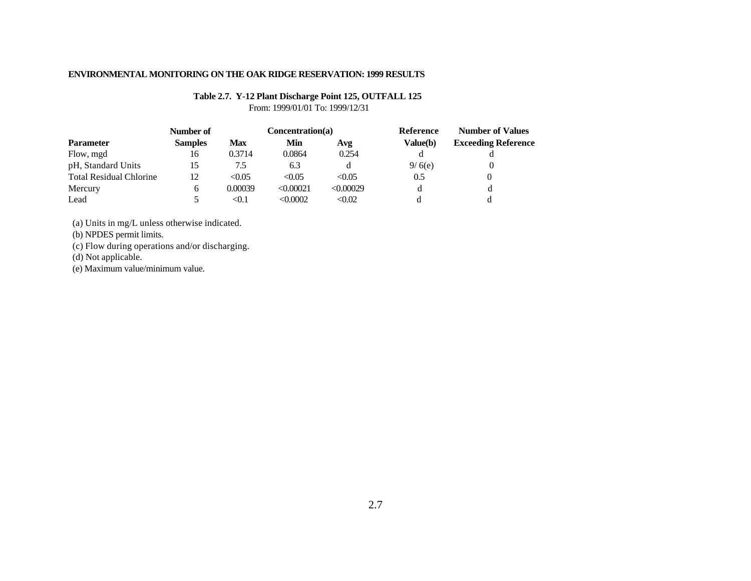# **Table 2.7. Y-12 Plant Discharge Point 125, OUTFALL 125**

From: 1999/01/01 To: 1999/12/31

|                                | Number of      |            | Concentration(a) |           | Reference | <b>Number of Values</b>    |  |
|--------------------------------|----------------|------------|------------------|-----------|-----------|----------------------------|--|
| <b>Parameter</b>               | <b>Samples</b> | <b>Max</b> | Min              | Avg       | Value(b)  | <b>Exceeding Reference</b> |  |
| Flow, mgd                      | 16             | 0.3714     | 0.0864           | 0.254     |           |                            |  |
| pH, Standard Units             | 15             | 7.5        | 6.3              |           | 9/6(e)    |                            |  |
| <b>Total Residual Chlorine</b> | 12             | < 0.05     | < 0.05           | < 0.05    | 0.5       |                            |  |
| Mercury                        | h              | 0.00039    | < 0.00021        | < 0.00029 |           |                            |  |
| Lead                           |                | <0.1       | < 0.0002         | < 0.02    |           |                            |  |

(a) Units in mg/L unless otherwise indicated.

(b) NPDES permit limits.

(c) Flow during operations and/or discharging.

(d) Not applicable.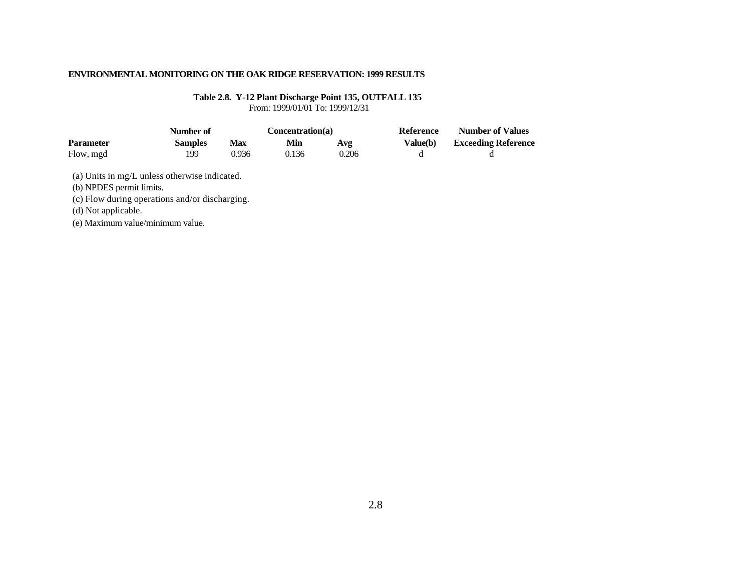**Table 2.8. Y-12 Plant Discharge Point 135, OUTFALL 135** From: 1999/01/01 To: 1999/12/31

|                  | Number of      |       |       | Concentration(a) | Reference | <b>Number of Values</b>    |  |
|------------------|----------------|-------|-------|------------------|-----------|----------------------------|--|
| <b>Parameter</b> | <b>Samples</b> | Max   | Min   | Avg              | Value(b)  | <b>Exceeding Reference</b> |  |
| Flow, mgd        | 199            | 0.936 | 0.136 | 0.206            |           |                            |  |

(a) Units in mg/L unless otherwise indicated.

(b) NPDES permit limits.

(c) Flow during operations and/or discharging.

(d) Not applicable.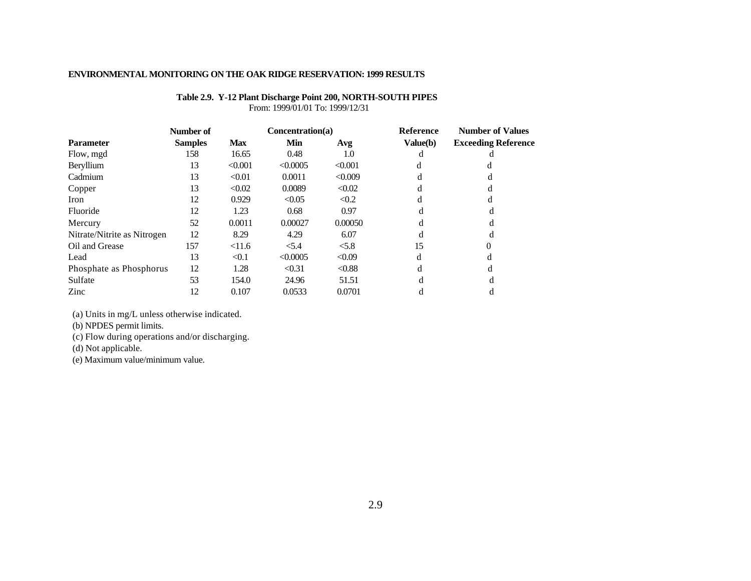| Table 2.9. Y-12 Plant Discharge Point 200, NORTH-SOUTH PIPES |
|--------------------------------------------------------------|
| From: 1999/01/01 To: 1999/12/31                              |

|                             | Number of      |            | Concentration(a) |         | <b>Reference</b> | <b>Number of Values</b>    |  |
|-----------------------------|----------------|------------|------------------|---------|------------------|----------------------------|--|
| Parameter                   | <b>Samples</b> | <b>Max</b> | Min              | Avg     | Value(b)         | <b>Exceeding Reference</b> |  |
| Flow, mgd                   | 158            | 16.65      | 0.48             | 1.0     |                  |                            |  |
| Beryllium                   | 13             | < 0.001    | < 0.0005         | < 0.001 |                  |                            |  |
| Cadmium                     | 13             | < 0.01     | 0.0011           | < 0.009 |                  |                            |  |
| Copper                      | 13             | < 0.02     | 0.0089           | < 0.02  |                  |                            |  |
| Iron                        | 12             | 0.929      | < 0.05           | < 0.2   |                  |                            |  |
| Fluoride                    | 12             | 1.23       | 0.68             | 0.97    |                  |                            |  |
| Mercury                     | 52             | 0.0011     | 0.00027          | 0.00050 |                  |                            |  |
| Nitrate/Nitrite as Nitrogen | 12             | 8.29       | 4.29             | 6.07    |                  |                            |  |
| Oil and Grease              | 157            | < 11.6     | < 5.4            | < 5.8   | 15               |                            |  |
| Lead                        | 13             | < 0.1      | < 0.0005         | < 0.09  | d                |                            |  |
| Phosphate as Phosphorus     | 12             | 1.28       | < 0.31           | < 0.88  |                  |                            |  |
| Sulfate                     | 53             | 154.0      | 24.96            | 51.51   |                  |                            |  |
| Zinc                        | 12             | 0.107      | 0.0533           | 0.0701  |                  |                            |  |

(a) Units in mg/L unless otherwise indicated.

(b) NPDES permit limits.

(c) Flow during operations and/or discharging.

(d) Not applicable.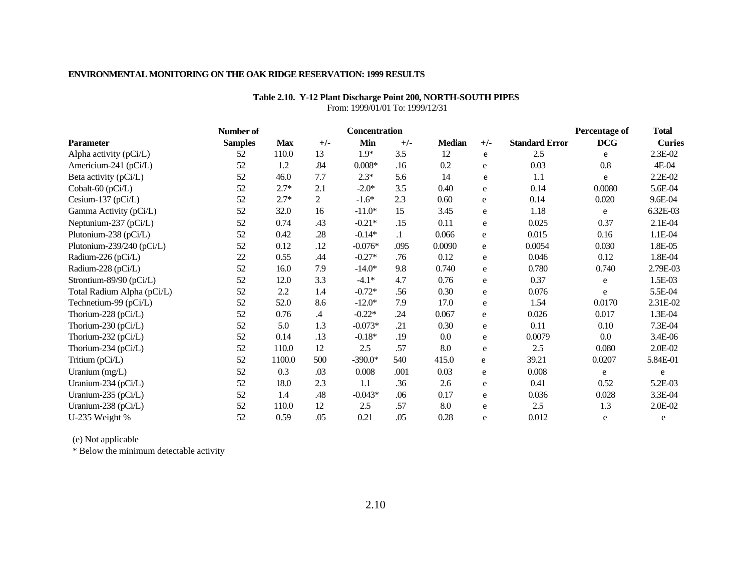|                            | Number of      |            |                | Concentration |         |               |           |                       | <b>Percentage of</b> | <b>Total</b>  |
|----------------------------|----------------|------------|----------------|---------------|---------|---------------|-----------|-----------------------|----------------------|---------------|
| Parameter                  | <b>Samples</b> | <b>Max</b> | $+/-$          | Min           | $+/-$   | <b>Median</b> | $+/-$     | <b>Standard Error</b> | <b>DCG</b>           | <b>Curies</b> |
| Alpha activity (pCi/L)     | 52             | 110.0      | 13             | $1.9*$        | 3.5     | 12            | e         | 2.5                   | e                    | 2.3E-02       |
| Americium-241 (pCi/L)      | 52             | 1.2        | .84            | $0.008*$      | .16     | 0.2           | e         | 0.03                  | 0.8                  | 4E-04         |
| Beta activity (pCi/L)      | 52             | 46.0       | 7.7            | $2.3*$        | 5.6     | 14            | e         | 1.1                   | e                    | 2.2E-02       |
| Cobalt-60 (pCi/L)          | 52             | $2.7*$     | 2.1            | $-2.0*$       | 3.5     | 0.40          | e         | 0.14                  | 0.0080               | 5.6E-04       |
| Cesium-137 (pCi/L)         | 52             | $2.7*$     | $\overline{c}$ | $-1.6*$       | 2.3     | 0.60          | e         | 0.14                  | 0.020                | 9.6E-04       |
| Gamma Activity (pCi/L)     | 52             | 32.0       | 16             | $-11.0*$      | 15      | 3.45          | e         | 1.18                  | e                    | 6.32E-03      |
| Neptunium-237 (pCi/L)      | 52             | 0.74       | .43            | $-0.21*$      | .15     | 0.11          | e         | 0.025                 | 0.37                 | 2.1E-04       |
| Plutonium-238 (pCi/L)      | 52             | 0.42       | .28            | $-0.14*$      | $\cdot$ | 0.066         | e         | 0.015                 | 0.16                 | 1.1E-04       |
| Plutonium-239/240 (pCi/L)  | 52             | 0.12       | .12            | $-0.076*$     | .095    | 0.0090        | e         | 0.0054                | 0.030                | 1.8E-05       |
| Radium-226 (pCi/L)         | 22             | 0.55       | .44            | $-0.27*$      | .76     | 0.12          | e         | 0.046                 | 0.12                 | 1.8E-04       |
| Radium-228 (pCi/L)         | 52             | 16.0       | 7.9            | $-14.0*$      | 9.8     | 0.740         | e         | 0.780                 | 0.740                | 2.79E-03      |
| Strontium-89/90 (pCi/L)    | 52             | 12.0       | 3.3            | $-4.1*$       | 4.7     | 0.76          | e         | 0.37                  | e                    | 1.5E-03       |
| Total Radium Alpha (pCi/L) | 52             | 2.2        | 1.4            | $-0.72*$      | .56     | 0.30          | e         | 0.076                 | e                    | 5.5E-04       |
| Technetium-99 (pCi/L)      | 52             | 52.0       | 8.6            | $-12.0*$      | 7.9     | 17.0          | e         | 1.54                  | 0.0170               | 2.31E-02      |
| Thorium-228 (pCi/L)        | 52             | 0.76       | .4             | $-0.22*$      | .24     | 0.067         | e         | 0.026                 | 0.017                | 1.3E-04       |
| Thorium-230 (pCi/L)        | 52             | 5.0        | 1.3            | $-0.073*$     | .21     | 0.30          | e         | 0.11                  | 0.10                 | 7.3E-04       |
| Thorium-232 (pCi/L)        | 52             | 0.14       | .13            | $-0.18*$      | .19     | 0.0           | e         | 0.0079                | $0.0\,$              | 3.4E-06       |
| Thorium-234 (pCi/L)        | 52             | 110.0      | 12             | 2.5           | .57     | 8.0           | e         | 2.5                   | 0.080                | 2.0E-02       |
| Tritium (pCi/L)            | 52             | 1100.0     | 500            | $-390.0*$     | 540     | 415.0         | e         | 39.21                 | 0.0207               | 5.84E-01      |
| Uranium (mg/L)             | 52             | 0.3        | .03            | 0.008         | .001    | 0.03          | ${\bf e}$ | 0.008                 | e                    | e             |
| Uranium-234 (pCi/L)        | 52             | 18.0       | 2.3            | 1.1           | .36     | 2.6           | ${\rm e}$ | 0.41                  | 0.52                 | 5.2E-03       |
| Uranium-235 (pCi/L)        | 52             | 1.4        | .48            | $-0.043*$     | .06     | 0.17          | e         | 0.036                 | 0.028                | 3.3E-04       |
| Uranium-238 (pCi/L)        | 52             | 110.0      | 12             | 2.5           | .57     | 8.0           | e         | 2.5                   | 1.3                  | 2.0E-02       |
| U-235 Weight %             | 52             | 0.59       | .05            | 0.21          | .05     | 0.28          | e         | 0.012                 | e                    | e             |

**Table 2.10. Y-12 Plant Discharge Point 200, NORTH-SOUTH PIPES** From: 1999/01/01 To: 1999/12/31

### **ENVIRONMENTAL MONITORING ON THE OAK RIDGE RESERVATION: 1999 RESULTS**

(e) Not applicable

\* Below the minimum detectable activity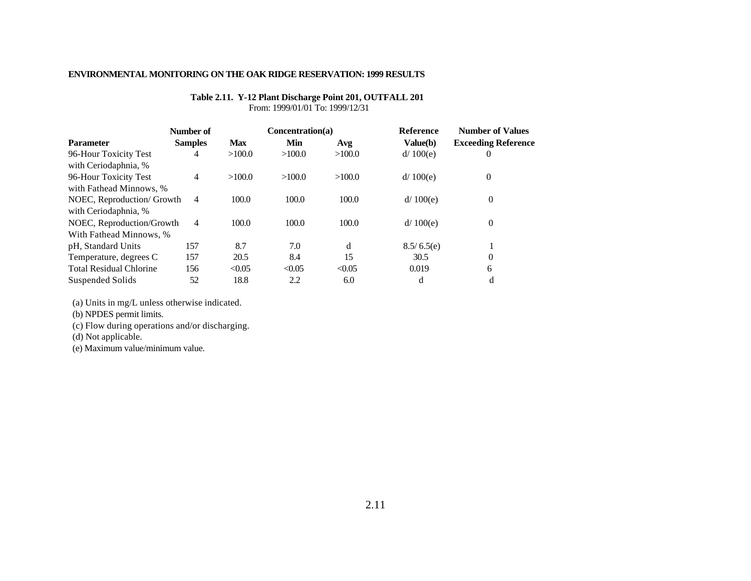## **Table 2.11. Y-12 Plant Discharge Point 201, OUTFALL 201**

From: 1999/01/01 To: 1999/12/31

|                                | Number of      |            | Concentration(a) |        | <b>Reference</b> | <b>Number of Values</b><br><b>Exceeding Reference</b> |  |
|--------------------------------|----------------|------------|------------------|--------|------------------|-------------------------------------------------------|--|
| <b>Parameter</b>               | <b>Samples</b> | <b>Max</b> | Min              | Avg    | Value(b)         |                                                       |  |
| 96-Hour Toxicity Test          | 4              | >100.0     | >100.0           | >100.0 | d/100(e)         | O                                                     |  |
| with Ceriodaphnia, %           |                |            |                  |        |                  |                                                       |  |
| 96-Hour Toxicity Test          | $\overline{4}$ | >100.0     | >100.0           | >100.0 | d/ 100(e)        | $\theta$                                              |  |
| with Fathead Minnows, %        |                |            |                  |        |                  |                                                       |  |
| NOEC, Reproduction/ Growth     | $\overline{4}$ | 100.0      | 100.0            | 100.0  | d/100(e)         | $\theta$                                              |  |
| with Ceriodaphnia, %           |                |            |                  |        |                  |                                                       |  |
| NOEC, Reproduction/Growth      | $\overline{4}$ | 100.0      | 100.0            | 100.0  | d/100(e)         | $\theta$                                              |  |
| With Fathead Minnows, %        |                |            |                  |        |                  |                                                       |  |
| pH, Standard Units             | 157            | 8.7        | 7.0              | d      | 8.5/6.5(e)       |                                                       |  |
| Temperature, degrees C         | 157            | 20.5       | 8.4              | 15     | 30.5             | $\Omega$                                              |  |
| <b>Total Residual Chlorine</b> | 156            | < 0.05     | < 0.05           | < 0.05 | 0.019            | 6                                                     |  |
| Suspended Solids               | 52             | 18.8       | 2.2              | 6.0    | d                | d                                                     |  |

(a) Units in mg/L unless otherwise indicated.

(b) NPDES permit limits.

(c) Flow during operations and/or discharging.

(d) Not applicable.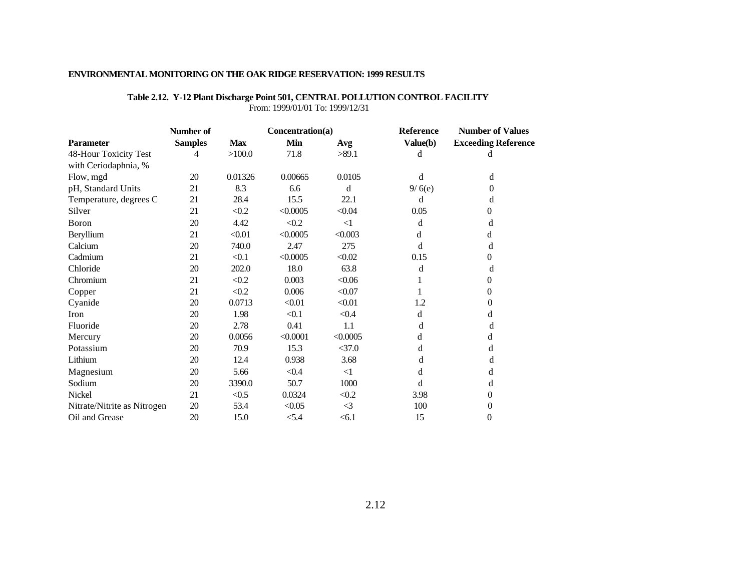| <b>ENVIRONMENTAL MONITORING ON THE OAK RIDGE RESERVATION: 1999 RESULTS</b> |  |
|----------------------------------------------------------------------------|--|
|                                                                            |  |

## **Table 2.12. Y-12 Plant Discharge Point 501, CENTRAL POLLUTION CONTROL FACILITY**

From: 1999/01/01 To: 1999/12/31

|                             | Number of      |            | Concentration(a) |          | Reference | <b>Number of Values</b>    |  |
|-----------------------------|----------------|------------|------------------|----------|-----------|----------------------------|--|
| <b>Parameter</b>            | <b>Samples</b> | <b>Max</b> | Min              | Avg      | Value(b)  | <b>Exceeding Reference</b> |  |
| 48-Hour Toxicity Test       | 4              | >100.0     | 71.8             | >89.1    | d         | đ                          |  |
| with Ceriodaphnia, %        |                |            |                  |          |           |                            |  |
| Flow, mgd                   | 20             | 0.01326    | 0.00665          | 0.0105   | d         | d                          |  |
| pH, Standard Units          | 21             | 8.3        | 6.6              | d        | 9/6(e)    | 0                          |  |
| Temperature, degrees C      | 21             | 28.4       | 15.5             | 22.1     | d         | d                          |  |
| Silver                      | 21             | < 0.2      | < 0.0005         | < 0.04   | 0.05      | 0                          |  |
| Boron                       | 20             | 4.42       | < 0.2            | $\leq$ 1 | d         | d                          |  |
| Beryllium                   | 21             | < 0.01     | < 0.0005         | < 0.003  | d         | d                          |  |
| Calcium                     | 20             | 740.0      | 2.47             | 275      | d         | d                          |  |
| Cadmium                     | 21             | < 0.1      | < 0.0005         | < 0.02   | 0.15      | 0                          |  |
| Chloride                    | 20             | 202.0      | 18.0             | 63.8     | d         | d                          |  |
| Chromium                    | 21             | < 0.2      | 0.003            | < 0.06   |           | 0                          |  |
| Copper                      | 21             | < 0.2      | 0.006            | < 0.07   |           | 0                          |  |
| Cyanide                     | 20             | 0.0713     | < 0.01           | < 0.01   | 1.2       | 0                          |  |
| Iron                        | 20             | 1.98       | < 0.1            | < 0.4    | d         | d                          |  |
| Fluoride                    | 20             | 2.78       | 0.41             | 1.1      | d         | d                          |  |
| Mercury                     | 20             | 0.0056     | < 0.0001         | < 0.0005 | d         | d                          |  |
| Potassium                   | 20             | 70.9       | 15.3             | $<$ 37.0 | d         | d                          |  |
| Lithium                     | 20             | 12.4       | 0.938            | 3.68     | d         | d                          |  |
| Magnesium                   | 20             | 5.66       | < 0.4            | $\leq$ 1 | d         | d                          |  |
| Sodium                      | 20             | 3390.0     | 50.7             | 1000     | d         | d                          |  |
| Nickel                      | 21             | < 0.5      | 0.0324           | < 0.2    | 3.98      | 0                          |  |
| Nitrate/Nitrite as Nitrogen | 20             | 53.4       | < 0.05           | $\leq$   | 100       | 0                          |  |
| Oil and Grease              | 20             | 15.0       | < 5.4            | < 6.1    | 15        | $\overline{0}$             |  |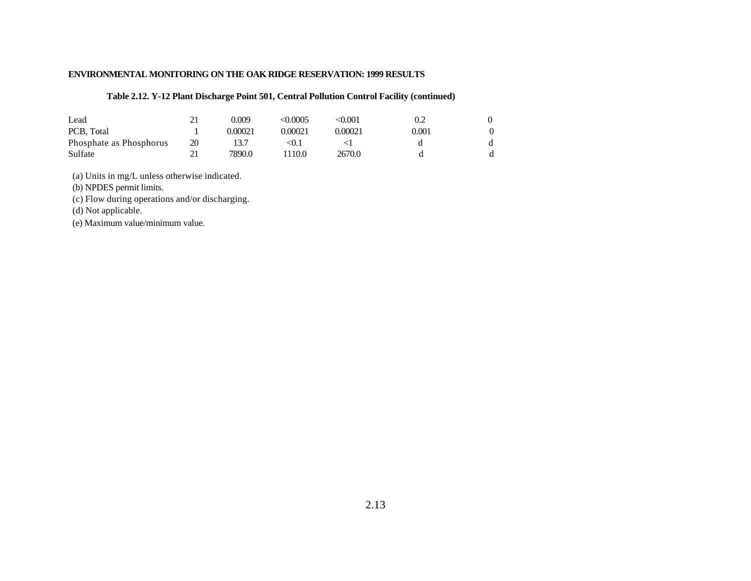### **Table 2.12. Y-12 Plant Discharge Point 501, Central Pollution Control Facility (continued)**

| Lead                    |    | 0.009   | <0.0005 | <0.001  | 0.2   |  |
|-------------------------|----|---------|---------|---------|-------|--|
| PCB. Total              |    | 0.00021 | 0.00021 | 0.00021 | 0.001 |  |
| Phosphate as Phosphorus | 20 | 13.7    | ⊲0.1    |         |       |  |
| Sulfate                 |    | 7890.0  | '110.0  | 2670.0  |       |  |

(a) Units in mg/L unless otherwise indicated.

(b) NPDES permit limits.

(c) Flow during operations and/or discharging.

(d) Not applicable.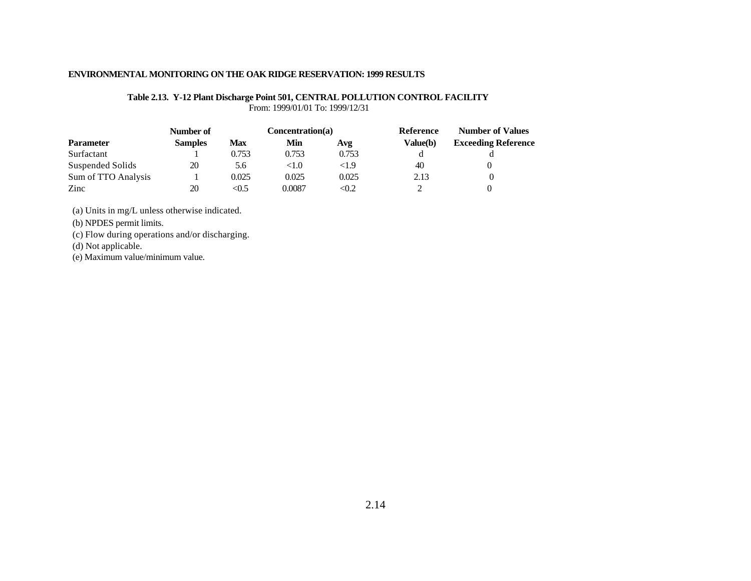#### **Table 2.13. Y-12 Plant Discharge Point 501, CENTRAL POLLUTION CONTROL FACILITY** From: 1999/01/01 To: 1999/12/31

|                     | Number of      |            | Concentration(a) |       | Reference | <b>Number of Values</b>    |  |
|---------------------|----------------|------------|------------------|-------|-----------|----------------------------|--|
| <b>Parameter</b>    | <b>Samples</b> | <b>Max</b> | Min              | Avg   | Value(b)  | <b>Exceeding Reference</b> |  |
| Surfactant          |                | 0.753      | 0.753            | 0.753 |           |                            |  |
| Suspended Solids    | 20             | 5.6        | < 1.0            | <1.9  | 40        |                            |  |
| Sum of TTO Analysis |                | 0.025      | 0.025            | 0.025 | 2.13      |                            |  |
| Zinc                | 20             | < 0.5      | 0.0087           | < 0.2 | ∼         |                            |  |

(a) Units in mg/L unless otherwise indicated.

(b) NPDES permit limits.

(c) Flow during operations and/or discharging.

(d) Not applicable.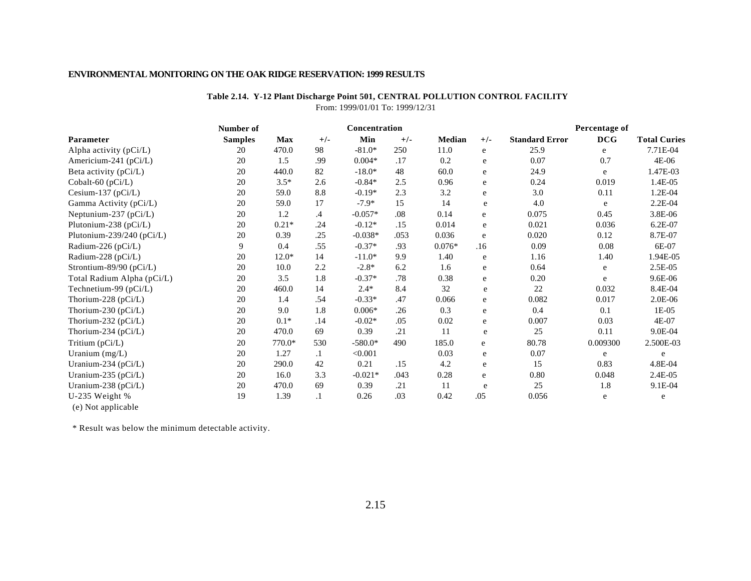# **Table 2.14. Y-12 Plant Discharge Point 501, CENTRAL POLLUTION CONTROL FACILITY**

From: 1999/01/01 To: 1999/12/31

|                               | <b>Number of</b> |            |           | Concentration |       |          |           |                       | Percentage of |                     |
|-------------------------------|------------------|------------|-----------|---------------|-------|----------|-----------|-----------------------|---------------|---------------------|
| Parameter                     | <b>Samples</b>   | <b>Max</b> | $+/-$     | Min           | $+/-$ | Median   | $+/-$     | <b>Standard Error</b> | <b>DCG</b>    | <b>Total Curies</b> |
| Alpha activity (pCi/L)        | 20               | 470.0      | 98        | $-81.0*$      | 250   | 11.0     | e         | 25.9                  | e             | 7.71E-04            |
| Americium-241 ( $pCi/L$ )     | 20               | 1.5        | .99       | $0.004*$      | .17   | 0.2      | e         | 0.07                  | 0.7           | 4E-06               |
| Beta activity (pCi/L)         | 20               | 440.0      | 82        | $-18.0*$      | 48    | 60.0     | e         | 24.9                  | e             | 1.47E-03            |
| Cobalt-60 $(pCi/L)$           | 20               | $3.5*$     | 2.6       | $-0.84*$      | 2.5   | 0.96     | e         | 0.24                  | 0.019         | 1.4E-05             |
| Cesium-137 (pCi/L)            | 20               | 59.0       | 8.8       | $-0.19*$      | 2.3   | 3.2      | e         | 3.0                   | 0.11          | 1.2E-04             |
| Gamma Activity (pCi/L)        | 20               | 59.0       | 17        | $-7.9*$       | 15    | 14       | ${\bf e}$ | 4.0                   | e             | 2.2E-04             |
| Neptunium-237 (pCi/L)         | 20               | 1.2        | $\cdot$   | $-0.057*$     | .08   | 0.14     | e         | 0.075                 | 0.45          | 3.8E-06             |
| Plutonium-238 (pCi/L)         | 20               | $0.21*$    | .24       | $-0.12*$      | .15   | 0.014    | e         | 0.021                 | 0.036         | 6.2E-07             |
| Plutonium-239/240 ( $pCi/L$ ) | 20               | 0.39       | .25       | $-0.038*$     | .053  | 0.036    | e         | 0.020                 | 0.12          | 8.7E-07             |
| Radium-226 (pCi/L)            | 9                | 0.4        | .55       | $-0.37*$      | .93   | $0.076*$ | .16       | 0.09                  | 0.08          | 6E-07               |
| Radium-228 (pCi/L)            | 20               | $12.0*$    | 14        | $-11.0*$      | 9.9   | 1.40     | e         | 1.16                  | 1.40          | 1.94E-05            |
| Strontium-89/90 (pCi/L)       | 20               | 10.0       | 2.2       | $-2.8*$       | 6.2   | 1.6      | e         | 0.64                  | e             | 2.5E-05             |
| Total Radium Alpha (pCi/L)    | 20               | 3.5        | 1.8       | $-0.37*$      | .78   | 0.38     | e         | 0.20                  | e             | 9.6E-06             |
| Technetium-99 (pCi/L)         | 20               | 460.0      | 14        | $2.4*$        | 8.4   | 32       | e         | 22                    | 0.032         | 8.4E-04             |
| Thorium-228 ( $pCi/L$ )       | 20               | 1.4        | .54       | $-0.33*$      | .47   | 0.066    | ${\bf e}$ | 0.082                 | 0.017         | 2.0E-06             |
| Thorium-230 (pCi/L)           | 20               | 9.0        | 1.8       | $0.006*$      | .26   | 0.3      | e         | 0.4                   | 0.1           | $1E-05$             |
| Thorium-232 ( $pCi/L$ )       | 20               | $0.1*$     | .14       | $-0.02*$      | .05   | 0.02     | e         | 0.007                 | 0.03          | 4E-07               |
| Thorium-234 (pCi/L)           | 20               | 470.0      | 69        | 0.39          | .21   | 11       | ${\bf e}$ | 25                    | 0.11          | 9.0E-04             |
| Tritium (pCi/L)               | 20               | 770.0*     | 530       | $-580.0*$     | 490   | 185.0    | e         | 80.78                 | 0.009300      | 2.500E-03           |
| Uranium $(mg/L)$              | 20               | 1.27       | $\cdot$ 1 | < 0.001       |       | 0.03     | e         | 0.07                  | e             | e                   |
| Uranium-234 (pCi/L)           | 20               | 290.0      | 42        | 0.21          | .15   | 4.2      | e         | 15                    | 0.83          | 4.8E-04             |
| Uranium-235 ( $pCi/L$ )       | 20               | 16.0       | 3.3       | $-0.021*$     | .043  | 0.28     | e         | 0.80                  | 0.048         | $2.4E-05$           |
| Uranium-238 (pCi/L)           | 20               | 470.0      | 69        | 0.39          | .21   | 11       | e         | 25                    | 1.8           | 9.1E-04             |
| U-235 Weight $%$              | 19               | 1.39       | $\cdot$ 1 | 0.26          | .03   | 0.42     | .05       | 0.056                 | e             | e                   |
| (e) Not applicable            |                  |            |           |               |       |          |           |                       |               |                     |

\* Result was below the minimum detectable activity.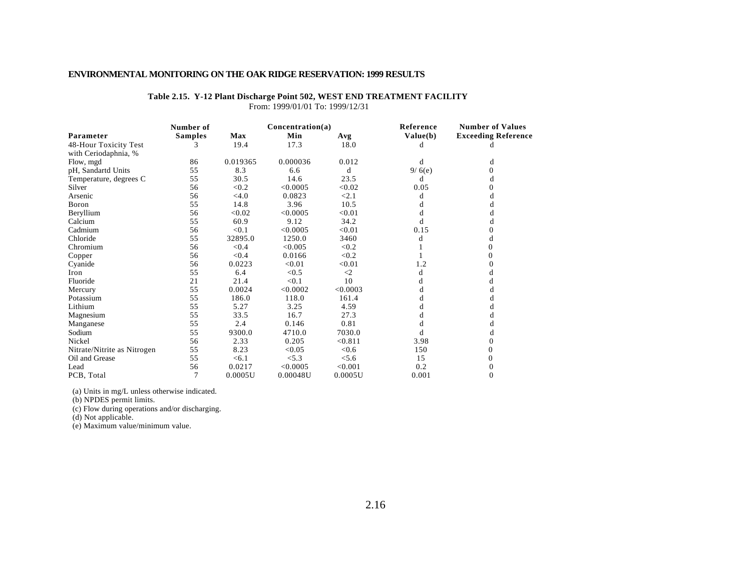|                             | Number of      |          | Concentration(a) |             | Reference | <b>Number of Values</b>    |
|-----------------------------|----------------|----------|------------------|-------------|-----------|----------------------------|
| Parameter                   | <b>Samples</b> | Max      | Min              | Avg         | Value(b)  | <b>Exceeding Reference</b> |
| 48-Hour Toxicity Test       |                | 19.4     | 17.3             | 18.0        |           |                            |
| with Ceriodaphnia, %        |                |          |                  |             |           |                            |
| Flow, mgd                   | 86             | 0.019365 | 0.000036         | 0.012       | d         | d                          |
| pH, Sandartd Units          | 55             | 8.3      | 6.6              | d           | 9/6(e)    | 0                          |
| Temperature, degrees C      | 55             | 30.5     | 14.6             | 23.5        | d         | d                          |
| Silver                      | 56             | < 0.2    | < 0.0005         | < 0.02      | 0.05      | $\Omega$                   |
| Arsenic                     | 56             | $<$ 4.0  | 0.0823           | < 2.1       | d         | d                          |
| Boron                       | 55             | 14.8     | 3.96             | 10.5        |           | d                          |
| Beryllium                   | 56             | < 0.02   | < 0.0005         | < 0.01      | đ         | d                          |
| Calcium                     | 55             | 60.9     | 9.12             | 34.2        |           | d                          |
| Cadmium                     | 56             | < 0.1    | < 0.0005         | < 0.01      | 0.15      | 0                          |
| Chloride                    | 55             | 32895.0  | 1250.0           | 3460        | d         | d                          |
| Chromium                    | 56             | < 0.4    | < 0.005          | < 0.2       |           | 0                          |
| Copper                      | 56             | < 0.4    | 0.0166           | < 0.2       |           | 0                          |
| Cyanide                     | 56             | 0.0223   | < 0.01           | < 0.01      | 1.2       | 0                          |
| Iron                        | 55             | 6.4      | < 0.5            | $\triangle$ | d         | d                          |
| Fluoride                    | 21             | 21.4     | < 0.1            | 10          | d         | d                          |
| Mercury                     | 55             | 0.0024   | < 0.0002         | < 0.0003    |           | d                          |
| Potassium                   | 55             | 186.0    | 118.0            | 161.4       | d         | d                          |
| Lithium                     | 55             | 5.27     | 3.25             | 4.59        |           | d                          |
| Magnesium                   | 55             | 33.5     | 16.7             | 27.3        |           | d                          |
| Manganese                   | 55             | 2.4      | 0.146            | 0.81        | d         | d                          |
| Sodium                      | 55             | 9300.0   | 4710.0           | 7030.0      |           | d                          |
| Nickel                      | 56             | 2.33     | 0.205            | < 0.811     | 3.98      | 0                          |
| Nitrate/Nitrite as Nitrogen | 55             | 8.23     | < 0.05           | < 0.6       | 150       | 0                          |
| Oil and Grease              | 55             | < 6.1    | < 5.3            | < 5.6       | 15        | 0                          |
| Lead                        | 56             | 0.0217   | < 0.0005         | < 0.001     | 0.2       | 0                          |
| PCB, Total                  | $\overline{7}$ | 0.0005U  | 0.00048U         | 0.0005U     | 0.001     | 0                          |

**Table 2.15. Y-12 Plant Discharge Point 502, WEST END TREATMENT FACILITY**

From: 1999/01/01 To: 1999/12/31

(a) Units in mg/L unless otherwise indicated.

(b) NPDES permit limits.

(c) Flow during operations and/or discharging.

(d) Not applicable.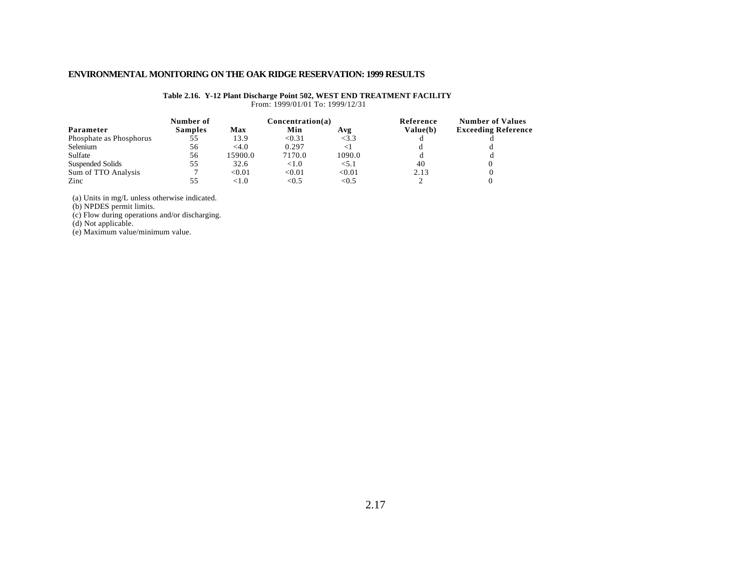#### **Table 2.16. Y-12 Plant Discharge Point 502, WEST END TREATMENT FACILITY** From: 1999/01/01 To: 1999/12/31

|                         | Number of      |         | Concentration(a) |        | Reference | <b>Number of Values</b>    |  |
|-------------------------|----------------|---------|------------------|--------|-----------|----------------------------|--|
| Parameter               | <b>Samples</b> | Max     | Min              | Avg    | Value(b)  | <b>Exceeding Reference</b> |  |
| Phosphate as Phosphorus | 55             | 13.9    | < 0.31           | <3.3   |           |                            |  |
| Selenium                | 56             | <4.0    | 0.297            |        |           |                            |  |
| Sulfate                 | 56             | 15900.0 | 7170.0           | 1090.0 |           |                            |  |
| Suspended Solids        | 55             | 32.6    | ${<}1.0$         | < 5.1  | 40        |                            |  |
| Sum of TTO Analysis     |                | < 0.01  | < 0.01           | < 0.01 | 2.13      |                            |  |
| Zinc                    | 55             | < 1.0   | < 0.5            | < 0.5  |           |                            |  |

(a) Units in mg/L unless otherwise indicated.

(b) NPDES permit limits.

(c) Flow during operations and/or discharging.

(d) Not applicable.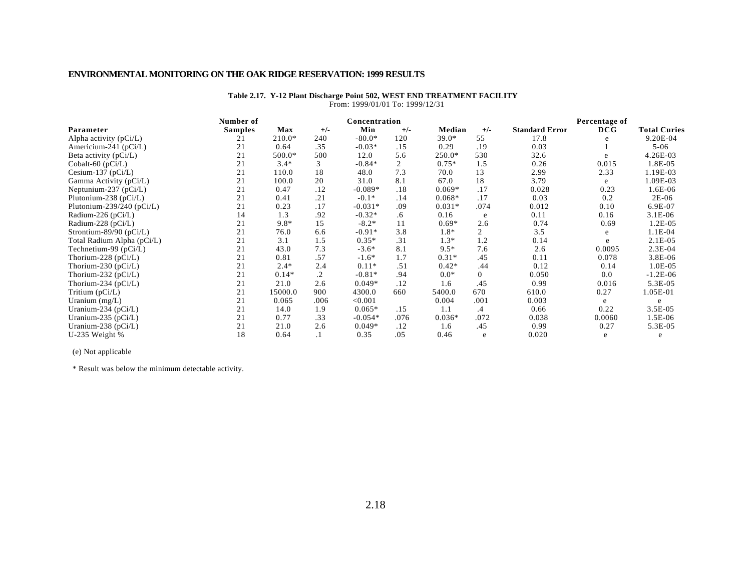#### **Table 2.17. Y-12 Plant Discharge Point 502, WEST END TREATMENT FACILITY**  From: 1999/01/01 To: 1999/12/31

|                               | Number of      |          |         | Concentration |       |          |                |                       | Percentage of |                     |
|-------------------------------|----------------|----------|---------|---------------|-------|----------|----------------|-----------------------|---------------|---------------------|
| Parameter                     | <b>Samples</b> | Max      | $+/-$   | Min           | $+/-$ | Median   | $+/-$          | <b>Standard Error</b> | DCG           | <b>Total Curies</b> |
| Alpha activity $(pCi/L)$      | 21             | $210.0*$ | 240     | $-80.0*$      | 120   | $39.0*$  | 55             | 17.8                  |               | 9.20E-04            |
| Americium-241 ( $pCi/L$ )     | 21             | 0.64     | .35     | $-0.03*$      | .15   | 0.29     | .19            | 0.03                  |               | $5 - 06$            |
| Beta activity $(pCi/L)$       | 21             | 500.0*   | 500     | 12.0          | 5.6   | $250.0*$ | 530            | 32.6                  | e             | 4.26E-03            |
| Cobalt-60 (pCi/L)             | 21             | $3.4*$   | 3       | $-0.84*$      | 2     | $0.75*$  | 1.5            | 0.26                  | 0.015         | 1.8E-05             |
| Cesium-137 ( $pCi/L$ )        | 21             | 110.0    | 18      | 48.0          | 7.3   | 70.0     | 13             | 2.99                  | 2.33          | 1.19E-03            |
| Gamma Activity (pCi/L)        | 21             | 100.0    | 20      | 31.0          | 8.1   | 67.0     | 18             | 3.79                  | e             | 1.09E-03            |
| Neptunium-237 ( $pCi/L$ )     | 21             | 0.47     | .12     | $-0.089*$     | .18   | $0.069*$ | .17            | 0.028                 | 0.23          | 1.6E-06             |
| Plutonium-238 ( $pCi/L$ )     | 21             | 0.41     | .21     | $-0.1*$       | .14   | $0.068*$ | .17            | 0.03                  | 0.2           | $2E-06$             |
| Plutonium-239/240 ( $pCi/L$ ) | 21             | 0.23     | .17     | $-0.031*$     | .09   | $0.031*$ | .074           | 0.012                 | 0.10          | 6.9E-07             |
| Radium-226 (pCi/L)            | 14             | 1.3      | .92     | $-0.32*$      | .6    | 0.16     | e              | 0.11                  | 0.16          | $3.1E-06$           |
| Radium-228 (pCi/L)            | 21             | $9.8*$   | 15      | $-8.2*$       | 11    | $0.69*$  | 2.6            | 0.74                  | 0.69          | $1.2E-05$           |
| Strontium-89/90 ( $pCi/L$ )   | 21             | 76.0     | 6.6     | $-0.91*$      | 3.8   | 1.8*     | 2              | 3.5                   | e             | $1.1E-04$           |
| Total Radium Alpha (pCi/L)    | 21             | 3.1      | 1.5     | $0.35*$       | .31   | $1.3*$   | 1.2            | 0.14                  | e             | $2.1E-05$           |
| Technetium-99 $(pCi/L)$       | 21             | 43.0     | 7.3     | $-3.6*$       | 8.1   | $9.5*$   | 7.6            | 2.6                   | 0.0095        | $2.3E-04$           |
| Thorium-228 ( $pCi/L$ )       | 21             | 0.81     | .57     | $-1.6*$       | 1.7   | $0.31*$  | .45            | 0.11                  | 0.078         | 3.8E-06             |
| Thorium-230 ( $pCi/L$ )       | 21             | $2.4*$   | 2.4     | $0.11*$       | .51   | $0.42*$  | .44            | 0.12                  | 0.14          | 1.0E-05             |
| Thorium-232 ( $pCi/L$ )       | 21             | $0.14*$  | $\cdot$ | $-0.81*$      | .94   | $0.0*$   | $\overline{0}$ | 0.050                 | 0.0           | $-1.2E-06$          |
| Thorium-234 (pCi/L)           | 21             | 21.0     | 2.6     | $0.049*$      | .12   | 1.6      | .45            | 0.99                  | 0.016         | 5.3E-05             |
| Tritium $(pCi/L)$             | 21             | 15000.0  | 900     | 4300.0        | 660   | 5400.0   | 670            | 610.0                 | 0.27          | 1.05E-01            |
| Uranium $(mg/L)$              | 21             | 0.065    | .006    | < 0.001       |       | 0.004    | .001           | 0.003                 | e             | e                   |
| Uranium-234 ( $pCi/L$ )       | 21             | 14.0     | 1.9     | $0.065*$      | .15   | 1.1      | .4             | 0.66                  | 0.22          | 3.5E-05             |
| Uranium-235 ( $pCi/L$ )       | 21             | 0.77     | .33     | $-0.054*$     | .076  | $0.036*$ | .072           | 0.038                 | 0.0060        | 1.5E-06             |
| Uranium-238 ( $pCi/L$ )       | 21             | 21.0     | 2.6     | $0.049*$      | .12   | 1.6      | .45            | 0.99                  | 0.27          | 5.3E-05             |
| U-235 Weight $%$              | 18             | 0.64     | .1      | 0.35          | .05   | 0.46     | e              | 0.020                 | e             | e                   |

(e) Not applicable

\* Result was below the minimum detectable activity.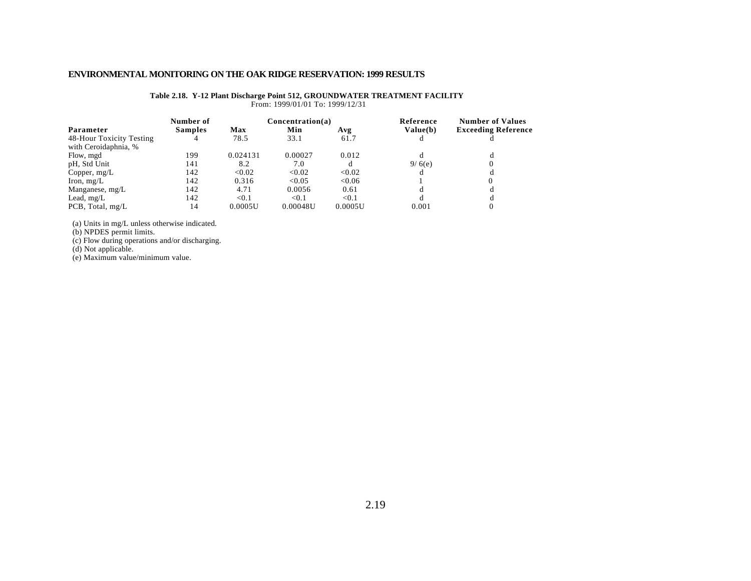#### **Table 2.18. Y-12 Plant Discharge Point 512, GROUNDWATER TREATMENT FACILITY** From: 1999/01/01 To: 1999/12/31

|                          | Number of      |          | Concentration(a) |         | Reference | <b>Number of Values</b>    |
|--------------------------|----------------|----------|------------------|---------|-----------|----------------------------|
| Parameter                | <b>Samples</b> | Max      | Min              | Avg     | Value(b)  | <b>Exceeding Reference</b> |
| 48-Hour Toxicity Testing | 4              | 78.5     | 33.1             | 61.7    |           |                            |
| with Ceroidaphnia, %     |                |          |                  |         |           |                            |
| Flow, mgd                | 199            | 0.024131 | 0.00027          | 0.012   |           | đ                          |
| pH, Std Unit             | 141            | 8.2      | 7.0              |         | 9/6(e)    |                            |
| Copper, $mg/L$           | 142            | < 0.02   | < 0.02           | < 0.02  |           |                            |
| Iron, $mg/L$             | 142            | 0.316    | < 0.05           | < 0.06  |           |                            |
| Manganese, mg/L          | 142            | 4.71     | 0.0056           | 0.61    |           | đ                          |
| Lead, $mg/L$             | 142            | < 0.1    | < 0.1            | < 0.1   |           |                            |
| PCB, Total, mg/L         | 14             | 0.0005U  | 0.00048U         | 0.0005U | 0.001     |                            |

(a) Units in mg/L unless otherwise indicated.

(b) NPDES permit limits.

(c) Flow during operations and/or discharging.

(d) Not applicable.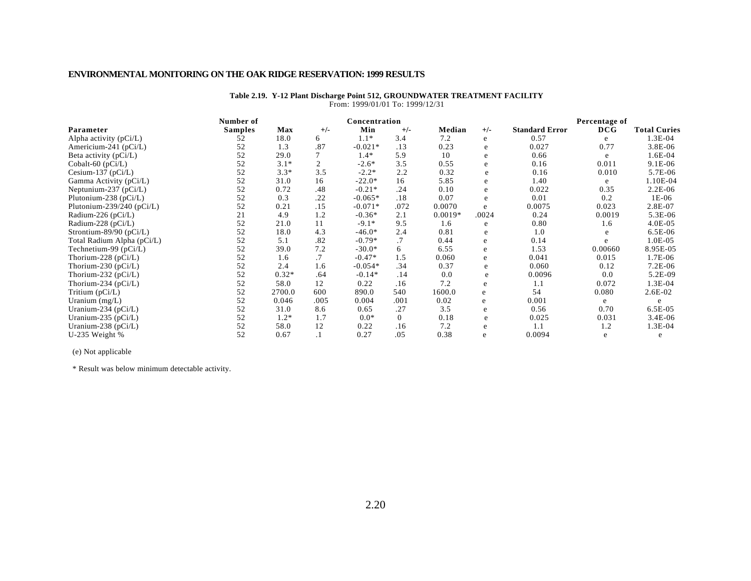| FI0III. 1999/01/01 10. 1999/12/31 |                |            |                |               |                |           |       |                       |               |                     |
|-----------------------------------|----------------|------------|----------------|---------------|----------------|-----------|-------|-----------------------|---------------|---------------------|
|                                   | Number of      |            |                | Concentration |                |           |       |                       | Percentage of |                     |
| Parameter                         | <b>Samples</b> | <b>Max</b> | $+/-$          | Min           | $+/-$          | Median    | $+/-$ | <b>Standard Error</b> | DCG           | <b>Total Curies</b> |
| Alpha activity (pCi/L)            | 52             | 18.0       | 6              | $1.1*$        | 3.4            | 7.2       | e     | 0.57                  | e             | $1.3E-04$           |
| Americium-241 (pCi/L)             | 52             | 1.3        | .87            | $-0.021*$     | .13            | 0.23      | e     | 0.027                 | 0.77          | 3.8E-06             |
| Beta activity (pCi/L)             | 52             | 29.0       |                | $1.4*$        | 5.9            | 10        | e     | 0.66                  | e             | 1.6E-04             |
| Cobalt-60 (pCi/L)                 | 52             | $3.1*$     | $\overline{c}$ | $-2.6*$       | 3.5            | 0.55      | e     | 0.16                  | 0.011         | 9.1E-06             |
| Cesium-137 (pCi/L)                | 52             | $3.3*$     | 3.5            | $-2.2*$       | 2.2            | 0.32      | e     | 0.16                  | 0.010         | 5.7E-06             |
| Gamma Activity (pCi/L)            | 52             | 31.0       | 16             | $-22.0*$      | 16             | 5.85      | e     | 1.40                  | e             | 1.10E-04            |
| Neptunium-237 (pCi/L)             | 52             | 0.72       | .48            | $-0.21*$      | .24            | 0.10      | e     | 0.022                 | 0.35          | $2.2E-06$           |
| Plutonium-238 (pCi/L)             | 52             | 0.3        | .22            | $-0.065*$     | .18            | 0.07      | e     | 0.01                  | 0.2           | $1E-06$             |
| Plutonium-239/240 (pCi/L)         | 52             | 0.21       | .15            | $-0.071*$     | .072           | 0.0070    | e     | 0.0075                | 0.023         | 2.8E-07             |
| Radium-226 (pCi/L)                | 21             | 4.9        | 1.2            | $-0.36*$      | 2.1            | $0.0019*$ | .0024 | 0.24                  | 0.0019        | $5.3E-06$           |
| Radium-228 (pCi/L)                | 52             | 21.0       | 11             | $-9.1*$       | 9.5            | 1.6       | e     | 0.80                  | 1.6           | $4.0E-05$           |
| Strontium-89/90 (pCi/L)           | 52             | 18.0       | 4.3            | $-46.0*$      | 2.4            | 0.81      | e     | 1.0                   |               | $6.5E-06$           |
| Total Radium Alpha (pCi/L)        | 52             | 5.1        | .82            | $-0.79*$      | .7             | 0.44      | e     | 0.14                  | e             | $1.0E-05$           |
| Technetium-99 (pCi/L)             | 52             | 39.0       | 7.2            | $-30.0*$      | 6              | 6.55      | e     | 1.53                  | 0.00660       | 8.95E-05            |
| Thorium-228 ( $pCi/L$ )           | 52             | 1.6        | .7             | $-0.47*$      | 1.5            | 0.060     | e     | 0.041                 | 0.015         | 1.7E-06             |
| Thorium-230 ( $pCi/L$ )           | 52             | 2.4        | 1.6            | $-0.054*$     | .34            | 0.37      | e     | 0.060                 | 0.12          | 7.2E-06             |
| Thorium-232 ( $pCi/L$ )           | 52             | $0.32*$    | .64            | $-0.14*$      | .14            | 0.0       | e     | 0.0096                | 0.0           | 5.2E-09             |
| Thorium-234 ( $pCi/L$ )           | 52             | 58.0       | 12             | 0.22          | .16            | 7.2       | e     | 1.1                   | 0.072         | 1.3E-04             |
| Tritium (pCi/L)                   | 52             | 2700.0     | 600            | 890.0         | 540            | 1600.0    | e     | 54                    | 0.080         | 2.6E-02             |
| Uranium (mg/L)                    | 52             | 0.046      | .005           | 0.004         | .001           | 0.02      | e     | 0.001                 | e             | e                   |
| Uranium-234 (pCi/L)               | 52             | 31.0       | 8.6            | 0.65          | .27            | 3.5       | e     | 0.56                  | 0.70          | $6.5E-05$           |
| Uranium-235 ( $pCi/L$ )           | 52             | $1.2*$     | 1.7            | $0.0*$        | $\overline{0}$ | 0.18      | e     | 0.025                 | 0.031         | $3.4E-06$           |
| Uranium-238 ( $pCi/L$ )           | 52             | 58.0       | 12             | 0.22          | .16            | 7.2       | e     | 1.1                   | 1.2           | 1.3E-04             |
| U-235 Weight %                    | 52             | 0.67       | $\cdot$        | 0.27          | .05            | 0.38      | e     | 0.0094                | e             | e                   |

#### **Table 2.19. Y-12 Plant Discharge Point 512, GROUNDWATER TREATMENT FACILITY** From: 1999/01/01 To: 1999/12/31

(e) Not applicable

\* Result was below minimum detectable activity.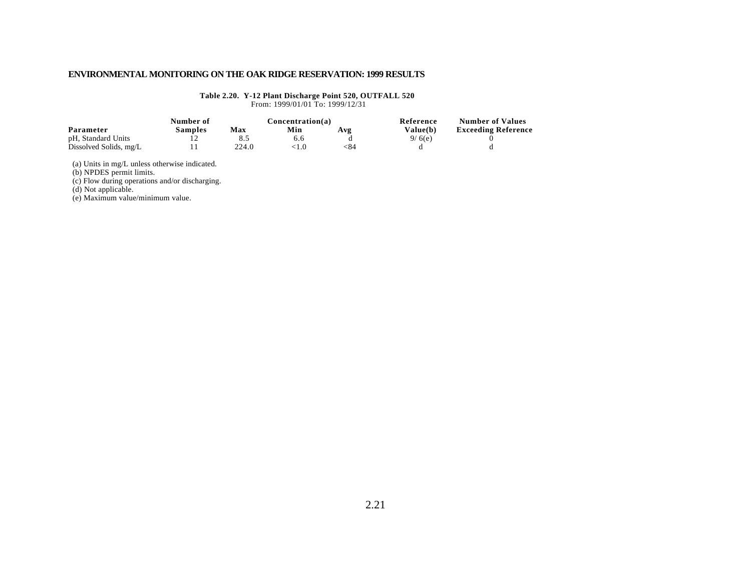### **Table 2.20. Y-12 Plant Discharge Point 520, OUTFALL 520**

From: 1999/01/01 To: 1999/12/31

|                        | Number of |       | Concentration(a) |     | Reference       | <b>Number of Values</b>    |
|------------------------|-----------|-------|------------------|-----|-----------------|----------------------------|
| Parameter              | Samples   | Max   | Min              | Avg | <b>Value(b)</b> | <b>Exceeding Reference</b> |
| pH, Standard Units     |           |       |                  |     | 9/6(e)          |                            |
| Dissolved Solids, mg/L |           | 224.0 |                  | ≤84 |                 |                            |

(a) Units in mg/L unless otherwise indicated.

(b) NPDES permit limits.

(c) Flow during operations and/or discharging.

(d) Not applicable.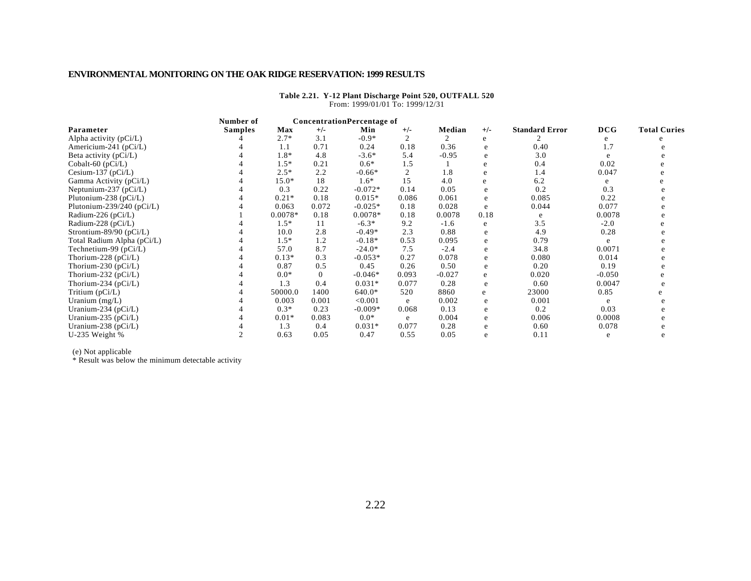|                             | Number of      |           | <b>ConcentrationPercentage of</b> |           |                |          |       |                       |          |                     |
|-----------------------------|----------------|-----------|-----------------------------------|-----------|----------------|----------|-------|-----------------------|----------|---------------------|
| Parameter                   | <b>Samples</b> | Max       | $+/-$                             | Min       | $+/-$          | Median   | $+/-$ | <b>Standard Error</b> | DCG      | <b>Total Curies</b> |
| Alpha activity $(pCi/L)$    |                | $2.7*$    | 3.1                               | $-0.9*$   | $\overline{c}$ |          | e     |                       |          |                     |
| Americium-241 (pCi/L)       |                | 1.1       | 0.71                              | 0.24      | 0.18           | 0.36     | e     | 0.40                  | 1.7      |                     |
| Beta activity (pCi/L)       |                | 1.8*      | 4.8                               | $-3.6*$   | 5.4            | $-0.95$  | e     | 3.0                   |          |                     |
| Cobalt-60 (pCi/L)           |                | $1.5*$    | 0.21                              | $0.6*$    | 1.5            |          | e     | 0.4                   | 0.02     |                     |
| Cesium-137 ( $pCi/L$ )      |                | $2.5*$    | 2.2                               | $-0.66*$  | $\overline{2}$ | 1.8      | e     | 1.4                   | 0.047    |                     |
| Gamma Activity (pCi/L)      |                | $15.0*$   | 18                                | $1.6*$    | 15             | 4.0      | e     | 6.2                   | e        |                     |
| Neptunium-237 $(pCi/L)$     |                | 0.3       | 0.22                              | $-0.072*$ | 0.14           | 0.05     | e     | 0.2                   | 0.3      |                     |
| Plutonium-238 (pCi/L)       |                | $0.21*$   | 0.18                              | $0.015*$  | 0.086          | 0.061    | e     | 0.085                 | 0.22     |                     |
| Plutonium-239/240 (pCi/L)   |                | 0.063     | 0.072                             | $-0.025*$ | 0.18           | 0.028    | e     | 0.044                 | 0.077    |                     |
| Radium-226 (pCi/L)          |                | $0.0078*$ | 0.18                              | $0.0078*$ | 0.18           | 0.0078   | 0.18  | e                     | 0.0078   |                     |
| Radium-228 (pCi/L)          |                | $1.5*$    | 11                                | $-6.3*$   | 9.2            | $-1.6$   | e     | 3.5                   | $-2.0$   |                     |
| Strontium-89/90 ( $pCi/L$ ) |                | 10.0      | 2.8                               | $-0.49*$  | 2.3            | 0.88     | e     | 4.9                   | 0.28     |                     |
| Total Radium Alpha (pCi/L)  |                | $1.5*$    | 1.2                               | $-0.18*$  | 0.53           | 0.095    | e     | 0.79                  | e        |                     |
| Technetium-99 (pCi/L)       |                | 57.0      | 8.7                               | $-24.0*$  | 7.5            | $-2.4$   | e     | 34.8                  | 0.0071   |                     |
| Thorium-228 (pCi/L)         |                | $0.13*$   | 0.3                               | $-0.053*$ | 0.27           | 0.078    | e     | 0.080                 | 0.014    |                     |
| Thorium-230 (pCi/L)         |                | 0.87      | 0.5                               | 0.45      | 0.26           | 0.50     | e     | 0.20                  | 0.19     |                     |
| Thorium-232 (pCi/L)         |                | $0.0*$    | $\mathbf{0}$                      | $-0.046*$ | 0.093          | $-0.027$ | e     | 0.020                 | $-0.050$ |                     |
| Thorium-234 ( $pCi/L$ )     |                | 1.3       | 0.4                               | $0.031*$  | 0.077          | 0.28     | e     | 0.60                  | 0.0047   |                     |
| Tritium (pCi/L)             |                | 50000.0   | 1400                              | $640.0*$  | 520            | 8860     | e     | 23000                 | 0.85     |                     |
| Uranium $(mg/L)$            |                | 0.003     | 0.001                             | < 0.001   | e              | 0.002    | e     | 0.001                 | e        |                     |
| Uranium-234 (pCi/L)         |                | $0.3*$    | 0.23                              | $-0.009*$ | 0.068          | 0.13     | e     | 0.2                   | 0.03     |                     |
| Uranium-235 (pCi/L)         |                | $0.01*$   | 0.083                             | $0.0*$    | e              | 0.004    | e     | 0.006                 | 0.0008   |                     |
| Uranium-238 (pCi/L)         |                | 1.3       | 0.4                               | $0.031*$  | 0.077          | 0.28     | e     | 0.60                  | 0.078    |                     |
| U-235 Weight %              |                | 0.63      | 0.05                              | 0.47      | 0.55           | 0.05     | e     | 0.11                  | e        |                     |

**Table 2.21. Y-12 Plant Discharge Point 520, OUTFALL 520** From: 1999/01/01 To: 1999/12/31

(e) Not applicable

\* Result was below the minimum detectable activity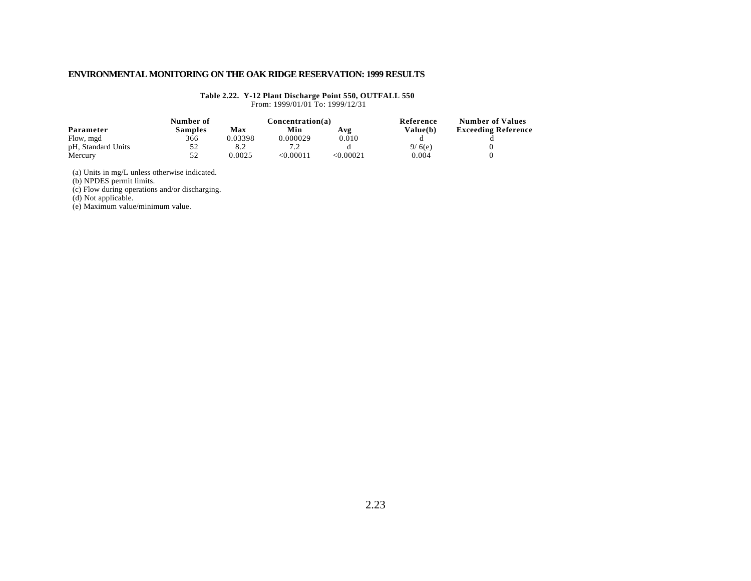**Table 2.22. Y-12 Plant Discharge Point 550, OUTFALL 550**

From: 1999/01/01 To: 1999/12/31

|                    | Number of      |         | Concentration(a) |          | Reference | <b>Number of Values</b>    |
|--------------------|----------------|---------|------------------|----------|-----------|----------------------------|
| Parameter          | <b>Samples</b> | Max     | Min              | Avg      | Value(b)  | <b>Exceeding Reference</b> |
| Flow, mgd          | 366            | 0.03398 | 0.000029         | 0.010    |           |                            |
| pH, Standard Units | 52             | 8.2     |                  |          | 9/6(e)    |                            |
| Mercury            | 52             | 0.0025  | < 0.00011        | <0.00021 | 0.004     |                            |

(a) Units in mg/L unless otherwise indicated.

(b) NPDES permit limits.

(c) Flow during operations and/or discharging.

(d) Not applicable.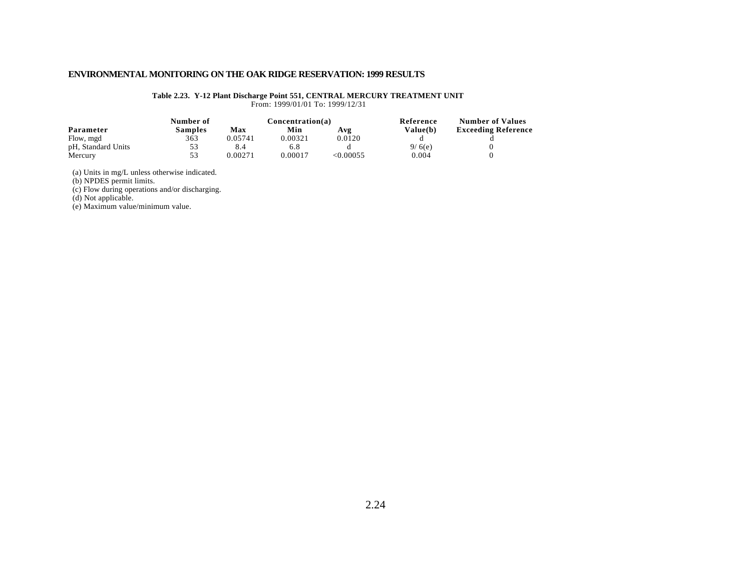#### **Table 2.23. Y-12 Plant Discharge Point 551, CENTRAL MERCURY TREATMENT UNIT**

From: 1999/01/01 To: 1999/12/31

|                    | Number of |         |         | Concentration(a) | Reference       | <b>Number of Values</b>    |
|--------------------|-----------|---------|---------|------------------|-----------------|----------------------------|
| Parameter          | Samples   | Max     | Min     | Avg              | <b>Value(b)</b> | <b>Exceeding Reference</b> |
| Flow, mgd          | 363       | 0.05741 | 0.00321 | 0.0120           |                 |                            |
| pH, Standard Units | 53        |         | 6.8     |                  | 9/6(e)          |                            |
| Mercury            | 53        | 0.00271 | 0.00017 | <0.00055         | 0.004           |                            |

(a) Units in mg/L unless otherwise indicated.

(b) NPDES permit limits.

(c) Flow during operations and/or discharging.

(d) Not applicable.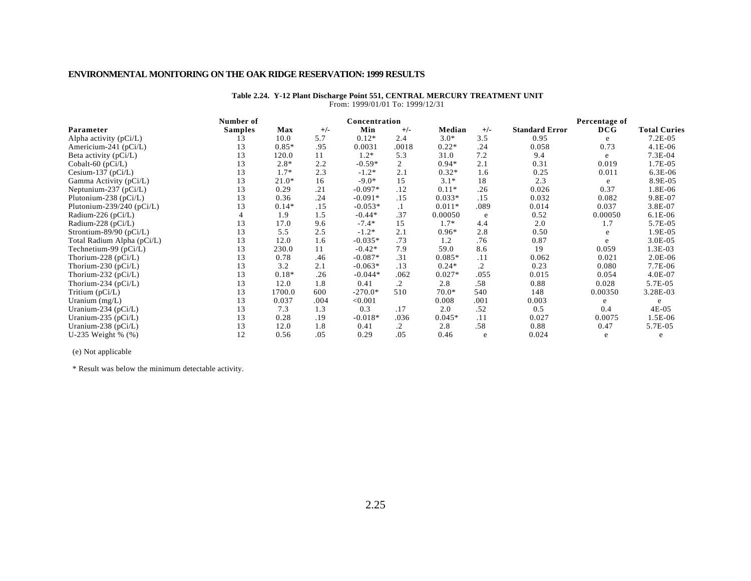| Number of      |         |       |           |         |               |                                 |                       | Percentage of |                     |
|----------------|---------|-------|-----------|---------|---------------|---------------------------------|-----------------------|---------------|---------------------|
| <b>Samples</b> | Max     | $+/-$ | Min       | $+/-$   | Median        | $+/-$                           | <b>Standard Error</b> | DCG           | <b>Total Curies</b> |
| 13             | 10.0    | 5.7   | $0.12*$   | 2.4     | $3.0*$        | 3.5                             | 0.95                  | e             | $7.2E-05$           |
| 13             | $0.85*$ | .95   | 0.0031    | .0018   | $0.22*$       | .24                             | 0.058                 | 0.73          | $4.1E-06$           |
| 13             | 120.0   | 11    | $1.2*$    | 5.3     | 31.0          | 7.2                             | 9.4                   | e             | 7.3E-04             |
| 13             | $2.8*$  | 2.2   | $-0.59*$  | 2       | $0.94*$       | 2.1                             | 0.31                  | 0.019         | 1.7E-05             |
| 13             | $1.7*$  | 2.3   | $-1.2*$   | 2.1     | $0.32*$       | 1.6                             | 0.25                  | 0.011         | 6.3E-06             |
| 13             | $21.0*$ | 16    | $-9.0*$   | 15      | $3.1*$        | 18                              | 2.3                   | e             | 8.9E-05             |
| 13             | 0.29    | .21   | $-0.097*$ | .12     | $0.11*$       | .26                             | 0.026                 | 0.37          | 1.8E-06             |
| 13             | 0.36    | .24   | $-0.091*$ | .15     | $0.033*$      | .15                             | 0.032                 | 0.082         | 9.8E-07             |
| 13             | $0.14*$ | .15   | $-0.053*$ | $\cdot$ | $0.011*$      | .089                            | 0.014                 | 0.037         | 3.8E-07             |
|                | 1.9     | 1.5   | $-0.44*$  | .37     | 0.00050       | e                               | 0.52                  | 0.00050       | $6.1E-06$           |
| 13             | 17.0    | 9.6   | $-7.4*$   | 15      | $1.7*$        | 4.4                             | 2.0                   | 1.7           | 5.7E-05             |
| 13             | 5.5     | 2.5   | $-1.2*$   | 2.1     | $0.96*$       | 2.8                             | 0.50                  | e             | 1.9E-05             |
| 13             | 12.0    | 1.6   | $-0.035*$ | .73     | 1.2           | .76                             | 0.87                  | e             | $3.0E-05$           |
| 13             | 230.0   | 11    | $-0.42*$  | 7.9     | 59.0          | 8.6                             | 19                    | 0.059         | 1.3E-03             |
| 13             | 0.78    | .46   | $-0.087*$ | .31     | $0.085*$      | .11                             | 0.062                 | 0.021         | $2.0E-06$           |
| 13             | 3.2     | 2.1   | $-0.063*$ | .13     | $0.24*$       | $\cdot$ 2                       | 0.23                  | 0.080         | 7.7E-06             |
| 13             | $0.18*$ | .26   | $-0.044*$ | .062    | $0.027*$      | .055                            | 0.015                 | 0.054         | $4.0E-07$           |
| 13             | 12.0    | 1.8   | 0.41      | .2      | 2.8           | .58                             | 0.88                  | 0.028         | 5.7E-05             |
| 13             | 1700.0  | 600   | $-270.0*$ | 510     | $70.0*$       | 540                             | 148                   | 0.00350       | 3.28E-03            |
| 13             | 0.037   | .004  | < 0.001   |         | 0.008         | .001                            | 0.003                 | e             | $\epsilon$          |
| 13             | 7.3     | 1.3   | 0.3       | .17     | 2.0           | .52                             | 0.5                   | 0.4           | 4E-05               |
| 13             | 0.28    | .19   | $-0.018*$ | .036    | $0.045*$      | .11                             | 0.027                 | 0.0075        | 1.5E-06             |
| 13             | 12.0    | 1.8   | 0.41      | $\cdot$ | 2.8           | .58                             | 0.88                  | 0.47          | 5.7E-05             |
| 12             | 0.56    | .05   | 0.29      | .05     | 0.46          | e                               | 0.024                 | e             | e                   |
|                |         |       |           |         | Concentration | From: 1999/01/01 10: 1999/12/31 |                       |               |                     |

#### **Table 2.24. Y-12 Plant Discharge Point 551, CENTRAL MERCURY TREATMENT UNIT** From: 1999/01/01 To: 1999/12/31

(e) Not applicable

\* Result was below the minimum detectable activity.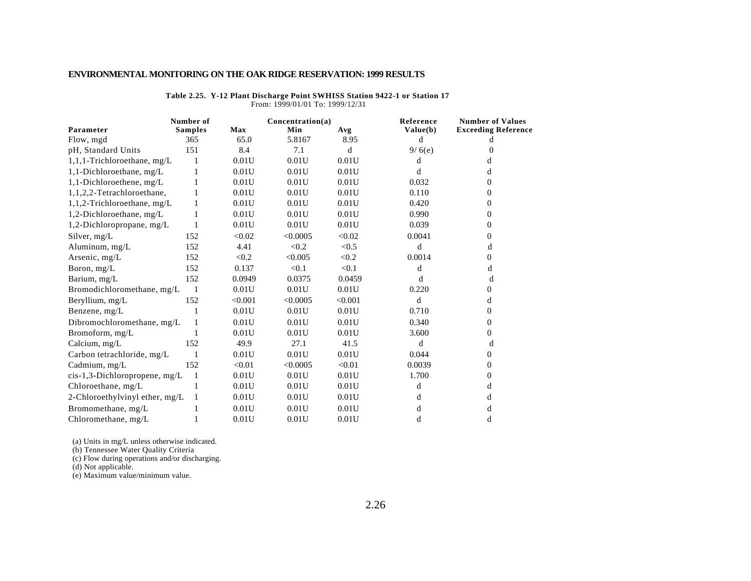|                                 | Number of      |            | Concentration(a) |         | Reference | <b>Number of Values</b>    |
|---------------------------------|----------------|------------|------------------|---------|-----------|----------------------------|
| Parameter                       | <b>Samples</b> | <b>Max</b> | Min              | Avg     | Value(b)  | <b>Exceeding Reference</b> |
| Flow, mgd                       | 365            | 65.0       | 5.8167           | 8.95    | d         | d                          |
| pH, Standard Units              | 151            | 8.4        | 7.1              | d       | 9/6(e)    | $\Omega$                   |
| 1,1,1-Trichloroethane, mg/L     | 1              | 0.01U      | 0.01U            | 0.01U   | d         | d                          |
| 1,1-Dichloroethane, mg/L        | 1              | 0.01U      | 0.01U            | 0.01U   | d         | d                          |
| 1,1-Dichloroethene, mg/L        |                | 0.01U      | 0.01U            | 0.01U   | 0.032     | 0                          |
| 1,1,2,2-Tetrachloroethane,      |                | 0.01U      | 0.01U            | 0.01U   | 0.110     | 0                          |
| $1,1,2$ -Trichloroethane, mg/L  | 1              | 0.01U      | 0.01U            | 0.01U   | 0.420     | $\Omega$                   |
| 1,2-Dichloroethane, mg/L        | 1              | 0.01U      | 0.01U            | 0.01U   | 0.990     | 0                          |
| 1,2-Dichloropropane, mg/L       | 1              | 0.01U      | 0.01U            | 0.01U   | 0.039     | 0                          |
| Silver, mg/L                    | 152            | < 0.02     | < 0.0005         | < 0.02  | 0.0041    | 0                          |
| Aluminum, mg/L                  | 152            | 4.41       | < 0.2            | < 0.5   | d         | d                          |
| Arsenic, $mg/L$                 | 152            | < 0.2      | < 0.005          | < 0.2   | 0.0014    | 0                          |
| Boron, mg/L                     | 152            | 0.137      | < 0.1            | < 0.1   | d         | d                          |
| Barium, mg/L                    | 152            | 0.0949     | 0.0375           | 0.0459  | d         | d                          |
| Bromodichloromethane, mg/L      | -1             | 0.01U      | 0.01U            | 0.01U   | 0.220     | 0                          |
| Beryllium, mg/L                 | 152            | < 0.001    | < 0.0005         | < 0.001 | d         | d                          |
| Benzene, mg/L                   |                | 0.01U      | 0.01U            | 0.01U   | 0.710     | 0                          |
| Dibromochloromethane, mg/L      | 1              | 0.01U      | 0.01U            | 0.01U   | 0.340     | 0                          |
| Bromoform, mg/L                 |                | 0.01U      | 0.01U            | 0.01U   | 3.600     | 0                          |
| Calcium, mg/L                   | 152            | 49.9       | 27.1             | 41.5    | d         | d                          |
| Carbon tetrachloride, mg/L      |                | 0.01U      | 0.01U            | 0.01U   | 0.044     | 0                          |
| Cadmium, mg/L                   | 152            | < 0.01     | < 0.0005         | < 0.01  | 0.0039    | 0                          |
| $cis-1,3-Dichloropropene, mg/L$ | -1             | 0.01U      | 0.01U            | 0.01U   | 1.700     | 0                          |
| Chloroethane, mg/L              | 1              | 0.01U      | 0.01U            | 0.01U   | d         | d                          |
| 2-Chloroethylvinyl ether, mg/L  |                | 0.01U      | 0.01U            | 0.01U   | d         | d                          |
| Bromomethane, mg/L              |                | 0.01U      | 0.01U            | 0.01U   | d         | d                          |
| Chloromethane, mg/L             |                | 0.01U      | 0.01U            | 0.01U   | d         | d                          |

**Table 2.25. Y-12 Plant Discharge Point SWHISS Station 9422-1 or Station 17** From: 1999/01/01 To: 1999/12/31

(a) Units in mg/L unless otherwise indicated.

(b) Tennessee Water Quality Criteria

(c) Flow during operations and/or discharging.

(d) Not applicable.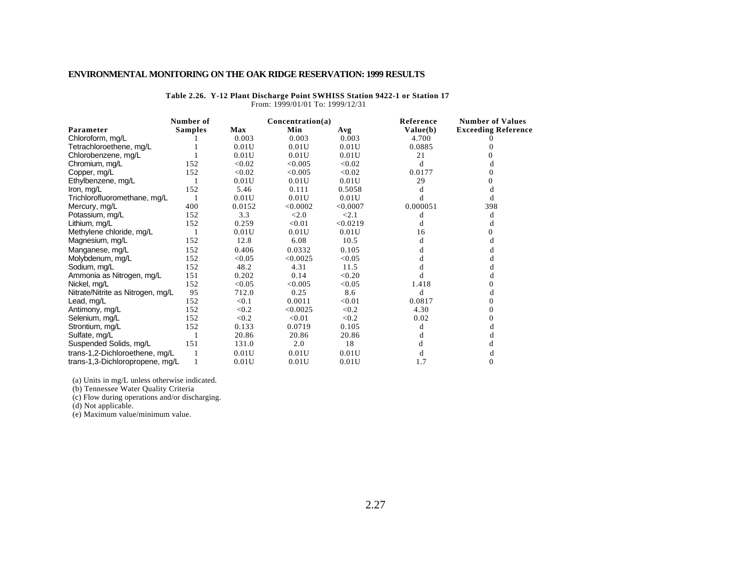|                                   | Number of      |        | Concentration(a) |          | Reference | <b>Number of Values</b>    |
|-----------------------------------|----------------|--------|------------------|----------|-----------|----------------------------|
| Parameter                         | <b>Samples</b> | Max    | Min              | Avg      | Value(b)  | <b>Exceeding Reference</b> |
| Chloroform, mg/L                  |                | 0.003  | 0.003            | 0.003    | 4.700     |                            |
| Tetrachloroethene, mg/L           |                | 0.01U  | 0.01U            | 0.01U    | 0.0885    |                            |
| Chlorobenzene, mg/L               |                | 0.01U  | 0.01U            | 0.01U    | 21        |                            |
| Chromium, mg/L                    | 152            | < 0.02 | < 0.005          | < 0.02   | d         | đ                          |
| Copper, mg/L                      | 152            | < 0.02 | < 0.005          | < 0.02   | 0.0177    | 0                          |
| Ethylbenzene, mg/L                |                | 0.01U  | 0.01U            | 0.01U    | 29        | 0                          |
| Iron, $mg/L$                      | 152            | 5.46   | 0.111            | 0.5058   |           |                            |
| Trichlorofluoromethane, mg/L      |                | 0.01U  | 0.01U            | 0.01U    | d         | d                          |
| Mercury, mg/L                     | 400            | 0.0152 | < 0.0002         | < 0.0007 | 0.000051  | 398                        |
| Potassium, mg/L                   | 152            | 3.3    | < 2.0            | < 2.1    | d         | d                          |
| Lithium, mg/L                     | 152            | 0.259  | < 0.01           | < 0.0219 | d         | d                          |
| Methylene chloride, mg/L          |                | 0.01U  | 0.01U            | 0.01U    | 16        | 0                          |
| Magnesium, mg/L                   | 152            | 12.8   | 6.08             | 10.5     | d         | d                          |
| Manganese, mg/L                   | 152            | 0.406  | 0.0332           | 0.105    | d         |                            |
| Molybdenum, mg/L                  | 152            | < 0.05 | < 0.0025         | < 0.05   | d         | d                          |
| Sodium, mg/L                      | 152            | 48.2   | 4.31             | 11.5     |           | d                          |
| Ammonia as Nitrogen, mg/L         | 151            | 0.202  | 0.14             | < 0.20   |           | d                          |
| Nickel, mg/L                      | 152            | < 0.05 | < 0.005          | < 0.05   | 1.418     | 0                          |
| Nitrate/Nitrite as Nitrogen, mg/L | 95             | 712.0  | 0.25             | 8.6      | d         | d                          |
| Lead, mg/L                        | 152            | < 0.1  | 0.0011           | < 0.01   | 0.0817    | $\Omega$                   |
| Antimony, mg/L                    | 152            | < 0.2  | < 0.0025         | < 0.2    | 4.30      | $\Omega$                   |
| Selenium, mg/L                    | 152            | < 0.2  | < 0.01           | < 0.2    | 0.02      | $\Omega$                   |
| Strontium, mg/L                   | 152            | 0.133  | 0.0719           | 0.105    | d         | d                          |
| Sulfate, mg/L                     |                | 20.86  | 20.86            | 20.86    | d         | d                          |
| Suspended Solids, mg/L            | 151            | 131.0  | 2.0              | 18       |           | d                          |
| trans-1,2-Dichloroethene, mg/L    |                | 0.01U  | 0.01U            | 0.01U    | d         | d                          |
| trans-1,3-Dichloropropene, mg/L   |                | 0.01U  | 0.01U            | 0.01U    | 1.7       | $\mathbf{0}$               |

**Table 2.26. Y-12 Plant Discharge Point SWHISS Station 9422-1 or Station 17** From: 1999/01/01 To: 1999/12/31

(a) Units in mg/L unless otherwise indicated.

(b) Tennessee Water Quality Criteria

(c) Flow during operations and/or discharging.

(d) Not applicable.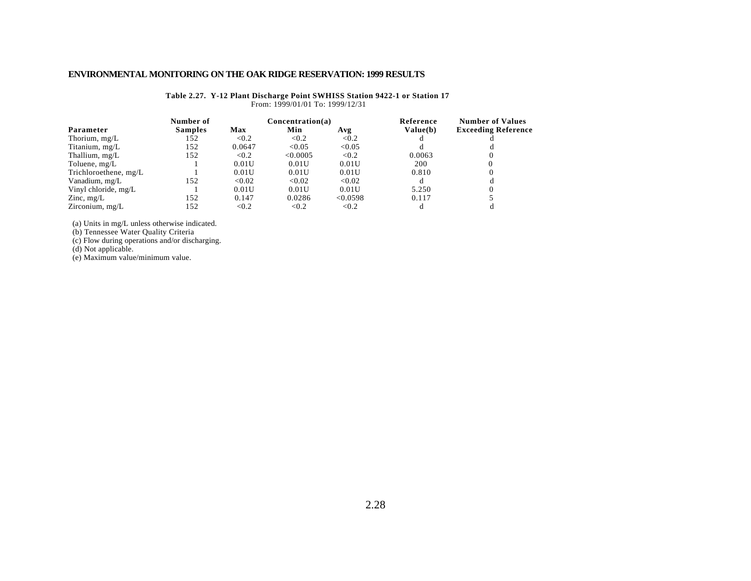|                       | Number of      |        | Concentration(a) |          | Reference | <b>Number of Values</b>    |
|-----------------------|----------------|--------|------------------|----------|-----------|----------------------------|
| Parameter             | <b>Samples</b> | Max    | Min              | Avg      | Value(b)  | <b>Exceeding Reference</b> |
| Thorium, $mg/L$       | 152            | < 0.2  | < 0.2            | < 0.2    |           |                            |
| Titanium, mg/L        | 152            | 0.0647 | < 0.05           | < 0.05   |           |                            |
| Thallium, mg/L        | 152            | < 0.2  | < 0.0005         | < 0.2    | 0.0063    |                            |
| Toluene, mg/L         |                | 0.01U  | 0.01U            | 0.01U    | 200       |                            |
| Trichloroethene, mg/L |                | 0.01U  | 0.01U            | 0.01U    | 0.810     |                            |
| Vanadium, mg/L        | 152            | < 0.02 | < 0.02           | < 0.02   |           |                            |
| Vinyl chloride, mg/L  |                | 0.01U  | 0.01U            | 0.01U    | 5.250     |                            |
| Zinc, $mg/L$          | 152            | 0.147  | 0.0286           | < 0.0598 | 0.117     |                            |
| Zirconium, $mg/L$     | 152            | < 0.2  | < 0.2            | < 0.2    |           |                            |

**Table 2.27. Y-12 Plant Discharge Point SWHISS Station 9422-1 or Station 17** From: 1999/01/01 To: 1999/12/31

(a) Units in mg/L unless otherwise indicated.

(b) Tennessee Water Quality Criteria

(c) Flow during operations and/or discharging.

(d) Not applicable.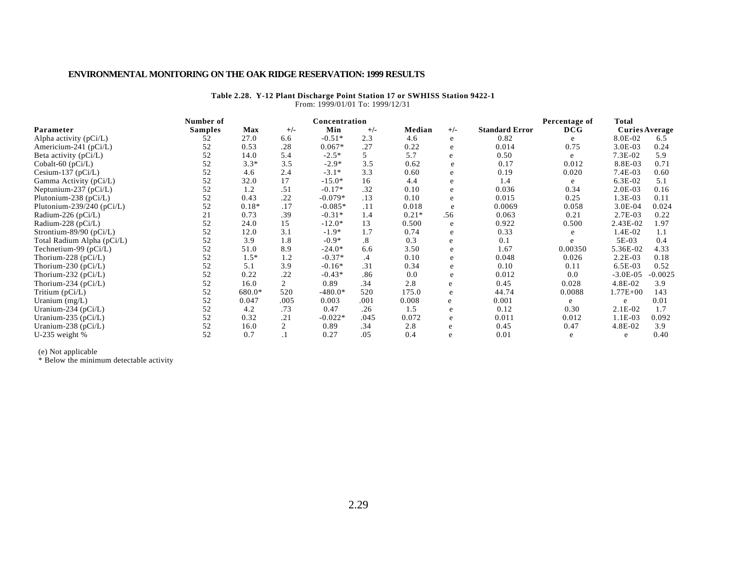#### **Table 2.28. Y-12 Plant Discharge Point Station 17 or SWHISS Station 9422-1** From: 1999/01/01 To: 1999/12/31

|                               | Number of      |         |                | Concentration |           |         |       |                       | Percentage of | Total                 |           |
|-------------------------------|----------------|---------|----------------|---------------|-----------|---------|-------|-----------------------|---------------|-----------------------|-----------|
| Parameter                     | <b>Samples</b> | Max     | $+/-$          | Min           | $+/-$     | Median  | $+/-$ | <b>Standard Error</b> | DCG           | <b>Curies Average</b> |           |
| Alpha activity $(pCi/L)$      | 52             | 27.0    | 6.6            | $-0.51*$      | 2.3       | 4.6     | e     | 0.82                  | e             | 8.0E-02               | 6.5       |
| Americium-241 ( $pCi/L$ )     | 52             | 0.53    | .28            | $0.067*$      | .27       | 0.22    | e     | 0.014                 | 0.75          | 3.0E-03               | 0.24      |
| Beta activity (pCi/L)         | 52             | 14.0    | 5.4            | $-2.5*$       | 5         | 5.7     | e     | 0.50                  | e             | 7.3E-02               | 5.9       |
| Cobalt-60 (pCi/L)             | 52             | $3.3*$  | 3.5            | $-2.9*$       | 3.5       | 0.62    | e     | 0.17                  | 0.012         | 8.8E-03               | 0.71      |
| Cesium-137 ( $pCi/L$ )        | 52             | 4.6     | 2.4            | $-3.1*$       | 3.3       | 0.60    | e     | 0.19                  | 0.020         | 7.4E-03               | 0.60      |
| Gamma Activity (pCi/L)        | 52             | 32.0    | 17             | $-15.0*$      | 16        | 4.4     | e     | 1.4                   | e             | 6.3E-02               | 5.1       |
| Neptunium-237 $(pCi/L)$       | 52             | 1.2     | .51            | $-0.17*$      | .32       | 0.10    | e     | 0.036                 | 0.34          | $2.0E-03$             | 0.16      |
| Plutonium-238 ( $pCi/L$ )     | 52             | 0.43    | .22            | $-0.079*$     | .13       | 0.10    | e     | 0.015                 | 0.25          | 1.3E-03               | 0.11      |
| Plutonium-239/240 ( $pCi/L$ ) | 52             | $0.18*$ | .17            | $-0.085*$     | .11       | 0.018   | e     | 0.0069                | 0.058         | 3.0E-04               | 0.024     |
| Radium-226 ( $pCi/L$ )        | 21             | 0.73    | .39            | $-0.31*$      | 1.4       | $0.21*$ | .56   | 0.063                 | 0.21          | 2.7E-03               | 0.22      |
| Radium-228 (pCi/L)            | 52             | 24.0    | 15             | $-12.0*$      | 13        | 0.500   | e     | 0.922                 | 0.500         | 2.43E-02              | 1.97      |
| Strontium-89/90 ( $pCi/L$ )   | 52             | 12.0    | 3.1            | $-1.9*$       | 1.7       | 0.74    | e     | 0.33                  | e             | 1.4E-02               | 1.1       |
| Total Radium Alpha (pCi/L)    | 52             | 3.9     | 1.8            | $-0.9*$       | $\cdot^8$ | 0.3     | e     | 0.1                   | e             | 5E-03                 | 0.4       |
| Technetium-99 ( $pCi/L$ )     | 52             | 51.0    | 8.9            | $-24.0*$      | 6.6       | 3.50    | e     | 1.67                  | 0.00350       | 5.36E-02              | 4.33      |
| Thorium-228 ( $pCi/L$ )       | 52             | $1.5*$  | 1.2            | $-0.37*$      | .4        | 0.10    | e     | 0.048                 | 0.026         | $2.2E-03$             | 0.18      |
| Thorium-230 ( $pCi/L$ )       | 52             | 5.1     | 3.9            | $-0.16*$      | .31       | 0.34    | e     | 0.10                  | 0.11          | 6.5E-03               | 0.52      |
| Thorium-232 ( $pCi/L$ )       | 52             | 0.22    | .22            | $-0.43*$      | .86       | 0.0     | e     | 0.012                 | 0.0           | $-3.0E-05$            | $-0.0025$ |
| Thorium-234 ( $pCi/L$ )       | 52             | 16.0    | $\overline{2}$ | 0.89          | .34       | 2.8     | e     | 0.45                  | 0.028         | 4.8E-02               | 3.9       |
| Tritium (pCi/L)               | 52             | 680.0*  | 520            | $-480.0*$     | 520       | 175.0   | e     | 44.74                 | 0.0088        | $1.77E + 00$          | 143       |
| Uranium $(mg/L)$              | 52             | 0.047   | .005           | 0.003         | .001      | 0.008   | e     | 0.001                 | e             | e                     | 0.01      |
| Uranium-234 ( $pCi/L$ )       | 52             | 4.2     | .73            | 0.47          | .26       | 1.5     | e     | 0.12                  | 0.30          | $2.1E-02$             | 1.7       |
| Uranium-235 ( $pCi/L$ )       | 52             | 0.32    | .21            | $-0.022*$     | .045      | 0.072   | e     | 0.011                 | 0.012         | $1.1E-03$             | 0.092     |
| Uranium-238 (pCi/L)           | 52             | 16.0    | 2              | 0.89          | .34       | 2.8     | e     | 0.45                  | 0.47          | 4.8E-02               | 3.9       |
| U-235 weight $%$              | 52             | 0.7     |                | 0.27          | .05       | 0.4     | e     | 0.01                  | e             | e                     | 0.40      |

(e) Not applicable

\* Below the minimum detectable activity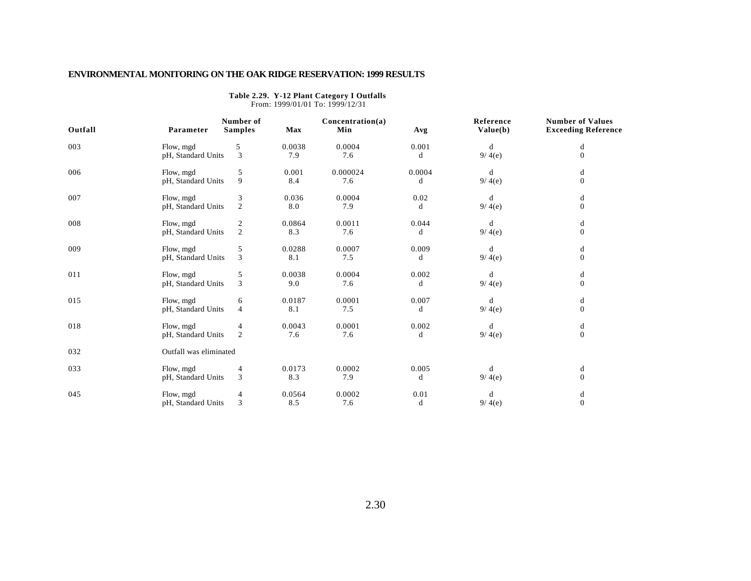|         |                        |                             |            | From: 1999/01/01 To: 1999/12/31 |        |                       |                                                       |
|---------|------------------------|-----------------------------|------------|---------------------------------|--------|-----------------------|-------------------------------------------------------|
| Outfall | Parameter              | Number of<br><b>Samples</b> | <b>Max</b> | Concentration(a)<br>Min         | Avg    | Reference<br>Value(b) | <b>Number of Values</b><br><b>Exceeding Reference</b> |
| 003     | Flow, mgd              | 5                           | 0.0038     | 0.0004                          | 0.001  | d                     | d                                                     |
|         | pH, Standard Units     | $\overline{3}$              | 7.9        | 7.6                             | d      | 9/4(e)                | $\Omega$                                              |
| 006     | Flow, mgd              | 5                           | 0.001      | 0.000024                        | 0.0004 | d                     | d                                                     |
|         | pH, Standard Units     | 9                           | 8.4        | 7.6                             | d      | 9/4(e)                | $\mathbf{0}$                                          |
| 007     | Flow, mgd              | 3                           | 0.036      | 0.0004                          | 0.02   | d                     | d                                                     |
|         | pH, Standard Units     | 2                           | 8.0        | 7.9                             | d      | 9/4(e)                | $\mathbf{0}$                                          |
| 008     | Flow, mgd              | $\mathbf{2}$                | 0.0864     | 0.0011                          | 0.044  | d                     | d                                                     |
|         | pH, Standard Units     | $\overline{2}$              | 8.3        | 7.6                             | d      | 9/4(e)                | $\mathbf{0}$                                          |
| 009     | Flow, mgd              | 5                           | 0.0288     | 0.0007                          | 0.009  | d                     | d                                                     |
|         | pH, Standard Units     | $\overline{3}$              | 8.1        | 7.5                             | d      | 9/4(e)                | $\Omega$                                              |
| 011     | Flow, mgd              | 5                           | 0.0038     | 0.0004                          | 0.002  | d                     | d                                                     |
|         | pH, Standard Units     | 3                           | 9.0        | 7.6                             | d      | 9/4(e)                | $\mathbf{0}$                                          |
| 015     | Flow, mgd              | 6                           | 0.0187     | 0.0001                          | 0.007  | d                     | d                                                     |
|         | pH, Standard Units     | $\overline{4}$              | 8.1        | 7.5                             | d      | 9/4(e)                | $\mathbf{0}$                                          |
| 018     | Flow, mgd              | 4                           | 0.0043     | 0.0001                          | 0.002  | d                     | d                                                     |
|         | pH, Standard Units     | $\overline{2}$              | 7.6        | 7.6                             | d      | 9/4(e)                | $\mathbf{0}$                                          |
| 032     | Outfall was eliminated |                             |            |                                 |        |                       |                                                       |
| 033     | Flow, mgd              | 4                           | 0.0173     | 0.0002                          | 0.005  | d                     | d                                                     |
|         | pH, Standard Units     | 3                           | 8.3        | 7.9                             | d      | 9/4(e)                | $\mathbf{0}$                                          |
| 045     | Flow, mgd              | $\overline{4}$              | 0.0564     | 0.0002                          | 0.01   | d                     | d                                                     |
|         | pH, Standard Units     | 3                           | 8.5        | 7.6                             | d      | 9/4(e)                | $\mathbf{0}$                                          |

**Table 2.29. Y-12 Plant Category I Outfalls**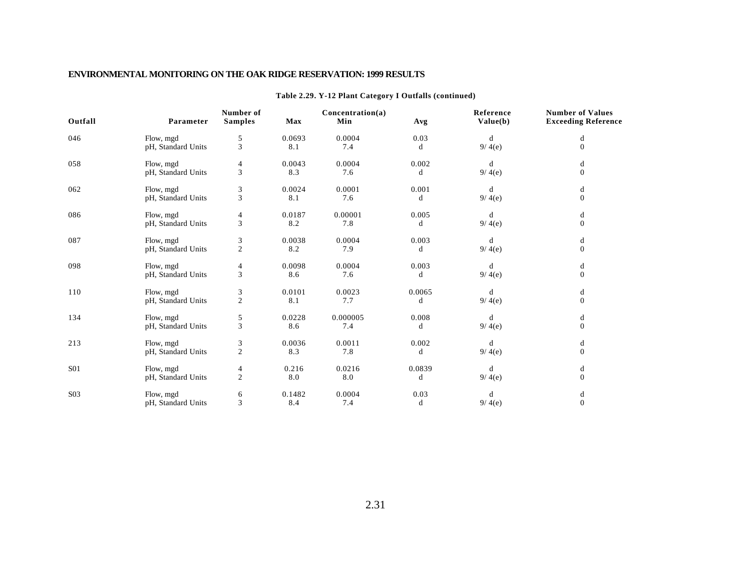| Outfall          | Parameter          | Number of<br><b>Samples</b> | Max    | Concentration(a)<br>Min | Avg    | Reference<br>Value(b) | <b>Number of Values</b><br><b>Exceeding Reference</b> |
|------------------|--------------------|-----------------------------|--------|-------------------------|--------|-----------------------|-------------------------------------------------------|
| 046              | Flow, mgd          | 5                           | 0.0693 | 0.0004                  | 0.03   | d                     | d                                                     |
|                  | pH, Standard Units | 3                           | 8.1    | 7.4                     | d      | 9/4(e)                | $\Omega$                                              |
| 058              | Flow, mgd          | 4                           | 0.0043 | 0.0004                  | 0.002  | d                     | d                                                     |
|                  | pH, Standard Units | 3                           | 8.3    | 7.6                     | d      | 9/4(e)                | $\Omega$                                              |
| 062              | Flow, mgd          | 3                           | 0.0024 | 0.0001                  | 0.001  | d                     | d                                                     |
|                  | pH, Standard Units | 3                           | 8.1    | 7.6                     | d      | 9/4(e)                | $\mathbf{0}$                                          |
| 086              | Flow, mgd          | 4                           | 0.0187 | 0.00001                 | 0.005  | d                     | d                                                     |
|                  | pH, Standard Units | 3                           | 8.2    | 7.8                     | d      | 9/4(e)                | $\mathbf{0}$                                          |
| 087              | Flow, mgd          | 3                           | 0.0038 | 0.0004                  | 0.003  | d                     | d                                                     |
|                  | pH, Standard Units | $\sqrt{2}$                  | 8.2    | 7.9                     | d      | 9/4(e)                | $\mathbf{0}$                                          |
| 098              | Flow, mgd          | 4                           | 0.0098 | 0.0004                  | 0.003  | d                     | d                                                     |
|                  | pH, Standard Units | 3                           | 8.6    | 7.6                     | d      | 9/4(e)                | $\mathbf{0}$                                          |
| 110              | Flow, mgd          | 3                           | 0.0101 | 0.0023                  | 0.0065 | d                     | d                                                     |
|                  | pH, Standard Units | $\overline{2}$              | 8.1    | 7.7                     | d      | 9/4(e)                | $\Omega$                                              |
| 134              | Flow, mgd          | 5                           | 0.0228 | 0.000005                | 0.008  | d                     | d                                                     |
|                  | pH, Standard Units | 3                           | 8.6    | 7.4                     | d      | 9/4(e)                | $\mathbf{0}$                                          |
| 213              | Flow, mgd          | 3                           | 0.0036 | 0.0011                  | 0.002  | d                     | d                                                     |
|                  | pH, Standard Units | $\overline{2}$              | 8.3    | 7.8                     | d      | 9/4(e)                | $\Omega$                                              |
| <b>S01</b>       | Flow, mgd          | 4                           | 0.216  | 0.0216                  | 0.0839 | d                     | d                                                     |
|                  | pH, Standard Units | $\mathfrak{2}$              | 8.0    | 8.0                     | d      | 9/4(e)                | $\mathbf{0}$                                          |
| S <sub>0</sub> 3 | Flow, mgd          | 6                           | 0.1482 | 0.0004                  | 0.03   | d                     | d                                                     |
|                  | pH, Standard Units | 3                           | 8.4    | 7.4                     | d      | 9/4(e)                | $\mathbf{0}$                                          |

#### **Table 2.29. Y-12 Plant Category I Outfalls (continued)**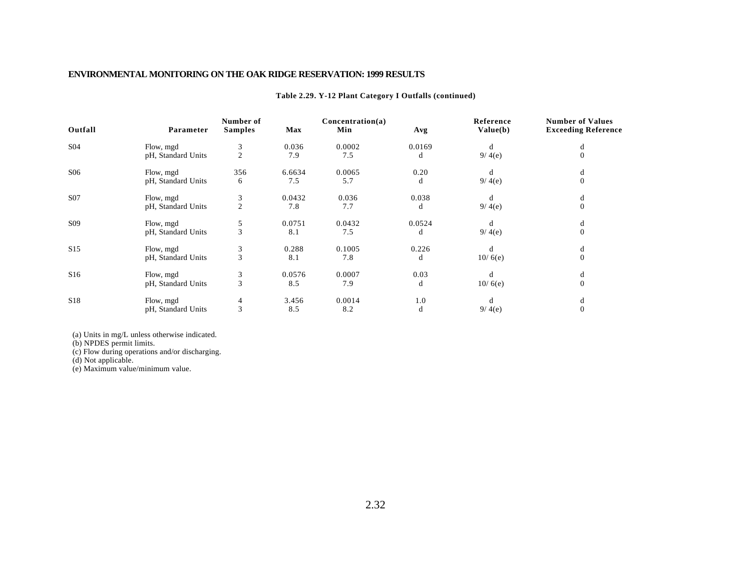| Outfall         | Parameter                       | Number of<br><b>Samples</b> | <b>Max</b>    | Concentration(a)<br>Min | Avg         | Reference<br>Value(b) | <b>Number of Values</b><br><b>Exceeding Reference</b> |
|-----------------|---------------------------------|-----------------------------|---------------|-------------------------|-------------|-----------------------|-------------------------------------------------------|
| S <sub>04</sub> | Flow, mgd<br>pH, Standard Units | 3<br>2                      | 0.036<br>7.9  | 0.0002<br>7.5           | 0.0169<br>d | d<br>9/4(e)           | $\mathbf{0}$                                          |
| S <sub>06</sub> | Flow, mgd                       | 356                         | 6.6634        | 0.0065                  | 0.20        | d                     | d                                                     |
|                 | pH, Standard Units              | 6                           | 7.5           | 5.7                     | d           | 9/4(e)                | $\mathbf{0}$                                          |
| <b>S07</b>      | Flow, mgd                       | 3                           | 0.0432        | 0.036                   | 0.038       | d                     | d                                                     |
|                 | pH, Standard Units              | 2                           | 7.8           | 7.7                     | d           | 9/4(e)                | $\theta$                                              |
| S <sub>09</sub> | Flow, mgd<br>pH, Standard Units | 5<br>3                      | 0.0751<br>8.1 | 0.0432<br>7.5           | 0.0524<br>d | 9/4(e)                | d<br>$\theta$                                         |
| S15             | Flow, mgd                       | 3                           | 0.288         | 0.1005                  | 0.226       | d                     | d                                                     |
|                 | pH, Standard Units              | 3                           | 8.1           | 7.8                     | d           | 10/6(e)               | $\overline{0}$                                        |
| S <sub>16</sub> | Flow, mgd                       | 3                           | 0.0576        | 0.0007                  | 0.03        | d                     | d                                                     |
|                 | pH, Standard Units              | 3                           | 8.5           | 7.9                     | d           | 10/6(e)               | $\mathbf{0}$                                          |
| S <sub>18</sub> | Flow, mgd<br>pH, Standard Units | 4<br>3                      | 3.456<br>8.5  | 0.0014<br>8.2           | 1.0<br>d    | d<br>9/4(e)           | d                                                     |

#### **Table 2.29. Y-12 Plant Category I Outfalls (continued)**

(a) Units in mg/L unless otherwise indicated.

(b) NPDES permit limits.

(c) Flow during operations and/or discharging.

(d) Not applicable.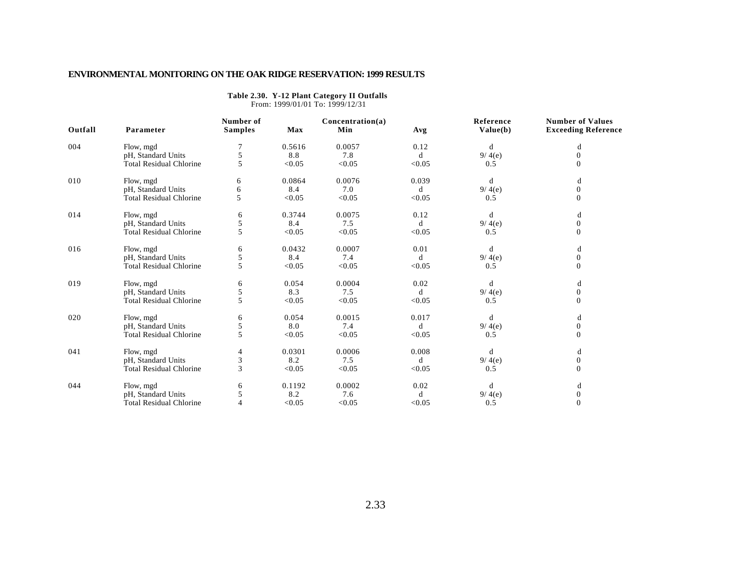| From: 1999/01/01 To: 1999/12/31 |                                |                             |        |                         |        |                       |                                                       |  |  |  |  |  |
|---------------------------------|--------------------------------|-----------------------------|--------|-------------------------|--------|-----------------------|-------------------------------------------------------|--|--|--|--|--|
| Outfall                         | Parameter                      | Number of<br><b>Samples</b> | Max    | Concentration(a)<br>Min | Avg    | Reference<br>Value(b) | <b>Number of Values</b><br><b>Exceeding Reference</b> |  |  |  |  |  |
| 004                             | Flow, mgd                      |                             | 0.5616 | 0.0057                  | 0.12   | d                     | d                                                     |  |  |  |  |  |
|                                 | pH, Standard Units             | 5                           | 8.8    | 7.8                     | d      | 9/4(e)                | $\overline{0}$                                        |  |  |  |  |  |
|                                 | <b>Total Residual Chlorine</b> | 5                           | < 0.05 | < 0.05                  | < 0.05 | 0.5                   | $\Omega$                                              |  |  |  |  |  |
| 010                             | Flow, mgd                      | 6                           | 0.0864 | 0.0076                  | 0.039  | d                     | d                                                     |  |  |  |  |  |
|                                 | pH, Standard Units             | 6                           | 8.4    | 7.0                     | d      | 9/4(e)                | $\mathbf{0}$                                          |  |  |  |  |  |
|                                 | <b>Total Residual Chlorine</b> | 5                           | < 0.05 | < 0.05                  | < 0.05 | 0.5                   | $\overline{0}$                                        |  |  |  |  |  |
| 014                             | Flow, mgd                      | 6                           | 0.3744 | 0.0075                  | 0.12   | d                     | d                                                     |  |  |  |  |  |
|                                 | pH, Standard Units             | 5                           | 8.4    | 7.5                     | d      | 9/4(e)                | $\overline{0}$                                        |  |  |  |  |  |
|                                 | <b>Total Residual Chlorine</b> | 5                           | < 0.05 | < 0.05                  | < 0.05 | 0.5                   | $\Omega$                                              |  |  |  |  |  |
| 016                             | Flow, mgd                      | 6                           | 0.0432 | 0.0007                  | 0.01   | d                     | d                                                     |  |  |  |  |  |
|                                 | pH, Standard Units             | 5                           | 8.4    | 7.4                     | d      | 9/4(e)                | $\mathbf{0}$                                          |  |  |  |  |  |
|                                 | <b>Total Residual Chlorine</b> | 5                           | < 0.05 | < 0.05                  | < 0.05 | 0.5                   | $\Omega$                                              |  |  |  |  |  |
| 019                             | Flow, mgd                      | 6                           | 0.054  | 0.0004                  | 0.02   | d                     | d                                                     |  |  |  |  |  |
|                                 | pH, Standard Units             | 5                           | 8.3    | 7.5                     | d      | 9/4(e)                | $\mathbf{0}$                                          |  |  |  |  |  |
|                                 | <b>Total Residual Chlorine</b> | 5                           | < 0.05 | < 0.05                  | < 0.05 | 0.5                   | $\Omega$                                              |  |  |  |  |  |
| 020                             | Flow, mgd                      | 6                           | 0.054  | 0.0015                  | 0.017  | d                     | d                                                     |  |  |  |  |  |
|                                 | pH, Standard Units             | 5                           | 8.0    | 7.4                     | d      | 9/4(e)                | $\boldsymbol{0}$                                      |  |  |  |  |  |
|                                 | <b>Total Residual Chlorine</b> | 5                           | < 0.05 | < 0.05                  | < 0.05 | 0.5                   | $\Omega$                                              |  |  |  |  |  |
| 041                             | Flow, mgd                      | 4                           | 0.0301 | 0.0006                  | 0.008  | d                     | d                                                     |  |  |  |  |  |
|                                 | pH, Standard Units             | 3                           | 8.2    | 7.5                     | d      | 9/4(e)                | $\overline{0}$                                        |  |  |  |  |  |
|                                 | <b>Total Residual Chlorine</b> | 3                           | < 0.05 | < 0.05                  | < 0.05 | 0.5                   | $\Omega$                                              |  |  |  |  |  |
| 044                             | Flow, mgd                      | 6                           | 0.1192 | 0.0002                  | 0.02   | d                     | d                                                     |  |  |  |  |  |
|                                 | pH, Standard Units             | 5                           | 8.2    | 7.6                     | d      | 9/4(e)                | $\mathbf{0}$                                          |  |  |  |  |  |
|                                 | <b>Total Residual Chlorine</b> |                             | < 0.05 | < 0.05                  | < 0.05 | 0.5                   | $\Omega$                                              |  |  |  |  |  |

## **Table 2.30. Y-12 Plant Category II Outfalls**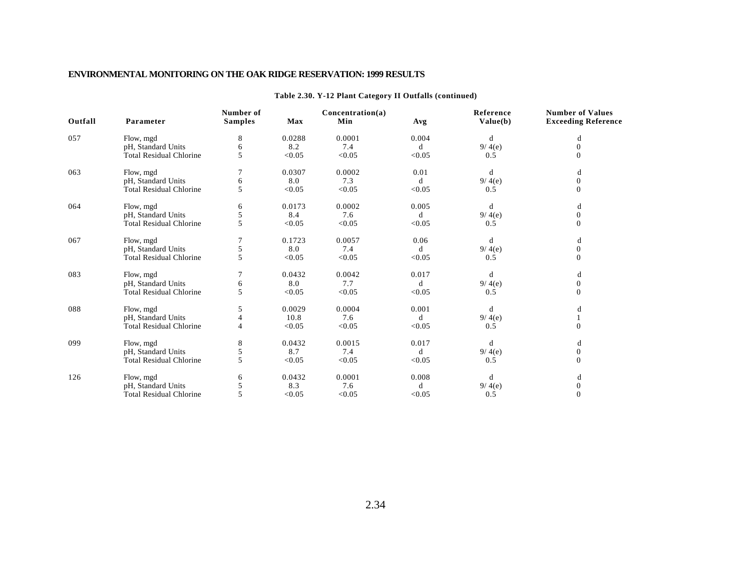| Outfall | Parameter                      | Number of<br><b>Samples</b> | Max    | Concentration(a)<br>Min | Avg          | Reference<br>Value(b) | <b>Number of Values</b><br><b>Exceeding Reference</b> |
|---------|--------------------------------|-----------------------------|--------|-------------------------|--------------|-----------------------|-------------------------------------------------------|
| 057     | Flow, mgd                      | 8                           | 0.0288 | 0.0001                  | 0.004        | d                     | d                                                     |
|         | pH, Standard Units             |                             | 8.2    | 7.4                     | d            | 9/4(e)                | $\mathbf{0}$                                          |
|         | <b>Total Residual Chlorine</b> | 5                           | < 0.05 | < 0.05                  | < 0.05       | 0.5                   | 0                                                     |
| 063     | Flow, mgd                      |                             | 0.0307 | 0.0002                  | 0.01         | d                     | d                                                     |
|         | pH, Standard Units             | 6                           | 8.0    | 7.3                     | d            | 9/4(e)                | $\Omega$                                              |
|         | <b>Total Residual Chlorine</b> | 5                           | < 0.05 | < 0.05                  | < 0.05       | 0.5                   | $\Omega$                                              |
| 064     | Flow, mgd                      | 6                           | 0.0173 | 0.0002                  | 0.005        | d                     | d                                                     |
|         | pH, Standard Units             | 5                           | 8.4    | 7.6                     | d            | 9/4(e)                | $\overline{0}$                                        |
|         | <b>Total Residual Chlorine</b> | 5                           | < 0.05 | < 0.05                  | < 0.05       | 0.5                   | $\Omega$                                              |
| 067     | Flow, mgd                      |                             | 0.1723 | 0.0057                  | 0.06         | d                     | d                                                     |
|         | pH, Standard Units             |                             | 8.0    | 7.4                     | <sub>d</sub> | 9/4(e)                | $\mathbf{0}$                                          |
|         | <b>Total Residual Chlorine</b> | 5                           | < 0.05 | < 0.05                  | < 0.05       | 0.5                   | $\Omega$                                              |
| 083     | Flow, mgd                      |                             | 0.0432 | 0.0042                  | 0.017        | d                     | d                                                     |
|         | pH, Standard Units             | 6                           | 8.0    | 7.7                     | d            | 9/4(e)                | $\boldsymbol{0}$                                      |
|         | <b>Total Residual Chlorine</b> | 5                           | < 0.05 | < 0.05                  | < 0.05       | 0.5                   | $\Omega$                                              |
| 088     | Flow, mgd                      | 5                           | 0.0029 | 0.0004                  | 0.001        | d                     | d                                                     |
|         | pH, Standard Units             |                             | 10.8   | 7.6                     | d            | 9/4(e)                |                                                       |
|         | <b>Total Residual Chlorine</b> | 4                           | < 0.05 | < 0.05                  | < 0.05       | 0.5                   | $\Omega$                                              |
| 099     | Flow, mgd                      | 8                           | 0.0432 | 0.0015                  | 0.017        | d                     | d                                                     |
|         | pH, Standard Units             | 5                           | 8.7    | 7.4                     | d            | 9/4(e)                | $\boldsymbol{0}$                                      |
|         | <b>Total Residual Chlorine</b> | 5                           | < 0.05 | < 0.05                  | < 0.05       | 0.5                   | $\Omega$                                              |
| 126     | Flow, mgd                      | 6                           | 0.0432 | 0.0001                  | 0.008        | d                     | d                                                     |
|         | pH, Standard Units             |                             | 8.3    | 7.6                     | d            | 9/4(e)                | $\mathbf{0}$                                          |
|         | <b>Total Residual Chlorine</b> |                             | < 0.05 | < 0.05                  | < 0.05       | 0.5                   | $\Omega$                                              |

#### **Table 2.30. Y-12 Plant Category II Outfalls (continued)**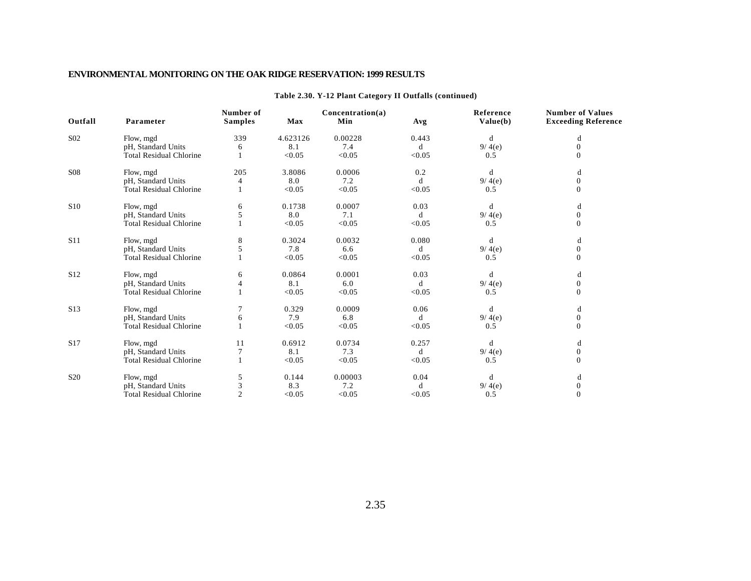| Outfall         | Parameter                      | Number of<br><b>Samples</b> | Max      | Concentration(a)<br>Min | Avg    | Reference<br>Value(b) | <b>Number of Values</b><br><b>Exceeding Reference</b> |
|-----------------|--------------------------------|-----------------------------|----------|-------------------------|--------|-----------------------|-------------------------------------------------------|
| S <sub>02</sub> | Flow, mgd                      | 339                         | 4.623126 | 0.00228                 | 0.443  | d                     | d                                                     |
|                 | pH, Standard Units             | 6                           | 8.1      | 7.4                     | d      | 9/4(e)                | $\mathbf{0}$                                          |
|                 | <b>Total Residual Chlorine</b> |                             | < 0.05   | < 0.05                  | < 0.05 | 0.5                   | 0                                                     |
| <b>S08</b>      | Flow, mgd                      | 205                         | 3.8086   | 0.0006                  | 0.2    | d                     | d                                                     |
|                 | pH, Standard Units             | 4                           | 8.0      | 7.2                     | d      | 9/4(e)                | $\Omega$                                              |
|                 | <b>Total Residual Chlorine</b> |                             | < 0.05   | < 0.05                  | < 0.05 | 0.5                   | $\Omega$                                              |
| S <sub>10</sub> | Flow, mgd                      | 6                           | 0.1738   | 0.0007                  | 0.03   | d                     | d                                                     |
|                 | pH, Standard Units             | 5                           | 8.0      | 7.1                     | d      | 9/4(e)                | $\overline{0}$                                        |
|                 | <b>Total Residual Chlorine</b> |                             | < 0.05   | < 0.05                  | < 0.05 | 0.5                   | $\Omega$                                              |
| <b>S11</b>      | Flow, mgd                      | 8                           | 0.3024   | 0.0032                  | 0.080  | d                     | d                                                     |
|                 | pH, Standard Units             |                             | 7.8      | 6.6                     | d      | 9/4(e)                | $\overline{0}$                                        |
|                 | <b>Total Residual Chlorine</b> |                             | < 0.05   | < 0.05                  | < 0.05 | 0.5                   | $\Omega$                                              |
| S <sub>12</sub> | Flow, mgd                      | 6                           | 0.0864   | 0.0001                  | 0.03   | d                     | d                                                     |
|                 | pH, Standard Units             |                             | 8.1      | 6.0                     | d      | 9/4(e)                | $\boldsymbol{0}$                                      |
|                 | <b>Total Residual Chlorine</b> |                             | < 0.05   | < 0.05                  | < 0.05 | 0.5                   | $\Omega$                                              |
| S <sub>13</sub> | Flow, mgd                      |                             | 0.329    | 0.0009                  | 0.06   | d                     | d                                                     |
|                 | pH, Standard Units             | 6                           | 7.9      | 6.8                     | d      | 9/4(e)                | $\Omega$                                              |
|                 | <b>Total Residual Chlorine</b> |                             | < 0.05   | < 0.05                  | < 0.05 | 0.5                   | $\Omega$                                              |
| S17             | Flow, mgd                      | 11                          | 0.6912   | 0.0734                  | 0.257  | d                     | d                                                     |
|                 | pH, Standard Units             |                             | 8.1      | 7.3                     | d      | 9/4(e)                | $\overline{0}$                                        |
|                 | <b>Total Residual Chlorine</b> |                             | < 0.05   | < 0.05                  | < 0.05 | 0.5                   | $\Omega$                                              |
| S <sub>20</sub> | Flow, mgd                      | 5                           | 0.144    | 0.00003                 | 0.04   | d                     | d                                                     |
|                 | pH, Standard Units             |                             | 8.3      | 7.2                     | d      | 9/4(e)                | $\mathbf{0}$                                          |
|                 | <b>Total Residual Chlorine</b> | 2                           | < 0.05   | < 0.05                  | < 0.05 | 0.5                   |                                                       |

#### **Table 2.30. Y-12 Plant Category II Outfalls (continued)**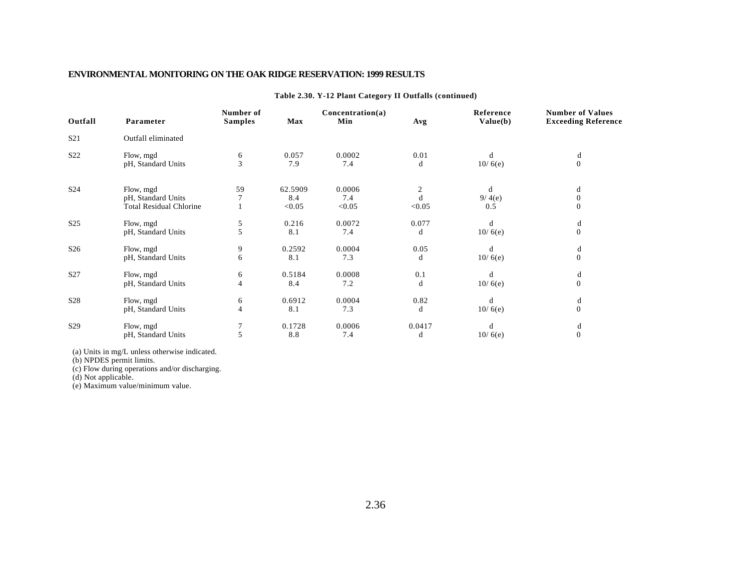| Outfall         | Parameter                      | Number of<br><b>Samples</b> | <b>Max</b> | Concentration(a)<br>Min | Avg    | Reference<br>Value(b) | <b>Number of Values</b><br><b>Exceeding Reference</b> |
|-----------------|--------------------------------|-----------------------------|------------|-------------------------|--------|-----------------------|-------------------------------------------------------|
| S <sub>21</sub> | Outfall eliminated             |                             |            |                         |        |                       |                                                       |
| S22             | Flow, mgd                      | 6                           | 0.057      | 0.0002                  | 0.01   | d                     | d                                                     |
|                 | pH, Standard Units             | 3                           | 7.9        | 7.4                     | d      | 10/6(e)               | $\Omega$                                              |
| S <sub>24</sub> | Flow, mgd                      | 59                          | 62.5909    | 0.0006                  |        | d                     | d                                                     |
|                 | pH, Standard Units             |                             | 8.4        | 7.4                     |        | 9/4(e)                | $\mathbf{0}$                                          |
|                 | <b>Total Residual Chlorine</b> |                             | < 0.05     | < 0.05                  | < 0.05 | 0.5                   | 0                                                     |
| S <sub>25</sub> | Flow, mgd                      | 5                           | 0.216      | 0.0072                  | 0.077  | d                     | d                                                     |
|                 | pH, Standard Units             | 5                           | 8.1        | 7.4                     | d      | 10/6(e)               | $\theta$                                              |
| S <sub>26</sub> | Flow, mgd                      | 9                           | 0.2592     | 0.0004                  | 0.05   | d                     | d                                                     |
|                 | pH, Standard Units             | 6                           | 8.1        | 7.3                     | d      | 10/6(e)               | $\Omega$                                              |
| S27             | Flow, mgd                      | 6                           | 0.5184     | 0.0008                  | 0.1    | d                     | d                                                     |
|                 | pH, Standard Units             | $\overline{4}$              | 8.4        | 7.2                     | d      | 10/6(e)               | $\Omega$                                              |
| S <sub>28</sub> | Flow, mgd                      | 6                           | 0.6912     | 0.0004                  | 0.82   | d                     | d                                                     |
|                 | pH, Standard Units             | $\overline{4}$              | 8.1        | 7.3                     | d      | 10/6(e)               | $\Omega$                                              |
| S <sub>29</sub> | Flow, mgd                      |                             | 0.1728     | 0.0006                  | 0.0417 | d                     | d                                                     |
|                 | pH, Standard Units             |                             | 8.8        | 7.4                     | d      | 10/6(e)               | $\Omega$                                              |

#### **Table 2.30. Y-12 Plant Category II Outfalls (continued)**

(a) Units in mg/L unless otherwise indicated.

(b) NPDES permit limits.

(c) Flow during operations and/or discharging.

(d) Not applicable.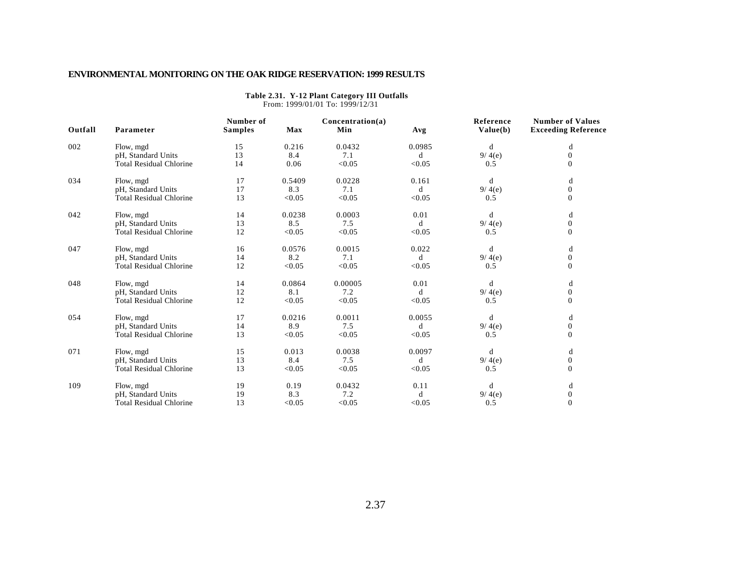|         | From: 1999/01/01 To: 1999/12/31 |                             |            |                         |        |                       |                                                       |  |  |  |  |  |
|---------|---------------------------------|-----------------------------|------------|-------------------------|--------|-----------------------|-------------------------------------------------------|--|--|--|--|--|
| Outfall | Parameter                       | Number of<br><b>Samples</b> | <b>Max</b> | Concentration(a)<br>Min | Avg    | Reference<br>Value(b) | <b>Number of Values</b><br><b>Exceeding Reference</b> |  |  |  |  |  |
| 002     | Flow, mgd                       | 15                          | 0.216      | 0.0432                  | 0.0985 | d                     | d                                                     |  |  |  |  |  |
|         | pH, Standard Units              | 13                          | 8.4        | 7.1                     | d      | 9/4(e)                | $\boldsymbol{0}$                                      |  |  |  |  |  |
|         | <b>Total Residual Chlorine</b>  | 14                          | 0.06       | < 0.05                  | < 0.05 | 0.5                   | $\mathbf{0}$                                          |  |  |  |  |  |
| 034     | Flow, mgd                       | 17                          | 0.5409     | 0.0228                  | 0.161  | d                     | d                                                     |  |  |  |  |  |
|         | pH, Standard Units              | 17                          | 8.3        | 7.1                     | d      | 9/4(e)                | $\mathbf{0}$                                          |  |  |  |  |  |
|         | <b>Total Residual Chlorine</b>  | 13                          | < 0.05     | < 0.05                  | < 0.05 | 0.5                   | $\Omega$                                              |  |  |  |  |  |
| 042     | Flow, mgd                       | 14                          | 0.0238     | 0.0003                  | 0.01   | d                     | d                                                     |  |  |  |  |  |
|         | pH, Standard Units              | 13                          | 8.5        | 7.5                     | d      | 9/4(e)                | $\boldsymbol{0}$                                      |  |  |  |  |  |
|         | <b>Total Residual Chlorine</b>  | 12                          | < 0.05     | < 0.05                  | < 0.05 | 0.5                   | $\mathbf{0}$                                          |  |  |  |  |  |
| 047     | Flow, mgd                       | 16                          | 0.0576     | 0.0015                  | 0.022  | d                     | d                                                     |  |  |  |  |  |
|         | pH, Standard Units              | 14                          | 8.2        | 7.1                     | d      | 9/4(e)                | $\boldsymbol{0}$                                      |  |  |  |  |  |
|         | <b>Total Residual Chlorine</b>  | 12                          | < 0.05     | < 0.05                  | < 0.05 | 0.5                   | $\mathbf{0}$                                          |  |  |  |  |  |
| 048     | Flow, mgd                       | 14                          | 0.0864     | 0.00005                 | 0.01   | d                     | $\mathbf d$                                           |  |  |  |  |  |
|         | pH, Standard Units              | 12                          | 8.1        | 7.2                     | d      | 9/4(e)                | $\boldsymbol{0}$                                      |  |  |  |  |  |
|         | <b>Total Residual Chlorine</b>  | 12                          | < 0.05     | < 0.05                  | < 0.05 | 0.5                   | $\Omega$                                              |  |  |  |  |  |
| 054     | Flow, mgd                       | 17                          | 0.0216     | 0.0011                  | 0.0055 | d                     | d                                                     |  |  |  |  |  |
|         | pH, Standard Units              | 14                          | 8.9        | 7.5                     | d      | 9/4(e)                | $\boldsymbol{0}$                                      |  |  |  |  |  |
|         | <b>Total Residual Chlorine</b>  | 13                          | < 0.05     | < 0.05                  | < 0.05 | 0.5                   | $\mathbf{0}$                                          |  |  |  |  |  |
| 071     | Flow, mgd                       | 15                          | 0.013      | 0.0038                  | 0.0097 | d                     | d                                                     |  |  |  |  |  |
|         | pH, Standard Units              | 13                          | 8.4        | 7.5                     | d      | 9/4(e)                | $\boldsymbol{0}$                                      |  |  |  |  |  |
|         | <b>Total Residual Chlorine</b>  | 13                          | < 0.05     | < 0.05                  | < 0.05 | 0.5                   | $\mathbf{0}$                                          |  |  |  |  |  |
| 109     | Flow, mgd                       | 19                          | 0.19       | 0.0432                  | 0.11   | d                     | d                                                     |  |  |  |  |  |
|         | pH, Standard Units              | 19                          | 8.3        | 7.2                     | d      | 9/4(e)                | $\mathbf{0}$                                          |  |  |  |  |  |
|         | <b>Total Residual Chlorine</b>  | 13                          | < 0.05     | < 0.05                  | < 0.05 | 0.5                   | $\mathbf{0}$                                          |  |  |  |  |  |

# **Table 2.31. Y-12 Plant Category III Outfalls**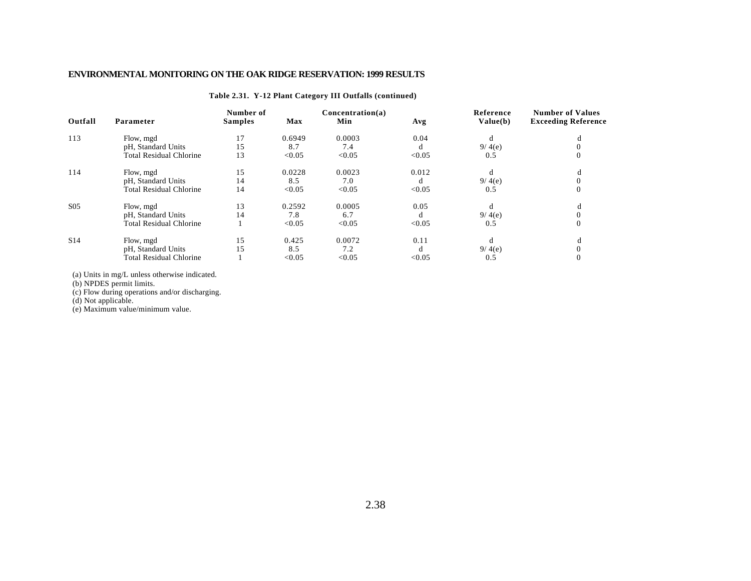#### **Table 2.31. Y-12 Plant Category III Outfalls (continued)**

| Outfall         | Parameter                      | Number of<br><b>Samples</b> | <b>Max</b> | Concentration(a)<br>Min | Avg    | Reference<br>Value(b) | <b>Number of Values</b><br><b>Exceeding Reference</b> |
|-----------------|--------------------------------|-----------------------------|------------|-------------------------|--------|-----------------------|-------------------------------------------------------|
| 113             | Flow, mgd                      | 17                          | 0.6949     | 0.0003                  | 0.04   |                       |                                                       |
|                 | pH, Standard Units             | 15                          | 8.7        | 7.4                     |        | 9/4(e)                |                                                       |
|                 | <b>Total Residual Chlorine</b> | 13                          | < 0.05     | < 0.05                  | < 0.05 | 0.5                   |                                                       |
| 114             | Flow, mgd                      | 15                          | 0.0228     | 0.0023                  | 0.012  |                       |                                                       |
|                 | pH, Standard Units             | 14                          | 8.5        | 7.0                     |        | 9/4(e)                |                                                       |
|                 | <b>Total Residual Chlorine</b> | 14                          | < 0.05     | < 0.05                  | < 0.05 | 0.5                   |                                                       |
| S <sub>05</sub> | Flow, mgd                      | 13                          | 0.2592     | 0.0005                  | 0.05   |                       |                                                       |
|                 | pH, Standard Units             | 14                          | 7.8        | 6.7                     | O      | 9/4(e)                |                                                       |
|                 | Total Residual Chlorine        |                             | < 0.05     | < 0.05                  | < 0.05 | 0.5                   |                                                       |
| S <sub>14</sub> | Flow, mgd                      | 15                          | 0.425      | 0.0072                  | 0.11   |                       |                                                       |
|                 | pH, Standard Units             | 15                          | 8.5        | 7.2                     |        | 9/4(e)                |                                                       |
|                 | <b>Total Residual Chlorine</b> |                             | < 0.05     | < 0.05                  | < 0.05 | 0.5                   |                                                       |

(a) Units in mg/L unless otherwise indicated.

(b) NPDES permit limits.

(c) Flow during operations and/or discharging.

(d) Not applicable.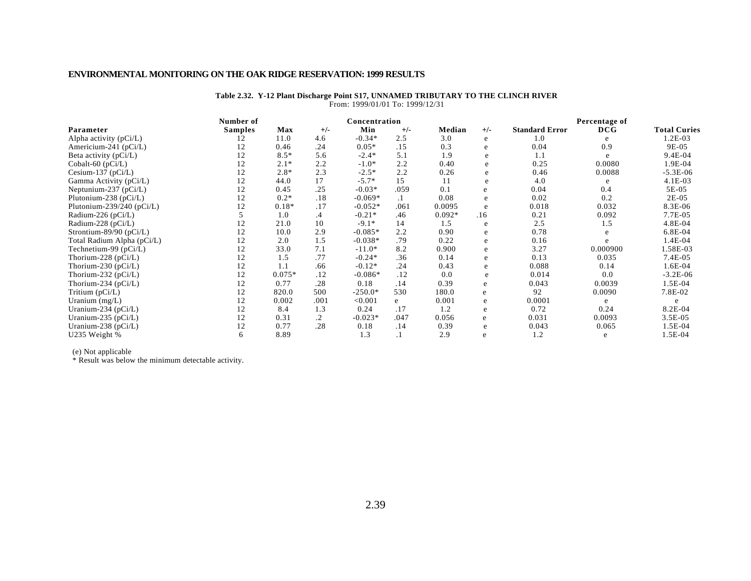#### **Table 2.32. Y-12 Plant Discharge Point S17, UNNAMED TRIBUTARY TO THE CLINCH RIVER** From: 1999/01/01 To: 1999/12/31

|                             | Number of      |          |         | Concentration |         |          |       |                       | Percentage of |                     |
|-----------------------------|----------------|----------|---------|---------------|---------|----------|-------|-----------------------|---------------|---------------------|
| Parameter                   | <b>Samples</b> | Max      | $+/-$   | Min           | $+/-$   | Median   | $+/-$ | <b>Standard Error</b> | DCG           | <b>Total Curies</b> |
| Alpha activity $(pCi/L)$    | 12             | 11.0     | 4.6     | $-0.34*$      | 2.5     | 3.0      | e     | 1.0                   |               | $1.2E-03$           |
| Americium-241 ( $pCi/L$ )   | 12             | 0.46     | .24     | $0.05*$       | .15     | 0.3      | e     | 0.04                  | 0.9           | 9E-05               |
| Beta activity (pCi/L)       | 12             | $8.5*$   | 5.6     | $-2.4*$       | 5.1     | 1.9      | e     | 1.1                   | e             | $9.4E - 04$         |
| Cobalt-60 (pCi/L)           | 12             | $2.1*$   | 2.2     | $-1.0*$       | 2.2     | 0.40     | e     | 0.25                  | 0.0080        | 1.9E-04             |
| Cesium-137 ( $pCi/L$ )      | 12             | $2.8*$   | 2.3     | $-2.5*$       | 2.2     | 0.26     | e     | 0.46                  | 0.0088        | $-5.3E-06$          |
| Gamma Activity (pCi/L)      | 12             | 44.0     | 17      | $-5.7*$       | 15      | 11       | e     | 4.0                   |               | 4.1E-03             |
| Neptunium-237 ( $pCi/L$ )   | 12             | 0.45     | .25     | $-0.03*$      | .059    | 0.1      | e     | 0.04                  | 0.4           | 5E-05               |
| Plutonium-238 (pCi/L)       | 12             | $0.2*$   | .18     | $-0.069*$     | $\cdot$ | 0.08     |       | 0.02                  | 0.2           | $2E-05$             |
| Plutonium-239/240 (pCi/L)   | 12             | $0.18*$  | .17     | $-0.052*$     | .061    | 0.0095   | e     | 0.018                 | 0.032         | 8.3E-06             |
| Radium-226 (pCi/L)          |                | 1.0      | $\cdot$ | $-0.21*$      | .46     | $0.092*$ | .16   | 0.21                  | 0.092         | 7.7E-05             |
| Radium-228 (pCi/L)          | 12             | 21.0     | 10      | $-9.1*$       | 14      | 1.5      | e     | 2.5                   | 1.5           | 4.8E-04             |
| Strontium-89/90 ( $pCi/L$ ) | 12             | 10.0     | 2.9     | $-0.085*$     | 2.2     | 0.90     | e     | 0.78                  |               | $6.8E-04$           |
| Total Radium Alpha (pCi/L)  | 12             | 2.0      | 1.5     | $-0.038*$     | .79     | 0.22     | e     | 0.16                  |               | 1.4E-04             |
| Technetium-99 $(pCi/L)$     | 12             | 33.0     | 7.1     | $-11.0*$      | 8.2     | 0.900    | e     | 3.27                  | 0.000900      | 1.58E-03            |
| Thorium-228 ( $pCi/L$ )     | 12             | 1.5      | .77     | $-0.24*$      | .36     | 0.14     | e     | 0.13                  | 0.035         | 7.4E-05             |
| Thorium-230 ( $pCi/L$ )     | 12             | 1.1      | .66     | $-0.12*$      | .24     | 0.43     | e     | 0.088                 | 0.14          | 1.6E-04             |
| Thorium-232 ( $pCi/L$ )     | 12             | $0.075*$ | .12     | $-0.086*$     | .12     | 0.0      | e     | 0.014                 | 0.0           | $-3.2E-06$          |
| Thorium-234 (pCi/L)         | 12             | 0.77     | .28     | 0.18          | .14     | 0.39     | e     | 0.043                 | 0.0039        | 1.5E-04             |
| Tritium (pCi/L)             | 12             | 820.0    | 500     | $-250.0*$     | 530     | 180.0    | e     | 92                    | 0.0090        | 7.8E-02             |
| Uranium $(mg/L)$            | 12             | 0.002    | .001    | < 0.001       | e       | 0.001    | e     | 0.0001                | e             | e                   |
| Uranium-234 ( $pCi/L$ )     | 12             | 8.4      | 1.3     | 0.24          | .17     | 1.2      | e     | 0.72                  | 0.24          | 8.2E-04             |
| Uranium-235 ( $pCi/L$ )     | 12             | 0.31     | .2      | $-0.023*$     | .047    | 0.056    | e     | 0.031                 | 0.0093        | $3.5E-0.5$          |
| Uranium-238 (pCi/L)         | 12             | 0.77     | .28     | 0.18          | .14     | 0.39     | e     | 0.043                 | 0.065         | 1.5E-04             |
| U235 Weight %               | 6              | 8.89     |         | 1.3           |         | 2.9      | e     | 1.2                   | e             | 1.5E-04             |

(e) Not applicable

\* Result was below the minimum detectable activity.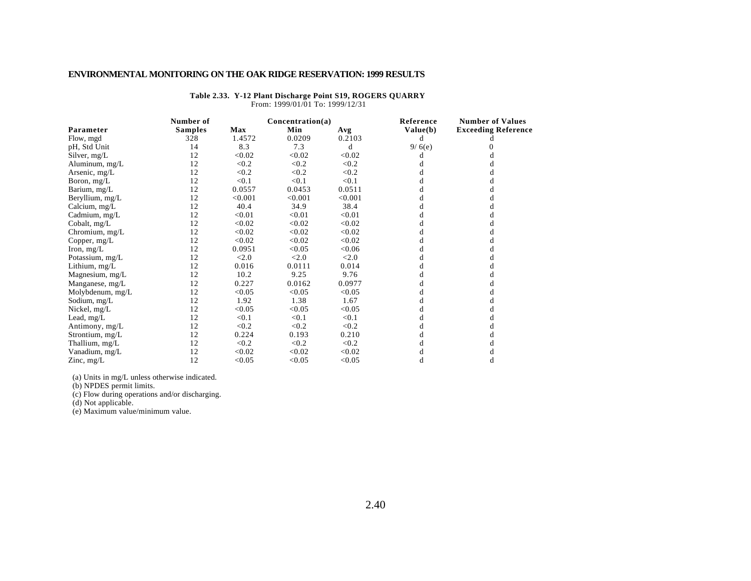| Table 2.33. Y-12 Plant Discharge Point S19, ROGERS QUARRY |  |
|-----------------------------------------------------------|--|
| From: 1999/01/01 To: 1999/12/31                           |  |

|                  | Number of      | Concentration(a) |         |         | Reference | <b>Number of Values</b>    |
|------------------|----------------|------------------|---------|---------|-----------|----------------------------|
| Parameter        | <b>Samples</b> | <b>Max</b>       | Min     | Avg     | Value(b)  | <b>Exceeding Reference</b> |
| Flow, mgd        | 328            | 1.4572           | 0.0209  | 0.2103  | d         |                            |
| pH, Std Unit     | 14             | 8.3              | 7.3     | d       | 9/6(e)    |                            |
| Silver, mg/L     | 12             | < 0.02           | < 0.02  | < 0.02  |           |                            |
| Aluminum, mg/L   | 12             | < 0.2            | < 0.2   | < 0.2   |           |                            |
| Arsenic, mg/L    | 12             | < 0.2            | < 0.2   | < 0.2   |           |                            |
| Boron, $mg/L$    | 12             | < 0.1            | < 0.1   | < 0.1   |           |                            |
| Barium, mg/L     | 12             | 0.0557           | 0.0453  | 0.0511  |           |                            |
| Beryllium, mg/L  | 12             | < 0.001          | < 0.001 | < 0.001 |           |                            |
| Calcium, mg/L    | 12             | 40.4             | 34.9    | 38.4    |           | d                          |
| Cadmium, mg/L    | 12             | < 0.01           | < 0.01  | < 0.01  |           |                            |
| Cobalt, mg/L     | 12             | < 0.02           | < 0.02  | < 0.02  |           |                            |
| Chromium, $mg/L$ | 12             | < 0.02           | < 0.02  | < 0.02  |           |                            |
| Copper, mg/L     | 12             | < 0.02           | < 0.02  | < 0.02  |           |                            |
| Iron, $mg/L$     | 12             | 0.0951           | < 0.05  | < 0.06  |           |                            |
| Potassium, mg/L  | 12             | < 2.0            | < 2.0   | < 2.0   |           |                            |
| Lithium, mg/L    | 12             | 0.016            | 0.0111  | 0.014   |           |                            |
| Magnesium, mg/L  | 12             | 10.2             | 9.25    | 9.76    |           |                            |
| Manganese, mg/L  | 12             | 0.227            | 0.0162  | 0.0977  |           | а                          |
| Molybdenum, mg/L | 12             | < 0.05           | < 0.05  | < 0.05  |           |                            |
| Sodium, mg/L     | 12             | 1.92             | 1.38    | 1.67    |           | đ                          |
| Nickel, mg/L     | 12             | < 0.05           | < 0.05  | < 0.05  |           |                            |
| Lead, $mg/L$     | 12             | < 0.1            | < 0.1   | < 0.1   |           |                            |
| Antimony, mg/L   | 12             | < 0.2            | < 0.2   | < 0.2   |           |                            |
| Strontium, mg/L  | 12             | 0.224            | 0.193   | 0.210   |           |                            |
| Thallium, mg/L   | 12             | < 0.2            | < 0.2   | < 0.2   |           |                            |
| Vanadium, mg/L   | 12             | < 0.02           | < 0.02  | < 0.02  |           |                            |
| Zinc, $mg/L$     | 12             | < 0.05           | < 0.05  | < 0.05  | d         | d                          |

(a) Units in mg/L unless otherwise indicated.

(b) NPDES permit limits.

(c) Flow during operations and/or discharging.

(d) Not applicable.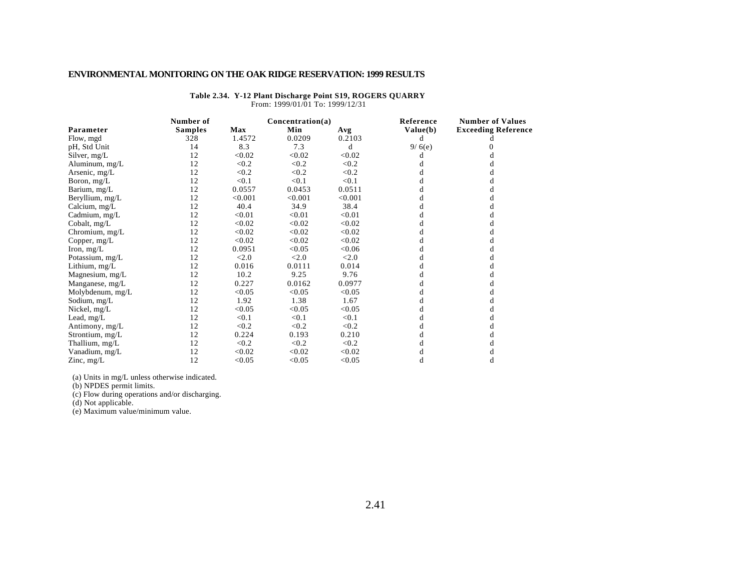| Table 2.34. Y-12 Plant Discharge Point S19, ROGERS QUARRY |
|-----------------------------------------------------------|
| From: 1999/01/01 To: 1999/12/31                           |

|                  | Number of      | Concentration(a) |         |         | Reference | <b>Number of Values</b>    |
|------------------|----------------|------------------|---------|---------|-----------|----------------------------|
| Parameter        | <b>Samples</b> | <b>Max</b>       | Min     | Avg     | Value(b)  | <b>Exceeding Reference</b> |
| Flow, mgd        | 328            | 1.4572           | 0.0209  | 0.2103  | d         |                            |
| pH, Std Unit     | 14             | 8.3              | 7.3     | d       | 9/6(e)    |                            |
| Silver, $mg/L$   | 12             | < 0.02           | < 0.02  | < 0.02  |           |                            |
| Aluminum, mg/L   | 12             | < 0.2            | < 0.2   | < 0.2   |           |                            |
| Arsenic, mg/L    | 12             | < 0.2            | < 0.2   | < 0.2   |           |                            |
| Boron, $mg/L$    | 12             | < 0.1            | < 0.1   | < 0.1   |           |                            |
| Barium, mg/L     | 12             | 0.0557           | 0.0453  | 0.0511  |           |                            |
| Beryllium, mg/L  | 12             | < 0.001          | < 0.001 | < 0.001 |           |                            |
| Calcium, mg/L    | 12             | 40.4             | 34.9    | 38.4    |           |                            |
| Cadmium, mg/L    | 12             | < 0.01           | < 0.01  | < 0.01  |           |                            |
| Cobalt, $mg/L$   | 12             | < 0.02           | < 0.02  | < 0.02  |           |                            |
| Chromium, $mg/L$ | 12             | < 0.02           | < 0.02  | < 0.02  |           |                            |
| Copper, mg/L     | 12             | < 0.02           | < 0.02  | < 0.02  |           |                            |
| Iron, $mg/L$     | 12             | 0.0951           | < 0.05  | < 0.06  |           |                            |
| Potassium, mg/L  | 12             | < 2.0            | < 2.0   | < 2.0   |           |                            |
| Lithium, mg/L    | 12             | 0.016            | 0.0111  | 0.014   |           |                            |
| Magnesium, mg/L  | 12             | 10.2             | 9.25    | 9.76    |           |                            |
| Manganese, mg/L  | 12             | 0.227            | 0.0162  | 0.0977  |           |                            |
| Molybdenum, mg/L | 12             | < 0.05           | < 0.05  | < 0.05  |           |                            |
| Sodium, mg/L     | 12             | 1.92             | 1.38    | 1.67    |           |                            |
| Nickel, mg/L     | 12             | < 0.05           | < 0.05  | < 0.05  |           |                            |
| Lead, $mg/L$     | 12             | < 0.1            | < 0.1   | < 0.1   |           |                            |
| Antimony, mg/L   | 12             | < 0.2            | < 0.2   | < 0.2   |           |                            |
| Strontium, mg/L  | 12             | 0.224            | 0.193   | 0.210   |           |                            |
| Thallium, mg/L   | 12             | < 0.2            | < 0.2   | < 0.2   |           |                            |
| Vanadium, mg/L   | 12             | < 0.02           | < 0.02  | < 0.02  |           |                            |
| Zinc, $mg/L$     | 12             | < 0.05           | < 0.05  | < 0.05  | d         | d                          |

(a) Units in mg/L unless otherwise indicated.

(b) NPDES permit limits.

(c) Flow during operations and/or discharging.

(d) Not applicable.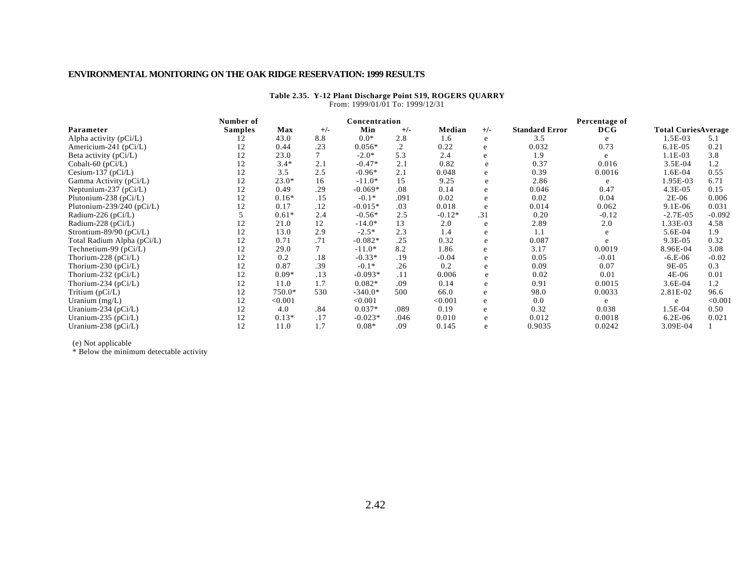|                               | Number of      |            |        | Concentration |       |          |       |                       | Percentage of |                            |          |
|-------------------------------|----------------|------------|--------|---------------|-------|----------|-------|-----------------------|---------------|----------------------------|----------|
| Parameter                     | <b>Samples</b> | <b>Max</b> | $+/-$  | Min           | $+/-$ | Median   | $+/-$ | <b>Standard Error</b> | DCG           | <b>Total CuriesAverage</b> |          |
| Alpha activity (pCi/L)        |                | 43.0       | 8.8    | $0.0*$        | 2.8   | 1.6      | e     | 3.5                   | e             | $1.5E-03$                  | 5.1      |
| Americium-241 (pCi/L)         |                | 0.44       | .23    | $0.056*$      | .2    | 0.22     | e     | 0.032                 | 0.73          | $6.1E-05$                  | 0.21     |
| Beta activity $(pCi/L)$       | 12             | 23.0       | 7      | $-2.0*$       | 5.3   | 2.4      | e     | 1.9                   | e             | $1.1E-03$                  | 3.8      |
| Cobalt-60 (pCi/L)             | 12             | $3.4*$     | 2.1    | $-0.47*$      | 2.1   | 0.82     | e     | 0.37                  | 0.016         | $3.5E-04$                  | 1.2      |
| Cesium-137 ( $pCi/L$ )        | 12             | 3.5        | 2.5    | $-0.96*$      | 2.1   | 0.048    | e     | 0.39                  | 0.0016        | 1.6E-04                    | 0.55     |
| Gamma Activity (pCi/L)        | 12             | $23.0*$    | 16     | $-11.0*$      | 15    | 9.25     | e     | 2.86                  | e             | 1.95E-03                   | 6.71     |
| Neptunium-237 ( $pCi/L$ )     | 12             | 0.49       | .29    | $-0.069*$     | .08   | 0.14     | e     | 0.046                 | 0.47          | $4.3E-05$                  | 0.15     |
| Plutonium-238 ( $pCi/L$ )     | 12             | $0.16*$    | .15    | $-0.1*$       | .091  | 0.02     | e     | 0.02                  | 0.04          | $2E-06$                    | 0.006    |
| Plutonium-239/240 ( $pCi/L$ ) | 12             | 0.17       | .12    | $-0.015*$     | .03   | 0.018    | e     | 0.014                 | 0.062         | $9.1E-06$                  | 0.031    |
| Radium-226 (pCi/L)            |                | $0.61*$    | 2.4    | $-0.56*$      | 2.5   | $-0.12*$ | .31   | 0.20                  | $-0.12$       | $-2.7E-0.5$                | $-0.092$ |
| Radium-228 (pCi/L)            | 12             | 21.0       | 12     | $-14.0*$      | 13    | 2.0      | e     | 2.89                  | 2.0           | 1.33E-03                   | 4.58     |
| Strontium-89/90 ( $pCi/L$ )   | 12             | 13.0       | 2.9    | $-2.5*$       | 2.3   | 1.4      | e     | 1.1                   | e             | 5.6E-04                    | 1.9      |
| Total Radium Alpha (pCi/L)    | 12             | 0.71       | .71    | $-0.082*$     | .25   | 0.32     | e     | 0.087                 | e.            | $9.3E-05$                  | 0.32     |
| Technetium-99 $(pCi/L)$       | 12             | 29.0       | $\tau$ | $-11.0*$      | 8.2   | 1.86     | e     | 3.17                  | 0.0019        | 8.96E-04                   | 3.08     |
| Thorium-228 (pCi/L)           | 12             | 0.2        | .18    | $-0.33*$      | .19   | $-0.04$  | e     | 0.05                  | $-0.01$       | $-6.E-06$                  | $-0.02$  |
| Thorium-230 (pCi/L)           | 12             | 0.87       | .39    | $-0.1*$       | .26   | 0.2      | e     | 0.09                  | 0.07          | 9E-05                      | 0.3      |
| Thorium-232 ( $pCi/L$ )       | 12             | $0.09*$    | .13    | $-0.093*$     | .11   | 0.006    | e     | 0.02                  | 0.01          | 4E-06                      | 0.01     |
| Thorium-234 ( $pCi/L$ )       | 12             | 11.0       | 1.7    | $0.082*$      | .09   | 0.14     | e     | 0.91                  | 0.0015        | $3.6E-04$                  | 1.2      |
| Tritium $(pCi/L)$             | 12             | 750.0*     | 530    | $-340.0*$     | 500   | 66.0     | e     | 98.0                  | 0.0033        | 2.81E-02                   | 96.6     |
| Uranium $(mg/L)$              | 12             | < 0.001    |        | < 0.001       |       | < 0.001  | e     | 0.0                   |               | e                          | < 0.001  |
| Uranium-234 ( $pCi/L$ )       | 12             | 4.0        | .84    | $0.037*$      | .089  | 0.19     | e     | 0.32                  | 0.038         | 1.5E-04                    | 0.50     |
| Uranium-235 ( $pCi/L$ )       | 12             | $0.13*$    | .17    | $-0.023*$     | .046  | 0.010    | e     | 0.012                 | 0.0018        | $6.2E-06$                  | 0.021    |
| Uranium-238 ( $pCi/L$ )       | 12             | 11.0       | 1.7    | $0.08*$       | .09   | 0.145    | e     | 0.9035                | 0.0242        | 3.09E-04                   |          |

#### **Table 2.35. Y-12 Plant Discharge Point S19, ROGERS QUARRY** From: 1999/01/01 To: 1999/12/31

(e) Not applicable

\* Below the minimum detectable activity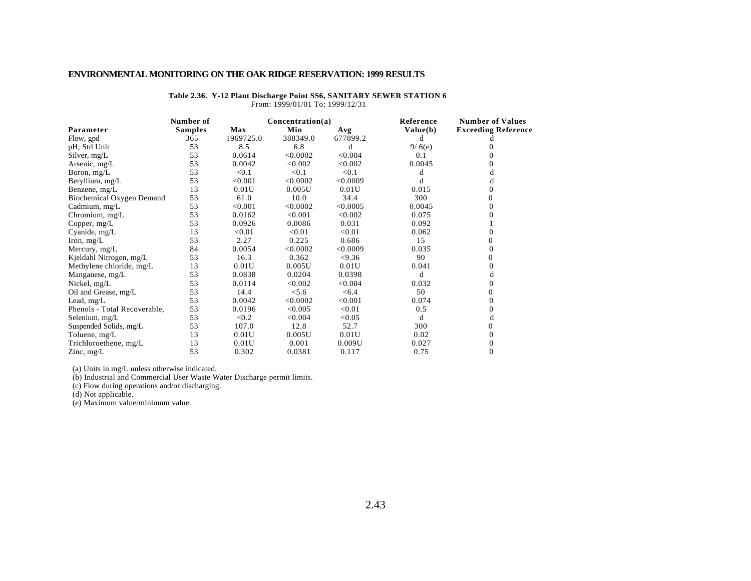|                              | Number of      |           | Concentration(a) |          | Reference | <b>Number of Values</b>    |
|------------------------------|----------------|-----------|------------------|----------|-----------|----------------------------|
| Parameter                    | <b>Samples</b> | Max       | Min              | Avg      | Value(b)  | <b>Exceeding Reference</b> |
| Flow, gpd                    | 365            | 1969725.0 | 388349.0         | 677899.2 | d         |                            |
| pH, Std Unit                 | 53             | 8.5       | 6.8              | d        | 9/6(e)    |                            |
| Silver, mg/L                 | 53             | 0.0614    | < 0.0002         | < 0.004  | 0.1       |                            |
| Arsenic, mg/L                | 53             | 0.0042    | < 0.002          | < 0.002  | 0.0045    |                            |
| Boron, $mg/L$                | 53             | < 0.1     | < 0.1            | < 0.1    | d         | d                          |
| Beryllium, mg/L              | 53             | < 0.001   | < 0.0002         | < 0.0009 |           | d                          |
| Benzene, mg/L                | 13             | 0.01U     | 0.005U           | 0.01U    | 0.015     | 0                          |
| Biochemical Oxygen Demand    | 53             | 61.0      | 10.0             | 34.4     | 300       |                            |
| Cadmium, mg/L                | 53             | < 0.001   | < 0.0002         | < 0.0005 | 0.0045    | 0                          |
| Chromium, $mg/L$             | 53             | 0.0162    | < 0.001          | < 0.002  | 0.075     |                            |
| Copper, $mg/L$               | 53             | 0.0926    | 0.0086           | 0.031    | 0.092     |                            |
| Cyanide, mg/L                | 13             | < 0.01    | < 0.01           | < 0.01   | 0.062     | 0                          |
| Iron, $mg/L$                 | 53             | 2.27      | 0.225            | 0.686    | 15        |                            |
| Mercury, mg/L                | 84             | 0.0054    | < 0.0002         | < 0.0009 | 0.035     | 0                          |
| Kjeldahl Nitrogen, mg/L      | 53             | 16.3      | 0.362            | < 9.36   | 90        | 0                          |
| Methylene chloride, mg/L     | 13             | 0.01U     | 0.005U           | 0.01U    | 0.041     | 0                          |
| Manganese, mg/L              | 53             | 0.0838    | 0.0204           | 0.0398   | d         | d                          |
| Nickel, $mg/L$               | 53             | 0.0114    | < 0.002          | < 0.004  | 0.032     | 0                          |
| Oil and Grease, mg/L         | 53             | 14.4      | < 5.6            | < 6.4    | 50        | $\Omega$                   |
| Lead, $mg/L$                 | 53             | 0.0042    | < 0.0002         | < 0.001  | 0.074     | $\Omega$                   |
| Phenols - Total Recoverable, | 53             | 0.0196    | < 0.005          | < 0.01   | 0.5       |                            |
| Selenium, mg/L               | 53             | < 0.2     | < 0.004          | < 0.05   | d         | d                          |
| Suspended Solids, mg/L       | 53             | 107.0     | 12.8             | 52.7     | 300       | 0                          |
| Toluene, mg/L                | 13             | 0.01U     | 0.005U           | 0.01U    | 0.02      |                            |
| Trichloroethene, mg/L        | 13             | 0.01U     | 0.001            | 0.009U   | 0.027     | $\theta$                   |
| Zinc, $mg/L$                 | 53             | 0.302     | 0.0381           | 0.117    | 0.75      | 0                          |

#### **Table 2.36. Y-12 Plant Discharge Point SS6, SANITARY SEWER STATION 6** From: 1999/01/01 To: 1999/12/31

(a) Units in mg/L unless otherwise indicated.

(b) Industrial and Commercial User Waste Water Discharge permit limits.

(c) Flow during operations and/or discharging.

(d) Not applicable.

(e) Maximum value/minimum value.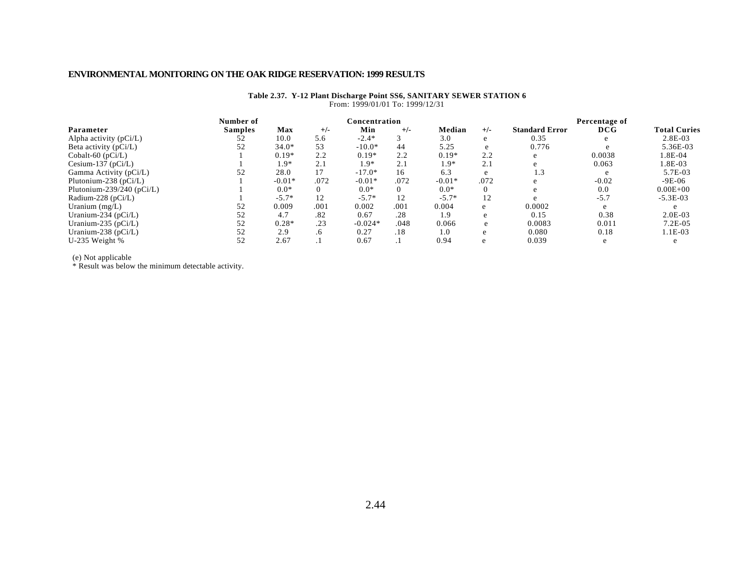|                               | Number of      | Concentration |           |           |       |          |       | Percentage of         |         |                     |  |
|-------------------------------|----------------|---------------|-----------|-----------|-------|----------|-------|-----------------------|---------|---------------------|--|
| Parameter                     | <b>Samples</b> | Max           | $+/-$     | Min       | $+/-$ | Median   | $+/-$ | <b>Standard Error</b> | DCG     | <b>Total Curies</b> |  |
| Alpha activity $(pCi/L)$      | 52             | 10.0          | 5.6       | $-2.4*$   |       | 3.0      | e     | 0.35                  |         | $2.8E-03$           |  |
| Beta activity $(pCi/L)$       | 52             | $34.0*$       | 53        | $-10.0*$  | 44    | 5.25     | e     | 0.776                 |         | 5.36E-03            |  |
| Cobalt-60 $(pCi/L)$           |                | $0.19*$       | 2.2       | $0.19*$   | 2.2   | $0.19*$  | 2.2   | e                     | 0.0038  | 1.8E-04             |  |
| Cesium-137 ( $pCi/L$ )        |                | $1.9*$        |           | 1.9*      | 2.1   | $1.9*$   | 2.1   | e                     | 0.063   | 1.8E-03             |  |
| Gamma Activity (pCi/L)        | 52             | 28.0          |           | $-17.0*$  | 16    | 6.3      |       | 1.3                   |         | 5.7E-03             |  |
| Plutonium-238 (pCi/L)         |                | $-0.01*$      | .072      | $-0.01*$  | .072  | $-0.01*$ | .072  | e                     | $-0.02$ | $-9E-06$            |  |
| Plutonium-239/240 ( $pCi/L$ ) |                | $0.0*$        |           | $0.0*$    | 0     | $0.0*$   | 0     | e                     | 0.0     | $0.00E + 00$        |  |
| Radium-228 ( $pCi/L$ )        |                | $-5.7*$       | 12        | $-5.7*$   | 12    | $-5.7*$  | 12    | e                     | $-5.7$  | $-5.3E-03$          |  |
| Uranium $(mg/L)$              | 52             | 0.009         | .001      | 0.002     | .001  | 0.004    | e     | 0.0002                | e       |                     |  |
| Uranium-234 ( $pCi/L$ )       | 52             | 4.7           | .82       | 0.67      | .28   | 1.9      | e     | 0.15                  | 0.38    | $2.0E-03$           |  |
| Uranium-235 ( $pCi/L$ )       | 52             | $0.28*$       | .23       | $-0.024*$ | .048  | 0.066    | e     | 0.0083                | 0.011   | $7.2E-05$           |  |
| Uranium-238 ( $pCi/L$ )       | 52             | 2.9           | $\cdot 6$ | 0.27      | .18   | 1.0      | e     | 0.080                 | 0.18    | 1.1E-03             |  |
| U-235 Weight %                | 52             | 2.67          |           | 0.67      |       | 0.94     | e     | 0.039                 | e       |                     |  |
|                               |                |               |           |           |       |          |       |                       |         |                     |  |

#### **Table 2.37. Y-12 Plant Discharge Point SS6, SANITARY SEWER STATION 6** From: 1999/01/01 To: 1999/12/31

(e) Not applicable

\* Result was below the minimum detectable activity.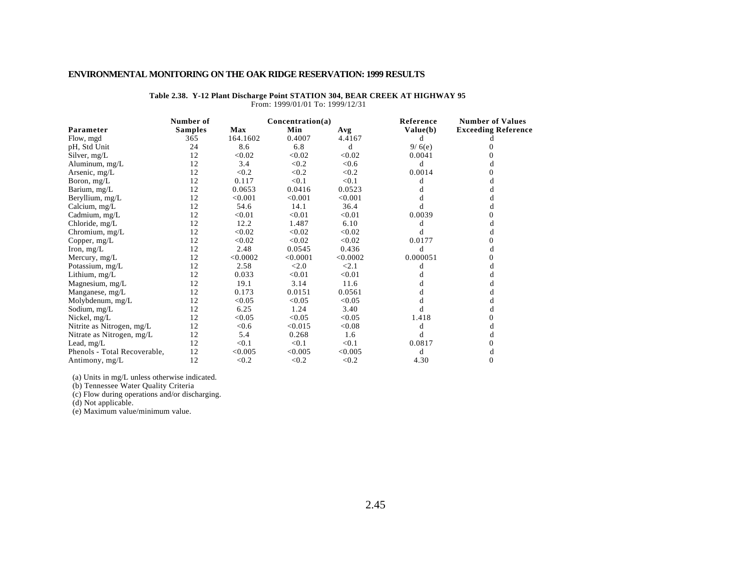|                              | Number of      |          | Concentration(a) |          | Reference | <b>Number of Values</b>    |
|------------------------------|----------------|----------|------------------|----------|-----------|----------------------------|
| Parameter                    | <b>Samples</b> | Max      | Min              | Avg      | Value(b)  | <b>Exceeding Reference</b> |
| Flow, mgd                    | 365            | 164.1602 | 0.4007           | 4.4167   | d         |                            |
| pH, Std Unit                 | 24             | 8.6      | 6.8              | d        | 9/6(e)    |                            |
| Silver, mg/L                 | 12             | < 0.02   | < 0.02           | < 0.02   | 0.0041    | $_{0}$                     |
| Aluminum, mg/L               | 12             | 3.4      | < 0.2            | < 0.6    | d         | d                          |
| Arsenic, mg/L                | 12             | < 0.2    | < 0.2            | < 0.2    | 0.0014    | 0                          |
| Boron, $mg/L$                | 12             | 0.117    | < 0.1            | < 0.1    | d         |                            |
| Barium, mg/L                 | 12             | 0.0653   | 0.0416           | 0.0523   | đ         | d                          |
| Beryllium, mg/L              | 12             | < 0.001  | < 0.001          | < 0.001  |           |                            |
| Calcium, mg/L                | 12             | 54.6     | 14.1             | 36.4     |           | d                          |
| Cadmium, mg/L                | 12             | < 0.01   | < 0.01           | < 0.01   | 0.0039    | 0                          |
| Chloride, mg/L               | 12             | 12.2     | 1.487            | 6.10     | đ         | d                          |
| Chromium, mg/L               | 12             | < 0.02   | < 0.02           | < 0.02   | d         | d                          |
| Copper, $mg/L$               | 12             | < 0.02   | < 0.02           | < 0.02   | 0.0177    |                            |
| Iron, $mg/L$                 | 12             | 2.48     | 0.0545           | 0.436    | d         |                            |
| Mercury, mg/L                | 12             | < 0.0002 | < 0.0001         | < 0.0002 | 0.000051  |                            |
| Potassium, mg/L              | 12             | 2.58     | < 2.0            | < 2.1    | d         |                            |
| Lithium, $mg/L$              | 12             | 0.033    | < 0.01           | < 0.01   |           |                            |
| Magnesium, mg/L              | 12             | 19.1     | 3.14             | 11.6     |           |                            |
| Manganese, mg/L              | 12             | 0.173    | 0.0151           | 0.0561   |           |                            |
| Molybdenum, mg/L             | 12             | < 0.05   | < 0.05           | < 0.05   |           |                            |
| Sodium, mg/L                 | 12             | 6.25     | 1.24             | 3.40     |           |                            |
| Nickel, mg/L                 | 12             | < 0.05   | < 0.05           | < 0.05   | 1.418     | 0                          |
| Nitrite as Nitrogen, mg/L    | 12             | < 0.6    | < 0.015          | < 0.08   | d         | d                          |
| Nitrate as Nitrogen, mg/L    | 12             | 5.4      | 0.268            | 1.6      | d         | d                          |
| Lead, mg/L                   | 12             | < 0.1    | < 0.1            | < 0.1    | 0.0817    |                            |
| Phenols - Total Recoverable, | 12             | < 0.005  | < 0.005          | < 0.005  | d         | d                          |
| Antimony, mg/L               | 12             | < 0.2    | < 0.2            | < 0.2    | 4.30      | $\Omega$                   |

#### **Table 2.38. Y-12 Plant Discharge Point STATION 304, BEAR CREEK AT HIGHWAY 95** From: 1999/01/01 To: 1999/12/31

(a) Units in mg/L unless otherwise indicated.

(b) Tennessee Water Quality Criteria

(c) Flow during operations and/or discharging.

(d) Not applicable.

(e) Maximum value/minimum value.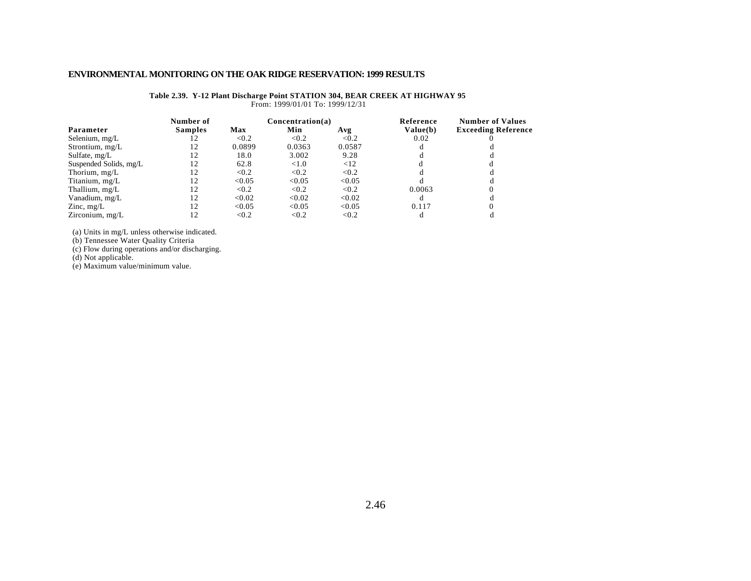|                        | Number of      |        | Concentration(a) |        | Reference | <b>Number of Values</b>    |
|------------------------|----------------|--------|------------------|--------|-----------|----------------------------|
| Parameter              | <b>Samples</b> | Max    | Min              | Avg    | Value(b)  | <b>Exceeding Reference</b> |
| Selenium, mg/L         |                | < 0.2  | < 0.2            | < 0.2  | 0.02      |                            |
| Strontium, $mg/L$      |                | 0.0899 | 0.0363           | 0.0587 |           |                            |
| Sulfate, mg/L          |                | 18.0   | 3.002            | 9.28   |           |                            |
| Suspended Solids, mg/L | 12             | 62.8   | < 1.0            | <12    |           |                            |
| Thorium, mg/L          | 12             | < 0.2  | < 0.2            | < 0.2  |           |                            |
| Titanium, mg/L         | 12             | < 0.05 | < 0.05           | < 0.05 |           |                            |
| Thallium, mg/L         | 12             | < 0.2  | < 0.2            | < 0.2  | 0.0063    |                            |
| Vanadium, mg/L         | 12             | < 0.02 | < 0.02           | < 0.02 |           |                            |
| Zinc, $mg/L$           | 12             | < 0.05 | < 0.05           | < 0.05 | 0.117     |                            |
| Zirconium, mg/L        |                | < 0.2  | < 0.2            | < 0.2  |           |                            |

**Table 2.39. Y-12 Plant Discharge Point STATION 304, BEAR CREEK AT HIGHWAY 95** From: 1999/01/01 To: 1999/12/31

(a) Units in mg/L unless otherwise indicated.

(b) Tennessee Water Quality Criteria

(c) Flow during operations and/or discharging.

(d) Not applicable.

(e) Maximum value/minimum value.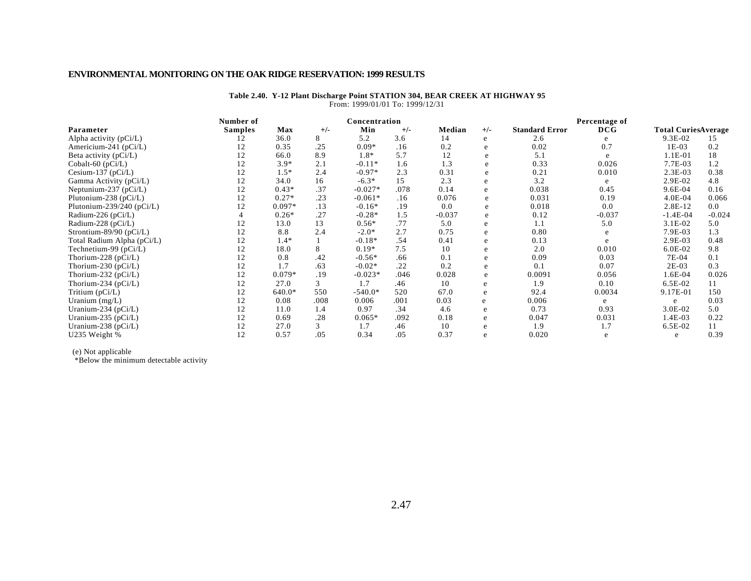#### **Table 2.40. Y-12 Plant Discharge Point STATION 304, BEAR CREEK AT HIGHWAY 95** From: 1999/01/01 To: 1999/12/31

|                               | Number of      |          | Concentration |           |       |          | Percentage of |                       |          |                            |          |
|-------------------------------|----------------|----------|---------------|-----------|-------|----------|---------------|-----------------------|----------|----------------------------|----------|
| Parameter                     | <b>Samples</b> | Max      | $+/-$         | Min       | $+/-$ | Median   | $+/-$         | <b>Standard Error</b> | DCG      | <b>Total CuriesAverage</b> |          |
| Alpha activity $(pCi/L)$      |                | 36.0     | 8             | 5.2       | 3.6   | 14       | e             | 2.6                   |          | 9.3E-02                    | 15       |
| Americium-241 ( $pCi/L$ )     |                | 0.35     | .25           | $0.09*$   | .16   | 0.2      | e             | 0.02                  | 0.7      | $1E-03$                    | 0.2      |
| Beta activity (pCi/L)         | 12             | 66.0     | 8.9           | $1.8*$    | 5.7   | 12       | e             | 5.1                   | e        | 1.1E-01                    | 18       |
| Cobalt-60 (pCi/L)             | 12             | $3.9*$   | 2.1           | $-0.11*$  | 1.6   | 1.3      | e             | 0.33                  | 0.026    | 7.7E-03                    | 1.2      |
| Cesium-137 ( $pCi/L$ )        | 12             | $1.5*$   | 2.4           | $-0.97*$  | 2.3   | 0.31     | e             | 0.21                  | 0.010    | $2.3E-03$                  | 0.38     |
| Gamma Activity (pCi/L)        | 12             | 34.0     | 16            | $-6.3*$   | 15    | 2.3      | e             | 3.2                   | e        | $2.9E-02$                  | 4.8      |
| Neptunium-237 $(pCi/L)$       | 12             | $0.43*$  | .37           | $-0.027*$ | .078  | 0.14     | e             | 0.038                 | 0.45     | $9.6E-04$                  | 0.16     |
| Plutonium-238 ( $pCi/L$ )     | 12             | $0.27*$  | .23           | $-0.061*$ | .16   | 0.076    | e             | 0.031                 | 0.19     | $4.0E-04$                  | 0.066    |
| Plutonium-239/240 ( $pCi/L$ ) | 12             | $0.097*$ | .13           | $-0.16*$  | .19   | 0.0      | e             | 0.018                 | 0.0      | $2.8E-12$                  | 0.0      |
| Radium-226 (pCi/L)            |                | $0.26*$  | .27           | $-0.28*$  | 1.5   | $-0.037$ | e             | 0.12                  | $-0.037$ | $-1.4E-04$                 | $-0.024$ |
| Radium-228 (pCi/L)            | 12             | 13.0     | 13            | $0.56*$   | .77   | 5.0      | e             | $1.1\,$               | 5.0      | $3.1E-02$                  | 5.0      |
| Strontium-89/90 (pCi/L)       | 12             | 8.8      | 2.4           | $-2.0*$   | 2.7   | 0.75     | e             | 0.80                  |          | 7.9E-03                    | 1.3      |
| Total Radium Alpha (pCi/L)    | 12             | $1.4*$   |               | $-0.18*$  | .54   | 0.41     | e             | 0.13                  |          | 2.9E-03                    | 0.48     |
| Technetium-99 ( $pCi/L$ )     | 12             | 18.0     | 8             | $0.19*$   | 7.5   | 10       | e             | 2.0                   | 0.010    | $6.0E-02$                  | 9.8      |
| Thorium-228 ( $pCi/L$ )       | 12             | 0.8      | .42           | $-0.56*$  | .66   | 0.1      | e             | 0.09                  | 0.03     | 7E-04                      | 0.1      |
| Thorium-230 ( $pCi/L$ )       | 12             | 1.7      | .63           | $-0.02*$  | .22   | 0.2      | e             | 0.1                   | 0.07     | $2E-03$                    | 0.3      |
| Thorium-232 ( $pCi/L$ )       | 12             | $0.079*$ | .19           | $-0.023*$ | .046  | 0.028    | e             | 0.0091                | 0.056    | 1.6E-04                    | 0.026    |
| Thorium-234 ( $pCi/L$ )       | 12             | 27.0     | 3             | 1.7       | .46   | 10       | e             | 1.9                   | 0.10     | $6.5E-02$                  | 11       |
| Tritium $(pCi/L)$             | 12             | 640.0*   | 550           | $-540.0*$ | 520   | 67.0     | e             | 92.4                  | 0.0034   | 9.17E-01                   | 150      |
| Uranium $(mg/L)$              | 12             | 0.08     | .008          | 0.006     | .001  | 0.03     | e             | 0.006                 | e        | e                          | 0.03     |
| Uranium-234 ( $pCi/L$ )       | 12             | 11.0     | 1.4           | 0.97      | .34   | 4.6      | e             | 0.73                  | 0.93     | 3.0E-02                    | 5.0      |
| Uranium-235 ( $pCi/L$ )       | 12             | 0.69     | .28           | $0.065*$  | .092  | 0.18     | e             | 0.047                 | 0.031    | 1.4E-03                    | 0.22     |
| Uranium-238 ( $pCi/L$ )       | 12             | 27.0     | 3             | 1.7       | .46   | 10       | e             | 1.9                   | 1.7      | $6.5E-02$                  | 11       |
| U235 Weight %                 | 12             | 0.57     | .05           | 0.34      | .05   | 0.37     | e             | 0.020                 |          | e                          | 0.39     |

(e) Not applicable

\*Below the minimum detectable activity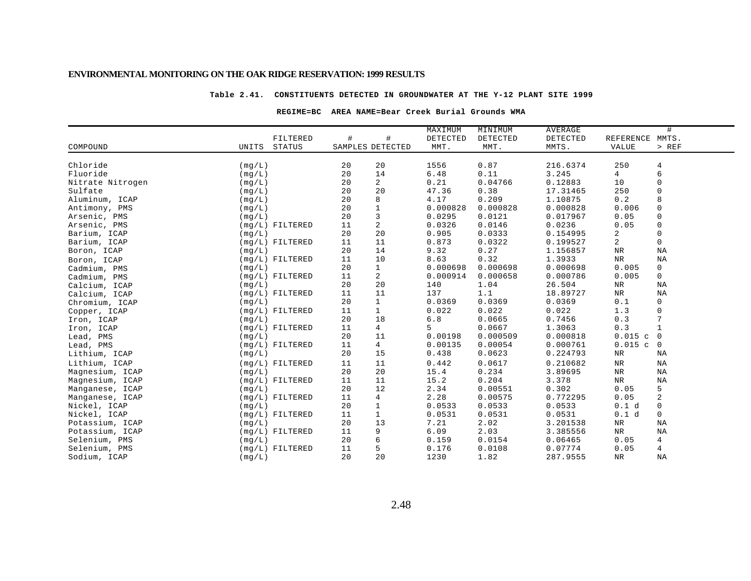### **Table 2.41. CONSTITUENTS DETECTED IN GROUNDWATER AT THE Y-12 PLANT SITE 1999**

### **REGIME=BC AREA NAME=Bear Creek Burial Grounds WMA**

|                  |        |                   |                  |                | MAXIMUM  | MINIMUM  | AVERAGE  |                | #              |
|------------------|--------|-------------------|------------------|----------------|----------|----------|----------|----------------|----------------|
|                  |        | FILTERED          | $\#$             | #              | DETECTED | DETECTED | DETECTED | REFERENCE      | MMTS.          |
| COMPOUND         | UNITS  | STATUS            | SAMPLES DETECTED |                | MMT.     | MMT.     | MMTS.    | <b>VALUE</b>   | $>$ REF        |
| Chloride         | (mg/L) |                   | 20               | 20             | 1556     | 0.87     | 216.6374 | 250            | 4              |
| Fluoride         | (mq/L) |                   | 20               | 14             | 6.48     | 0.11     | 3.245    | 4              | 6              |
| Nitrate Nitrogen | (mg/L) |                   | 20               | $\overline{a}$ | 0.21     | 0.04766  | 0.12883  | 10             | $\mathbf 0$    |
| Sulfate          | (mq/L) |                   | 20               | 20             | 47.36    | 0.38     | 17.31465 | 250            | $\Omega$       |
| Aluminum, ICAP   | (mq/L) |                   | 20               | 8              | 4.17     | 0.209    | 1.10875  | 0.2            | 8              |
| Antimony, PMS    | (mq/L) |                   | 20               | $\mathbf 1$    | 0.000828 | 0.000828 | 0.000828 | 0.006          | $\mathbf 0$    |
| Arsenic, PMS     | (mq/L) |                   | 20               | 3              | 0.0295   | 0.0121   | 0.017967 | 0.05           | $\mathbf 0$    |
| Arsenic, PMS     |        | $(mq/L)$ FILTERED | 11               | $\overline{a}$ | 0.0326   | 0.0146   | 0.0236   | 0.05           | $\mathbf 0$    |
| Barium, ICAP     | (mq/L) |                   | 20               | 20             | 0.905    | 0.0333   | 0.154995 | 2              | $\mathsf 0$    |
| Barium, ICAP     |        | $(mq/L)$ FILTERED | 11               | 11             | 0.873    | 0.0322   | 0.199527 | $\overline{a}$ | $\mathsf 0$    |
| Boron, ICAP      | (mq/L) |                   | 20               | 14             | 9.32     | 0.27     | 1.156857 | $_{\rm NR}$    | NA             |
| Boron, ICAP      |        | $(mq/L)$ FILTERED | 11               | 10             | 8.63     | 0.32     | 1.3933   | <b>NR</b>      | <b>NA</b>      |
| Cadmium, PMS     | (mq/L) |                   | 20               | $\mathbf{1}$   | 0.000698 | 0.000698 | 0.000698 | 0.005          | $\mathbf 0$    |
| Cadmium, PMS     |        | $(mq/L)$ FILTERED | 11               | $\overline{a}$ | 0.000914 | 0.000658 | 0.000786 | 0.005          | $\mathsf{O}$   |
| Calcium, ICAP    | (mq/L) |                   | 20               | 20             | 140      | 1.04     | 26.504   | NR             | NA             |
| Calcium, ICAP    |        | $(mg/L)$ FILTERED | 11               | 11             | 137      | 1.1      | 18.89727 | NR             | NA             |
| Chromium, ICAP   | (mq/L) |                   | 20               | $\mathbf 1$    | 0.0369   | 0.0369   | 0.0369   | 0.1            | 0              |
| Copper, ICAP     |        | $(mg/L)$ FILTERED | 11               | $\mathbf{1}$   | 0.022    | 0.022    | 0.022    | 1.3            | $\mathsf 0$    |
| Iron, ICAP       | (mq/L) |                   | 20               | 18             | $6.8$    | 0.0665   | 0.7456   | 0.3            | 7              |
| Iron, ICAP       |        | $(mg/L)$ FILTERED | 11               | $\overline{4}$ | 5        | 0.0667   | 1.3063   | 0.3            | $\mathbf{1}$   |
| Lead, PMS        | (mq/L) |                   | 20               | 11             | 0.00198  | 0.000509 | 0.000818 | 0.015c         | $\overline{0}$ |
| Lead, PMS        |        | $(mq/L)$ FILTERED | 11               | $\overline{4}$ | 0.00135  | 0.00054  | 0.000761 | $0.015$ c      | 0              |
| Lithium, ICAP    | (mg/L) |                   | 20               | 15             | 0.438    | 0.0623   | 0.224793 | NR             | ΝA             |
| Lithium, ICAP    |        | $(mq/L)$ FILTERED | 11               | 11             | 0.442    | 0.0617   | 0.210682 | ${\tt NR}$     | ΝA             |
| Magnesium, ICAP  | (mq/L) |                   | 20               | 20             | 15.4     | 0.234    | 3.89695  | NR             | ΝA             |
| Magnesium, ICAP  |        | $(mq/L)$ FILTERED | 11               | 11             | 15.2     | 0.204    | 3.378    | NR             | NA             |
| Manganese, ICAP  | (mq/L) |                   | 20               | 12             | 2.34     | 0.00551  | 0.302    | 0.05           | 5              |
| Manganese, ICAP  |        | $(mq/L)$ FILTERED | 11               | $\overline{4}$ | 2.28     | 0.00575  | 0.772295 | 0.05           | 2              |
| Nickel, ICAP     | (mq/L) |                   | 20               | $\mathbf 1$    | 0.0533   | 0.0533   | 0.0533   | 0.1 d          | 0              |
| Nickel, ICAP     |        | $(mq/L)$ FILTERED | 11               | $\mathbf{1}$   | 0.0531   | 0.0531   | 0.0531   | 0.1 d          | $\mathbf 0$    |
| Potassium, ICAP  | (mq/L) |                   | 20               | 13             | 7.21     | 2.02     | 3.201538 | NR             | NA             |
| Potassium, ICAP  |        | $(mq/L)$ FILTERED | 11               | 9              | 6.09     | 2.03     | 3.385556 | NR             | NA             |
| Selenium, PMS    | (mq/L) |                   | 20               | 6              | 0.159    | 0.0154   | 0.06465  | 0.05           | 4              |
| Selenium, PMS    |        | $(mq/L)$ FILTERED | 11               | 5              | 0.176    | 0.0108   | 0.07774  | 0.05           | 4              |
| Sodium, ICAP     | (mg/L) |                   | 20               | 20             | 1230     | 1.82     | 287.9555 | NR             | NA             |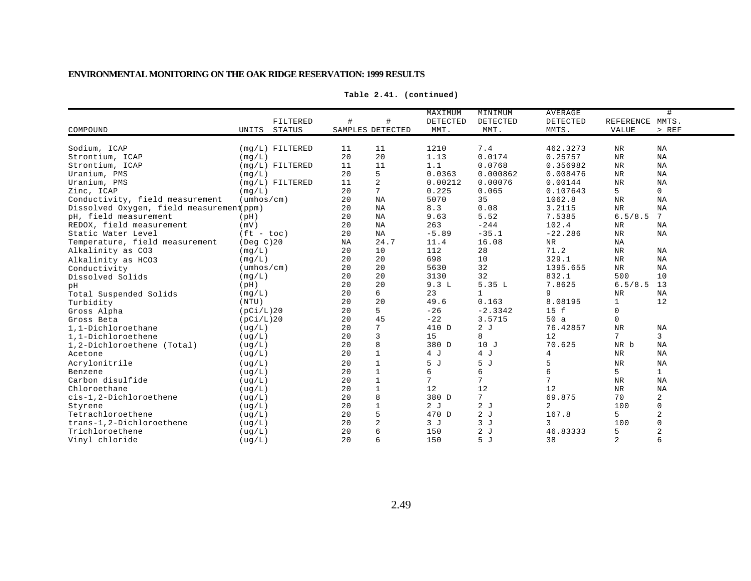| COMPOUND                                 | FILTERED<br><b>STATUS</b><br>UNITS | $\#$ | #<br>SAMPLES DETECTED | MAXIMUM<br>DETECTED<br>MMT. | MINIMUM<br>DETECTED<br>MMT. | <b>AVERAGE</b><br>DETECTED<br>MMTS. | REFERENCE MMTS.<br><b>VALUE</b> | #<br>$>$ REF    |
|------------------------------------------|------------------------------------|------|-----------------------|-----------------------------|-----------------------------|-------------------------------------|---------------------------------|-----------------|
| Sodium, ICAP                             | $(mq/L)$ FILTERED                  | 11   | 11                    | 1210                        | 7.4                         | 462.3273                            | <b>NR</b>                       | NA              |
| Strontium, ICAP                          | (mq/L)                             | 20   | 20                    | 1.13                        | 0.0174                      | 0.25757                             | <b>NR</b>                       | NA              |
| Strontium, ICAP                          | $(mq/L)$ FILTERED                  | 11   | 11                    | 1.1                         | 0.0768                      | 0.356982                            | $\rm{NR}$                       | NA              |
| Uranium, PMS                             | (mq/L)                             | 20   | 5                     | 0.0363                      | 0.000862                    | 0.008476                            | $\rm{NR}$                       | NA              |
| Uranium, PMS                             | $(mq/L)$ FILTERED                  | 11   | 2                     | 0.00212                     | 0.00076                     | 0.00144                             | $\rm{NR}$                       | NA              |
| Zinc, ICAP                               | (mq/L)                             | 20   | $7\phantom{.0}$       | 0.225                       | 0.065                       | 0.107643                            | 5                               | $\mathsf{O}$    |
| Conductivity, field measurement          | $(\text{umbos}/\text{cm})$         | 20   | ΝA                    | 5070                        | 35                          | 1062.8                              | $\rm NR$                        | NA              |
| Dissolved Oxygen, field measurement(ppm) |                                    | 20   | NA                    | 8.3                         | 0.08                        | 3.2115                              | <b>NR</b>                       | NA              |
| pH, field measurement                    | (pH)                               | 20   | NA                    | 9.63                        | 5.52                        | 7.5385                              | 6.5/8.5                         | $7\phantom{.0}$ |
| REDOX, field measurement                 | (mV)                               | 20   | NA                    | 263                         | $-244$                      | 102.4                               | $\rm NR$                        | ΝA              |
| Static Water Level                       | $(ft - toc)$                       | 20   | <b>NA</b>             | $-5.89$                     | $-35.1$                     | $-22.286$                           | <b>NR</b>                       | NA              |
| Temperature, field measurement           | $($ Deg $C$ $)$ 20                 | NA   | 24.7                  | 11.4                        | 16.08                       | NR                                  | NA                              |                 |
| Alkalinity as CO3                        | (mq/L)                             | 20   | 10                    | 112                         | 28                          | 71.2                                | $\rm NR$                        | NA              |
| Alkalinity as HCO3                       | (mq/L)                             | 20   | 20                    | 698                         | 10                          | 329.1                               | $\rm NR$                        | NA              |
| Conductivity                             | $(\text{umbos}/\text{cm})$         | 20   | 20                    | 5630                        | 32                          | 1395.655                            | $\rm{NR}$                       | NA              |
| Dissolved Solids                         | (mq/L)                             | 20   | 20                    | 3130                        | 32                          | 832.1                               | 500                             | 10              |
| pН                                       | (pH)                               | 20   | 20                    | 9.3L                        | 5.35L                       | 7.8625                              | 6.5/8.5                         | 13              |
| Total Suspended Solids                   | (mq/L)                             | 20   | 6                     | 23                          | $\mathbf 1$                 | 9                                   | $\rm NR$                        | NA              |
| Turbidity                                | (NTU)                              | 20   | 20                    | 49.6                        | 0.163                       | 8.08195                             | 1                               | 12              |
| Gross Alpha                              | (pCi/L)20                          | 20   | 5                     | $-26$                       | $-2.3342$                   | 15 f                                | $\Omega$                        |                 |
| Gross Beta                               | (pCi/L)20                          | 20   | 45                    | $-22$                       | 3.5715                      | 50a                                 | 0                               |                 |
| 1,1-Dichloroethane                       | (ug/L)                             | 20   | $7\phantom{.0}$       | 410 D                       | 2J                          | 76.42857                            | <b>NR</b>                       | ΝA              |
| 1.1-Dichloroethene                       | (ug/L)                             | 20   | $\overline{3}$        | 15                          | 8                           | 12                                  | 7                               | 3               |
| 1,2-Dichloroethene (Total)               | ( uq/L)                            | 20   | 8                     | 380 D                       | 10J                         | 70.625                              | NR b                            | NA              |
| Acetone                                  | (ug/L)                             | 20   | $\mathbf{1}$          | 4 J                         | 4 J                         | 4                                   | NR                              | NA              |
| Acrylonitrile                            | (ug/L)                             | 20   | $\mathbf{1}$          | 5 J                         | 5 J                         | 5                                   | NR                              | NA              |
| Benzene                                  | ( uq/L )                           | 20   | $1\,$                 | 6                           | 6                           | 6                                   | 5                               | $\mathbf{1}$    |
| Carbon disulfide                         | ( uq/L )                           | 20   | $\mathbf 1$           | $7\overline{ }$             | 7                           | 7                                   | $\rm{NR}$                       | NA              |
| Chloroethane                             | (ug/L)                             | 20   | $\mathbf{1}$          | 12                          | 12                          | 12                                  | $\rm{NR}$                       | NA              |
| cis-1,2-Dichloroethene                   | ( uq/L)                            | 20   | 8                     | 380 D                       | $7\overline{ }$             | 69.875                              | 70                              | 2               |
| Styrene                                  | ( uq/L)                            | 20   | $\mathbf 1$           | 2J                          | 2J                          | 2                                   | 100                             | 0               |
| Tetrachloroethene                        | ( uq/L)                            | 20   | 5                     | 470 D                       | 2J                          | 167.8                               | 5                               | 2               |
| trans-1,2-Dichloroethene                 | ( uq/L)                            | 20   | 2                     | 3J                          | 3J                          | 3                                   | 100                             | $\Omega$        |
| Trichloroethene                          | ( uq/L)                            | 20   | $6\phantom{1}6$       | 150                         | 2J                          | 46.83333                            | 5                               |                 |
| Vinyl chloride                           | ( uq/L)                            | 20   | $6\overline{6}$       | 150                         | 5J                          | 38                                  | 2                               | 6               |

**Table 2.41. (continued)**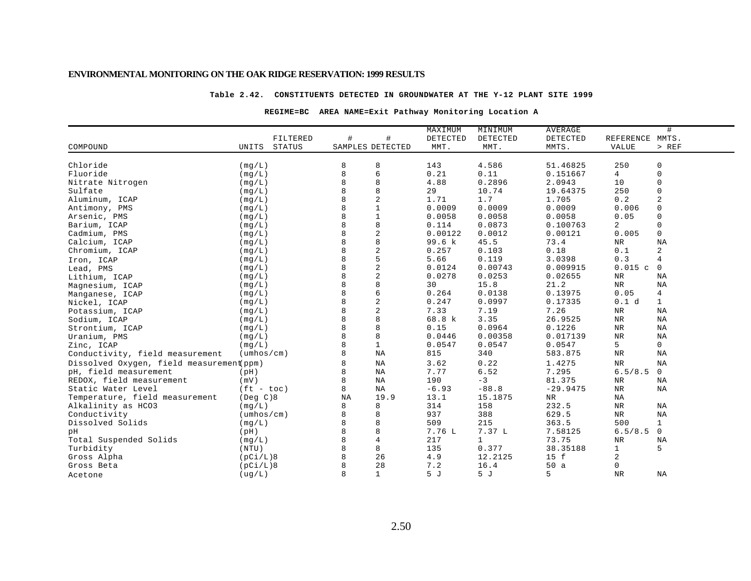#### **Table 2.42. CONSTITUENTS DETECTED IN GROUNDWATER AT THE Y-12 PLANT SITE 1999**

### **REGIME=BC AREA NAME=Exit Pathway Monitoring Location A**

|                                          |                            |              |                  | MAXIMUM  | MINIMUM      | AVERAGE    |                 | #              |
|------------------------------------------|----------------------------|--------------|------------------|----------|--------------|------------|-----------------|----------------|
|                                          | FILTERED                   | #            | $\#$             | DETECTED | DETECTED     | DETECTED   | REFERENCE MMTS. |                |
| COMPOUND                                 | <b>STATUS</b><br>UNITS     |              | SAMPLES DETECTED | MMT.     | MMT.         | MMTS.      | <b>VALUE</b>    | $>$ REF        |
|                                          |                            |              |                  |          |              |            |                 |                |
| Chloride                                 | (mq/L)                     | 8            | 8                | 143      | 4.586        | 51.46825   | 250             | 0              |
| Fluoride                                 | (mq/L)                     | $\mathsf{R}$ | 6                | 0.21     | 0.11         | 0.151667   | 4               | $\mathbf 0$    |
| Nitrate Nitrogen                         | (mq/L)                     | 8            | 8                | 4.88     | 0.2896       | 2.0943     | 10              | $\mathbf 0$    |
| Sulfate                                  | (mq/L)                     |              | 8                | 29       | 10.74        | 19.64375   | 250             | 0              |
| Aluminum, ICAP                           | (mq/L)                     |              | $\overline{c}$   | 1.71     | 1.7          | 1.705      | 0.2             | $\overline{2}$ |
| Antimony, PMS                            | (mg/L)                     |              | $\mathbf{1}$     | 0.0009   | 0.0009       | 0.0009     | 0.006           | $\Omega$       |
| Arsenic, PMS                             | (mq/L)                     |              | $\mathbf{1}$     | 0.0058   | 0.0058       | 0.0058     | 0.05            | $\Omega$       |
| Barium, ICAP                             | (mq/L)                     | 8            | 8                | 0.114    | 0.0873       | 0.100763   | 2               | $\mathbf 0$    |
| Cadmium, PMS                             | (mq/L)                     |              | $\overline{2}$   | 0.00122  | 0.0012       | 0.00121    | 0.005           | 0              |
| Calcium, ICAP                            | (mg/L)                     | 8            | $\,8\,$          | 99.6 k   | 45.5         | 73.4       | ${\tt NR}$      | NA             |
| Chromium, ICAP                           | (mg/L)                     |              | $\overline{c}$   | 0.257    | 0.103        | 0.18       | 0.1             | 2              |
| Iron, ICAP                               | (mq/L)                     |              | 5                | 5.66     | 0.119        | 3.0398     | 0.3             | 4              |
| Lead, PMS                                | (mq/L)                     | 8            | $\overline{2}$   | 0.0124   | 0.00743      | 0.009915   | 0.015c          | 0              |
| Lithium, ICAP                            | (mq/L)                     |              | $\sqrt{2}$       | 0.0278   | 0.0253       | 0.02655    | $\rm NR$        | ΝA             |
| Magnesium, ICAP                          | (mg/L)                     |              | 8                | 30       | 15.8         | 21.2       | <b>NR</b>       | NA             |
| Manganese, ICAP                          | (mg/L)                     |              | 6                | 0.264    | 0.0138       | 0.13975    | 0.05            | $\overline{4}$ |
| Nickel, ICAP                             | (mq/L)                     |              | $\overline{c}$   | 0.247    | 0.0997       | 0.17335    | 0.1 d           | $\mathbf{1}$   |
| Potassium, ICAP                          | (mq/L)                     |              | $\overline{2}$   | 7.33     | 7.19         | 7.26       | $\rm{NR}$       | ΝA             |
| Sodium, ICAP                             | (mg/L)                     |              | $\,8\,$          | 68.8 k   | 3.35         | 26.9525    | $\rm{NR}$       | NA             |
| Strontium, ICAP                          | (mq/L)                     |              | 8                | 0.15     | 0.0964       | 0.1226     | $\rm{NR}$       | NA             |
| Uranium, PMS                             | (mq/L)                     |              | 8                | 0.0446   | 0.00358      | 0.017139   | $\rm NR$        | NA             |
| Zinc, ICAP                               | (mq/L)                     |              | $1\,$            | 0.0547   | 0.0547       | 0.0547     | 5               | 0              |
| Conductivity, field measurement          | $(\text{umbos}/\text{cm})$ | 8            | NA               | 815      | 340          | 583.875    | $\rm{NR}$       | NA             |
| Dissolved Oxygen, field measurement(ppm) |                            |              | NA               | 3.62     | 0.22         | 1.4275     | <b>NR</b>       | NA             |
| pH, field measurement                    | (pH)                       | 8            | ΝA               | 7.77     | 6.52         | 7.295      | 6.5/8.5         | $\mathbf 0$    |
| REDOX, field measurement                 | (mV)                       | 8            | ΝA               | 190      | $-3$         | 81.375     | $\rm{NR}$       | NA             |
| Static Water Level                       | $(ft - toc)$               | 8            | NA               | $-6.93$  | $-88.8$      | $-29.9475$ | $\rm{NR}$       | NA             |
| Temperature, field measurement           | $($ Deg $C$ $)8$           | NA           | 19.9             | 13.1     | 15.1875      | NR.        | NA              |                |
| Alkalinity as HCO3                       | (mq/L)                     | 8            | 8                | 314      | 158          | 232.5      | <b>NR</b>       | NA             |
| Conductivity                             | $(\text{umbos}/\text{cm})$ | 8            | 8                | 937      | 388          | 629.5      | $\rm{NR}$       | NA             |
| Dissolved Solids                         | (mg/L)                     |              | 8                | 509      | 215          | 363.5      | 500             | $\mathbf{1}$   |
| pH                                       | (pH)                       |              | 8                | 7.76 L   | 7.37 L       | 7.58125    | 6.5/8.5         | $\mathbf 0$    |
| Total Suspended Solids                   | (mq/L)                     |              | $\overline{4}$   | 217      | $\mathbf{1}$ | 73.75      | $\rm NR$        | ΝA             |
| Turbidity                                | (NTU)                      | 8            | 8                | 135      | 0.377        | 38.35188   | 1               | 5              |
| Gross Alpha                              | (pCi/L)8                   | 8            | 26               | 4.9      | 12.2125      | 15 f       | 2               |                |
| Gross Beta                               | (pCi/L)8                   |              | 28               | 7.2      | 16.4         | 50a        | 0               |                |
| Acetone                                  | (ug/L)                     | 8            | $\mathbf{1}$     | 5J       | 5 J          | 5          | <b>NR</b>       | ΝA             |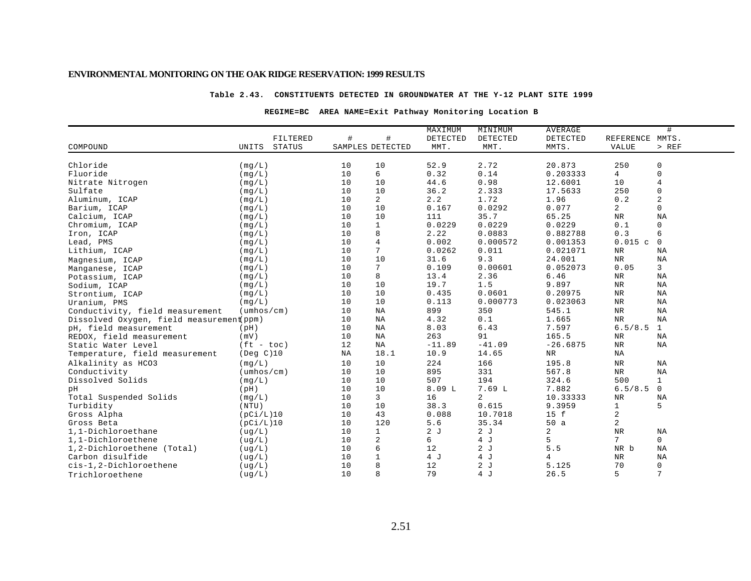#### **Table 2.43. CONSTITUENTS DETECTED IN GROUNDWATER AT THE Y-12 PLANT SITE 1999**

### **REGIME=BC AREA NAME=Exit Pathway Monitoring Location B**

|                                          |                            |    |                         | MAXIMUM  | MINIMUM  | AVERAGE        |                 | #              |
|------------------------------------------|----------------------------|----|-------------------------|----------|----------|----------------|-----------------|----------------|
|                                          | FILTERED                   | #  | #                       | DETECTED | DETECTED | DETECTED       | REFERENCE MMTS. |                |
| COMPOUND                                 | <b>STATUS</b><br>UNITS     |    | SAMPLES DETECTED        | MMT.     | MMT.     | MMTS.          | <b>VALUE</b>    | $>$ REF        |
|                                          |                            |    |                         |          |          |                |                 |                |
| Chloride                                 | (mq/L)                     | 10 | 10                      | 52.9     | 2.72     | 20.873         | 250             | $\mathsf 0$    |
| Fluoride                                 | (mq/L)                     | 10 | 6                       | 0.32     | 0.14     | 0.203333       | 4               | $\mathbf 0$    |
| Nitrate Nitrogen                         | (mq/L)                     | 10 | 10                      | 44.6     | 0.98     | 12.6001        | 10              | $\overline{4}$ |
| Sulfate                                  | (mq/L)                     | 10 | 10                      | 36.2     | 2.333    | 17.5633        | 250             | $\mathbf 0$    |
| Aluminum, ICAP                           | (mq/L)                     | 10 | $\overline{a}$          | 2.2      | 1.72     | 1.96           | 0.2             | $\sqrt{2}$     |
| Barium, ICAP                             | (mq/L)                     | 10 | 10                      | 0.167    | 0.0292   | 0.077          | $\overline{a}$  | $\mathbf 0$    |
| Calcium, ICAP                            | (mq/L)                     | 10 | 10                      | 111      | 35.7     | 65.25          | $\rm{NR}$       | NA             |
| Chromium, ICAP                           | (mq/L)                     | 10 | $\mathbf{1}$            | 0.0229   | 0.0229   | 0.0229         | 0.1             | $\mathbf 0$    |
| Iron, ICAP                               | (mq/L)                     | 10 | 8                       | 2.22     | 0.0883   | 0.882788       | 0.3             | 6              |
| Lead, PMS                                | (mg/L)                     | 10 | $\overline{4}$          | 0.002    | 0.000572 | 0.001353       | 0.015c          | $\mathbf 0$    |
| Lithium, ICAP                            | (mg/L)                     | 10 | $7\phantom{.0}$         | 0.0262   | 0.011    | 0.021071       | ${\tt NR}$      | ΝA             |
| Magnesium, ICAP                          | (mq/L)                     | 10 | 10                      | 31.6     | 9.3      | 24.001         | NR              | ΝA             |
| Manganese, ICAP                          | (mq/L)                     | 10 | 7                       | 0.109    | 0.00601  | 0.052073       | 0.05            | 3              |
| Potassium, ICAP                          | (mq/L)                     | 10 | 8                       | 13.4     | 2.36     | 6.46           | $\rm NR$        | NA             |
| Sodium, ICAP                             | (mq/L)                     | 10 | 10                      | 19.7     | 1.5      | 9.897          | $\rm{NR}$       | NA             |
| Strontium, ICAP                          | (mq/L)                     | 10 | 10                      | 0.435    | 0.0601   | 0.20975        | $\rm{NR}$       | NA             |
| Uranium, PMS                             | (mq/L)                     | 10 | 10                      | 0.113    | 0.000773 | 0.023063       | $\rm NR$        | ΝA             |
| Conductivity, field measurement          | $(\text{umbos}/\text{cm})$ | 10 | $_{\rm NA}$             | 899      | 350      | 545.1          | $\rm{NR}$       | NA             |
| Dissolved Oxygen, field measurement(ppm) |                            | 10 | $_{\rm NA}$             | 4.32     | 0.1      | 1.665          | $\rm{NR}$       | NA             |
| pH, field measurement                    | (pH)                       | 10 | NA                      | 8.03     | 6.43     | 7.597          | 6.5/8.5         | $\mathbf{1}$   |
| REDOX, field measurement                 | (mV)                       | 10 | NA                      | 263      | 91       | 165.5          | NR              | ΝA             |
| Static Water Level                       | $(ft - toc)$               | 12 | NA                      | $-11.89$ | $-41.09$ | $-26.6875$     | $\rm NR$        | ΝA             |
| Temperature, field measurement           | (Deg C)10                  | NA | 18.1                    | 10.9     | 14.65    | NR             | NA              |                |
| Alkalinity as HCO3                       | (mq/L)                     | 10 | 10                      | 224      | 166      | 195.8          | $\rm{NR}$       | NA             |
| Conductivity                             | $(\text{umbos}/\text{cm})$ | 10 | 10                      | 895      | 331      | 567.8          | $\rm{NR}$       | NA             |
| Dissolved Solids                         | (mq/L)                     | 10 | 10                      | 507      | 194      | 324.6          | 500             | $\mathbf{1}$   |
| pH                                       | (pH)                       | 10 | 10                      | 8.09L    | 7.69L    | 7.882          | 6.5/8.5         | $\mathbf 0$    |
| Total Suspended Solids                   | (mq/L)                     | 10 | 3                       | 16       | 2        | 10.33333       | $\rm NR$        | <b>NA</b>      |
| Turbidity                                | (NTU)                      | 10 | 10                      | 38.3     | 0.615    | 9.3959         | $\mathbf{1}$    | 5              |
| Gross Alpha                              | (pCi/L)10                  | 10 | 43                      | 0.088    | 10.7018  | 15 f           | 2               |                |
| Gross Beta                               | (pCi/L)10                  | 10 | 120                     | 5.6      | 35.34    | 50a            | 2               |                |
| 1,1-Dichloroethane                       | ( uq/L )                   | 10 | $\mathbf{1}$            | 2J       | 2J       | $\overline{2}$ | $\rm{NR}$       | NA             |
| 1,1-Dichloroethene                       | ( uq/L )                   | 10 | $\overline{\mathbf{c}}$ | б.       | 4 J      | 5              | 7               | $\mathbf{0}$   |
| 1,2-Dichloroethene (Total)               | ( uq/L)                    | 10 | 6                       | 12       | 2J       | 5.5            | NR b            | ΝA             |
| Carbon disulfide                         | ( uq/L)                    | 10 | $1\,$                   | 4 J      | 4 J      | 4              | $\rm NR$        | ΝA             |
| cis-1,2-Dichloroethene                   | ( uq/L)                    | 10 | 8                       | 12       | 2J       | 5.125          | 70              | $\mathsf{0}$   |
| Trichloroethene                          | ( uq/L)                    | 10 | 8                       | 79       | 4 J      | 26.5           | 5               | 7              |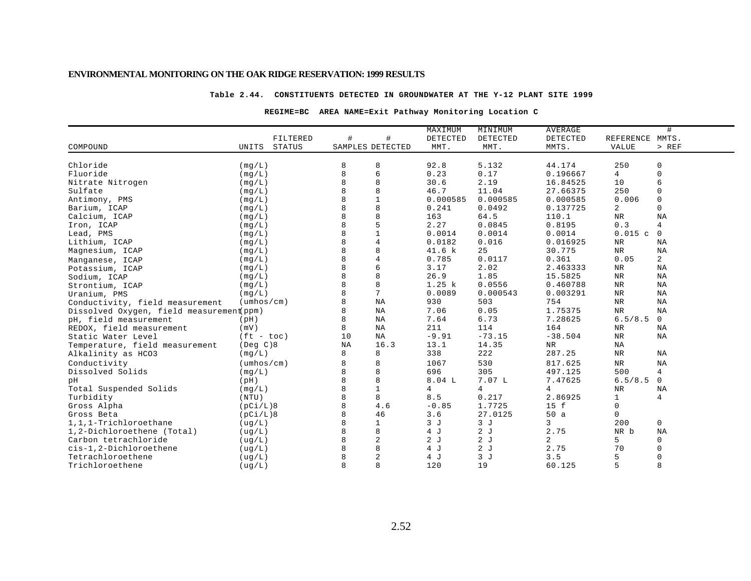### **Table 2.44. CONSTITUENTS DETECTED IN GROUNDWATER AT THE Y-12 PLANT SITE 1999**

### **REGIME=BC AREA NAME=Exit Pathway Monitoring Location C**

|                                          |                            |                  |                 | MAXIMUM        | MINIMUM        | <b>AVERAGE</b> |                 | #              |
|------------------------------------------|----------------------------|------------------|-----------------|----------------|----------------|----------------|-----------------|----------------|
|                                          | FILTERED                   | #                | #               | DETECTED       | DETECTED       | DETECTED       | REFERENCE MMTS. |                |
| COMPOUND                                 | UNITS<br>STATUS            | SAMPLES DETECTED |                 | MMT.           | MMT.           | MMTS.          | <b>VALUE</b>    | $>$ REF        |
|                                          |                            |                  |                 |                |                |                |                 |                |
| Chloride                                 | (mq/L)                     | 8                | 8               | 92.8           | 5.132          | 44.174         | 250             | 0              |
| Fluoride                                 | (mg/L)                     | 8                | 6               | 0.23           | 0.17           | 0.196667       | 4               | $\Omega$       |
| Nitrate Nitrogen                         | (mq/L)                     | 8                | 8               | 30.6           | 2.19           | 16.84525       | 10              | 6              |
| Sulfate                                  | (mq/L)                     |                  | 8               | 46.7           | 11.04          | 27.66375       | 250             | $\Omega$       |
| Antimony, PMS                            | (mq/L)                     | 8                | $\mathbf{1}$    | 0.000585       | 0.000585       | 0.000585       | 0.006           | $\mathbf 0$    |
| Barium, ICAP                             | (mq/L)                     |                  | 8               | 0.241          | 0.0492         | 0.137725       | $\overline{a}$  | 0              |
| Calcium, ICAP                            | (mg/L)                     |                  | 8               | 163            | 64.5           | 110.1          | ${\tt NR}$      | NA             |
| Iron, ICAP                               | (mq/L)                     |                  | 5               | 2.27           | 0.0845         | 0.8195         | 0.3             | 4              |
| Lead, PMS                                | (mg/L)                     |                  | $\mathbf{1}$    | 0.0014         | 0.0014         | 0.0014         | 0.015c          | $\mathbf 0$    |
| Lithium, ICAP                            | (mq/L)                     |                  | $\overline{4}$  | 0.0182         | 0.016          | 0.016925       | NR              | ΝA             |
| Magnesium, ICAP                          | (mq/L)                     |                  | 8               | 41.6 k         | 25             | 30.775         | <b>NR</b>       | NA             |
| Manganese, ICAP                          | (mq/L)                     |                  | $\overline{4}$  | 0.785          | 0.0117         | 0.361          | 0.05            | $\overline{2}$ |
| Potassium, ICAP                          | (mq/L)                     |                  | 6               | 3.17           | 2.02           | 2.463333       | $\rm{NR}$       | NA             |
| Sodium, ICAP                             | (mg/L)                     | 8                | 8               | 26.9           | 1.85           | 15.5825        | $\rm{NR}$       | NA             |
| Strontium, ICAP                          | (mq/L)                     |                  | 8               | 1.25 k         | 0.0556         | 0.460788       | $\rm{NR}$       | NA             |
| Uranium, PMS                             | (mg/L)                     |                  | $7\phantom{.0}$ | 0.0089         | 0.000543       | 0.003291       | $\rm{NR}$       | NA             |
| Conductivity, field measurement          | $(\text{umbos}/\text{cm})$ | 8                | $_{\rm NA}$     | 930            | 503            | 754            | $\rm{NR}$       | NA             |
| Dissolved Oxygen, field measurement ppm) |                            | 8                | NA              | 7.06           | 0.05           | 1.75375        | $\rm{NR}$       | NA             |
| pH, field measurement                    | (pH)                       |                  | $_{\rm NA}$     | 7.64           | 6.73           | 7.28625        | 6.5/8.5         | $\mathbf 0$    |
| REDOX, field measurement                 | (mV)                       | 8                | ΝA              | 211            | 114            | 164            | $\rm{NR}$       | NA             |
| Static Water Level                       | $(ft - toc)$               | 10               | NA              | $-9.91$        | $-73.15$       | $-38.504$      | $\rm NR$        | NA             |
| Temperature, field measurement           | $($ Deg $C$ $)8$           | NA               | 16.3            | 13.1           | 14.35          | NR             | $_{\rm NA}$     |                |
| Alkalinity as HCO3                       | (mq/L)                     | 8                | 8               | 338            | 222            | 287.25         | $_{\rm NR}$     | NA             |
| Conductivity                             | $(\text{umbos}/\text{cm})$ | 8                | 8               | 1067           | 530            | 817.625        | $\rm{NR}$       | ΝA             |
| Dissolved Solids                         | (mq/L)                     | 8                | 8               | 696            | 305            | 497.125        | 500             | 4              |
| pH                                       | (pH)                       | 8                | 8               | 8.04 L         | 7.07L          | 7.47625        | 6.5/8.5         | $\mathbf 0$    |
| Total Suspended Solids                   | (mq/L)                     |                  | $1\,$           | $\overline{4}$ | $\overline{4}$ | 4              | $\rm NR$        | NA             |
| Turbidity                                | (NTU)                      | 8                | 8               | 8.5            | 0.217          | 2.86925        | $\mathbf{1}$    | 4              |
| Gross Alpha                              | (pCi/L)8                   |                  | 4.6             | $-0.85$        | 1.7725         | 15 f           | 0               |                |
| Gross Beta                               | (pCi/L)8                   |                  | 46              | 3.6            | 27.0125        | 50a            | 0               |                |
| 1,1,1-Trichloroethane                    | ( uq/L)                    | 8                | $\mathbf{1}$    | 3J             | 3J             | 3              | 200             | $\mathbf 0$    |
| 1,2-Dichloroethene (Total)               | ( uq/L)                    | 8                | 8               | 4 J            | 2J             | 2.75           | NR b            | NA             |
| Carbon tetrachloride                     | ( uq/L)                    |                  | $\sqrt{2}$      | 2J             | 2J             | 2              | 5               | 0              |
| cis-1,2-Dichloroethene                   | ( uq/L)                    |                  | 8               | 4 J            | 2J             | 2.75           | 70              | $\mathbf 0$    |
| Tetrachloroethene                        | ( uq/L)                    |                  | $\overline{2}$  | 4 J            | 3J             | 3.5            | 5               | $\Omega$       |
| Trichloroethene                          | (ug/L)                     | 8                | 8               | 120            | 19             | 60.125         | 5               | 8              |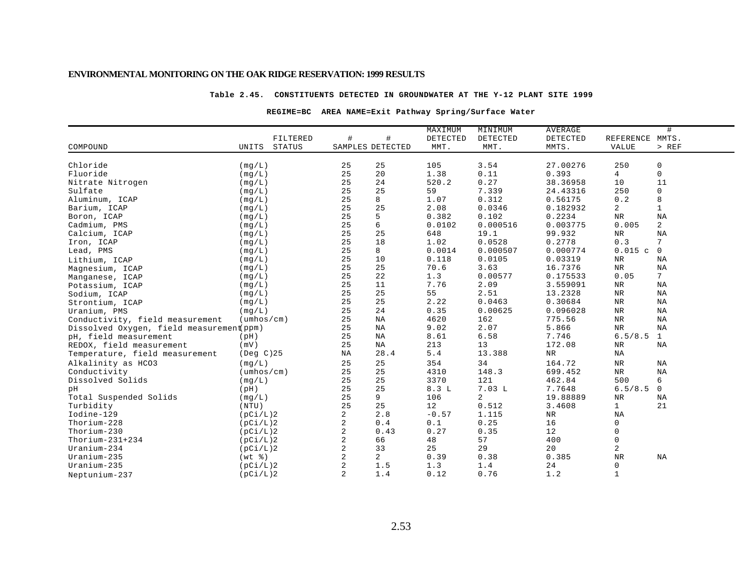### **Table 2.45. CONSTITUENTS DETECTED IN GROUNDWATER AT THE Y-12 PLANT SITE 1999**

### **REGIME=BC AREA NAME=Exit Pathway Spring/Surface Water**

|                                          |                            |                       | MAXIMUM  | MINIMUM  | <b>AVERAGE</b> |                | #               |
|------------------------------------------|----------------------------|-----------------------|----------|----------|----------------|----------------|-----------------|
|                                          | FILTERED                   | #<br>#                | DETECTED | DETECTED | DETECTED       | REFERENCE      | MMTS.           |
| COMPOUND                                 | UNITS<br><b>STATUS</b>     | SAMPLES DETECTED      | MMT.     | MMT.     | MMTS.          | <b>VALUE</b>   | $>$ REF         |
|                                          |                            |                       |          |          |                |                |                 |
| Chloride                                 | (mq/L)                     | 25<br>25              | 105      | 3.54     | 27.00276       | 250            | $\mathbf 0$     |
| Fluoride                                 | (mq/L)                     | 25<br>20              | 1.38     | 0.11     | 0.393          | 4              | $\mathbf 0$     |
| Nitrate Nitrogen                         | (mq/L)                     | 25<br>24              | 520.2    | 0.27     | 38.36958       | 10             | 11              |
| Sulfate                                  | (mg/L)                     | 25<br>25              | 59       | 7.339    | 24.43316       | 250            | $\mathbf 0$     |
| Aluminum, ICAP                           | (mg/L)                     | 25<br>8               | 1.07     | 0.312    | 0.56175        | 0.2            | 8               |
| Barium, ICAP                             | (mq/L)                     | 25<br>25              | 2.08     | 0.0346   | 0.182932       | $\overline{a}$ | $\mathbf{1}$    |
| Boron, ICAP                              | (mq/L)                     | 25<br>5               | 0.382    | 0.102    | 0.2234         | $\rm NR$       | ΝA              |
| Cadmium, PMS                             | (mq/L)                     | 25<br>6               | 0.0102   | 0.000516 | 0.003775       | 0.005          | 2               |
| Calcium, ICAP                            | (mq/L)                     | 25<br>25              | 648      | 19.1     | 99.932         | ${\tt NR}$     | NA              |
| Iron, ICAP                               | (mq/L)                     | 25<br>18              | 1.02     | 0.0528   | 0.2778         | 0.3            | $7\phantom{.0}$ |
| Lead, PMS                                | (mg/L)                     | 25<br>8               | 0.0014   | 0.000507 | 0.000774       | 0.015c         | $\mathbf 0$     |
| Lithium, ICAP                            | (mq/L)                     | 25<br>10              | 0.118    | 0.0105   | 0.03319        | $_{\rm NR}$    | ΝA              |
| Magnesium, ICAP                          | (mg/L)                     | 25<br>25              | 70.6     | 3.63     | 16.7376        | $_{\rm NR}$    | NA              |
| Manganese, ICAP                          | (mg/L)                     | 22<br>25              | 1.3      | 0.00577  | 0.175533       | 0.05           | $7\overline{ }$ |
| Potassium, ICAP                          | (mq/L)                     | 25<br>11              | 7.76     | 2.09     | 3.559091       | NR             | ΝA              |
| Sodium, ICAP                             | (mq/L)                     | 25<br>25              | 55       | 2.51     | 13.2328        | $\rm{NR}$      | NA              |
| Strontium, ICAP                          | (mq/L)                     | 25<br>25              | 2.22     | 0.0463   | 0.30684        | $\rm{NR}$      | NA              |
| Uranium, PMS                             | (mq/L)                     | 25<br>24              | 0.35     | 0.00625  | 0.096028       | $_{\rm NR}$    | NA              |
| Conductivity, field measurement          | $(\text{umbos}/\text{cm})$ | 25<br>NA              | 4620     | 162      | 775.56         | $\rm{NR}$      | NA              |
| Dissolved Oxygen, field measurement(ppm) |                            | 25<br>ΝA              | 9.02     | 2.07     | 5.866          | $_{\rm NR}$    | NA              |
| pH, field measurement                    | (pH)                       | 25<br>ΝA              | 8.61     | 6.58     | 7.746          | 6.5/8.5        | $\mathbf{1}$    |
| REDOX, field measurement                 | (mV)                       | 25<br>ΝA              | 213      | 13       | 172.08         | NR             | NA              |
| Temperature, field measurement           | $($ Deg $C$ $)$ 25         | 28.4<br>ΝA            | 5.4      | 13.388   | NR             | NA             |                 |
| Alkalinity as HCO3                       | (mq/L)                     | 25<br>25              | 354      | 34       | 164.72         | $_{\rm NR}$    | NA              |
| Conductivity                             | $(\text{umbos}/\text{cm})$ | 25<br>25              | 4310     | 148.3    | 699.452        | $_{\rm NR}$    | NA              |
| Dissolved Solids                         | (mq/L)                     | 25<br>25              | 3370     | 121      | 462.84         | 500            | 6               |
| pН                                       | (pH)                       | 25<br>25              | 8.3L     | 7.03L    | 7.7648         | 6.5/8.5        | $\mathbf 0$     |
| Total Suspended Solids                   | (mq/L)                     | 25<br>9               | 106      | 2        | 19.88889       | $\rm NR$       | ΝA              |
| Turbidity                                | (NTU)                      | 25<br>25              | 12       | 0.512    | 3.4608         | $\mathbf{1}$   | 21              |
| Iodine-129                               | (pCi/L)2                   | $\overline{2}$<br>2.8 | $-0.57$  | 1.115    | $_{\rm NR}$    | NA             |                 |
| Thorium-228                              | (pCi/L)2                   | 2<br>0.4              | 0.1      | 0.25     | 16             | 0              |                 |
| Thorium-230                              | (pCi/L)2                   | 2<br>0.43             | 0.27     | 0.35     | 12             | 0              |                 |
| Thorium- $231+234$                       | (pCi/L)2                   | 2<br>66               | 48       | 57       | 400            | 0              |                 |
| $Uranium-234$                            | (pCi/L)2                   | 2<br>33               | 25       | 29       | 20             | 2              |                 |
| Uranium-235                              | $(wt - \frac{1}{6})$       | 2<br>$\overline{a}$   | 0.39     | 0.38     | 0.385          | $\rm{NR}$      | NA              |
| Uranium-235                              | (pCi/L)2                   | 2<br>1.5              | 1.3      | 1.4      | 24             | $\mathsf{O}$   |                 |
| Neptunium-237                            | (pCi/L)2                   | 2<br>1.4              | 0.12     | 0.76     | 1.2            | $\mathbf{1}$   |                 |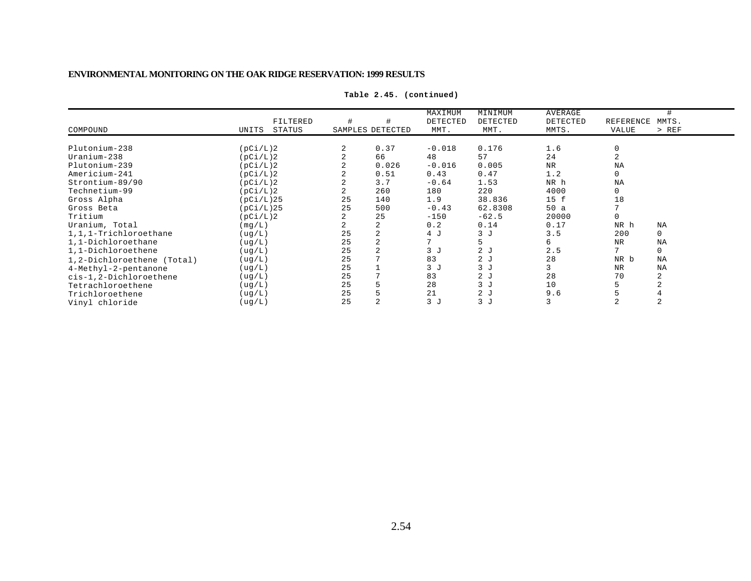|                            |                 |    |                  | MAXIMUM        | MINIMUM        | AVERAGE  |                |             |
|----------------------------|-----------------|----|------------------|----------------|----------------|----------|----------------|-------------|
|                            | FILTERED        |    |                  | DETECTED       | DETECTED       | DETECTED | REFERENCE      | MMTS.       |
| COMPOUND                   | STATUS<br>UNITS |    | SAMPLES DETECTED | MMT.           | MMT.           | MMTS.    | VALUE          | $>$ REF     |
|                            |                 |    |                  |                |                |          |                |             |
| Plutonium-238              | (pCi/L)2        | 2  | 0.37             | $-0.018$       | 0.176          | 1.6      | $\Omega$       |             |
| Uranium-238                | (pCi/L)2        |    | 66               | 48             | 57             | 24       |                |             |
| Plutonium-239              | (pCi/L)2        |    | 0.026            | $-0.016$       | 0.005          | NR       | NA             |             |
| Americium-241              | (pCi/L)2        |    | 0.51             | 0.43           | 0.47           | 1.2      |                |             |
| Strontium-89/90            | (pCi/L)2        |    | 3.7              | $-0.64$        | 1.53           | NR h     | NA             |             |
| Technetium-99              | (pCi/L)2        | 2  | 260              | 180            | 220            | 4000     | $\Omega$       |             |
| Gross Alpha                | (pCi/L)25       | 25 | 140              | 1.9            | 38.836         | 15 f     | 18             |             |
| Gross Beta                 | (pCi/L)25       | 25 | 500              | $-0.43$        | 62.8308        | 50a      |                |             |
| Tritium                    | (pCi/L)2        |    | 25               | $-150$         | $-62.5$        | 20000    |                |             |
| Uranium, Total             | (mq/L)          |    |                  | 0.2            | 0.14           | 0.17     | NR h           | <b>NA</b>   |
| 1,1,1-Trichloroethane      | ( uq/L)         | 25 |                  | 4 J            | 3J             | 3.5      | 200            | 0           |
| 1,1-Dichloroethane         | (ug/L)          | 25 | 2                | 7              | 5              | б.       | NR             | NA          |
| 1,1-Dichloroethene         | ( uq/L)         | 25 |                  | 3 <sub>1</sub> | 2 <sub>J</sub> | 2.5      | $\overline{ }$ | $\mathbf 0$ |
| 1,2-Dichloroethene (Total) | (ug/L)          | 25 |                  | 83             | 2J             | 28       | NR b           | <b>NA</b>   |
| 4-Methyl-2-pentanone       | (ug/L)          | 25 |                  | 3J             | 3J             |          | <b>NR</b>      | NA          |
| cis-1,2-Dichloroethene     | (ug/L)          | 25 |                  | 83             | 2J             | 28       | 70             | 2           |
| Tetrachloroethene          | (ug/L)          | 25 |                  | 28             | 3J             | 10       |                |             |
| Trichloroethene            | ( uq/L)         | 25 |                  | 21             | 2J             | 9.6      |                |             |
| Vinyl chloride             | (ug/L)          | 25 |                  | 3J             | 3J             |          |                |             |

**Table 2.45. (continued)**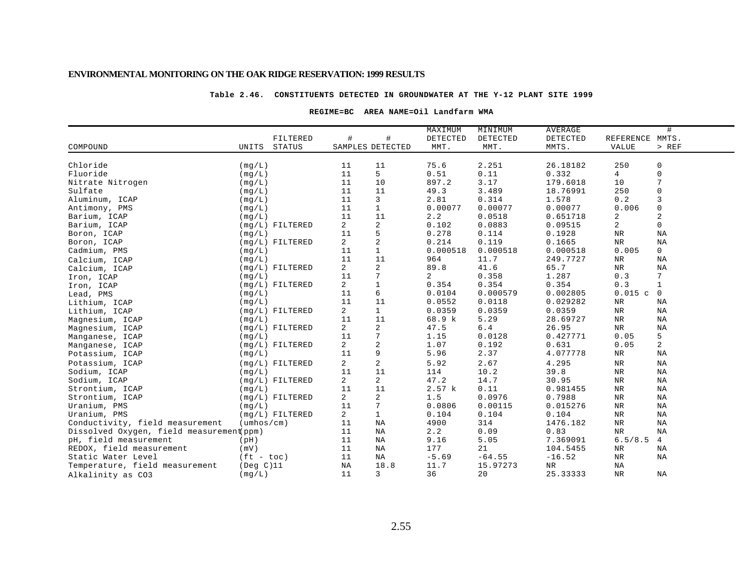#### **Table 2.46. CONSTITUENTS DETECTED IN GROUNDWATER AT THE Y-12 PLANT SITE 1999**

### **REGIME=BC AREA NAME=Oil Landfarm WMA**

|                                          |                            |                   |                  |                | MAXIMUM  | MINIMUM  | AVERAGE  |                 | #           |  |
|------------------------------------------|----------------------------|-------------------|------------------|----------------|----------|----------|----------|-----------------|-------------|--|
|                                          |                            | FILTERED          | #                | #              | DETECTED | DETECTED | DETECTED | REFERENCE MMTS. |             |  |
| COMPOUND                                 | UNITS                      | STATUS            | SAMPLES DETECTED |                | MMT.     | MMT.     | MMTS.    | <b>VALUE</b>    | > REF       |  |
|                                          |                            |                   |                  |                |          |          |          |                 |             |  |
| Chloride                                 | (mq/L)                     |                   | 11               | 11             | 75.6     | 2.251    | 26.18182 | 250             | 0           |  |
| Fluoride                                 | (mq/L)                     |                   | 11               | 5              | 0.51     | 0.11     | 0.332    | 4               | $\mathbf 0$ |  |
| Nitrate Nitrogen                         | (mq/L)                     |                   | 11               | 10             | 897.2    | 3.17     | 179.6018 | 10              | 7           |  |
| Sulfate                                  | (mq/L)                     |                   | 11               | 11             | 49.3     | 3.489    | 18.76991 | 250             | $\mathbf 0$ |  |
| Aluminum, ICAP                           | (mg/L)                     |                   | 11               | 3              | 2.81     | 0.314    | 1.578    | 0.2             | 3           |  |
| Antimony, PMS                            | (mq/L)                     |                   | 11               | $\mathbf{1}$   | 0.00077  | 0.00077  | 0.00077  | 0.006           | $\mathbf 0$ |  |
| Barium, ICAP                             | (mq/L)                     |                   | 11               | 11             | 2.2      | 0.0518   | 0.651718 | 2               | 2           |  |
| Barium, ICAP                             |                            | $(mq/L)$ FILTERED | $\overline{a}$   | 2              | 0.102    | 0.0883   | 0.09515  | 2               | $\mathbf 0$ |  |
| Boron, ICAP                              | (mq/L)                     |                   | 11               | 5              | 0.278    | 0.114    | 0.1928   | $\rm NR$        | ΝA          |  |
| Boron, ICAP                              |                            | $(mg/L)$ FILTERED | 2                | 2              | 0.214    | 0.119    | 0.1665   | $_{\rm NR}$     | ΝA          |  |
| Cadmium, PMS                             | (mq/L)                     |                   | 11               | $\mathbf{1}$   | 0.000518 | 0.000518 | 0.000518 | 0.005           | $\mathbf 0$ |  |
| Calcium, ICAP                            | (mq/L)                     |                   | 11               | 11             | 964      | 11.7     | 249.7727 | $\rm{NR}$       | NA          |  |
| Calcium, ICAP                            |                            | $(mq/L)$ FILTERED | $\overline{a}$   | 2              | 89.8     | 41.6     | 65.7     | NR              | NA          |  |
| Iron, ICAP                               | (mq/L)                     |                   | 11               | 7              | 2        | 0.358    | 1.287    | 0.3             | 7           |  |
| Iron, ICAP                               |                            | $(mq/L)$ FILTERED | $\overline{a}$   | $\mathbf{1}$   | 0.354    | 0.354    | 0.354    | 0.3             | $\mathbf 1$ |  |
| Lead, PMS                                | (mq/L)                     |                   | 11               | 6              | 0.0104   | 0.000579 | 0.002805 | 0.015c          | $\mathbf 0$ |  |
| Lithium, ICAP                            | (mq/L)                     |                   | 11               | 11             | 0.0552   | 0.0118   | 0.029282 | NR              | ΝA          |  |
| Lithium, ICAP                            |                            | $(mq/L)$ FILTERED | $\overline{a}$   | $\mathbf{1}$   | 0.0359   | 0.0359   | 0.0359   | $_{\rm NR}$     | ΝA          |  |
| Magnesium, ICAP                          | (mq/L)                     |                   | 11               | 11             | 68.9 k   | 5.29     | 28.69727 | $_{\rm NR}$     | ΝA          |  |
| Magnesium, ICAP                          |                            | $(mg/L)$ FILTERED | 2                | 2              | 47.5     | $6.4$    | 26.95    | NR              | ΝA          |  |
| Manganese, ICAP                          | (mg/L)                     |                   | 11               | 7              | 1.15     | 0.0128   | 0.427771 | 0.05            | 5           |  |
| Manganese, ICAP                          |                            | $(mg/L)$ FILTERED | $\overline{a}$   | 2              | 1.07     | 0.192    | 0.631    | 0.05            | 2           |  |
| Potassium, ICAP                          | (mg/L)                     |                   | 11               | 9              | 5.96     | 2.37     | 4.077778 | $_{\rm NR}$     | ΝA          |  |
| Potassium, ICAP                          |                            | $(mq/L)$ FILTERED | 2                | 2              | 5.92     | 2.67     | 4.295    | $_{\rm NR}$     | ΝA          |  |
| Sodium, ICAP                             | (mq/L)                     |                   | 11               | 11             | 114      | 10.2     | 39.8     | $_{\rm NR}$     | ΝA          |  |
| Sodium, ICAP                             |                            | $(mq/L)$ FILTERED | 2                | $\overline{a}$ | 47.2     | 14.7     | 30.95    | $\rm{NR}$       | NA          |  |
| Strontium, ICAP                          | (mq/L)                     |                   | 11               | 11             | 2.57 k   | 0.11     | 0.981455 | $_{\rm NR}$     | ΝA          |  |
| Strontium, ICAP                          |                            | $(mq/L)$ FILTERED | $\overline{a}$   | 2              | 1.5      | 0.0976   | 0.7988   | $_{\rm NR}$     | NA          |  |
| Uranium, PMS                             | (mq/L)                     |                   | 11               | 7              | 0.0806   | 0.00115  | 0.015276 | $\rm{NR}$       | ΝA          |  |
| Uranium, PMS                             |                            | $(mq/L)$ FILTERED | $\overline{2}$   | $\mathbf{1}$   | 0.104    | 0.104    | 0.104    | $\rm{NR}$       | NA          |  |
| Conductivity, field measurement          | $(\text{umbos}/\text{cm})$ |                   | 11               | NA             | 4900     | 314      | 1476.182 | $_{\rm NR}$     | ΝA          |  |
| Dissolved Oxygen, field measurement(ppm) |                            |                   | 11               | NA             | 2.2      | 0.09     | 0.83     | $_{\rm NR}$     | ΝA          |  |
| pH, field measurement                    | (pH)                       |                   | 11               | NA             | 9.16     | 5.05     | 7.369091 | 6.5/8.5         | 4           |  |
| REDOX, field measurement                 | (mV)                       |                   | 11               | NA             | 177      | 21       | 104.5455 | NR              | ΝA          |  |
| Static Water Level                       | $(ft - toc)$               |                   | 11               | NA             | $-5.69$  | $-64.55$ | $-16.52$ | $\rm{NR}$       | ΝA          |  |
| Temperature, field measurement           | $($ Deg $C)$ 11            |                   | ΝA               | 18.8           | 11.7     | 15.97273 | NR       | NA              |             |  |
| Alkalinity as CO3                        | (mq/L)                     |                   | 11               | 3              | 36       | 20       | 25.33333 | NR.             | ΝA          |  |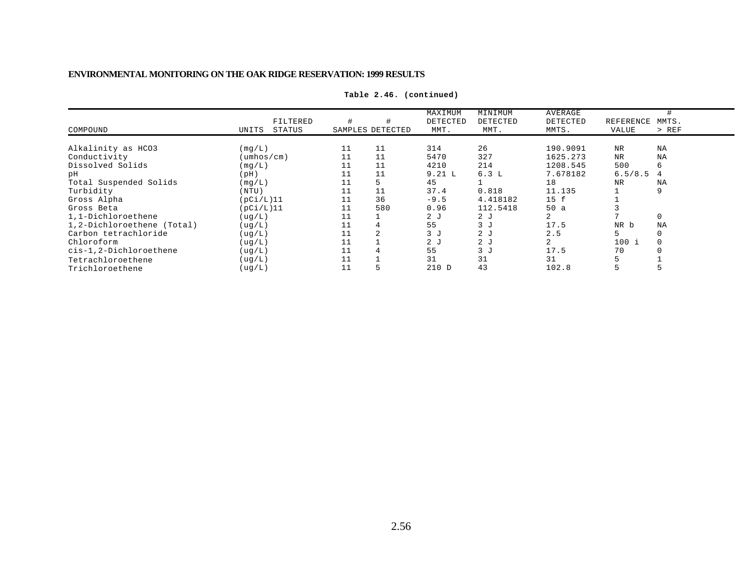|                            |                 |                  |                | MAXIMUM        | MINIMUM  | AVERAGE  |           |           |
|----------------------------|-----------------|------------------|----------------|----------------|----------|----------|-----------|-----------|
|                            | FILTERED        |                  |                | DETECTED       | DETECTED | DETECTED | REFERENCE | MMTS.     |
| COMPOUND                   | STATUS<br>UNITS | SAMPLES DETECTED |                | MMT.           | MMT.     | MMTS.    | VALUE     | $>$ REF   |
| Alkalinity as HCO3         | (mq/L)          | 11               | 11             | 314            | 26       | 190.9091 | <b>NR</b> | ΝA        |
| Conductivity               | (umhos/cm)      |                  | 11             | 5470           | 327      | 1625.273 | NR        | ΝA        |
| Dissolved Solids           | (mq/L)          | 11               | 11             | 4210           | 214      | 1208.545 | 500       | 6         |
| рH                         | (pH)            | 11               | 11             | 9.21 L         | 6.3L     | 7.678182 | 6.5/8.5   | 4         |
| Total Suspended Solids     | (mq/L)          | 11               | 5              | 45             |          | 18       | NR        | <b>NA</b> |
| Turbidity                  | (NTU)           | 11               | 11             | 37.4           | 0.818    | 11.135   |           | 9         |
| Gross Alpha                | (pCi/L)11       | 11               | 36             | $-9.5$         | 4.418182 | 15 f     |           |           |
| Gross Beta                 | (pCi/L)11       | 11               | 580            | 0.96           | 112.5418 | 50a      |           |           |
| 1,1-Dichloroethene         | ( uq/L )        |                  |                | 2 <sub>J</sub> | 2J       | 2        |           | $\Omega$  |
| 1,2-Dichloroethene (Total) | ( uq/L)         | 11               | 4              | 55             | 3J       | 17.5     | NR b      | ΝA        |
| Carbon tetrachloride       | ( uq/L)         |                  | $\overline{2}$ | 3J             | 2J       | 2.5      |           | $\Omega$  |
| Chloroform                 | ( uq/L)         | 11               |                | 2 <sub>J</sub> | 2J       |          | $100$ i   |           |
| cis-1,2-Dichloroethene     | ( uq/L)         | 11               | 4              | 55             | 3J       | 17.5     | 70        |           |
| Tetrachloroethene          | ( uq/L)         |                  |                | 31             | 31       | 31       |           |           |
| Trichloroethene            | ( uq/L)         | 11               | 5              | 210 D          | 43       | 102.8    |           |           |

**Table 2.46. (continued)**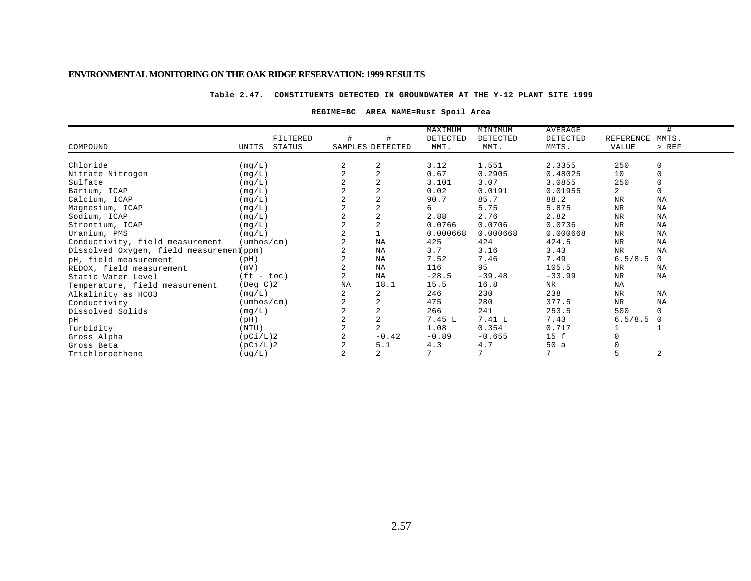#### **Table 2.47. CONSTITUENTS DETECTED IN GROUNDWATER AT THE Y-12 PLANT SITE 1999**

### **REGIME=BC AREA NAME=Rust Spoil Area**

|                                          |                            |          |                |                  | MAXIMUM  | MINIMUM  | AVERAGE         |                |           |
|------------------------------------------|----------------------------|----------|----------------|------------------|----------|----------|-----------------|----------------|-----------|
|                                          |                            | FILTERED |                |                  | DETECTED | DETECTED | DETECTED        | REFERENCE      | MMTS.     |
| COMPOUND                                 | UNITS                      | STATUS   |                | SAMPLES DETECTED | MMT.     | MMT.     | MMTS.           | <b>VALUE</b>   | $>$ REF   |
|                                          |                            |          |                |                  |          |          |                 |                |           |
| Chloride                                 | (mq/L)                     |          | 2              | 2                | 3.12     | 1.551    | 2.3355          | 250            | 0         |
| Nitrate Nitrogen                         | (mq/L)                     |          |                | $\overline{2}$   | 0.67     | 0.2905   | 0.48025         | 10             | 0         |
| Sulfate                                  | (mg/L)                     |          |                |                  | 3.101    | 3.07     | 3.0855          | 250            |           |
| Barium, ICAP                             | (mq/L)                     |          |                | $\overline{2}$   | 0.02     | 0.0191   | 0.01955         | $\overline{a}$ | 0         |
| Calcium, ICAP                            | (mq/L)                     |          |                | $\overline{2}$   | 90.7     | 85.7     | 88.2            | <b>NR</b>      | NA        |
| Magnesium, ICAP                          | (mg/L)                     |          |                | $\overline{2}$   | 6        | 5.75     | 5.875           | <b>NR</b>      | <b>NA</b> |
| Sodium, ICAP                             | (mq/L)                     |          |                | $\overline{2}$   | 2.88     | 2.76     | 2.82            | <b>NR</b>      | NA        |
| Strontium, ICAP                          | (mq/L)                     |          | 2              | $\overline{2}$   | 0.0766   | 0.0706   | 0.0736          | NR             | NA        |
| Uranium, PMS                             | (mq/L)                     |          |                |                  | 0.000668 | 0.000668 | 0.000668        | NR             | NA        |
| Conductivity, field measurement          | $(\text{umbos}/\text{cm})$ |          |                | NA               | 425      | 424      | 424.5           | <b>NR</b>      | <b>NA</b> |
| Dissolved Oxygen, field measurement(ppm) |                            |          |                | NA               | 3.7      | 3.16     | 3.43            | $_{\rm NR}$    | <b>NA</b> |
| pH, field measurement                    | (pH)                       |          | 2              | NA               | 7.52     | 7.46     | 7.49            | 6.5/8.5        | $\Omega$  |
| REDOX, field measurement                 | (mV)                       |          |                | NA               | 116      | 95       | 105.5           | NR             | NA        |
| Static Water Level                       | $(ft - toc)$               |          |                | NA               | $-28.5$  | $-39.48$ | $-33.99$        | <b>NR</b>      | <b>NA</b> |
| Temperature, field measurement           | $($ Deg $C$ $)$ 2          |          | NA             | 18.1             | 15.5     | 16.8     | NR              | ΝA             |           |
| Alkalinity as HCO3                       | (mq/L)                     |          | $\overline{a}$ | 2                | 246      | 230      | 238             | NR             | <b>NA</b> |
| Conductivity                             | $(\text{umbos}/\text{cm})$ |          |                |                  | 475      | 280      | 377.5           | NR             | NA        |
| Dissolved Solids                         | (mq/L)                     |          |                |                  | 266      | 241      | 253.5           | 500            | 0         |
| pН                                       | (pH)                       |          |                | $\overline{2}$   | 7.45L    | 7.41 L   | 7.43            | 6.5/8.5        | $\Omega$  |
| Turbidity                                | (NTU)                      |          | $\overline{a}$ | $\overline{a}$   | 1.08     | 0.354    | 0.717           |                |           |
| Gross Alpha                              | (pCi/L)2                   |          | 2              | $-0.42$          | $-0.89$  | $-0.655$ | 15 f            |                |           |
| Gross Beta                               | (pCi/L)2                   |          |                | 5.1              | 4.3      | 4.7      | 50a             |                |           |
| Trichloroethene                          | ( uq/L )                   |          | $\overline{a}$ | $\overline{a}$   | 7        | 7        | $7\phantom{.0}$ | 5              | 2         |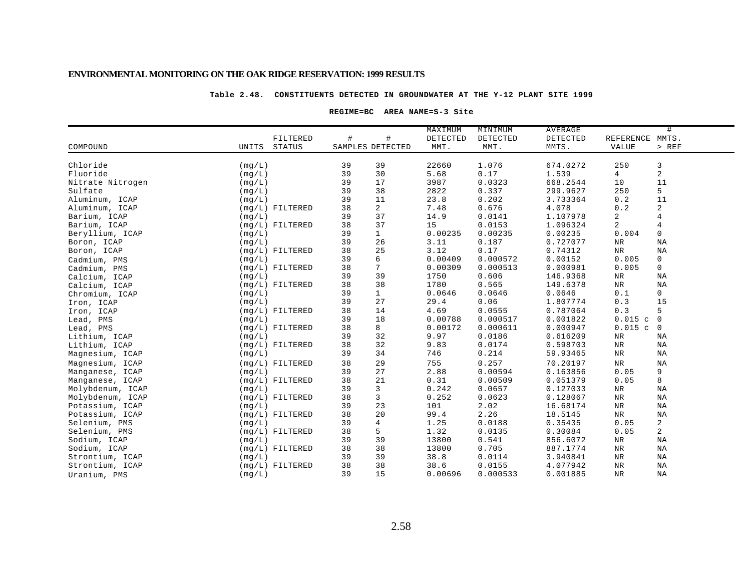### **Table 2.48. CONSTITUENTS DETECTED IN GROUNDWATER AT THE Y-12 PLANT SITE 1999**

### **REGIME=BC AREA NAME=S-3 Site**

|                  |        |                   |    |                  | MAXIMUM  | MINIMUM  | AVERAGE  |                 | #              |
|------------------|--------|-------------------|----|------------------|----------|----------|----------|-----------------|----------------|
|                  |        | FILTERED          | #  | $\#$             | DETECTED | DETECTED | DETECTED | REFERENCE MMTS. |                |
| COMPOUND         | UNITS  | <b>STATUS</b>     |    | SAMPLES DETECTED | MMT.     | MMT.     | MMTS.    | <b>VALUE</b>    | $>$ REF        |
|                  |        |                   |    |                  |          |          |          |                 |                |
| Chloride         | (mq/L) |                   | 39 | 39               | 22660    | 1.076    | 674.0272 | 250             | 3              |
| Fluoride         | (mq/L) |                   | 39 | 30               | 5.68     | 0.17     | 1.539    | 4               | 2              |
| Nitrate Nitrogen | (mq/L) |                   | 39 | 17               | 3987     | 0.0323   | 668.2544 | 10              | 11             |
| Sulfate          | (mq/L) |                   | 39 | 38               | 2822     | 0.337    | 299.9627 | 250             | 5              |
| Aluminum, ICAP   | (mq/L) |                   | 39 | 11               | 23.8     | 0.202    | 3.733364 | 0.2             | 11             |
| Aluminum, ICAP   |        | $(mq/L)$ FILTERED | 38 | $\overline{a}$   | 7.48     | 0.676    | 4.078    | 0.2             | 2              |
| Barium, ICAP     | (mq/L) |                   | 39 | 37               | 14.9     | 0.0141   | 1.107978 | 2               | 4              |
| Barium, ICAP     |        | $(mq/L)$ FILTERED | 38 | 37               | 15       | 0.0153   | 1.096324 | 2               | 4              |
| Beryllium, ICAP  | (mq/L) |                   | 39 | $\mathbf{1}$     | 0.00235  | 0.00235  | 0.00235  | 0.004           | 0              |
| Boron, ICAP      | (mg/L) |                   | 39 | 26               | 3.11     | 0.187    | 0.727077 | NR              | NA             |
| Boron, ICAP      |        | $(mq/L)$ FILTERED | 38 | 25               | 3.12     | 0.17     | 0.74312  | $\rm{NR}$       | NA             |
| Cadmium, PMS     | (mq/L) |                   | 39 | 6                | 0.00409  | 0.000572 | 0.00152  | 0.005           | 0              |
| Cadmium, PMS     |        | $(mq/L)$ FILTERED | 38 | 7                | 0.00309  | 0.000513 | 0.000981 | 0.005           | 0              |
| Calcium, ICAP    | (mq/L) |                   | 39 | 39               | 1750     | 0.606    | 146.9368 | NR              | NA             |
| Calcium, ICAP    |        | $(mq/L)$ FILTERED | 38 | 38               | 1780     | 0.565    | 149.6378 | NR              | ΝA             |
| Chromium, ICAP   | (mg/L) |                   | 39 | $\mathbf{1}$     | 0.0646   | 0.0646   | 0.0646   | 0.1             | $\mathbf 0$    |
| Iron, ICAP       | (mq/L) |                   | 39 | 27               | 29.4     | 0.06     | 1.807774 | 0.3             | 15             |
| Iron, ICAP       |        | $(mq/L)$ FILTERED | 38 | 14               | 4.69     | 0.0555   | 0.787064 | 0.3             | 5              |
| Lead, PMS        | (mq/L) |                   | 39 | 18               | 0.00788  | 0.000517 | 0.001822 | 0.015c          | $\overline{0}$ |
| Lead, PMS        |        | $(mq/L)$ FILTERED | 38 | 8                | 0.00172  | 0.000611 | 0.000947 | 0.015c          | $\mathbf 0$    |
| Lithium, ICAP    | (mq/L) |                   | 39 | 32               | 9.97     | 0.0186   | 0.616209 | $\rm NR$        | ΝA             |
| Lithium, ICAP    |        | $(mq/L)$ FILTERED | 38 | 32               | 9.83     | 0.0174   | 0.598703 | $\rm NR$        | ΝA             |
| Magnesium, ICAP  | (mg/L) |                   | 39 | 34               | 746      | 0.214    | 59.93465 | NR              | NA             |
| Magnesium, ICAP  |        | $(mq/L)$ FILTERED | 38 | 29               | 755      | 0.257    | 70.20197 | $\rm{NR}$       | NA             |
| Manganese, ICAP  | (mq/L) |                   | 39 | 27               | 2.88     | 0.00594  | 0.163856 | 0.05            | 9              |
| Manganese, ICAP  |        | $(mq/L)$ FILTERED | 38 | 21               | 0.31     | 0.00509  | 0.051379 | 0.05            | 8              |
| Molybdenum, ICAP | (mq/L) |                   | 39 | 3                | 0.242    | 0.0657   | 0.127033 | NR              | ΝA             |
| Molybdenum, ICAP |        | $(mq/L)$ FILTERED | 38 | 3                | 0.252    | 0.0623   | 0.128067 | <b>NR</b>       | ΝA             |
| Potassium, ICAP  | (mq/L) |                   | 39 | 23               | 101      | 2.02     | 16.68174 | $\rm{NR}$       | NA             |
| Potassium, ICAP  |        | $(mq/L)$ FILTERED | 38 | 20               | 99.4     | 2.26     | 18.5145  | $\rm{NR}$       | NA             |
| Selenium, PMS    | (mq/L) |                   | 39 | 4                | 1.25     | 0.0188   | 0.35435  | 0.05            | 2              |
| Selenium, PMS    |        | $(mq/L)$ FILTERED | 38 | 5                | 1.32     | 0.0135   | 0.30084  | 0.05            | 2              |
| Sodium, ICAP     | (mq/L) |                   | 39 | 39               | 13800    | 0.541    | 856.6072 | $\rm NR$        | NA             |
| Sodium, ICAP     |        | $(mq/L)$ FILTERED | 38 | 38               | 13800    | 0.705    | 887.1774 | $\rm NR$        | NA             |
| Strontium, ICAP  | (mq/L) |                   | 39 | 39               | 38.8     | 0.0114   | 3.940841 | NR              | $_{\rm NA}$    |
| Strontium, ICAP  |        | $(mg/L)$ FILTERED | 38 | 38               | 38.6     | 0.0155   | 4.077942 | NR              | NA             |
| Uranium, PMS     | (mq/L) |                   | 39 | 15               | 0.00696  | 0.000533 | 0.001885 | ΝR              | NA             |
|                  |        |                   |    |                  |          |          |          |                 |                |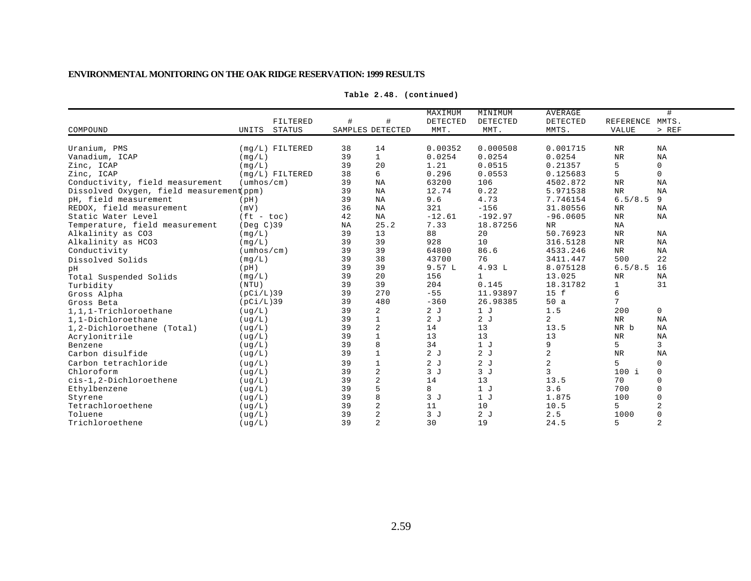|                                          | FILTERED                   | #  | #                | MAXIMUM<br>DETECTED | MINIMUM<br>DETECTED | <b>AVERAGE</b><br><b>DETECTED</b> | REFERENCE MMTS. | #              |
|------------------------------------------|----------------------------|----|------------------|---------------------|---------------------|-----------------------------------|-----------------|----------------|
| COMPOUND                                 | <b>STATUS</b><br>UNITS     |    | SAMPLES DETECTED | MMT.                | MMT.                | MMTS.                             | <b>VALUE</b>    | > REF          |
|                                          |                            |    |                  |                     |                     |                                   |                 |                |
| Uranium, PMS                             | $(mq/L)$ FILTERED          | 38 | 14               | 0.00352             | 0.000508            | 0.001715                          | $\rm NR$        | <b>NA</b>      |
| Vanadium, ICAP                           | (mq/L)                     | 39 | $\mathbf{1}$     | 0.0254              | 0.0254              | 0.0254                            | $\rm{NR}$       | <b>NA</b>      |
| Zinc, ICAP                               | (mq/L)                     | 39 | 20               | 1.21                | 0.0515              | 0.21357                           | 5               | 0              |
| Zinc, ICAP                               | $(mq/L)$ FILTERED          | 38 | 6                | 0.296               | 0.0553              | 0.125683                          | 5               | $\mathsf{O}$   |
| Conductivity, field measurement          | $(\text{umbos}/\text{cm})$ | 39 | <b>NA</b>        | 63200               | 106                 | 4502.872                          | <b>NR</b>       | NA             |
| Dissolved Oxygen, field measurement(ppm) |                            | 39 | <b>NA</b>        | 12.74               | 0.22                | 5.971538                          | $\rm{NR}$       | <b>NA</b>      |
| pH, field measurement                    | (pH)                       | 39 | NA               | 9.6                 | 4.73                | 7.746154                          | 6.5/8.5         | 9              |
| REDOX, field measurement                 | (mV)                       | 36 | ΝA               | 321                 | $-156$              | 31.80556                          | $\rm{NR}$       | NA             |
| Static Water Level                       | $(ft - toc)$               | 42 | NA               | $-12.61$            | $-192.97$           | $-96.0605$                        | $\rm{NR}$       | NA             |
| Temperature, field measurement           | $($ Deg $C$ $)$ 39         | NA | 25.2             | 7.33                | 18.87256            | NR                                | NA              |                |
| Alkalinity as CO3                        | (mq/L)                     | 39 | 13               | 88                  | 20                  | 50.76923                          | $\rm{NR}$       | NA             |
| Alkalinity as HCO3                       | (mq/L)                     | 39 | 39               | 928                 | 10                  | 316.5128                          | $\rm NR$        | NA             |
| Conductivity                             | $(\text{umbos}/\text{cm})$ | 39 | 39               | 64800               | 86.6                | 4533.246                          | $\rm{NR}$       | NA             |
| Dissolved Solids                         | (mq/L)                     | 39 | 38               | 43700               | 76                  | 3411.447                          | 500             | 22             |
| pН                                       | (pH)                       | 39 | 39               | 9.57L               | 4.93 L              | 8.075128                          | 6.5/8.5         | 16             |
| Total Suspended Solids                   | (mq/L)                     | 39 | 20               | 156                 | $\mathbf{1}$        | 13.025                            | $\rm{NR}$       | <b>NA</b>      |
| Turbidity                                | (NTU)                      | 39 | 39               | 204                 | 0.145               | 18.31782                          | $\mathbf{1}$    | 31             |
| Gross Alpha                              | (pCi/L)39                  | 39 | 270              | $-55$               | 11.93897            | 15 f                              | 6               |                |
| Gross Beta                               | (pCi/L)39                  | 39 | 480              | $-360$              | 26.98385            | 50a                               | 7               |                |
| 1,1,1-Trichloroethane                    | ( uq/L)                    | 39 | 2                | 2J                  | 1 <sub>J</sub>      | 1.5                               | 200             | 0              |
| 1,1-Dichloroethane                       | ( uq/L)                    | 39 | $\mathbf 1$      | 2J                  | 2J                  | $\overline{2}$                    | <b>NR</b>       | <b>NA</b>      |
| 1,2-Dichloroethene (Total)               | (ug/L)                     | 39 | $\overline{a}$   | 14                  | 13                  | 13.5                              | NR b            | NA             |
| Acrylonitrile                            | ( uq/L)                    | 39 | $\mathbf{1}$     | 13                  | 13                  | 13                                | <b>NR</b>       | <b>NA</b>      |
| Benzene                                  | ( uq/L)                    | 39 | $\,8\,$          | 34                  | 1 <sub>J</sub>      | 9                                 | 5               | 3              |
| Carbon disulfide                         | (ug/L)                     | 39 | $\mathbf{1}$     | 2J                  | 2J                  | $\overline{2}$                    | $\rm{NR}$       | NA             |
| Carbon tetrachloride                     | ( uq/L)                    | 39 | $\mathbf{1}$     | 2J                  | 2J                  | 2                                 | 5               | 0              |
| Chloroform                               | ( uq/L)                    | 39 | $\overline{c}$   | 3J                  | 3J                  | 3                                 | $100$ i         | $\mathbf 0$    |
| cis-1,2-Dichloroethene                   | (ug/L)                     | 39 | $\sqrt{2}$       | 14                  | 13                  | 13.5                              | 70              | 0              |
| Ethylbenzene                             | (ug/L)                     | 39 | $\mathsf S$      | 8                   | 1J                  | 3.6                               | 700             | $\Omega$       |
| Styrene                                  | ( uq/L)                    | 39 | 8                | 3J                  | 1J                  | 1.875                             | 100             | 0              |
| Tetrachloroethene                        | ( uq/L)                    | 39 | $\sqrt{2}$       | 11                  | 10                  | 10.5                              | 5               | $\overline{2}$ |
| Toluene                                  | ( uq/L)                    | 39 | $\overline{2}$   | 3J                  | 2J                  | 2.5                               | 1000            |                |
| Trichloroethene                          | ( uq/L )                   | 39 | 2                | 30                  | 19                  | 24.5                              | 5               | $\overline{2}$ |

**Table 2.48. (continued)**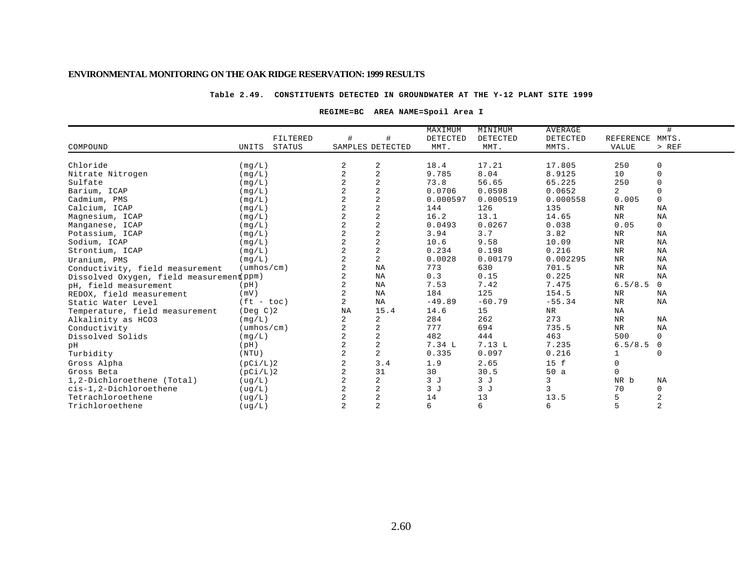### **Table 2.49. CONSTITUENTS DETECTED IN GROUNDWATER AT THE Y-12 PLANT SITE 1999**

### **REGIME=BC AREA NAME=Spoil Area I**

|                                          |                            |          |                |                         | MAXIMUM  | MINIMUM  | <b>AVERAGE</b> |                | #              |
|------------------------------------------|----------------------------|----------|----------------|-------------------------|----------|----------|----------------|----------------|----------------|
|                                          |                            | FILTERED | $\#$           | #                       | DETECTED | DETECTED | DETECTED       | REFERENCE      | MMTS.          |
| COMPOUND                                 | UNITS                      | STATUS   |                | SAMPLES DETECTED        | MMT.     | MMT.     | MMTS.          | <b>VALUE</b>   | $>$ REF        |
|                                          |                            |          |                |                         |          |          |                |                |                |
| Chloride                                 | (mq/L)                     |          | 2              | 2                       | 18.4     | 17.21    | 17.805         | 250            | $\mathsf 0$    |
| Nitrate Nitrogen                         | (mq/L)                     |          | 2              | $\overline{2}$          | 9.785    | 8.04     | 8.9125         | 10             | $\mathbf 0$    |
| Sulfate                                  | (mq/L)                     |          | 2              | $\overline{c}$          | 73.8     | 56.65    | 65.225         | 250            | $\Omega$       |
| Barium, ICAP                             | (mq/L)                     |          |                | $\overline{c}$          | 0.0706   | 0.0598   | 0.0652         | $\overline{2}$ | $\Omega$       |
| Cadmium, PMS                             | (mg/L)                     |          |                | $\overline{a}$          | 0.000597 | 0.000519 | 0.000558       | 0.005          | $\mathbf 0$    |
| Calcium, ICAP                            | (mg/L)                     |          | $\overline{2}$ | $\overline{2}$          | 144      | 126      | 135            | $_{\rm NR}$    | NA             |
| Magnesium, ICAP                          | (mq/L)                     |          | $\overline{a}$ | $\overline{c}$          | 16.2     | 13.1     | 14.65          | <b>NR</b>      | NA             |
| Manganese, ICAP                          | (mq/L)                     |          | $\overline{a}$ | $\overline{2}$          | 0.0493   | 0.0267   | 0.038          | 0.05           | $\mathbf 0$    |
| Potassium, ICAP                          | (mg/L)                     |          |                | $\overline{a}$          | 3.94     | 3.7      | 3.82           | $_{\rm NR}$    | NA             |
| Sodium, ICAP                             | (mq/L)                     |          |                | $\overline{2}$          | 10.6     | 9.58     | 10.09          | $_{\rm NR}$    | NA             |
| Strontium, ICAP                          | (mq/L)                     |          | 2              | $\overline{a}$          | 0.234    | 0.198    | 0.216          | $\rm NR$       | NA             |
| Uranium, PMS                             | (mq/L)                     |          | 2              | $\overline{2}$          | 0.0028   | 0.00179  | 0.002295       | ${\tt NR}$     | NA             |
| Conductivity, field measurement          | $(\text{umbos}/\text{cm})$ |          | 2              | ΝA                      | 773      | 630      | 701.5          | $\rm NR$       | NA             |
| Dissolved Oxygen, field measurement(ppm) |                            |          |                | NA                      | 0.3      | 0.15     | 0.225          | <b>NR</b>      | NA             |
| pH, field measurement                    | (pH)                       |          | 2              | ΝA                      | 7.53     | 7.42     | 7.475          | 6.5/8.5        | $\mathbf 0$    |
| REDOX, field measurement                 | (mV)                       |          | 2              | ΝA                      | 184      | 125      | 154.5          | NR             | NA             |
| Static Water Level                       | $(ft - toc)$               |          | $\overline{a}$ | <b>NA</b>               | $-49.89$ | $-60.79$ | $-55.34$       | NR             | NA             |
| Temperature, field measurement           | (Deg C)2                   |          | NA             | 15.4                    | 14.6     | 15       | $\rm{NR}$      | NA             |                |
| Alkalinity as HCO3                       | (mq/L)                     |          | 2              | 2                       | 284      | 262      | 273            | NR             | NA             |
| Conductivity                             | $(\text{umbos}/\text{cm})$ |          | 2              | 2                       | 777      | 694      | 735.5          | NR             | <b>NA</b>      |
| Dissolved Solids                         | (mg/L)                     |          | $\overline{a}$ | $\overline{2}$          | 482      | 444      | 463            | 500            | $\mathbf 0$    |
| pH                                       | (pH)                       |          |                | $\overline{\mathbf{c}}$ | 7.34 L   | 7.13L    | 7.235          | 6.5/8.5        | 0              |
| Turbidity                                | (NTU)                      |          | 2              | $\overline{c}$          | 0.335    | 0.097    | 0.216          |                | $\Omega$       |
| Gross Alpha                              | (pCi/L)2                   |          | 2              | 3.4                     | 1.9      | 2.65     | 15 f           | $\Omega$       |                |
| Gross Beta                               | (pCi/L)2                   |          | 2              | 31                      | 30       | 30.5     | 50a            | $\Omega$       |                |
| 1,2-Dichloroethene (Total)               | (ug/L)                     |          | 2              | 2                       | 3J       | 3J       | 3              | NR b           | NA             |
| cis-1,2-Dichloroethene                   | (ug/L)                     |          | $\overline{a}$ | $\sqrt{2}$              | 3J       | 3J       | 3              | 70             | $\mathbf 0$    |
| Tetrachloroethene                        | ( uq/L)                    |          |                | $\overline{a}$          | 14       | 13       | 13.5           | 5              | $\overline{c}$ |
| Trichloroethene                          | (ug/L)                     |          | $\overline{a}$ | $\overline{2}$          | 6        | 6        | 6              | 5              | $\overline{c}$ |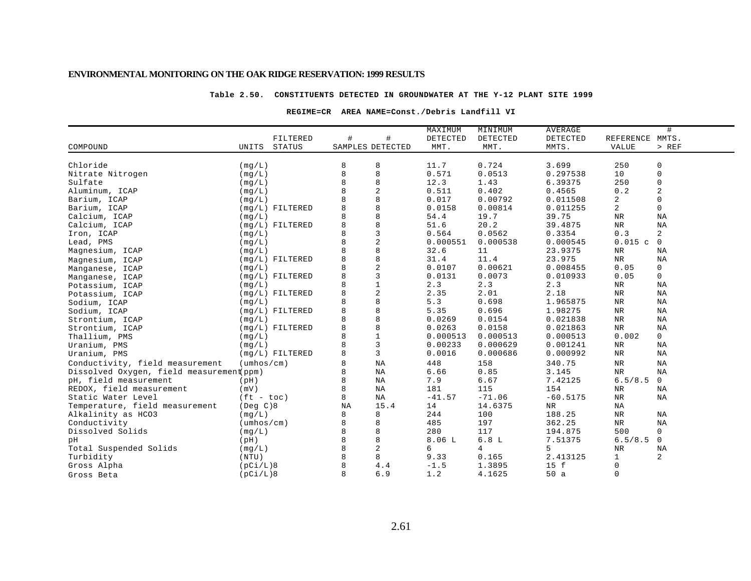### **Table 2.50. CONSTITUENTS DETECTED IN GROUNDWATER AT THE Y-12 PLANT SITE 1999**

### **REGIME=CR AREA NAME=Const./Debris Landfill VI**

|                                          |                            |          |                  |                         | MAXIMUM  | MINIMUM        | AVERAGE    | #               |              |
|------------------------------------------|----------------------------|----------|------------------|-------------------------|----------|----------------|------------|-----------------|--------------|
|                                          |                            | FILTERED | #                | #                       | DETECTED | DETECTED       | DETECTED   | REFERENCE MMTS. |              |
| COMPOUND                                 | UNITS                      | STATUS   | SAMPLES DETECTED |                         | MMT.     | MMT.           | MMTS.      | VALUE           | $>$ REF      |
| Chloride                                 | (mq/L)                     |          | 8                | 8                       | 11.7     | 0.724          | 3.699      | 250             | 0            |
| Nitrate Nitrogen                         | (mg/L)                     |          | 8                | 8                       | 0.571    | 0.0513         | 0.297538   | 10              | $\mathbf 0$  |
| Sulfate                                  | (mq/L)                     |          | 8                | 8                       | 12.3     | 1.43           | 6.39375    | 250             | $\mathbf 0$  |
| Aluminum, ICAP                           | (mq/L)                     |          | 8                | 2                       | 0.511    | 0.402          | 0.4565     | 0.2             | 2            |
| Barium, ICAP                             | (mq/L)                     |          |                  | 8                       | 0.017    | 0.00792        | 0.011508   | 2               | $\mathbf 0$  |
| Barium, ICAP                             | $(mq/L)$ FILTERED          |          | 8                | 8                       | 0.0158   | 0.00814        | 0.011255   | 2               | $\mathbf 0$  |
| Calcium, ICAP                            | (mq/L)                     |          |                  | 8                       | 54.4     | 19.7           | 39.75      | $\rm NR$        | NA           |
| Calcium, ICAP                            | $(mq/L)$ FILTERED          |          | 8                | 8                       | 51.6     | 20.2           | 39.4875    | <b>NR</b>       | NA           |
| Iron, ICAP                               | (mq/L)                     |          | 8                | $\overline{3}$          | 0.564    | 0.0562         | 0.3354     | 0.3             | 2            |
| Lead, PMS                                | (mq/L)                     |          | 8                | $\sqrt{2}$              | 0.000551 | 0.000538       | 0.000545   | 0.015c          | $\mathbf 0$  |
| Magnesium, ICAP                          | (mq/L)                     |          | 8                | 8                       | 32.6     | 11             | 23.9375    | NR              | NA           |
| Magnesium, ICAP                          | $(mq/L)$ FILTERED          |          | 8                | 8                       | 31.4     | 11.4           | 23.975     | $_{\rm NR}$     | NA           |
| Manganese, ICAP                          | (mq/L)                     |          | 8                | $\overline{\mathbf{c}}$ | 0.0107   | 0.00621        | 0.008455   | 0.05            | 0            |
| Manganese, ICAP                          | $(mq/L)$ FILTERED          |          | 8                | $\mathbf{3}$            | 0.0131   | 0.0073         | 0.010933   | 0.05            | $\mathbf 0$  |
| Potassium, ICAP                          | (mq/L)                     |          |                  | $\mathbf 1$             | 2.3      | 2.3            | 2.3        | $\rm{NR}$       | NA           |
| Potassium, ICAP                          | $(mq/L)$ FILTERED          |          | 8                | $\overline{\mathbf{c}}$ | 2.35     | 2.01           | 2.18       | NR              | NA           |
| Sodium, ICAP                             | (mq/L)                     |          |                  | 8                       | 5.3      | 0.698          | 1.965875   | <b>NR</b>       | NA           |
| Sodium, ICAP                             | $(mg/L)$ FILTERED          |          | 8                | 8                       | 5.35     | 0.696          | 1.98275    | NR              | NA           |
| Strontium, ICAP                          | (mq/L)                     |          | 8                | $\,8\,$                 | 0.0269   | 0.0154         | 0.021838   | NR              | NA           |
| Strontium, ICAP                          | $(mg/L)$ FILTERED          |          | 8                | 8                       | 0.0263   | 0.0158         | 0.021863   | <b>NR</b>       | NA           |
| Thallium, PMS                            | (mq/L)                     |          | 8                | $\mathbf{1}$            | 0.000513 | 0.000513       | 0.000513   | 0.002           | $\mathbf 0$  |
| Uranium, PMS                             | (mq/L)                     |          |                  | $\overline{3}$          | 0.00233  | 0.000629       | 0.001241   | NR              | ΝA           |
| Uranium, PMS                             | $(mq/L)$ FILTERED          |          | 8                | 3                       | 0.0016   | 0.000686       | 0.000992   | $\rm{NR}$       | NA           |
| Conductivity, field measurement          | $(\text{umbos}/\text{cm})$ |          | 8                | NA                      | 448      | 158            | 340.75     | $\rm{NR}$       | NA           |
| Dissolved Oxygen, field measurement(ppm) |                            |          | 8                | NA                      | 6.66     | 0.85           | 3.145      | NR              | NA           |
| pH, field measurement                    | (pH)                       |          | 8                | NA                      | 7.9      | 6.67           | 7.42125    | 6.5/8.5         | $\mathbf 0$  |
| REDOX, field measurement                 | (mV)                       |          | 8                | NA                      | 181      | 115            | 154        | NR              | NA           |
| Static Water Level                       | $(ft - toc)$               |          | 8                | ΝA                      | $-41.57$ | $-71.06$       | $-60.5175$ | NR              | ΝA           |
| Temperature, field measurement           | $($ Deg $C$ $)8$           |          | NA               | 15.4                    | 14       | 14.6375        | NR.        | NA              |              |
| Alkalinity as HCO3                       | (mq/L)                     |          | 8                | 8                       | 244      | 100            | 188.25     | $\rm{NR}$       | NA           |
| Conductivity                             | $(\text{umbos}/\text{cm})$ |          | 8                | 8                       | 485      | 197            | 362.25     | $_{\rm NR}$     | ΝA           |
| Dissolved Solids                         | (mq/L)                     |          | 8                | 8                       | 280      | 117            | 194.875    | 500             | $\mathbf 0$  |
| pН                                       | (pH)                       |          | 8                | 8                       | 8.06L    | 6.8L           | 7.51375    | 6.5/8.5         | $\mathbf{0}$ |
| Total Suspended Solids                   | (mq/L)                     |          | 8                | 2                       | б.       | $\overline{4}$ | 5          | <b>NR</b>       | NA           |
| Turbidity                                | (NTU)                      |          | 8                | 8                       | 9.33     | 0.165          | 2.413125   | $\mathbf{1}$    | 2            |
| Gross Alpha                              | (pCi/L)8                   |          |                  | 4.4                     | $-1.5$   | 1.3895         | 15 f       | 0               |              |
| Gross Beta                               | (pCi/L)8                   |          | 8                | 6.9                     | 1.2      | 4.1625         | 50a        | 0               |              |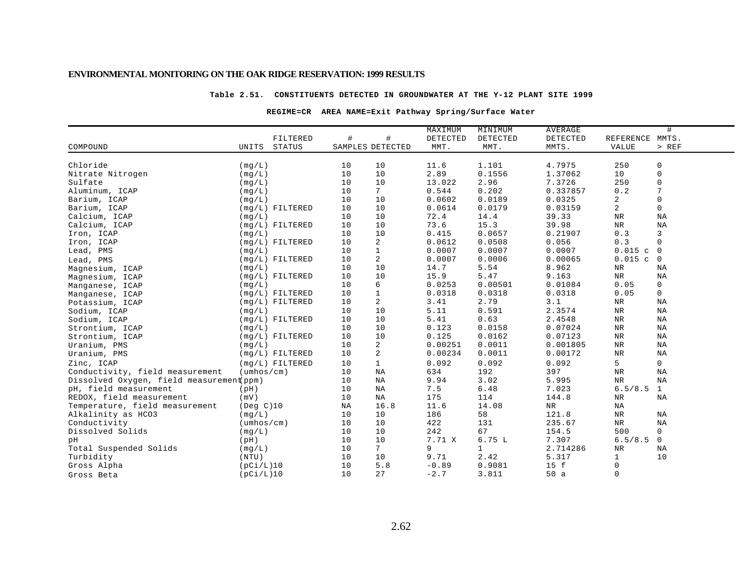#### **Table 2.51. CONSTITUENTS DETECTED IN GROUNDWATER AT THE Y-12 PLANT SITE 1999**

### **REGIME=CR AREA NAME=Exit Pathway Spring/Surface Water**

| $\#$<br>FILTERED<br>#<br>DETECTED<br>DETECTED<br>DETECTED<br>REFERENCE MMTS.<br>COMPOUND<br><b>STATUS</b><br>SAMPLES DETECTED<br>MMT.<br>MMTS.<br><b>VALUE</b><br>$>$ REF<br>UNITS<br>MMT. |  |
|--------------------------------------------------------------------------------------------------------------------------------------------------------------------------------------------|--|
|                                                                                                                                                                                            |  |
|                                                                                                                                                                                            |  |
|                                                                                                                                                                                            |  |
| 1.101<br>11.6<br>4.7975<br>250<br>0<br>Chloride<br>(mg/L)<br>10<br>10                                                                                                                      |  |
| 10<br>2.89<br>0.1556<br>10<br>0<br>Nitrate Nitrogen<br>10<br>1.37062<br>(mq/L)                                                                                                             |  |
| 2.96<br>250<br>Sulfate<br>10<br>10<br>13.022<br>7.3726<br>0<br>(mq/L)                                                                                                                      |  |
| $7\phantom{.}$<br>0.202<br>7<br>10<br>0.544<br>0.337857<br>0.2<br>Aluminum, ICAP<br>(mq/L)                                                                                                 |  |
| 10<br>0.0602<br>0.0189<br>0.0325<br>2<br>0<br>Barium, ICAP<br>10<br>(mq/L)                                                                                                                 |  |
| 2<br>0<br>0.0614<br>0.0179<br>Barium, ICAP<br>$(mq/L)$ FILTERED<br>10<br>10<br>0.03159                                                                                                     |  |
| 10<br>10<br>72.4<br>NA<br>Calcium, ICAP<br>14.4<br>39.33<br>NR<br>(mq/L)                                                                                                                   |  |
| 10<br>73.6<br>15.3<br>${\hbox{NR}}$<br>NA<br>10<br>39.98<br>Calcium, ICAP<br>$(mq/L)$ FILTERED                                                                                             |  |
| 10<br>10<br>0.0657<br>0.3<br>3<br>(mq/L)<br>0.415<br>0.21907<br>Iron, ICAP                                                                                                                 |  |
| 10<br>$\overline{a}$<br>0.0612<br>0.0508<br>0.056<br>0.3<br>$\mathbf 0$<br>$(mg/L)$ FILTERED<br>Iron, ICAP                                                                                 |  |
| $\mathbf{1}$<br>0.0007<br>0.0007<br>0.0007<br>0.015c<br>Lead, PMS<br>10<br>$\mathbf 0$<br>(mq/L)                                                                                           |  |
| $\overline{a}$<br>10<br>0.0007<br>0.0006<br>0.015c<br>(mg/L) FILTERED<br>0.00065<br>0<br>Lead, PMS                                                                                         |  |
| 10<br>10<br>14.7<br>5.54<br>8.962<br>$\rm{NR}$<br>NA<br>(mq/L)<br>Magnesium, ICAP                                                                                                          |  |
| 10<br>15.9<br>5.47<br>$\rm{NR}$<br>$(mg/L)$ FILTERED<br>10<br>9.163<br>NA<br>Magnesium, ICAP                                                                                               |  |
| 10<br>6<br>0<br>0.0253<br>0.00501<br>0.01084<br>0.05<br>(mq/L)<br>Manganese, ICAP                                                                                                          |  |
| $\mathbf{1}$<br>0<br>$(mq/L)$ FILTERED<br>10<br>0.0318<br>0.0318<br>0.0318<br>0.05<br>Manganese, ICAP                                                                                      |  |
| 2<br>2.79<br>$(mq/L)$ FILTERED<br>10<br>3.41<br>3.1<br>NR<br>ΝA<br>Potassium, ICAP                                                                                                         |  |
| 5.11<br>0.591<br>${\tt NR}$<br>10<br>10<br>2.3574<br>NA<br>(mq/L)<br>Sodium, ICAP                                                                                                          |  |
| 0.63<br>10<br>10<br>5.41<br>2.4548<br><b>NR</b><br>NA<br>$(mq/L)$ FILTERED<br>Sodium, ICAP                                                                                                 |  |
| 10<br>0.0158<br>10<br>0.123<br>0.07024<br>$\rm{NR}$<br>NA<br>(mq/L)<br>Strontium, ICAP                                                                                                     |  |
| 10<br>10<br>0.125<br>0.0162<br>0.07123<br>$(mq/L)$ FILTERED<br>NR<br>ΝA<br>Strontium, ICAP                                                                                                 |  |
| 2<br>10<br>0.00251<br>0.0011<br>0.001805<br>NR<br>ΝA<br>(mq/L)<br>Uranium, PMS                                                                                                             |  |
| $\overline{a}$<br>10<br>0.00234<br>0.0011<br><b>NR</b><br>$(mq/L)$ FILTERED<br>0.00172<br>ΝA<br>Uranium, PMS                                                                               |  |
| 5<br>10<br>$\mathbf{1}$<br>0.092<br>0.092<br>$\mathbf 0$<br>Zinc, ICAP<br>$(mq/L)$ FILTERED<br>0.092                                                                                       |  |
| Conductivity, field measurement<br>$(\text{umbos}/\text{cm})$<br>634<br>192<br>397<br>10<br>NA<br><b>NR</b><br>NA                                                                          |  |
| Dissolved Oxygen, field measurement(ppm)<br>9.94<br>3.02<br>NA<br>10<br>ΝA<br>5.995<br>$_{\rm NR}$                                                                                         |  |
| 10<br>6.48<br>6.5/8.5<br>pH, field measurement<br>ΝA<br>7.5<br>7.023<br>1<br>(pH)                                                                                                          |  |
| REDOX, field measurement<br>175<br>(mV)<br>10<br>114<br>144.8<br>NR<br>ΝA<br>ΝA                                                                                                            |  |
| Temperature, field measurement<br>(Deg C)10<br>16.8<br>11.6<br>14.08<br>NA<br>NR<br>ΝA                                                                                                     |  |
| 186<br>Alkalinity as HCO3<br>10<br>58<br>121.8<br><b>NR</b><br>NA<br>(mq/L)<br>10                                                                                                          |  |
| Conductivity<br>$(\text{umbos}/\text{cm})$<br>10<br>10<br>422<br>131<br>235.67<br>$_{\rm NR}$<br>ΝA                                                                                        |  |
| 10<br>242<br>500<br>$\mathbf 0$<br>Dissolved Solids<br>(mq/L)<br>10<br>67<br>154.5                                                                                                         |  |
| 10<br>7.71 X<br>6.75L<br>6.5/8.5<br>10<br>7.307<br>0<br>pН<br>(pH)                                                                                                                         |  |
| $7^{\circ}$<br>Total Suspended Solids<br>9<br>$\mathbf{1}$<br>10<br>2.714286<br><b>NR</b><br>ΝA<br>(mq/L)                                                                                  |  |
| $\mathbf{1}$<br>10<br>10<br>9.71<br>2.42<br>5.317<br>10<br>Turbidity<br>(NTU)                                                                                                              |  |
| 0<br>Gross Alpha<br>10<br>5.8<br>$-0.89$<br>0.9081<br>15 f<br>(pCi/L)10                                                                                                                    |  |
| 0<br>(pCi/L)10<br>10<br>27<br>$-2.7$<br>3.811<br>50a<br>Gross Beta                                                                                                                         |  |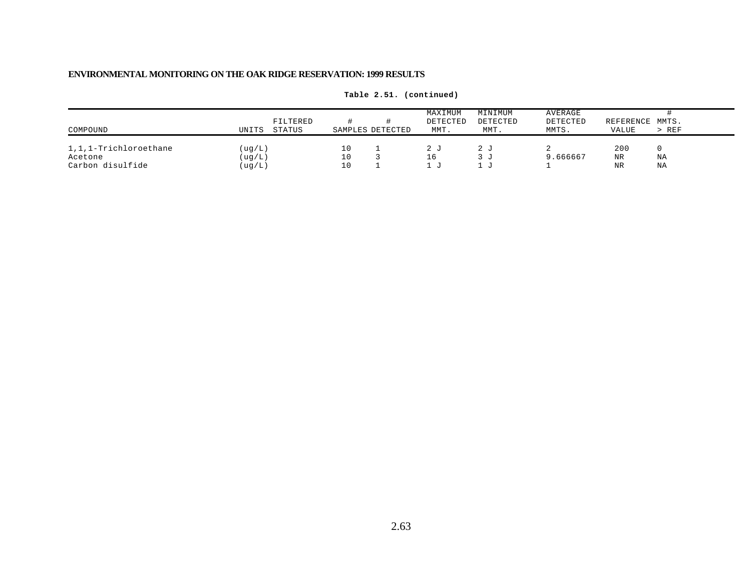| COMPOUND                                             | UNITS                      | FILTERED<br>STATUS |                | SAMPLES DETECTED | MAXIMUM<br>DETECTED<br>MMT. | MINIMUM<br>DETECTED<br>MMT. | AVERAGE<br>DETECTED<br>MMTS. | REFERENCE MMTS.<br>VALUE | $>$ REF  |
|------------------------------------------------------|----------------------------|--------------------|----------------|------------------|-----------------------------|-----------------------------|------------------------------|--------------------------|----------|
| 1,1,1-Trichloroethane<br>Acetone<br>Carbon disulfide | (ug/L)<br>(ug/L)<br>(ug/L) |                    | 10<br>10<br>10 |                  |                             | 2 J<br>.3 U<br>- 11         | 9.666667                     | 200<br>NR<br><b>NR</b>   | ΝA<br>ΝA |

**Table 2.51. (continued)**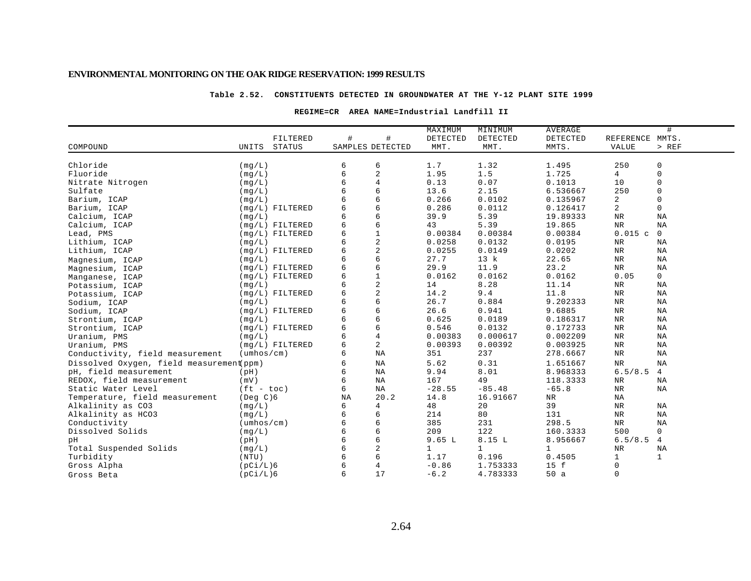#### **Table 2.52. CONSTITUENTS DETECTED IN GROUNDWATER AT THE Y-12 PLANT SITE 1999**

### **REGIME=CR AREA NAME=Industrial Landfill II**

|                                          |                            |               |                  |                | MAXIMUM     | MINIMUM      | <b>AVERAGE</b><br># |                 |                |  |
|------------------------------------------|----------------------------|---------------|------------------|----------------|-------------|--------------|---------------------|-----------------|----------------|--|
|                                          |                            | FILTERED      | #                | #              | DETECTED    | DETECTED     | DETECTED            | REFERENCE MMTS. |                |  |
| COMPOUND                                 | UNITS                      | <b>STATUS</b> | SAMPLES DETECTED |                | MMT.        | MMT.         | MMTS.               | VALUE           | $>$ REF        |  |
|                                          |                            |               |                  |                |             |              |                     |                 |                |  |
| Chloride                                 | (mq/L)                     |               | 6                | 6              | 1.7         | 1.32         | 1.495               | 250             | 0              |  |
| Fluoride                                 | (mq/L)                     |               | 6                | 2              | 1.95        | 1.5          | 1.725               | 4               | 0              |  |
| Nitrate Nitrogen                         | (mq/L)                     |               | 6                | $\overline{4}$ | 0.13        | 0.07         | 0.1013              | 10              | 0              |  |
| Sulfate                                  | (mq/L)                     |               | 6                | б              | 13.6        | 2.15         | 6.536667            | 250             | 0              |  |
| Barium, ICAP                             | (mq/L)                     |               | 6                | 6              | 0.266       | 0.0102       | 0.135967            | 2               | $\mathbf 0$    |  |
| Barium, ICAP                             | $(mq/L)$ FILTERED          |               | 6                | 6              | 0.286       | 0.0112       | 0.126417            | 2               | 0              |  |
| Calcium, ICAP                            | (mq/L)                     |               | 6                | 6              | 39.9        | 5.39         | 19.89333            | NR              | NA             |  |
| Calcium, ICAP                            | $(mq/L)$ FILTERED          |               | 6                | 6              | 43          | 5.39         | 19.865              | $_{\rm NR}$     | NA             |  |
| Lead, PMS                                | $(mq/L)$ FILTERED          |               | 6                | $\mathbf 1$    | 0.00384     | 0.00384      | 0.00384             | 0.015c          | $\mathbf 0$    |  |
| Lithium, ICAP                            | (mq/L)                     |               | 6                | $\sqrt{2}$     | 0.0258      | 0.0132       | 0.0195              | ${\tt NR}$      | NA             |  |
| Lithium, ICAP                            | $(mq/L)$ FILTERED          |               | 6                | 2              | 0.0255      | 0.0149       | 0.0202              | ${\tt NR}$      | NA             |  |
| Magnesium, ICAP                          | (mq/L)                     |               | 6                | 6              | 27.7        | 13 k         | 22.65               | <b>NR</b>       | NA             |  |
| Magnesium, ICAP                          | $(mq/L)$ FILTERED          |               | 6                | 6              | 29.9        | 11.9         | 23.2                | $_{\rm NR}$     | NA             |  |
| Manganese, ICAP                          | $(mq/L)$ FILTERED          |               | 6                | $\mathbf 1$    | 0.0162      | 0.0162       | 0.0162              | 0.05            | $\mathsf{O}$   |  |
| Potassium, ICAP                          | (mq/L)                     |               | 6                | $\sqrt{2}$     | 14          | 8.28         | 11.14               | ${\tt NR}$      | NA             |  |
| Potassium, ICAP                          | $(mq/L)$ FILTERED          |               | 6                | 2              | 14.2        | 9.4          | 11.8                | $_{\rm NR}$     | ΝA             |  |
| Sodium, ICAP                             | (mq/L)                     |               | 6                | 6              | 26.7        | 0.884        | 9.202333            | <b>NR</b>       | NA             |  |
| Sodium, ICAP                             | $(mq/L)$ FILTERED          |               | 6                | 6              | 26.6        | 0.941        | 9.6885              | <b>NR</b>       | NA             |  |
| Strontium, ICAP                          | (mq/L)                     |               | 6                | 6              | 0.625       | 0.0189       | 0.186317            | ${\tt NR}$      | NA             |  |
| Strontium, ICAP                          | $(mq/L)$ FILTERED          |               | 6                | 6              | 0.546       | 0.0132       | 0.172733            | ${\tt NR}$      | ΝA             |  |
| Uranium, PMS                             | (mq/L)                     |               | 6                | $\overline{4}$ | 0.00383     | 0.000617     | 0.002209            | $_{\rm NR}$     | ΝA             |  |
| Uranium, PMS                             | $(mg/L)$ FILTERED          |               | 6                | $\overline{a}$ | 0.00393     | 0.00392      | 0.003925            | ${\tt NR}$      | ΝA             |  |
| Conductivity, field measurement          | $(\text{umbos}/\text{cm})$ |               | 6                | NA             | 351         | 237          | 278.6667            | <b>NR</b>       | NA             |  |
| Dissolved Oxygen, field measurement(ppm) |                            |               | 6                | ΝA             | 5.62        | 0.31         | 1.651667            | $_{\rm NR}$     | NA             |  |
| pH, field measurement                    | (pH)                       |               | 6                | NA             | 9.94        | 8.01         | 8.968333            | 6.5/8.5         | 4              |  |
| REDOX, field measurement                 | (mV)                       |               | 6                | ΝA             | 167         | 49           | 118.3333            | ${\tt NR}$      | NA             |  |
| Static Water Level                       | $(ft - toe)$               |               | 6                | NA             | $-28.55$    | $-85.48$     | $-65.8$             | <b>NR</b>       | <b>NA</b>      |  |
| Temperature, field measurement           | $($ Deg $C$ $)$ 6          |               | NA               | 20.2           | 14.8        | 16.91667     | $_{\rm NR}$         | NA              |                |  |
| Alkalinity as CO3                        | (mq/L)                     |               | 6                | 4              | 48          | 20           | 39                  | $_{\rm NR}$     | NA             |  |
| Alkalinity as HCO3                       | (mq/L)                     |               | 6                | 6              | 214         | 80           | 131                 | $_{\rm NR}$     | ΝA             |  |
| Conductivity                             | $(\text{umbos}/\text{cm})$ |               | 6                | б              | 385         | 231          | 298.5               | ${\tt NR}$      | NA             |  |
| Dissolved Solids                         | (mg/L)                     |               | 6                | б              | 209         | 122          | 160.3333            | 500             | $\mathsf{O}$   |  |
| pН                                       | (pH)                       |               | 6                | 6              | 9.65L       | 8.15 L       | 8.956667            | 6.5/8.5         | $\overline{4}$ |  |
| Total Suspended Solids                   | (mq/L)                     |               | 6                | 2              | $\mathbf 1$ | $\mathbf{1}$ | 1                   | <b>NR</b>       | NA             |  |
| Turbidity                                | (NTU)                      |               | 6                | 6              | 1.17        | 0.196        | 0.4505              | $\mathbf{1}$    | 1              |  |
| Gross Alpha                              | (pCi/L)6                   |               | 6                | 4              | $-0.86$     | 1.753333     | 15 f                | 0               |                |  |
| Gross Beta                               | (pCi/L)6                   |               | 6                | 17             | $-6.2$      | 4.783333     | 50a                 | $\mathbf 0$     |                |  |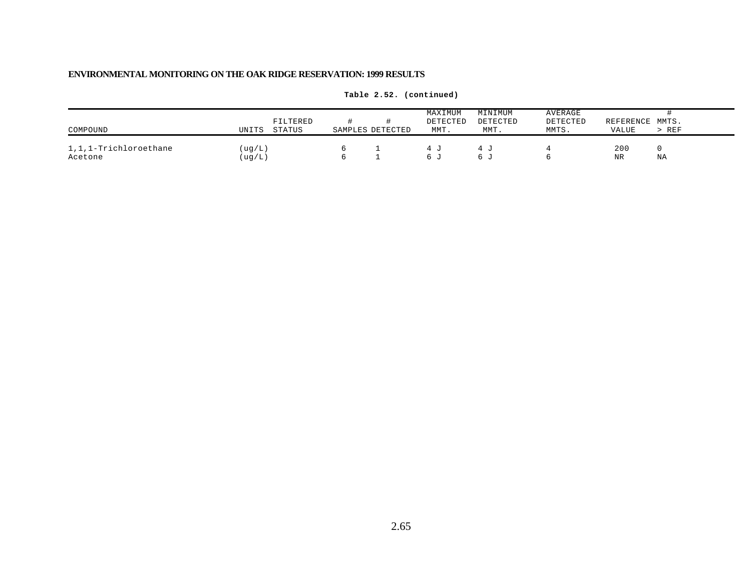| COMPOUND                         | UNITS           | FILTERED<br><b>STATUS</b> | SAMPLES DETECTED | MAXIMUM<br>DETECTED<br>MMT. | MINIMUM<br>DETECTED<br>MMT. | <b>AVERAGE</b><br>DETECTED<br>MMTS. | REFERENCE MMTS.<br>VALUE | > REF |
|----------------------------------|-----------------|---------------------------|------------------|-----------------------------|-----------------------------|-------------------------------------|--------------------------|-------|
| 1,1,1-Trichloroethane<br>Acetone | (ug/L)<br>ug/L) |                           |                  | $h_{\perp}$                 | 10 L                        |                                     | 200<br>NR                | ΝA    |

**Table 2.52. (continued)**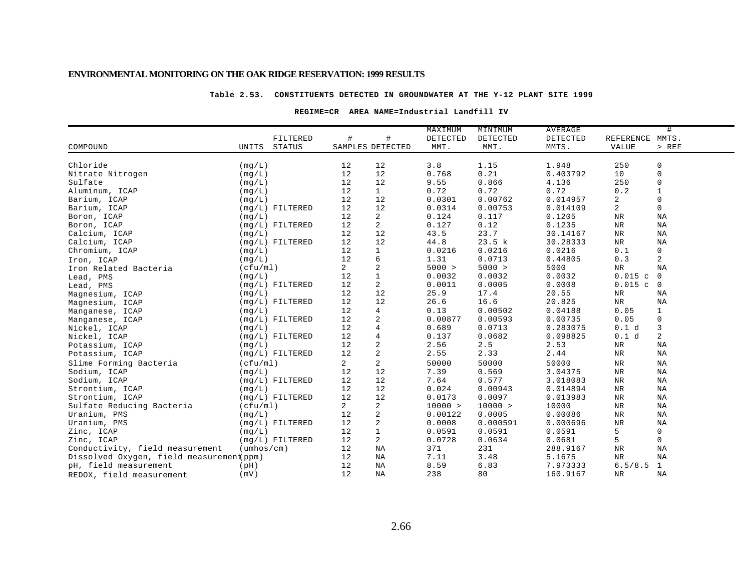### **Table 2.53. CONSTITUENTS DETECTED IN GROUNDWATER AT THE Y-12 PLANT SITE 1999**

### **REGIME=CR AREA NAME=Industrial Landfill IV**

| #<br>$\#$<br>DETECTED<br>DETECTED<br>REFERENCE MMTS.<br>FILTERED<br>DETECTED<br><b>STATUS</b><br>SAMPLES DETECTED<br>MMTS.<br>$>$ REF<br>COMPOUND<br>UNITS<br>MMT.<br>MMT.<br><b>VALUE</b><br>3.8<br>1.15<br>1.948<br>250<br>0<br>Chloride<br>(mq/L)<br>12<br>12<br>0.21<br>12<br>0.768<br>$\mathbf 0$<br>Nitrate Nitrogen<br>12<br>0.403792<br>10<br>(mq/L)<br>12<br>12<br>0.866<br>250<br>$\mathbf 0$<br>Sulfate<br>9.55<br>4.136<br>(mq/L)<br>12<br>$\mathbf{1}$<br>0.72<br>0.72<br>0.72<br>0.2<br>$\mathbf{1}$<br>Aluminum, ICAP<br>(mq/L)<br>$\mathbf 0$<br>12<br>12<br>0.00762<br>2<br>Barium, ICAP<br>0.0301<br>0.014957<br>(mq/L)<br>12<br>$\overline{a}$<br>12<br>0.0314<br>0.00753<br>$\mathbf 0$<br>Barium, ICAP<br>$(mq/L)$ FILTERED<br>0.014109<br>$\overline{a}$<br>12<br>0.124<br>0.117<br>Boron, ICAP<br>(mq/L)<br>0.1205<br><b>NR</b><br>ΝA<br>2<br>12<br>0.127<br>0.12<br>0.1235<br><b>NR</b><br>NA<br>Boron, ICAP<br>$(mg/L)$ FILTERED |  |  | MAXIMUM | MINIMUM | AVERAGE | # |
|-----------------------------------------------------------------------------------------------------------------------------------------------------------------------------------------------------------------------------------------------------------------------------------------------------------------------------------------------------------------------------------------------------------------------------------------------------------------------------------------------------------------------------------------------------------------------------------------------------------------------------------------------------------------------------------------------------------------------------------------------------------------------------------------------------------------------------------------------------------------------------------------------------------------------------------------------------------|--|--|---------|---------|---------|---|
|                                                                                                                                                                                                                                                                                                                                                                                                                                                                                                                                                                                                                                                                                                                                                                                                                                                                                                                                                           |  |  |         |         |         |   |
|                                                                                                                                                                                                                                                                                                                                                                                                                                                                                                                                                                                                                                                                                                                                                                                                                                                                                                                                                           |  |  |         |         |         |   |
|                                                                                                                                                                                                                                                                                                                                                                                                                                                                                                                                                                                                                                                                                                                                                                                                                                                                                                                                                           |  |  |         |         |         |   |
|                                                                                                                                                                                                                                                                                                                                                                                                                                                                                                                                                                                                                                                                                                                                                                                                                                                                                                                                                           |  |  |         |         |         |   |
|                                                                                                                                                                                                                                                                                                                                                                                                                                                                                                                                                                                                                                                                                                                                                                                                                                                                                                                                                           |  |  |         |         |         |   |
|                                                                                                                                                                                                                                                                                                                                                                                                                                                                                                                                                                                                                                                                                                                                                                                                                                                                                                                                                           |  |  |         |         |         |   |
|                                                                                                                                                                                                                                                                                                                                                                                                                                                                                                                                                                                                                                                                                                                                                                                                                                                                                                                                                           |  |  |         |         |         |   |
|                                                                                                                                                                                                                                                                                                                                                                                                                                                                                                                                                                                                                                                                                                                                                                                                                                                                                                                                                           |  |  |         |         |         |   |
|                                                                                                                                                                                                                                                                                                                                                                                                                                                                                                                                                                                                                                                                                                                                                                                                                                                                                                                                                           |  |  |         |         |         |   |
|                                                                                                                                                                                                                                                                                                                                                                                                                                                                                                                                                                                                                                                                                                                                                                                                                                                                                                                                                           |  |  |         |         |         |   |
|                                                                                                                                                                                                                                                                                                                                                                                                                                                                                                                                                                                                                                                                                                                                                                                                                                                                                                                                                           |  |  |         |         |         |   |
| 12<br>12<br>23.7<br>43.5<br>NA<br>Calcium, ICAP<br>(mq/L)<br>30.14167<br>NR                                                                                                                                                                                                                                                                                                                                                                                                                                                                                                                                                                                                                                                                                                                                                                                                                                                                               |  |  |         |         |         |   |
| 23.5 k<br>12<br>12<br>44.8<br>30.28333<br>$_{\rm NR}$<br>NA<br>Calcium, ICAP<br>$(mq/L)$ FILTERED                                                                                                                                                                                                                                                                                                                                                                                                                                                                                                                                                                                                                                                                                                                                                                                                                                                         |  |  |         |         |         |   |
| 0.0216<br>12<br>$\mathbf{1}$<br>0.0216<br>0.0216<br>0.1<br>$\mathbf 0$<br>Chromium, ICAP<br>(mq/L)                                                                                                                                                                                                                                                                                                                                                                                                                                                                                                                                                                                                                                                                                                                                                                                                                                                        |  |  |         |         |         |   |
| 6<br>2<br>12<br>0.0713<br>0.3<br>1.31<br>0.44805<br>(mq/L)<br>Iron, ICAP                                                                                                                                                                                                                                                                                                                                                                                                                                                                                                                                                                                                                                                                                                                                                                                                                                                                                  |  |  |         |         |         |   |
| $\sqrt{2}$<br>$\overline{2}$<br>5000 ><br>5000 ><br>$\rm{NR}$<br>5000<br>ΝA<br>(cfu/ml)<br>Iron Related Bacteria                                                                                                                                                                                                                                                                                                                                                                                                                                                                                                                                                                                                                                                                                                                                                                                                                                          |  |  |         |         |         |   |
| $\,1\,$<br>12<br>0.0032<br>0.0032<br>0.0032<br>$0.015$ c<br>$\overline{0}$<br>(mq/L)<br>Lead, PMS                                                                                                                                                                                                                                                                                                                                                                                                                                                                                                                                                                                                                                                                                                                                                                                                                                                         |  |  |         |         |         |   |
| $\overline{a}$<br>12<br>0.0011<br>0.0005<br>0.0008<br>$0.015$ c<br>$\overline{0}$<br>$(mq/L)$ FILTERED<br>Lead, PMS                                                                                                                                                                                                                                                                                                                                                                                                                                                                                                                                                                                                                                                                                                                                                                                                                                       |  |  |         |         |         |   |
| 12<br>12<br>25.9<br>17.4<br>20.55<br>${\tt NR}$<br>(mq/L)<br>ΝA<br>Magnesium, ICAP                                                                                                                                                                                                                                                                                                                                                                                                                                                                                                                                                                                                                                                                                                                                                                                                                                                                        |  |  |         |         |         |   |
| 12<br>$(mq/L)$ FILTERED<br>12<br>26.6<br>16.6<br>20.825<br>NR<br>ΝA<br>Magnesium, ICAP                                                                                                                                                                                                                                                                                                                                                                                                                                                                                                                                                                                                                                                                                                                                                                                                                                                                    |  |  |         |         |         |   |
| 12<br>$\overline{4}$<br>0.13<br>0.00502<br>0.04188<br>0.05<br>1<br>(mq/L)<br>Manganese, ICAP                                                                                                                                                                                                                                                                                                                                                                                                                                                                                                                                                                                                                                                                                                                                                                                                                                                              |  |  |         |         |         |   |
| $\sqrt{2}$<br>12<br>0.00877<br>0.00593<br>0.00735<br>0.05<br>$\mathbf 0$<br>$(mg/L)$ FILTERED<br>Manganese, ICAP                                                                                                                                                                                                                                                                                                                                                                                                                                                                                                                                                                                                                                                                                                                                                                                                                                          |  |  |         |         |         |   |
| $\overline{4}$<br>12<br>3<br>0.689<br>0.0713<br>(mq/L)<br>0.283075<br>0.1 d<br>Nickel, ICAP                                                                                                                                                                                                                                                                                                                                                                                                                                                                                                                                                                                                                                                                                                                                                                                                                                                               |  |  |         |         |         |   |
| 12<br>4<br>0.1 d<br>2<br>$(mg/L)$ FILTERED<br>0.137<br>0.0682<br>0.098825<br>Nickel, ICAP                                                                                                                                                                                                                                                                                                                                                                                                                                                                                                                                                                                                                                                                                                                                                                                                                                                                 |  |  |         |         |         |   |
| 12<br>2.56<br>2.5<br>2.53<br>$\rm NR$<br>ΝA<br>(mq/L)<br>Potassium, ICAP                                                                                                                                                                                                                                                                                                                                                                                                                                                                                                                                                                                                                                                                                                                                                                                                                                                                                  |  |  |         |         |         |   |
| $\frac{2}{2}$<br>12<br>2.55<br>2.33<br>$\rm{NR}$<br>$(mq/L)$ FILTERED<br>2.44<br>ΝA<br>Potassium, ICAP                                                                                                                                                                                                                                                                                                                                                                                                                                                                                                                                                                                                                                                                                                                                                                                                                                                    |  |  |         |         |         |   |
| $\boldsymbol{2}$<br>Slime Forming Bacteria<br>$\overline{a}$<br>50000<br>50000<br>$\rm{NR}$<br>(cfu/ml)<br>50000<br>NA                                                                                                                                                                                                                                                                                                                                                                                                                                                                                                                                                                                                                                                                                                                                                                                                                                    |  |  |         |         |         |   |
| 12<br>7.39<br>0.569<br>$\rm{NR}$<br>Sodium, ICAP<br>12<br>3.04375<br>ΝA<br>(mq/L)                                                                                                                                                                                                                                                                                                                                                                                                                                                                                                                                                                                                                                                                                                                                                                                                                                                                         |  |  |         |         |         |   |
| 12<br>12<br>7.64<br>0.577<br>NA<br>Sodium, ICAP<br>$(mq/L)$ FILTERED<br>3.018083<br>NR                                                                                                                                                                                                                                                                                                                                                                                                                                                                                                                                                                                                                                                                                                                                                                                                                                                                    |  |  |         |         |         |   |
| 12<br>12<br>0.00943<br>$\rm{NR}$<br>NA<br>Strontium, ICAP<br>(mq/L)<br>0.024<br>0.014894                                                                                                                                                                                                                                                                                                                                                                                                                                                                                                                                                                                                                                                                                                                                                                                                                                                                  |  |  |         |         |         |   |
| 12<br>12<br>0.0173<br>0.0097<br>Strontium, ICAP<br>$(mq/L)$ FILTERED<br>0.013983<br>NR<br>ΝA                                                                                                                                                                                                                                                                                                                                                                                                                                                                                                                                                                                                                                                                                                                                                                                                                                                              |  |  |         |         |         |   |
| Sulfate Reducing Bacteria<br>2<br>$\overline{a}$<br>10000 ><br>10000 ><br><b>NR</b><br>NA<br>(cfu/ml)<br>10000                                                                                                                                                                                                                                                                                                                                                                                                                                                                                                                                                                                                                                                                                                                                                                                                                                            |  |  |         |         |         |   |
| $\sqrt{2}$<br>12<br>0.00122<br>0.0005<br>$\rm{NR}$<br>NA<br>Uranium, PMS<br>0.00086<br>(mq/L)                                                                                                                                                                                                                                                                                                                                                                                                                                                                                                                                                                                                                                                                                                                                                                                                                                                             |  |  |         |         |         |   |
| $\sqrt{2}$<br>12<br>0.0008<br>0.000591<br>Uranium, PMS<br>$(mg/L)$ FILTERED<br>0.000696<br><b>NR</b><br>NA                                                                                                                                                                                                                                                                                                                                                                                                                                                                                                                                                                                                                                                                                                                                                                                                                                                |  |  |         |         |         |   |
| $\mathbf{1}$<br>12<br>5<br>0.0591<br>0.0591<br>0.0591<br>0<br>Zinc, ICAP<br>(mq/L)                                                                                                                                                                                                                                                                                                                                                                                                                                                                                                                                                                                                                                                                                                                                                                                                                                                                        |  |  |         |         |         |   |
| 5<br>12<br>$\overline{a}$<br>0.0728<br>Zinc, ICAP<br>$(mq/L)$ FILTERED<br>0.0634<br>0.0681<br>$\mathbf 0$                                                                                                                                                                                                                                                                                                                                                                                                                                                                                                                                                                                                                                                                                                                                                                                                                                                 |  |  |         |         |         |   |
| Conductivity, field measurement<br>$(\text{umbos}/\text{cm})$<br>12<br>ΝA<br>371<br>231<br><b>NR</b><br>ΝA<br>288.9167                                                                                                                                                                                                                                                                                                                                                                                                                                                                                                                                                                                                                                                                                                                                                                                                                                    |  |  |         |         |         |   |
| Dissolved Oxygen, field measurement(ppm)<br>12<br>7.11<br>3.48<br>ΝA<br>5.1675<br>NR<br>ΝA                                                                                                                                                                                                                                                                                                                                                                                                                                                                                                                                                                                                                                                                                                                                                                                                                                                                |  |  |         |         |         |   |
| 12<br>8.59<br>6.83<br>6.5/8.5<br>1<br>pH, field measurement<br>(pH)<br>ΝA<br>7.973333                                                                                                                                                                                                                                                                                                                                                                                                                                                                                                                                                                                                                                                                                                                                                                                                                                                                     |  |  |         |         |         |   |
| 12<br>238<br>80<br>NA<br>(mV)<br>NA<br>160.9167<br>$\rm NR$<br>REDOX, field measurement                                                                                                                                                                                                                                                                                                                                                                                                                                                                                                                                                                                                                                                                                                                                                                                                                                                                   |  |  |         |         |         |   |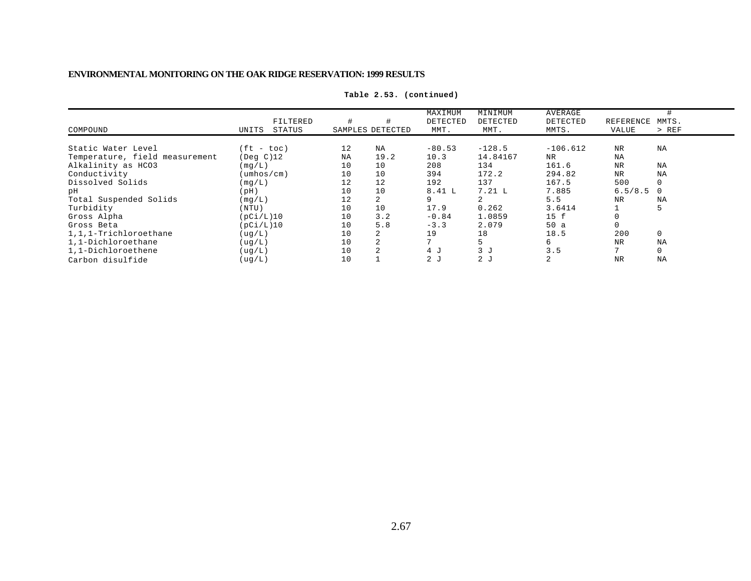|                                |                            |    |                  | MAXIMUM        | MINIMUM        | AVERAGE    |           |             |
|--------------------------------|----------------------------|----|------------------|----------------|----------------|------------|-----------|-------------|
|                                | FILTERED                   |    |                  | DETECTED       | DETECTED       | DETECTED   | REFERENCE | MMTS.       |
| COMPOUND                       | STATUS<br>UNITS            |    | SAMPLES DETECTED | MMT.           | MMT.           | MMTS.      | VALUE     | $>$ REF     |
| Static Water Level             | $(ft - toc)$               | 12 | NA               | $-80.53$       | $-128.5$       | $-106.612$ | <b>NR</b> | NA          |
| Temperature, field measurement | $($ Deq $C)$ 12            | NA | 19.2             | 10.3           | 14.84167       | <b>NR</b>  | <b>NA</b> |             |
| Alkalinity as HCO3             | (mq/L)                     | 10 | 10               | 208            | 134            | 161.6      | <b>NR</b> | NA          |
| Conductivity                   | $(\text{umbos}/\text{cm})$ | 10 | 10               | 394            | 172.2          | 294.82     | <b>NR</b> | NA          |
| Dissolved Solids               | (mq/L)                     |    | 12               | 192            | 137            | 167.5      | 500       | $\Omega$    |
| рH                             | (Hq)                       | 10 | 10               | 8.41 L         | 7.21 L         | 7.885      | 6.5/8.5   |             |
| Total Suspended Solids         | (mq/L)                     |    | 2                | 9              |                | 5.5        | NR        | NA          |
| Turbidity                      | (NTU)                      | 10 | 10               | 17.9           | 0.262          | 3.6414     |           |             |
| Gross Alpha                    | (pCi/L)10                  | 10 | 3.2              | $-0.84$        | 1.0859         | 15 f       |           |             |
| Gross Beta                     | (pCi/L)10                  | 10 | 5.8              | $-3.3$         | 2.079          | 50a        |           |             |
| 1.1.1-Trichloroethane          | ( uq/L)                    | 10 |                  | 19             | 18             | 18.5       | 200       | $\mathbf 0$ |
| 1,1-Dichloroethane             | ( uq/L)                    | 10 | 2                |                |                | б.         | NR        | NA          |
| 1,1-Dichloroethene             | ( uq/L)                    | 10 | $\overline{2}$   | 4J             | 3J             | 3.5        |           | $\Omega$    |
| Carbon disulfide               | ( uq/L)                    | 10 |                  | 2 <sub>0</sub> | 2 <sub>J</sub> |            | <b>NR</b> | NA          |

**Table 2.53. (continued)**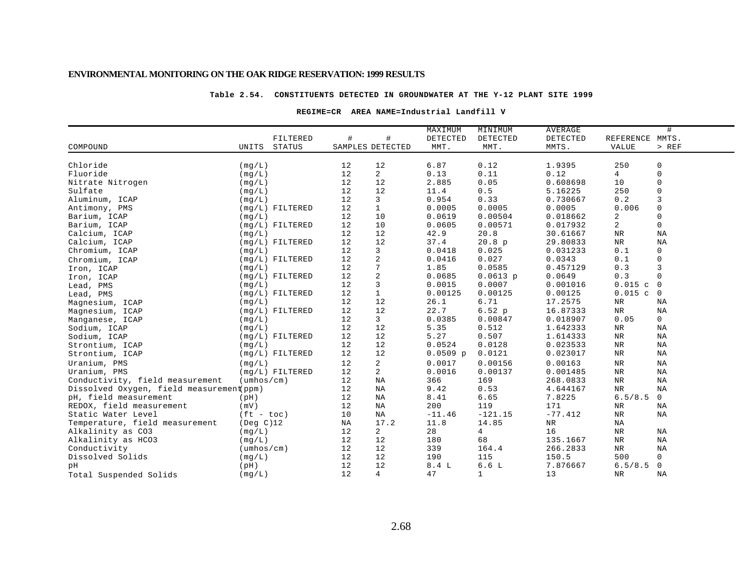### **Table 2.54. CONSTITUENTS DETECTED IN GROUNDWATER AT THE Y-12 PLANT SITE 1999**

### **REGIME=CR AREA NAME=Industrial Landfill V**

|                                          |                            |                   |    |                         | MAXIMUM    | MINIMUM        | AVERAGE    |                 | #              |
|------------------------------------------|----------------------------|-------------------|----|-------------------------|------------|----------------|------------|-----------------|----------------|
|                                          |                            | FILTERED          | #  | $\#$                    | DETECTED   | DETECTED       | DETECTED   | REFERENCE MMTS. |                |
| COMPOUND                                 | UNITS                      | STATUS            |    | SAMPLES DETECTED        | MMT.       | MMT.           | MMTS.      | <b>VALUE</b>    | > REF          |
|                                          |                            |                   |    |                         |            |                |            |                 |                |
| Chloride                                 | (mg/L)                     |                   | 12 | 12                      | 6.87       | 0.12           | 1.9395     | 250             | 0              |
| Fluoride                                 | (mq/L)                     |                   | 12 | $\overline{a}$          | 0.13       | 0.11           | 0.12       | 4               | $\mathbf 0$    |
| Nitrate Nitrogen                         | (mq/L)                     |                   | 12 | 12                      | 2.885      | 0.05           | 0.608698   | 10              | 0              |
| Sulfate                                  | (mg/L)                     |                   | 12 | 12                      | 11.4       | 0.5            | 5.16225    | 250             | $\mathsf 0$    |
| Aluminum, ICAP                           | (mq/L)                     |                   | 12 | 3                       | 0.954      | 0.33           | 0.730667   | 0.2             | 3              |
| Antimony, PMS                            |                            | $(mq/L)$ FILTERED | 12 | $\mathbf{1}$            | 0.0005     | 0.0005         | 0.0005     | 0.006           | 0              |
| Barium, ICAP                             | (mq/L)                     |                   | 12 | 10                      | 0.0619     | 0.00504        | 0.018662   | 2               | $\mathbf 0$    |
| Barium, ICAP                             |                            | $(mq/L)$ FILTERED | 12 | 10                      | 0.0605     | 0.00571        | 0.017932   | $\overline{a}$  | $\mathbf 0$    |
| Calcium, ICAP                            | (mq/L)                     |                   | 12 | 12                      | 42.9       | 20.8           | 30.61667   | $\rm NR$        | ΝA             |
| Calcium, ICAP                            |                            | $(mg/L)$ FILTERED | 12 | 12                      | 37.4       | 20.8 p         | 29.80833   | $_{\rm NR}$     | NA             |
| Chromium, ICAP                           | (mg/L)                     |                   | 12 | 3                       | 0.0418     | 0.025          | 0.031233   | 0.1             | $\mathbf 0$    |
| Chromium, ICAP                           |                            | $(mq/L)$ FILTERED | 12 | $\overline{\mathbf{c}}$ | 0.0416     | 0.027          | 0.0343     | 0.1             | $\mathbf 0$    |
| Iron, ICAP                               | (mq/L)                     |                   | 12 | $7\phantom{.0}$         | 1.85       | 0.0585         | 0.457129   | 0.3             | 3              |
| Iron, ICAP                               |                            | $(mq/L)$ FILTERED | 12 | $\sqrt{2}$              | 0.0685     | $0.0613$ p     | 0.0649     | 0.3             | $\mathbf 0$    |
| Lead, PMS                                | (mq/L)                     |                   | 12 | $\mathsf 3$             | 0.0015     | 0.0007         | 0.001016   | 0.015c          | $\overline{0}$ |
| Lead, PMS                                |                            | $(mq/L)$ FILTERED | 12 | $\mathbf{1}$            | 0.00125    | 0.00125        | 0.00125    | 0.015c          | $\mathbf 0$    |
| Magnesium, ICAP                          | (mq/L)                     |                   | 12 | 12                      | 26.1       | 6.71           | 17.2575    | $\rm NR$        | ΝA             |
| Magnesium, ICAP                          |                            | $(mq/L)$ FILTERED | 12 | 12                      | 22.7       | 6.52 p         | 16.87333   | $\rm{NR}$       | ΝA             |
| Manganese, ICAP                          | (mq/L)                     |                   | 12 | 3                       | 0.0385     | 0.00847        | 0.018907   | 0.05            | 0              |
| Sodium, ICAP                             | (mq/L)                     |                   | 12 | 12                      | 5.35       | 0.512          | 1.642333   | $\rm{NR}$       | ΝA             |
| Sodium, ICAP                             |                            | $(mg/L)$ FILTERED | 12 | 12                      | 5.27       | 0.507          | 1.614333   | NR              | ΝA             |
| Strontium, ICAP                          | (mq/L)                     |                   | 12 | 12                      | 0.0524     | 0.0128         | 0.023533   | <b>NR</b>       | NA             |
| Strontium, ICAP                          |                            | $(mq/L)$ FILTERED | 12 | 12                      | $0.0509$ p | 0.0121         | 0.023017   | $\rm{NR}$       | ΝA             |
| Uranium, PMS                             | (mq/L)                     |                   | 12 | $\overline{a}$          | 0.0017     | 0.00156        | 0.00163    | NR              | NA             |
| Uranium, PMS                             |                            | $(mq/L)$ FILTERED | 12 | $\overline{a}$          | 0.0016     | 0.00137        | 0.001485   | $\rm{NR}$       | NA             |
| Conductivity, field measurement          | $(\text{umbos}/\text{cm})$ |                   | 12 | NA                      | 366        | 169            | 268.0833   | NR              | ΝA             |
| Dissolved Oxygen, field measurement(ppm) |                            |                   | 12 | NA                      | 9.42       | 0.53           | 4.644167   | $\rm NR$        | ΝA             |
| pH, field measurement                    | (pH)                       |                   | 12 | ΝA                      | 8.41       | 6.65           | 7.8225     | 6.5/8.5         | $\mathbf 0$    |
| REDOX, field measurement                 | (mV)                       |                   | 12 | ΝA                      | 200        | 119            | 171        | NR              | ΝA             |
| Static Water Level                       | $(ft - toc)$               |                   | 10 | ΝA                      | $-11.46$   | $-121.15$      | $-77.412$  | $\rm{NR}$       | ΝA             |
| Temperature, field measurement           | $($ Deg C $)$ 12           |                   | ΝA | 17.2                    | 11.8       | 14.85          | ${\tt NR}$ | NA              |                |
| Alkalinity as CO3                        | (mq/L)                     |                   | 12 | 2                       | 28         | $\overline{4}$ | 16         | $\rm{NR}$       | ΝA             |
| Alkalinity as HCO3                       | (mq/L)                     |                   | 12 | 12                      | 180        | 68             | 135.1667   | $\rm NR$        | NA             |
| Conductivity                             | $(\text{umbos}/\text{cm})$ |                   | 12 | 12                      | 339        | 164.4          | 266.2833   | $\rm NR$        | NA             |
| Dissolved Solids                         | (mq/L)                     |                   | 12 | 12                      | 190        | 115            | 150.5      | 500             | 0              |
| pН                                       | (pH)                       |                   | 12 | 12                      | 8.4L       | 6.6L           | 7.876667   | 6.5/8.5         | $\mathbf 0$    |
| Total Suspended Solids                   | (mq/L)                     |                   | 12 | 4                       | 47         | $\mathbf{1}$   | 13         | NR              | ΝA             |
|                                          |                            |                   |    |                         |            |                |            |                 |                |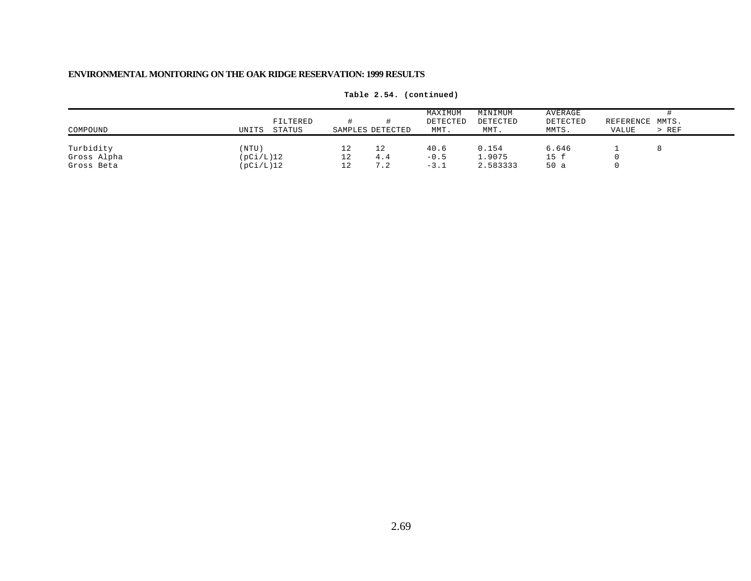| COMPOUND                               | UNITS                           | FILTERED<br>STATUS |                       | SAMPLES DETECTED | MAXIMUM<br>DETECTED<br>MMT. | MINIMUM<br>DETECTED<br>MMT. | AVERAGE<br>DETECTED<br>MMTS. | REFERENCE MMTS.<br>VALUE | $>$ REF |
|----------------------------------------|---------------------------------|--------------------|-----------------------|------------------|-----------------------------|-----------------------------|------------------------------|--------------------------|---------|
| Turbidity<br>Gross Alpha<br>Gross Beta | (NTU)<br>(pCi/L)12<br>(pCi/L)12 |                    | 12<br>$\perp$ 2<br>12 | 12<br>4.4<br>7.2 | 40.6<br>$-0.5$<br>$-3.1$    | 0.154<br>1.9075<br>2.583333 | 6.646<br>15 f<br>50 a        |                          |         |

**Table 2.54. (continued)**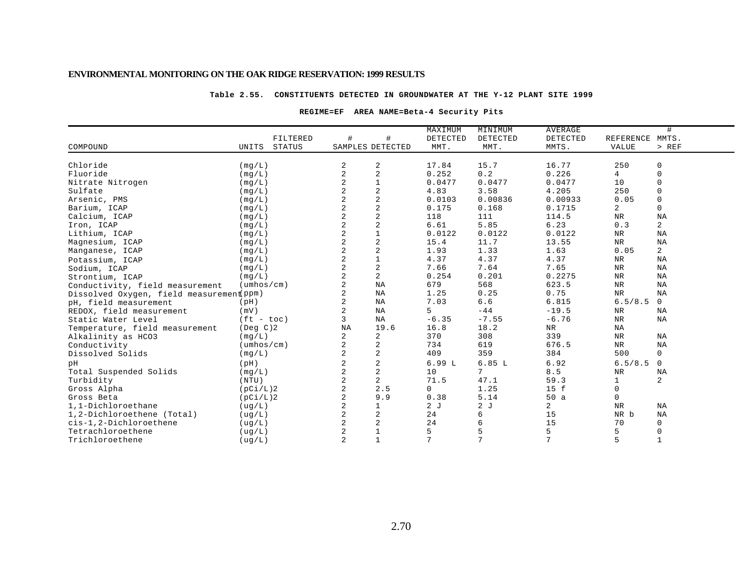### **Table 2.55. CONSTITUENTS DETECTED IN GROUNDWATER AT THE Y-12 PLANT SITE 1999**

### **REGIME=EF AREA NAME=Beta-4 Security Pits**

|                                          |                            |                |                  | MAXIMUM  | MINIMUM        | <b>AVERAGE</b> |                | #            |
|------------------------------------------|----------------------------|----------------|------------------|----------|----------------|----------------|----------------|--------------|
|                                          | FILTERED                   | #              | #                | DETECTED | DETECTED       | DETECTED       | REFERENCE      | MMTS.        |
| COMPOUND                                 | STATUS<br>UNITS            |                | SAMPLES DETECTED | MMT.     | MMT.           | MMTS.          | <b>VALUE</b>   | > REF        |
| Chloride                                 | (mg/L)                     | 2              | 2                | 17.84    | 15.7           | 16.77          | 250            | 0            |
| Fluoride                                 | (mq/L)                     | 2              | $\overline{2}$   | 0.252    | 0.2            | 0.226          | 4              | $\mathbf 0$  |
| Nitrate Nitrogen                         | (mq/L)                     | 2              | $1\,$            | 0.0477   | 0.0477         | 0.0477         | 10             | $\mathbf 0$  |
| Sulfate                                  | (mq/L)                     | 2              | $\sqrt{2}$       | 4.83     | 3.58           | 4.205          | 250            | $\mathbf 0$  |
| Arsenic, PMS                             | (mq/L)                     | $\overline{a}$ | $\sqrt{2}$       | 0.0103   | 0.00836        | 0.00933        | 0.05           | $\mathbf 0$  |
| Barium, ICAP                             | (mg/L)                     | $\overline{a}$ | $\sqrt{2}$       | 0.175    | 0.168          | 0.1715         | $\overline{2}$ | $\mathbf{0}$ |
| Calcium, ICAP                            | (mg/L)                     | $\overline{a}$ | $\sqrt{2}$       | 118      | 111            | 114.5          | NR             | ΝA           |
| Iron, ICAP                               | (mg/L)                     | $\overline{a}$ | $\sqrt{2}$       | 6.61     | 5.85           | 6.23           | 0.3            | 2            |
| Lithium, ICAP                            | (mq/L)                     | 2              | $\mathbf 1$      | 0.0122   | 0.0122         | 0.0122         | NR             | ΝA           |
| Magnesium, ICAP                          | (mq/L)                     | $\overline{a}$ | $\sqrt{2}$       | 15.4     | 11.7           | 13.55          | $_{\rm NR}$    | NA           |
| Manganese, ICAP                          | (mg/L)                     | $\overline{a}$ | $\sqrt{2}$       | 1.93     | 1.33           | 1.63           | 0.05           | 2            |
| Potassium, ICAP                          | (mg/L)                     | $\overline{a}$ | $1\,$            | 4.37     | 4.37           | 4.37           | NR             | ΝA           |
| Sodium, ICAP                             | (mq/L)                     | $\overline{a}$ | $\boldsymbol{2}$ | 7.66     | 7.64           | 7.65           | $\rm NR$       | ΝA           |
| Strontium, ICAP                          | (mq/L)                     | 2              | $\overline{a}$   | 0.254    | 0.201          | 0.2275         | NR             | NA           |
| Conductivity, field measurement          | $(\text{umbos}/\text{cm})$ | $\overline{a}$ | NA               | 679      | 568            | 623.5          | $\rm{NR}$      | NA           |
| Dissolved Oxygen, field measurement ppm) |                            | $\overline{a}$ | ΝA               | 1.25     | 0.25           | 0.75           | <b>NR</b>      | NA           |
| pH, field measurement                    | (pH)                       | $\overline{a}$ | NA               | 7.03     | 6.6            | 6.815          | 6.5/8.5        | $\mathbf 0$  |
| REDOX, field measurement                 | (mV)                       | 2              | ΝA               | 5        | $-44$          | $-19.5$        | NR             | ΝA           |
| Static Water Level                       | $(ft - toc)$               | 3              | NA               | $-6.35$  | $-7.55$        | $-6.76$        | NR             | ΝA           |
| Temperature, field measurement           | $($ Deg $C$ $)$ 2          | NA             | 19.6             | 16.8     | 18.2           | <b>NR</b>      | NA             |              |
| Alkalinity as HCO3                       | (mq/L)                     | $\overline{a}$ | $\overline{a}$   | 370      | 308            | 339            | $_{\rm NR}$    | NA           |
| Conductivity                             | $(\text{umbos}/\text{cm})$ | $\overline{a}$ | $\sqrt{2}$       | 734      | 619            | 676.5          | ${\tt NR}$     | NA           |
| Dissolved Solids                         | (mg/L)                     | $\overline{a}$ | $\overline{2}$   | 409      | 359            | 384            | 500            | $\mathbf 0$  |
| pН                                       | (pH)                       | $\overline{2}$ | $\sqrt{2}$       | 6.99L    | 6.85L          | 6.92           | 6.5/8.5        | $\Omega$     |
| Total Suspended Solids                   | (mg/L)                     | $\overline{2}$ | $\sqrt{2}$       | 10       | 7              | 8.5            | NR             | ΝA           |
| Turbidity                                | (NTU)                      | $\overline{2}$ | $\overline{a}$   | 71.5     | 47.1           | 59.3           | $\mathbf 1$    | 2            |
| Gross Alpha                              | (pCi/L)2                   | $\overline{c}$ | 2.5              | 0        | 1.25           | 15 f           | 0              |              |
| Gross Beta                               | (pCi/L)2                   | $\overline{2}$ | 9.9              | 0.38     | 5.14           | 50a            | $\mathbf 0$    |              |
| 1,1-Dichloroethane                       | ( uq/L )                   | $\overline{a}$ | $\mathbf{1}$     | 2J       | 2J             | 2              | <b>NR</b>      | NA           |
| 1,2-Dichloroethene (Total)               | (ug/L)                     | 2              | $\sqrt{2}$       | 24       | 6              | 15             | NR b           | NA           |
| cis-1,2-Dichloroethene                   | (ug/L)                     | 2              | $\sqrt{2}$       | 24       | 6              | 15             | 70             | 0            |
| Tetrachloroethene                        | ( uq/L)                    | 2              | $1\,$            | 5        | 5              | 5              | 5              | 0            |
| Trichloroethene                          | ( uq/L)                    | $\overline{a}$ | $\mathbf{1}$     | 7        | $\overline{7}$ | 7              | 5              | $1\,$        |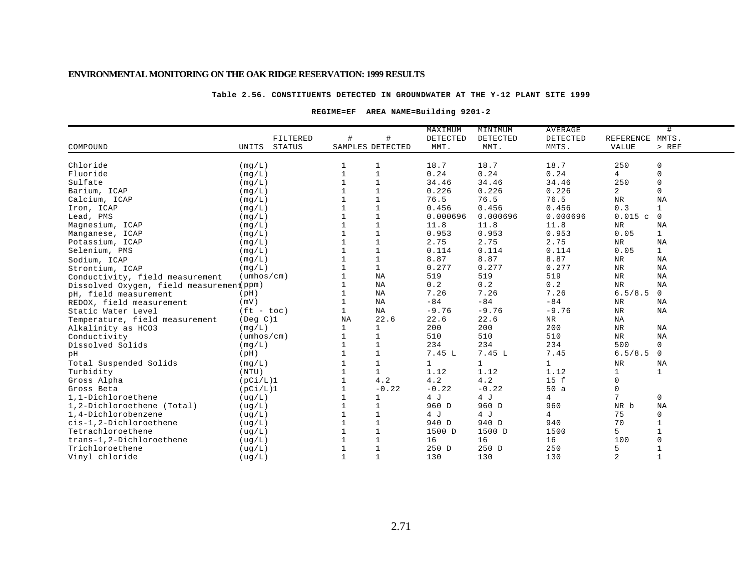### **Table 2.56. CONSTITUENTS DETECTED IN GROUNDWATER AT THE Y-12 PLANT SITE 1999**

### **REGIME=EF AREA NAME=Building 9201-2**

|                                          |                            |                |                  | MAXIMUM      | MINIMUM      | <b>AVERAGE</b> |                 | #            |
|------------------------------------------|----------------------------|----------------|------------------|--------------|--------------|----------------|-----------------|--------------|
|                                          | FILTERED                   | #              | #                | DETECTED     | DETECTED     | DETECTED       | REFERENCE MMTS. |              |
| COMPOUND                                 | UNITS<br>STATUS            |                | SAMPLES DETECTED | MMT.         | MMT.         | MMTS.          | VALUE           | > REF        |
| Chloride                                 | (mq/L)                     | 1              | 1                | 18.7         | 18.7         | 18.7           | 250             | 0            |
| Fluoride                                 | (mq/L)                     | $\mathbf{1}$   | $\mathbf{1}$     | 0.24         | 0.24         | 0.24           | $\overline{4}$  | $\mathsf{O}$ |
| Sulfate                                  |                            | $\mathbf{1}$   | $\mathbf{1}$     | 34.46        | 34.46        | 34.46          | 250             | $\mathsf 0$  |
| Barium, ICAP                             | (mq/L)                     |                |                  | 0.226        | 0.226        | 0.226          | $\overline{a}$  | $\mathbf 0$  |
|                                          | (mq/L)                     |                |                  | 76.5         | 76.5         | 76.5           | ${\tt NR}$      | NA           |
| Calcium, ICAP                            | (mq/L)                     |                |                  |              |              |                |                 |              |
| Iron, ICAP                               | (mq/L)                     | $\mathbf{1}$   |                  | 0.456        | 0.456        | 0.456          | 0.3             | $\mathbf{1}$ |
| Lead, PMS                                | (mg/L)                     |                | $\mathbf{1}$     | 0.000696     | 0.000696     | 0.000696       | 0.015c          | $\mathbf 0$  |
| Magnesium, ICAP                          | (mq/L)                     | $\mathbf{1}$   | $\mathbf{1}$     | 11.8         | 11.8         | 11.8           | NR              | NA           |
| Manganese, ICAP                          | (mq/L)                     | $\mathbf{1}$   | $\mathbf{1}$     | 0.953        | 0.953        | 0.953          | 0.05            | $\mathbf{1}$ |
| Potassium, ICAP                          | (mq/L)                     |                | $\mathbf{1}$     | 2.75         | 2.75         | 2.75           | ${\tt NR}$      | NA           |
| Selenium, PMS                            | (mq/L)                     |                | $\mathbf{1}$     | 0.114        | 0.114        | 0.114          | 0.05            | $\mathbf{1}$ |
| Sodium, ICAP                             | (mq/L)                     | $\mathbf{1}$   | $\mathbf 1$      | 8.87         | 8.87         | 8.87           | ${\tt NR}$      | NA           |
| Strontium, ICAP                          | (mq/L)                     | $\mathbf{1}$   | $\mathbf 1$      | 0.277        | 0.277        | 0.277          | ${\tt NR}$      | NA           |
| Conductivity, field measurement          | $(\text{umbos}/\text{cm})$ | $\mathbf{1}$   | ΝA               | 519          | 519          | 519            | ${\tt NR}$      | <b>NA</b>    |
| Dissolved Oxygen, field measurement ppm) |                            |                | ΝA               | 0.2          | 0.2          | 0.2            | <b>NR</b>       | <b>NA</b>    |
| pH, field measurement                    | (pH)                       | $\overline{1}$ | ΝA               | 7.26         | 7.26         | 7.26           | 6.5/8.5         | $\mathsf{O}$ |
| REDOX, field measurement                 | (mV)                       | $\mathbf{1}$   | ΝA               | $-84$        | $-84$        | $-84$          | NR              | NA           |
| Static Water Level                       | $(ft - toc)$               | $\mathbf{1}$   | NA               | $-9.76$      | $-9.76$      | $-9.76$        | <b>NR</b>       | NA           |
| Temperature, field measurement           | $($ Deg $C$ $)$ 1          | <b>NA</b>      | 22.6             | 22.6         | 22.6         | NR             | $_{\rm NA}$     |              |
| Alkalinity as HCO3                       | (mq/L)                     | $\mathbf{1}$   | 1                | 200          | 200          | 200            | ${\tt NR}$      | NA           |
| Conductivity                             | $(\text{umbos}/\text{cm})$ | $\mathbf{1}$   | $\mathbf 1$      | 510          | 510          | 510            | ${\tt NR}$      | <b>NA</b>    |
| Dissolved Solids                         | (mg/L)                     | $\mathbf{1}$   | $1\,$            | 234          | 234          | 234            | 500             | $\mathsf{O}$ |
| pH                                       | (pH)                       | -1             | 1                | 7.45 L       | 7.45 L       | 7.45           | 6.5/8.5         | $\mathbf 0$  |
| Total Suspended Solids                   | (mq/L)                     |                | $1\,$            | $\mathbf{1}$ | $\mathbf{1}$ | $\mathbf{1}$   | ${\tt NR}$      | NA           |
| Turbidity                                | (NTU)                      | $\overline{1}$ | $\mathbf{1}$     | 1.12         | 1.12         | 1.12           | $\mathbf 1$     | $\mathbf{1}$ |
| Gross Alpha                              | (pCi/L)1                   | $\overline{1}$ | 4.2              | 4.2          | 4.2          | 15 f           | $\mathbf 0$     |              |
| Gross Beta                               | (pCi/L)1                   | $\mathbf{1}$   | $-0.22$          | $-0.22$      | $-0.22$      | 50a            | 0               |              |
| 1,1-Dichloroethene                       | (ug/L)                     | 1              | 1                | 4 J          | 4 J          | 4              | 7               | $\mathbf 0$  |
| 1,2-Dichloroethene (Total)               | ( uq/L)                    | $\mathbf{1}$   | $\mathbf{1}$     | 960 D        | 960 D        | 960            | NR b            | NA           |
| 1,4-Dichlorobenzene                      | ( uq/L)                    | $\mathbf{1}$   | $\mathbf{1}$     | 4 J          | 4 J          | 4              | 75              | 0            |
| cis-1,2-Dichloroethene                   | ( uq/L )                   | $\mathbf{1}$   | $\mathbf{1}$     | 940 D        | 940 D        | 940            | 70              | $\mathbf{1}$ |
| Tetrachloroethene                        | (ug/L)                     | $\mathbf{1}$   | $1\,$            | 1500 D       | 1500 D       | 1500           | 5               |              |
| trans-1,2-Dichloroethene                 | (ug/L)                     | $\mathbf{1}$   | $\mathbf 1$      | 16           | 16           | 16             | 100             |              |
| Trichloroethene                          | ( uq/L)                    | -1             | $\mathbf{1}$     | 250 D        | 250 D        | 250            | 5               |              |
| Vinyl chloride                           | ( uq/L)                    | $\mathbf{1}$   | $\mathbf{1}$     | 130          | 130          | 130            | 2               | $\mathbf{1}$ |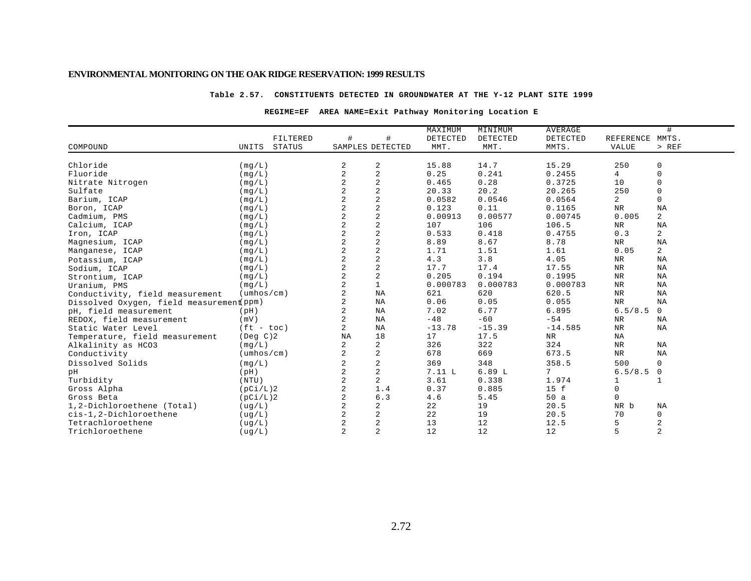#### **Table 2.57. CONSTITUENTS DETECTED IN GROUNDWATER AT THE Y-12 PLANT SITE 1999**

### **REGIME=EF AREA NAME=Exit Pathway Monitoring Location E**

|                                          |                            |               |                |                         | MAXIMUM  | MINIMUM  | <b>AVERAGE</b> |                | #              |
|------------------------------------------|----------------------------|---------------|----------------|-------------------------|----------|----------|----------------|----------------|----------------|
|                                          |                            | FILTERED      | $\#$           | #                       | DETECTED | DETECTED | DETECTED       | REFERENCE      | MMTS.          |
| COMPOUND                                 | UNITS                      | <b>STATUS</b> |                | SAMPLES DETECTED        | MMT.     | MMT.     | MMTS.          | <b>VALUE</b>   | $>$ REF        |
|                                          |                            |               |                |                         |          |          |                |                |                |
| Chloride                                 | (mq/L)                     |               | 2              | 2                       | 15.88    | 14.7     | 15.29          | 250            | $\mathsf 0$    |
| Fluoride                                 | (mq/L)                     |               | 2              | $\overline{c}$          | 0.25     | 0.241    | 0.2455         | $\overline{4}$ | $\mathsf 0$    |
| Nitrate Nitrogen                         | (mq/L)                     |               | $\overline{2}$ | $\overline{c}$          | 0.465    | 0.28     | 0.3725         | 10             | $\mathbf 0$    |
| Sulfate                                  | (mg/L)                     |               | 2              | $\overline{c}$          | 20.33    | 20.2     | 20.265         | 250            | $\mathbf 0$    |
| Barium, ICAP                             | (mq/L)                     |               | 2              | $\overline{c}$          | 0.0582   | 0.0546   | 0.0564         | $\overline{2}$ | $\mathbf 0$    |
| Boron, ICAP                              | (mg/L)                     |               | 2              | $\overline{c}$          | 0.123    | 0.11     | 0.1165         | ${\tt NR}$     | NA             |
| Cadmium, PMS                             | (mg/L)                     |               | 2              | $\overline{c}$          | 0.00913  | 0.00577  | 0.00745        | 0.005          | 2              |
| Calcium, ICAP                            | (mq/L)                     |               | 2              | $\overline{2}$          | 107      | 106      | 106.5          | NR             | NA             |
| Iron, ICAP                               | (mq/L)                     |               | 2              | $\overline{a}$          | 0.533    | 0.418    | 0.4755         | 0.3            | 2              |
| Magnesium, ICAP                          | (mq/L)                     |               | $\overline{a}$ | $\sqrt{2}$              | 8.89     | 8.67     | 8.78           | <b>NR</b>      | NA             |
| Manganese, ICAP                          | (mq/L)                     |               | 2              | $\overline{\mathbf{c}}$ | 1.71     | 1.51     | 1.61           | 0.05           | 2              |
| Potassium, ICAP                          | (mq/L)                     |               | 2              | $\sqrt{2}$              | 4.3      | 3.8      | 4.05           | NR             | NA             |
| Sodium, ICAP                             | (mg/L)                     |               | $\overline{2}$ | $\sqrt{2}$              | 17.7     | 17.4     | 17.55          | $_{\rm NR}$    | NA             |
| Strontium, ICAP                          | (mq/L)                     |               | 2              | $\sqrt{2}$              | 0.205    | 0.194    | 0.1995         | $_{\rm NR}$    | NA             |
| Uranium, PMS                             | (mq/L)                     |               | 2              | $\mathbf{1}$            | 0.000783 | 0.000783 | 0.000783       | NR             | ΝA             |
| Conductivity, field measurement          | $(\text{umbos}/\text{cm})$ |               | 2              | ΝA                      | 621      | 620      | 620.5          | $\rm NR$       | ΝA             |
| Dissolved Oxygen, field measurement ppm) |                            |               | 2              | ΝA                      | 0.06     | 0.05     | 0.055          | $_{\rm NR}$    | ΝA             |
| pH, field measurement                    | (pH)                       |               | 2              | ΝA                      | 7.02     | 6.77     | 6.895          | 6.5/8.5        | 0              |
| REDOX, field measurement                 | (mV)                       |               |                | ΝA                      | $-48$    | $-60$    | $-54$          | ${\tt NR}$     | ΝA             |
| Static Water Level                       | $(ft - toc)$               |               | 2              | NA                      | $-13.78$ | $-15.39$ | $-14.585$      | <b>NR</b>      | NA             |
| Temperature, field measurement           | $($ Deg $C$ $)$ 2          |               | NA             | 18                      | 17       | 17.5     | NR             | ΝA             |                |
| Alkalinity as HCO3                       | (mg/L)                     |               | 2              | 2                       | 326      | 322      | 324            | ${\tt NR}$     | NA             |
| Conductivity                             | $(\text{umbos}/\text{cm})$ |               | 2              | $\overline{c}$          | 678      | 669      | 673.5          | $_{\rm NR}$    | NA             |
| Dissolved Solids                         | (mg/L)                     |               | 2              | $\overline{c}$          | 369      | 348      | 358.5          | 500            | $\mathbf 0$    |
| pН                                       | (pH)                       |               | 2              | $\sqrt{2}$              | 7.11L    | 6.89L    | 7              | 6.5/8.5        | 0              |
| Turbidity                                | (NTU)                      |               | 2              | $\overline{a}$          | 3.61     | 0.338    | 1.974          |                | $\mathbf{1}$   |
| Gross Alpha                              | (pCi/L)2                   |               | $\overline{c}$ | 1.4                     | 0.37     | 0.885    | 15 f           | $\mathbf 0$    |                |
| Gross Beta                               | (pCi/L)2                   |               | 2              | 6.3                     | 4.6      | 5.45     | 50a            | $\Omega$       |                |
| 1,2-Dichloroethene (Total)               | (ug/L)                     |               | 2              | 2                       | 22       | 19       | 20.5           | NR b           | ΝA             |
| cis-1,2-Dichloroethene                   | (ug/L)                     |               | 2              | $\sqrt{2}$              | 22       | 19       | 20.5           | 70             | 0              |
| Tetrachloroethene                        | (ug/L)                     |               | 2              | $\sqrt{2}$              | 13       | 12       | 12.5           | 5              | $\overline{c}$ |
| Trichloroethene                          | ( uq/L)                    |               | 2              | $\overline{2}$          | 12       | 12       | 12             | 5              | $\overline{c}$ |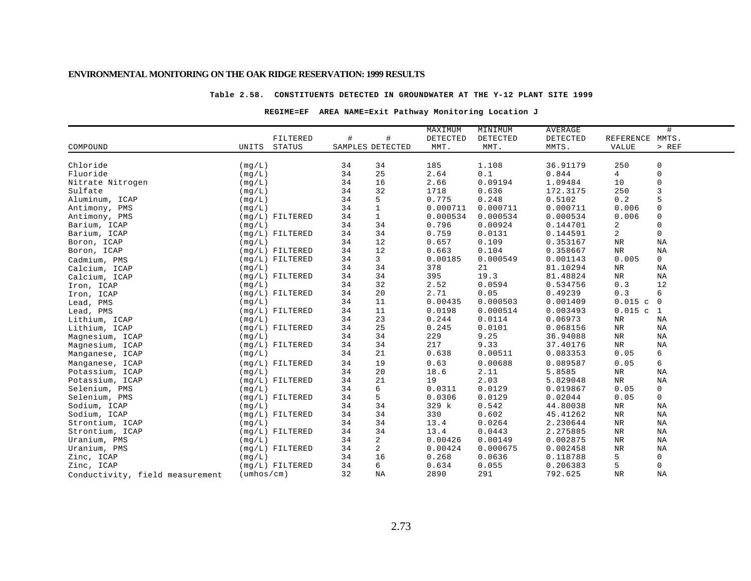#### **Table 2.58. CONSTITUENTS DETECTED IN GROUNDWATER AT THE Y-12 PLANT SITE 1999**

### **REGIME=EF AREA NAME=Exit Pathway Monitoring Location J**

|                                 |                            |                   |                  |              | MAXIMUM  | MINIMUM  | AVERAGE  |                 | #              |
|---------------------------------|----------------------------|-------------------|------------------|--------------|----------|----------|----------|-----------------|----------------|
|                                 |                            | FILTERED          | #                | $\#$         | DETECTED | DETECTED | DETECTED | REFERENCE MMTS. |                |
| COMPOUND                        | UNITS                      | <b>STATUS</b>     | SAMPLES DETECTED |              | MMT.     | MMT.     | MMTS.    | <b>VALUE</b>    | > REF          |
|                                 |                            |                   |                  |              |          |          |          |                 |                |
| Chloride                        | (mq/L)                     |                   | 34               | 34           | 185      | 1.108    | 36.91179 | 250             | 0              |
| Fluoride                        | (mq/L)                     |                   | 34               | 25           | 2.64     | 0.1      | 0.844    | 4               | $\mathbf 0$    |
| Nitrate Nitrogen                | (mq/L)                     |                   | 34               | 16           | 2.66     | 0.09194  | 1.09484  | 10              | 0              |
| Sulfate                         | (mg/L)                     |                   | 34               | 32           | 1718     | 0.636    | 172.3175 | 250             | 3              |
| Aluminum, ICAP                  | (mq/L)                     |                   | 34               | 5            | 0.775    | 0.248    | 0.5102   | 0.2             | 5              |
| Antimony, PMS                   | (mq/L)                     |                   | 34               | $\mathbf{1}$ | 0.000711 | 0.000711 | 0.000711 | 0.006           | 0              |
| Antimony, PMS                   |                            | $(mq/L)$ FILTERED | 34               | $\mathbf{1}$ | 0.000534 | 0.000534 | 0.000534 | 0.006           | $\mathbf 0$    |
| Barium, ICAP                    | (mq/L)                     |                   | 34               | 34           | 0.796    | 0.00924  | 0.144701 | 2               | $\mathbf 0$    |
| Barium, ICAP                    |                            | $(mg/L)$ FILTERED | 34               | 34           | 0.759    | 0.0131   | 0.144591 | 2               | $\mathbf 0$    |
| Boron, ICAP                     | (mq/L)                     |                   | 34               | 12           | 0.657    | 0.109    | 0.353167 | $\rm NR$        | NA             |
| Boron, ICAP                     |                            | $(mq/L)$ FILTERED | 34               | 12           | 0.663    | 0.104    | 0.358667 | $\rm NR$        | ΝA             |
| Cadmium, PMS                    |                            | $(mq/L)$ FILTERED | 34               | 3            | 0.00185  | 0.000549 | 0.001143 | 0.005           | 0              |
| Calcium, ICAP                   | (mq/L)                     |                   | 34               | 34           | 378      | 21       | 81.10294 | $\rm NR$        | NA             |
| Calcium, ICAP                   |                            | $(mq/L)$ FILTERED | 34               | 34           | 395      | 19.3     | 81.48824 | $_{\rm NR}$     | NA             |
| Iron, ICAP                      | (mq/L)                     |                   | 34               | 32           | 2.52     | 0.0594   | 0.534756 | 0.3             | 12             |
| Iron, ICAP                      |                            | $(mq/L)$ FILTERED | 34               | 20           | 2.71     | 0.05     | 0.49239  | 0.3             | 6              |
| Lead, PMS                       | (mq/L)                     |                   | 34               | 11           | 0.00435  | 0.000503 | 0.001409 | 0.015c          | $\overline{0}$ |
| Lead, PMS                       |                            | $(mq/L)$ FILTERED | 34               | 11           | 0.0198   | 0.000514 | 0.003493 | 0.015c          | $\mathbf{1}$   |
| Lithium, ICAP                   | (mq/L)                     |                   | 34               | 23           | 0.244    | 0.0114   | 0.06973  | NR              | NA             |
| Lithium, ICAP                   |                            | $(mg/L)$ FILTERED | 34               | 25           | 0.245    | 0.0101   | 0.068156 | $\rm NR$        | ΝA             |
| Magnesium, ICAP                 | (mq/L)                     |                   | 34               | 34           | 229      | 9.25     | 36.94088 | NR              | ΝA             |
| Magnesium, ICAP                 |                            | (mg/L) FILTERED   | 34               | 34           | 217      | 9.33     | 37.40176 | $\rm NR$        | NA             |
| Manganese, ICAP                 | (mq/L)                     |                   | 34               | 21           | 0.638    | 0.00511  | 0.083353 | 0.05            | 6              |
| Manganese, ICAP                 |                            | $(mq/L)$ FILTERED | 34               | 19           | 0.63     | 0.00688  | 0.089587 | 0.05            | 6              |
| Potassium, ICAP                 | (mq/L)                     |                   | 34               | 20           | 18.6     | 2.11     | 5.8585   | $\rm{NR}$       | NA             |
| Potassium, ICAP                 |                            | $(mq/L)$ FILTERED | 34               | 21           | 19       | 2.03     | 5.829048 | NR              | ΝA             |
| Selenium, PMS                   | (mq/L)                     |                   | 34               | 6            | 0.0311   | 0.0129   | 0.019867 | 0.05            | 0              |
| Selenium, PMS                   |                            | $(mq/L)$ FILTERED | 34               | 5            | 0.0306   | 0.0129   | 0.02044  | 0.05            | $\mathbf 0$    |
| Sodium, ICAP                    | (mq/L)                     |                   | 34               | 34           | 329 k    | 0.542    | 44.80038 | $\rm NR$        | ΝA             |
| Sodium, ICAP                    |                            | $(mg/L)$ FILTERED | 34               | 34           | 330      | 0.602    | 45.41262 | $\rm{NR}$       | NA             |
| Strontium, ICAP                 | (mq/L)                     |                   | 34               | 34           | 13.4     | 0.0264   | 2.230644 | NR              | $_{\rm NA}$    |
| Strontium, ICAP                 |                            | $(mq/L)$ FILTERED | 34               | 34           | 13.4     | 0.0443   | 2.275885 | NR              | ΝA             |
| Uranium, PMS                    | (mq/L)                     |                   | 34               | 2            | 0.00426  | 0.00149  | 0.002875 | $\rm NR$        | NA             |
| Uranium, PMS                    |                            | $(mq/L)$ FILTERED | 34               | 2            | 0.00424  | 0.000675 | 0.002458 | <b>NR</b>       | NA             |
| Zinc, ICAP                      | (mq/L)                     |                   | 34               | 16           | 0.268    | 0.0636   | 0.118788 | 5               | 0              |
| Zinc, ICAP                      |                            | $(mq/L)$ FILTERED | 34               | 6            | 0.634    | 0.055    | 0.206383 | 5               | 0              |
| Conductivity, field measurement | $(\text{umbos}/\text{cm})$ |                   | 32               | ΝA           | 2890     | 291      | 792.625  | <b>NR</b>       | NA             |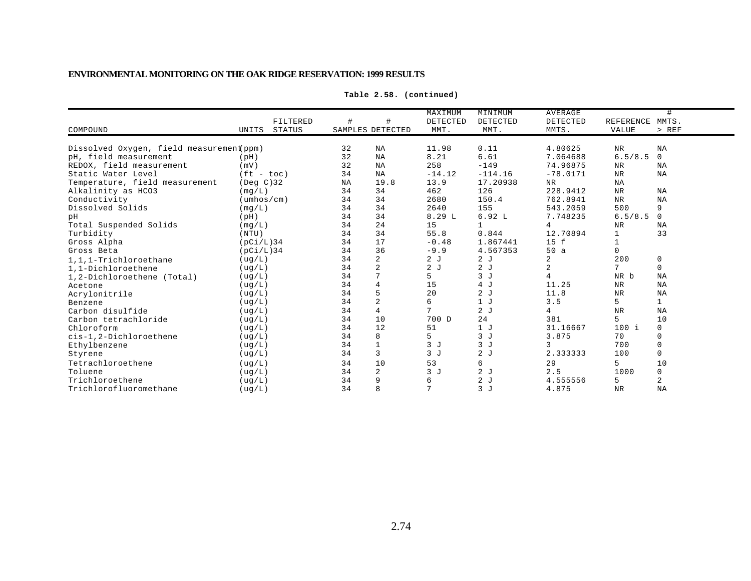| COMPOUND                                 | <b>UNITS</b>               | FILTERED<br><b>STATUS</b> |           | ₩<br>SAMPLES DETECTED | MAXIMUM<br>DETECTED<br>MMT. | MINIMUM<br>DETECTED<br>MMT. | <b>AVERAGE</b><br>DETECTED<br>MMTS. | REFERENCE<br><b>VALUE</b> | #<br>MMTS.<br>> REF |
|------------------------------------------|----------------------------|---------------------------|-----------|-----------------------|-----------------------------|-----------------------------|-------------------------------------|---------------------------|---------------------|
| Dissolved Oxygen, field measurement(ppm) |                            |                           | 32        | NA                    | 11.98                       | 0.11                        | 4.80625                             | <b>NR</b>                 | NA                  |
| pH, field measurement                    |                            |                           | 32        | NA                    | 8.21                        | 6.61                        | 7.064688                            | 6.5/8.5                   | $\Omega$            |
| REDOX, field measurement                 | (pH)<br>(mV)               |                           | 32        | <b>NA</b>             | 258                         | $-149$                      | 74.96875                            |                           | <b>NA</b>           |
| Static Water Level                       | $(ft - toc)$               |                           | 34        |                       |                             | $-114.16$                   | $-78.0171$                          | NR<br><b>NR</b>           | NA                  |
|                                          |                            |                           |           | <b>NA</b><br>19.8     | $-14.12$                    |                             |                                     |                           |                     |
| Temperature, field measurement           | $($ Deg $C$ $)$ 32         |                           | <b>NA</b> |                       | 13.9                        | 17.20938                    | NR                                  | NA                        |                     |
| Alkalinity as HCO3                       | (mq/L)                     |                           | 34        | 34                    | 462                         | 126                         | 228.9412                            | <b>NR</b>                 | NA                  |
| Conductivity                             | $(\text{umbos}/\text{cm})$ |                           | 34        | 34                    | 2680                        | 150.4                       | 762.8941                            | <b>NR</b>                 | <b>NA</b>           |
| Dissolved Solids                         | (mq/L)                     |                           | 34        | 34                    | 2640                        | 155                         | 543.2059                            | 500                       | 9                   |
| pH                                       | (pH)                       |                           | 34        | 34                    | 8.29L                       | 6.92L                       | 7.748235                            | 6.5/8.5                   | 0                   |
| Total Suspended Solids                   | (mq/L)                     |                           | 34        | 24                    | 15                          | $\mathbf{1}$                | 4                                   | <b>NR</b>                 | <b>NA</b>           |
| Turbidity                                | (NTU)                      |                           | 34        | 34                    | 55.8                        | 0.844                       | 12.70894                            | 1                         | 33                  |
| Gross Alpha                              | (pCi/L)34                  |                           | 34        | 17                    | $-0.48$                     | 1.867441                    | 15 f                                | 1                         |                     |
| Gross Beta                               | (pCi/L)34                  |                           | 34        | 36                    | $-9.9$                      | 4.567353                    | 50a                                 | $\Omega$                  |                     |
| 1,1,1-Trichloroethane                    | ( uq/L)                    |                           | 34        | $\overline{a}$        | 2J                          | 2J                          | 2                                   | 200                       | 0                   |
| 1.1-Dichloroethene                       | ( uq/L)                    |                           | 34        | $\overline{a}$        | 2J                          | 2J                          | 2                                   | 7                         | $\Omega$            |
| 1,2-Dichloroethene (Total)               | ( uq/L)                    |                           | 34        |                       | 5                           | 3J                          | 4                                   | NR b                      | <b>NA</b>           |
| Acetone                                  | ( uq/L)                    |                           | 34        | 4                     | 15                          | 4 J                         | 11.25                               | <b>NR</b>                 | <b>NA</b>           |
| Acrylonitrile                            | ( uq/L)                    |                           | 34        | 5                     | 20                          | 2J                          | 11.8                                | <b>NR</b>                 | NA                  |
| Benzene                                  | ( uq/L)                    |                           | 34        | 2                     | 6                           | 1J                          | 3.5                                 | 5                         |                     |
| Carbon disulfide                         | ( uq/L)                    |                           | 34        | 4                     |                             | 2J                          | 4                                   | <b>NR</b>                 | NA                  |
| Carbon tetrachloride                     | ( uq/L)                    |                           | 34        | 10                    | 700 D                       | 24                          | 381                                 | 5                         | 10                  |
| Chloroform                               | ( uq/L)                    |                           | 34        | 12                    | 51                          | 1J                          | 31.16667                            | $100$ i                   | $\Omega$            |
| cis-1,2-Dichloroethene                   | ( uq/L)                    |                           | 34        | 8                     | 5                           | 3J                          | 3.875                               | 70                        |                     |
| Ethylbenzene                             | ( uq/L)                    |                           | 34        |                       | 3J                          | 3J                          | 3                                   | 700                       |                     |
| Styrene                                  | ( uq/L)                    |                           | 34        | 3                     | 3J                          | 2J                          | 2.333333                            | 100                       | $\Omega$            |
| Tetrachloroethene                        | ( uq/L)                    |                           | 34        | 10                    | 53                          | 6                           | 29                                  | 5                         | 10                  |
| Toluene                                  | ( uq/L)                    |                           | 34        | $\overline{a}$        | 3J                          | 2J                          | 2.5                                 | 1000                      | 0                   |
| Trichloroethene                          | ( uq/L)                    |                           | 34        | 9                     | 6                           | 2J                          | 4.555556                            | 5                         | 2                   |
| Trichlorofluoromethane                   |                            |                           | 34        | 8                     | 7                           | 3J                          | 4.875                               | <b>NR</b>                 | NA                  |
|                                          | ( uq/L)                    |                           |           |                       |                             |                             |                                     |                           |                     |

**Table 2.58. (continued)**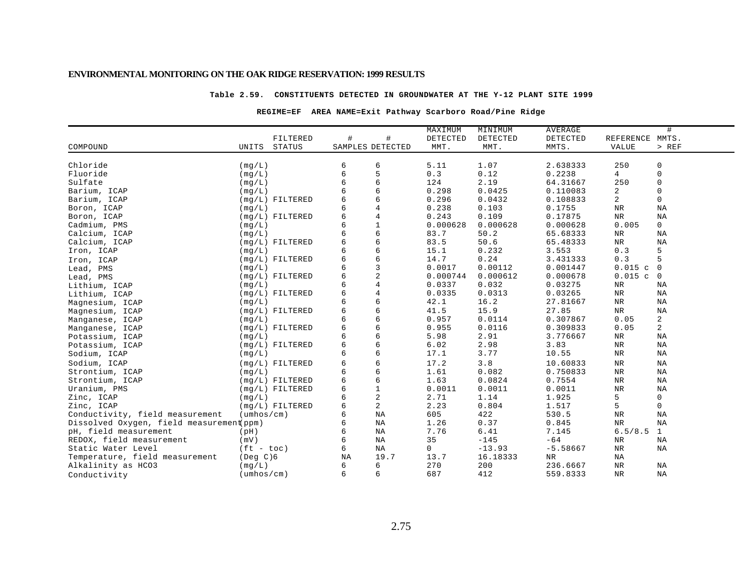### **Table 2.59. CONSTITUENTS DETECTED IN GROUNDWATER AT THE Y-12 PLANT SITE 1999**

### **REGIME=EF AREA NAME=Exit Pathway Scarboro Road/Pine Ridge**

|                                          |                            |                   |    |                  | MAXIMUM  | MINIMUM  | AVERAGE    |                 | #              |
|------------------------------------------|----------------------------|-------------------|----|------------------|----------|----------|------------|-----------------|----------------|
|                                          |                            | FILTERED          | #  | #                | DETECTED | DETECTED | DETECTED   | REFERENCE MMTS. |                |
| COMPOUND                                 | UNITS                      | <b>STATUS</b>     |    | SAMPLES DETECTED | MMT.     | MMT.     | MMTS.      | VALUE           | $>$ REF        |
|                                          |                            |                   |    |                  |          |          |            |                 |                |
| Chloride                                 | (mq/L)                     |                   | 6  | 6                | 5.11     | 1.07     | 2.638333   | 250             | 0              |
| Fluoride                                 | (mq/L)                     |                   | 6  | 5                | 0.3      | 0.12     | 0.2238     | 4               | 0              |
| Sulfate                                  | (mq/L)                     |                   | 6  | 6                | 124      | 2.19     | 64.31667   | 250             | 0              |
| Barium, ICAP                             | (mg/L)                     |                   |    | 6                | 0.298    | 0.0425   | 0.110083   | 2               | 0              |
| Barium, ICAP                             |                            | (mg/L) FILTERED   |    | 6                | 0.296    | 0.0432   | 0.108833   | 2               | $\mathbf{0}$   |
| Boron, ICAP                              | (mq/L)                     |                   |    | $\overline{4}$   | 0.238    | 0.103    | 0.1755     | <b>NR</b>       | NA             |
| Boron, ICAP                              |                            | $(mq/L)$ FILTERED |    | $\overline{4}$   | 0.243    | 0.109    | 0.17875    | <b>NR</b>       | ΝA             |
| Cadmium, PMS                             | (mq/L)                     |                   | 6  | $\mathbf{1}$     | 0.000628 | 0.000628 | 0.000628   | 0.005           | 0              |
| Calcium, ICAP                            | (mq/L)                     |                   |    | 6                | 83.7     | 50.2     | 65.68333   | NR              | ΝA             |
| Calcium, ICAP                            |                            | $(mg/L)$ FILTERED | 6  | 6                | 83.5     | 50.6     | 65.48333   | ${\hbox{NR}}$   | ΝA             |
| Iron, ICAP                               | (mg/L)                     |                   | 6  | 6                | 15.1     | 0.232    | 3.553      | 0.3             | 5              |
| Iron, ICAP                               |                            | $(mq/L)$ FILTERED |    | 6                | 14.7     | 0.24     | 3.431333   | 0.3             | 5              |
| Lead, PMS                                | (mq/L)                     |                   | 6  | 3                | 0.0017   | 0.00112  | 0.001447   | 0.015c          | $\overline{0}$ |
| Lead, PMS                                |                            | $(mq/L)$ FILTERED |    | $\overline{c}$   | 0.000744 | 0.000612 | 0.000678   | 0.015c          | $\overline{0}$ |
| Lithium, ICAP                            | (mq/L)                     |                   | б  | $\overline{4}$   | 0.0337   | 0.032    | 0.03275    | NR              | ΝA             |
| Lithium, ICAP                            |                            | $(mq/L)$ FILTERED | 6  | $\overline{4}$   | 0.0335   | 0.0313   | 0.03265    | NR              | ΝA             |
| Magnesium, ICAP                          | (mq/L)                     |                   |    | 6                | 42.1     | 16.2     | 27.81667   | NR              | ΝA             |
| Magnesium, ICAP                          |                            | $(mq/L)$ FILTERED | 6  | 6                | 41.5     | 15.9     | 27.85      | $\rm{NR}$       | ΝA             |
| Manganese, ICAP                          | (mq/L)                     |                   |    | 6                | 0.957    | 0.0114   | 0.307867   | 0.05            | $\overline{a}$ |
| Manganese, ICAP                          |                            | $(mq/L)$ FILTERED | 6  | 6                | 0.955    | 0.0116   | 0.309833   | 0.05            | $\overline{2}$ |
| Potassium, ICAP                          | (mq/L)                     |                   | 6  | 6                | 5.98     | 2.91     | 3.776667   | $_{\rm NR}$     | ΝA             |
| Potassium, ICAP                          |                            | $(mg/L)$ FILTERED | 6  | 6                | 6.02     | 2.98     | 3.83       | NR              | ΝA             |
| Sodium, ICAP                             | (mq/L)                     |                   | 6  | 6                | 17.1     | 3.77     | 10.55      | NR              | ΝA             |
| Sodium, ICAP                             |                            | (mg/L) FILTERED   | 6  | 6                | 17.2     | 3.8      | 10.60833   | $\rm{NR}$       | NA             |
| Strontium, ICAP                          | (mq/L)                     |                   | 6  | 6                | 1.61     | 0.082    | 0.750833   | <b>NR</b>       | NA             |
| Strontium, ICAP                          |                            | $(mq/L)$ FILTERED | 6  | 6                | 1.63     | 0.0824   | 0.7554     | NR              | ΝA             |
| Uranium, PMS                             |                            | $(mq/L)$ FILTERED | 6  | $\mathbf{1}$     | 0.0011   | 0.0011   | 0.0011     | <b>NR</b>       | NA             |
| Zinc, ICAP                               | (mq/L)                     |                   | 6  | $\overline{c}$   | 2.71     | 1.14     | 1.925      | 5               | 0              |
| Zinc, ICAP                               |                            | $(mq/L)$ FILTERED | 6  | 2                | 2.23     | 0.804    | 1.517      | 5               | 0              |
| Conductivity, field measurement          | $(\text{umbos}/\text{cm})$ |                   | 6  | NA               | 605      | 422      | 530.5      | $_{\rm NR}$     | NA             |
| Dissolved Oxygen, field measurement(ppm) |                            |                   | 6  | ΝA               | 1.26     | 0.37     | 0.845      | $_{\rm NR}$     | NA             |
| pH, field measurement                    | (pH)                       |                   | 6  | NA               | 7.76     | 6.41     | 7.145      | 6.5/8.5         | $\mathbf{1}$   |
| REDOX, field measurement                 | (mV)                       |                   | 6  | ΝA               | 35       | $-145$   | $-64$      | NR              | ΝA             |
| Static Water Level                       | $(ft - toc)$               |                   | 6  | NA               | 0        | $-13.93$ | $-5.58667$ | NR              | NA             |
| Temperature, field measurement           | $($ Deg $C$ $)$ 6          |                   | NA | 19.7             | 13.7     | 16.18333 | NR         | ΝA              |                |
| Alkalinity as HCO3                       | (mq/L)                     |                   | 6  | 6                | 270      | 200      | 236.6667   | <b>NR</b>       | ΝA             |
| Conductivity                             | $(\text{umbos}/\text{cm})$ |                   | 6  | 6                | 687      | 412      | 559.8333   | <b>NR</b>       | NA             |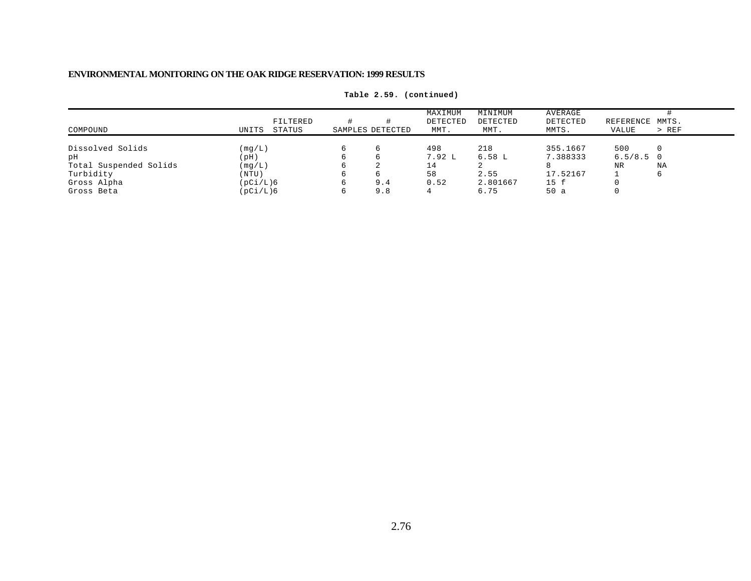| COMPOUND               | UNITS    | FILTERED<br>STATUS | SAMPLES DETECTED | MAXIMUM<br>DETECTED<br>MMT. | MINIMUM<br>DETECTED<br>MMT. | AVERAGE<br>DETECTED<br>MMTS. | REFERENCE MMTS.<br>VALUE | > REF |
|------------------------|----------|--------------------|------------------|-----------------------------|-----------------------------|------------------------------|--------------------------|-------|
|                        |          |                    |                  |                             |                             |                              |                          |       |
| Dissolved Solids       | (mq/L)   |                    |                  | 498                         | 218                         | 355.1667                     | 500                      |       |
| рH                     | (pH)     |                    |                  | 7.92 L                      | 6.58 L                      | 7.388333                     | $6.5/8.5$ 0              |       |
| Total Suspended Solids | (mq/L)   |                    |                  |                             |                             |                              | NR                       | ΝA    |
| Turbidity              | (NTU)    |                    |                  | 58                          | 2.55                        | 17.52167                     |                          |       |
| Gross Alpha            | (pCi/L)6 |                    | 9.4              | 0.52                        | 2.801667                    | 15 f                         |                          |       |
| Gross Beta             | (pCi/L)6 |                    | 9.8              |                             | 6.75                        | 50a                          |                          |       |

**Table 2.59. (continued)**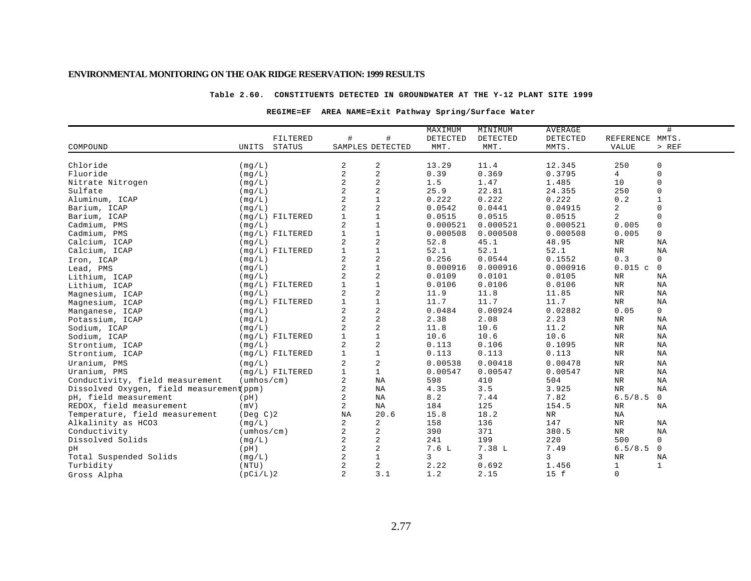### **Table 2.60. CONSTITUENTS DETECTED IN GROUNDWATER AT THE Y-12 PLANT SITE 1999**

### **REGIME=EF AREA NAME=Exit Pathway Spring/Surface Water**

|                                          |                            |                |                  | MAXIMUM  | MINIMUM  | AVERAGE    |                 | #            |
|------------------------------------------|----------------------------|----------------|------------------|----------|----------|------------|-----------------|--------------|
|                                          | FILTERED                   | #              | #                | DETECTED | DETECTED | DETECTED   | REFERENCE MMTS. |              |
| COMPOUND                                 | STATUS<br>UNITS            |                | SAMPLES DETECTED | MMT.     | MMT.     | MMTS.      | <b>VALUE</b>    | $>$ REF      |
|                                          |                            |                |                  |          |          |            |                 |              |
| Chloride                                 | (mq/L)                     | 2              | 2                | 13.29    | 11.4     | 12.345     | 250             | 0            |
| Fluoride                                 | (mq/L)                     | $\overline{2}$ | $\sqrt{2}$       | 0.39     | 0.369    | 0.3795     | 4               | $\mathbf 0$  |
| Nitrate Nitrogen                         | (mq/L)                     | $\overline{2}$ | $\mathbf 2$      | 1.5      | 1.47     | 1.485      | 10              | $\Omega$     |
| Sulfate                                  | (mg/L)                     | $\overline{2}$ | $\overline{c}$   | 25.9     | 22.81    | 24.355     | 250             | $\Omega$     |
| Aluminum, ICAP                           | (mg/L)                     | $\overline{a}$ | $1\,$            | 0.222    | 0.222    | 0.222      | 0.2             | $\mathbf{1}$ |
| Barium, ICAP                             | (mq/L)                     | $\overline{2}$ | $\sqrt{2}$       | 0.0542   | 0.0441   | 0.04915    | 2               | $\Omega$     |
| Barium, ICAP                             | $(mg/L)$ FILTERED          |                | $\mathbf{1}$     | 0.0515   | 0.0515   | 0.0515     | 2               | $\Omega$     |
| Cadmium, PMS                             | (mq/L)                     | $\overline{2}$ | $\mathbf{1}$     | 0.000521 | 0.000521 | 0.000521   | 0.005           | $\mathbf 0$  |
| Cadmium, PMS                             | (mg/L) FILTERED            |                | $\mathbf 1$      | 0.000508 | 0.000508 | 0.000508   | 0.005           | $\mathsf{O}$ |
| Calcium, ICAP                            | (mq/L)                     | 2              | 2                | 52.8     | 45.1     | 48.95      | $_{\rm NR}$     | NA           |
| Calcium, ICAP                            | $(mq/L)$ FILTERED          |                | $\mathbf{1}$     | 52.1     | 52.1     | 52.1       | $_{\rm NR}$     | ΝA           |
| Iron, ICAP                               | (mq/L)                     | $\overline{2}$ | $\overline{c}$   | 0.256    | 0.0544   | 0.1552     | 0.3             | $\mathsf{O}$ |
| Lead, PMS                                | (mg/L)                     | $\overline{2}$ | $\mathbf{1}$     | 0.000916 | 0.000916 | 0.000916   | 0.015c          | $\mathbf 0$  |
| Lithium, ICAP                            | (mq/L)                     | $\overline{2}$ | 2                | 0.0109   | 0.0101   | 0.0105     | $_{\rm NR}$     | <b>NA</b>    |
| Lithium, ICAP                            | $(mq/L)$ FILTERED          | $\mathbf{1}$   | $\mathbf{1}$     | 0.0106   | 0.0106   | 0.0106     | NR              | NA           |
| Magnesium, ICAP                          | (mq/L)                     | 2              | $\sqrt{2}$       | 11.9     | 11.8     | 11.85      | NR              | ΝA           |
| Magnesium, ICAP                          | (mg/L) FILTERED            |                | $1\,$            | 11.7     | 11.7     | 11.7       | NR              | ΝA           |
| Manganese, ICAP                          | (mq/L)                     | 2              | 2                | 0.0484   | 0.00924  | 0.02882    | 0.05            | 0            |
| Potassium, ICAP                          | (mq/L)                     | $\overline{2}$ | $\sqrt{2}$       | 2.38     | 2.08     | 2.23       | $_{\rm NR}$     | ΝA           |
| Sodium, ICAP                             | (mq/L)                     | $\overline{2}$ | $\sqrt{2}$       | 11.8     | 10.6     | 11.2       | $\rm{NR}$       | NA           |
| Sodium, ICAP                             | $(mq/L)$ FILTERED          |                | $\mathbf{1}$     | 10.6     | 10.6     | 10.6       | $\rm{NR}$       | NA           |
| Strontium, ICAP                          | (mq/L)                     | 2              | $\overline{c}$   | 0.113    | 0.106    | 0.1095     | $\rm{NR}$       | NA           |
| Strontium, ICAP                          | $(mq/L)$ FILTERED          |                | $\mathbf{1}$     | 0.113    | 0.113    | 0.113      | $\rm{NR}$       | NA           |
| Uranium, PMS                             | (mq/L)                     | 2              | $\sqrt{2}$       | 0.00538  | 0.00418  | 0.00478    | <b>NR</b>       | ΝA           |
| Uranium, PMS                             | $(mq/L)$ FILTERED          |                | $\mathbf{1}$     | 0.00547  | 0.00547  | 0.00547    | $\rm{NR}$       | NA           |
| Conductivity, field measurement          | $(\text{umbos}/\text{cm})$ | $\overline{2}$ | $_{\rm NA}$      | 598      | 410      | 504        | $\rm{NR}$       | NA           |
| Dissolved Oxygen, field measurement(ppm) |                            | $\overline{a}$ | <b>NA</b>        | 4.35     | 3.5      | 3.925      | <b>NR</b>       | NA           |
| pH, field measurement                    | (pH)                       | 2              | NA               | 8.2      | 7.44     | 7.82       | 6.5/8.5         | $\mathbf 0$  |
| REDOX, field measurement                 | (mV)                       | 2              | NA               | 184      | 125      | 154.5      | NR              | ΝA           |
| Temperature, field measurement           | $($ Deg $C$ $)$ 2          | NA             | 20.6             | 15.8     | 18.2     | ${\tt NR}$ | NA              |              |
| Alkalinity as HCO3                       | (mq/L)                     | 2              | 2                | 158      | 136      | 147        | $\rm NR$        | NA           |
| Conductivity                             | $(\text{umbos}/\text{cm})$ | 2              | 2                | 390      | 371      | 380.5      | NR              | ΝA           |
| Dissolved Solids                         | (mq/L)                     | 2              | 2                | 241      | 199      | 220        | 500             | $\mathbf{0}$ |
| pH                                       | (pH)                       | $\overline{2}$ | 2                | 7.6L     | 7.38 L   | 7.49       | 6.5/8.5         | 0            |
| Total Suspended Solids                   | (mq/L)                     | $\overline{2}$ | $\mathbf{1}$     | 3        | 3        | 3          | $\rm NR$        | ΝA           |
| Turbidity                                | (NTU)                      | $\overline{2}$ | $\overline{a}$   | 2.22     | 0.692    | 1.456      | $\mathbf{1}$    | $\mathbf{1}$ |
| Gross Alpha                              | (pCi/L)2                   | $\overline{a}$ | 3.1              | 1.2      | 2.15     | 15 f       | $\mathbf 0$     |              |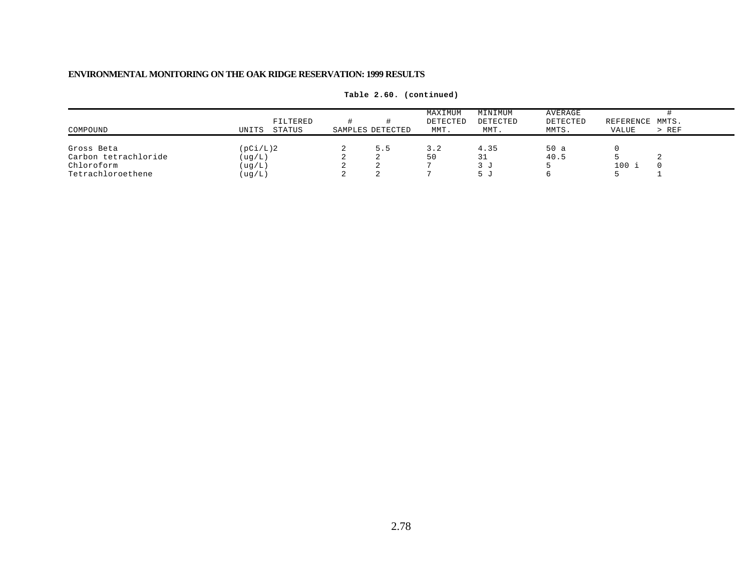| COMPOUND                           | UNITS                | FILTERED<br>STATUS | SAMPLES DETECTED | MAXIMUM<br>DETECTED<br>MMT. | MINIMUM<br>DETECTED<br>MMT. | AVERAGE<br>DETECTED<br>MMTS. | REFERENCE MMTS.<br>VALUE | $>$ REF |
|------------------------------------|----------------------|--------------------|------------------|-----------------------------|-----------------------------|------------------------------|--------------------------|---------|
| Gross Beta                         | (pCi/L)2             |                    | 5.5              | 3.2                         | 4.35                        | 50a                          |                          |         |
| Carbon tetrachloride<br>Chloroform | ( uq/L )<br>( uq/L ) |                    |                  | 50                          | 31<br>3 J                   | 40.5                         | 100 i                    |         |
| Tetrachloroethene                  | (ug/L)               |                    |                  |                             | ا، ط                        |                              |                          |         |

**Table 2.60. (continued)**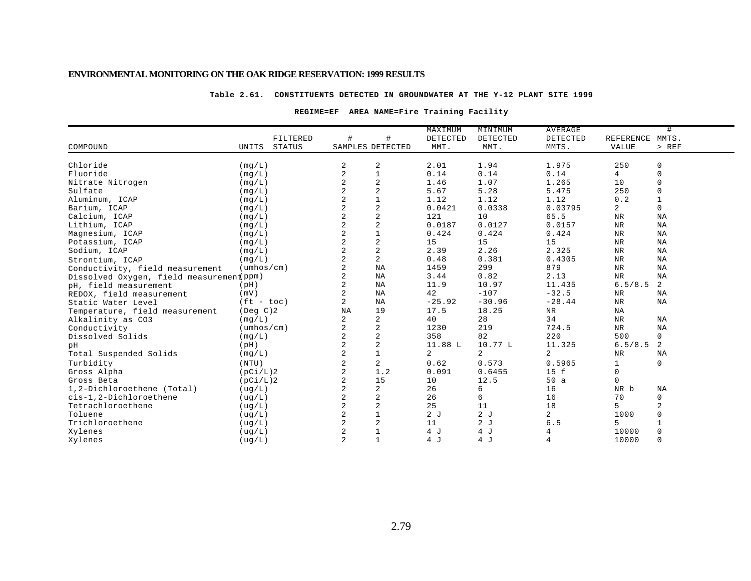#### **Table 2.61. CONSTITUENTS DETECTED IN GROUNDWATER AT THE Y-12 PLANT SITE 1999**

#### **REGIME=EF AREA NAME=Fire Training Facility**

|                                                 |                            |                  |                | MAXIMUM  | MINIMUM  | <b>AVERAGE</b> |                 | #            |
|-------------------------------------------------|----------------------------|------------------|----------------|----------|----------|----------------|-----------------|--------------|
|                                                 | FILTERED                   | #                | #              | DETECTED | DETECTED | DETECTED       | REFERENCE MMTS. |              |
| COMPOUND<br>UNITS                               | <b>STATUS</b>              | SAMPLES DETECTED |                | MMT.     | MMT.     | MMTS.          | VALUE           | $>$ REF      |
| Chloride<br>(mq/L)                              |                            | 2                | 2              | 2.01     | 1.94     | 1.975          | 250             | 0            |
| Fluoride<br>(mq/L)                              |                            | $\overline{2}$   | $\mathbf{1}$   | 0.14     | 0.14     | 0.14           | 4               | $\mathbf 0$  |
| Nitrate Nitrogen<br>(mg/L)                      |                            | $\overline{2}$   | $\sqrt{2}$     | 1.46     | 1.07     | 1.265          | 10              | $\mathbf 0$  |
| Sulfate<br>(mq/L)                               |                            | 2                | $\sqrt{2}$     | 5.67     | 5.28     | 5.475          | 250             | $\mathbf 0$  |
| Aluminum, ICAP<br>(mq/L)                        |                            | 2                | $\mathbf 1$    | 1.12     | 1.12     | 1.12           | 0.2             | $\mathbf{1}$ |
| Barium, ICAP<br>(mq/L)                          |                            | $\overline{2}$   | $\sqrt{2}$     | 0.0421   | 0.0338   | 0.03795        | 2               | $\mathbf{0}$ |
| Calcium, ICAP<br>(mq/L)                         |                            | $\overline{2}$   | $\sqrt{2}$     | 121      | 10       | 65.5           | $\rm NR$        | ΝA           |
| Lithium, ICAP<br>(mq/L)                         |                            | $\overline{2}$   | $\sqrt{2}$     | 0.0187   | 0.0127   | 0.0157         | $\rm{NR}$       | NA           |
| Magnesium, ICAP<br>(mq/L)                       |                            | 2                | $1\,$          | 0.424    | 0.424    | 0.424          | $\rm NR$        | NA           |
| Potassium, ICAP<br>(mg/L)                       |                            | $\overline{a}$   | $\overline{2}$ | 15       | 15       | 15             | $\rm{NR}$       | NA           |
| Sodium, ICAP<br>(mq/L)                          |                            | $\overline{2}$   | $\sqrt{2}$     | 2.39     | 2.26     | 2.325          | $\rm NR$        | ΝA           |
| (mq/L)<br>Strontium, ICAP                       |                            | $\overline{a}$   | 2              | 0.48     | 0.381    | 0.4305         | $\rm NR$        | ΝA           |
| Conductivity, field measurement                 | $(\text{umbos}/\text{cm})$ | 2                | NA             | 1459     | 299      | 879            | $\rm NR$        | ΝA           |
| Dissolved Oxygen, field measurement ppm)        |                            | 2                | NA             | 3.44     | 0.82     | 2.13           | $\rm{NR}$       | NA           |
| (pH)<br>pH, field measurement                   |                            | 2                | NA             | 11.9     | 10.97    | 11.435         | 6.5/8.5         | 2            |
| (mV)<br>REDOX, field measurement                |                            | 2                | NA             | 42       | $-107$   | $-32.5$        | NR              | NA           |
| Static Water Level                              | $(ft - toc)$               | $\overline{2}$   | NA             | $-25.92$ | $-30.96$ | $-28.44$       | <b>NR</b>       | NA           |
| $($ Deg $C)2$<br>Temperature, field measurement |                            | NA               | 19             | 17.5     | 18.25    | NR             | ΝA              |              |
| (mq/L)<br>Alkalinity as CO3                     |                            | $\overline{a}$   | 2              | 40       | 28       | 34             | NR              | NA           |
| Conductivity                                    | $(\text{umbos}/\text{cm})$ | $\overline{a}$   | 2              | 1230     | 219      | 724.5          | NR              | NA           |
| (mg/L)<br>Dissolved Solids                      |                            | 2                | $\sqrt{2}$     | 358      | 82       | 220            | 500             | $\mathbf 0$  |
| (pH)<br>pН                                      |                            | 2                | $\sqrt{2}$     | 11.88 L  | 10.77 L  | 11.325         | 6.5/8.5         | 2            |
| (mg/L)<br>Total Suspended Solids                |                            | $\overline{a}$   | $\mathbf{1}$   | 2        | 2        | $\overline{a}$ | NR              | NA           |
| Turbidity<br>(NTU)                              |                            | 2                | 2              | 0.62     | 0.573    | 0.5965         | $\mathbf{1}$    | $\mathbf 0$  |
| Gross Alpha<br>(pCi/L)2                         |                            | $\overline{a}$   | 1.2            | 0.091    | 0.6455   | 15 f           | $\mathbf 0$     |              |
| Gross Beta<br>(pCi/L)2                          |                            | $\overline{a}$   | 15             | 10       | 12.5     | 50a            | $\Omega$        |              |
| 1,2-Dichloroethene (Total)<br>( uq/L)           |                            |                  | 2              | 26       | 6        | 16             | NR b            | NA           |
| cis-1,2-Dichloroethene<br>(ug/L)                |                            |                  | 2              | 26       | 6        | 16             | 70              | $\mathbf 0$  |
| Tetrachloroethene<br>(ug/L)                     |                            | $\overline{2}$   | $\overline{2}$ | 25       | 11       | 18             | 5               | 2            |
| Toluene<br>(ug/L)                               |                            |                  | $\mathbf 1$    | 2J       | 2J       | $\overline{a}$ | 1000            | $\Omega$     |
| Trichloroethene<br>(ug/L)                       |                            |                  | $\sqrt{2}$     | 11       | 2J       | 6.5            | 5               | $\mathbf{1}$ |
| Xylenes<br>( uq/L)                              |                            |                  | $\mathbf{1}$   | 4 J      | 4 J      | 4              | 10000           | $\mathbf 0$  |
| Xylenes<br>( uq/L)                              |                            | $\overline{a}$   | $\mathbf{1}$   | 4 J      | 4J       | 4              | 10000           | $\mathbf 0$  |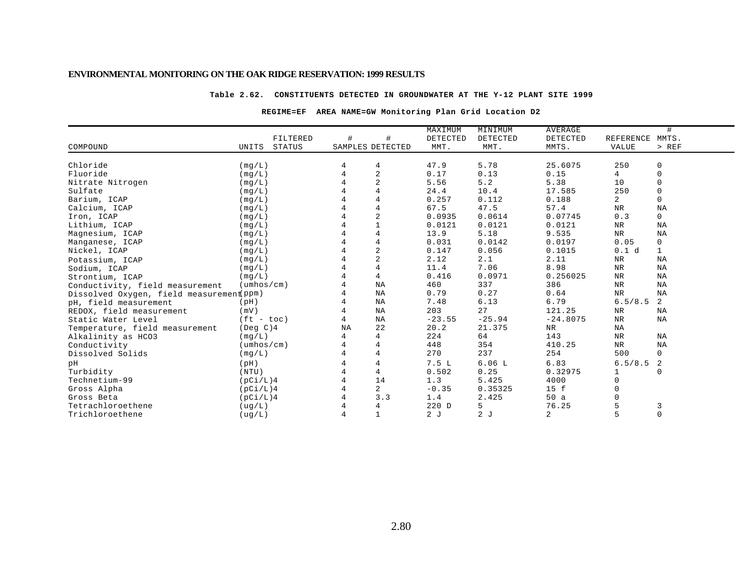#### **Table 2.62. CONSTITUENTS DETECTED IN GROUNDWATER AT THE Y-12 PLANT SITE 1999**

### **REGIME=EF AREA NAME=GW Monitoring Plan Grid Location D2**

|                                          |                            |               |                  |                | MAXIMUM         | MINIMUM         | <b>AVERAGE</b> |                | #            |
|------------------------------------------|----------------------------|---------------|------------------|----------------|-----------------|-----------------|----------------|----------------|--------------|
|                                          |                            | FILTERED      | $\#$             | #              | <b>DETECTED</b> | <b>DETECTED</b> | DETECTED       | REFERENCE      | MMTS.        |
| COMPOUND                                 | UNITS                      | <b>STATUS</b> | SAMPLES DETECTED |                | MMT.            | MMT.            | MMTS.          | <b>VALUE</b>   | $>$ REF      |
|                                          |                            |               |                  |                |                 |                 |                |                |              |
| Chloride                                 | (mq/L)                     |               |                  | $\overline{4}$ | 47.9            | 5.78            | 25.6075        | 250            | 0            |
| Fluoride                                 | (mq/L)                     |               |                  | $\overline{c}$ | 0.17            | 0.13            | 0.15           | 4              | $\mathbf 0$  |
| Nitrate Nitrogen                         | (mq/L)                     |               |                  | $\overline{a}$ | 5.56            | 5.2             | 5.38           | 10             | $\Omega$     |
| Sulfate                                  | (mg/L)                     |               |                  | $\overline{4}$ | 24.4            | 10.4            | 17.585         | 250            | $\mathbf 0$  |
| Barium, ICAP                             | (mq/L)                     |               |                  | $\overline{4}$ | 0.257           | 0.112           | 0.188          | $\overline{2}$ | $\mathbf 0$  |
| Calcium, ICAP                            | (mg/L)                     |               |                  | $\overline{4}$ | 67.5            | 47.5            | 57.4           | <b>NR</b>      | NA           |
| Iron, ICAP                               | (mq/L)                     |               |                  | $\overline{2}$ | 0.0935          | 0.0614          | 0.07745        | 0.3            | $\mathbf 0$  |
| Lithium, ICAP                            | (mq/L)                     |               |                  |                | 0.0121          | 0.0121          | 0.0121         | $_{\rm NR}$    | NA           |
| Magnesium, ICAP                          | (mq/L)                     |               |                  | $\overline{4}$ | 13.9            | 5.18            | 9.535          | $\rm NR$       | NA           |
| Manganese, ICAP                          | (mq/L)                     |               |                  | $\overline{4}$ | 0.031           | 0.0142          | 0.0197         | 0.05           | $\mathsf{O}$ |
| Nickel, ICAP                             | (mq/L)                     |               |                  | $\overline{c}$ | 0.147           | 0.056           | 0.1015         | 0.1 d          | $\mathbf{1}$ |
| Potassium, ICAP                          | (mq/L)                     |               |                  | $\overline{c}$ | 2.12            | 2.1             | 2.11           | $\rm{NR}$      | NA           |
| Sodium, ICAP                             | (mg/L)                     |               |                  | $\overline{4}$ | 11.4            | 7.06            | 8.98           | $\rm{NR}$      | ΝA           |
| Strontium, ICAP                          | (mq/L)                     |               |                  | $\overline{4}$ | 0.416           | 0.0971          | 0.256025       | $\rm NR$       | NA           |
| Conductivity, field measurement          | $(\text{umbos}/\text{cm})$ |               |                  | NA             | 460             | 337             | 386            | $\rm{NR}$      | ΝA           |
| Dissolved Oxygen, field measurement(ppm) |                            |               |                  | NA             | 0.79            | 0.27            | 0.64           | <b>NR</b>      | NA           |
| pH, field measurement                    | (pH)                       |               |                  | ΝA             | 7.48            | 6.13            | 6.79           | 6.5/8.5        | 2            |
| REDOX, field measurement                 | (mV)                       |               |                  | ΝA             | 203             | 27              | 121.25         | NR             | NA           |
| Static Water Level                       | $(ft - toc)$               |               | 4                | NA             | $-23.55$        | $-25.94$        | $-24.8075$     | $_{\rm NR}$    | ΝA           |
| Temperature, field measurement           | (Deg C)4                   |               | NA               | 22             | 20.2            | 21.375          | NR             | ΝA             |              |
| Alkalinity as HCO3                       | (mg/L)                     |               |                  | 4              | 224             | 64              | 143            | <b>NR</b>      | NA           |
| Conductivity                             | $(\text{umbos}/\text{cm})$ |               |                  | 4              | 448             | 354             | 410.25         | NR             | <b>NA</b>    |
| Dissolved Solids                         | (mq/L)                     |               |                  | $\overline{4}$ | 270             | 237             | 254            | 500            | $\mathbf 0$  |
| pН                                       | (pH)                       |               |                  | $\overline{4}$ | 7.5L            | 6.06L           | 6.83           | 6.5/8.5        | 2            |
| Turbidity                                | (NTU)                      |               |                  | 4              | 0.502           | 0.25            | 0.32975        |                | $\Omega$     |
| Technetium-99                            | (pCi/L)4                   |               |                  | 14             | 1.3             | 5.425           | 4000           | $\Omega$       |              |
| Gross Alpha                              | (pCi/L)4                   |               |                  | 2              | $-0.35$         | 0.35325         | 15 f           |                |              |
| Gross Beta                               | (pCi/L)4                   |               |                  | 3.3            | 1.4             | 2.425           | 50a            |                |              |
| Tetrachloroethene                        | ( uq/L)                    |               |                  | 4              | 220 D           | 5               | 76.25          |                | 3            |
| Trichloroethene                          | ( uq/L)                    |               | 4                | $\mathbf{1}$   | 2J              | 2J              | 2              | 5              | $\mathbf 0$  |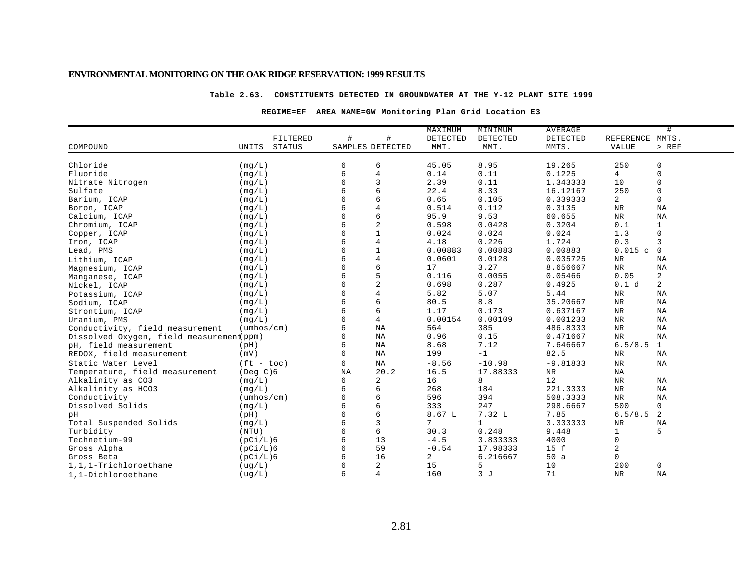#### **Table 2.63. CONSTITUENTS DETECTED IN GROUNDWATER AT THE Y-12 PLANT SITE 1999**

### **REGIME=EF AREA NAME=GW Monitoring Plan Grid Location E3**

|                                          |                            |                  |                | MAXIMUM  | MINIMUM      | <b>AVERAGE</b> |                 | #              |
|------------------------------------------|----------------------------|------------------|----------------|----------|--------------|----------------|-----------------|----------------|
|                                          | FILTERED                   | #                | $\#$           | DETECTED | DETECTED     | DETECTED       | REFERENCE MMTS. |                |
| COMPOUND                                 | <b>STATUS</b><br>UNITS     | SAMPLES DETECTED |                | MMT.     | MMT.         | MMTS.          | VALUE           | $>$ REF        |
|                                          |                            |                  |                |          |              |                |                 |                |
| Chloride                                 | (mq/L)                     | 6                | 6              | 45.05    | 8.95         | 19.265         | 250             | 0              |
| Fluoride                                 | (mq/L)                     | 6                | $\overline{4}$ | 0.14     | 0.11         | 0.1225         | 4               | 0              |
| Nitrate Nitrogen                         | (mq/L)                     | б                | 3              | 2.39     | 0.11         | 1.343333       | 10              | $\mathbf 0$    |
| Sulfate                                  | (mg/L)                     |                  | 6              | 22.4     | 8.33         | 16.12167       | 250             | $\mathsf 0$    |
| Barium, ICAP                             | (mq/L)                     |                  | 6              | 0.65     | 0.105        | 0.339333       | 2               | $\mathbf 0$    |
| Boron, ICAP                              | (mq/L)                     |                  | $\overline{4}$ | 0.514    | 0.112        | 0.3135         | <b>NR</b>       | NA             |
| Calcium, ICAP                            | (mq/L)                     |                  | 6              | 95.9     | 9.53         | 60.655         | $_{\rm NR}$     | NA             |
| Chromium, ICAP                           | (mq/L)                     | б                | $\sqrt{2}$     | 0.598    | 0.0428       | 0.3204         | 0.1             | $\mathbf{1}$   |
| Copper, ICAP                             | (mg/L)                     |                  | $\mathbf{1}$   | 0.024    | 0.024        | 0.024          | 1.3             | $\mathbf 0$    |
| Iron, ICAP                               | (mq/L)                     |                  | $\overline{4}$ | 4.18     | 0.226        | 1.724          | 0.3             | 3              |
| Lead, PMS                                | (mg/L)                     |                  | $\mathbf{1}$   | 0.00883  | 0.00883      | 0.00883        | 0.015c          | $\Omega$       |
| Lithium, ICAP                            | (mq/L)                     |                  | 4              | 0.0601   | 0.0128       | 0.035725       | NR              | NA             |
| Magnesium, ICAP                          | (mq/L)                     | б                | 6              | 17       | 3.27         | 8.656667       | $_{\rm NR}$     | NA             |
| Manganese, ICAP                          | (mq/L)                     |                  | 5              | 0.116    | 0.0055       | 0.05466        | 0.05            | 2              |
| Nickel, ICAP                             | (mq/L)                     |                  | $\sqrt{2}$     | 0.698    | 0.287        | 0.4925         | 0.1 d           | $\overline{a}$ |
| Potassium, ICAP                          | (mg/L)                     |                  | $\overline{4}$ | 5.82     | 5.07         | 5.44           | NR              | NA             |
| Sodium, ICAP                             | (mq/L)                     |                  | 6              | 80.5     | 8.8          | 35.20667       | $\rm NR$        | ΝA             |
| Strontium, ICAP                          | (mq/L)                     | 6                | 6              | 1.17     | 0.173        | 0.637167       | NR              | ΝA             |
| Uranium, PMS                             | (mq/L)                     | 6                | $\overline{4}$ | 0.00154  | 0.00109      | 0.001233       | NR              | ΝA             |
| Conductivity, field measurement          | $(\text{umbos}/\text{cm})$ | 6                | NA             | 564      | 385          | 486.8333       | $\rm{NR}$       | $_{\rm NA}$    |
| Dissolved Oxygen, field measurement ppm) |                            | 6                | NA             | 0.96     | 0.15         | 0.471667       | $\rm{NR}$       | NA             |
| pH, field measurement                    | (pH)                       | 6                | ΝA             | 8.68     | 7.12         | 7.646667       | 6.5/8.5         | 1              |
| REDOX, field measurement                 | (mV)                       | 6                | NA             | 199      | $-1$         | 82.5           | NR              | <b>NA</b>      |
| Static Water Level                       | $(ft - toc)$               | 6                | NA             | $-8.56$  | $-10.98$     | $-9.81833$     | $\rm{NR}$       | NA             |
| Temperature, field measurement           | $($ Deg $C$ $)$ 6          | NA               | 20.2           | 16.5     | 17.88333     | ${\tt NR}$     | NA              |                |
| Alkalinity as CO3                        | (mq/L)                     | б                | 2              | 16       | 8            | 12             | NR              | NA             |
| Alkalinity as HCO3                       | (mq/L)                     | 6                | 6              | 268      | 184          | 221.3333       | $\rm{NR}$       | NA             |
| Conductivity                             | $(\text{umbos}/\text{cm})$ | 6                | 6              | 596      | 394          | 508.3333       | NR              | NA             |
| Dissolved Solids                         | (mq/L)                     | 6                | 6              | 333      | 247          | 298.6667       | 500             | 0              |
| pН                                       | (pH)                       | 6                | 6              | 8.67 L   | 7.32 L       | 7.85           | 6.5/8.5         | 2              |
| Total Suspended Solids                   | (mq/L)                     | 6                | $\overline{3}$ | 7        | $\mathbf{1}$ | 3.333333       | $\rm NR$        | NA             |
| Turbidity                                | (NTU)                      | 6                | 6              | 30.3     | 0.248        | 9.448          | $\mathbf 1$     | 5              |
| Technetium-99                            | (pCi/L)6                   | 6                | 13             | $-4.5$   | 3.833333     | 4000           | 0               |                |
| Gross Alpha                              | (pCi/L)6                   | б                | 59             | $-0.54$  | 17.98333     | 15 f           | 2               |                |
| Gross Beta                               | (pCi/L)6                   | 6                | 16             | 2        | 6.216667     | 50a            | 0               |                |
| 1,1,1-Trichloroethane                    | ( uq/L)                    |                  | 2              | 15       | 5            | 10             | 200             | 0              |
| 1,1-Dichloroethane                       | (ug/L)                     | 6                | $\overline{4}$ | 160      | 3J           | 71             | <b>NR</b>       | NA             |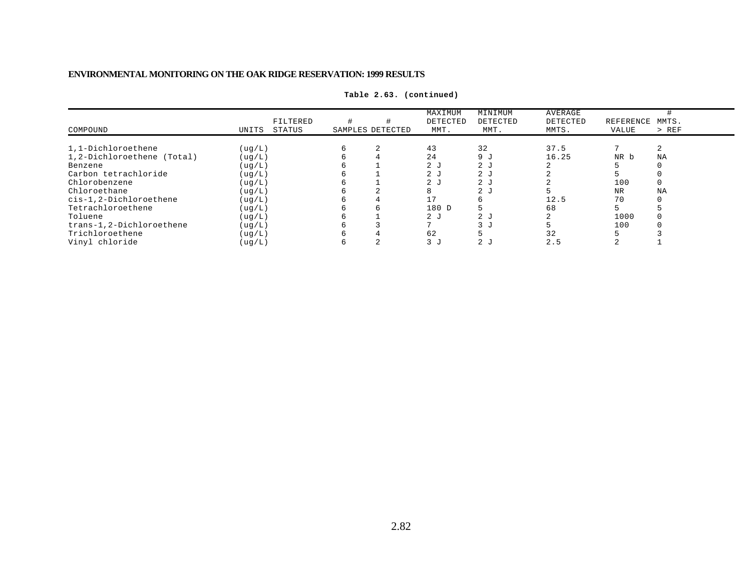| COMPOUND                   | UNITS   | FILTERED<br>STATUS | SAMPLES DETECTED | MAXIMUM<br>DETECTED<br>MMT. | MINIMUM<br>DETECTED<br>MMT. | AVERAGE<br>DETECTED<br>MMTS. | REFERENCE<br>VALUE | MMTS.<br>$>$ REF |
|----------------------------|---------|--------------------|------------------|-----------------------------|-----------------------------|------------------------------|--------------------|------------------|
| 1,1-Dichloroethene         | ( uq/L) |                    | 2                | 43                          | 32                          | 37.5                         |                    |                  |
| 1,2-Dichloroethene (Total) | ( uq/L) |                    |                  | 24                          | 9 <sub>J</sub>              | 16.25                        | NR b               | NA               |
| Benzene                    | ( uq/L) |                    |                  | 2 <sub>J</sub>              | 2 <sub>J</sub>              |                              |                    |                  |
| Carbon tetrachloride       | ( uq/L) |                    |                  | 2J                          | 2 <sub>J</sub>              |                              |                    |                  |
| Chlorobenzene              | ( uq/L) |                    |                  | 2J                          | 2 <sub>J</sub>              |                              | 100                |                  |
| Chloroethane               | ( uq/L) |                    |                  | 8                           | 2 <sub>J</sub>              |                              | <b>NR</b>          | ΝA               |
| cis-1,2-Dichloroethene     | ( uq/L) |                    | 4                | 17                          |                             | 12.5                         | 70                 |                  |
| Tetrachloroethene          | ( uq/L) |                    | 6                | 180 D                       |                             | 68                           |                    |                  |
| Toluene                    | ( uq/L) |                    |                  | 2J                          | 2 <sub>J</sub>              |                              | 1000               |                  |
| trans-1,2-Dichloroethene   | ( uq/L) |                    |                  |                             | 3 J                         |                              | 100                |                  |
| Trichloroethene            | ( uq/L) |                    |                  | 62                          |                             | 32                           |                    |                  |
| Vinyl chloride             | ( uq/L) |                    | $\sim$           | 3J                          | 2 <sub>J</sub>              | 2.5                          |                    |                  |

**Table 2.63. (continued)**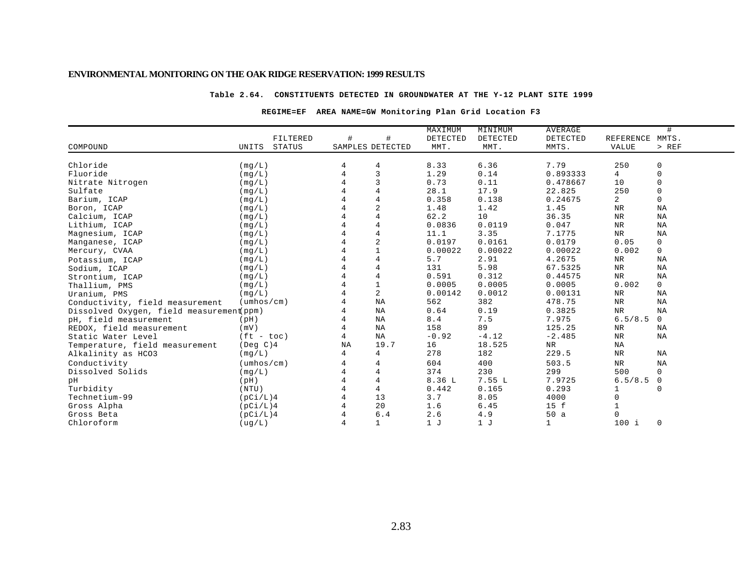#### **Table 2.64. CONSTITUENTS DETECTED IN GROUNDWATER AT THE Y-12 PLANT SITE 1999**

### **REGIME=EF AREA NAME=GW Monitoring Plan Grid Location F3**

|                                          |                            |               |                  |                | MAXIMUM  | MINIMUM  | <b>AVERAGE</b> |                 | #              |
|------------------------------------------|----------------------------|---------------|------------------|----------------|----------|----------|----------------|-----------------|----------------|
|                                          |                            | FILTERED      | #                | #              | DETECTED | DETECTED | DETECTED       | REFERENCE MMTS. |                |
| COMPOUND                                 | UNITS                      | <b>STATUS</b> | SAMPLES DETECTED |                | MMT.     | MMT.     | MMTS.          | VALUE           | > REF          |
|                                          |                            |               |                  |                |          |          |                |                 |                |
| Chloride                                 | (mq/L)                     |               |                  | 4              | 8.33     | 6.36     | 7.79           | 250             | 0              |
| Fluoride                                 | (mq/L)                     |               | $\overline{4}$   | $\overline{3}$ | 1.29     | 0.14     | 0.893333       | 4               | $\mathsf 0$    |
| Nitrate Nitrogen                         | (mq/L)                     |               | 4                | 3              | 0.73     | 0.11     | 0.478667       | 10              | $\mathbf 0$    |
| Sulfate                                  | (mq/L)                     |               |                  | $\overline{4}$ | 28.1     | 17.9     | 22.825         | 250             | 0              |
| Barium, ICAP                             | (mq/L)                     |               |                  | $\overline{4}$ | 0.358    | 0.138    | 0.24675        | $\overline{a}$  | $\mathbf{0}$   |
| Boron, ICAP                              | (mg/L)                     |               |                  | $\overline{c}$ | 1.48     | 1.42     | 1.45           | $\rm{NR}$       | ΝA             |
| Calcium, ICAP                            | (mq/L)                     |               |                  | $\overline{4}$ | 62.2     | 10       | 36.35          | $\rm{NR}$       | NA             |
| Lithium, ICAP                            | (mq/L)                     |               |                  | $\overline{4}$ | 0.0836   | 0.0119   | 0.047          | $_{\rm NR}$     | NA             |
| Magnesium, ICAP                          | (mq/L)                     |               |                  | $\overline{4}$ | 11.1     | 3.35     | 7.1775         | $_{\rm NR}$     | ΝA             |
| Manganese, ICAP                          | (mg/L)                     |               |                  | $\sqrt{2}$     | 0.0197   | 0.0161   | 0.0179         | 0.05            | $\mathsf{O}$   |
| Mercury, CVAA                            | (mq/L)                     |               |                  | $\mathbf{1}$   | 0.00022  | 0.00022  | 0.00022        | 0.002           | $\mathbf 0$    |
| Potassium, ICAP                          | (mq/L)                     |               |                  | $\overline{4}$ | 5.7      | 2.91     | 4.2675         | NR              | ΝA             |
| Sodium, ICAP                             | (mq/L)                     |               |                  | $\overline{4}$ | 131      | 5.98     | 67.5325        | NR              | NA             |
| Strontium, ICAP                          | (mq/L)                     |               |                  | $\overline{4}$ | 0.591    | 0.312    | 0.44575        | NR              | ΝA             |
| Thallium, PMS                            | (mq/L)                     |               |                  | $1\,$          | 0.0005   | 0.0005   | 0.0005         | 0.002           | $\overline{0}$ |
| Uranium, PMS                             | (mg/L)                     |               |                  | 2              | 0.00142  | 0.0012   | 0.00131        | NR              | ΝA             |
| Conductivity, field measurement          | $(\text{umbos}/\text{cm})$ |               | 4                | <b>NA</b>      | 562      | 382      | 478.75         | NR              | ΝA             |
| Dissolved Oxygen, field measurement ppm) |                            |               | 4                | NA             | 0.64     | 0.19     | 0.3825         | <b>NR</b>       | ΝA             |
| pH, field measurement                    | (pH)                       |               | $\overline{4}$   | ΝA             | 8.4      | 7.5      | 7.975          | 6.5/8.5         | $\mathbf{0}$   |
| REDOX, field measurement                 | (mV)                       |               | 4                | NA             | 158      | 89       | 125.25         | $_{\rm NR}$     | ΝA             |
| Static Water Level                       | $(ft - toc)$               |               | 4                | NA             | $-0.92$  | $-4.12$  | $-2.485$       | $_{\rm NR}$     | ΝA             |
| Temperature, field measurement           | (Deg C)4                   |               | NA               | 19.7           | 16       | 18.525   | NR             | NA              |                |
| Alkalinity as HCO3                       | (mq/L)                     |               | 4                | 4              | 278      | 182      | 229.5          | ${\tt NR}$      | ΝA             |
| Conductivity                             | $(\text{umbos}/\text{cm})$ |               |                  | $\overline{4}$ | 604      | 400      | 503.5          | $_{\rm NR}$     | NA             |
| Dissolved Solids                         | (mq/L)                     |               |                  | 4              | 374      | 230      | 299            | 500             | $\Omega$       |
| pН                                       | (pH)                       |               |                  | $\overline{4}$ | 8.36 L   | 7.55L    | 7.9725         | 6.5/8.5         | $\mathbf 0$    |
| Turbidity                                | (NTU)                      |               |                  | 4              | 0.442    | 0.165    | 0.293          | 1               | $\mathbf 0$    |
| Technetium-99                            | (pCi/L)4                   |               |                  | 13             | 3.7      | 8.05     | 4000           | 0               |                |
| Gross Alpha                              | (pCi/L)4                   |               |                  | 20             | 1.6      | 6.45     | 15 f           |                 |                |
| Gross Beta                               | (pCi/L)4                   |               |                  | 6.4            | 2.6      | 4.9      | 50a            | 0               |                |
| Chloroform                               | ( uq/L )                   |               | 4                | $\mathbf 1$    | 1J       | 1J       | 1              | $100$ i         | $\mathbf 0$    |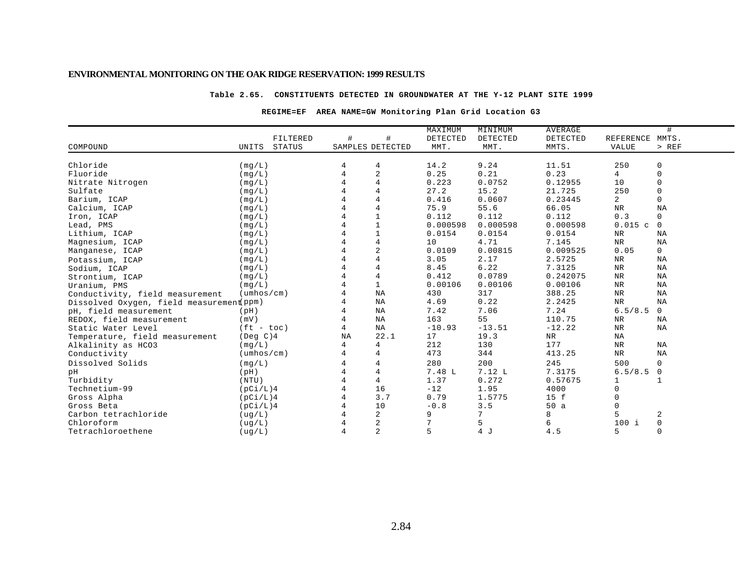#### **Table 2.65. CONSTITUENTS DETECTED IN GROUNDWATER AT THE Y-12 PLANT SITE 1999**

### **REGIME=EF AREA NAME=GW Monitoring Plan Grid Location G3**

| #<br>REFERENCE MMTS.<br>FILTERED<br>#<br>DETECTED<br>DETECTED<br>DETECTED<br>UNITS<br>STATUS<br>SAMPLES DETECTED<br>MMT.<br>MMT.<br>MMTS.<br><b>VALUE</b><br>> REF<br>Chloride<br>14.2<br>9.24<br>11.51<br>250<br>0<br>(mq/L)<br>4<br>$\sqrt{2}$<br>$\mathsf 0$<br>Fluoride<br>0.25<br>0.21<br>0.23<br>$\overline{4}$<br>$\overline{4}$<br>(mq/L)<br>$\overline{4}$<br>$\mathsf 0$<br>0.223<br>0.0752<br>10<br>Nitrate Nitrogen<br>0.12955<br>(mq/L)<br>$\mathsf 0$<br>$\overline{4}$<br>27.2<br>250<br>Sulfate<br>15.2<br>21.725<br>(mg/L)<br>$\overline{4}$<br>$\mathsf{O}$<br>2<br>0.0607<br>0.416<br>0.23445<br>Barium, ICAP<br>(mq/L)<br>$\overline{4}$<br>${\tt NR}$<br>NA<br>(mq/L)<br>75.9<br>55.6<br>66.05<br>Calcium, ICAP<br>$\overline{1}$<br>0.112<br>0.112<br>0.112<br>0.3<br>$\mathsf{O}$<br>Iron, ICAP<br>(mq/L)<br>$1\,$<br>0.000598<br>0.000598<br>0.015c<br>$\mathsf{O}$<br>0.000598<br>Lead, PMS<br>(mg/L)<br>$\mathbf{1}$<br>Lithium, ICAP<br>0.0154<br>0.0154<br>0.0154<br>${\tt NR}$<br>NA<br>(mq/L)<br>$\,4$<br><b>NR</b><br>10<br>4.71<br>7.145<br>NA<br>(mq/L)<br>$\sqrt{2}$<br>0.05<br>$\mathsf{O}$<br>0.0109<br>0.00815<br>0.009525<br>(mq/L)<br>$\overline{4}$<br>3.05<br>2.17<br>2.5725<br>${\tt NR}$<br>NA<br>(mq/L)<br>$\overline{4}$<br>8.45<br>6.22<br>7.3125<br>NR<br>NA<br>(mq/L)<br>4<br>0.412<br>0.0789<br>0.242075<br>NR<br>NA<br>(mq/L)<br>$\mathbf{1}$<br>0.00106<br>0.00106<br>0.00106<br>${\tt NR}$<br>NA<br>(mq/L)<br>${\tt NR}$<br>NA<br>430<br>317<br>388.25<br>NA<br>$(\text{umbos}/\text{cm})$<br>0.22<br>${\tt NR}$<br>ΝA<br>4.69<br>2.2425<br>NA<br>Dissolved Oxygen, field measurement ppm)<br>7.42<br>7.06<br>7.24<br>6.5/8.5<br>$\overline{0}$<br>ΝA<br>(pH)<br>163<br>55<br>110.75<br>${\tt NR}$<br>(mV)<br>NA<br><b>NA</b><br>${\tt NR}$<br>4<br>NA<br>$-10.93$<br>$-13.51$<br>$-12.22$<br>NA<br>$(ft - toc)$<br>22.1<br>17<br>${\tt NR}$<br>NA<br>$($ Deg $C)$ 4<br>NA<br>19.3<br>Temperature, field measurement<br>4<br>212<br>130<br>177<br>$\rm{NR}$<br>(mq/L)<br>4<br><b>NA</b><br>Alkalinity as HCO3<br>473<br>413.25<br>${\tt NR}$<br>NA<br>$(\text{umbos}/\text{cm})$<br>4<br>344<br>Conductivity<br>280<br>200<br>245<br>500<br>(mg/L)<br>4<br>$\mathbf 0$<br>4<br>$\overline{4}$<br>6.5/8.5<br>4<br>7.48 L<br>7.12 L<br>7.3175<br>$\mathbf 0$<br>(pH)<br>$\overline{4}$<br>4<br>0.272<br>1.37<br>0.57675<br>(NTU)<br>1<br>1<br>16<br>$-12$<br>$\Omega$<br>Technetium-99<br>4<br>1.95<br>4000<br>(pCi/L)4<br>3.7<br>0.79<br>1.5775<br>15 f<br>Gross Alpha<br>(pCi/L)4<br>$\Omega$<br>3.5<br>10<br>$-0.8$<br>50a<br>$\Omega$<br>Gross Beta<br>(pCi/L)4 |                                 |  |  | MAXIMUM | MINIMUM | <b>AVERAGE</b> | # |
|-----------------------------------------------------------------------------------------------------------------------------------------------------------------------------------------------------------------------------------------------------------------------------------------------------------------------------------------------------------------------------------------------------------------------------------------------------------------------------------------------------------------------------------------------------------------------------------------------------------------------------------------------------------------------------------------------------------------------------------------------------------------------------------------------------------------------------------------------------------------------------------------------------------------------------------------------------------------------------------------------------------------------------------------------------------------------------------------------------------------------------------------------------------------------------------------------------------------------------------------------------------------------------------------------------------------------------------------------------------------------------------------------------------------------------------------------------------------------------------------------------------------------------------------------------------------------------------------------------------------------------------------------------------------------------------------------------------------------------------------------------------------------------------------------------------------------------------------------------------------------------------------------------------------------------------------------------------------------------------------------------------------------------------------------------------------------------------------------------------------------------------------------------------------------------------------------------------------------------------------------------------------------------------------------------------------------------------------------------------------------------------------------------------------------------------------------------------------------------------------------------------------------------------------------------------------------------------------------------------------------|---------------------------------|--|--|---------|---------|----------------|---|
|                                                                                                                                                                                                                                                                                                                                                                                                                                                                                                                                                                                                                                                                                                                                                                                                                                                                                                                                                                                                                                                                                                                                                                                                                                                                                                                                                                                                                                                                                                                                                                                                                                                                                                                                                                                                                                                                                                                                                                                                                                                                                                                                                                                                                                                                                                                                                                                                                                                                                                                                                                                                                       |                                 |  |  |         |         |                |   |
|                                                                                                                                                                                                                                                                                                                                                                                                                                                                                                                                                                                                                                                                                                                                                                                                                                                                                                                                                                                                                                                                                                                                                                                                                                                                                                                                                                                                                                                                                                                                                                                                                                                                                                                                                                                                                                                                                                                                                                                                                                                                                                                                                                                                                                                                                                                                                                                                                                                                                                                                                                                                                       | COMPOUND                        |  |  |         |         |                |   |
|                                                                                                                                                                                                                                                                                                                                                                                                                                                                                                                                                                                                                                                                                                                                                                                                                                                                                                                                                                                                                                                                                                                                                                                                                                                                                                                                                                                                                                                                                                                                                                                                                                                                                                                                                                                                                                                                                                                                                                                                                                                                                                                                                                                                                                                                                                                                                                                                                                                                                                                                                                                                                       |                                 |  |  |         |         |                |   |
|                                                                                                                                                                                                                                                                                                                                                                                                                                                                                                                                                                                                                                                                                                                                                                                                                                                                                                                                                                                                                                                                                                                                                                                                                                                                                                                                                                                                                                                                                                                                                                                                                                                                                                                                                                                                                                                                                                                                                                                                                                                                                                                                                                                                                                                                                                                                                                                                                                                                                                                                                                                                                       |                                 |  |  |         |         |                |   |
|                                                                                                                                                                                                                                                                                                                                                                                                                                                                                                                                                                                                                                                                                                                                                                                                                                                                                                                                                                                                                                                                                                                                                                                                                                                                                                                                                                                                                                                                                                                                                                                                                                                                                                                                                                                                                                                                                                                                                                                                                                                                                                                                                                                                                                                                                                                                                                                                                                                                                                                                                                                                                       |                                 |  |  |         |         |                |   |
|                                                                                                                                                                                                                                                                                                                                                                                                                                                                                                                                                                                                                                                                                                                                                                                                                                                                                                                                                                                                                                                                                                                                                                                                                                                                                                                                                                                                                                                                                                                                                                                                                                                                                                                                                                                                                                                                                                                                                                                                                                                                                                                                                                                                                                                                                                                                                                                                                                                                                                                                                                                                                       |                                 |  |  |         |         |                |   |
|                                                                                                                                                                                                                                                                                                                                                                                                                                                                                                                                                                                                                                                                                                                                                                                                                                                                                                                                                                                                                                                                                                                                                                                                                                                                                                                                                                                                                                                                                                                                                                                                                                                                                                                                                                                                                                                                                                                                                                                                                                                                                                                                                                                                                                                                                                                                                                                                                                                                                                                                                                                                                       |                                 |  |  |         |         |                |   |
|                                                                                                                                                                                                                                                                                                                                                                                                                                                                                                                                                                                                                                                                                                                                                                                                                                                                                                                                                                                                                                                                                                                                                                                                                                                                                                                                                                                                                                                                                                                                                                                                                                                                                                                                                                                                                                                                                                                                                                                                                                                                                                                                                                                                                                                                                                                                                                                                                                                                                                                                                                                                                       |                                 |  |  |         |         |                |   |
|                                                                                                                                                                                                                                                                                                                                                                                                                                                                                                                                                                                                                                                                                                                                                                                                                                                                                                                                                                                                                                                                                                                                                                                                                                                                                                                                                                                                                                                                                                                                                                                                                                                                                                                                                                                                                                                                                                                                                                                                                                                                                                                                                                                                                                                                                                                                                                                                                                                                                                                                                                                                                       |                                 |  |  |         |         |                |   |
|                                                                                                                                                                                                                                                                                                                                                                                                                                                                                                                                                                                                                                                                                                                                                                                                                                                                                                                                                                                                                                                                                                                                                                                                                                                                                                                                                                                                                                                                                                                                                                                                                                                                                                                                                                                                                                                                                                                                                                                                                                                                                                                                                                                                                                                                                                                                                                                                                                                                                                                                                                                                                       |                                 |  |  |         |         |                |   |
|                                                                                                                                                                                                                                                                                                                                                                                                                                                                                                                                                                                                                                                                                                                                                                                                                                                                                                                                                                                                                                                                                                                                                                                                                                                                                                                                                                                                                                                                                                                                                                                                                                                                                                                                                                                                                                                                                                                                                                                                                                                                                                                                                                                                                                                                                                                                                                                                                                                                                                                                                                                                                       |                                 |  |  |         |         |                |   |
|                                                                                                                                                                                                                                                                                                                                                                                                                                                                                                                                                                                                                                                                                                                                                                                                                                                                                                                                                                                                                                                                                                                                                                                                                                                                                                                                                                                                                                                                                                                                                                                                                                                                                                                                                                                                                                                                                                                                                                                                                                                                                                                                                                                                                                                                                                                                                                                                                                                                                                                                                                                                                       |                                 |  |  |         |         |                |   |
|                                                                                                                                                                                                                                                                                                                                                                                                                                                                                                                                                                                                                                                                                                                                                                                                                                                                                                                                                                                                                                                                                                                                                                                                                                                                                                                                                                                                                                                                                                                                                                                                                                                                                                                                                                                                                                                                                                                                                                                                                                                                                                                                                                                                                                                                                                                                                                                                                                                                                                                                                                                                                       | Magnesium, ICAP                 |  |  |         |         |                |   |
|                                                                                                                                                                                                                                                                                                                                                                                                                                                                                                                                                                                                                                                                                                                                                                                                                                                                                                                                                                                                                                                                                                                                                                                                                                                                                                                                                                                                                                                                                                                                                                                                                                                                                                                                                                                                                                                                                                                                                                                                                                                                                                                                                                                                                                                                                                                                                                                                                                                                                                                                                                                                                       | Manganese, ICAP                 |  |  |         |         |                |   |
|                                                                                                                                                                                                                                                                                                                                                                                                                                                                                                                                                                                                                                                                                                                                                                                                                                                                                                                                                                                                                                                                                                                                                                                                                                                                                                                                                                                                                                                                                                                                                                                                                                                                                                                                                                                                                                                                                                                                                                                                                                                                                                                                                                                                                                                                                                                                                                                                                                                                                                                                                                                                                       | Potassium, ICAP                 |  |  |         |         |                |   |
|                                                                                                                                                                                                                                                                                                                                                                                                                                                                                                                                                                                                                                                                                                                                                                                                                                                                                                                                                                                                                                                                                                                                                                                                                                                                                                                                                                                                                                                                                                                                                                                                                                                                                                                                                                                                                                                                                                                                                                                                                                                                                                                                                                                                                                                                                                                                                                                                                                                                                                                                                                                                                       | Sodium, ICAP                    |  |  |         |         |                |   |
|                                                                                                                                                                                                                                                                                                                                                                                                                                                                                                                                                                                                                                                                                                                                                                                                                                                                                                                                                                                                                                                                                                                                                                                                                                                                                                                                                                                                                                                                                                                                                                                                                                                                                                                                                                                                                                                                                                                                                                                                                                                                                                                                                                                                                                                                                                                                                                                                                                                                                                                                                                                                                       | Strontium, ICAP                 |  |  |         |         |                |   |
|                                                                                                                                                                                                                                                                                                                                                                                                                                                                                                                                                                                                                                                                                                                                                                                                                                                                                                                                                                                                                                                                                                                                                                                                                                                                                                                                                                                                                                                                                                                                                                                                                                                                                                                                                                                                                                                                                                                                                                                                                                                                                                                                                                                                                                                                                                                                                                                                                                                                                                                                                                                                                       | Uranium, PMS                    |  |  |         |         |                |   |
|                                                                                                                                                                                                                                                                                                                                                                                                                                                                                                                                                                                                                                                                                                                                                                                                                                                                                                                                                                                                                                                                                                                                                                                                                                                                                                                                                                                                                                                                                                                                                                                                                                                                                                                                                                                                                                                                                                                                                                                                                                                                                                                                                                                                                                                                                                                                                                                                                                                                                                                                                                                                                       | Conductivity, field measurement |  |  |         |         |                |   |
|                                                                                                                                                                                                                                                                                                                                                                                                                                                                                                                                                                                                                                                                                                                                                                                                                                                                                                                                                                                                                                                                                                                                                                                                                                                                                                                                                                                                                                                                                                                                                                                                                                                                                                                                                                                                                                                                                                                                                                                                                                                                                                                                                                                                                                                                                                                                                                                                                                                                                                                                                                                                                       |                                 |  |  |         |         |                |   |
|                                                                                                                                                                                                                                                                                                                                                                                                                                                                                                                                                                                                                                                                                                                                                                                                                                                                                                                                                                                                                                                                                                                                                                                                                                                                                                                                                                                                                                                                                                                                                                                                                                                                                                                                                                                                                                                                                                                                                                                                                                                                                                                                                                                                                                                                                                                                                                                                                                                                                                                                                                                                                       | pH, field measurement           |  |  |         |         |                |   |
|                                                                                                                                                                                                                                                                                                                                                                                                                                                                                                                                                                                                                                                                                                                                                                                                                                                                                                                                                                                                                                                                                                                                                                                                                                                                                                                                                                                                                                                                                                                                                                                                                                                                                                                                                                                                                                                                                                                                                                                                                                                                                                                                                                                                                                                                                                                                                                                                                                                                                                                                                                                                                       | REDOX, field measurement        |  |  |         |         |                |   |
|                                                                                                                                                                                                                                                                                                                                                                                                                                                                                                                                                                                                                                                                                                                                                                                                                                                                                                                                                                                                                                                                                                                                                                                                                                                                                                                                                                                                                                                                                                                                                                                                                                                                                                                                                                                                                                                                                                                                                                                                                                                                                                                                                                                                                                                                                                                                                                                                                                                                                                                                                                                                                       | Static Water Level              |  |  |         |         |                |   |
|                                                                                                                                                                                                                                                                                                                                                                                                                                                                                                                                                                                                                                                                                                                                                                                                                                                                                                                                                                                                                                                                                                                                                                                                                                                                                                                                                                                                                                                                                                                                                                                                                                                                                                                                                                                                                                                                                                                                                                                                                                                                                                                                                                                                                                                                                                                                                                                                                                                                                                                                                                                                                       |                                 |  |  |         |         |                |   |
|                                                                                                                                                                                                                                                                                                                                                                                                                                                                                                                                                                                                                                                                                                                                                                                                                                                                                                                                                                                                                                                                                                                                                                                                                                                                                                                                                                                                                                                                                                                                                                                                                                                                                                                                                                                                                                                                                                                                                                                                                                                                                                                                                                                                                                                                                                                                                                                                                                                                                                                                                                                                                       |                                 |  |  |         |         |                |   |
|                                                                                                                                                                                                                                                                                                                                                                                                                                                                                                                                                                                                                                                                                                                                                                                                                                                                                                                                                                                                                                                                                                                                                                                                                                                                                                                                                                                                                                                                                                                                                                                                                                                                                                                                                                                                                                                                                                                                                                                                                                                                                                                                                                                                                                                                                                                                                                                                                                                                                                                                                                                                                       |                                 |  |  |         |         |                |   |
|                                                                                                                                                                                                                                                                                                                                                                                                                                                                                                                                                                                                                                                                                                                                                                                                                                                                                                                                                                                                                                                                                                                                                                                                                                                                                                                                                                                                                                                                                                                                                                                                                                                                                                                                                                                                                                                                                                                                                                                                                                                                                                                                                                                                                                                                                                                                                                                                                                                                                                                                                                                                                       | Dissolved Solids                |  |  |         |         |                |   |
|                                                                                                                                                                                                                                                                                                                                                                                                                                                                                                                                                                                                                                                                                                                                                                                                                                                                                                                                                                                                                                                                                                                                                                                                                                                                                                                                                                                                                                                                                                                                                                                                                                                                                                                                                                                                                                                                                                                                                                                                                                                                                                                                                                                                                                                                                                                                                                                                                                                                                                                                                                                                                       | pН                              |  |  |         |         |                |   |
|                                                                                                                                                                                                                                                                                                                                                                                                                                                                                                                                                                                                                                                                                                                                                                                                                                                                                                                                                                                                                                                                                                                                                                                                                                                                                                                                                                                                                                                                                                                                                                                                                                                                                                                                                                                                                                                                                                                                                                                                                                                                                                                                                                                                                                                                                                                                                                                                                                                                                                                                                                                                                       | Turbidity                       |  |  |         |         |                |   |
|                                                                                                                                                                                                                                                                                                                                                                                                                                                                                                                                                                                                                                                                                                                                                                                                                                                                                                                                                                                                                                                                                                                                                                                                                                                                                                                                                                                                                                                                                                                                                                                                                                                                                                                                                                                                                                                                                                                                                                                                                                                                                                                                                                                                                                                                                                                                                                                                                                                                                                                                                                                                                       |                                 |  |  |         |         |                |   |
|                                                                                                                                                                                                                                                                                                                                                                                                                                                                                                                                                                                                                                                                                                                                                                                                                                                                                                                                                                                                                                                                                                                                                                                                                                                                                                                                                                                                                                                                                                                                                                                                                                                                                                                                                                                                                                                                                                                                                                                                                                                                                                                                                                                                                                                                                                                                                                                                                                                                                                                                                                                                                       |                                 |  |  |         |         |                |   |
|                                                                                                                                                                                                                                                                                                                                                                                                                                                                                                                                                                                                                                                                                                                                                                                                                                                                                                                                                                                                                                                                                                                                                                                                                                                                                                                                                                                                                                                                                                                                                                                                                                                                                                                                                                                                                                                                                                                                                                                                                                                                                                                                                                                                                                                                                                                                                                                                                                                                                                                                                                                                                       |                                 |  |  |         |         |                |   |
| $\overline{c}$<br>5<br>7<br>2<br>9<br>8<br>(ug/L)                                                                                                                                                                                                                                                                                                                                                                                                                                                                                                                                                                                                                                                                                                                                                                                                                                                                                                                                                                                                                                                                                                                                                                                                                                                                                                                                                                                                                                                                                                                                                                                                                                                                                                                                                                                                                                                                                                                                                                                                                                                                                                                                                                                                                                                                                                                                                                                                                                                                                                                                                                     | Carbon tetrachloride            |  |  |         |         |                |   |
| 5<br>$\overline{c}$<br>7<br>$\mathsf{O}\xspace$<br>6<br>$100$ i<br>( uq/L)                                                                                                                                                                                                                                                                                                                                                                                                                                                                                                                                                                                                                                                                                                                                                                                                                                                                                                                                                                                                                                                                                                                                                                                                                                                                                                                                                                                                                                                                                                                                                                                                                                                                                                                                                                                                                                                                                                                                                                                                                                                                                                                                                                                                                                                                                                                                                                                                                                                                                                                                            | Chloroform                      |  |  |         |         |                |   |
| $\overline{2}$<br>5<br>4 J<br>$\mathbf 0$<br>5<br>( uq/L )<br>4.5                                                                                                                                                                                                                                                                                                                                                                                                                                                                                                                                                                                                                                                                                                                                                                                                                                                                                                                                                                                                                                                                                                                                                                                                                                                                                                                                                                                                                                                                                                                                                                                                                                                                                                                                                                                                                                                                                                                                                                                                                                                                                                                                                                                                                                                                                                                                                                                                                                                                                                                                                     | Tetrachloroethene               |  |  |         |         |                |   |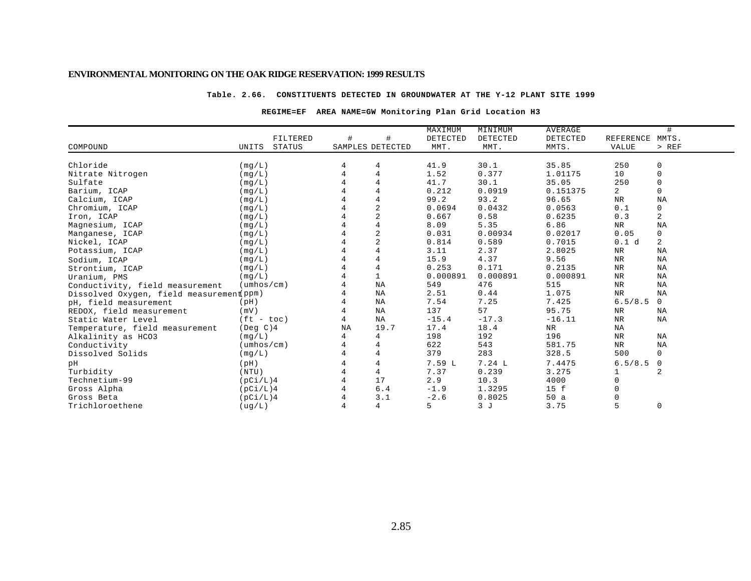#### **Table. 2.66. CONSTITUENTS DETECTED IN GROUNDWATER AT THE Y-12 PLANT SITE 1999**

#### **REGIME=EF AREA NAME=GW Monitoring Plan Grid Location H3**

|                                          |                            |          |    |                  | MAXIMUM  | MINIMUM  | <b>AVERAGE</b> |                | #                   |
|------------------------------------------|----------------------------|----------|----|------------------|----------|----------|----------------|----------------|---------------------|
|                                          |                            | FILTERED | #  | #                | DETECTED | DETECTED | DETECTED       | REFERENCE      | MMTS.               |
| COMPOUND                                 | UNITS                      | STATUS   |    | SAMPLES DETECTED | MMT.     | MMT.     | MMTS.          | <b>VALUE</b>   | $>$ REF             |
|                                          |                            |          |    |                  |          |          |                |                |                     |
| Chloride                                 | (mq/L)                     |          | 4  | 4                | 41.9     | 30.1     | 35.85          | 250            | 0                   |
| Nitrate Nitrogen                         | (mg/L)                     |          |    | $\overline{4}$   | 1.52     | 0.377    | 1.01175        | 10             | $\mathbf 0$         |
| Sulfate                                  | (mq/L)                     |          |    | $\overline{4}$   | 41.7     | 30.1     | 35.05          | 250            | 0                   |
| Barium, ICAP                             | (mg/L)                     |          |    | $\overline{4}$   | 0.212    | 0.0919   | 0.151375       | $\overline{a}$ | $\mathbf 0$         |
| Calcium, ICAP                            | (mq/L)                     |          |    | $\overline{4}$   | 99.2     | 93.2     | 96.65          | NR             | NA                  |
| Chromium, ICAP                           | (mq/L)                     |          |    | $\overline{c}$   | 0.0694   | 0.0432   | 0.0563         | 0.1            | $\mathsf{O}\xspace$ |
| Iron, ICAP                               | (mq/L)                     |          |    | $\overline{2}$   | 0.667    | 0.58     | 0.6235         | 0.3            | $\overline{c}$      |
| Magnesium, ICAP                          | (mq/L)                     |          |    | $\overline{4}$   | 8.09     | 5.35     | 6.86           | NR             | NA                  |
| Manganese, ICAP                          | (mg/L)                     |          |    | $\overline{c}$   | 0.031    | 0.00934  | 0.02017        | 0.05           | $\mathsf{O}$        |
| Nickel, ICAP                             | (mq/L)                     |          |    | $\overline{c}$   | 0.814    | 0.589    | 0.7015         | 0.1 d          | 2                   |
| Potassium, ICAP                          | (mq/L)                     |          |    | $\overline{4}$   | 3.11     | 2.37     | 2.8025         | $\rm{NR}$      | NA                  |
| Sodium, ICAP                             | (mq/L)                     |          |    | $\overline{4}$   | 15.9     | 4.37     | 9.56           | <b>NR</b>      | NA                  |
| Strontium, ICAP                          | (mg/L)                     |          |    | $\overline{4}$   | 0.253    | 0.171    | 0.2135         | $\rm NR$       | NA                  |
| Uranium, PMS                             | (mq/L)                     |          |    | $\mathbf{1}$     | 0.000891 | 0.000891 | 0.000891       | NR             | NA                  |
| Conductivity, field measurement          | $(\text{umbos}/\text{cm})$ |          |    | NA               | 549      | 476      | 515            | $\rm{NR}$      | NA                  |
| Dissolved Oxygen, field measurement ppm) |                            |          |    | ΝA               | 2.51     | 0.44     | 1.075          | $\rm{NR}$      | NA                  |
| pH, field measurement                    | (pH)                       |          |    | NA               | 7.54     | 7.25     | 7.425          | 6.5/8.5        | $\mathbf 0$         |
| REDOX, field measurement                 | (mV)                       |          | 4  | NA               | 137      | 57       | 95.75          | NR             | NA                  |
| Static Water Level                       | $(ft - toc)$               |          | 4  | NA               | $-15.4$  | $-17.3$  | $-16.11$       | <b>NR</b>      | NA                  |
| Temperature, field measurement           | (Deg C)4                   |          | NA | 19.7             | 17.4     | 18.4     | $_{\rm NR}$    | NA             |                     |
| Alkalinity as HCO3                       | (mq/L)                     |          | 4  | 4                | 198      | 192      | 196            | $_{\rm NR}$    | NA                  |
| Conductivity                             | $(\text{umbos}/\text{cm})$ |          | 4  | $\overline{4}$   | 622      | 543      | 581.75         | $_{\rm NR}$    | NA                  |
| Dissolved Solids                         | (mg/L)                     |          |    | $\overline{4}$   | 379      | 283      | 328.5          | 500            | 0                   |
| pН                                       | (pH)                       |          |    | $\overline{4}$   | 7.59L    | 7.24L    | 7.4475         | 6.5/8.5        | 0                   |
| Turbidity                                | (NTU)                      |          |    | $\overline{4}$   | 7.37     | 0.239    | 3.275          | $\mathbf{1}$   | $\overline{2}$      |
| Technetium-99                            | (pCi/L)4                   |          |    | 17               | 2.9      | 10.3     | 4000           | $\Omega$       |                     |
| Gross Alpha                              | (pCi/L)4                   |          |    | 6.4              | $-1.9$   | 1.3295   | 15 f           | $\mathsf 0$    |                     |
| Gross Beta                               | (pCi/L)4                   |          | 4  | 3.1              | $-2.6$   | 0.8025   | 50a            |                |                     |
| Trichloroethene                          | (ug/L)                     |          | 4  | $\overline{4}$   | 5        | 3J       | 3.75           | 5              | 0                   |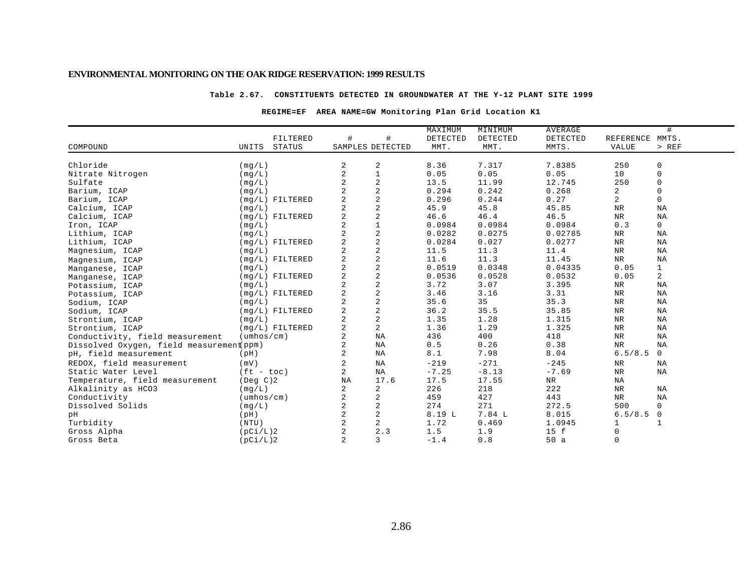#### **Table 2.67. CONSTITUENTS DETECTED IN GROUNDWATER AT THE Y-12 PLANT SITE 1999**

#### **REGIME=EF AREA NAME=GW Monitoring Plan Grid Location K1**

|                                          |                            |               |                |                         | MAXIMUM  | MINIMUM  | <b>AVERAGE</b> |                | #              |
|------------------------------------------|----------------------------|---------------|----------------|-------------------------|----------|----------|----------------|----------------|----------------|
|                                          |                            | FILTERED      | #              | #                       | DETECTED | DETECTED | DETECTED       | REFERENCE      | MMTS.          |
| COMPOUND                                 | UNITS                      | <b>STATUS</b> |                | SAMPLES DETECTED        | MMT.     | MMT.     | MMTS.          | VALUE          | > REF          |
|                                          |                            |               |                |                         |          |          |                |                |                |
| Chloride                                 | (mq/L)                     |               | 2              | 2                       | 8.36     | 7.317    | 7.8385         | 250            | 0              |
| Nitrate Nitrogen                         | (mg/L)                     |               | $\overline{2}$ |                         | 0.05     | 0.05     | 0.05           | 10             | $\mathsf 0$    |
| Sulfate                                  | (mq/L)                     |               | 2              | $\boldsymbol{2}$        | 13.5     | 11.99    | 12.745         | 250            | $\mathbf 0$    |
| Barium, ICAP                             | (mq/L)                     |               |                | $\overline{c}$          | 0.294    | 0.242    | 0.268          | $\overline{a}$ | $\Omega$       |
| Barium, ICAP                             | $(mq/L)$ FILTERED          |               | $\overline{2}$ | $\overline{c}$          | 0.296    | 0.244    | 0.27           | 2              | $\mathbf 0$    |
| Calcium, ICAP                            | (mq/L)                     |               | $\overline{c}$ | $\overline{a}$          | 45.9     | 45.8     | 45.85          | ${\tt NR}$     | <b>NA</b>      |
| Calcium, ICAP                            | $(mg/L)$ FILTERED          |               | 2              | $\overline{\mathbf{c}}$ | 46.6     | 46.4     | 46.5           | $_{\rm NR}$    | NA             |
| Iron, ICAP                               | (mq/L)                     |               | 2              | $\mathbf 1$             | 0.0984   | 0.0984   | 0.0984         | 0.3            | 0              |
| Lithium, ICAP                            | (mq/L)                     |               | 2              | $\sqrt{2}$              | 0.0282   | 0.0275   | 0.02785        | NR             | NA             |
| Lithium, ICAP                            | $(mq/L)$ FILTERED          |               | 2              | $\sqrt{2}$              | 0.0284   | 0.027    | 0.0277         | NR             | ΝA             |
| Magnesium, ICAP                          | (mq/L)                     |               |                | $\sqrt{2}$              | 11.5     | 11.3     | 11.4           | NR             | ΝA             |
| Magnesium, ICAP                          | $(mg/L)$ FILTERED          |               | 2              | $\sqrt{2}$              | 11.6     | 11.3     | 11.45          | <b>NR</b>      | ΝA             |
| Manganese, ICAP                          | (mq/L)                     |               | 2              | $\sqrt{2}$              | 0.0519   | 0.0348   | 0.04335        | 0.05           | $\mathbf{1}$   |
| Manganese, ICAP                          | $(mg/L)$ FILTERED          |               | 2              | $\sqrt{2}$              | 0.0536   | 0.0528   | 0.0532         | 0.05           | $\overline{a}$ |
| Potassium, ICAP                          | (mg/L)                     |               | 2              | $\sqrt{2}$              | 3.72     | 3.07     | 3.395          | NR             | ΝA             |
| Potassium, ICAP                          | $(mg/L)$ FILTERED          |               | 2              | $\sqrt{2}$              | 3.46     | 3.16     | 3.31           | NR             | ΝA             |
| Sodium, ICAP                             | (mg/L)                     |               | 2              | $\sqrt{2}$              | 35.6     | 35       | 35.3           | NR             | NA             |
| Sodium, ICAP                             | $(mg/L)$ FILTERED          |               | 2              | $\sqrt{2}$              | 36.2     | 35.5     | 35.85          | NR             | NA             |
| Strontium, ICAP                          | (mg/L)                     |               | 2              | $\sqrt{2}$              | 1.35     | 1.28     | 1.315          | NR             | ΝA             |
| Strontium, ICAP                          | $(mq/L)$ FILTERED          |               | $\overline{a}$ | 2                       | 1.36     | 1.29     | 1.325          | NR             | ΝA             |
| Conductivity, field measurement          | $(\text{umbos}/\text{cm})$ |               | 2              | ΝA                      | 436      | 400      | 418            | $_{\rm NR}$    | NA             |
| Dissolved Oxygen, field measurement ppm) |                            |               | 2              | ΝA                      | 0.5      | 0.26     | 0.38           | $_{\rm NR}$    | NA             |
| pH, field measurement                    | (pH)                       |               | 2              | ΝA                      | 8.1      | 7.98     | 8.04           | 6.5/8.5        | $\mathsf{O}$   |
| REDOX, field measurement                 | (mV)                       |               | 2              | NA                      | $-219$   | $-271$   | $-245$         | NR             | ΝA             |
| Static Water Level                       | $(ft - toc)$               |               | 2              | NA                      | $-7.25$  | $-8.13$  | $-7.69$        | NR             | ΝA             |
| Temperature, field measurement           | $($ Deg $C$ $)$ 2          |               | <b>NA</b>      | 17.6                    | 17.5     | 17.55    | NR             | ΝA             |                |
| Alkalinity as HCO3                       | (mq/L)                     |               | 2              | $\sqrt{2}$              | 226      | 218      | 222            | ${\tt NR}$     | ΝA             |
| Conductivity                             | $(\text{umbos}/\text{cm})$ |               | 2              | 2                       | 459      | 427      | 443            | NR             | <b>NA</b>      |
| Dissolved Solids                         | (mq/L)                     |               | 2              | 2                       | 274      | 271      | 272.5          | 500            | $\mathbf 0$    |
| pН                                       | (pH)                       |               | 2              | $\sqrt{2}$              | 8.19 L   | 7.84 L   | 8.015          | 6.5/8.5        | 0              |
| Turbidity                                | (NTU)                      |               | 2              | $\overline{a}$          | 1.72     | 0.469    | 1.0945         |                |                |
| Gross Alpha                              | (pCi/L)2                   |               | 2              | 2.3                     | 1.5      | 1.9      | 15 f           | $\mathbf 0$    |                |
| Gross Beta                               | (pCi/L)2                   |               | 2              | 3                       | $-1.4$   | 0.8      | 50a            | $\mathbf 0$    |                |
|                                          |                            |               |                |                         |          |          |                |                |                |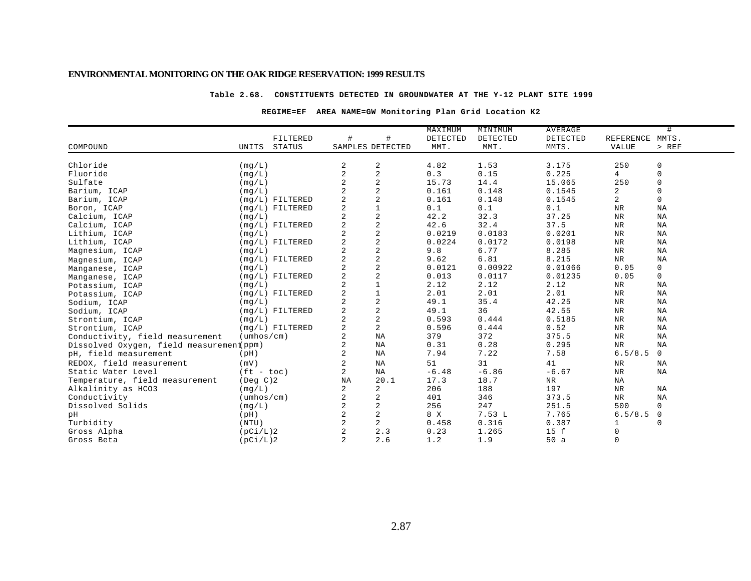#### **Table 2.68. CONSTITUENTS DETECTED IN GROUNDWATER AT THE Y-12 PLANT SITE 1999**

### **REGIME=EF AREA NAME=GW Monitoring Plan Grid Location K2**

|                                          |                             |               |                  |                         | MAXIMUM  | MINIMUM  | <b>AVERAGE</b> |                | #                |
|------------------------------------------|-----------------------------|---------------|------------------|-------------------------|----------|----------|----------------|----------------|------------------|
|                                          |                             | FILTERED      | #                | #                       | DETECTED | DETECTED | DETECTED       | REFERENCE      | MMTS.            |
| COMPOUND                                 | UNITS                       | <b>STATUS</b> | SAMPLES DETECTED |                         | MMT.     | MMT.     | MMTS.          | VALUE          | > REF            |
| Chloride                                 |                             |               |                  |                         | 4.82     | 1.53     | 3.175          | 250            |                  |
| Fluoride                                 | (mg/L)                      |               | 2<br>2           | 2<br>$\overline{a}$     | 0.3      | 0.15     | 0.225          | $\overline{4}$ | 0<br>$\mathsf 0$ |
| Sulfate                                  | (mq/L)                      |               | 2                | $\overline{a}$          | 15.73    | 14.4     | 15.065         | 250            | $\mathbf 0$      |
| Barium, ICAP                             | (mq/L)                      |               |                  | $\overline{a}$          | 0.161    | 0.148    | 0.1545         | $\overline{a}$ | $\Omega$         |
| Barium, ICAP                             | (mq/L)<br>$(mq/L)$ FILTERED |               | 2                | $\overline{\mathbf{c}}$ | 0.161    | 0.148    | 0.1545         | 2              | $\mathbf 0$      |
| Boron, ICAP                              | $(mg/L)$ FILTERED           |               | 2                | $\mathbf 1$             | 0.1      | 0.1      | 0.1            | NR             | ΝA               |
| Calcium, ICAP                            | (mq/L)                      |               | 2                | $\sqrt{2}$              | 42.2     | 32.3     | 37.25          | $\rm NR$       | ΝA               |
| Calcium, ICAP                            | $(mq/L)$ FILTERED           |               | 2                | $\sqrt{2}$              | 42.6     | 32.4     | 37.5           | $\rm NR$       | ΝA               |
| Lithium, ICAP                            | (mq/L)                      |               | 2                | $\sqrt{2}$              | 0.0219   | 0.0183   | 0.0201         | NR             | ΝA               |
| Lithium, ICAP                            | $(mg/L)$ FILTERED           |               | 2                | $\sqrt{2}$              | 0.0224   | 0.0172   | 0.0198         | NR             | NA               |
| Magnesium, ICAP                          | (mq/L)                      |               | 2                | $\sqrt{2}$              | 9.8      | 6.77     | 8.285          | NR             | ΝA               |
| Magnesium, ICAP                          | $(mq/L)$ FILTERED           |               | 2                | $\sqrt{2}$              | 9.62     | 6.81     | 8.215          | <b>NR</b>      | NA               |
| Manganese, ICAP                          | (mg/L)                      |               | 2                | $\sqrt{2}$              | 0.0121   | 0.00922  | 0.01066        | 0.05           | 0                |
| Manganese, ICAP                          | $(mg/L)$ FILTERED           |               | 2                | $\sqrt{2}$              | 0.013    | 0.0117   | 0.01235        | 0.05           | $\mathsf{O}$     |
| Potassium, ICAP                          | (mg/L)                      |               | $\overline{a}$   | $1\,$                   | 2.12     | 2.12     | 2.12           | NR             | ΝA               |
| Potassium, ICAP                          | $(mg/L)$ FILTERED           |               | $\overline{a}$   | $\mathbf 1$             | 2.01     | 2.01     | 2.01           | NR             | ΝA               |
| Sodium, ICAP                             | (mq/L)                      |               | 2                | $\sqrt{2}$              | 49.1     | 35.4     | 42.25          | NR             | NA               |
| Sodium, ICAP                             | $(mq/L)$ FILTERED           |               | 2                | $\sqrt{2}$              | 49.1     | 36       | 42.55          | NR             | NA               |
| Strontium, ICAP                          | (mq/L)                      |               | 2                | $\sqrt{2}$              | 0.593    | 0.444    | 0.5185         | NR             | ΝA               |
| Strontium, ICAP                          | $(mq/L)$ FILTERED           |               | 2                | $\overline{a}$          | 0.596    | 0.444    | 0.52           | NR             | ΝA               |
| Conductivity, field measurement          | $(\text{umbos}/\text{cm})$  |               | 2                | ΝA                      | 379      | 372      | 375.5          | ${\tt NR}$     | NA               |
| Dissolved Oxygen, field measurement ppm) |                             |               | 2                | ΝA                      | 0.31     | 0.28     | 0.295          | <b>NR</b>      | NA               |
| pH, field measurement                    | (pH)                        |               | 2                | ΝA                      | 7.94     | 7.22     | 7.58           | 6.5/8.5        | $\mathsf{O}$     |
| REDOX, field measurement                 | (mV)                        |               | 2                | NA                      | 51       | 31       | 41             | NR             | ΝA               |
| Static Water Level                       | $(ft - toc)$                |               | 2                | <b>NA</b>               | $-6.48$  | $-6.86$  | $-6.67$        | NR             | ΝA               |
| Temperature, field measurement           | (Deg C)2                    |               | NA               | 20.1                    | 17.3     | 18.7     | NR             | ΝA             |                  |
| Alkalinity as HCO3                       | (mq/L)                      |               | 2                | 2                       | 206      | 188      | 197            | NR             | NA               |
| Conductivity                             | $(\text{umbos}/\text{cm})$  |               | 2                | 2                       | 401      | 346      | 373.5          | NR             | <b>NA</b>        |
| Dissolved Solids                         | (mg/L)                      |               | 2                | $\sqrt{2}$              | 256      | 247      | 251.5          | 500            | 0                |
| pН                                       | (pH)                        |               | 2                | $\sqrt{2}$              | 8 X      | 7.53L    | 7.765          | 6.5/8.5        | 0                |
| Turbidity                                | (NTU)                       |               | $\overline{a}$   | 2                       | 0.458    | 0.316    | 0.387          |                | 0                |
| Gross Alpha                              | (pCi/L)2                    |               | $\overline{a}$   | 2.3                     | 0.23     | 1.265    | 15 f           | 0              |                  |
| Gross Beta                               | (pCi/L)2                    |               | $\overline{a}$   | 2.6                     | 1.2      | 1.9      | 50a            | $\mathbf 0$    |                  |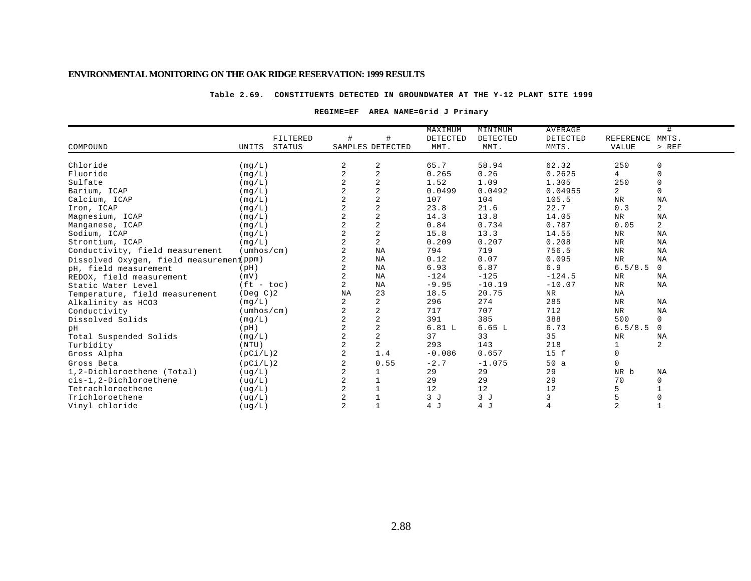#### **Table 2.69. CONSTITUENTS DETECTED IN GROUNDWATER AT THE Y-12 PLANT SITE 1999**

#### **REGIME=EF AREA NAME=Grid J Primary**

|                                          |                            |          |                |                  | MAXIMUM  | MINIMUM  | <b>AVERAGE</b> |                | #              |
|------------------------------------------|----------------------------|----------|----------------|------------------|----------|----------|----------------|----------------|----------------|
|                                          |                            | FILTERED | #              | #                | DETECTED | DETECTED | DETECTED       | REFERENCE      | MMTS.          |
| COMPOUND                                 | UNITS                      | STATUS   |                | SAMPLES DETECTED | MMT.     | MMT.     | MMTS.          | VALUE          | $>$ REF        |
|                                          |                            |          |                |                  |          |          |                |                |                |
| Chloride                                 | (mq/L)                     |          | 2              | 2                | 65.7     | 58.94    | 62.32          | 250            | 0              |
| Fluoride                                 | (mq/L)                     |          | $\overline{2}$ | $\overline{2}$   | 0.265    | 0.26     | 0.2625         | $\overline{4}$ | $\mathbf 0$    |
| Sulfate                                  | (mq/L)                     |          |                | $\overline{2}$   | 1.52     | 1.09     | 1.305          | 250            | 0              |
| Barium, ICAP                             | (mg/L)                     |          |                | $\overline{2}$   | 0.0499   | 0.0492   | 0.04955        | $\overline{a}$ | $\mathbf 0$    |
| Calcium, ICAP                            | (mq/L)                     |          |                | $\overline{a}$   | 107      | 104      | 105.5          | <b>NR</b>      | NA             |
| Iron, ICAP                               | (mq/L)                     |          |                | $\sqrt{2}$       | 23.8     | 21.6     | 22.7           | 0.3            | 2              |
| Magnesium, ICAP                          | (mq/L)                     |          |                | $\overline{2}$   | 14.3     | 13.8     | 14.05          | NR             | NA             |
| Manganese, ICAP                          | (mq/L)                     |          |                | $\overline{2}$   | 0.84     | 0.734    | 0.787          | 0.05           | $\overline{a}$ |
| Sodium, ICAP                             | (mq/L)                     |          |                | $\sqrt{2}$       | 15.8     | 13.3     | 14.55          | NR             | NA             |
| Strontium, ICAP                          | (mq/L)                     |          |                | $\overline{2}$   | 0.209    | 0.207    | 0.208          | $_{\rm NR}$    | NA             |
| Conductivity, field measurement          | $(\text{umbos}/\text{cm})$ |          |                | $_{\rm NA}$      | 794      | 719      | 756.5          | $_{\rm NR}$    | NA             |
| Dissolved Oxygen, field measurement ppm) |                            |          |                | $_{\rm NA}$      | 0.12     | 0.07     | 0.095          | <b>NR</b>      | NA             |
| pH, field measurement                    | (pH)                       |          |                | NA               | 6.93     | 6.87     | 6.9            | 6.5/8.5        | $\mathbf 0$    |
| REDOX, field measurement                 | (mV)                       |          |                | NA               | $-124$   | $-125$   | $-124.5$       | NR             | NA             |
| Static Water Level                       | $(ft - toc)$               |          | 2              | NA               | $-9.95$  | $-10.19$ | $-10.07$       | $\rm{NR}$      | NA             |
| Temperature, field measurement           | $($ Deg $C$ $)$ 2          |          | NA             | 23               | 18.5     | 20.75    | <b>NR</b>      | NA             |                |
| Alkalinity as HCO3                       | (mq/L)                     |          |                | $\overline{2}$   | 296      | 274      | 285            | $_{\rm NR}$    | <b>NA</b>      |
| Conductivity                             | $(\text{umbos}/\text{cm})$ |          |                | $\overline{a}$   | 717      | 707      | 712            | NR             | NA             |
| Dissolved Solids                         | (mq/L)                     |          | $\overline{2}$ | $\sqrt{2}$       | 391      | 385      | 388            | 500            | $\mathbf 0$    |
| pН                                       | (pH)                       |          |                | $\sqrt{2}$       | 6.81L    | 6.65L    | 6.73           | 6.5/8.5        | $\mathbf{0}$   |
| Total Suspended Solids                   | (mg/L)                     |          | $\overline{a}$ | $\overline{2}$   | 37       | 33       | 35             | NR             | NA             |
| Turbidity                                | (NTU)                      |          |                | $\overline{c}$   | 293      | 143      | 218            | $\mathbf 1$    | $\overline{c}$ |
| Gross Alpha                              | (pCi/L)2                   |          | $\overline{2}$ | 1.4              | $-0.086$ | 0.657    | 15 f           | $\mathbf 0$    |                |
| Gross Beta                               | (pCi/L)2                   |          |                | 0.55             | $-2.7$   | $-1.075$ | 50a            | $\mathbf 0$    |                |
| 1,2-Dichloroethene (Total)               | ( uq/L)                    |          |                |                  | 29       | 29       | 29             | NR b           | NA             |
| cis-1,2-Dichloroethene                   | (ug/L)                     |          | $\overline{2}$ |                  | 29       | 29       | 29             | 70             | 0              |
| Tetrachloroethene                        | (ug/L)                     |          |                |                  | 12       | 12       | 12             | 5              |                |
| Trichloroethene                          | (ug/L)                     |          |                | $\mathbf{1}$     | 3J       | 3J       | 3              | 5              | $\mathbf 0$    |
| Vinyl chloride                           | ( uq/L)                    |          | $\overline{a}$ | $\mathbf{1}$     | 4 J      | 4 J      | $\overline{4}$ | $\overline{a}$ | $\mathbf{1}$   |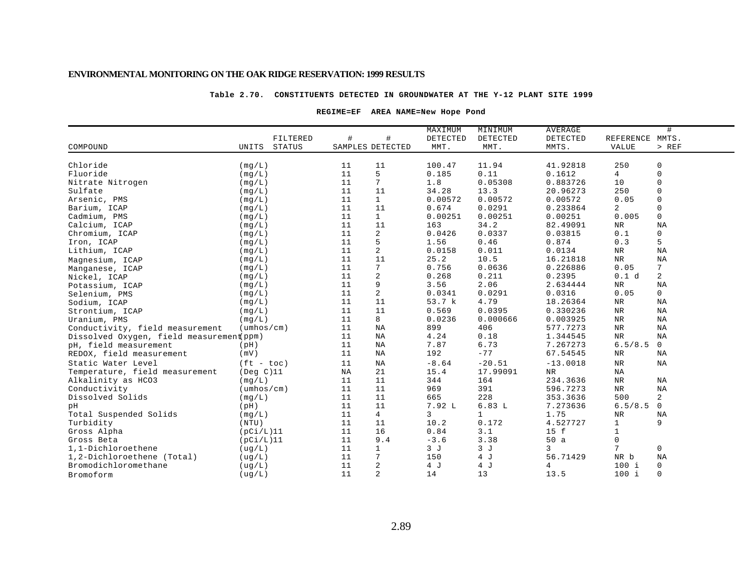#### **Table 2.70. CONSTITUENTS DETECTED IN GROUNDWATER AT THE Y-12 PLANT SITE 1999**

#### **REGIME=EF AREA NAME=New Hope Pond**

|                                          |                            |                        | MAXIMUM  | MINIMUM      | AVERAGE     |                 | #           |
|------------------------------------------|----------------------------|------------------------|----------|--------------|-------------|-----------------|-------------|
|                                          | FILTERED                   | #<br>#                 | DETECTED | DETECTED     | DETECTED    | REFERENCE MMTS. |             |
| COMPOUND                                 | UNITS<br><b>STATUS</b>     | SAMPLES DETECTED       | MMT.     | MMT.         | MMTS.       | <b>VALUE</b>    | $>$ REF     |
|                                          |                            |                        |          |              |             |                 |             |
| Chloride                                 | (mq/L)                     | 11<br>11               | 100.47   | 11.94        | 41.92818    | 250             | $\mathbf 0$ |
| Fluoride                                 | (mq/L)                     | 5<br>11                | 0.185    | 0.11         | 0.1612      | 4               | $\mathbf 0$ |
| Nitrate Nitrogen                         | (mq/L)                     | 7<br>11                | $1.8$    | 0.05308      | 0.883726    | 10              | $\mathbf 0$ |
| Sulfate                                  | (mq/L)                     | 11<br>11               | 34.28    | 13.3         | 20.96273    | 250             | $\mathsf 0$ |
| Arsenic, PMS                             | (mg/L)                     | $\mathbf{1}$<br>11     | 0.00572  | 0.00572      | 0.00572     | 0.05            | $\mathbf 0$ |
| Barium, ICAP                             | (mq/L)                     | 11<br>11               | 0.674    | 0.0291       | 0.233864    | $\overline{a}$  | 0           |
| Cadmium, PMS                             | (mq/L)                     | 11<br>$\mathbf{1}$     | 0.00251  | 0.00251      | 0.00251     | 0.005           | $\mathbf 0$ |
| Calcium, ICAP                            | (mq/L)                     | 11<br>11               | 163      | 34.2         | 82.49091    | ${\tt NR}$      | NA          |
| Chromium, ICAP                           | (mq/L)                     | $\overline{a}$<br>11   | 0.0426   | 0.0337       | 0.03815     | 0.1             | 0           |
| Iron, ICAP                               | (mq/L)                     | 5<br>11                | 1.56     | 0.46         | 0.874       | 0.3             | 5           |
| Lithium, ICAP                            | (mq/L)                     | $\boldsymbol{2}$<br>11 | 0.0158   | 0.011        | 0.0134      | ${\tt NR}$      | NA          |
| Magnesium, ICAP                          | (mq/L)                     | 11<br>11               | 25.2     | 10.5         | 16.21818    | ${\tt NR}$      | $_{\rm NA}$ |
| Manganese, ICAP                          | (mg/L)                     | 7<br>11                | 0.756    | 0.0636       | 0.226886    | 0.05            | 7           |
| Nickel, ICAP                             | (mg/L)                     | $\sqrt{2}$<br>11       | 0.268    | 0.211        | 0.2395      | 0.1 d           | 2           |
| Potassium, ICAP                          | (mq/L)                     | 9<br>11                | 3.56     | 2.06         | 2.634444    | ${\tt NR}$      | <b>NA</b>   |
| Selenium, PMS                            | (mq/L)                     | 2<br>11                | 0.0341   | 0.0291       | 0.0316      | 0.05            | 0           |
| Sodium, ICAP                             | (mg/L)                     | 11<br>11               | 53.7 k   | 4.79         | 18.26364    | $_{\rm NR}$     | <b>NA</b>   |
| Strontium, ICAP                          | (mq/L)                     | 11<br>11               | 0.569    | 0.0395       | 0.330236    | ${\tt NR}$      | NA          |
| Uranium, PMS                             | (mq/L)                     | 8<br>11                | 0.0236   | 0.000666     | 0.003925    | ${\tt NR}$      | NA          |
| Conductivity, field measurement          | $(\text{umbos}/\text{cm})$ | 11<br>ΝA               | 899      | 406          | 577.7273    | ${\tt NR}$      | NA          |
| Dissolved Oxygen, field measurement ppm) |                            | 11<br>NA               | 4.24     | 0.18         | 1.344545    | $\rm{NR}$       | NA          |
| pH, field measurement                    | (pH)                       | 11<br>ΝA               | 7.87     | 6.73         | 7.267273    | 6.5/8.5         | $\mathbf 0$ |
| REDOX, field measurement                 | (mV)                       | 11<br><b>NA</b>        | 192      | $-77$        | 67.54545    | $_{\rm NR}$     | <b>NA</b>   |
| Static Water Level                       | $(ft - toc)$               | 11<br>ΝA               | $-8.64$  | $-20.51$     | $-13.0018$  | <b>NR</b>       | <b>NA</b>   |
| Temperature, field measurement           | $($ Deq $C)$ 11            | 21<br>ΝA               | 15.4     | 17.99091     | $_{\rm NR}$ | NA              |             |
| Alkalinity as HCO3                       | (mq/L)                     | 11<br>11               | 344      | 164          | 234.3636    | ${\tt NR}$      | NA          |
| Conductivity                             | $(\text{umbos}/\text{cm})$ | 11<br>11               | 969      | 391          | 596.7273    | ${\tt NR}$      | NA          |
| Dissolved Solids                         | (mq/L)                     | 11<br>11               | 665      | 228          | 353.3636    | 500             | 2           |
| pН                                       | (pH)                       | 11<br>11               | 7.92 L   | 6.83L        | 7.273636    | 6.5/8.5         | $\mathbf 0$ |
| Total Suspended Solids                   | (mq/L)                     | $\overline{4}$<br>11   | 3        | $\mathbf{1}$ | 1.75        | ${\tt NR}$      | NA          |
| Turbidity                                | (NTU)                      | 11<br>11               | 10.2     | 0.172        | 4.527727    | $\mathbf 1$     | 9           |
| Gross Alpha                              | (pCi/L)11                  | 16<br>11               | 0.84     | 3.1          | 15 f        | $\mathbf 1$     |             |
| Gross Beta                               | (pCi/L)11                  | 11<br>9.4              | $-3.6$   | 3.38         | 50a         | $\mathbf 0$     |             |
| 1,1-Dichloroethene                       | ( uq/L )                   | 11<br>$\mathbf 1$      | 3J       | 3J           | 3           | 7               | $\mathbf 0$ |
| 1,2-Dichloroethene (Total)               | ( uq/L )                   | 7<br>11                | 150      | 4 J          | 56.71429    | NR b            | NA          |
| Bromodichloromethane                     | (ug/L)                     | $\sqrt{2}$<br>11       | 4 J      | 4 J          | 4           | $100$ i         | 0           |
| Bromoform                                | ( uq/L)                    | $\overline{2}$<br>11   | 14       | 13           | 13.5        | $100$ i         | $\mathbf 0$ |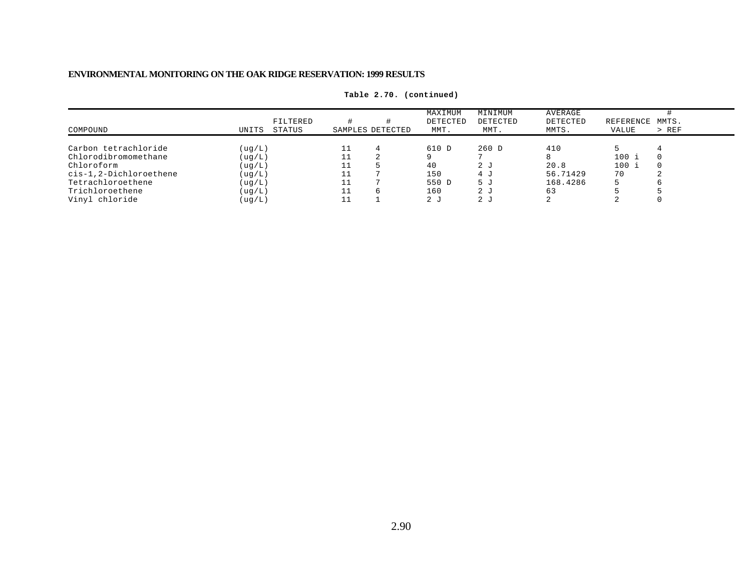|                        |         |                    |                  | MAXIMUM          | MINIMUM          | AVERAGE           |                    | MMTS.   |
|------------------------|---------|--------------------|------------------|------------------|------------------|-------------------|--------------------|---------|
| COMPOUND               | UNITS   | FILTERED<br>STATUS | SAMPLES DETECTED | DETECTED<br>MMT. | DETECTED<br>MMT. | DETECTED<br>MMTS. | REFERENCE<br>VALUE | $>$ REF |
|                        |         |                    |                  |                  |                  |                   |                    |         |
| Carbon tetrachloride   | (ug/L)  |                    | $\Delta$         | 610 D            | 260 D            | 410               |                    |         |
| Chlorodibromomethane   | ( uq/L) |                    |                  |                  |                  |                   | 100 i              |         |
| Chloroform             | ( uq/L) |                    |                  | 40               | 2 J              | 20.8              | 100 i              |         |
| cis-1,2-Dichloroethene | ( uq/L) |                    |                  | 150              | 4 J              | 56.71429          | 70                 |         |
| Tetrachloroethene      | ( uq/L) |                    |                  | 550 D            | 5 J              | 168.4286          |                    |         |
| Trichloroethene        | ( uq/L) |                    |                  | 160              | 2 <sub>1</sub>   | 63                |                    |         |
| Vinyl chloride         | (ug/L)  |                    |                  | ה 2              | 2 J              |                   |                    |         |

**Table 2.70. (continued)**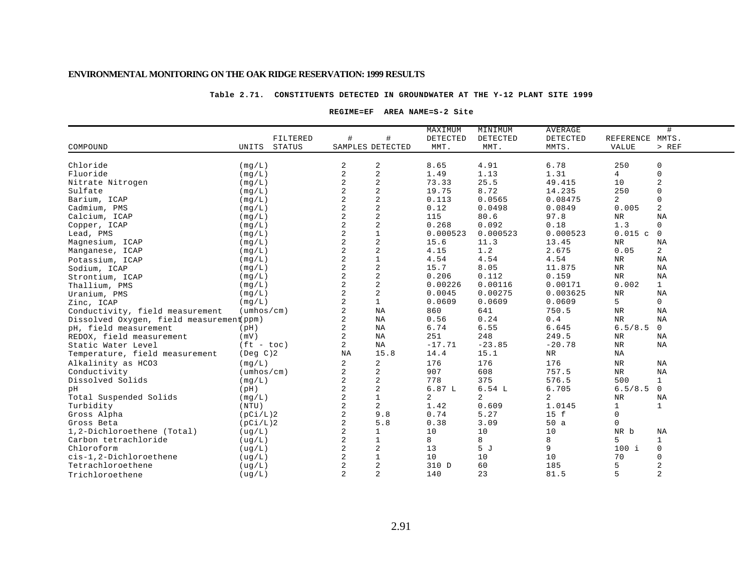#### **Table 2.71. CONSTITUENTS DETECTED IN GROUNDWATER AT THE Y-12 PLANT SITE 1999**

#### **REGIME=EF AREA NAME=S-2 Site**

|                                          |                            |                                  | MAXIMUM       | MINIMUM        | <b>AVERAGE</b> |                 | #              |
|------------------------------------------|----------------------------|----------------------------------|---------------|----------------|----------------|-----------------|----------------|
|                                          | FILTERED                   | #                                | #<br>DETECTED | DETECTED       | DETECTED       | REFERENCE MMTS. |                |
| COMPOUND                                 | UNITS<br><b>STATUS</b>     | SAMPLES DETECTED                 | MMT.          | MMT.           | MMTS.          | <b>VALUE</b>    | $>$ REF        |
|                                          |                            |                                  |               |                |                |                 |                |
| Chloride                                 | (mq/L)                     | 2<br>2                           | 8.65          | 4.91           | 6.78           | 250             | 0              |
| Fluoride                                 | (mq/L)                     | $\sqrt{2}$<br>2                  | 1.49          | 1.13           | 1.31           | 4               | $\Omega$       |
| Nitrate Nitrogen                         | (mq/L)                     | $\sqrt{2}$<br>2                  | 73.33         | 25.5           | 49.415         | 10              | 2              |
| Sulfate                                  | (mg/L)                     | $\overline{c}$<br>$\overline{a}$ | 19.75         | 8.72           | 14.235         | 250             | $\Omega$       |
| Barium, ICAP                             | (mg/L)                     | $\overline{c}$<br>$\overline{a}$ | 0.113         | 0.0565         | 0.08475        | $\overline{a}$  | $\Omega$       |
| Cadmium, PMS                             | (mq/L)                     | $\overline{c}$                   | 0.12          | 0.0498         | 0.0849         | 0.005           | 2              |
| Calcium, ICAP                            | (mq/L)                     | $\overline{c}$                   | 115           | 80.6           | 97.8           | NR              | <b>NA</b>      |
| Copper, ICAP                             | (mq/L)                     | $\overline{2}$<br>$\overline{a}$ | 0.268         | 0.092          | 0.18           | 1.3             | 0              |
| Lead, PMS                                | (mq/L)                     | $\mathbf 1$<br>$\overline{2}$    | 0.000523      | 0.000523       | 0.000523       | 0.015c          | $\overline{0}$ |
| Magnesium, ICAP                          | (mq/L)                     | $\sqrt{2}$<br>$\overline{2}$     | 15.6          | 11.3           | 13.45          | $_{\rm NR}$     | NA             |
| Manganese, ICAP                          | (mg/L)                     | $\overline{c}$                   | 4.15          | 1.2            | 2.675          | 0.05            | $\overline{a}$ |
| Potassium, ICAP                          | (mg/L)                     | $\mathbf{1}$<br>$\overline{2}$   | 4.54          | 4.54           | 4.54           | <b>NR</b>       | NA             |
| Sodium, ICAP                             | (mq/L)                     | 2<br>2                           | 15.7          | 8.05           | 11.875         | <b>NR</b>       | NA             |
| Strontium, ICAP                          | (mq/L)                     | $\overline{2}$<br>$\overline{a}$ | 0.206         | 0.112          | 0.159          | <b>NR</b>       | NA             |
| Thallium, PMS                            | (mq/L)                     | $\sqrt{2}$<br>$\overline{2}$     | 0.00226       | 0.00116        | 0.00171        | 0.002           | $\mathbf{1}$   |
| Uranium, PMS                             | (mq/L)                     | $\overline{c}$<br>2              | 0.0045        | 0.00275        | 0.003625       | <b>NR</b>       | NA             |
| Zinc, ICAP                               | (mq/L)                     | $\mathbf{1}$<br>2                | 0.0609        | 0.0609         | 0.0609         | 5               | 0              |
| Conductivity, field measurement          | $(\text{umbos}/\text{cm})$ | $\overline{a}$<br>NA             | 860           | 641            | 750.5          | <b>NR</b>       | NA             |
| Dissolved Oxygen, field measurement(ppm) |                            | 2<br>NA                          | 0.56          | 0.24           | 0.4            | <b>NR</b>       | NA             |
| pH, field measurement                    | (pH)                       | 2<br>NA                          | 6.74          | 6.55           | 6.645          | 6.5/8.5         | $\mathbf 0$    |
| REDOX, field measurement                 | (mV)                       | 2<br>NA                          | 251           | 248            | 249.5          | NR              | NA             |
| Static Water Level                       | $(ft - toc)$               | 2<br>ΝA                          | $-17.71$      | $-23.85$       | $-20.78$       | <b>NR</b>       | ΝA             |
| Temperature, field measurement           | $($ Deg $C$ $)$ 2          | NA                               | 15.8<br>14.4  | 15.1           | NR             | ΝA              |                |
| Alkalinity as HCO3                       | (mg/L)                     | $\overline{c}$<br>$\overline{a}$ | 176           | 176            | 176            | <b>NR</b>       | NA             |
| Conductivity                             | $(\text{umbos}/\text{cm})$ | 2<br>$\overline{a}$              | 907           | 608            | 757.5          | $\rm{NR}$       | NA             |
| Dissolved Solids                         | (mq/L)                     | $\sqrt{2}$<br>2                  | 778           | 375            | 576.5          | 500             | $\mathbf{1}$   |
| pН                                       | (pH)                       | $\overline{c}$<br>2              | 6.87L         | 6.54L          | 6.705          | 6.5/8.5         | $\mathbf 0$    |
| Total Suspended Solids                   | (mq/L)                     | $1\,$<br>2                       | 2             | $\overline{2}$ | $\overline{a}$ | NR              | NA             |
| Turbidity                                | (NTU)                      | $\overline{a}$                   | 1.42          | 0.609          | 1.0145         | 1               | $\mathbf{1}$   |
| Gross Alpha                              | (pCi/L)2                   | 2                                | 9.8<br>0.74   | 5.27           | 15 f           | 0               |                |
| Gross Beta                               | (pCi/L)2                   | 2                                | 5.8<br>0.38   | 3.09           | 50a            | $\Omega$        |                |
| 1,2-Dichloroethene (Total)               | ( uq/L )                   | $\overline{a}$<br>$\mathbf 1$    | 10            | 10             | 10             | NR b            | NA             |
| Carbon tetrachloride                     | ( uq/L )                   | 2<br>$\mathbf{1}$                | 8             | 8              | 8              | 5               | $\mathbf{1}$   |
| Chloroform                               | ( uq/L)                    | 2<br>2                           | 13            | 5 J            | 9              | 100 i           | $\mathbf 0$    |
| cis-1,2-Dichloroethene                   | ( uq/L)                    | $1\,$<br>2                       | 10            | 10             | 10             | 70              | 0              |
| Tetrachloroethene                        | ( uq/L)                    | $\sqrt{2}$<br>2                  | 310 D         | 60             | 185            | 5               | 2              |
| Trichloroethene                          | ( uq/L)                    | $\overline{c}$<br>2              | 140           | 23             | 81.5           | 5               | 2              |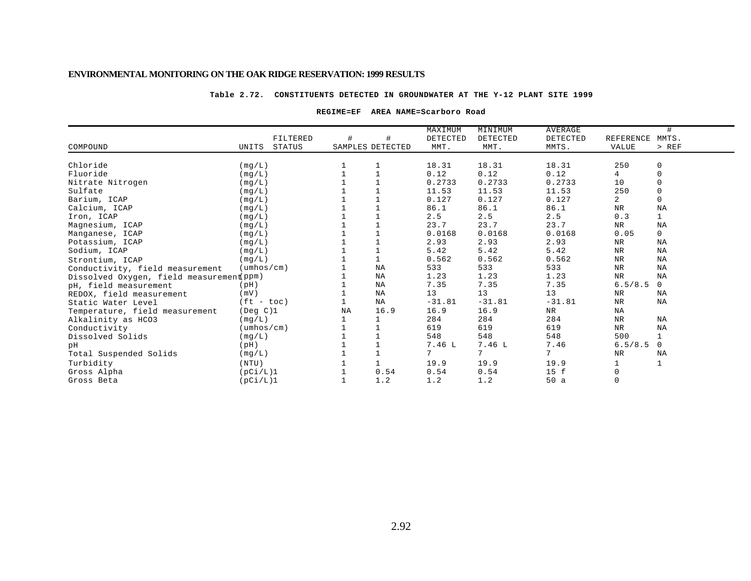#### **Table 2.72. CONSTITUENTS DETECTED IN GROUNDWATER AT THE Y-12 PLANT SITE 1999**

#### **REGIME=EF AREA NAME=Scarboro Road**

|                                          |                            |          |    |                  | MAXIMUM         | MINIMUM  | AVERAGE   |                | #            |
|------------------------------------------|----------------------------|----------|----|------------------|-----------------|----------|-----------|----------------|--------------|
|                                          |                            | FILTERED | #  |                  | DETECTED        | DETECTED | DETECTED  | REFERENCE      | MMTS.        |
| COMPOUND                                 | UNITS                      | STATUS   |    | SAMPLES DETECTED | MMT.            | MMT.     | MMTS.     | <b>VALUE</b>   | $>$ REF      |
|                                          |                            |          |    |                  |                 |          |           |                |              |
| Chloride                                 | (mq/L)                     |          |    |                  | 18.31           | 18.31    | 18.31     | 250            | 0            |
| Fluoride                                 | (mq/L)                     |          |    |                  | 0.12            | 0.12     | 0.12      | 4              | $\mathbf 0$  |
| Nitrate Nitrogen                         | (mq/L)                     |          |    |                  | 0.2733          | 0.2733   | 0.2733    | 10             | $\mathbf 0$  |
| Sulfate                                  | (mq/L)                     |          |    |                  | 11.53           | 11.53    | 11.53     | 250            | 0            |
| Barium, ICAP                             | (mq/L)                     |          |    |                  | 0.127           | 0.127    | 0.127     | $\overline{a}$ | $\mathbf 0$  |
| Calcium, ICAP                            | (mq/L)                     |          |    |                  | 86.1            | 86.1     | 86.1      | <b>NR</b>      | <b>NA</b>    |
| Iron, ICAP                               | (mq/L)                     |          |    |                  | 2.5             | 2.5      | 2.5       | 0.3            | $\mathbf{1}$ |
| Magnesium, ICAP                          | (mg/L)                     |          |    |                  | 23.7            | 23.7     | 23.7      | NR             | NA           |
| Manganese, ICAP                          | (mq/L)                     |          |    |                  | 0.0168          | 0.0168   | 0.0168    | 0.05           | $\mathbf{0}$ |
| Potassium, ICAP                          | (mq/L)                     |          |    |                  | 2.93            | 2.93     | 2.93      | <b>NR</b>      | <b>NA</b>    |
| Sodium, ICAP                             | (mq/L)                     |          |    |                  | 5.42            | 5.42     | 5.42      | $\rm{NR}$      | NA           |
| Strontium, ICAP                          | (mq/L)                     |          |    |                  | 0.562           | 0.562    | 0.562     | $\rm NR$       | NA           |
| Conductivity, field measurement          | $(\text{umbos}/\text{cm})$ |          |    | NA               | 533             | 533      | 533       | $\rm NR$       | NA           |
| Dissolved Oxygen, field measurement ppm) |                            |          |    | NA               | 1.23            | 1.23     | 1.23      | <b>NR</b>      | NA           |
| pH, field measurement                    | (pH)                       |          |    | NA               | 7.35            | 7.35     | 7.35      | 6.5/8.5        | $\mathbf 0$  |
| REDOX, field measurement                 | (mV)                       |          |    | NA               | 13              | 13       | 13        | NR             | NA           |
| Static Water Level                       | $(ft - toc)$               |          |    | ΝA               | $-31.81$        | $-31.81$ | $-31.81$  | $_{\rm NR}$    | NA           |
| Temperature, field measurement           | $($ Deg $C$ $)$ 1          |          | NA | 16.9             | 16.9            | 16.9     | <b>NR</b> | NA             |              |
| Alkalinity as HCO3                       | (mg/L)                     |          |    |                  | 284             | 284      | 284       | $\rm{NR}$      | NA           |
| Conductivity                             | $(\text{umbos}/\text{cm})$ |          |    |                  | 619             | 619      | 619       | NR             | NA           |
| Dissolved Solids                         | (mg/L)                     |          |    |                  | 548             | 548      | 548       | 500            | $\mathbf 1$  |
| pН                                       | (pH)                       |          |    |                  | 7.46 L          | 7.46L    | 7.46      | 6.5/8.5        | 0            |
| Total Suspended Solids                   | (mq/L)                     |          |    |                  | $7\overline{ }$ | 7        | 7         | NR             | NA           |
| Turbidity                                | (NTU)                      |          |    |                  | 19.9            | 19.9     | 19.9      |                |              |
| Gross Alpha                              | (pCi/L)1                   |          |    | 0.54             | 0.54            | 0.54     | 15 f      | 0              |              |
| Gross Beta                               | (pCi/L)1                   |          |    | 1.2              | 1.2             | 1.2      | 50a       | $\mathbf 0$    |              |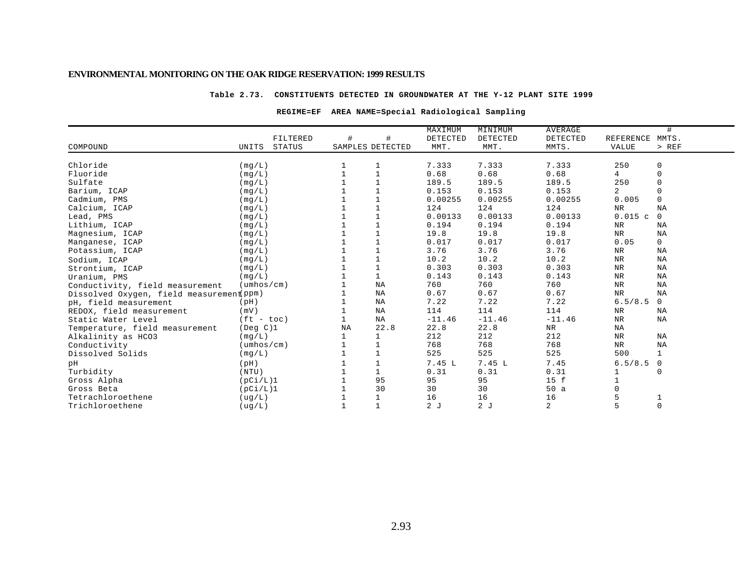#### **Table 2.73. CONSTITUENTS DETECTED IN GROUNDWATER AT THE Y-12 PLANT SITE 1999**

## **REGIME=EF AREA NAME=Special Radiological Sampling**

|                                          |                            |               |                  |              | MAXIMUM  | MINIMUM  | <b>AVERAGE</b> |                 | #            |
|------------------------------------------|----------------------------|---------------|------------------|--------------|----------|----------|----------------|-----------------|--------------|
|                                          |                            | FILTERED      | #                | #            | DETECTED | DETECTED | DETECTED       | REFERENCE MMTS. |              |
| COMPOUND                                 | UNITS                      | <b>STATUS</b> | SAMPLES DETECTED |              | MMT.     | MMT.     | MMTS.          | VALUE           | > REF        |
|                                          |                            |               |                  |              |          |          |                |                 |              |
| Chloride                                 | (mq/L)                     |               |                  |              | 7.333    | 7.333    | 7.333          | 250             | 0            |
| Fluoride                                 | (mq/L)                     |               |                  |              | 0.68     | 0.68     | 0.68           | 4               | $\mathbf 0$  |
| Sulfate                                  | (mq/L)                     |               |                  |              | 189.5    | 189.5    | 189.5          | 250             | $\mathbf 0$  |
| Barium, ICAP                             | (mq/L)                     |               |                  | 1            | 0.153    | 0.153    | 0.153          | $\overline{a}$  | $\Omega$     |
| Cadmium, PMS                             | (mq/L)                     |               |                  |              | 0.00255  | 0.00255  | 0.00255        | 0.005           | $\mathbf 0$  |
| Calcium, ICAP                            | (mq/L)                     |               |                  | $\mathbf{1}$ | 124      | 124      | 124            | $\rm NR$        | NA           |
| Lead, PMS                                | (mq/L)                     |               |                  |              | 0.00133  | 0.00133  | 0.00133        | 0.015c          | $\mathbf 0$  |
| Lithium, ICAP                            | (mq/L)                     |               |                  |              | 0.194    | 0.194    | 0.194          | NR              | ΝA           |
| Magnesium, ICAP                          | (mq/L)                     |               |                  |              | 19.8     | 19.8     | 19.8           | <b>NR</b>       | ΝA           |
| Manganese, ICAP                          | (mg/L)                     |               |                  |              | 0.017    | 0.017    | 0.017          | 0.05            | $\mathbf 0$  |
| Potassium, ICAP                          | (mg/L)                     |               |                  |              | 3.76     | 3.76     | 3.76           | NR              | ΝA           |
| Sodium, ICAP                             | (mq/L)                     |               |                  |              | 10.2     | 10.2     | 10.2           | $\rm NR$        | NA           |
| Strontium, ICAP                          | (mq/L)                     |               |                  | $\mathbf{1}$ | 0.303    | 0.303    | 0.303          | $\rm NR$        | ΝA           |
| Uranium, PMS                             | (mq/L)                     |               |                  | $\mathbf{1}$ | 0.143    | 0.143    | 0.143          | <b>NR</b>       | NA           |
| Conductivity, field measurement          | $(\text{umbos}/\text{cm})$ |               |                  | NA           | 760      | 760      | 760            | $\rm{NR}$       | NA           |
| Dissolved Oxygen, field measurement ppm) |                            |               |                  | NA           | 0.67     | 0.67     | 0.67           | $\rm{NR}$       | NA           |
| pH, field measurement                    | (pH)                       |               |                  | NA           | 7.22     | 7.22     | 7.22           | 6.5/8.5         | $\mathbf 0$  |
| REDOX, field measurement                 | (mV)                       |               |                  | NA           | 114      | 114      | 114            | NR              | ΝA           |
| Static Water Level                       | $(ft - toc)$               |               |                  | ΝA           | $-11.46$ | $-11.46$ | $-11.46$       | $\rm{NR}$       | ΝA           |
| Temperature, field measurement           | (Deg C)1                   |               | <b>NA</b>        | 22.8         | 22.8     | 22.8     | NR.            | NA              |              |
| Alkalinity as HCO3                       | (mq/L)                     |               |                  | $\mathbf{1}$ | 212      | 212      | 212            | $_{\rm NR}$     | NA           |
| Conductivity                             | $(\text{umbos}/\text{cm})$ |               |                  |              | 768      | 768      | 768            | NR              | ΝA           |
| Dissolved Solids                         | (mg/L)                     |               |                  | $\mathbf{1}$ | 525      | 525      | 525            | 500             | $\mathbf{1}$ |
| pН                                       | (pH)                       |               |                  |              | 7.45 L   | 7.45L    | 7.45           | 6.5/8.5         | $\mathbf 0$  |
| Turbidity                                | (NTU)                      |               |                  |              | 0.31     | 0.31     | 0.31           |                 | 0            |
| Gross Alpha                              | (pCi/L)1                   |               |                  | 95           | 95       | 95       | 15 f           |                 |              |
| Gross Beta                               | (pCi/L)1                   |               |                  | 30           | 30       | 30       | 50a            |                 |              |
| Tetrachloroethene                        | ( uq/L)                    |               |                  | $\mathbf{1}$ | 16       | 16       | 16             | 5               |              |
| Trichloroethene                          | (ug/L)                     |               |                  | $\mathbf{1}$ | 2J       | 2J       | 2              | 5               | $\mathbf 0$  |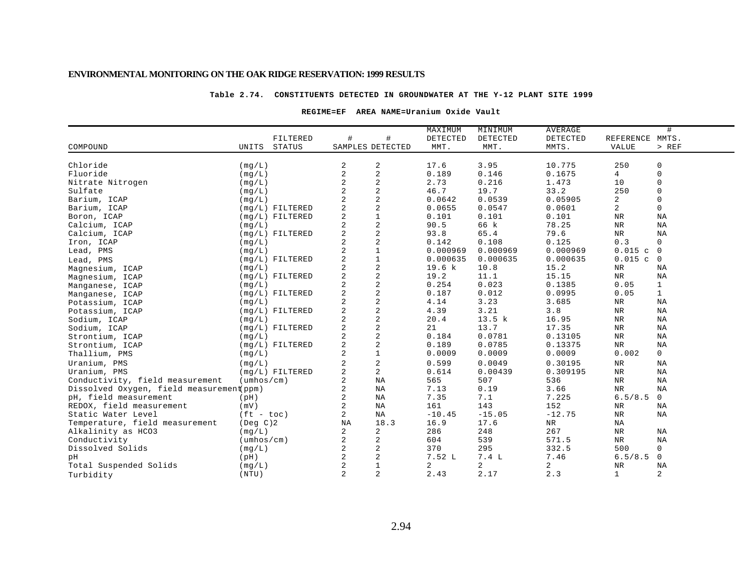#### **Table 2.74. CONSTITUENTS DETECTED IN GROUNDWATER AT THE Y-12 PLANT SITE 1999**

#### **REGIME=EF AREA NAME=Uranium Oxide Vault**

|                                          |                            |          |                |                         | MAXIMUM  | MINIMUM  | <b>AVERAGE</b> |                 | #              |
|------------------------------------------|----------------------------|----------|----------------|-------------------------|----------|----------|----------------|-----------------|----------------|
|                                          |                            | FILTERED | #              | #                       | DETECTED | DETECTED | DETECTED       | REFERENCE MMTS. |                |
| COMPOUND                                 | STATUS<br>UNITS            |          |                | SAMPLES DETECTED        | MMT.     | MMT.     | MMTS.          | VALUE           | $>$ REF        |
|                                          |                            |          |                |                         |          |          |                |                 |                |
| Chloride                                 | (mq/L)                     |          | 2              | 2                       | 17.6     | 3.95     | 10.775         | 250             | 0              |
| Fluoride                                 | (mq/L)                     |          | $\overline{2}$ | $\overline{c}$          | 0.189    | 0.146    | 0.1675         | 4               | $\mathbf 0$    |
| Nitrate Nitrogen                         | (mq/L)                     |          | $\overline{a}$ | $\overline{c}$          | 2.73     | 0.216    | 1.473          | 10              | $\mathbf 0$    |
| Sulfate                                  | (mg/L)                     |          | $\overline{2}$ | $\overline{c}$          | 46.7     | 19.7     | 33.2           | 250             | 0              |
| Barium, ICAP                             | (mq/L)                     |          | $\overline{a}$ | $\overline{c}$          | 0.0642   | 0.0539   | 0.05905        | 2               | $\Omega$       |
| Barium, ICAP                             | $(mg/L)$ FILTERED          |          | $\overline{a}$ | 2                       | 0.0655   | 0.0547   | 0.0601         | 2               | $\mathbf 0$    |
| Boron, ICAP                              | $(mq/L)$ FILTERED          |          | $\overline{a}$ | $\mathbf{1}$            | 0.101    | 0.101    | 0.101          | $\rm NR$        | ΝA             |
| Calcium, ICAP                            | (mq/L)                     |          | $\overline{a}$ | 2                       | 90.5     | 66 k     | 78.25          | <b>NR</b>       | NA             |
| Calcium, ICAP                            | $(mq/L)$ FILTERED          |          | $\overline{2}$ | $\sqrt{2}$              | 93.8     | 65.4     | 79.6           | NR              | NA             |
| Iron, ICAP                               | (mq/L)                     |          | 2              | 2                       | 0.142    | 0.108    | 0.125          | 0.3             | $\mathbf 0$    |
| Lead, PMS                                | (mq/L)                     |          | $\overline{a}$ | $\mathbf{1}$            | 0.000969 | 0.000969 | 0.000969       | $0.015$ c       | $\overline{0}$ |
| Lead, PMS                                | $(mq/L)$ FILTERED          |          | $\overline{2}$ | $1\,$                   | 0.000635 | 0.000635 | 0.000635       | $0.015$ c       | $\overline{0}$ |
| Magnesium, ICAP                          | (mq/L)                     |          | $\overline{a}$ | $\overline{c}$          | 19.6 k   | 10.8     | 15.2           | $_{\rm NR}$     | ΝA             |
| Magnesium, ICAP                          | $(mq/L)$ FILTERED          |          | $\overline{2}$ | $\sqrt{2}$              | 19.2     | 11.1     | 15.15          | NR              | NA             |
| Manganese, ICAP                          | (mq/L)                     |          | 2              | $\sqrt{2}$              | 0.254    | 0.023    | 0.1385         | 0.05            | $\mathbf{1}$   |
| Manganese, ICAP                          | $(mg/L)$ FILTERED          |          | $\overline{a}$ | 2                       | 0.187    | 0.012    | 0.0995         | 0.05            | $\mathbf{1}$   |
| Potassium, ICAP                          | (mq/L)                     |          | $\overline{a}$ | 2                       | 4.14     | 3.23     | 3.685          | $_{\rm NR}$     | ΝA             |
| Potassium, ICAP                          | $(mq/L)$ FILTERED          |          | $\overline{a}$ | 2                       | 4.39     | 3.21     | 3.8            | <b>NR</b>       | NA             |
| Sodium, ICAP                             | (mq/L)                     |          | $\overline{c}$ | $\sqrt{2}$              | 20.4     | 13.5 k   | 16.95          | $\rm{NR}$       | NA             |
| Sodium, ICAP                             | $(mq/L)$ FILTERED          |          | 2              | $\overline{c}$          | 21       | 13.7     | 17.35          | $\rm{NR}$       | NA             |
| Strontium, ICAP                          | (mq/L)                     |          | $\overline{a}$ | $\overline{c}$          | 0.184    | 0.0781   | 0.13105        | $\rm{NR}$       | NA             |
| Strontium, ICAP                          | $(mq/L)$ FILTERED          |          | $\overline{a}$ | $\sqrt{2}$              | 0.189    | 0.0785   | 0.13375        | $\rm{NR}$       | NA             |
| Thallium, PMS                            | (mg/L)                     |          | $\overline{a}$ | $\mathbf{1}$            | 0.0009   | 0.0009   | 0.0009         | 0.002           | $\overline{0}$ |
| Uranium, PMS                             | (mq/L)                     |          | 2              | $\overline{\mathbf{c}}$ | 0.599    | 0.0049   | 0.30195        | $\rm{NR}$       | ΝA             |
| Uranium, PMS                             | $(mq/L)$ FILTERED          |          | $\overline{a}$ | $\overline{a}$          | 0.614    | 0.00439  | 0.309195       | $\rm{NR}$       | NA             |
| Conductivity, field measurement          | $(\text{umbos}/\text{cm})$ |          | 2              | NA                      | 565      | 507      | 536            | $\rm{NR}$       | NA             |
| Dissolved Oxygen, field measurement(ppm) |                            |          | 2              | NA                      | 7.13     | 0.19     | 3.66           | <b>NR</b>       | NA             |
| pH, field measurement                    | (pH)                       |          | $\overline{a}$ | NA                      | 7.35     | 7.1      | 7.225          | 6.5/8.5         | $\overline{0}$ |
| REDOX, field measurement                 | (mV)                       |          | 2              | NA                      | 161      | 143      | 152            | $_{\rm NR}$     | ΝA             |
| Static Water Level                       | $(ft - toc)$               |          | $\overline{a}$ | NA                      | $-10.45$ | $-15.05$ | $-12.75$       | $_{\rm NR}$     | ΝA             |
| Temperature, field measurement           | $($ Deg $C$ $)$ 2          |          | NA             | 18.3                    | 16.9     | 17.6     | NR             | ΝA              |                |
| Alkalinity as HCO3                       | (mq/L)                     |          | $\overline{c}$ | 2                       | 286      | 248      | 267            | $\rm{NR}$       | NA             |
| Conductivity                             | $(\text{umbos}/\text{cm})$ |          | 2              | 2                       | 604      | 539      | 571.5          | NR              | NA             |
| Dissolved Solids                         | (mq/L)                     |          | 2              | 2                       | 370      | 295      | 332.5          | 500             | $\mathbf 0$    |
| pН                                       | (pH)                       |          | 2              | 2                       | 7.52L    | 7.4L     | 7.46           | 6.5/8.5         | 0              |
| Total Suspended Solids                   | (mq/L)                     |          | $\overline{2}$ | $1\,$                   | 2        | 2        | $\overline{a}$ | $\rm NR$        | NA             |
| Turbidity                                | (NTU)                      |          | $\overline{a}$ | 2                       | 2.43     | 2.17     | 2.3            | $\mathbf 1$     | 2              |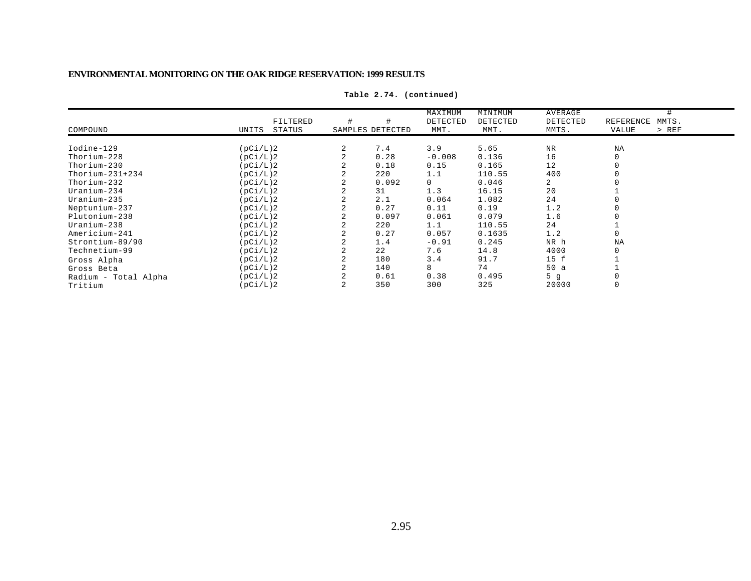|                      |                 |   |                  | MAXIMUM  | MINIMUM  | AVERAGE        |                    |
|----------------------|-----------------|---|------------------|----------|----------|----------------|--------------------|
|                      | FILTERED        | # |                  | DETECTED | DETECTED | DETECTED       | MMTS.<br>REFERENCE |
| COMPOUND             | STATUS<br>UNITS |   | SAMPLES DETECTED | MMT.     | MMT.     | MMTS.          | $>$ REF<br>VALUE   |
|                      |                 |   |                  |          |          |                |                    |
| Iodine-129           | (pCi/L)2        | 2 | 7.4              | 3.9      | 5.65     | <b>NR</b>      | NA                 |
| Thorium-228          | (pCi/L)2        |   | 0.28             | $-0.008$ | 0.136    | 16             |                    |
| $Thorium-230$        | (pCi/L)2        |   | 0.18             | 0.15     | 0.165    | 12             |                    |
| Thorium- $231+234$   | (pCi/L)2        | 2 | 220              | 1.1      | 110.55   | 400            |                    |
| Thorium-232          | (pCi/L)2        |   | 0.092            | 0        | 0.046    | $\overline{a}$ |                    |
| Uranium-234          | (pCi/L)2        |   | 31               | 1.3      | 16.15    | 20             |                    |
| Uranium-235          | (pCi/L)2        |   | 2.1              | 0.064    | 1.082    | 24             |                    |
| Neptunium-237        | (pCi/L)2        |   | 0.27             | 0.11     | 0.19     | 1.2            |                    |
| Plutonium-238        | (pCi/L)2        |   | 0.097            | 0.061    | 0.079    | 1.6            |                    |
| $Uranium-238$        | (pCi/L)2        |   | 220              | 1.1      | 110.55   | 24             |                    |
| Americium-241        | (pCi/L)2        | 2 | 0.27             | 0.057    | 0.1635   | 1.2            |                    |
| Strontium-89/90      | (pCi/L)2        |   | 1.4              | $-0.91$  | 0.245    | NR h           | NA                 |
| Technetium-99        | (pCi/L)2        |   | 22               | 7.6      | 14.8     | 4000           |                    |
| Gross Alpha          | (pCi/L)2        | 2 | 180              | 3.4      | 91.7     | 15 f           |                    |
| Gross Beta           | (pCi/L)2        |   | 140              | 8        | 74       | 50a            |                    |
| Radium - Total Alpha | (pCi/L)2        |   | 0.61             | 0.38     | 0.495    | 5q             |                    |
| Tritium              | (pCi/L)2        |   | 350              | 300      | 325      | 20000          |                    |

**Table 2.74. (continued)**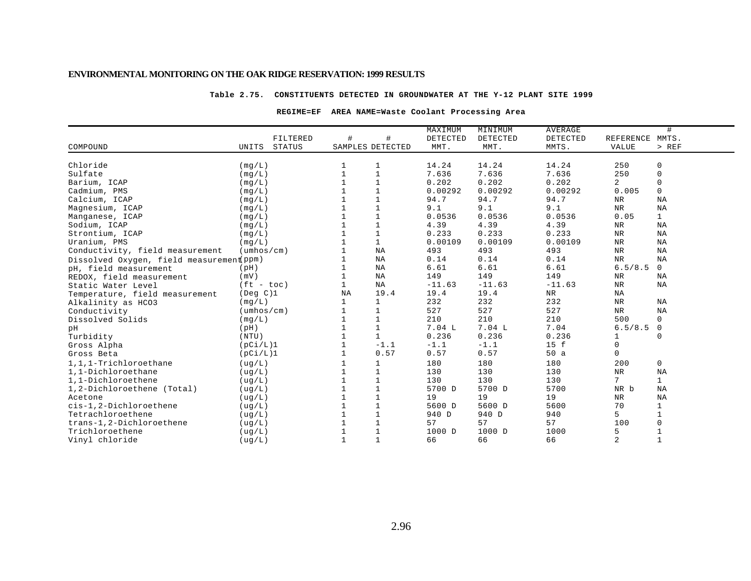#### **Table 2.75. CONSTITUENTS DETECTED IN GROUNDWATER AT THE Y-12 PLANT SITE 1999**

#### **REGIME=EF AREA NAME=Waste Coolant Processing Area**

|                                          |                            |    |                  | MAXIMUM  | MINIMUM  | <b>AVERAGE</b> |                 | #            |
|------------------------------------------|----------------------------|----|------------------|----------|----------|----------------|-----------------|--------------|
|                                          | FILTERED                   | #  | #                | DETECTED | DETECTED | DETECTED       | REFERENCE MMTS. |              |
| COMPOUND                                 | <b>STATUS</b><br>UNITS     |    | SAMPLES DETECTED | MMT.     | MMT.     | MMTS.          | VALUE           | $>$ REF      |
| Chloride                                 | (mg/L)                     |    | 1                | 14.24    | 14.24    | 14.24          | 250             | $\mathbf 0$  |
| Sulfate                                  | (mq/L)                     |    | $\mathbf{1}$     | 7.636    | 7.636    | 7.636          | 250             | $\mathbf 0$  |
| Barium, ICAP                             | (mq/L)                     |    | $\mathbf{1}$     | 0.202    | 0.202    | 0.202          | 2               | $\mathbf 0$  |
| Cadmium, PMS                             | (mq/L)                     |    | $\mathbf{1}$     | 0.00292  | 0.00292  | 0.00292        | 0.005           | $\mathsf{O}$ |
| Calcium, ICAP                            | (mq/L)                     |    | $\mathbf{1}$     | 94.7     | 94.7     | 94.7           | $_{\rm NR}$     | NA           |
| Magnesium, ICAP                          | (mq/L)                     |    | $\mathbf{1}$     | 9.1      | 9.1      | 9.1            | <b>NR</b>       | NA           |
| Manganese, ICAP                          | (mq/L)                     |    | $\mathbf{1}$     | 0.0536   | 0.0536   | 0.0536         | 0.05            | $\mathbf{1}$ |
| Sodium, ICAP                             | (mq/L)                     |    | $\mathbf{1}$     | 4.39     | 4.39     | 4.39           | ${\tt NR}$      | NA           |
| Strontium, ICAP                          | (mq/L)                     |    | $\mathbf{1}$     | 0.233    | 0.233    | 0.233          | <b>NR</b>       | <b>NA</b>    |
| Uranium, PMS                             | (mq/L)                     |    | $\mathbf{1}$     | 0.00109  | 0.00109  | 0.00109        | NR              | NA           |
| Conductivity, field measurement          | $(\text{umbos}/\text{cm})$ |    | ΝA               | 493      | 493      | 493            | ${\tt NR}$      | NA           |
| Dissolved Oxygen, field measurement(ppm) |                            |    | ΝA               | 0.14     | 0.14     | 0.14           | ${\tt NR}$      | NA           |
| pH, field measurement                    | (pH)                       |    | ΝA               | 6.61     | 6.61     | 6.61           | 6.5/8.5         | $\mathbf 0$  |
| REDOX, field measurement                 | (mV)                       |    | NA               | 149      | 149      | 149            | NR              | <b>NA</b>    |
| Static Water Level                       | $(ft - toc)$               |    | NA               | $-11.63$ | $-11.63$ | $-11.63$       | ${\tt NR}$      | NA           |
| Temperature, field measurement           | (Deg C)1                   | NA | 19.4             | 19.4     | 19.4     | <b>NR</b>      | ΝA              |              |
| Alkalinity as HCO3                       | (mq/L)                     |    | $\mathbf{1}$     | 232      | 232      | 232            | NR              | <b>NA</b>    |
| Conductivity                             | $(\text{umbos}/\text{cm})$ |    | $\mathbf{1}$     | 527      | 527      | 527            | $_{\rm NR}$     | NA           |
| Dissolved Solids                         | (mg/L)                     |    | $\mathbf{1}$     | 210      | 210      | 210            | 500             | $\mathbf 0$  |
| pН                                       | (pH)                       |    | $\mathbf{1}$     | 7.04L    | 7.04L    | 7.04           | 6.5/8.5         | $\mathbf 0$  |
| Turbidity                                | (NTU)                      |    | $\mathbf{1}$     | 0.236    | 0.236    | 0.236          |                 | $\Omega$     |
| Gross Alpha                              | (pCi/L)1                   |    | $-1.1$           | $-1.1$   | $-1.1$   | 15 f           | $\mathbf 0$     |              |
| Gross Beta                               | (pCi/L)1                   |    | 0.57             | 0.57     | 0.57     | 50a            | $\Omega$        |              |
| 1,1,1-Trichloroethane                    | ( uq/L)                    |    | 1                | 180      | 180      | 180            | 200             | $\mathsf{O}$ |
| 1,1-Dichloroethane                       | (ug/L)                     |    | $\mathbf{1}$     | 130      | 130      | 130            | ${\tt NR}$      | NA           |
| 1,1-Dichloroethene                       | ( uq/L)                    |    | $\mathbf{1}$     | 130      | 130      | 130            | $7\overline{ }$ | $\mathbf{1}$ |
| 1,2-Dichloroethene (Total)               | ( uq/L)                    |    | $\overline{1}$   | 5700 D   | 5700 D   | 5700           | NR b            | <b>NA</b>    |
| Acetone                                  | ( uq/L)                    |    | $\mathbf{1}$     | 19       | 19       | 19             | ${\tt NR}$      | NA           |
| cis-1,2-Dichloroethene                   | ( uq/L)                    |    | $\mathbf{1}$     | 5600 D   | 5600 D   | 5600           | 70              | 1            |
| Tetrachloroethene                        | ( uq/L)                    |    | $\mathbf{1}$     | 940 D    | 940 D    | 940            | 5               | $\mathbf{1}$ |
| trans-1,2-Dichloroethene                 | (ug/L)                     |    | $\mathbf{1}$     | 57       | 57       | 57             | 100             | $\Omega$     |
| Trichloroethene                          | (ug/L)                     |    | $\mathbf{1}$     | 1000 D   | 1000 D   | 1000           | 5               |              |
| Vinyl chloride                           | ( uq/L )                   |    | $\mathbf{1}$     | 66       | 66       | 66             | 2               | $\mathbf{1}$ |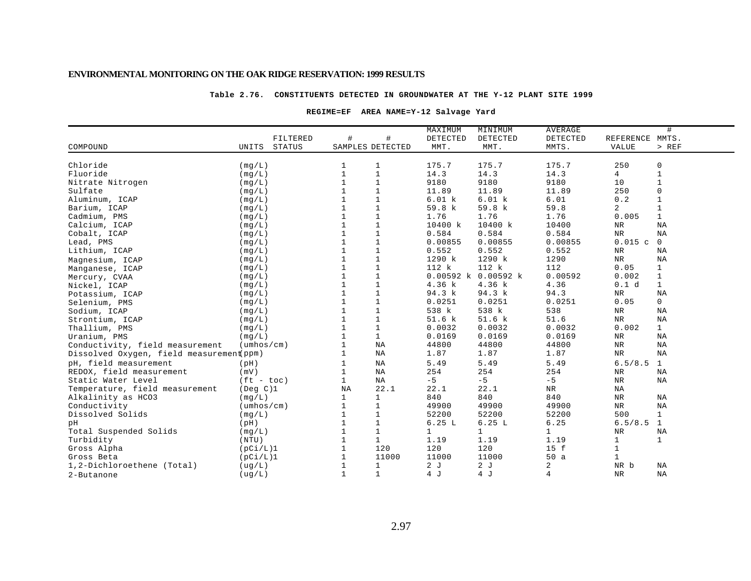#### **Table 2.76. CONSTITUENTS DETECTED IN GROUNDWATER AT THE Y-12 PLANT SITE 1999**

#### **REGIME=EF AREA NAME=Y-12 Salvage Yard**

|                                          |                            |              |                  | MAXIMUM      | MINIMUM             | <b>AVERAGE</b> |                 | #            |
|------------------------------------------|----------------------------|--------------|------------------|--------------|---------------------|----------------|-----------------|--------------|
|                                          | FILTERED                   | #            | #                | DETECTED     | DETECTED            | DETECTED       | REFERENCE MMTS. |              |
| COMPOUND                                 | <b>STATUS</b><br>UNITS     |              | SAMPLES DETECTED | MMT.         | MMT.                | MMTS.          | VALUE           | $>$ REF      |
|                                          |                            |              |                  |              |                     |                |                 |              |
| Chloride                                 | (mq/L)                     |              | 1                | 175.7        | 175.7               | 175.7          | 250             | 0            |
| Fluoride                                 | (mq/L)                     | $\mathbf{1}$ | $\mathbf{1}$     | 14.3         | 14.3                | 14.3           | 4               | $\mathbf{1}$ |
| Nitrate Nitrogen                         | (mq/L)                     | $\mathbf{1}$ | $\mathbf{1}$     | 9180         | 9180                | 9180           | 10              | $\mathbf{1}$ |
| Sulfate                                  | (mg/L)                     |              | $1\,$            | 11.89        | 11.89               | 11.89          | 250             | 0            |
| Aluminum, ICAP                           | (mq/L)                     |              | $1\,$            | 6.01 k       | 6.01 k              | 6.01           | 0.2             | $\mathbf{1}$ |
| Barium, ICAP                             | (mq/L)                     |              | $\mathbf{1}$     | 59.8 k       | 59.8 k              | 59.8           | $\overline{a}$  |              |
| Cadmium, PMS                             | (mq/L)                     |              | $\mathbf{1}$     | 1.76         | 1.76                | 1.76           | 0.005           | 1            |
| Calcium, ICAP                            | (mq/L)                     |              | $\mathbf{1}$     | 10400 k      | 10400 k             | 10400          | NR              | NA           |
| Cobalt, ICAP                             | (mg/L)                     |              | $\mathbf 1$      | 0.584        | 0.584               | 0.584          | $\rm{NR}$       | NA           |
| Lead, PMS                                | (mg/L)                     |              | $1\,$            | 0.00855      | 0.00855             | 0.00855        | 0.015c          | $\mathbf 0$  |
| Lithium, ICAP                            | (mg/L)                     |              | $\mathbf{1}$     | 0.552        | 0.552               | 0.552          | NR              | $_{\rm NA}$  |
| Magnesium, ICAP                          | (mq/L)                     |              | $\mathbf{1}$     | 1290 k       | 1290 k              | 1290           | NR              | NA           |
| Manganese, ICAP                          | (mq/L)                     | $\mathbf{1}$ | $\mathbf{1}$     | 112 k        | 112 k               | 112            | 0.05            | 1            |
| Mercury, CVAA                            | (mq/L)                     |              | $1\,$            |              | 0.00592 k 0.00592 k | 0.00592        | 0.002           | 1            |
| Nickel, ICAP                             | (mg/L)                     |              | $\mathbf 1$      | 4.36 k       | 4.36 k              | 4.36           | 0.1 d           | $\mathbf{1}$ |
| Potassium, ICAP                          | (mg/L)                     |              | $1\,$            | 94.3 k       | 94.3 k              | 94.3           | NR              | $_{\rm NA}$  |
| Selenium, PMS                            | (mq/L)                     |              | $\mathbf{1}$     | 0.0251       | 0.0251              | 0.0251         | 0.05            | 0            |
| Sodium, ICAP                             | (mq/L)                     | $\mathbf{1}$ | $\mathbf{1}$     | 538 k        | 538 k               | 538            | <b>NR</b>       | NA           |
| Strontium, ICAP                          | (mq/L)                     |              | $1\,$            | 51.6 k       | 51.6 k              | 51.6           | $\rm NR$        | NA           |
| Thallium, PMS                            | (mq/L)                     |              | $\mathbf 1$      | 0.0032       | 0.0032              | 0.0032         | 0.002           | $\mathbf{1}$ |
| Uranium, PMS                             | (mq/L)                     |              | $\mathbf 1$      | 0.0169       | 0.0169              | 0.0169         | $_{\rm NR}$     | $_{\rm NA}$  |
| Conductivity, field measurement          | $(\text{umbos}/\text{cm})$ |              | NA               | 44800        | 44800               | 44800          | $\rm{NR}$       | $_{\rm NA}$  |
| Dissolved Oxygen, field measurement ppm) |                            | $\mathbf{1}$ | NA               | 1.87         | 1.87                | 1.87           | <b>NR</b>       | NA           |
| pH, field measurement                    | (pH)                       | 1            | ΝA               | 5.49         | 5.49                | 5.49           | 6.5/8.5         | 1            |
| REDOX, field measurement                 | (mV)                       | $\mathbf{1}$ | NA               | 254          | 254                 | 254            | NR              | NA           |
| Static Water Level                       | $(ft - toc)$               | $\mathbf{1}$ | ΝA               | $-5$         | $-5$                | $-5$           | $_{\rm NR}$     | $_{\rm NA}$  |
| Temperature, field measurement           | $($ Deg $C$ $)$ 1          | NA           | 22.1             | 22.1         | 22.1                | NR             | NA              |              |
| Alkalinity as HCO3                       | (mq/L)                     |              | $\mathbf{1}$     | 840          | 840                 | 840            | NR              | NA           |
| Conductivity                             | $(\text{umbos}/\text{cm})$ |              | $\mathbf{1}$     | 49900        | 49900               | 49900          | NR              | NA           |
| Dissolved Solids                         | (mq/L)                     | 1            | $\mathbf{1}$     | 52200        | 52200               | 52200          | 500             | 1            |
| pH                                       | (pH)                       |              | $1\,$            | 6.25L        | 6.25L               | 6.25           | 6.5/8.5         | 1            |
| Total Suspended Solids                   | (mg/L)                     |              | $\mathbf{1}$     | $\mathbf{1}$ | $\mathbf{1}$        | $\mathbf{1}$   | $\rm{NR}$       | ΝA           |
| Turbidity                                | (NTU)                      |              | $\mathbf 1$      | 1.19         | 1.19                | 1.19           | $\mathbf 1$     | 1            |
| Gross Alpha                              | (pCi/L)1                   | $\mathbf{1}$ | 120              | 120          | 120                 | 15 f           | $\mathbf{1}$    |              |
| Gross Beta                               | (pCi/L)1                   |              | 11000            | 11000        | 11000               | 50a            | $\mathbf 1$     |              |
| 1,2-Dichloroethene (Total)               | ( uq/L)                    |              | 1                | 2J           | 2J                  | 2              | NR b            | ΝA           |
| 2-Butanone                               | (ug/L)                     | $\mathbf{1}$ | $\mathbf{1}$     | 4 J          | 4 J                 | 4              | $\rm NR$        | $_{\rm NA}$  |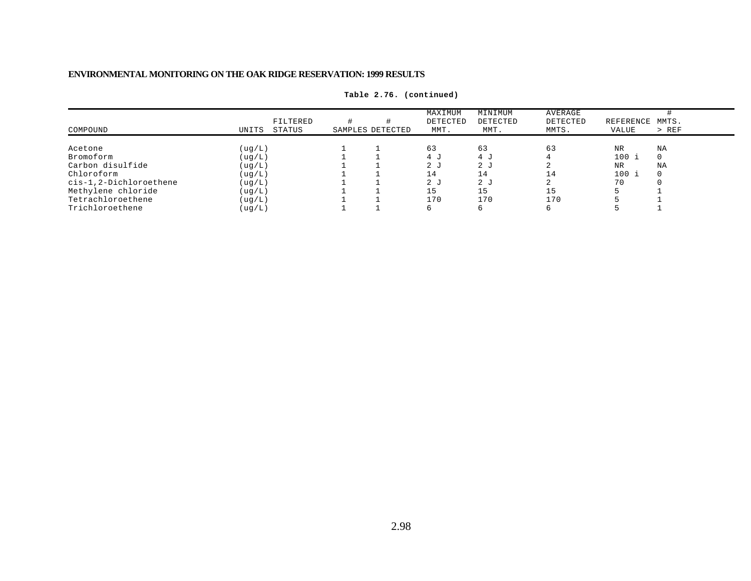| COMPOUND               | UNITS    | FILTERED<br>STATUS | SAMPLES DETECTED | MAXIMUM<br>DETECTED<br>MMT. | MINIMUM<br>DETECTED<br>MMT. | AVERAGE<br>DETECTED<br>MMTS. | REFERENCE MMTS.<br>VALUE | $>$ REF  |
|------------------------|----------|--------------------|------------------|-----------------------------|-----------------------------|------------------------------|--------------------------|----------|
| Acetone                | ( uq/L)  |                    |                  | 63                          | 63                          | 63                           | <b>NR</b>                | NA       |
| Bromoform              | ( uq/L ) |                    |                  | 1. 4                        | 4 J                         |                              | $100$ i                  |          |
| Carbon disulfide       | ( uq/L ) |                    |                  | 2 <sub>1</sub>              | 2 J                         |                              | <b>NR</b>                | ΝA       |
| Chloroform             | ( uq/L ) |                    |                  | 14                          | 14                          | 14                           | $100$ i                  | $\Omega$ |
| cis-1,2-Dichloroethene | ( uq/L ) |                    |                  | 2 <sub>0</sub>              | 2 <sub>0</sub>              |                              | 70                       |          |
| Methylene chloride     | ( uq/L ) |                    |                  | 15                          | 15                          | 15                           |                          |          |
| Tetrachloroethene      | ( uq/L ) |                    |                  | 170                         | 170                         | 170                          |                          |          |
| Trichloroethene        | (ug/L)   |                    |                  |                             |                             |                              |                          |          |

**Table 2.76. (continued)**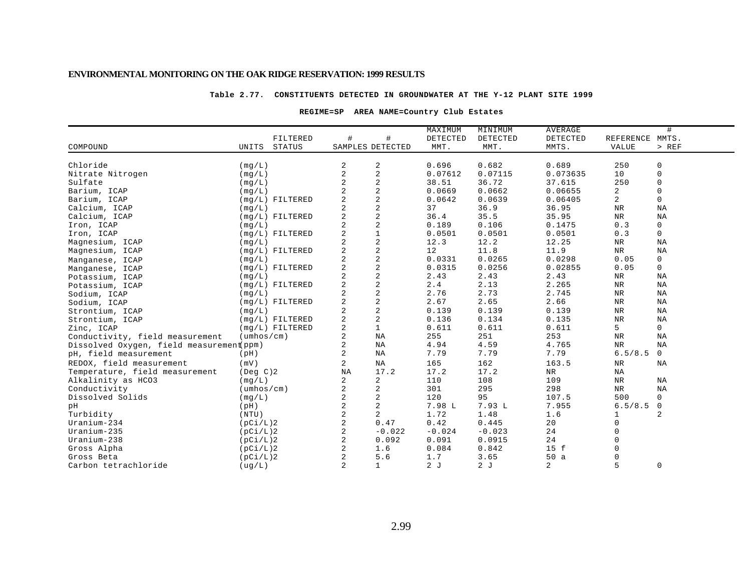#### **Table 2.77. CONSTITUENTS DETECTED IN GROUNDWATER AT THE Y-12 PLANT SITE 1999**

#### **REGIME=SP AREA NAME=Country Club Estates**

|                                          |                            |                   |                  |                | MAXIMUM  | MINIMUM  | AVERAGE    |                 | #              |
|------------------------------------------|----------------------------|-------------------|------------------|----------------|----------|----------|------------|-----------------|----------------|
|                                          |                            | FILTERED          | #                | #              | DETECTED | DETECTED | DETECTED   | REFERENCE MMTS. |                |
| COMPOUND                                 | UNITS                      | <b>STATUS</b>     | SAMPLES DETECTED |                | MMT.     | MMT.     | MMTS.      | <b>VALUE</b>    | $>$ REF        |
|                                          |                            |                   |                  |                |          |          |            |                 |                |
| Chloride                                 | (mq/L)                     |                   | 2                | 2              | 0.696    | 0.682    | 0.689      | 250             | 0              |
| Nitrate Nitrogen                         | (mq/L)                     |                   | $\overline{2}$   | $\sqrt{2}$     | 0.07612  | 0.07115  | 0.073635   | 10              | $\mathbf 0$    |
| Sulfate                                  | (mq/L)                     |                   | 2                | $\overline{c}$ | 38.51    | 36.72    | 37.615     | 250             | $\mathbf 0$    |
| Barium, ICAP                             | (mq/L)                     |                   | $\overline{a}$   | 2              | 0.0669   | 0.0662   | 0.06655    | 2               | $\mathbf 0$    |
| Barium, ICAP                             |                            | $(mq/L)$ FILTERED | 2                | $\overline{c}$ | 0.0642   | 0.0639   | 0.06405    | $\overline{2}$  | $\mathbf 0$    |
| Calcium, ICAP                            | (mq/L)                     |                   | 2                | 2              | 37       | 36.9     | 36.95      | $\rm{NR}$       | NA             |
| Calcium, ICAP                            |                            | $(mq/L)$ FILTERED | 2                | $\overline{c}$ | 36.4     | 35.5     | 35.95      | <b>NR</b>       | NA             |
| Iron, ICAP                               | (mq/L)                     |                   | 2                | 2              | 0.189    | 0.106    | 0.1475     | 0.3             | 0              |
| Iron, ICAP                               |                            | $(mq/L)$ FILTERED | 2                | $\mathbf{1}$   | 0.0501   | 0.0501   | 0.0501     | 0.3             | $\mathbf 0$    |
| Magnesium, ICAP                          | (mq/L)                     |                   | $\overline{2}$   | 2              | 12.3     | 12.2     | 12.25      | $\rm{NR}$       | NA             |
| Magnesium, ICAP                          |                            | $(mq/L)$ FILTERED | 2                | $\mathbf 2$    | 12       | 11.8     | 11.9       | $\rm{NR}$       | NA             |
| Manganese, ICAP                          | (mq/L)                     |                   | $\overline{2}$   | 2              | 0.0331   | 0.0265   | 0.0298     | 0.05            | $\mathbf 0$    |
| Manganese, ICAP                          |                            | $(mq/L)$ FILTERED | 2                | $\overline{c}$ | 0.0315   | 0.0256   | 0.02855    | 0.05            | 0              |
| Potassium, ICAP                          | (mq/L)                     |                   | 2                | $\overline{c}$ | 2.43     | 2.43     | 2.43       | <b>NR</b>       | NA             |
| Potassium, ICAP                          |                            | $(mg/L)$ FILTERED | $\overline{2}$   | $\overline{c}$ | 2.4      | 2.13     | 2.265      | $\rm{NR}$       | ΝA             |
| Sodium, ICAP                             | (mq/L)                     |                   | 2                | $\overline{c}$ | 2.76     | 2.73     | 2.745      | NR              | NA             |
| Sodium, ICAP                             |                            | $(mq/L)$ FILTERED | 2                | $\overline{2}$ | 2.67     | 2.65     | 2.66       | NR              | NA             |
| Strontium, ICAP                          | (mq/L)                     |                   | 2                | $\overline{c}$ | 0.139    | 0.139    | 0.139      | $\rm{NR}$       | NA             |
| Strontium, ICAP                          |                            | $(mq/L)$ FILTERED | 2                | 2              | 0.136    | 0.134    | 0.135      | $\rm{NR}$       | NA             |
| Zinc, ICAP                               |                            | $(mq/L)$ FILTERED | 2                | $\mathbf{1}$   | 0.611    | 0.611    | 0.611      | 5               | 0              |
| Conductivity, field measurement          | $(\text{umbos}/\text{cm})$ |                   | 2                | NA             | 255      | 251      | 253        | $\rm{NR}$       | NA             |
| Dissolved Oxygen, field measurement ppm) |                            |                   | 2                | ΝA             | 4.94     | 4.59     | 4.765      | $\rm NR$        | ΝA             |
| pH, field measurement                    | (pH)                       |                   | 2                | NA             | 7.79     | 7.79     | 7.79       | 6.5/8.5         | $\mathbf 0$    |
| REDOX, field measurement                 | (mV)                       |                   | $\overline{a}$   | NA             | 165      | 162      | 163.5      | NR              | ΝA             |
| Temperature, field measurement           | $($ Deg $C$ $)$ 2          |                   | $_{\rm NA}$      | 17.2           | 17.2     | 17.2     | ${\tt NR}$ | NA              |                |
| Alkalinity as HCO3                       | (mq/L)                     |                   | $\overline{a}$   | 2              | 110      | 108      | 109        | NR              | NA             |
| Conductivity                             | $(\text{umbos}/\text{cm})$ |                   | 2                | 2              | 301      | 295      | 298        | NR              | NA             |
| Dissolved Solids                         | (mq/L)                     |                   | 2                | $\overline{c}$ | 120      | 95       | 107.5      | 500             | $\mathbf 0$    |
| pН                                       | (pH)                       |                   | 2                | 2              | 7.98 L   | 7.93L    | 7.955      | 6.5/8.5         | $\overline{0}$ |
| Turbidity                                | (NTU)                      |                   | 2                | 2              | 1.72     | 1.48     | 1.6        | 1               | $\overline{2}$ |
| Uranium-234                              | (pCi/L)2                   |                   | $\overline{2}$   | 0.47           | 0.42     | 0.445    | 20         | $\Omega$        |                |
| Uranium-235                              | (pCi/L)2                   |                   | 2                | $-0.022$       | $-0.024$ | $-0.023$ | 24         | $\Omega$        |                |
| $Uranium-238$                            | (pCi/L)2                   |                   | 2                | 0.092          | 0.091    | 0.0915   | 24         |                 |                |
| Gross Alpha                              | (pCi/L)2                   |                   | 2                | 1.6            | 0.084    | 0.842    | 15 f       |                 |                |
| Gross Beta                               | (pCi/L)2                   |                   | 2                | 5.6            | 1.7      | 3.65     | 50a        |                 |                |
| Carbon tetrachloride                     | ( uq/L)                    |                   | $\overline{2}$   | $\mathbf{1}$   | 2J       | 2J       | 2          | 5               | 0              |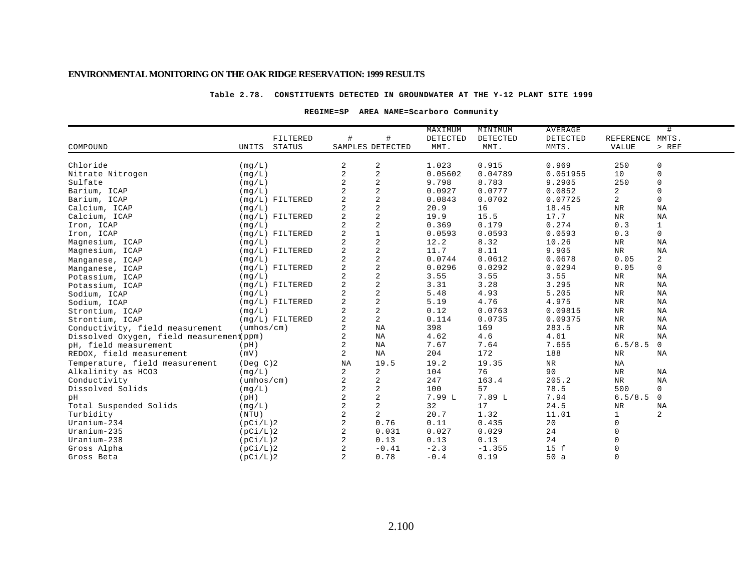#### **Table 2.78. CONSTITUENTS DETECTED IN GROUNDWATER AT THE Y-12 PLANT SITE 1999**

#### **REGIME=SP AREA NAME=Scarboro Community**

| #<br>FILTERED<br>#<br>DETECTED<br>DETECTED<br>MMTS.<br>DETECTED<br>REFERENCE<br>COMPOUND<br>STATUS<br>SAMPLES DETECTED<br>MMT.<br>MMT.<br>MMTS.<br>$>$ REF<br>UNITS<br><b>VALUE</b><br>Chloride<br>$\overline{c}$<br>1.023<br>0.915<br>0.969<br>2<br>250<br>0<br>(mq/L)<br>$\sqrt{2}$<br>$\overline{2}$<br>0.04789<br>10<br>$\mathsf 0$<br>0.05602<br>0.051955<br>Nitrate Nitrogen<br>(mq/L)<br>$\sqrt{2}$<br>$\overline{2}$<br>8.783<br>250<br>$\mathsf 0$<br>9.798<br>9.2905<br>Sulfate<br>(mq/L)<br>$\overline{\mathbf{c}}$<br>0.0777<br>$\overline{a}$<br>Barium, ICAP<br>0.0927<br>0.0852<br>$\mathbf 0$<br>(mq/L)<br>$\overline{c}$<br>$\overline{2}$<br>$\overline{a}$<br>$\mathbf 0$<br>0.0843<br>0.0702<br>0.07725<br>Barium, ICAP<br>$(mq/L)$ FILTERED<br>$\sqrt{2}$<br>2<br>20.9<br>$\rm{NR}$<br>16<br>18.45<br>ΝA<br>Calcium, ICAP<br>(mq/L)<br>$\mathbf 2$<br>2<br>$_{\rm NR}$<br>Calcium, ICAP<br>$(mq/L)$ FILTERED<br>19.9<br>15.5<br>17.7<br>NA<br>$\sqrt{2}$<br>$\overline{a}$<br>0.179<br>0.3<br>0.369<br>0.274<br>$\mathbf{1}$<br>Iron, ICAP<br>(mq/L)<br>$\mathbf 1$<br>$\overline{2}$<br>0.3<br>$\mathbf 0$<br>0.0593<br>0.0593<br>0.0593<br>Iron, ICAP<br>$(mq/L)$ FILTERED<br>$\sqrt{2}$<br>$\overline{2}$<br>12.2<br>8.32<br>10.26<br>Magnesium, ICAP<br>NR<br>ΝA<br>(mq/L)<br>$\mathbf 2$<br>$\overline{2}$<br>11.7<br>8.11<br>$\rm NR$<br>$(mq/L)$ FILTERED<br>9.905<br>NA<br>Magnesium, ICAP<br>$\overline{c}$<br>2<br>2<br>0.0744<br>0.0612<br>0.0678<br>0.05<br>(mq/L)<br>Manganese, ICAP<br>$\sqrt{2}$<br>$\overline{a}$<br>0.0296<br>0.0292<br>0.0294<br>0.05<br>$\mathbf 0$<br>$(mq/L)$ FILTERED<br>Manganese, ICAP<br>$\mathbf 2$<br>3.55<br>3.55<br>3.55<br>$_{\rm NR}$<br>(mg/L)<br>ΝA<br>Potassium, ICAP<br>$\overline{a}$<br>2<br>3.28<br>$(mg/L)$ FILTERED<br>3.31<br>3.295<br>NR<br>ΝA<br>Potassium, ICAP<br>$\overline{a}$<br>$\overline{2}$<br>5.48<br>4.93<br>5.205<br><b>NR</b><br>NA<br>(mq/L)<br>Sodium, ICAP<br>$\sqrt{2}$<br>2<br>4.76<br>5.19<br>4.975<br>$_{\rm NR}$<br>NA<br>$(mq/L)$ FILTERED<br>Sodium, ICAP<br>$\sqrt{2}$<br>$\overline{a}$<br>0.12<br>0.0763<br>0.09815<br>$_{\rm NR}$<br>NA<br>(mq/L)<br>Strontium, ICAP<br>$\overline{a}$<br>$\overline{a}$<br>$(mq/L)$ FILTERED<br>0.114<br>0.0735<br>$\rm{NR}$<br>NA<br>0.09375<br>Strontium, ICAP |  |  | MAXIMUM | MINIMUM | <b>AVERAGE</b> | # |
|--------------------------------------------------------------------------------------------------------------------------------------------------------------------------------------------------------------------------------------------------------------------------------------------------------------------------------------------------------------------------------------------------------------------------------------------------------------------------------------------------------------------------------------------------------------------------------------------------------------------------------------------------------------------------------------------------------------------------------------------------------------------------------------------------------------------------------------------------------------------------------------------------------------------------------------------------------------------------------------------------------------------------------------------------------------------------------------------------------------------------------------------------------------------------------------------------------------------------------------------------------------------------------------------------------------------------------------------------------------------------------------------------------------------------------------------------------------------------------------------------------------------------------------------------------------------------------------------------------------------------------------------------------------------------------------------------------------------------------------------------------------------------------------------------------------------------------------------------------------------------------------------------------------------------------------------------------------------------------------------------------------------------------------------------------------------------------------------------------------------------------------------------------------------------------------------------------------------------------------------------------------------------------------------------------------|--|--|---------|---------|----------------|---|
|                                                                                                                                                                                                                                                                                                                                                                                                                                                                                                                                                                                                                                                                                                                                                                                                                                                                                                                                                                                                                                                                                                                                                                                                                                                                                                                                                                                                                                                                                                                                                                                                                                                                                                                                                                                                                                                                                                                                                                                                                                                                                                                                                                                                                                                                                                              |  |  |         |         |                |   |
|                                                                                                                                                                                                                                                                                                                                                                                                                                                                                                                                                                                                                                                                                                                                                                                                                                                                                                                                                                                                                                                                                                                                                                                                                                                                                                                                                                                                                                                                                                                                                                                                                                                                                                                                                                                                                                                                                                                                                                                                                                                                                                                                                                                                                                                                                                              |  |  |         |         |                |   |
|                                                                                                                                                                                                                                                                                                                                                                                                                                                                                                                                                                                                                                                                                                                                                                                                                                                                                                                                                                                                                                                                                                                                                                                                                                                                                                                                                                                                                                                                                                                                                                                                                                                                                                                                                                                                                                                                                                                                                                                                                                                                                                                                                                                                                                                                                                              |  |  |         |         |                |   |
|                                                                                                                                                                                                                                                                                                                                                                                                                                                                                                                                                                                                                                                                                                                                                                                                                                                                                                                                                                                                                                                                                                                                                                                                                                                                                                                                                                                                                                                                                                                                                                                                                                                                                                                                                                                                                                                                                                                                                                                                                                                                                                                                                                                                                                                                                                              |  |  |         |         |                |   |
|                                                                                                                                                                                                                                                                                                                                                                                                                                                                                                                                                                                                                                                                                                                                                                                                                                                                                                                                                                                                                                                                                                                                                                                                                                                                                                                                                                                                                                                                                                                                                                                                                                                                                                                                                                                                                                                                                                                                                                                                                                                                                                                                                                                                                                                                                                              |  |  |         |         |                |   |
|                                                                                                                                                                                                                                                                                                                                                                                                                                                                                                                                                                                                                                                                                                                                                                                                                                                                                                                                                                                                                                                                                                                                                                                                                                                                                                                                                                                                                                                                                                                                                                                                                                                                                                                                                                                                                                                                                                                                                                                                                                                                                                                                                                                                                                                                                                              |  |  |         |         |                |   |
|                                                                                                                                                                                                                                                                                                                                                                                                                                                                                                                                                                                                                                                                                                                                                                                                                                                                                                                                                                                                                                                                                                                                                                                                                                                                                                                                                                                                                                                                                                                                                                                                                                                                                                                                                                                                                                                                                                                                                                                                                                                                                                                                                                                                                                                                                                              |  |  |         |         |                |   |
|                                                                                                                                                                                                                                                                                                                                                                                                                                                                                                                                                                                                                                                                                                                                                                                                                                                                                                                                                                                                                                                                                                                                                                                                                                                                                                                                                                                                                                                                                                                                                                                                                                                                                                                                                                                                                                                                                                                                                                                                                                                                                                                                                                                                                                                                                                              |  |  |         |         |                |   |
|                                                                                                                                                                                                                                                                                                                                                                                                                                                                                                                                                                                                                                                                                                                                                                                                                                                                                                                                                                                                                                                                                                                                                                                                                                                                                                                                                                                                                                                                                                                                                                                                                                                                                                                                                                                                                                                                                                                                                                                                                                                                                                                                                                                                                                                                                                              |  |  |         |         |                |   |
|                                                                                                                                                                                                                                                                                                                                                                                                                                                                                                                                                                                                                                                                                                                                                                                                                                                                                                                                                                                                                                                                                                                                                                                                                                                                                                                                                                                                                                                                                                                                                                                                                                                                                                                                                                                                                                                                                                                                                                                                                                                                                                                                                                                                                                                                                                              |  |  |         |         |                |   |
|                                                                                                                                                                                                                                                                                                                                                                                                                                                                                                                                                                                                                                                                                                                                                                                                                                                                                                                                                                                                                                                                                                                                                                                                                                                                                                                                                                                                                                                                                                                                                                                                                                                                                                                                                                                                                                                                                                                                                                                                                                                                                                                                                                                                                                                                                                              |  |  |         |         |                |   |
|                                                                                                                                                                                                                                                                                                                                                                                                                                                                                                                                                                                                                                                                                                                                                                                                                                                                                                                                                                                                                                                                                                                                                                                                                                                                                                                                                                                                                                                                                                                                                                                                                                                                                                                                                                                                                                                                                                                                                                                                                                                                                                                                                                                                                                                                                                              |  |  |         |         |                |   |
|                                                                                                                                                                                                                                                                                                                                                                                                                                                                                                                                                                                                                                                                                                                                                                                                                                                                                                                                                                                                                                                                                                                                                                                                                                                                                                                                                                                                                                                                                                                                                                                                                                                                                                                                                                                                                                                                                                                                                                                                                                                                                                                                                                                                                                                                                                              |  |  |         |         |                |   |
|                                                                                                                                                                                                                                                                                                                                                                                                                                                                                                                                                                                                                                                                                                                                                                                                                                                                                                                                                                                                                                                                                                                                                                                                                                                                                                                                                                                                                                                                                                                                                                                                                                                                                                                                                                                                                                                                                                                                                                                                                                                                                                                                                                                                                                                                                                              |  |  |         |         |                |   |
|                                                                                                                                                                                                                                                                                                                                                                                                                                                                                                                                                                                                                                                                                                                                                                                                                                                                                                                                                                                                                                                                                                                                                                                                                                                                                                                                                                                                                                                                                                                                                                                                                                                                                                                                                                                                                                                                                                                                                                                                                                                                                                                                                                                                                                                                                                              |  |  |         |         |                |   |
|                                                                                                                                                                                                                                                                                                                                                                                                                                                                                                                                                                                                                                                                                                                                                                                                                                                                                                                                                                                                                                                                                                                                                                                                                                                                                                                                                                                                                                                                                                                                                                                                                                                                                                                                                                                                                                                                                                                                                                                                                                                                                                                                                                                                                                                                                                              |  |  |         |         |                |   |
|                                                                                                                                                                                                                                                                                                                                                                                                                                                                                                                                                                                                                                                                                                                                                                                                                                                                                                                                                                                                                                                                                                                                                                                                                                                                                                                                                                                                                                                                                                                                                                                                                                                                                                                                                                                                                                                                                                                                                                                                                                                                                                                                                                                                                                                                                                              |  |  |         |         |                |   |
|                                                                                                                                                                                                                                                                                                                                                                                                                                                                                                                                                                                                                                                                                                                                                                                                                                                                                                                                                                                                                                                                                                                                                                                                                                                                                                                                                                                                                                                                                                                                                                                                                                                                                                                                                                                                                                                                                                                                                                                                                                                                                                                                                                                                                                                                                                              |  |  |         |         |                |   |
|                                                                                                                                                                                                                                                                                                                                                                                                                                                                                                                                                                                                                                                                                                                                                                                                                                                                                                                                                                                                                                                                                                                                                                                                                                                                                                                                                                                                                                                                                                                                                                                                                                                                                                                                                                                                                                                                                                                                                                                                                                                                                                                                                                                                                                                                                                              |  |  |         |         |                |   |
|                                                                                                                                                                                                                                                                                                                                                                                                                                                                                                                                                                                                                                                                                                                                                                                                                                                                                                                                                                                                                                                                                                                                                                                                                                                                                                                                                                                                                                                                                                                                                                                                                                                                                                                                                                                                                                                                                                                                                                                                                                                                                                                                                                                                                                                                                                              |  |  |         |         |                |   |
|                                                                                                                                                                                                                                                                                                                                                                                                                                                                                                                                                                                                                                                                                                                                                                                                                                                                                                                                                                                                                                                                                                                                                                                                                                                                                                                                                                                                                                                                                                                                                                                                                                                                                                                                                                                                                                                                                                                                                                                                                                                                                                                                                                                                                                                                                                              |  |  |         |         |                |   |
|                                                                                                                                                                                                                                                                                                                                                                                                                                                                                                                                                                                                                                                                                                                                                                                                                                                                                                                                                                                                                                                                                                                                                                                                                                                                                                                                                                                                                                                                                                                                                                                                                                                                                                                                                                                                                                                                                                                                                                                                                                                                                                                                                                                                                                                                                                              |  |  |         |         |                |   |
| 2<br>398<br>NA<br>$(\text{umbos}/\text{cm})$<br>169<br>283.5<br>$\rm{NR}$<br>NA<br>Conductivity, field measurement                                                                                                                                                                                                                                                                                                                                                                                                                                                                                                                                                                                                                                                                                                                                                                                                                                                                                                                                                                                                                                                                                                                                                                                                                                                                                                                                                                                                                                                                                                                                                                                                                                                                                                                                                                                                                                                                                                                                                                                                                                                                                                                                                                                           |  |  |         |         |                |   |
| 2<br>4.62<br>4.6<br>4.61<br>$\rm NR$<br>NA<br>ΝA<br>Dissolved Oxygen, field measurement ppm)                                                                                                                                                                                                                                                                                                                                                                                                                                                                                                                                                                                                                                                                                                                                                                                                                                                                                                                                                                                                                                                                                                                                                                                                                                                                                                                                                                                                                                                                                                                                                                                                                                                                                                                                                                                                                                                                                                                                                                                                                                                                                                                                                                                                                 |  |  |         |         |                |   |
| $\mathbf 0$<br>2<br>7.67<br>6.5/8.5<br>NA<br>7.64<br>7.655<br>(pH)<br>pH, field measurement                                                                                                                                                                                                                                                                                                                                                                                                                                                                                                                                                                                                                                                                                                                                                                                                                                                                                                                                                                                                                                                                                                                                                                                                                                                                                                                                                                                                                                                                                                                                                                                                                                                                                                                                                                                                                                                                                                                                                                                                                                                                                                                                                                                                                  |  |  |         |         |                |   |
| 2<br>204<br>172<br>NA<br>188<br><b>NR</b><br>(mV)<br>NA<br>REDOX, field measurement                                                                                                                                                                                                                                                                                                                                                                                                                                                                                                                                                                                                                                                                                                                                                                                                                                                                                                                                                                                                                                                                                                                                                                                                                                                                                                                                                                                                                                                                                                                                                                                                                                                                                                                                                                                                                                                                                                                                                                                                                                                                                                                                                                                                                          |  |  |         |         |                |   |
| 19.5<br>19.35<br>${\tt NR}$<br>Temperature, field measurement<br>NA<br>19.2<br>NA<br>$($ Deg $C$ $)$ 2                                                                                                                                                                                                                                                                                                                                                                                                                                                                                                                                                                                                                                                                                                                                                                                                                                                                                                                                                                                                                                                                                                                                                                                                                                                                                                                                                                                                                                                                                                                                                                                                                                                                                                                                                                                                                                                                                                                                                                                                                                                                                                                                                                                                       |  |  |         |         |                |   |
| 2<br>76<br>90<br>Alkalinity as HCO3<br>2<br>104<br>(mq/L)<br>NR<br>ΝA                                                                                                                                                                                                                                                                                                                                                                                                                                                                                                                                                                                                                                                                                                                                                                                                                                                                                                                                                                                                                                                                                                                                                                                                                                                                                                                                                                                                                                                                                                                                                                                                                                                                                                                                                                                                                                                                                                                                                                                                                                                                                                                                                                                                                                        |  |  |         |         |                |   |
| $\overline{\mathbf{c}}$<br>2<br>247<br>163.4<br>205.2<br>$_{\rm NR}$<br>Conductivity<br>$(\text{umbos}/\text{cm})$<br>NA                                                                                                                                                                                                                                                                                                                                                                                                                                                                                                                                                                                                                                                                                                                                                                                                                                                                                                                                                                                                                                                                                                                                                                                                                                                                                                                                                                                                                                                                                                                                                                                                                                                                                                                                                                                                                                                                                                                                                                                                                                                                                                                                                                                     |  |  |         |         |                |   |
| $\overline{c}$<br>Dissolved Solids<br>2<br>100<br>57<br>78.5<br>500<br>$\mathbf 0$<br>(mq/L)                                                                                                                                                                                                                                                                                                                                                                                                                                                                                                                                                                                                                                                                                                                                                                                                                                                                                                                                                                                                                                                                                                                                                                                                                                                                                                                                                                                                                                                                                                                                                                                                                                                                                                                                                                                                                                                                                                                                                                                                                                                                                                                                                                                                                 |  |  |         |         |                |   |
| 2<br>$\overline{2}$<br>7.99 L<br>7.89 L<br>7.94<br>6.5/8.5<br>$\mathbf{0}$<br>pH<br>(pH)                                                                                                                                                                                                                                                                                                                                                                                                                                                                                                                                                                                                                                                                                                                                                                                                                                                                                                                                                                                                                                                                                                                                                                                                                                                                                                                                                                                                                                                                                                                                                                                                                                                                                                                                                                                                                                                                                                                                                                                                                                                                                                                                                                                                                     |  |  |         |         |                |   |
| $\overline{a}$<br>2<br>32<br>17<br>24.5<br>Total Suspended Solids<br>(mq/L)<br>$\rm NR$<br>ΝA                                                                                                                                                                                                                                                                                                                                                                                                                                                                                                                                                                                                                                                                                                                                                                                                                                                                                                                                                                                                                                                                                                                                                                                                                                                                                                                                                                                                                                                                                                                                                                                                                                                                                                                                                                                                                                                                                                                                                                                                                                                                                                                                                                                                                |  |  |         |         |                |   |
| 2<br>$\overline{2}$<br>2<br>20.7<br>1.32<br>11.01<br>$\mathbf{1}$<br>Turbidity<br>(NTU)                                                                                                                                                                                                                                                                                                                                                                                                                                                                                                                                                                                                                                                                                                                                                                                                                                                                                                                                                                                                                                                                                                                                                                                                                                                                                                                                                                                                                                                                                                                                                                                                                                                                                                                                                                                                                                                                                                                                                                                                                                                                                                                                                                                                                      |  |  |         |         |                |   |
| 2<br>0.11<br>Uranium-234<br>0.76<br>0.435<br>20<br>0<br>(pCi/L)2                                                                                                                                                                                                                                                                                                                                                                                                                                                                                                                                                                                                                                                                                                                                                                                                                                                                                                                                                                                                                                                                                                                                                                                                                                                                                                                                                                                                                                                                                                                                                                                                                                                                                                                                                                                                                                                                                                                                                                                                                                                                                                                                                                                                                                             |  |  |         |         |                |   |
| 2<br>0<br>0.031<br>0.027<br>0.029<br>24<br>$Uranium-235$<br>(pCi/L)2                                                                                                                                                                                                                                                                                                                                                                                                                                                                                                                                                                                                                                                                                                                                                                                                                                                                                                                                                                                                                                                                                                                                                                                                                                                                                                                                                                                                                                                                                                                                                                                                                                                                                                                                                                                                                                                                                                                                                                                                                                                                                                                                                                                                                                         |  |  |         |         |                |   |
| $\sqrt{2}$<br>0.13<br>24<br>Uranium-238<br>0.13<br>0.13<br>(pCi/L)2                                                                                                                                                                                                                                                                                                                                                                                                                                                                                                                                                                                                                                                                                                                                                                                                                                                                                                                                                                                                                                                                                                                                                                                                                                                                                                                                                                                                                                                                                                                                                                                                                                                                                                                                                                                                                                                                                                                                                                                                                                                                                                                                                                                                                                          |  |  |         |         |                |   |
| $-0.41$<br>$-2.3$<br>$-1.355$<br>15 f<br>Gross Alpha<br>(pCi/L)2                                                                                                                                                                                                                                                                                                                                                                                                                                                                                                                                                                                                                                                                                                                                                                                                                                                                                                                                                                                                                                                                                                                                                                                                                                                                                                                                                                                                                                                                                                                                                                                                                                                                                                                                                                                                                                                                                                                                                                                                                                                                                                                                                                                                                                             |  |  |         |         |                |   |
| $\mathbf 0$<br>2<br>0.78<br>$-0.4$<br>0.19<br>50a<br>(pCi/L)2<br>Gross Beta                                                                                                                                                                                                                                                                                                                                                                                                                                                                                                                                                                                                                                                                                                                                                                                                                                                                                                                                                                                                                                                                                                                                                                                                                                                                                                                                                                                                                                                                                                                                                                                                                                                                                                                                                                                                                                                                                                                                                                                                                                                                                                                                                                                                                                  |  |  |         |         |                |   |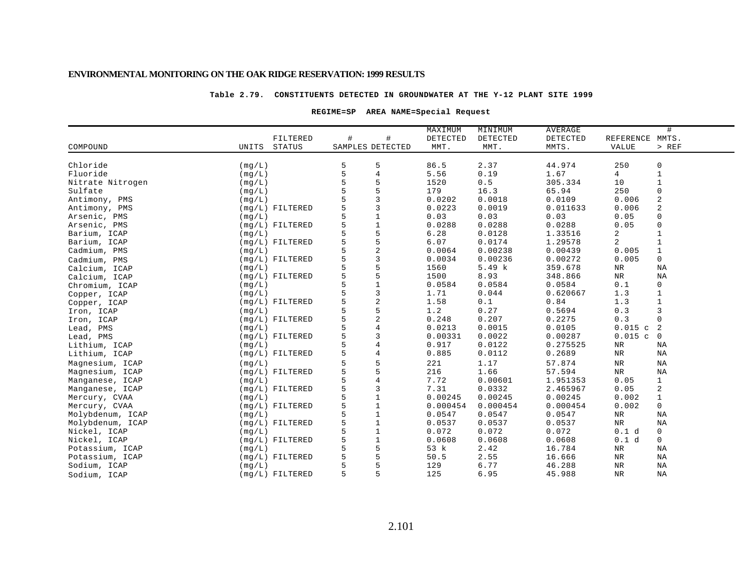#### **Table 2.79. CONSTITUENTS DETECTED IN GROUNDWATER AT THE Y-12 PLANT SITE 1999**

### **REGIME=SP AREA NAME=Special Request**

|                  |        |                   |   |                  | MAXIMUM  | MINIMUM      | AVERAGE  |                 | #                 |
|------------------|--------|-------------------|---|------------------|----------|--------------|----------|-----------------|-------------------|
|                  |        | FILTERED          | # | #                | DETECTED | DETECTED     | DETECTED | REFERENCE MMTS. |                   |
| COMPOUND         | UNITS  | <b>STATUS</b>     |   | SAMPLES DETECTED | MMT.     | MMT.         | MMTS.    | VALUE           | $>$ REF           |
| Chloride         |        |                   |   | 5                | 86.5     |              | 44.974   | 250             |                   |
| Fluoride         | (mg/L) |                   | 5 | $\overline{4}$   |          | 2.37<br>0.19 |          | 4               | 0                 |
|                  | (mq/L) |                   | 5 | 5                | 5.56     |              | 1.67     | 10              | $\mathbf{1}$      |
| Nitrate Nitrogen | (mq/L) |                   |   |                  | 1520     | 0.5          | 305.334  |                 | $\mathbf{1}$<br>0 |
| Sulfate          | (mq/L) |                   |   | 5<br>3           | 179      | 16.3         | 65.94    | 250             |                   |
| Antimony, PMS    | (mg/L) |                   |   |                  | 0.0202   | 0.0018       | 0.0109   | 0.006           | 2                 |
| Antimony, PMS    |        | $(mq/L)$ FILTERED |   | 3                | 0.0223   | 0.0019       | 0.011633 | 0.006           | 2                 |
| Arsenic, PMS     | (mq/L) |                   |   | $\mathbf{1}$     | 0.03     | 0.03         | 0.03     | 0.05            | 0                 |
| Arsenic, PMS     |        | $(mg/L)$ FILTERED | 5 | $\mathbf 1$      | 0.0288   | 0.0288       | 0.0288   | 0.05            | 0                 |
| Barium, ICAP     | (mq/L) |                   | 5 | 5                | 6.28     | 0.0128       | 1.33516  | 2               | $1\,$             |
| Barium, ICAP     |        | $(mq/L)$ FILTERED | 5 | 5                | 6.07     | 0.0174       | 1.29578  | 2               | $\mathbf{1}$      |
| Cadmium, PMS     | (mq/L) |                   |   | $\sqrt{2}$       | 0.0064   | 0.00238      | 0.00439  | 0.005           | $\mathbf 1$       |
| Cadmium, PMS     |        | (mg/L) FILTERED   | 5 | 3                | 0.0034   | 0.00236      | 0.00272  | 0.005           | $\mathbf{0}$      |
| Calcium, ICAP    | (mg/L) |                   |   | 5                | 1560     | 5.49 k       | 359.678  | NR              | ΝA                |
| Calcium, ICAP    |        | $(mq/L)$ FILTERED |   | 5                | 1500     | 8.93         | 348.866  | ${\tt NR}$      | NA                |
| Chromium, ICAP   | (mq/L) |                   |   | $\mathbf{1}$     | 0.0584   | 0.0584       | 0.0584   | 0.1             | 0                 |
| Copper, ICAP     | (mq/L) |                   |   | 3                | 1.71     | 0.044        | 0.620667 | 1.3             | 1                 |
| Copper, ICAP     |        | $(mg/L)$ FILTERED | 5 | 2                | 1.58     | 0.1          | 0.84     | 1.3             | $\mathbf 1$       |
| Iron, ICAP       | (mq/L) |                   |   | 5                | 1.2      | 0.27         | 0.5694   | 0.3             | 3                 |
| Iron, ICAP       |        | $(mq/L)$ FILTERED | 5 | $\sqrt{2}$       | 0.248    | 0.207        | 0.2275   | 0.3             | $\mathbf 0$       |
| Lead, PMS        | (mq/L) |                   |   | $\overline{4}$   | 0.0213   | 0.0015       | 0.0105   | 0.015c          | -2                |
| Lead, PMS        |        | $(mq/L)$ FILTERED |   | 3                | 0.00331  | 0.0022       | 0.00287  | 0.015c          | 0                 |
| Lithium, ICAP    | (mq/L) |                   |   | $\overline{4}$   | 0.917    | 0.0122       | 0.275525 | $\rm{NR}$       | ΝA                |
| Lithium, ICAP    |        | $(mq/L)$ FILTERED | 5 | 4                | 0.885    | 0.0112       | 0.2689   | <b>NR</b>       | NA                |
| Magnesium, ICAP  | (mq/L) |                   | 5 | 5                | 221      | 1.17         | 57.874   | <b>NR</b>       | NA                |
| Magnesium, ICAP  |        | $(mq/L)$ FILTERED |   | 5                | 216      | 1.66         | 57.594   | $\rm{NR}$       | NA                |
| Manganese, ICAP  | (mq/L) |                   |   | $\overline{4}$   | 7.72     | 0.00601      | 1.951353 | 0.05            | $\mathbf{1}$      |
| Manganese, ICAP  |        | $(mq/L)$ FILTERED |   | 3                | 7.31     | 0.0332       | 2.465967 | 0.05            | 2                 |
| Mercury, CVAA    | (mq/L) |                   | 5 | $\mathbf{1}$     | 0.00245  | 0.00245      | 0.00245  | 0.002           | $\mathbf 1$       |
| Mercury, CVAA    |        | $(mg/L)$ FILTERED | 5 | $1\,$            | 0.000454 | 0.000454     | 0.000454 | 0.002           | 0                 |
| Molybdenum, ICAP | (mq/L) |                   | 5 | $\,1\,$          | 0.0547   | 0.0547       | 0.0547   | $\rm{NR}$       | NA                |
| Molybdenum, ICAP |        | $(mq/L)$ FILTERED | 5 | $\mathbf{1}$     | 0.0537   | 0.0537       | 0.0537   | ${\tt NR}$      | NA                |
| Nickel, ICAP     | (mq/L) |                   | 5 | $1\,$            | 0.072    | 0.072        | 0.072    | 0.1 d           | 0                 |
| Nickel, ICAP     |        | $(mg/L)$ FILTERED | 5 | $1\,$            | 0.0608   | 0.0608       | 0.0608   | 0.1 d           | 0                 |
| Potassium, ICAP  | (mq/L) |                   | 5 | 5                | 53 k     | 2.42         | 16.784   | <b>NR</b>       | ΝA                |
| Potassium, ICAP  |        | $(mq/L)$ FILTERED | 5 | 5                | 50.5     | 2.55         | 16.666   | <b>NR</b>       | NA                |
| Sodium, ICAP     | (mq/L) |                   |   | 5                | 129      | 6.77         | 46.288   | <b>NR</b>       | NA                |
| Sodium, ICAP     |        | $(mq/L)$ FILTERED |   | 5                | 125      | 6.95         | 45.988   | NR              | ΝA                |
|                  |        |                   |   |                  |          |              |          |                 |                   |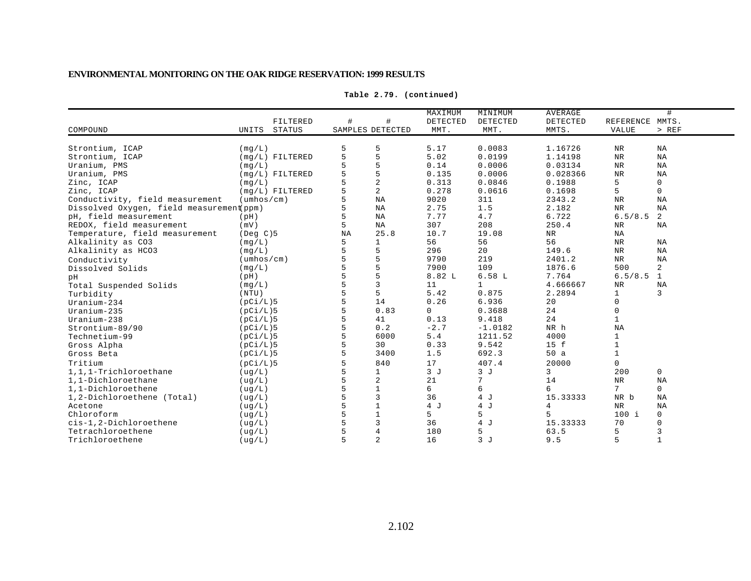|                                          |                            |    |                  | MAXIMUM         | MINIMUM      | <b>AVERAGE</b> |                 | #            |
|------------------------------------------|----------------------------|----|------------------|-----------------|--------------|----------------|-----------------|--------------|
|                                          | FILTERED                   | #  | #                | <b>DETECTED</b> | DETECTED     | DETECTED       | REFERENCE MMTS. |              |
| COMPOUND                                 | UNITS<br>STATUS            |    | SAMPLES DETECTED | MMT.            | MMT.         | MMTS.          | VALUE           | > REF        |
|                                          |                            |    |                  |                 |              |                |                 |              |
| Strontium, ICAP                          | (mq/L)                     |    | 5                | 5.17            | 0.0083       | 1.16726        | NR              | NA           |
| Strontium, ICAP                          | $(mq/L)$ FILTERED          | 5  | 5                | 5.02            | 0.0199       | 1.14198        | <b>NR</b>       | NA           |
| Uranium, PMS                             | (mq/L)                     |    | 5                | 0.14            | 0.0006       | 0.03134        | NR              | NA           |
| Uranium, PMS                             | $(mq/L)$ FILTERED          |    | 5                | 0.135           | 0.0006       | 0.028366       | <b>NR</b>       | NA           |
| Zinc, ICAP                               | (mq/L)                     |    | $\overline{a}$   | 0.313           | 0.0846       | 0.1988         | 5               | 0            |
| Zinc, ICAP                               | $(mq/L)$ FILTERED          |    | 2                | 0.278           | 0.0616       | 0.1698         | 5               | $\mathsf{O}$ |
| Conductivity, field measurement          | $(\text{umbos}/\text{cm})$ |    | <b>NA</b>        | 9020            | 311          | 2343.2         | <b>NR</b>       | NA           |
| Dissolved Oxygen, field measurement(ppm) |                            |    | NA               | 2.75            | 1.5          | 2.182          | <b>NR</b>       | NA           |
| pH, field measurement                    | (pH)                       |    | NA               | 7.77            | 4.7          | 6.722          | 6.5/8.5         | 2            |
| REDOX, field measurement                 | (mV)                       | 5  | NA               | 307             | 208          | 250.4          | NR              | NA           |
| Temperature, field measurement           | $($ Deg $C$ $)$ 5          | NA | 25.8             | 10.7            | 19.08        | NR             | NA              |              |
| Alkalinity as CO3                        | (mq/L)                     | 5  | $\mathbf{1}$     | 56              | 56           | 56             | <b>NR</b>       | NA           |
| Alkalinity as HCO3                       | (mq/L)                     |    | 5                | 296             | 20           | 149.6          | <b>NR</b>       | NA           |
| Conductivity                             | $(\text{umbos}/\text{cm})$ |    | 5                | 9790            | 219          | 2401.2         | NR              | NA           |
| Dissolved Solids                         | (mq/L)                     |    | 5                | 7900            | 109          | 1876.6         | 500             | 2            |
| pН                                       | (pH)                       |    | 5                | 8.82 L          | 6.58L        | 7.764          | 6.5/8.5         | 1            |
| Total Suspended Solids                   | (mq/L)                     |    | $\overline{3}$   | 11              | $\mathbf{1}$ | 4.666667       | NR              | NA           |
| Turbidity                                | (NTU)                      |    | 5                | 5.42            | 0.875        | 2.2894         | 1               | 3            |
| $Uranium-234$                            | (pCi/L)5                   |    | 14               | 0.26            | 6.936        | 20             | $\mathbf 0$     |              |
| Uranium-235                              | (pCi/L)5                   |    | 0.83             | $\mathbf 0$     | 0.3688       | 24             | 0               |              |
| $Uranium-238$                            | (pCi/L)5                   |    | 41               | 0.13            | 9.418        | 24             |                 |              |
| Strontium-89/90                          | (pCi/L)5                   |    | 0.2              | $-2.7$          | $-1.0182$    | NR h           | NA              |              |
| Technetium-99                            | (pCi/L)5                   |    | 6000             | $5.4$           | 1211.52      | 4000           | $\mathbf{1}$    |              |
| Gross Alpha                              | (pCi/L)5                   |    | 30               | 0.33            | 9.542        | 15 f           |                 |              |
| Gross Beta                               | (pCi/L)5                   |    | 3400             | 1.5             | 692.3        | 50a            |                 |              |
| Tritium                                  | (pCi/L)5                   |    | 840              | 17              | 407.4        | 20000          | 0               |              |
| 1,1,1-Trichloroethane                    | (ug/L)                     |    | $\mathbf{1}$     | 3J              | 3J           | 3              | 200             | $\mathsf{O}$ |
| 1,1-Dichloroethane                       | (ug/L)                     |    | $\overline{c}$   | 21              | 7            | 14             | $_{\rm NR}$     | NA           |
| 1,1-Dichloroethene                       | ( uq/L)                    |    | $\mathbf{1}$     | 6               | 6            | 6              | 7               | $\mathbf 0$  |
| 1,2-Dichloroethene (Total)               | ( uq/L)                    |    | 3                | 36              | 4 J          | 15.33333       | NR b            | NA           |
| Acetone                                  | ( uq/L)                    |    | $\mathbf{1}$     | 4 J             | 4 J          | 4              | <b>NR</b>       | NA           |
| Chloroform                               | ( uq/L)                    |    | $1\,$            | 5               | 5            | 5              | $100$ i         | 0            |
| cis-1,2-Dichloroethene                   | ( uq/L )                   |    | 3                | 36              | 4 J          | 15.33333       | 70              | 0            |
| Tetrachloroethene                        | ( uq/L)                    |    | $\overline{4}$   | 180             | 5            | 63.5           | 5               |              |
| Trichloroethene                          | ( uq/L)                    | 5  | $\overline{c}$   | 16              | 3J           | 9.5            | 5               | $\mathbf{1}$ |

**Table 2.79. (continued)**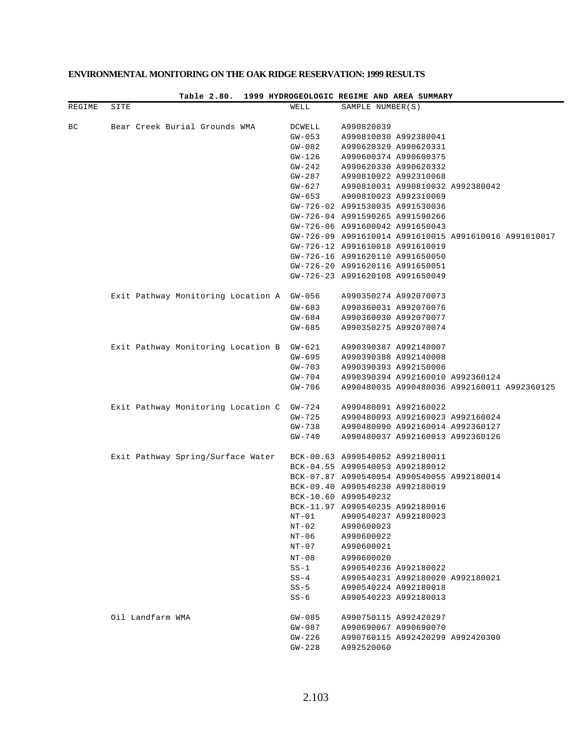|        |      |                  | Table 2.80.                               |                      |                  | 1999 HYDROGEOLOGIC REGIME AND AREA SUMMARY            |  |
|--------|------|------------------|-------------------------------------------|----------------------|------------------|-------------------------------------------------------|--|
| REGIME | SITE |                  |                                           | WELL                 | SAMPLE NUMBER(S) |                                                       |  |
|        |      |                  |                                           |                      |                  |                                                       |  |
| ВC     |      |                  | Bear Creek Burial Grounds WMA             | DCWELL               | A990820039       |                                                       |  |
|        |      |                  |                                           | $GW-053$<br>$GW-082$ |                  | A990810030 A992380041<br>A990620329 A990620331        |  |
|        |      |                  |                                           | GW-126               |                  | A990600374 A990600375                                 |  |
|        |      |                  |                                           | GW-242               |                  | A990620330 A990620332                                 |  |
|        |      |                  |                                           | GW-287               |                  | A990810022 A992310068                                 |  |
|        |      |                  |                                           | GW-627               |                  | A990810031 A990810032 A992380042                      |  |
|        |      |                  |                                           | GW-653               |                  | A990810023 A992310069                                 |  |
|        |      |                  |                                           |                      |                  | GW-726-02 A991530035 A991530036                       |  |
|        |      |                  |                                           |                      |                  | GW-726-04 A991590265 A991590266                       |  |
|        |      |                  |                                           |                      |                  | GW-726-06 A991600042 A991650043                       |  |
|        |      |                  |                                           |                      |                  | GW-726-09 A991610014 A991610015 A991610016 A991610017 |  |
|        |      |                  |                                           |                      |                  | GW-726-12 A991610018 A991610019                       |  |
|        |      |                  |                                           |                      |                  | GW-726-16 A991620110 A991650050                       |  |
|        |      |                  |                                           |                      |                  | GW-726-20 A991620116 A991650051                       |  |
|        |      |                  |                                           |                      |                  | GW-726-23 A991620108 A991650049                       |  |
|        |      |                  |                                           |                      |                  |                                                       |  |
|        |      |                  | Exit Pathway Monitoring Location A GW-056 |                      |                  | A990350274 A992070073                                 |  |
|        |      |                  |                                           | $GW - 683$           |                  | A990360031 A992070076                                 |  |
|        |      |                  |                                           | GW-684               |                  | A990360030 A992070077                                 |  |
|        |      |                  |                                           | $GW - 685$           |                  | A990350275 A992070074                                 |  |
|        |      |                  |                                           |                      |                  |                                                       |  |
|        |      |                  | Exit Pathway Monitoring Location B        | GW-621               |                  | A990390387 A992140007                                 |  |
|        |      |                  |                                           | GW-695               |                  | A990390388 A992140008                                 |  |
|        |      |                  |                                           | GW-703               |                  | A990390393 A992150006                                 |  |
|        |      |                  |                                           | GW-704               |                  | A990390394 A992160010 A992360124                      |  |
|        |      |                  |                                           | GW-706               |                  | A990480035 A990480036 A992160011 A992360125           |  |
|        |      |                  | Exit Pathway Monitoring Location C        | GW-724               |                  | A990480091 A992160022                                 |  |
|        |      |                  |                                           | GW-725               |                  | A990480093 A992160023 A992160024                      |  |
|        |      |                  |                                           | GW-738               |                  | A990480090 A992160014 A992360127                      |  |
|        |      |                  |                                           | $GW-740$             |                  | A990480037 A992160013 A992360126                      |  |
|        |      |                  |                                           |                      |                  |                                                       |  |
|        |      |                  | Exit Pathway Spring/Surface Water         |                      |                  | BCK-00.63 A990540052 A992180011                       |  |
|        |      |                  |                                           |                      |                  | BCK-04.55 A990540053 A992180012                       |  |
|        |      |                  |                                           |                      |                  | BCK-07.87 A990540054 A990540055 A992180014            |  |
|        |      |                  |                                           |                      |                  | BCK-09.40 A990540230 A992180019                       |  |
|        |      |                  |                                           | BCK-10.60 A990540232 |                  |                                                       |  |
|        |      |                  |                                           |                      |                  | BCK-11.97 A990540235 A992180016                       |  |
|        |      |                  |                                           |                      |                  | NT-01 A990540237 A992180023                           |  |
|        |      |                  |                                           | NT-02                | A990600023       |                                                       |  |
|        |      |                  |                                           | NT-06                | A990600022       |                                                       |  |
|        |      |                  |                                           | NT-07                | A990600021       |                                                       |  |
|        |      |                  |                                           | $NT-08$              | A990600020       |                                                       |  |
|        |      |                  |                                           | $SS-1$               |                  | A990540236 A992180022                                 |  |
|        |      |                  |                                           | $SS-4$               |                  | A990540231 A992180020 A992180021                      |  |
|        |      |                  |                                           | $SS-5$               |                  | A990540224 A992180018                                 |  |
|        |      |                  |                                           | $SS-6$               |                  | A990540223 A992180013                                 |  |
|        |      | Oil Landfarm WMA |                                           | $GW-085$             |                  | A990750115 A992420297                                 |  |
|        |      |                  |                                           | $GW-087$             |                  | A990690067 A990690070                                 |  |
|        |      |                  |                                           | GW-226               |                  | A990760115 A992420299 A992420300                      |  |
|        |      |                  |                                           | GW-228               | A992520060       |                                                       |  |
|        |      |                  |                                           |                      |                  |                                                       |  |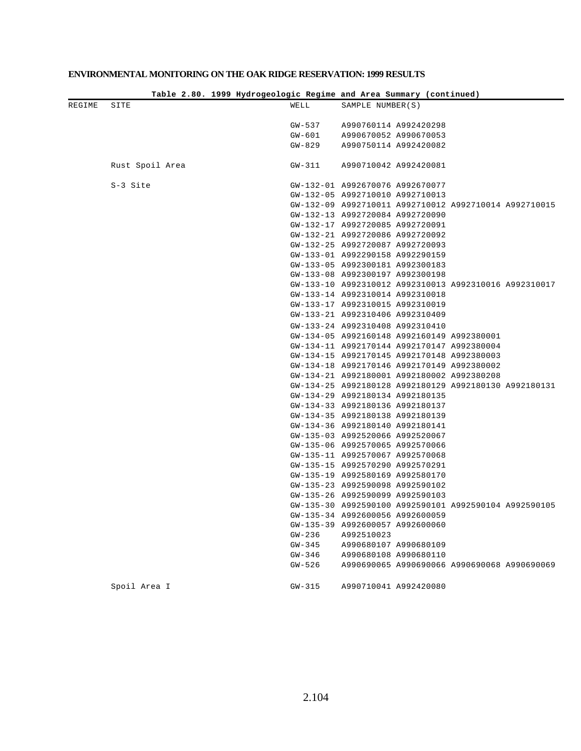|        |                 |                  | Table 2.80. 1999 Hydrogeologic Regime and Area Summary (continued)                       |
|--------|-----------------|------------------|------------------------------------------------------------------------------------------|
| REGIME | SITE            | WELL             | SAMPLE NUMBER(S)                                                                         |
|        |                 |                  |                                                                                          |
|        |                 | GW-537           | A990760114 A992420298                                                                    |
|        |                 | GW-601           | A990670052 A990670053                                                                    |
|        |                 | GW-829           | A990750114 A992420082                                                                    |
|        | Rust Spoil Area | GW-311           | A990710042 A992420081                                                                    |
|        | S-3 Site        |                  | GW-132-01 A992670076 A992670077                                                          |
|        |                 |                  | GW-132-05 A992710010 A992710013                                                          |
|        |                 |                  | GW-132-09 A992710011 A992710012 A992710014 A992710015                                    |
|        |                 |                  | GW-132-13 A992720084 A992720090                                                          |
|        |                 |                  | GW-132-17 A992720085 A992720091                                                          |
|        |                 |                  | GW-132-21 A992720086 A992720092                                                          |
|        |                 |                  | GW-132-25 A992720087 A992720093                                                          |
|        |                 |                  | GW-133-01 A992290158 A992290159                                                          |
|        |                 |                  | GW-133-05 A992300181 A992300183                                                          |
|        |                 |                  | GW-133-08 A992300197 A992300198                                                          |
|        |                 |                  | GW-133-10 A992310012 A992310013 A992310016 A992310017                                    |
|        |                 |                  | GW-133-14 A992310014 A992310018                                                          |
|        |                 |                  | GW-133-17 A992310015 A992310019                                                          |
|        |                 |                  | GW-133-21 A992310406 A992310409                                                          |
|        |                 |                  | GW-133-24 A992310408 A992310410                                                          |
|        |                 |                  | GW-134-05 A992160148 A992160149 A992380001                                               |
|        |                 |                  | GW-134-11 A992170144 A992170147 A992380004                                               |
|        |                 |                  | GW-134-15 A992170145 A992170148 A992380003                                               |
|        |                 |                  | GW-134-18 A992170146 A992170149 A992380002                                               |
|        |                 |                  | GW-134-21 A992180001 A992180002 A992380208                                               |
|        |                 |                  | GW-134-25 A992180128 A992180129 A992180130 A992180131                                    |
|        |                 |                  | GW-134-29 A992180134 A992180135                                                          |
|        |                 |                  | GW-134-33 A992180136 A992180137                                                          |
|        |                 |                  | GW-134-35 A992180138 A992180139                                                          |
|        |                 |                  | GW-134-36 A992180140 A992180141                                                          |
|        |                 |                  | GW-135-03 A992520066 A992520067                                                          |
|        |                 |                  | GW-135-06 A992570065 A992570066                                                          |
|        |                 |                  | GW-135-11 A992570067 A992570068                                                          |
|        |                 |                  | GW-135-15 A992570290 A992570291                                                          |
|        |                 |                  | GW-135-19 A992580169 A992580170                                                          |
|        |                 |                  | GW-135-23 A992590098 A992590102                                                          |
|        |                 |                  | GW-135-26 A992590099 A992590103                                                          |
|        |                 |                  | GW-135-30 A992590100 A992590101 A992590104 A992590105<br>GW-135-34 A992600056 A992600059 |
|        |                 |                  |                                                                                          |
|        |                 |                  | GW-135-39 A992600057 A992600060                                                          |
|        |                 | GW-236<br>GW-345 | A992510023<br>A990680107 A990680109                                                      |
|        |                 | GW-346           | A990680108 A990680110                                                                    |
|        |                 | GW-526           | A990690065 A990690066 A990690068 A990690069                                              |
|        |                 |                  |                                                                                          |
|        | Spoil Area I    | $GW-315$         | A990710041 A992420080                                                                    |
|        |                 |                  |                                                                                          |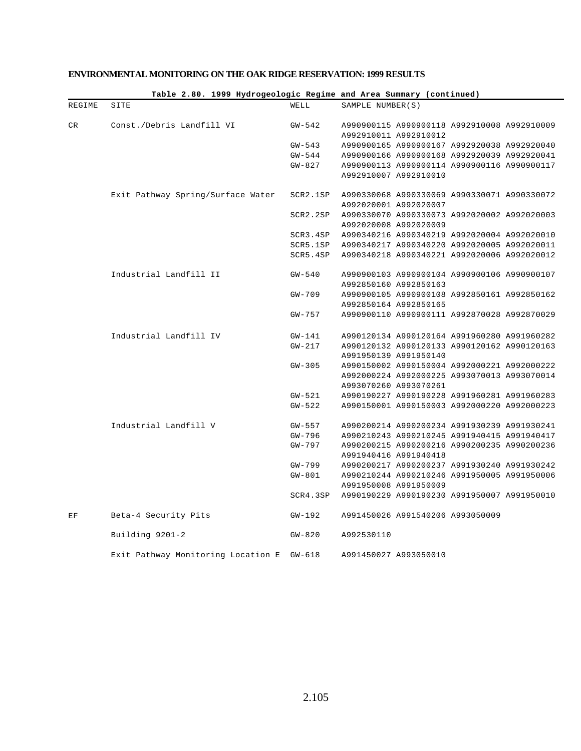|        |                                    |                    | Table 2.80. 1999 Hydrogeologic Regime and Area Summary (continued) |
|--------|------------------------------------|--------------------|--------------------------------------------------------------------|
| REGIME | SITE                               | WELL               | SAMPLE NUMBER(S)                                                   |
| CR     | Const./Debris Landfill VI          | GW-542             | A990900115 A990900118 A992910008 A992910009                        |
|        |                                    |                    | A992910011 A992910012                                              |
|        |                                    | $GW-543$           | A990900165 A990900167 A992920038 A992920040                        |
|        |                                    | $GW - 544$         | A990900166 A990900168 A992920039 A992920041                        |
|        |                                    | GW-827             | A990900113 A990900114 A990900116 A990900117                        |
|        |                                    |                    | A992910007 A992910010                                              |
|        | Exit Pathway Spring/Surface Water  |                    | SCR2.1SP A990330068 A990330069 A990330071 A990330072               |
|        |                                    |                    | A992020001 A992020007                                              |
|        |                                    | SCR2.2SP           | A990330070 A990330073 A992020002 A992020003                        |
|        |                                    |                    | A992020008 A992020009                                              |
|        |                                    |                    | SCR3.4SP A990340216 A990340219 A992020004 A992020010               |
|        |                                    |                    | SCR5.1SP A990340217 A990340220 A992020005 A992020011               |
|        |                                    | SCR5.4SP           | A990340218 A990340221 A992020006 A992020012                        |
|        | Industrial Landfill II             | $GW-540$           | A990900103 A990900104 A990900106 A990900107                        |
|        |                                    |                    | A992850160 A992850163                                              |
|        |                                    | $GW-709$           | A990900105 A990900108 A992850161 A992850162                        |
|        |                                    |                    | A992850164 A992850165                                              |
|        |                                    | GW-757             | A990900110 A990900111 A992870028 A992870029                        |
|        | Industrial Landfill IV             |                    | A990120134 A990120164 A991960280 A991960282                        |
|        |                                    | GW-141<br>$GW-217$ | A990120132 A990120133 A990120162 A990120163                        |
|        |                                    |                    | A991950139 A991950140                                              |
|        |                                    | $GW-305$           | A990150002 A990150004 A992000221 A992000222                        |
|        |                                    |                    | A992000224 A992000225 A993070013 A993070014                        |
|        |                                    |                    | A993070260 A993070261                                              |
|        |                                    | GW-521             | A990190227 A990190228 A991960281 A991960283                        |
|        |                                    | GW-522             | A990150001 A990150003 A992000220 A992000223                        |
|        |                                    |                    |                                                                    |
|        | Industrial Landfill V              | GW-557             | A990200214 A990200234 A991930239 A991930241                        |
|        |                                    | GW-796             | A990210243 A990210245 A991940415 A991940417                        |
|        |                                    | GW-797             | A990200215 A990200216 A990200235 A990200236                        |
|        |                                    |                    | A991940416 A991940418                                              |
|        |                                    | GW-799             | A990200217 A990200237 A991930240 A991930242                        |
|        |                                    | $GW-801$           | A990210244 A990210246 A991950005 A991950006                        |
|        |                                    |                    | A991950008 A991950009                                              |
|        |                                    |                    | SCR4.3SP A990190229 A990190230 A991950007 A991950010               |
| ΕF     | Beta-4 Security Pits               | GW-192             | A991450026 A991540206 A993050009                                   |
|        | Building 9201-2                    | $GW - 820$         | A992530110                                                         |
|        | Exit Pathway Monitoring Location E | $GW-618$           | A991450027 A993050010                                              |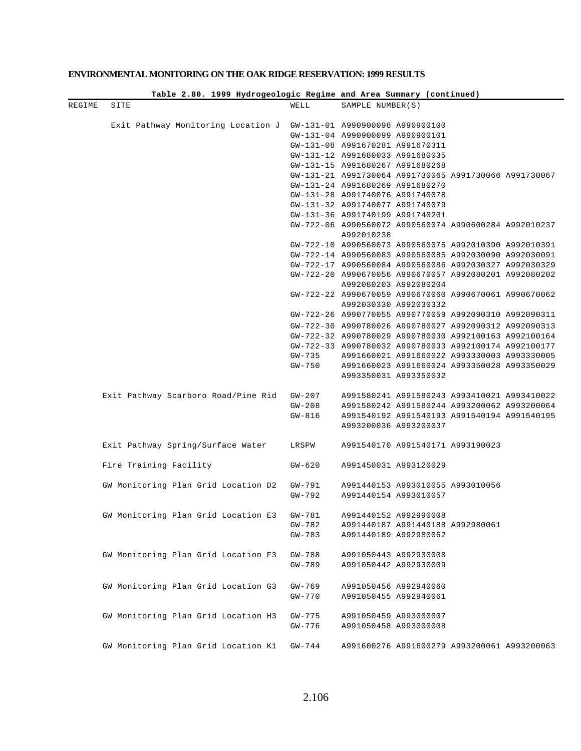|        |                                     |                      | Table 2.80. 1999 Hydrogeologic Regime and Area Summary (continued)                                             |
|--------|-------------------------------------|----------------------|----------------------------------------------------------------------------------------------------------------|
| REGIME | SITE                                | WELL                 | SAMPLE NUMBER(S)                                                                                               |
|        |                                     |                      |                                                                                                                |
|        | Exit Pathway Monitoring Location J  |                      | GW-131-01 A990900098 A990900100<br>GW-131-04 A990900099 A990900101                                             |
|        |                                     |                      | GW-131-08 A991670281 A991670311                                                                                |
|        |                                     |                      | GW-131-12 A991680033 A991680035                                                                                |
|        |                                     |                      | GW-131-15 A991680267 A991680268                                                                                |
|        |                                     |                      | GW-131-21 A991730064 A991730065 A991730066 A991730067                                                          |
|        |                                     |                      | GW-131-24 A991680269 A991680270                                                                                |
|        |                                     |                      | GW-131-28 A991740076 A991740078                                                                                |
|        |                                     |                      | GW-131-32 A991740077 A991740079                                                                                |
|        |                                     |                      | GW-131-36 A991740199 A991740201                                                                                |
|        |                                     |                      | GW-722-06 A990560072 A990560074 A990600284 A992010237                                                          |
|        |                                     |                      | A992010238                                                                                                     |
|        |                                     |                      | GW-722-10 A990560073 A990560075 A992010390 A992010391                                                          |
|        |                                     |                      | GW-722-14 A990560083 A990560085 A992030090 A992030091                                                          |
|        |                                     |                      | GW-722-17 A990560084 A990560086 A992030327 A992030329                                                          |
|        |                                     |                      | GW-722-20 A990670056 A990670057 A992080201 A992080202                                                          |
|        |                                     |                      | A992080203 A992080204                                                                                          |
|        |                                     |                      | GW-722-22 A990670059 A990670060 A990670061 A990670062                                                          |
|        |                                     |                      | A992030330 A992030332<br>GW-722-26 A990770055 A990770059 A992090310 A992090311                                 |
|        |                                     |                      |                                                                                                                |
|        |                                     |                      | GW-722-30 A990780026 A990780027 A992090312 A992090313<br>GW-722-32 A990780029 A990780030 A992100163 A992100164 |
|        |                                     |                      | GW-722-33 A990780032 A990780033 A992100174 A992100177                                                          |
|        |                                     | GW-735               | A991660021 A991660022 A993330003 A993330005                                                                    |
|        |                                     | GW-750               | A991660023 A991660024 A993350028 A993350029                                                                    |
|        |                                     |                      | A993350031 A993350032                                                                                          |
|        |                                     |                      |                                                                                                                |
|        | Exit Pathway Scarboro Road/Pine Rid | GW-207<br>$GW-208$   | A991580241 A991580243 A993410021 A993410022<br>A991580242 A991580244 A993200062 A993200064                     |
|        |                                     | $GW-816$             | A991540192 A991540193 A991540194 A991540195                                                                    |
|        |                                     |                      | A993200036 A993200037                                                                                          |
|        |                                     |                      |                                                                                                                |
|        | Exit Pathway Spring/Surface Water   | LRSPW                | A991540170 A991540171 A993190023                                                                               |
|        | Fire Training Facility              | $GW - 620$           | A991450031 A993120029                                                                                          |
|        |                                     |                      |                                                                                                                |
|        | GW Monitoring Plan Grid Location D2 | GW-791               | A991440153 A993010055 A993010056                                                                               |
|        |                                     | GW-792               | A991440154 A993010057                                                                                          |
|        | GW Monitoring Plan Grid Location E3 | $GW - 781$           | A991440152 A992990008                                                                                          |
|        |                                     | $GW - 782$           | A991440187 A991440188 A992980061                                                                               |
|        |                                     | $GW - 783$           | A991440189 A992980062                                                                                          |
|        | GW Monitoring Plan Grid Location F3 | $GW-788$             | A991050443 A992930008                                                                                          |
|        |                                     | $GW - 789$           | A991050442 A992930009                                                                                          |
|        |                                     |                      |                                                                                                                |
|        | GW Monitoring Plan Grid Location G3 | $GW-769$             | A991050456 A992940060                                                                                          |
|        |                                     | $GW - 770$           | A991050455 A992940061                                                                                          |
|        | GW Monitoring Plan Grid Location H3 |                      |                                                                                                                |
|        |                                     | $GW-775$<br>$GW-776$ | A991050459 A993000007<br>A991050458 A993000008                                                                 |
|        |                                     |                      |                                                                                                                |
|        | GW Monitoring Plan Grid Location K1 | $GW-744$             | A991600276 A991600279 A993200061 A993200063                                                                    |
|        |                                     |                      |                                                                                                                |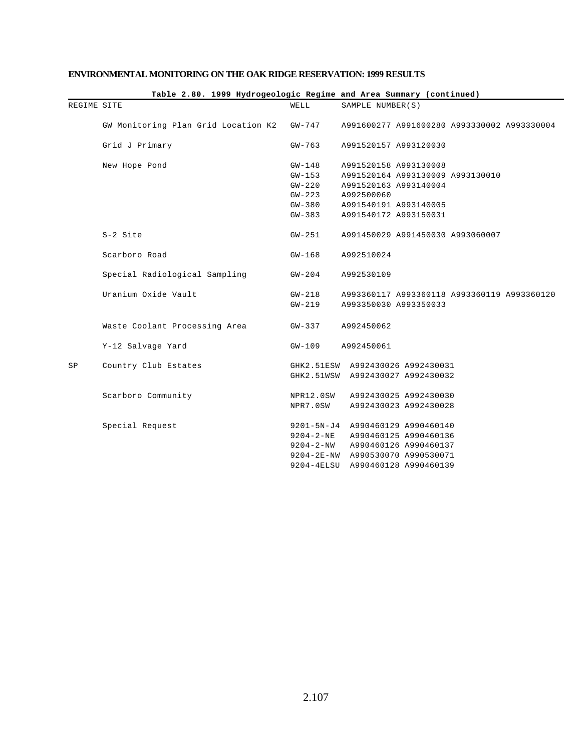|             |                                     |                 | Table 2.80. 1999 Hydrogeologic Regime and Area Summary (continued) |
|-------------|-------------------------------------|-----------------|--------------------------------------------------------------------|
| REGIME SITE |                                     | WELL            | SAMPLE NUMBER(S)                                                   |
|             | GW Monitoring Plan Grid Location K2 | GW-747          | A991600277 A991600280 A993330002 A993330004                        |
|             | Grid J Primary                      | $GW-763$        | A991520157 A993120030                                              |
|             | New Hope Pond                       | $GW-148$        | A991520158 A993130008                                              |
|             |                                     | $GW-153$        | A991520164 A993130009 A993130010                                   |
|             |                                     | $GW-220$        | A991520163 A993140004                                              |
|             |                                     | $GW-223$        | A992500060                                                         |
|             |                                     | $GW-380$        | A991540191 A993140005                                              |
|             |                                     | $GW - 383$      | A991540172 A993150031                                              |
|             | S-2 Site                            | $GW-251$        | A991450029 A991450030 A993060007                                   |
|             | Scarboro Road                       | $GW-168$        | A992510024                                                         |
|             | Special Radiological Sampling       | $GW-204$        | A992530109                                                         |
|             | Uranium Oxide Vault                 | $GW-218$        | A993360117 A993360118 A993360119 A993360120                        |
|             |                                     | $GW-219$        | A993350030 A993350033                                              |
|             | Waste Coolant Processing Area       | $GW-337$        | A992450062                                                         |
|             | Y-12 Salvage Yard                   | $GW-109$        | A992450061                                                         |
| SP          | Country Club Estates                |                 | GHK2.51ESW A992430026 A992430031                                   |
|             |                                     |                 | GHK2.51WSW A992430027 A992430032                                   |
|             | Scarboro Community                  | NPR12.0SW       | A992430025 A992430030                                              |
|             |                                     | NPR7.0SW        | A992430023 A992430028                                              |
|             | Special Request                     |                 | 9201-5N-J4 A990460129 A990460140                                   |
|             |                                     |                 | 9204-2-NE A990460125 A990460136                                    |
|             |                                     | $9204 - 2 - NW$ | A990460126 A990460137                                              |
|             |                                     |                 | 9204-2E-NW A990530070 A990530071                                   |
|             |                                     |                 | 9204-4ELSU A990460128 A990460139                                   |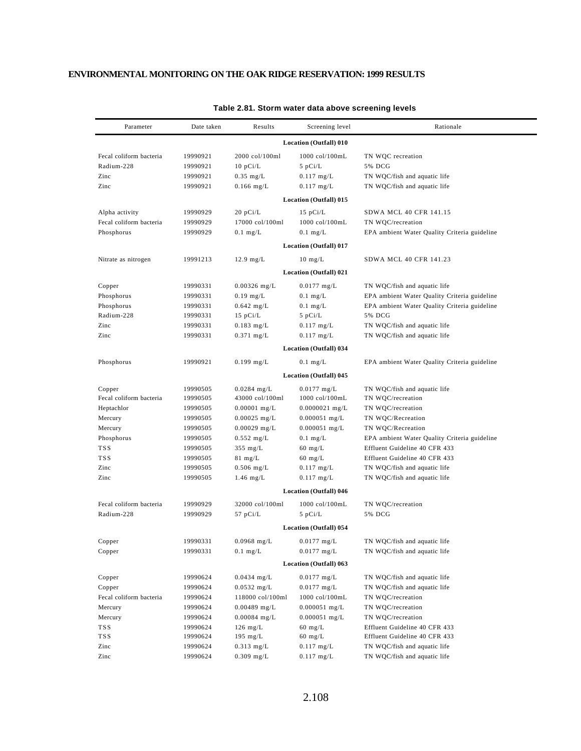| Parameter               | Date taken | Results           | Screening level               | Rationale                                    |
|-------------------------|------------|-------------------|-------------------------------|----------------------------------------------|
|                         |            |                   | Location (Outfall) 010        |                                              |
| Fecal coliform bacteria | 19990921   | 2000 col/100ml    | 1000 col/100mL                | TN WQC recreation                            |
| Radium-228              | 19990921   | $10$ pCi/L        | $5$ pCi/L                     | 5% DCG                                       |
| Zinc                    | 19990921   | $0.35$ mg/L       | $0.117$ mg/L                  | TN WQC/fish and aquatic life                 |
| Zinc                    | 19990921   | $0.166$ mg/L      | $0.117$ mg/L                  | TN WQC/fish and aquatic life                 |
|                         |            |                   | Location (Outfall) 015        |                                              |
| Alpha activity          | 19990929   | $20$ pCi/L        | $15$ pCi/L                    | SDWA MCL 40 CFR 141.15                       |
| Fecal coliform bacteria | 19990929   | 17000 col/100ml   | 1000 col/100mL                | TN WQC/recreation                            |
| Phosphorus              | 19990929   | $0.1$ mg/L        | $0.1$ mg/L                    | EPA ambient Water Quality Criteria guideline |
|                         |            |                   | <b>Location (Outfall) 017</b> |                                              |
| Nitrate as nitrogen     | 19991213   | $12.9$ mg/L       | $10 \; mg/L$                  | SDWA MCL 40 CFR 141.23                       |
|                         |            |                   | Location (Outfall) 021        |                                              |
| Copper                  | 19990331   | $0.00326$ mg/L    | $0.0177$ mg/L                 | TN WQC/fish and aquatic life                 |
| Phosphorus              | 19990331   | $0.19$ mg/L       | $0.1$ mg/L                    | EPA ambient Water Quality Criteria guideline |
| Phosphorus              | 19990331   | $0.642$ mg/L      | $0.1$ mg/L                    | EPA ambient Water Quality Criteria guideline |
| Radium-228              | 19990331   | $15$ pCi/L        | $5$ pCi/L                     | 5% DCG                                       |
| Zinc                    | 19990331   | $0.183$ mg/L      | $0.117$ mg/L                  | TN WQC/fish and aquatic life                 |
| Zinc                    | 19990331   | $0.371$ mg/L      | $0.117$ mg/L                  | TN WQC/fish and aquatic life                 |
|                         |            |                   | <b>Location (Outfall) 034</b> |                                              |
| Phosphorus              | 19990921   | $0.199$ mg/L      | $0.1$ mg/L                    | EPA ambient Water Quality Criteria guideline |
|                         |            |                   | Location (Outfall) 045        |                                              |
| Copper                  | 19990505   | $0.0284$ mg/L     | $0.0177$ mg/L                 | TN WQC/fish and aquatic life                 |
| Fecal coliform bacteria | 19990505   | 43000 col/100ml   | $1000$ col/ $100mL$           | TN WQC/recreation                            |
| Heptachlor              | 19990505   | $0.00001$ mg/L    | $0.0000021$ mg/L              | TN WQC/recreation                            |
| Mercury                 | 19990505   | $0.00025$ mg/L    | $0.000051$ mg/L               | TN WQC/Recreation                            |
| Mercury                 | 19990505   | $0.00029$ mg/L    | $0.000051$ mg/L               | TN WQC/Recreation                            |
| Phosphorus              | 19990505   | $0.552$ mg/L      | $0.1$ mg/L                    | EPA ambient Water Quality Criteria guideline |
| <b>TSS</b>              | 19990505   | $355$ mg/L        | $60$ mg/L                     | Effluent Guideline 40 CFR 433                |
| <b>TSS</b>              | 19990505   | $81 \text{ mg/L}$ | $60$ mg/L                     | Effluent Guideline 40 CFR 433                |
| Zinc                    | 19990505   | $0.506$ mg/L      | $0.117$ mg/L                  | TN WQC/fish and aquatic life                 |
| Zinc                    | 19990505   | $1.46$ mg/L       | $0.117$ mg/L                  | TN WQC/fish and aquatic life                 |
|                         |            |                   | <b>Location (Outfall) 046</b> |                                              |
| Fecal coliform bacteria | 19990929   | 32000 col/100ml   | 1000 col/100mL                | TN WQC/recreation                            |
| Radium-228              | 19990929   | $57$ pCi/L        | $5$ pCi/L                     | 5% DCG                                       |
|                         |            |                   | Location (Outfall) 054        |                                              |
| Copper                  | 19990331   | $0.0968$ mg/L     | $0.0177$ mg/L                 | TN WQC/fish and aquatic life                 |
| Copper                  | 19990331   | $0.1$ mg/L        | $0.0177$ mg/L                 | TN WQC/fish and aquatic life                 |
|                         |            |                   | Location (Outfall) 063        |                                              |
| Copper                  | 19990624   | $0.0434$ mg/L     | $0.0177$ mg/L                 | TN WQC/fish and aquatic life                 |
| Copper                  | 19990624   | $0.0532$ mg/L     | $0.0177$ mg/L                 | TN WOC/fish and aquatic life                 |
| Fecal coliform bacteria | 19990624   | 118000 col/100ml  | 1000 col/100mL                | TN WOC/recreation                            |
| Mercury                 | 19990624   | $0.00489$ mg/L    | $0.000051$ mg/L               | TN WQC/recreation                            |
| Mercury                 | 19990624   | $0.00084$ mg/L    | $0.000051$ mg/L               | TN WQC/recreation                            |
| <b>TSS</b>              | 19990624   | $126$ mg/L        | $60 \text{ mg/L}$             | Effluent Guideline 40 CFR 433                |
| <b>TSS</b>              | 19990624   | $195$ mg/L        | $60 \text{ mg/L}$             | Effluent Guideline 40 CFR 433                |
| Zinc                    | 19990624   | $0.313$ mg/L      | $0.117$ mg/L                  | TN WQC/fish and aquatic life                 |
| Zinc                    | 19990624   | $0.309$ mg/L      | $0.117$ mg/L                  | TN WQC/fish and aquatic life                 |

# **Table 2.81. Storm water data above screening levels**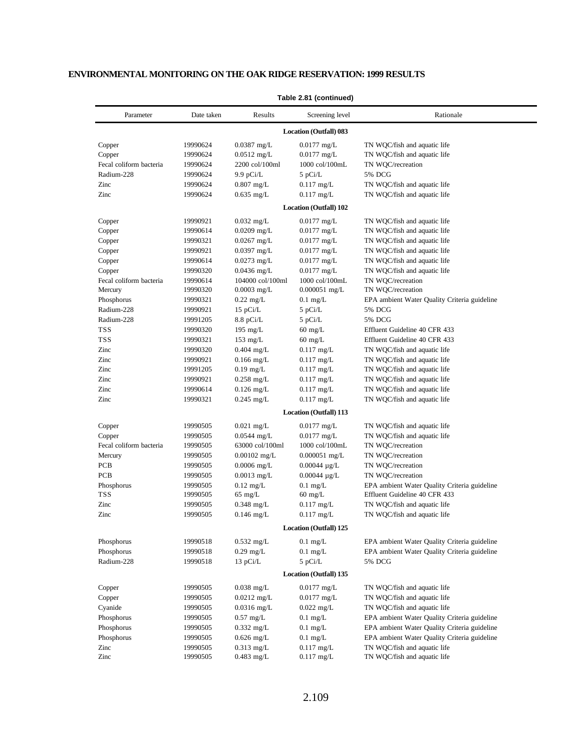| Parameter               | Date taken | Results            | Screening level               | Rationale                                    |
|-------------------------|------------|--------------------|-------------------------------|----------------------------------------------|
|                         |            |                    | <b>Location (Outfall) 083</b> |                                              |
| Copper                  | 19990624   | $0.0387$ mg/L      | $0.0177$ mg/L                 | TN WQC/fish and aquatic life                 |
| Copper                  | 19990624   | $0.0512$ mg/L      | $0.0177$ mg/L                 | TN WQC/fish and aquatic life                 |
| Fecal coliform bacteria | 19990624   | 2200 col/100ml     | 1000 col/100mL                | TN WQC/recreation                            |
| Radium-228              | 19990624   | $9.9$ pCi/L        | 5 pCi/L                       | 5% DCG                                       |
| Zinc                    | 19990624   | $0.807$ mg/L       | $0.117$ mg/L                  | TN WQC/fish and aquatic life                 |
| Zinc                    | 19990624   | $0.635$ mg/L       | $0.117$ mg/L                  | TN WQC/fish and aquatic life                 |
|                         |            |                    | <b>Location (Outfall) 102</b> |                                              |
| Copper                  | 19990921   | $0.032$ mg/L       | $0.0177$ mg/L                 | TN WQC/fish and aquatic life                 |
| Copper                  | 19990614   | $0.0209$ mg/L      | $0.0177$ mg/L                 | TN WQC/fish and aquatic life                 |
| Copper                  | 19990321   | $0.0267$ mg/L      | $0.0177$ mg/L                 | TN WQC/fish and aquatic life                 |
| Copper                  | 19990921   | $0.0397$ mg/L      | $0.0177$ mg/L                 | TN WQC/fish and aquatic life                 |
| Copper                  | 19990614   | $0.0273$ mg/L      | $0.0177$ mg/L                 | TN WQC/fish and aquatic life                 |
| Copper                  | 19990320   | $0.0436$ mg/L      | $0.0177$ mg/L                 | TN WQC/fish and aquatic life                 |
| Fecal coliform bacteria | 19990614   | 104000 col/100ml   | 1000 col/100mL                | TN WQC/recreation                            |
| Mercury                 | 19990320   | $0.0003$ mg/L      | $0.000051$ mg/L               | TN WQC/recreation                            |
| Phosphorus              | 19990321   | $0.22$ mg/L        | $0.1$ mg/L                    | EPA ambient Water Quality Criteria guideline |
| Radium-228              | 19990921   | 15 pCi/L           | 5 pCi/L                       | 5% DCG                                       |
| Radium-228              | 19991205   | $8.8$ pCi/L        | 5 pCi/L                       | 5% DCG                                       |
| <b>TSS</b>              | 19990320   | 195 mg/ $L$        | $60 \text{ mg/L}$             | Effluent Guideline 40 CFR 433                |
| <b>TSS</b>              | 19990321   | $153 \text{ mg/L}$ | $60 \text{ mg/L}$             | Effluent Guideline 40 CFR 433                |
| Zinc                    | 19990320   | $0.404$ mg/L       | $0.117$ mg/L                  | TN WQC/fish and aquatic life                 |
| Zinc                    | 19990921   | $0.166$ mg/L       | $0.117$ mg/L                  | TN WQC/fish and aquatic life                 |
| Zinc                    | 19991205   | $0.19$ mg/L        | $0.117$ mg/L                  | TN WQC/fish and aquatic life                 |
| Zinc                    | 19990921   | $0.258$ mg/L       | $0.117$ mg/L                  | TN WQC/fish and aquatic life                 |
| Zinc                    | 19990614   | $0.126$ mg/L       | $0.117$ mg/L                  | TN WQC/fish and aquatic life                 |
| Zinc                    | 19990321   | $0.245$ mg/L       | $0.117$ mg/L                  | TN WQC/fish and aquatic life                 |
|                         |            |                    | Location (Outfall) 113        |                                              |
| Copper                  | 19990505   | $0.021$ mg/L       | $0.0177$ mg/L                 | TN WQC/fish and aquatic life                 |
| Copper                  | 19990505   | $0.0544$ mg/L      | $0.0177$ mg/L                 | TN WQC/fish and aquatic life                 |
| Fecal coliform bacteria | 19990505   | 63000 col/100ml    | 1000 col/100mL                | TN WQC/recreation                            |
| Mercury                 | 19990505   | $0.00102$ mg/L     | $0.000051$ mg/L               | TN WQC/recreation                            |
| PCB                     | 19990505   | $0.0006$ mg/L      | $0.00044 \mu g/L$             | TN WQC/recreation                            |
| <b>PCB</b>              | 19990505   | $0.0013$ mg/L      | $0.00044 \mu g/L$             | TN WOC/recreation                            |
| Phosphorus              | 19990505   | $0.12$ mg/L        | $0.1$ mg/L                    | EPA ambient Water Quality Criteria guideline |
| <b>TSS</b>              | 19990505   | $65$ mg/L          | $60$ mg/L                     | Effluent Guideline 40 CFR 433                |
| Zinc                    | 19990505   | $0.348$ mg/L       | $0.117$ mg/L                  | TN WQC/fish and aquatic life                 |
| Zinc                    | 19990505   | $0.146$ mg/L       | $0.117$ mg/L                  | TN WQC/fish and aquatic life                 |
|                         |            |                    | Location (Outfall) 125        |                                              |
| Phosphorus              | 19990518   | $0.532$ mg/L       | $0.1$ mg/L                    | EPA ambient Water Quality Criteria guideline |
| Phosphorus              | 19990518   | $0.29$ mg/L        | $0.1$ mg/L                    | EPA ambient Water Quality Criteria guideline |
| Radium-228              | 19990518   | 13 pCi/L           | 5 pCi/L                       | 5% DCG                                       |
|                         |            |                    | <b>Location (Outfall) 135</b> |                                              |
| Copper                  | 19990505   | $0.038$ mg/L       | $0.0177$ mg/L                 | TN WQC/fish and aquatic life                 |
| Copper                  | 19990505   | $0.0212$ mg/L      | $0.0177$ mg/L                 | TN WQC/fish and aquatic life                 |
| Cyanide                 | 19990505   | $0.0316$ mg/L      | $0.022$ mg/L                  | TN WQC/fish and aquatic life                 |
| Phosphorus              | 19990505   | $0.57$ mg/L        | $0.1$ mg/L                    | EPA ambient Water Quality Criteria guideline |
| Phosphorus              | 19990505   | $0.332$ mg/L       | $0.1$ mg/L                    | EPA ambient Water Quality Criteria guideline |
| Phosphorus              | 19990505   | $0.626$ mg/L       | $0.1$ mg/L                    | EPA ambient Water Quality Criteria guideline |
| Zinc                    | 19990505   | $0.313$ mg/L       | $0.117$ mg/L                  | TN WQC/fish and aquatic life                 |
| Zinc                    | 19990505   | $0.483$ mg/L       | $0.117$ mg/L                  | TN WQC/fish and aquatic life                 |

### **Table 2.81 (continued)**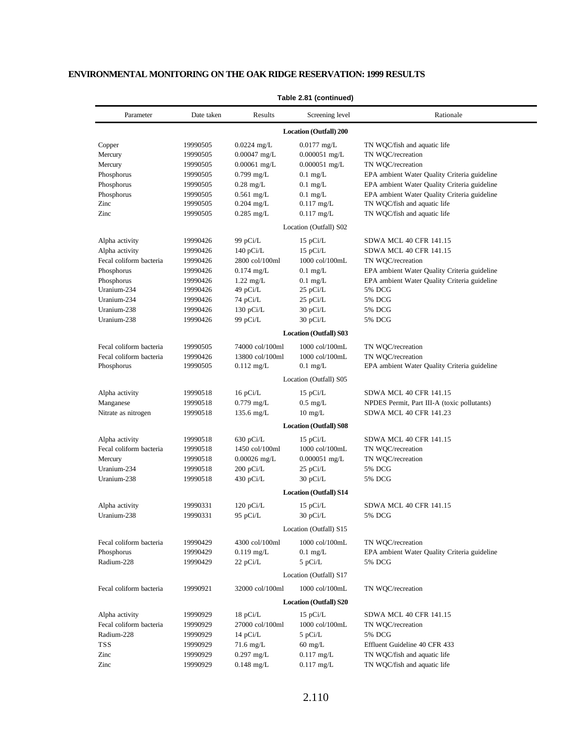| Parameter               | Date taken | Results              | Screening level               | Rationale                                    |  |  |
|-------------------------|------------|----------------------|-------------------------------|----------------------------------------------|--|--|
|                         |            |                      | Location (Outfall) 200        |                                              |  |  |
| Copper                  | 19990505   | $0.0224$ mg/L        | $0.0177$ mg/L                 | TN WQC/fish and aquatic life                 |  |  |
| Mercury                 | 19990505   | $0.00047$ mg/L       | $0.000051$ mg/L               | TN WQC/recreation                            |  |  |
| Mercury                 | 19990505   | $0.00061$ mg/L       | $0.000051$ mg/L               | TN WQC/recreation                            |  |  |
| Phosphorus              | 19990505   | $0.799$ mg/L         | $0.1$ mg/L                    | EPA ambient Water Quality Criteria guideline |  |  |
| Phosphorus              | 19990505   | $0.28$ mg/L          | $0.1$ mg/L                    | EPA ambient Water Quality Criteria guideline |  |  |
| Phosphorus              | 19990505   | $0.561$ mg/L         | $0.1$ mg/L                    | EPA ambient Water Quality Criteria guideline |  |  |
| Zinc                    | 19990505   | $0.204$ mg/L         | $0.117$ mg/L                  | TN WQC/fish and aquatic life                 |  |  |
| Zinc                    | 19990505   | $0.285$ mg/L         | $0.117$ mg/L                  | TN WQC/fish and aquatic life                 |  |  |
| Location (Outfall) S02  |            |                      |                               |                                              |  |  |
| Alpha activity          | 19990426   | 99 pCi/L             | $15$ pCi/L                    | SDWA MCL 40 CFR 141.15                       |  |  |
| Alpha activity          | 19990426   | 140 $pCi/L$          | $15$ pCi/L                    | <b>SDWA MCL 40 CFR 141.15</b>                |  |  |
| Fecal coliform bacteria | 19990426   | 2800 col/100ml       | 1000 col/100mL                | TN WQC/recreation                            |  |  |
| Phosphorus              | 19990426   | $0.174$ mg/L         | $0.1$ mg/L                    | EPA ambient Water Quality Criteria guideline |  |  |
| Phosphorus              | 19990426   | $1.22$ mg/L          | $0.1$ mg/L                    | EPA ambient Water Quality Criteria guideline |  |  |
| Uranium-234             | 19990426   | 49 pCi/L             | 25 pCi/L                      | 5% DCG                                       |  |  |
| Uranium-234             | 19990426   | 74 pCi/L             | 25 pCi/L                      | 5% DCG                                       |  |  |
| Uranium-238             | 19990426   | 130 pCi/L            | 30 pCi/L                      | 5% DCG                                       |  |  |
| Uranium-238             | 19990426   | 99 pCi/L             | 30 pCi/L                      | 5% DCG                                       |  |  |
|                         |            |                      | <b>Location (Outfall) S03</b> |                                              |  |  |
| Fecal coliform bacteria | 19990505   | 74000 col/100ml      | 1000 col/100mL                | TN WQC/recreation                            |  |  |
| Fecal coliform bacteria | 19990426   | 13800 col/100ml      | 1000 col/100mL                | TN WQC/recreation                            |  |  |
| Phosphorus              | 19990505   | $0.112 \text{ mg/L}$ | $0.1 \text{ mg/L}$            | EPA ambient Water Quality Criteria guideline |  |  |
|                         |            |                      | Location (Outfall) S05        |                                              |  |  |
| Alpha activity          | 19990518   | 16 pCi/L             | $15$ pCi/L                    | SDWA MCL 40 CFR 141.15                       |  |  |
| Manganese               | 19990518   | $0.779$ mg/L         | $0.5 \text{ mg/L}$            | NPDES Permit, Part III-A (toxic pollutants)  |  |  |
| Nitrate as nitrogen     | 19990518   | 135.6 mg/L           | $10 \text{ mg/L}$             | SDWA MCL 40 CFR 141.23                       |  |  |
|                         |            |                      | <b>Location (Outfall) S08</b> |                                              |  |  |
| Alpha activity          | 19990518   | $630$ pCi/L          | $15$ pCi/L                    | SDWA MCL 40 CFR 141.15                       |  |  |
| Fecal coliform bacteria | 19990518   | 1450 col/100ml       | 1000 col/100mL                | TN WQC/recreation                            |  |  |
| Mercury                 | 19990518   | $0.00026$ mg/L       | $0.000051$ mg/L               | TN WQC/recreation                            |  |  |
| Uranium-234             | 19990518   | 200 pCi/L            | $25$ pCi/L                    | 5% DCG                                       |  |  |
| Uranium-238             | 19990518   | 430 pCi/L            | 30 pCi/L                      | 5% DCG                                       |  |  |
|                         |            |                      | <b>Location (Outfall) S14</b> |                                              |  |  |
| Alpha activity          | 19990331   | $120$ pCi/L          | $15$ pCi/L                    | SDWA MCL 40 CFR 141.15                       |  |  |
| Uranium-238             | 19990331   | 95 pCi/L             | 30 pCi/L                      | 5% DCG                                       |  |  |
|                         |            |                      | Location (Outfall) S15        |                                              |  |  |
| Fecal coliform bacteria | 19990429   | 4300 col/100ml       | 1000 col/100mL                | TN WQC/recreation                            |  |  |
| Phosphorus              | 19990429   | $0.119$ mg/L         | $0.1$ mg/L                    | EPA ambient Water Quality Criteria guideline |  |  |
| Radium-228              | 19990429   | $22$ pCi/L           | 5 pCi/L                       | 5% DCG                                       |  |  |
|                         |            |                      | Location (Outfall) S17        |                                              |  |  |
| Fecal coliform bacteria | 19990921   | 32000 col/100ml      | 1000 col/100mL                | TN WOC/recreation                            |  |  |
|                         |            |                      | <b>Location (Outfall) S20</b> |                                              |  |  |
| Alpha activity          | 19990929   | 18 pCi/L             | $15$ pCi/L                    | SDWA MCL 40 CFR 141.15                       |  |  |
| Fecal coliform bacteria | 19990929   | 27000 col/100ml      | 1000 col/100mL                | TN WQC/recreation                            |  |  |
| Radium-228              | 19990929   | 14 $pCi/L$           | 5 pCi/L                       | 5% DCG                                       |  |  |
| <b>TSS</b>              | 19990929   | 71.6 mg/L            | $60 \text{ mg/L}$             | Effluent Guideline 40 CFR 433                |  |  |
| Zinc                    | 19990929   | $0.297$ mg/L         | $0.117$ mg/L                  | TN WQC/fish and aquatic life                 |  |  |
| Zinc                    | 19990929   | $0.148$ mg/L         | $0.117$ mg/L                  | TN WQC/fish and aquatic life                 |  |  |

#### **Table 2.81 (continued)**

- $\overline{\phantom{0}}$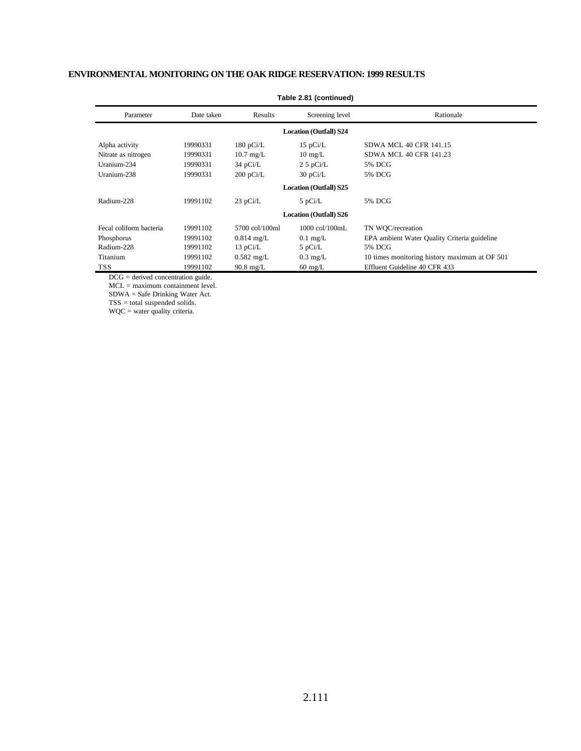| Parameter                     | Date taken                    | Results             | Screening level               | Rationale                                     |  |  |
|-------------------------------|-------------------------------|---------------------|-------------------------------|-----------------------------------------------|--|--|
| <b>Location (Outfall) S24</b> |                               |                     |                               |                                               |  |  |
| Alpha activity                | 19990331                      | $180$ pCi/L         | 15 $pCi/L$                    | <b>SDWA MCL 40 CFR 141.15</b>                 |  |  |
| Nitrate as nitrogen           | 19990331                      | $10.7 \text{ mg/L}$ | $10 \text{ mg/L}$             | <b>SDWA MCL 40 CFR 141.23</b>                 |  |  |
| Uranium-234                   | 19990331                      | $34$ pCi/L          | $2.5$ pCi/L                   | 5% DCG                                        |  |  |
| Uranium-238                   | 19990331                      | $200$ pCi/L         | 30 pCi/L                      | 5% DCG                                        |  |  |
|                               | <b>Location (Outfall) S25</b> |                     |                               |                                               |  |  |
| Radium-228                    | 19991102                      | $23$ pCi/L          | $5$ pCi/L                     | 5% DCG                                        |  |  |
|                               |                               |                     | <b>Location (Outfall) S26</b> |                                               |  |  |
| Fecal coliform bacteria       | 19991102                      | 5700 col/100ml      | $1000$ col/ $100$ mL          | TN WOC/recreation                             |  |  |
| Phosphorus                    | 19991102                      | $0.814$ mg/L        | $0.1 \text{ mg/L}$            | EPA ambient Water Quality Criteria guideline  |  |  |
| Radium-228                    | 19991102                      | 13 $pCi/L$          | $5$ pCi/L                     | 5% DCG                                        |  |  |
| Titanium                      | 19991102                      | $0.582$ mg/L        | $0.3 \text{ mg/L}$            | 10 times monitoring history maximum at OF 501 |  |  |
| TSS.                          | 19991102                      | $90.8 \text{ mg/L}$ | $60 \text{ mg/L}$             | Effluent Guideline 40 CFR 433                 |  |  |

### **Table 2.81 (continued)**

DCG = derived concentration guide.

MCL = maximum containment level.

SDWA = Safe Drinking Water Act.

TSS = total suspended solids.

WQC = water quality criteria.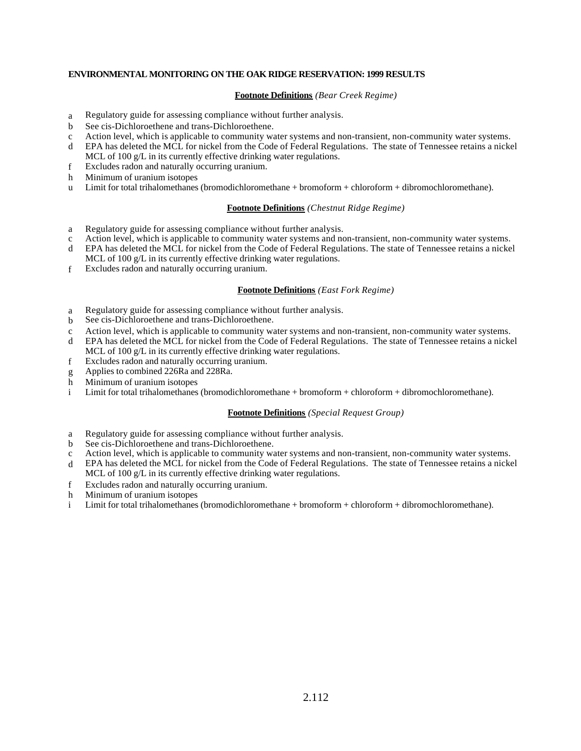### **Footnote Definitions** *(Bear Creek Regime)*

- a Regulatory guide for assessing compliance without further analysis.
- b See cis-Dichloroethene and trans-Dichloroethene.
- c Action level, which is applicable to community water systems and non-transient, non-community water systems.
- d EPA has deleted the MCL for nickel from the Code of Federal Regulations. The state of Tennessee retains a nickel MCL of 100 g/L in its currently effective drinking water regulations.
- f Excludes radon and naturally occurring uranium.
- h Minimum of uranium isotopes
- u Limit for total trihalomethanes (bromodichloromethane + bromoform + chloroform + dibromochloromethane).

### **Footnote Definitions** *(Chestnut Ridge Regime)*

- a Regulatory guide for assessing compliance without further analysis.
- c Action level, which is applicable to community water systems and non-transient, non-community water systems.
- d EPA has deleted the MCL for nickel from the Code of Federal Regulations. The state of Tennessee retains a nickel MCL of 100 g/L in its currently effective drinking water regulations.
- f Excludes radon and naturally occurring uranium.

### **Footnote Definitions** *(East Fork Regime)*

- a Regulatory guide for assessing compliance without further analysis.
- b See cis-Dichloroethene and trans-Dichloroethene.
- c Action level, which is applicable to community water systems and non-transient, non-community water systems.
- d EPA has deleted the MCL for nickel from the Code of Federal Regulations. The state of Tennessee retains a nickel MCL of 100 g/L in its currently effective drinking water regulations.
- f Excludes radon and naturally occurring uranium.
- g Applies to combined 226Ra and 228Ra.
- h Minimum of uranium isotopes
- i Limit for total trihalomethanes (bromodichloromethane + bromoform + chloroform + dibromochloromethane).

### **Footnote Definitions** *(Special Request Group)*

- a Regulatory guide for assessing compliance without further analysis.
- b See cis-Dichloroethene and trans-Dichloroethene.
- c Action level, which is applicable to community water systems and non-transient, non-community water systems.
- d EPA has deleted the MCL for nickel from the Code of Federal Regulations. The state of Tennessee retains a nickel MCL of 100 g/L in its currently effective drinking water regulations.
- f Excludes radon and naturally occurring uranium.
- h Minimum of uranium isotopes
- i Limit for total trihalomethanes (bromodichloromethane + bromoform + chloroform + dibromochloromethane).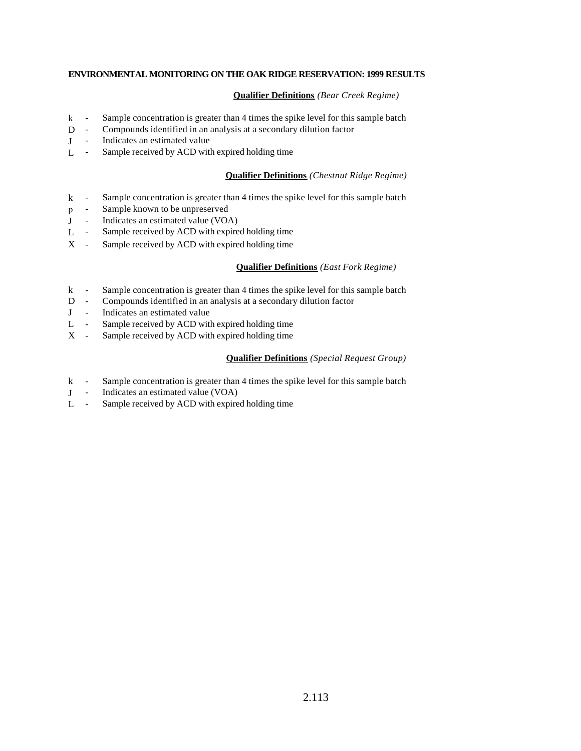# **Qualifier Definitions** *(Bear Creek Regime)*

- k Sample concentration is greater than 4 times the spike level for this sample batch
- D Compounds identified in an analysis at a secondary dilution factor
- J Indicates an estimated value
- L Sample received by ACD with expired holding time

## **Qualifier Definitions** *(Chestnut Ridge Regime)*

- k Sample concentration is greater than 4 times the spike level for this sample batch
- p Sample known to be unpreserved
- J Indicates an estimated value (VOA)
- L Sample received by ACD with expired holding time
- X Sample received by ACD with expired holding time

### **Qualifier Definitions** *(East Fork Regime)*

- k Sample concentration is greater than 4 times the spike level for this sample batch
- D Compounds identified in an analysis at a secondary dilution factor
- J Indicates an estimated value
- L Sample received by ACD with expired holding time
- X Sample received by ACD with expired holding time

## **Qualifier Definitions** *(Special Request Group)*

- k Sample concentration is greater than 4 times the spike level for this sample batch
- J Indicates an estimated value (VOA)
- L Sample received by ACD with expired holding time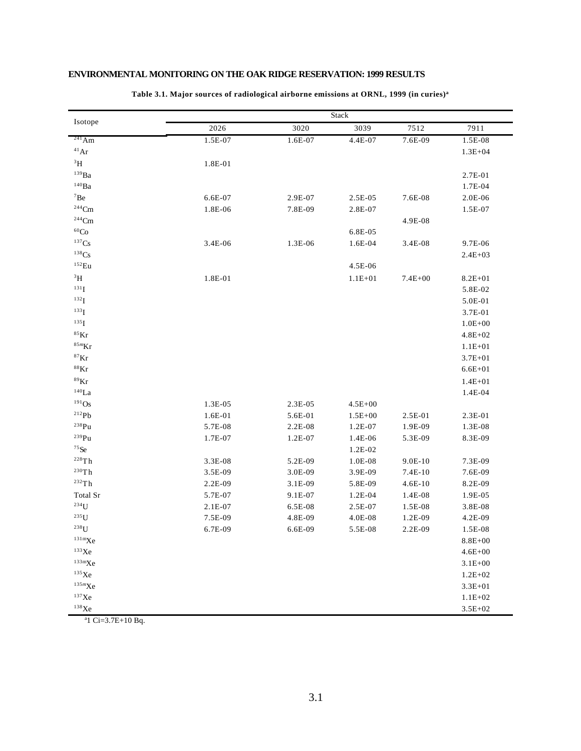|                                 |         |           | Stack       |             |             |
|---------------------------------|---------|-----------|-------------|-------------|-------------|
| Isotope                         | 2026    | 3020      | 3039        | 7512        | 7911        |
| $241$ Am                        | 1.5E-07 | 1.6E-07   | $4.4E-07$   | 7.6E-09     | 1.5E-08     |
| $\rm ^{41}Ar$                   |         |           |             |             | $1.3E + 04$ |
| $^3\mathrm{H}$                  | 1.8E-01 |           |             |             |             |
| $^{139}\mathrm{Ba}$             |         |           |             |             | 2.7E-01     |
| $^{140}\rm{Ba}$                 |         |           |             |             | 1.7E-04     |
| ${\rm ^7Be}$                    | 6.6E-07 | 2.9E-07   | 2.5E-05     | 7.6E-08     | 2.0E-06     |
| $^{244}\mathrm{Cm}$             | 1.8E-06 | 7.8E-09   | 2.8E-07     |             | 1.5E-07     |
| $\rm ^{244}Cm$                  |         |           |             | 4.9E-08     |             |
| $\rm ^{60}Co$                   |         |           | 6.8E-05     |             |             |
| ${}^{137}\mathrm{Cs}$           | 3.4E-06 | 1.3E-06   | 1.6E-04     | 3.4E-08     | 9.7E-06     |
| $138$ Cs                        |         |           |             |             | $2.4E + 03$ |
| $152$ Eu                        |         |           | 4.5E-06     |             |             |
| $\rm ^3H$                       | 1.8E-01 |           | $1.1E + 01$ | $7.4E + 00$ | $8.2E + 01$ |
| $^{131}\mathrm{I}$              |         |           |             |             | 5.8E-02     |
| $^{132}\mathrm{I}$              |         |           |             |             | 5.0E-01     |
| $^{133}\mathrm{I}$              |         |           |             |             | 3.7E-01     |
| $^{135}\mathrm{I}$              |         |           |             |             | $1.0E + 00$ |
| $^{85}\mathrm{Kr}$              |         |           |             |             | $4.8E + 02$ |
| $^{85m}\mathrm{Kr}$             |         |           |             |             | $1.1E + 01$ |
| $^{87}\mathrm{Kr}$              |         |           |             |             | $3.7E + 01$ |
| $^{88}\mathrm{Kr}$              |         |           |             |             | $6.6E + 01$ |
| $^{89}\mathrm{Kr}$              |         |           |             |             | $1.4E + 01$ |
| $^{140}\mbox{La}$               |         |           |             |             | $1.4E-04$   |
| $191$ Os                        | 1.3E-05 | 2.3E-05   | $4.5E + 00$ |             |             |
| 212Pb                           | 1.6E-01 | 5.6E-01   | $1.5E + 00$ | 2.5E-01     | 2.3E-01     |
| $^{238}Pu$                      | 5.7E-08 | $2.2E-08$ | $1.2E-07$   | 1.9E-09     | 1.3E-08     |
| $^{239}Pu$                      | 1.7E-07 | $1.2E-07$ | 1.4E-06     | 5.3E-09     | 8.3E-09     |
| $75$ Se                         |         |           | 1.2E-02     |             |             |
| 228Th                           | 3.3E-08 | 5.2E-09   | 1.0E-08     | $9.0E-10$   | 7.3E-09     |
| $^{230}\mathrm{Th}$             | 3.5E-09 | 3.0E-09   | 3.9E-09     | $7.4E-10$   | 7.6E-09     |
| 232Th                           | 2.2E-09 | 3.1E-09   | 5.8E-09     | $4.6E-10$   | 8.2E-09     |
| Total Sr                        | 5.7E-07 | 9.1E-07   | $1.2E-04$   | 1.4E-08     | 1.9E-05     |
| $\rm ^{234}U$                   | 2.1E-07 | 6.5E-08   | 2.5E-07     | 1.5E-08     | 3.8E-08     |
| $235$ U                         | 7.5E-09 | 4.8E-09   | 4.0E-08     | 1.2E-09     | 4.2E-09     |
| $238$ U                         | 6.7E-09 | 6.6E-09   | 5.5E-08     | 2.2E-09     | 1.5E-08     |
| $131 \text{mXe}$                |         |           |             |             | $8.8E + 00$ |
| $^{133}\mathrm{Xe}$             |         |           |             |             | $4.6E + 00$ |
| $^{133\mathrm{m}}\!\mathrm{Xe}$ |         |           |             |             | $3.1E + 00$ |
| $^{135}\mathrm{Xe}$             |         |           |             |             | $1.2E + 02$ |
| $^{135m}\mathrm{Xe}$            |         |           |             |             | $3.3E + 01$ |
| $^{137}\mathrm{Xe}$             |         |           |             |             | $1.1E + 02$ |
| $^{138}\mathrm{Xe}$             |         |           |             |             | $3.5E + 02$ |

**Table 3.1. Major sources of radiological airborne emissions at ORNL, 1999 (in curies)<sup>a</sup>**

a1 Ci=3.7E+10 Bq.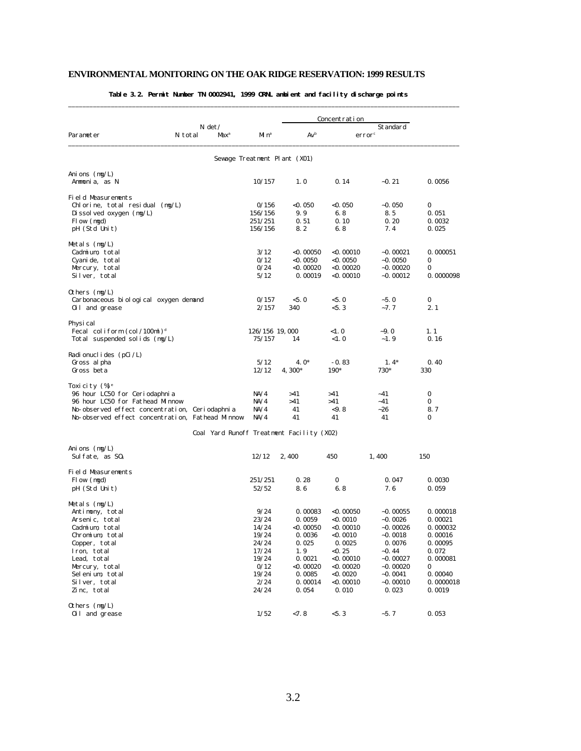|                                                                                                  |                                           |                          |                              | Concentration |                                |             |
|--------------------------------------------------------------------------------------------------|-------------------------------------------|--------------------------|------------------------------|---------------|--------------------------------|-------------|
| Parameter                                                                                        | $N \det$<br>N total<br>Max <sup>a</sup>   | Mi nª                    | $Av^b$                       |               | Standard<br>error <sup>c</sup> |             |
|                                                                                                  |                                           |                          | Sewage Treatment Plant (X01) |               |                                |             |
|                                                                                                  |                                           |                          |                              |               |                                |             |
| Anions $(mg/L)$<br>Ammonia, as N                                                                 |                                           | 10/157                   | 1.0                          | 0.14          | $-0.21$                        | 0.0056      |
| Field Measurements                                                                               |                                           |                          |                              |               |                                |             |
| Chlorine, total residual (mg/L)                                                                  |                                           | 0/156                    | <0. 050                      | <0. 050       | $-0.050$                       | 0           |
| Di ssol ved oxygen $(mg/L)$                                                                      |                                           | 156/156                  | 9.9                          | 6.8           | 8.5                            | 0.051       |
| Flow (mgd)                                                                                       |                                           | 251/251                  | 0.51                         | 0.10          | 0.20                           | 0.0032      |
| pH (Std Unit)                                                                                    |                                           | 156/156                  | 8.2                          | 6.8           | 7.4                            | 0.025       |
| Metals $(mg/L)$                                                                                  |                                           |                          |                              |               |                                |             |
| Cadmium, total                                                                                   |                                           | 3/12                     | <0. 00050                    | $<$ 0.00010   | $-0.00021$                     | 0.000051    |
| Cyanide, total                                                                                   |                                           | 0/12                     | $<$ 0.0050                   | $<$ 0. 0050   | $-0.0050$                      | 0           |
| Mercury, total                                                                                   |                                           | 0/24                     | <0. 00020                    | $<$ 0. 00020  | $-0.00020$                     | 0           |
| Silver, total                                                                                    |                                           | 5/12                     | 0.00019                      | $<$ 0. 00010  | $-0.00012$                     | 0.0000098   |
|                                                                                                  |                                           |                          |                              |               |                                |             |
| Others (mg/L)<br>Carbonaceous bi ol ogi cal oxygen demand                                        |                                           | 0/157                    | < 5.0                        | < 5.0         | $-5.0$                         | 0           |
| 0il and grease                                                                                   |                                           | 2/157                    | 340                          | < 5.3         | $-7.7$                         | 2.1         |
|                                                                                                  |                                           |                          |                              |               |                                |             |
| Physi cal                                                                                        |                                           |                          |                              |               |                                |             |
| Fecal coliform $\left(\frac{\text{col}}{100\text{ml}}\right)^d$<br>Total suspended solids (mg/L) |                                           | 126/156 19,000<br>75/157 | 14                           | <1.0<br><1.0  | $-9.0$<br>$-1.9$               | 1.1<br>0.16 |
|                                                                                                  |                                           |                          |                              |               |                                |             |
| Radionuclides (pCi/L)                                                                            |                                           |                          |                              |               |                                |             |
| Gross al pha                                                                                     |                                           | 5/12                     | $4.0*$                       | $-0.83$       | $1.4*$                         | 0.40        |
| Gross beta                                                                                       |                                           | 12/12                    | $4,300*$                     | 190*          | 730*                           | 330         |
| Toxicity (%) <sup>e</sup>                                                                        |                                           |                          |                              |               |                                |             |
| 96 hour LC50 for Ceriodaphnia                                                                    |                                           | NA/4                     | >41                          | >41           | $-41$                          | 0           |
| 96 hour LC50 for Fathead Minnow                                                                  |                                           | NA/4                     | >41                          | >41           | $-41$                          | 0           |
| No-observed effect concentration, Ceriodaphnia                                                   |                                           | NA/4                     | 41                           | <9.8          | $-26$                          | 8.7         |
| No-observed effect concentration, Fathead Minnow                                                 |                                           | NA/4                     | 41                           | 41            | 41                             | 0           |
|                                                                                                  | Coal Yard Runoff Treatment Facility (X02) |                          |                              |               |                                |             |
| Anions $(mg/L)$                                                                                  |                                           |                          |                              |               |                                |             |
| Sulfate, as $S04$                                                                                |                                           | 12/12                    | 2, 400                       | 450           | 1,400                          | 150         |
|                                                                                                  |                                           |                          |                              |               |                                |             |
| Field Measurements                                                                               |                                           | 251/251                  | 0.28                         | 0             | 0.047                          | 0.0030      |
| Flow (mgd)                                                                                       |                                           |                          |                              |               |                                |             |
| pH (Std Unit)                                                                                    |                                           | 52/52                    | 8.6                          | 6.8           | 7.6                            | 0.059       |
| Metals (mg/L)                                                                                    |                                           |                          |                              |               |                                |             |
| Antimony, total                                                                                  |                                           | 9/24                     | 0.00083                      | $<$ 0. 00050  | $-0.00055$                     | 0.000018    |
| Arsenic, total                                                                                   |                                           | 23/24                    | 0.0059                       | $<$ 0. 0010   | $-0.0026$                      | 0.00021     |
| Cadmium, total                                                                                   |                                           | 14/24                    | $<$ 0. 00050                 | $<$ 0. 00010  | $-0.00026$                     | 0.000032    |
| Chromium, total                                                                                  |                                           | 19/24                    | 0.0036                       | $<$ 0. 0010   | $-0.0018$                      | 0.00016     |
| Copper, total                                                                                    |                                           | 24/24                    | 0.025                        | 0.0025        | 0.0076                         | 0.00095     |
| Iron, total                                                                                      |                                           | 17/24                    | 1.9                          | < 0.25        | $-0.44$                        | 0.072       |
| Lead, total                                                                                      |                                           | 19/24                    | 0.0021                       | $<$ 0.00010   | $-0.00027$                     | 0.000081    |
| Mercury, total                                                                                   |                                           | 0/12                     | $<$ 0.00020                  | $<$ 0.00020   | $-0.00020$                     | 0           |
| Selenium, total                                                                                  |                                           | 19/24                    | 0.0085                       | $<$ 0. 0020   | $-0.0041$                      | 0.00040     |
| Silver, total                                                                                    |                                           | 2/24                     | 0.00014                      | < 0.00010     | $-0.00010$                     | 0.0000018   |
| Zinc, total                                                                                      |                                           | 24/24                    | 0.054                        | 0.010         | 0.023                          | 0.0019      |
| Others (mg/L)                                                                                    |                                           |                          |                              |               |                                |             |
| 0il and grease                                                                                   |                                           | 1/52                     | < 7.8                        | < 5.3         | $-5.7$                         | 0.053       |

# **Table 3.2. Permit Number TN 0002941, 1999 ORNL ambient and facility discharge points**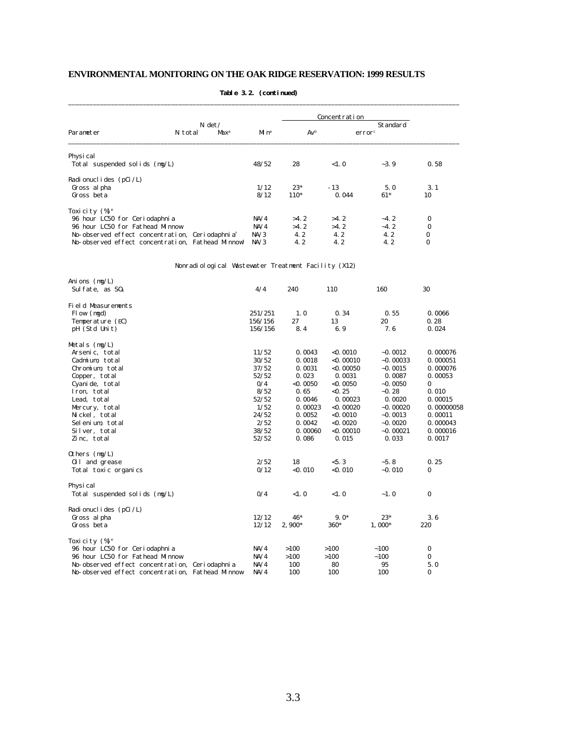|                                                             |                                                     |                   |            | Concentration |                                |            |
|-------------------------------------------------------------|-----------------------------------------------------|-------------------|------------|---------------|--------------------------------|------------|
| Parameter                                                   | $N \det$<br>N total<br>Max <sup>a</sup>             | Mi n <sup>a</sup> | $Av^b$     |               | Standard<br>error <sup>c</sup> |            |
|                                                             |                                                     |                   |            |               |                                |            |
| Physi cal<br>Total suspended solids (mg/L)                  |                                                     | 48/52             | 28         | <1.0          | $-3.9$                         | 0.58       |
|                                                             |                                                     |                   |            |               |                                |            |
| Radionuclides (pCi/L)                                       |                                                     |                   |            |               |                                |            |
| Gross al pha                                                |                                                     | 1/12              | $23*$      | $-13$         | 5.0                            | 3.1        |
| Gross beta                                                  |                                                     | 8/12              | 110*       | 0.044         | $61*$                          | 10         |
| Toxicity (%) <sup>e</sup>                                   |                                                     |                   |            |               |                                |            |
| 96 hour LC50 for Ceriodaphnia                               |                                                     | NA/4              | >4.2       | >4.2          | $-4.2$                         | $\bf{0}$   |
| 96 hour LC50 for Fathead Minnow                             |                                                     | NA/4              | >4.2       | >4.2          | $-4.2$                         | $\bf{0}$   |
| No-observed effect concentration, Ceriodaphnia <sup>f</sup> |                                                     | NA/3              | 4.2        | 4.2           | 4.2                            | $\bf{0}$   |
| No-observed effect concentration, Fathead Minnow            |                                                     | NA/3              | 4.2        | 4.2           | 4.2                            | $\bf{0}$   |
|                                                             |                                                     |                   |            |               |                                |            |
|                                                             | Nonradiological Wastewater Treatment Facility (X12) |                   |            |               |                                |            |
| Anions $(mg/L)$                                             |                                                     | 4/4               | 240        |               | 160                            | 30         |
| Sulfate, as $S0_4$                                          |                                                     |                   |            | 110           |                                |            |
| Field Measurements                                          |                                                     |                   |            |               |                                |            |
| Flow (mgd)                                                  |                                                     | 251/251           | 1.0        | 0.34          | 0.55                           | 0.0066     |
| Temperature (EC)                                            |                                                     | 156/156           | 27         | 13            | 20                             | 0.28       |
| pH (Std Unit)                                               |                                                     | 156/156           | 8.4        | 6.9           | 7.6                            | 0.024      |
| Metals (mg/L)                                               |                                                     |                   |            |               |                                |            |
| Arsenic, total                                              |                                                     | 11/52             | 0.0043     | <0.0010       | $-0.0012$                      | 0.000076   |
| Cadmium, total                                              |                                                     | 30/52             | 0.0018     | $<$ 0.00010   | $-0.00033$                     | 0.000051   |
| Chromium, total                                             |                                                     | 37/52             | 0.0031     | $<$ 0. 00050  | $-0.0015$                      | 0.000076   |
| Copper, total                                               |                                                     | 52/52             | 0.023      | 0.0031        | 0.0087                         | 0.00053    |
| Cyanide, total                                              |                                                     | 0/4               | $<$ 0.0050 | $<$ 0.0050    | $-0.0050$                      | 0          |
| Iron, total                                                 |                                                     | 8/52              | 0.65       | $<$ 0.25      | $-0.28$                        | 0.010      |
| Lead, total                                                 |                                                     | 52/52             | 0.0046     | 0.00023       | 0.0020                         | 0.00015    |
| Mercury, total                                              |                                                     | 1/52              | 0.00023    | $<$ 0. 00020  | $-0.00020$                     | 0.00000058 |
| Nickel, total                                               |                                                     | 24/52             | 0.0052     | $<$ 0. 0010   | $-0.0013$                      | 0.00011    |
| Selenium, total                                             |                                                     | 2/52              | 0.0042     | <0. 0020      | $-0.0020$                      | 0.000043   |
| Silver, total                                               |                                                     | 38/52             | 0.00060    | <0. 00010     | $-0.00021$                     | 0.000016   |
| Zinc, total                                                 |                                                     | 52/52             | 0.086      | 0.015         | 0.033                          | 0.0017     |
| Others (mg/L)                                               |                                                     |                   |            |               |                                |            |
| 0il and grease                                              |                                                     | 2/52              | 18         | < 5.3         | $-5.8$                         | 0.25       |
| Total toxic organics                                        |                                                     | 0/12              | < 0.010    | < 0.010       | $-0.010$                       | 0          |
| Physi cal                                                   |                                                     |                   |            |               |                                |            |
| Total suspended solids (mg/L)                               |                                                     | 0/4               | <1.0       | <1.0          | $-1.0$                         | $\pmb{0}$  |
| Radionuclides (pCi/L)                                       |                                                     |                   |            |               |                                |            |
| Gross al pha                                                |                                                     | 12/12             | 46*        | $9.0*$        | $23*$                          | 3.6        |
| Gross beta                                                  |                                                     | 12/12             | $2,900*$   | 360*          | $1,000*$                       | 220        |
| Toxicity (%) <sup>e</sup>                                   |                                                     |                   |            |               |                                |            |
| 96 hour LC50 for Ceriodaphnia                               |                                                     | NA/4              | >100       | >100          | ~100                           | 0          |
| 96 hour LC50 for Fathead Minnow                             |                                                     | NA/4              | >100       | >100          | ~100                           | 0          |
| No-observed effect concentration, Ceriodaphnia              |                                                     | NA/4              | 100        | 80            | 95                             | 5.0        |
| No-observed effect concentration, Fathead Minnow            |                                                     | NA/4              | 100        | 100           | 100                            | 0          |

#### **Table 3.2. (continued)** \_\_\_\_\_\_\_\_\_\_\_\_\_\_\_\_\_\_\_\_\_\_\_\_\_\_\_\_\_\_\_\_\_\_\_\_\_\_\_\_\_\_\_\_\_\_\_\_\_\_\_\_\_\_\_\_\_\_\_\_\_\_\_\_\_\_\_\_\_\_\_\_\_\_\_\_\_\_\_\_\_\_\_\_\_\_\_\_\_\_\_\_\_\_\_\_\_\_\_\_\_\_\_\_\_\_\_\_\_\_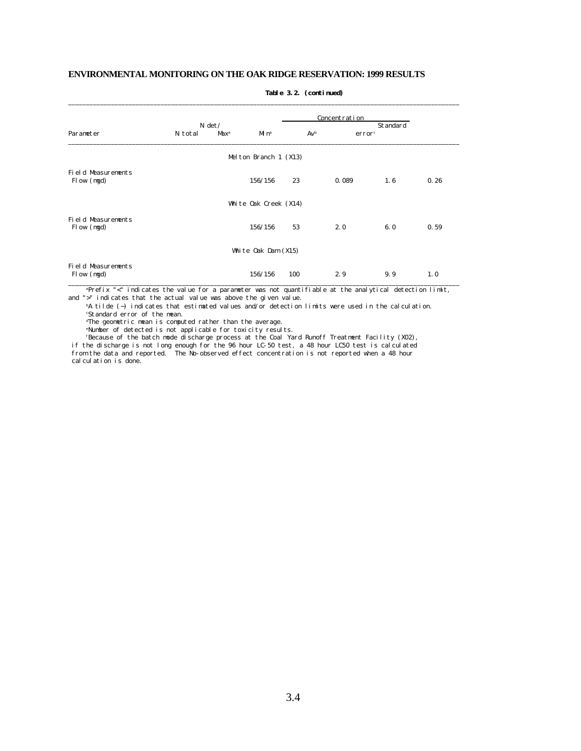|                                         |         |                         |                         |        | Concentration      |          |      |
|-----------------------------------------|---------|-------------------------|-------------------------|--------|--------------------|----------|------|
|                                         |         | $N \det$                |                         |        |                    | Standard |      |
| Parameter                               | N total | <b>Max</b> <sup>a</sup> | M <sub>n</sub>          | $Av^b$ | error <sup>c</sup> |          |      |
|                                         |         |                         | Melton Branch $1$ (X13) |        |                    |          |      |
| Field Measurements<br>Flow (mgd)        |         |                         | 156/156                 | 23     | 0.089              | 1.6      | 0.26 |
|                                         |         |                         | White Oak Creek (X14)   |        |                    |          |      |
| Field Measurements<br>Flow (mgd)        |         |                         | 156/156                 | 53     | 2.0                | 6.0      | 0.59 |
|                                         |         |                         | White $0ak$ Dam $(X15)$ |        |                    |          |      |
| <b>Field Measurements</b><br>Flow (mgd) |         |                         | 156/156                 | 100    | 2.9                | 9.9      | 1.0  |

\_\_\_\_\_\_\_\_\_\_\_\_\_\_\_\_\_\_\_\_\_\_\_\_\_\_\_\_\_\_\_\_\_\_\_\_\_\_\_\_\_\_\_\_\_\_\_\_\_\_\_\_\_\_\_\_\_\_\_\_\_\_\_\_\_\_\_\_\_\_\_\_\_\_\_\_\_\_\_\_\_\_\_\_\_\_\_\_\_\_\_\_\_\_\_\_\_\_\_\_\_\_\_\_\_\_\_\_\_\_

#### **Table 3.2. (continued)**

<sup>a</sup>Prefix "<" indicates the value for a parameter was not quantifiable at the analytical detection limit, and ">" indicates that the actual value was above the given value.

<sup>b</sup>A tilde (~) indicates that estimated values and/or detection limits were used in the calculation. <sup>c</sup>Standard error of the mean.

<sup>d</sup>The geometric mean is computed rather than the average.

<sup>e</sup>Number of detected is not applicable for toxicity results.

<sup>f</sup>Because of the batch mode discharge process at the Coal Yard Runoff Treatment Facility (X02),

 if the discharge is not long enough for the 96 hour LC-50 test, a 48 hour LC50 test is calculated from the data and reported. The No-observed effect concentration is not reported when a 48 hour calculation is done.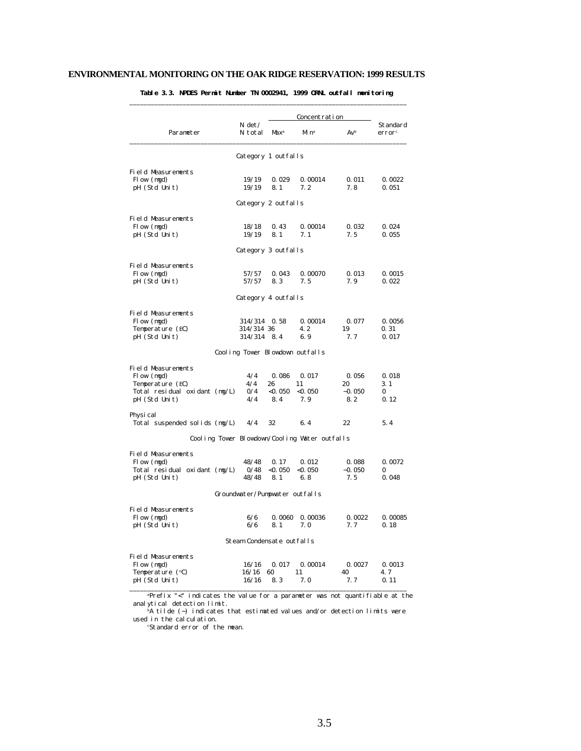|                                               |                           |                  | Concentration                   |               |                                |  |
|-----------------------------------------------|---------------------------|------------------|---------------------------------|---------------|--------------------------------|--|
| Parameter                                     | $N \det$<br>N total       | Max <sup>a</sup> | Mi n <sup>a</sup>               | Avb           | Standard<br>error <sup>c</sup> |  |
|                                               | Category 1 outfalls       |                  |                                 |               |                                |  |
| Field Measurements                            |                           |                  |                                 |               |                                |  |
| Flow (mgd)                                    | 19/19                     | 0.029            | 0.00014<br>7.2                  | 0.011         | 0.0022                         |  |
| pH (Std Unit)                                 | 19/19                     | 8.1              |                                 | 7.8           | 0.051                          |  |
|                                               | Category 2 outfalls       |                  |                                 |               |                                |  |
| <b>Field Measurements</b>                     |                           |                  |                                 |               |                                |  |
| Flow (mgd)                                    | 18/18                     | 0.43             | 0.00014                         | 0.032         | 0.024                          |  |
| pH (Std Unit)                                 | 19/19                     | 8.1              | 7.1                             | 7.5           | 0.055                          |  |
|                                               | Category 3 outfalls       |                  |                                 |               |                                |  |
| <b>Field Measurements</b>                     |                           |                  |                                 |               |                                |  |
| Flow (mgd)                                    | 57/57                     | 0.043            | 0.00070                         | 0.013         | 0.0015                         |  |
| pH (Std Unit)                                 | 57/57                     | 8.3              | 7.5                             | 7.9           | 0.022                          |  |
|                                               | Category 4 outfalls       |                  |                                 |               |                                |  |
| <b>Field Measurements</b>                     |                           |                  |                                 |               |                                |  |
| Flow (mgd)                                    | 314/314                   | 0.58             | 0.00014                         | 0.077         | 0.0056                         |  |
| Temperature (EC)                              | 314/314 36                |                  | 4.2                             | 19            | 0.31                           |  |
| pH (Std Unit)                                 | 314/314 8.4               |                  | 6.9                             | 7.7           | 0.017                          |  |
|                                               |                           |                  | Cooling Tower Blowdown outfalls |               |                                |  |
| Field Measurements                            |                           |                  |                                 |               |                                |  |
| Flow (mgd)                                    | 4/4                       | 0.086            | 0.017                           | 0.056         | 0.018                          |  |
| Temperature (EC)                              | 4/4                       | 26               | 11                              | 20            | 3.1                            |  |
| Total residual oxidant (mg/L)                 | 0/4                       | $<$ 0.050        | $<$ 0.050                       | $-0.050$      | 0                              |  |
| pH (Std Unit)                                 | 4/4                       | 8.4              | 7.9                             | 8.2           | 0.12                           |  |
| Physi cal                                     |                           |                  |                                 |               |                                |  |
| Total suspended solids (mg/L)                 | 4/4                       | 32               | 6.4                             | 22            | 5.4                            |  |
| Cooling Tower Blowdown/Cooling Water outfalls |                           |                  |                                 |               |                                |  |
| Field Measurements                            |                           |                  |                                 |               |                                |  |
| Flow (mgd)                                    | 48/48                     | 0.17             | 0.012                           | 0.088         | 0.0072                         |  |
| Total residual oxidant (mg/L)                 | 0/48                      | $<$ 0.050        | $<$ 0.050                       | $-0.050$      | 0                              |  |
| pH (Std Unit)                                 | 48/48                     | 8.1              | 6.8                             | 7.5           | 0.048                          |  |
|                                               |                           |                  | Groundwater/Pumpwater outfalls  |               |                                |  |
| Field Measurements                            |                           |                  |                                 |               |                                |  |
| Flow (mgd)                                    | 6/6<br>6/6                | 0.0060<br>8.1    | 0.00036<br>7.0                  | 0.0022<br>7.7 | 0.00085<br>0.18                |  |
| pH (Std Unit)                                 |                           |                  |                                 |               |                                |  |
|                                               | Steam Condensate outfalls |                  |                                 |               |                                |  |
| Field Measurements                            |                           |                  |                                 |               |                                |  |
| Flow (mgd)                                    | 16/16<br>16/16            | 0.017<br>60      | 0.00014<br>11                   | 0.0027<br>40  | 0.0013<br>4.7                  |  |
| Temperature (°C)<br>pH (Std Unit)             | 16/16                     | 8.3              | 7.0                             | 7.7           | 0.11                           |  |

### **Table 3.3. NPDES Permit Number TN 0002941, 1999 ORNL outfall monitoring**

\_\_\_\_\_\_\_\_\_\_\_\_\_\_\_\_\_\_\_\_\_\_\_\_\_\_\_\_\_\_\_\_\_\_\_\_\_\_\_\_\_\_\_\_\_\_\_\_\_\_\_\_\_\_\_\_\_\_\_\_\_\_\_\_\_\_\_\_\_\_\_\_\_\_\_\_\_\_ <sup>a</sup>Prefix "<" indicates the value for a parameter was not quantifiable at the analytical detection limit.

 $\Delta$  tilde (~) indicates that estimated values and/or detection limits were used in the calculation.

cStandard error of the mean.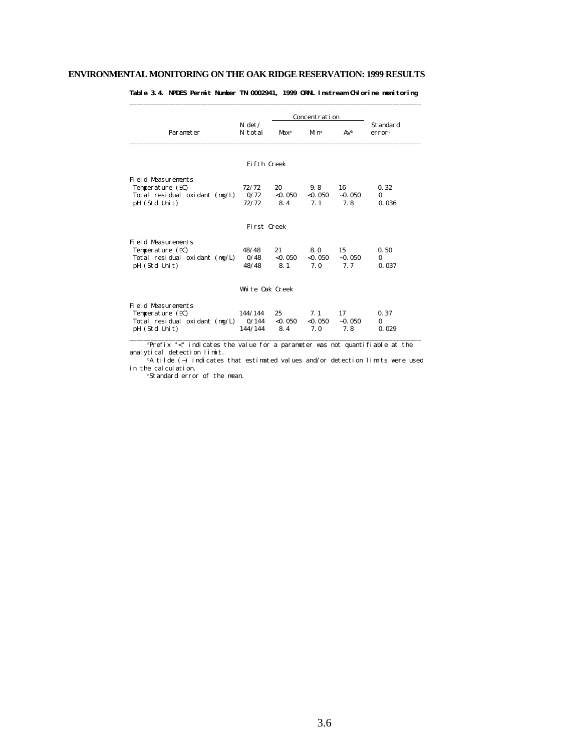|                                        |                     |                         | Concentration  |          |                                |
|----------------------------------------|---------------------|-------------------------|----------------|----------|--------------------------------|
| Parameter                              | $N \det$<br>N total | <b>Max</b> <sup>a</sup> | M <sub>n</sub> | $Av^b$   | Standard<br>error <sup>c</sup> |
|                                        | Fifth Creek         |                         |                |          |                                |
|                                        |                     |                         |                |          |                                |
| Field Measurements<br>Temperature (EC) | 72/72               | 20                      | 9.8            | 16       | 0.32                           |
| Total residual oxidant $(mg/L)$        | 0/72                | $<$ 0.050               | < 0.050        | $-0.050$ | $\Omega$                       |
| pH (Std Unit)                          | 72/72               | 8.4                     | 7.1            | 7.8      | 0.036                          |
|                                        |                     |                         |                |          |                                |
|                                        | First Creek         |                         |                |          |                                |
| <b>Field Measurements</b>              |                     |                         |                |          |                                |
| Temperature (EC)                       | 48/48               | 21                      | 8.0            | 15       | 0.50                           |
| Total residual oxidant $(mg/L)$        | 0/48                | $<$ 0.050               | < 0.050        | $-0.050$ | $\Omega$                       |
| pH (Std Unit)                          | 48/48               | 8.1                     | 7.0            | 7.7      | 0.037                          |
|                                        |                     |                         |                |          |                                |
|                                        | White Oak Creek     |                         |                |          |                                |
| <b>Field Measurements</b>              |                     |                         |                |          |                                |
| Temperature (EC)                       | 144/144             | 25                      | 7.1            | 17       | 0.37                           |
| Total residual oxidant (mg/L)          | 0/144               | $<$ 0. 050              | $<$ 0. 050     | $-0.050$ | $\bf{0}$                       |
| pH (Std Unit)                          | 144/144             | 8.4                     | 7.0            | 7.8      | 0.029                          |

**Table 3.4. NPDES Permit Number TN 0002941, 1999 ORNL Instream Chlorine monitoring** \_\_\_\_\_\_\_\_\_\_\_\_\_\_\_\_\_\_\_\_\_\_\_\_\_\_\_\_\_\_\_\_\_\_\_\_\_\_\_\_\_\_\_\_\_\_\_\_\_\_\_\_\_\_\_\_\_\_\_\_\_\_\_\_\_\_\_\_\_\_\_\_\_\_\_\_\_\_\_\_\_\_

 <sup>a</sup>Prefix "<" indicates the value for a parameter was not quantifiable at the analytical detection limit.

 $b$ A tilde (~) indicates that estimated values and/or detection limits were used in the calculation.

cStandard error of the mean.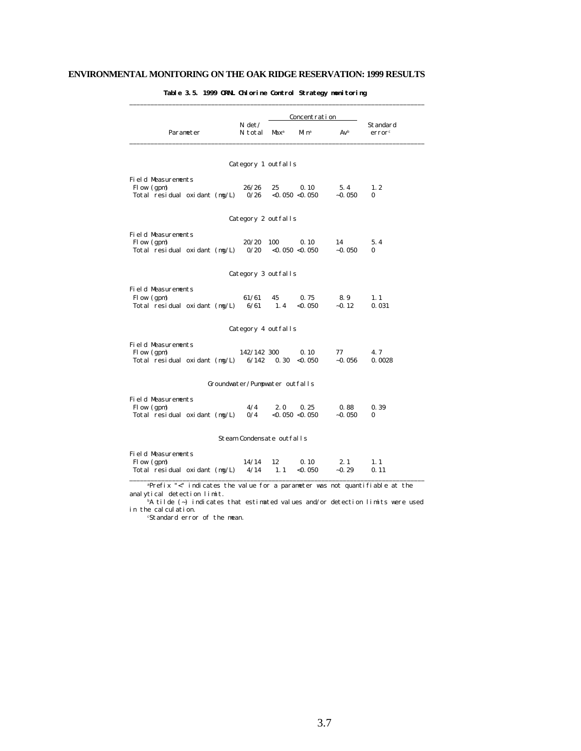|                                      |                                |                  | Concentration       |          |                                |
|--------------------------------------|--------------------------------|------------------|---------------------|----------|--------------------------------|
| Parameter                            | N det /<br>N total             | Max <sup>a</sup> | Mi nª               | $Av^b$   | Standard<br>error <sup>c</sup> |
|                                      |                                |                  |                     |          |                                |
|                                      | Category 1 outfalls            |                  |                     |          |                                |
| Field Measurements                   |                                |                  |                     |          |                                |
| Flow (gpm)                           | 26/26                          | 25               | 0.10                | 5.4      | 1.2                            |
| Total residual oxidant $(mg/L)$      | 0/26                           |                  | < 0.050 < 0.050     | $-0.050$ | 0                              |
|                                      | Category 2 outfalls            |                  |                     |          |                                |
| <b>Field Measurements</b>            |                                |                  |                     |          |                                |
| Flow (gpm)                           | 20/20                          | 100              | 0.10                | 14       | 5.4                            |
| Total residual oxidant $(mg/L)$ 0/20 |                                |                  | < 0.050 < 0.050     | $-0.050$ | 0                              |
|                                      | Category 3 outfalls            |                  |                     |          |                                |
| <b>Field Measurements</b>            |                                |                  |                     |          |                                |
| Flow (gpm)                           | 61/61                          | 45               | 0.75                | 8.9      | 1.1                            |
| Total residual oxidant (mg/L)        |                                | $6/61$ 1.4       | $<$ 0.050           | $-0.12$  | 0.031                          |
|                                      | Category 4 outfalls            |                  |                     |          |                                |
| <b>Field Measurements</b>            |                                |                  |                     |          |                                |
| Flow (gpm)                           | 142/142 300                    |                  | 0.10                | 77       | 4.7                            |
| Total residual oxidant (mg/L)        | 6/142                          | 0.30             | < 0.050             | $-0.056$ | 0.0028                         |
|                                      | Groundwater/Pumpwater outfalls |                  |                     |          |                                |
| <b>Field Measurements</b>            |                                |                  |                     |          |                                |
| Flow (gpm)                           | 4/4                            | 2.0              | 0.25                | 0.88     | 0.39                           |
| Total residual oxidant (mg/L)        | 0/4                            |                  | $<$ 0.050 $<$ 0.050 | $-0.050$ | 0                              |
|                                      | Steam Condensate outfalls      |                  |                     |          |                                |
| Field Measurements                   |                                |                  |                     |          |                                |
| Flow (gpm)                           | 14/14                          | 12               | 0.10                | 2.1      | 1.1                            |
| Total residual oxidant (mg/L)        | 4/14                           | 1.1              | $<$ 0. 050          | $-0.29$  | 0.11                           |

**Table 3.5. 1999 ORNL Chlorine Control Strategy monitoring**

\_\_\_\_\_\_\_\_\_\_\_\_\_\_\_\_\_\_\_\_\_\_\_\_\_\_\_\_\_\_\_\_\_\_\_\_\_\_\_\_\_\_\_\_\_\_\_\_\_\_\_\_\_\_\_\_\_\_\_\_\_\_\_\_\_\_\_\_\_\_\_\_\_\_\_\_\_\_\_\_\_\_\_ <sup>a</sup>Prefix "<" indicates the value for a parameter was not quantifiable at the analytical detection limit.

 $b$ A tilde (~) indicates that estimated values and/or detection limits were used in the calculation.

cStandard error of the mean.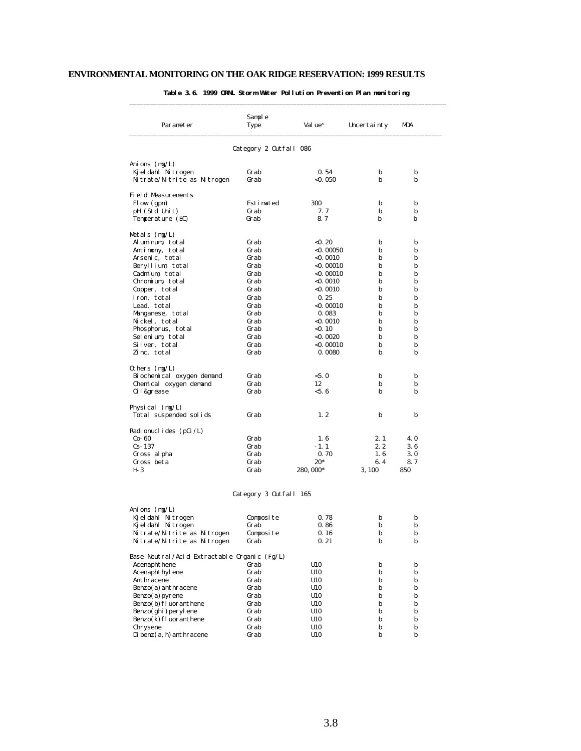| Parameter                                    | Sample<br>Type         | Val ue <sup>a</sup> | Uncertainty | MDA |
|----------------------------------------------|------------------------|---------------------|-------------|-----|
|                                              | Category 2 Outfall 086 |                     |             |     |
| Ani ons $(mg/L)$                             |                        |                     |             |     |
| Kjeldahl Nitrogen                            | Grab                   | 0.54                | b           | b   |
| Nitrate/Nitrite as Nitrogen                  | Grab                   | $<$ 0. 050          | b           | b   |
| Field Measurements                           |                        |                     |             |     |
| Flow (gpm)                                   | Estimated              | 300                 | b           | b   |
| pH (Std Unit)                                | Grab                   | 7.7                 | b           | b   |
| Temperature (EC)                             | Grab                   | 8.7                 | b           | b   |
| Metals $(mg/L)$                              |                        |                     |             |     |
| Aluminum, total                              | Grab                   | < 0.20              | b           | b   |
| Antimony, total                              | Grab                   | <0. 00050           | b           | b   |
| Arsenic, total                               | Grab                   | <0.0010             | b           | b   |
| Beryllium, total                             | Grab                   | <0. 00010           | b           | b   |
| Cadmium, total                               | Grab                   | $<$ 0. 00010        | b           | b   |
| Chromium, total                              | Grab                   | <0.0010             | b           | b   |
| Copper, total                                | Grab                   | $<$ 0. 0010         | b           | b   |
| Iron, total                                  | Grab                   | 0.25                | b           | b   |
| Lead, total                                  | Grab                   | $<$ 0. 00010        | b           | b   |
| Manganese, total                             | Grab                   | 0.083               | b           | b   |
| Nickel, total                                | Grab                   | <0.0010             | b           | b   |
| Phosphorus, total                            | Grab                   | $<$ 0. 10           | b           | b   |
| Selenium, total                              | Grab                   | $<$ 0.0020          | b           | b   |
| Silver, total                                | Grab                   | $<$ 0. 00010        | b           | b   |
| Zinc, total                                  | Grab                   | 0.0080              | b           | b   |
| Others $(mg/L)$                              |                        |                     |             |     |
| Bi ochemical oxygen demand                   | Grab                   | < 5.0               | b           | b   |
| Chemical oxygen demand                       | Grab                   | 12                  | b           | b   |
| 0i l &grease                                 | Grab                   | < 5.6               | b           | b   |
| Physical $(mg/L)$                            |                        |                     |             |     |
| Total suspended solids                       | Grab                   | 1, 2                | b           | b   |
| Radionuclides (pCi/L)                        |                        |                     |             |     |
| $Co-60$                                      | Grab                   | 1.6                 | 2.1         | 4.0 |
| $Cs - 137$                                   | Grab                   | $-1.1$              | 2.2         | 3.6 |
| Gross al pha                                 | Grab                   | 0.70                | 1.6         | 3.0 |
| Gross beta                                   | Grab                   | $20*$               | 6.4         | 8.7 |
| H- 3                                         | Grab                   | 280, 000*           | 3, 100      | 850 |
|                                              | Category 3 Outfall 165 |                     |             |     |
| Anions $(mg/L)$                              |                        |                     |             |     |
| Kjeldahl Nitrogen                            | Composite              | 0.78                | b           | b   |
| Kjeldahl Nitrogen                            | urap                   | 0.86                | D           | D   |
| Nitrate/Nitrite as Nitrogen                  | Composite              | 0.16                | b           | b   |
| Nitrate/Nitrite as Nitrogen                  | Grab                   | 0.21                | b           | b   |
| Base Neutral/Acid Extractable Organic (Fg/L) |                        |                     |             |     |
| Acenaphthene                                 | Grab                   | U10                 | b           | b   |
| Acenaphthyl ene                              | Grab                   | U10                 | b           | b   |
| Anthracene                                   | Grab                   | U10                 | b           | b   |
| Benzo(a) anthracene                          | Grab                   | U10                 | b           | b   |
| Benzo(a) pyrene                              | Grab                   | U10                 | b           | b   |

 Benzo(b)fluoranthene Grab U10 b b Benzo(ghi)perylene Grab U10 b b Benzo(k)fluoranthene Grab U10 b b Chrysene Grab U10 b b Dibenz(a,h)anthracene Grab U10 b b

#### **Table 3.6. 1999 ORNL Storm Water Pollution Prevention Plan monitoring**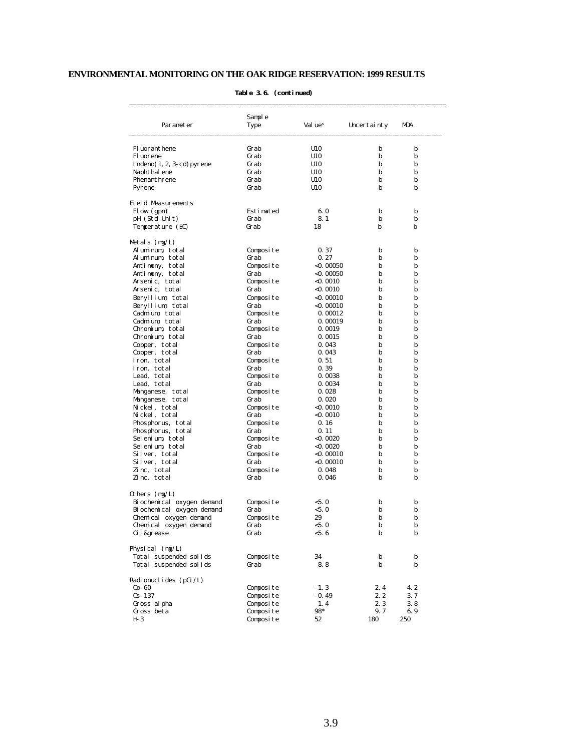| Parameter                   | Sample<br>Type | Val ue <sup>a</sup> | Uncertainty | MDA |
|-----------------------------|----------------|---------------------|-------------|-----|
| Fl uoranthene               | Grab           | U10                 | b           | b   |
| Fl uorene                   | Grab           | U10                 | b           | b   |
| $Indeno(1, 2, 3-cd) pyrene$ | Grab           | U10                 | b           | b   |
| Naphthal ene                | Grab           | U10                 | b           | b   |
| Phenanthrene                | Grab           | U10                 | b           | b   |
| Pyrene                      | Grab           | U10                 | b           | b   |
| Field Measurements          |                |                     |             |     |
| Flow (gpm)                  | Estimated      | 6.0                 | b           | b   |
| pH (Std Unit)               | Grab           | 8.1                 | b           | b   |
| Temperature (EC)            | Grab           | 18                  | b           | b   |
| Metals (mg/L)               |                |                     |             |     |
| Aluminum, total             | Composite      | 0.37                | b           | b   |
| Aluminum, total             | Grab           | 0.27                | b           | b   |
| Antimony, total             | Composite      | $<$ 0. 00050        | b           | b   |
| Antimony, total             | Grab           | $<$ 0.00050         | b           | b   |
| Arsenic, total              | Composite      | <0. 0010            | b           | b   |
| Arsenic, total              | Grab           | $<$ 0. 0010         | b           | b   |
| Beryllium, total            | Composite      | $<$ 0. 00010        | b           | b   |
| Beryllium, total            | Grab           | $<$ 0. 00010        | b           | b   |
| Cadmium, total              | Composite      | 0.00012             | b           | b   |
| Cadmium, total              | Grab           | 0.00019             | b           | b   |
| Chromium, total             | Composite      | 0.0019              | b           | b   |
| Chromium, total             | Grab           | 0.0015              | b           | b   |
| Copper, total               | Composite      | 0.043               | b           | b   |
| Copper, total               | Grab           | 0.043               | b           | b   |
| Iron, total                 | Composite      | 0.51                | b           | b   |
| Iron, total                 | Grab           | 0.39                | b           | b   |
| Lead, total                 | Composite      | 0.0038              | b           | b   |
| Lead, total                 | Grab           | 0.0034              | b           | b   |
| Manganese, total            | Composite      | 0.028               | b           | b   |
| Manganese, total            | Grab           | 0.020               | b           | b   |
| Nickel, total               | Composite      | $<$ 0. 0010         | b           | b   |
| Nickel, total               | Grab           | $<$ 0. 0010         | b           | b   |
| Phosphorus, total           | Composite      | 0.16                | b           | b   |
| Phosphorus, total           | Grab           | 0.11                | b           | b   |
| Selenium, total             | Composite      | $<$ 0.0020          | b           | b   |
| Selenium, total             | Grab           | $<$ 0.0020          | b           | b   |
| Silver, total               | Composite      | $<$ 0. 00010        | b           | b   |
| Silver, total               | Grab           | $<$ 0. 00010        | b           | b   |
| Zinc, total                 | Composite      | 0.048               | b           | b   |
| Zinc, total                 | Grab           | 0.046               | b           | b   |
| Others (mg/L)               |                |                     |             |     |
| Bi ochemi cal oxygen demand | Composite      | < 5.0               | b           | b   |
| Bi ochemi cal oxygen demand | Grab           | < 5.0               | b           | b   |
| Chemical oxygen demand      | Composite      | 29                  | b           | b   |
| Chemical oxygen demand      | urab           | < 5.0               | D           | D   |
| 0il&grease                  | Grab           | <5.6                | b           | b   |
| Physical $(mg/L)$           |                |                     |             |     |
| Total suspended solids      | Composite      | 34                  | b           | b   |
| Total suspended solids      | Grab           | 8.8                 | b           | b   |
| Radionuclides (pCi/L)       |                |                     |             |     |
| $Co-60$                     | Composite      | $-1.3$              | 2.4         | 4.2 |
| $Cs - 137$                  | Composite      | $-0.49$             | 2.2         | 3.7 |
| Gross al pha                | Composite      | 1.4                 | 2.3         | 3.8 |
| Gross beta                  | Composite      | 98*                 | 9.7         | 6.9 |
| H- 3                        | Composite      | 52                  | 180         | 250 |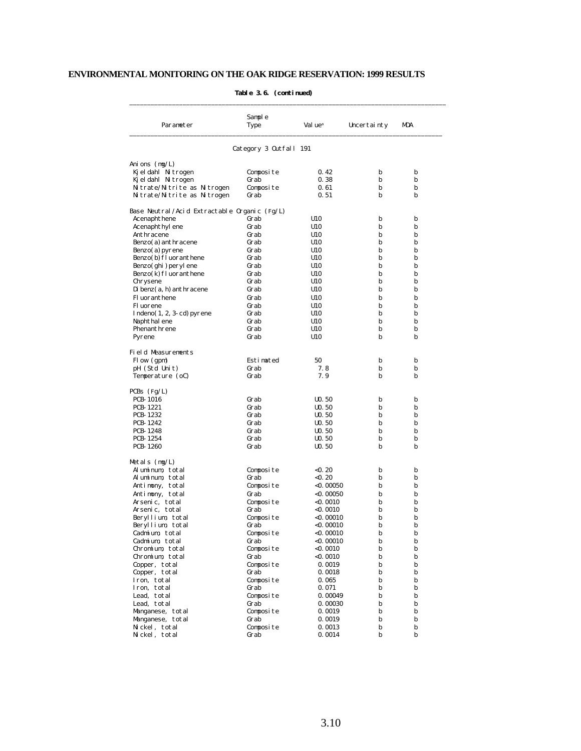| Parameter                                    | Sample<br>Type         | Val ue <sup>a</sup> | Uncertainty | MDA |
|----------------------------------------------|------------------------|---------------------|-------------|-----|
|                                              | Category 3 Outfall 191 |                     |             |     |
| Anions (mg/L)                                |                        |                     |             |     |
| Kjeldahl Nitrogen                            | Composite              | 0.42                | b           | b   |
| Kjeldahl Nitrogen                            | Grab                   | 0.38                | b           | b   |
| Nitrate/Nitrite as Nitrogen                  | Composite              | 0.61                | b           | b   |
| Nitrate/Nitrite as Nitrogen                  | Grab                   | 0. 51               | b           | b   |
| Base Neutral/Acid Extractable Organic (Fg/L) |                        |                     |             |     |
| Acenaphthene                                 | Grab                   | U10                 | b           | b   |
| Acenaphthyl ene                              | Grab                   | U10                 | b           | b   |
| Anthracene                                   | Grab                   | U10                 | b           | b   |
| Benzo(a) anthracene                          | Grab                   | U10                 | b           | b   |
| $Benzo(a)$ pyrene                            | Grab                   | U10                 | b           | b   |
| Benzo(b) fl uoranthene                       | Grab                   | U10                 | b           | b   |
| Benzo(ghi) peryl ene                         | Grab                   | U10                 | b           | b   |
| Benzo(k) fl uoranthene                       | Grab                   | U10                 | b           | b   |
| Chrysene                                     | Grab                   | U10                 | b           | b   |
| Di benz(a, h) anthracene                     | Grab                   | U10                 | b           | b   |
| Fl uoranthene                                | Grab                   | U10                 | b           | b   |
| Fl uorene                                    | Grab                   | U10                 | b           | b   |
| $Indeno(1, 2, 3-cd) pyrene$                  | Grab                   | U10                 | b           | b   |
| Naphthal ene                                 | Grab                   | U10                 | b           | b   |
| Phenanthrene                                 | Grab                   | U10                 | b           | b   |
| Pyrene                                       | Grab                   | U10                 | b           | b   |
| Field Measurements                           |                        |                     |             |     |
| Flow (gpm)                                   | Estimated              | 50                  | b           | b   |
| pH (Std Unit)                                | Grab                   | 7.8                 | b           | b   |
| Temperature (oC)                             | Grab                   | 7. 9                | b           | b   |
| $PCBs$ (Fg/L)                                |                        |                     |             |     |
| <b>PCB-1016</b>                              | Grab                   | $U0$ . 50           | b           | b   |
| <b>PCB-1221</b>                              | Grab                   | $U0$ . 50           | b           | b   |
| <b>PCB-1232</b>                              | Grab                   | $U0$ . 50           | b           | b   |
| PCB-1242                                     | Grab                   | U <sub>0</sub> .50  | b           | b   |
| <b>PCB-1248</b>                              | Grab                   | $U0$ . 50           | b           | b   |
| PCB-1254                                     | Grab                   | $U0$ . 50           | b           | b   |
| <b>PCB-1260</b>                              | Grab                   | $U0$ . 50           | b           | b   |
| Metals (mg/L)                                |                        |                     |             |     |
| Aluminum, total                              | Composite              | <0. 20              | b           | b   |
| Aluminum, total                              | Grab                   | < 0.20              | b           | b   |
| Antimony, total                              | Composite              | $<$ 0. 00050        | b           | b   |
| Antimony, total                              | Grab                   | <0. 00050           | b           | b   |
| Arsenic, total                               | Composite              | <0.0010             | b           | b   |
| Arsenic, total                               | Grab                   | <0.0010             | b           | b   |
| Beryllium, total                             | Composite              | $<$ 0. 00010        | b           | b   |
| Beryllium, total                             | Grab                   | <0. 00010           | b           | b   |
| Cadmium, total                               | Composite              | <0. 00010           | b           | b   |
| Cadmium, total                               | Grab                   | <0. 00010           | b           | b   |
| Chromium, total                              | Composite              | $<$ 0.0010          | b           | b   |
| Chromium, total                              | Grab                   | $<$ 0.0010          | b           | b   |
| Copper, total                                | Composite              | 0.0019              | b           | b   |
| Copper, total                                | Grab                   | 0.0018              | b           | b   |
| Iron, total                                  | Composite              | 0.065               | b           | b   |
| Iron, total                                  | Grab                   | 0.071               | b           | b   |
| Lead, total                                  | Composite              | 0.00049             | b           | b   |
| Lead, total                                  | Grab                   | 0.00030             | b           | b   |
| Manganese, total                             | Composite              | 0.0019              | b           | b   |
| Manganese, total                             | Grab                   | 0.0019              | b           | b   |
| Nickel, total                                | Composite              | 0.0013              | b           | b   |
| Nickel, total                                | Grab                   | 0.0014              | b           | b   |

#### **Table 3.6. (continued)**

\_\_\_\_\_\_\_\_\_\_\_\_\_\_\_\_\_\_\_\_\_\_\_\_\_\_\_\_\_\_\_\_\_\_\_\_\_\_\_\_\_\_\_\_\_\_\_\_\_\_\_\_\_\_\_\_\_\_\_\_\_\_\_\_\_\_\_\_\_\_\_\_\_\_\_\_\_\_\_\_\_\_\_\_\_\_\_\_\_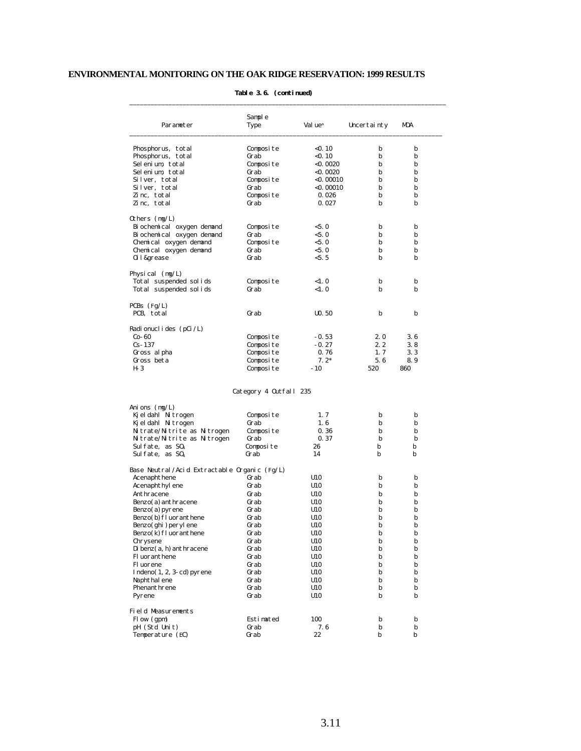| Parameter                                    | Sample<br>Type         | Val ue <sup>a</sup> | Uncertainty | MDA |
|----------------------------------------------|------------------------|---------------------|-------------|-----|
|                                              |                        |                     |             |     |
| Phosphorus, total                            | Composite              | < 0.10              | b           | b   |
| Phosphorus, total                            | Grab                   | $<$ 0. 10           | b           | b   |
| Selenium, total                              | Composite              | $<$ 0.0020          | b           | b   |
| Selenium, total                              | Grab                   | $<$ 0.0020          | b           | b   |
| Silver, total                                | Composite              | $<$ 0. 00010        | b           | b   |
| Silver, total                                | Grab                   | $<$ 0. 00010        | b           | b   |
| Zinc, total                                  | Composite              | 0.026               | b           | b   |
| Zinc. total                                  | Grab                   | 0.027               | b           | b   |
| Others $(mg/L)$                              |                        |                     |             |     |
| Bi ochemi cal oxygen demand                  | Composite              | < 5.0               | b           | b   |
| Bi ochemi cal oxygen demand                  | Grab                   | < 5.0               | b           | b   |
| Chemical oxygen demand                       | Composite              | < 5.0               | b           | b   |
| Chemical oxygen demand                       | Grab                   | < 5.0               | b           | b   |
| 0il&grease                                   | Grab                   | < 5.5               | b           | b   |
| Physical $(mg/L)$                            |                        |                     |             |     |
| Total suspended solids                       | Composite              | <1.0                | b           | b   |
| Total suspended solids                       | Grab                   | < 1.0               | b           | b   |
|                                              |                        |                     |             |     |
| PCBs $(Fg/L)$<br>PCB, total                  | Grab                   | $U0$ . 50           | b           | b   |
|                                              |                        |                     |             |     |
| Radi onucl i des $(pCi / L)$                 |                        |                     |             |     |
| $Co-60$                                      | Composite              | $-0.53$             | 2.0         | 3.6 |
| $Cs-137$                                     | Composite              | $-0.27$             | 2.2         | 3.8 |
| Gross al pha                                 | Composite              | 0.76                | 1, 7        | 3.3 |
| Gross beta                                   | Composite              | $7.2*$<br>$-10$     | 5.6         | 8.9 |
| H- 3                                         | Composite              |                     | 520         | 860 |
|                                              | Category 4 Outfall 235 |                     |             |     |
| Ani ons $(mg/L)$                             |                        |                     |             |     |
| Kj el dahl Nitrogen                          | Composite              | 1.7                 | b           | b   |
| Kj el dahl Nitrogen                          | Grab                   | 1.6                 | b           | b   |
| Nitrate/Nitrite as Nitrogen                  | Composite              | 0.36                | b           | b   |
| Nitrate/Nitrite as Nitrogen                  | Grab                   | 0.37                | b           | b   |
| Sul fate, as $S04$                           | Composite              | 26                  | b           | b   |
| Sul fate, as $S04$                           | Grab                   | 14                  | b           | b   |
| Base Neutral/Acid Extractable Organic (Fg/L) |                        |                     |             |     |
| Acenaphthene                                 | Grab                   | U10                 | b           | b   |
| Acenaphthyl ene                              | Grab                   | U10                 | b           | b   |
| Anthracene                                   | Grab                   | U10                 | b           | b   |
| Benzo(a) anthracene                          | Grab                   | U10                 | b           | b   |
| $Benzo(a)$ pyrene                            | Grab                   | U10                 | b           | b   |
| Benzo(b) fl uoranthene                       | Grab                   | U10                 | b           | b   |
| Benzo(ghi) peryl ene                         | Grab                   | U10                 | D           | D   |
| $Benzo(k)$ fl uoranthene                     | Grab                   | U10                 | b           | b   |
| Chrysene                                     | Grab                   | U10                 | b           | b   |
| $D$ i benz $(a, h)$ anthracene               | Grab                   | U10                 | b           | b   |
| Fl uoranthene                                | Grab                   | U10                 | b           | b   |
| Fl uorene                                    | Grab                   | U10                 | b           | b   |
| $Indeno(1, 2, 3-cd) pyrene$                  | Grab                   | U10                 | b           | b   |
| Naphthal ene                                 | Grab                   | U10                 | b           | b   |
| Phenanthrene                                 | Grab                   | U10                 | b           | b   |
| Pyrene                                       | Grab                   | U10                 | b           | b   |
| Field Measurements                           |                        |                     |             |     |
| Flow (gpm)                                   | Estimated              | 100                 | b           | b   |
| pH (Std Unit)                                | Grab                   | 7.6                 | b           | b   |
| Temperature (EC)                             | Grab                   | 22                  | b           | b   |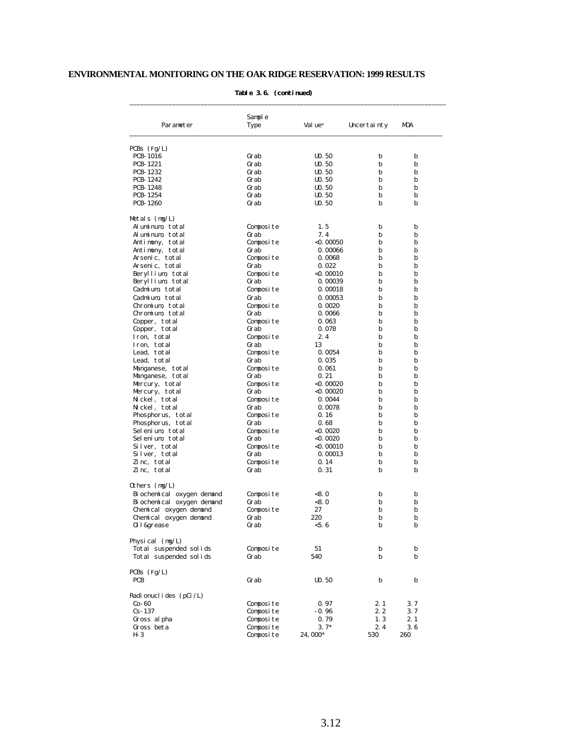|                                    | Sample       |                                 |             |        |
|------------------------------------|--------------|---------------------------------|-------------|--------|
| Parameter                          | Type         | Val ue <sup>a</sup>             | Uncertainty | MDA    |
| $PCBs$ (Fg/L)                      |              |                                 |             |        |
| <b>PCB-1016</b>                    | Grab         | $U0$ . 50                       | b           | b      |
| <b>PCB-1221</b>                    | Grab         | $U0$ . 50                       | b           | b      |
| <b>PCB-1232</b>                    | Grab         | $U0$ . 50                       | b           | b      |
| PCB-1242                           | Grab         | $U0$ . 50                       | b           | b      |
| <b>PCB-1248</b>                    | Grab         | $U0$ . 50                       | b           | b      |
| <b>PCB-1254</b><br><b>PCB-1260</b> | Grab<br>Grab | $U0$ . 50<br>U <sub>0</sub> .50 | b<br>b      | b<br>b |
| Metals (mg/L)                      |              |                                 |             |        |
| Aluminum total                     | Composite    | 1.5                             | b           | b      |
| Aluminum, total                    | Grab         | 7.4                             | b           | b      |
| Antimony, total                    | Composite    | $<$ 0. 00050                    | b           | b      |
| Antimony, total                    | Grab         | 0.00066                         | b           | b      |
| Arsenic, total                     | Composite    | 0.0068                          | b           | b      |
| Arsenic, total                     | Grab         | 0.022                           | b           | b      |
| Beryllium, total                   | Composite    | $<$ 0. 00010                    | b           | b      |
| Beryllium, total                   | Grab         | 0.00039                         | b           | b      |
| Cadmium total                      | Composite    | 0.00018                         | b           | b      |
| Cadmium, total                     | Grab         | 0.00053                         | b           | b      |
| Chromium total                     | Composite    | 0.0020                          | b           | b      |
| Chromium total                     | Grab         | 0.0066                          | b           | b      |
| Copper, total                      | Composite    | 0.063                           | b           | b      |
| Copper, total                      | Grab         | 0.078                           | b           | b      |
| Iron, total                        | Composite    | 2.4                             | b           | b      |
| Iron. total                        | Grab         | 13                              | b           | b      |
| Lead, total                        | Composite    | 0.0054                          | b           | b      |
| Lead, total                        | Grab         | 0.035                           | b           | b      |
| Manganese, total                   | Composite    | 0.061                           | b           | b      |
| Manganese, total                   | Grab         | 0.21                            | b           | b      |
| Mercury, total                     | Composite    | <0. 00020                       | b           | b      |
| Mercury, total                     | Grab         | $<$ 0. 00020                    | b           | b      |
| Nickel, total                      | Composite    | 0.0044                          | b           | b      |
| Nickel, total                      | Grab         | 0.0078                          | b           | b      |
| Phosphorus, total                  | Composite    | 0.16                            | b           | b      |
| Phosphorus, total                  | Grab         | 0.68                            | b           | b      |
| Selenium, total                    | Composite    | $<$ 0. 0020                     | b           | b      |
| Selenium, total                    | Grab         | $<$ 0. 0020                     | b           | b      |
| Silver, total                      | Composite    | $<$ 0.00010                     | b           | b      |
| Silver, total                      | Grab         | 0.00013                         | b           | b      |
| Zinc, total                        | Composite    | 0.14                            | b           | b      |
| Zinc, total                        | Grab         | 0.31                            | b           | b      |
| Others (mg/L)                      |              |                                 |             |        |
| Bi ochemi cal oxygen demand        | Composite    | < 8.0                           | b           | b      |
| Bi ochemi cal oxygen demand        | Grab         | < 8.0                           | b           | b      |
| Chemical oxygen demand             | Composite    | 27                              | b           | b      |
| Chemical oxygen demand             | Grab         | 220                             | b           | b      |
| 0il&grease                         | urab         | < 5.6                           | b           | D      |
| Physical $(mg/L)$                  |              |                                 |             |        |
| Total suspended solids             | Composite    | 51                              | b           | b      |
| Total suspended solids             | Grab         | 540                             | b           | b      |
| $PCBs$ (Fg/L)                      |              |                                 |             |        |
| PCB                                | Grab         | $U0$ . 50                       | b           | b      |
| Radionuclides (pCi/L)              |              |                                 |             |        |
| $Co-60$                            | Composite    | 0.97                            | 2.1         | 3. 7   |
| $Cs - 137$                         | Composite    | $-0.96$                         | 2. 2        | 3.7    |
| Gross al pha                       | Composite    | 0.79                            | 1, 3        | 2.1    |
| Gross beta                         | Composite    | $3.7*$                          | 2.4         | 3.6    |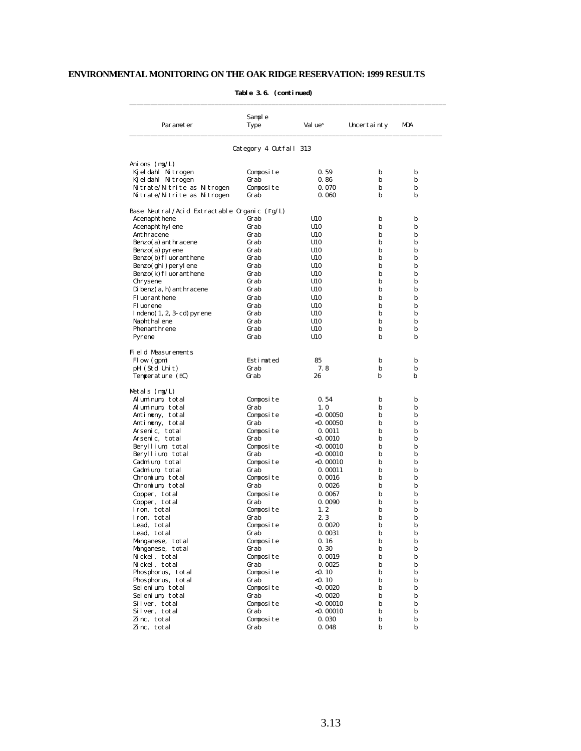| Parameter                                                  | Sample<br>Type         | Val ue <sup>a</sup>       | Uncertainty | MDA    |
|------------------------------------------------------------|------------------------|---------------------------|-------------|--------|
|                                                            |                        |                           |             |        |
|                                                            | Category 4 Outfall 313 |                           |             |        |
| Ani ons $(mg/L)$                                           |                        |                           |             |        |
| Kj el dahl Nitrogen                                        | Composite              | 0.59                      | b           | b      |
| Kjeldahl Nitrogen                                          | Grab                   | 0.86<br>0.070             | b<br>b      | b<br>b |
| Nitrate/Nitrite as Nitrogen<br>Nitrate/Nitrite as Nitrogen | Composite<br>Grab      | 0.060                     | b           | b      |
| Base Neutral/Acid Extractable Organic (Fg/L)               |                        |                           |             |        |
| Acenaphthene                                               | Grab                   | U10                       | b           | b      |
| Acenaphthyl ene                                            | Grab                   | U10                       | b           | b      |
| Anthracene                                                 | Grab                   | U10                       | b           | b      |
| Benzo(a) anthracene                                        | Grab                   | U10                       | b           | b      |
| Benzo(a) pyrene                                            | Grab                   | U10                       | b           | b      |
| Benzo(b) fl uoranthene<br>Benzo(ghi) peryl ene             | Grab<br>Grab           | U10<br>U10                | b<br>b      | b<br>b |
| Benzo(k) fl uoranthene                                     | Grab                   | U10                       | b           | b      |
| Chrysene                                                   | Grab                   | U10                       | b           | b      |
| Di benz(a, h) anthracene                                   | Grab                   | U10                       | b           | b      |
| <b>Fluoranthene</b>                                        | Grab                   | U10                       | b           | b      |
| Fl uorene                                                  | Grab                   | U10                       | b           | b      |
| $Indeno(1, 2, 3-cd) pyrene$                                | Grab                   | U10                       | b           | b      |
| Naphthal ene                                               | Grab                   | U10                       | b           | b      |
| Phenanthrene                                               | Grab                   | U10                       | b           | b      |
| Pyrene                                                     | Grab                   | U10                       | b           | b      |
| Field Measurements                                         |                        |                           |             |        |
| Flow (gpm)                                                 | Estimated              | 85                        | b           | b      |
| pH (Std Unit)                                              | Grab                   | 7.8                       | b           | b      |
| Temperature (EC)                                           | Grab                   | 26                        | b           | b      |
| Metals $(mg/L)$                                            |                        |                           |             |        |
| Aluminum, total                                            | Composite              | 0.54                      | b           | b      |
| Aluminum, total                                            | Grab                   | 1.0                       | b           | b      |
| Antimony, total<br>Antimony, total                         | Composite<br>Grab      | $<$ 0. 00050<br><0. 00050 | b<br>b      | b<br>b |
| Arsenic, total                                             | Composite              | 0.0011                    | b           | b      |
| Arsenic, total                                             | Grab                   | <0.0010                   | b           | b      |
| Beryllium, total                                           | Composite              | <0. 00010                 | b           | b      |
| Beryllium, total                                           | Grab                   | <0. 00010                 | b           | b      |
| Cadmium, total                                             | Composite              | <0. 00010                 | b           | b      |
| Cadmium, total                                             | Grab                   | 0.00011                   | b           | b      |
| Chromium, total                                            | Composite              | 0.0016                    | b           | b      |
| Chromium, total                                            | Grab                   | 0.0026                    | b           | b      |
| Copper, total                                              | Composite              | 0.0067                    | b           | b      |
| Copper, total<br>Iron, total                               | Grab<br>Composite      | 0.0090<br>1.2             | b<br>b      | b<br>b |
| Iron. total                                                | Grab                   | 2.3                       | b           | b      |
| Lead. total                                                | Composite              | 0.0020                    | b           | b      |
| Lead, total                                                | Grab                   | 0.0031                    | b           | b      |
| Manganese, total                                           | Composite              | 0.16                      | b           | b      |
| Manganese, total                                           | Grab                   | 0.30                      | b           | b      |
| Nickel, total                                              | Composite              | 0.0019                    | b           | b      |
| Nickel, total                                              | Grab                   | 0.0025                    | b           | b      |
| Phosphorus, total                                          | Composite              | < 0.10                    | b           | b      |
| Phosphorus, total                                          | Grab                   | < 0.10                    | b           | b      |
| Selenium, total                                            | Composite              | $<$ 0.0020                | b           | b      |
| Selenium, total<br>Silver, total                           | Grab<br>Composite      | $<$ 0.0020<br>$<$ 0.00010 | b<br>b      | b<br>b |
| Silver, total                                              | Grab                   | $<$ 0.00010               | b           | b      |
| Zinc, total                                                | Composite              | 0.030                     | b           | b      |
| Zinc, total                                                | Grab                   | 0.048                     | b           | b      |

#### **Table 3.6. (continued)**

\_\_\_\_\_\_\_\_\_\_\_\_\_\_\_\_\_\_\_\_\_\_\_\_\_\_\_\_\_\_\_\_\_\_\_\_\_\_\_\_\_\_\_\_\_\_\_\_\_\_\_\_\_\_\_\_\_\_\_\_\_\_\_\_\_\_\_\_\_\_\_\_\_\_\_\_\_\_\_\_\_\_\_\_\_\_\_\_\_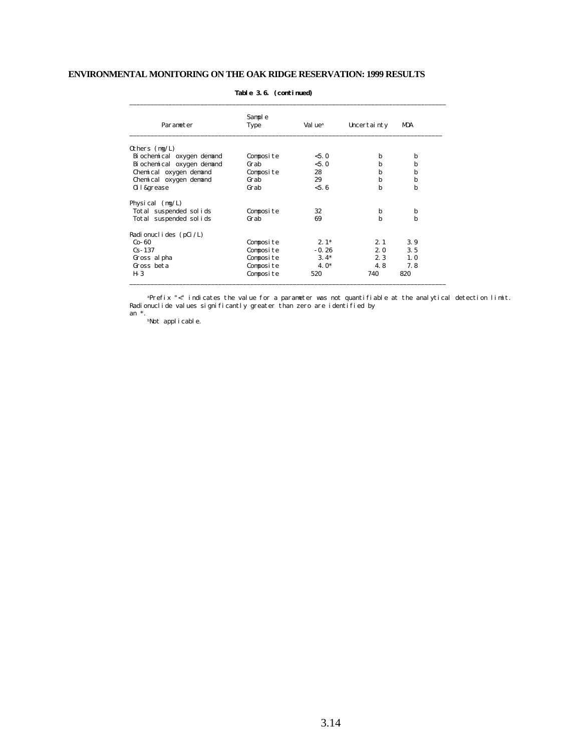| Parameter                   | Sample<br>Type | Val ue <sup>a</sup> | Uncertainty | MDA |
|-----------------------------|----------------|---------------------|-------------|-----|
| Others $(mg/L)$             |                |                     |             |     |
| Bi ochemi cal oxygen demand | Composite      | < 5.0               | b           | b   |
| Bi ochemi cal oxygen demand | Grab           | < 5.0               | b           | b   |
| Chemical oxygen demand      | Composite      | 28                  | b           | b   |
| Chemical oxygen demand      | Grab           | 29                  | b           | b   |
| 0il&grease                  | Grab           | < 5.6               | b           | b   |
| Physical $(mg/L)$           |                |                     |             |     |
| Total suspended solids      | Composite      | 32                  | b           | b   |
| Total suspended solids      | Grab           | 69                  | h           | b   |
| Radi onucl i des $(pCi/L)$  |                |                     |             |     |
| $Co-60$                     | Composite      | $2.1*$              | 2.1         | 3.9 |
| $Cs - 137$                  | Composite      | $-0.26$             | 2.0         | 3.5 |
| Gross al pha                | Composite      | $3.4*$              | 2.3         | 1.0 |
| Gross beta                  | Composite      | $4.0*$              | 4.8         | 7.8 |
| $H-3$                       | Composite      | 520                 | 740         | 820 |

#### **Table 3.6. (continued)**

\_\_\_\_\_\_\_\_\_\_\_\_\_\_\_\_\_\_\_\_\_\_\_\_\_\_\_\_\_\_\_\_\_\_\_\_\_\_\_\_\_\_\_\_\_\_\_\_\_\_\_\_\_\_\_\_\_\_\_\_\_\_\_\_\_\_\_\_\_\_\_\_\_\_\_\_\_\_\_\_\_\_\_\_\_\_\_\_\_

 <sup>a</sup>Prefix "<" indicates the value for a parameter was not quantifiable at the analytical detection limit. Radionuclide values significantly greater than zero are identified by an \*.

bNot applicable.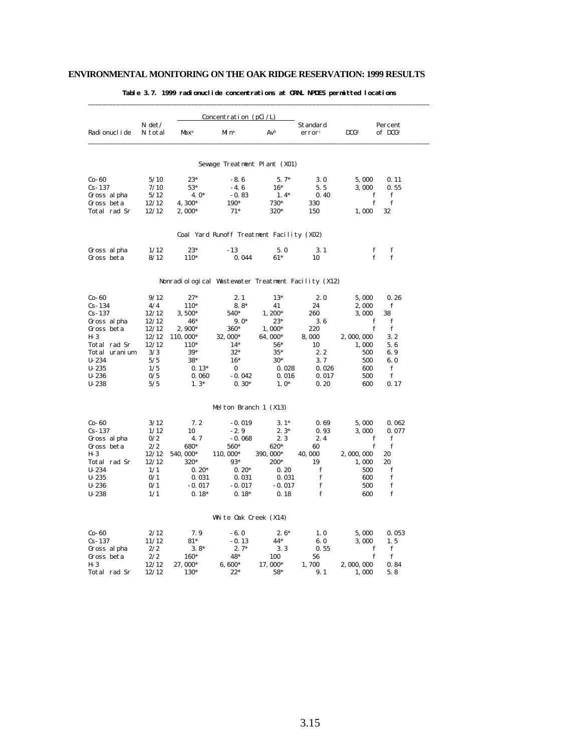|                        |                     |                                                     | Concentration ( $pCi/L$ )                 |                |                                |                  |                                |
|------------------------|---------------------|-----------------------------------------------------|-------------------------------------------|----------------|--------------------------------|------------------|--------------------------------|
| Radi onucl i de        | $N \det$<br>N total | Max <sup>a</sup>                                    | Mi n <sup>a</sup>                         | Avb            | Standard<br>error <sup>c</sup> | DCG <sup>d</sup> | Percent<br>of DCG <sup>e</sup> |
|                        |                     |                                                     | Sewage Treatment Plant (X01)              |                |                                |                  |                                |
| $Co-60$                | 5/10                | $23*$                                               | $-8.6$                                    | $5.7*$         | 3.0                            | 5,000            | 0.11                           |
| $Cs - 137$             | 7/10                | $53*$                                               | $-4.6$                                    | $16*$          | 5.5                            | 3,000            | 0.55                           |
| Gross al pha           | 5/12                | $4.0*$                                              | $-0.83$                                   | $1.4*$         | 0.40                           | f                | $\mathbf f$                    |
| Gross beta             | 12/12               | 4.300*                                              | $190*$                                    | 730*           | 330                            | f                | f                              |
| Total rad Sr           | 12/12               | $2,000*$                                            | $71*$                                     | 320*           | 150                            | 1,000            | 32                             |
|                        |                     |                                                     | Coal Yard Runoff Treatment Facility (X02) |                |                                |                  |                                |
| Gross al pha           | 1/12                | $23*$                                               | $-13$                                     | 5.0            | 3.1                            | f                | f                              |
| Gross beta             | 8/12                | $110*$                                              | 0.044                                     | $61*$          | 10                             | f                | f                              |
|                        |                     | Nonradiological Wastewater Treatment Facility (X12) |                                           |                |                                |                  |                                |
| $Co-60$                | 9/12                | $27*$                                               | 2.1                                       | $13*$          | 2.0                            | 5,000            | 0.26                           |
| $Cs - 134$             | 4/4                 | $110*$                                              | $8.8*$                                    | 41             | 24                             | 2,000            | f                              |
| $Cs - 137$             | 12/12               | $3,500*$                                            | 540*                                      | $1.200*$       | 260                            | 3,000            | 38                             |
| Gross al pha           | 12/12               | 46*                                                 | $9.0*$                                    | $23*$          | 3.6                            | f                | ${\bf f}$                      |
| Gross beta             | 12/12               | $2,900*$                                            | 360*                                      | $1,000*$       | 220                            | f                | f                              |
| $H-3$                  | 12/12               | 110, 000*                                           | 32, 000*                                  | 64,000*        | 8,000                          | 2,000,000        | 3.2                            |
| Total rad Sr           | 12/12               | 110*                                                | $14*$                                     | $56*$          | 10                             | 1,000            | 5.6                            |
| Total uranium          | 3/3                 | $39*$                                               | $32*$                                     | $35*$          | 2.2                            | 500              | 6.9                            |
| $U - 234$              | 5/5<br>1/5          | $38*$                                               | $16*$                                     | $30*$          | 3.7                            | 500              | 6.0<br>$\mathbf f$             |
| $U - 235$<br>$U - 236$ | 0/5                 | $0.13*$<br>0.060                                    | $\bf{0}$<br>$-0.042$                      | 0.028<br>0.016 | 0.026<br>0.017                 | 600<br>500       | $\mathbf f$                    |
| $U - 238$              | 5/5                 | $1.3*$                                              | $0.30*$                                   | $1.0*$         | 0.20                           | 600              | 0.17                           |
|                        |                     |                                                     |                                           |                |                                |                  |                                |
|                        |                     |                                                     | Melton Branch 1 (X13)                     |                |                                |                  |                                |
| $Co-60$                | 3/12                | 7.2                                                 | $-0.019$                                  | $3.1*$         | 0.69                           | 5,000            | 0.062                          |
| $Cs - 137$             | 1/12                | 10                                                  | $-2.9$                                    | $2.3*$         | 0.93                           | 3,000            | 0.077                          |
| Gross al pha           | 0/2                 | 4.7                                                 | $-0.068$                                  | 2.3            | 2.4                            | $\mathbf f$      | $\mathbf f$                    |
| Gross beta             | 2/2                 | 680*                                                | 560*                                      | 620*           | 60                             | $\mathbf f$      | f                              |
| H- 3                   | 12/12               | 540, 000*                                           | 110, 000*                                 | 390, 000*      | 40,000                         | 2,000,000        | 20                             |
| Total rad Sr           | 12/12               | 320*                                                | $93*$                                     | 200*           | 19                             | 1,000            | 20                             |
| $U - 234$<br>$U - 235$ | 1/1<br>0/1          | $0.20*$<br>0.031                                    | $0.20*$<br>0.031                          | 0.20<br>0.031  | f<br>f                         | 500<br>600       | f<br>${\bf f}$                 |
| $U-236$                | 0/1                 | $-0.017$                                            | $-0.017$                                  | $-0.017$       | f                              | 500              | $\mathbf f$                    |
| $U - 238$              | 1/1                 | $0.18*$                                             | $0.18*$                                   | 0.18           | f                              | 600              | f                              |
|                        |                     |                                                     |                                           |                |                                |                  |                                |
|                        |                     |                                                     | White Oak Creek (X14)                     |                |                                |                  |                                |
| $Co-60$                | 2/12                | 7.9                                                 | $-6.0$                                    | $2.6*$         | 1.0                            | 5,000            | 0.053                          |
| $Cs - 137$             | 11/12               | $81*$                                               | $-0.13$                                   | $44*$          | 6.0                            | 3,000            | 1.5                            |
| Gross al pha           | 2/2                 | $3.8*$                                              | $2.7*$                                    | 3.3            | 0.55                           | f                | f                              |
| Gross beta<br>$H-3$    | 2/2                 | 160*                                                | 48*                                       | 100            | 56                             | f                | f                              |
|                        | 12/12<br>12/12      | 27,000*<br>130*                                     | $6,600*$<br>$22*$                         | 17,000*<br>58* | 1,700<br>9.1                   | 2,000,000        | 0.84<br>5.8                    |
| Total rad Sr           |                     |                                                     |                                           |                |                                | 1,000            |                                |

#### **Table 3.7. 1999 radionuclide concentrations at ORNL NPDES permitted locations**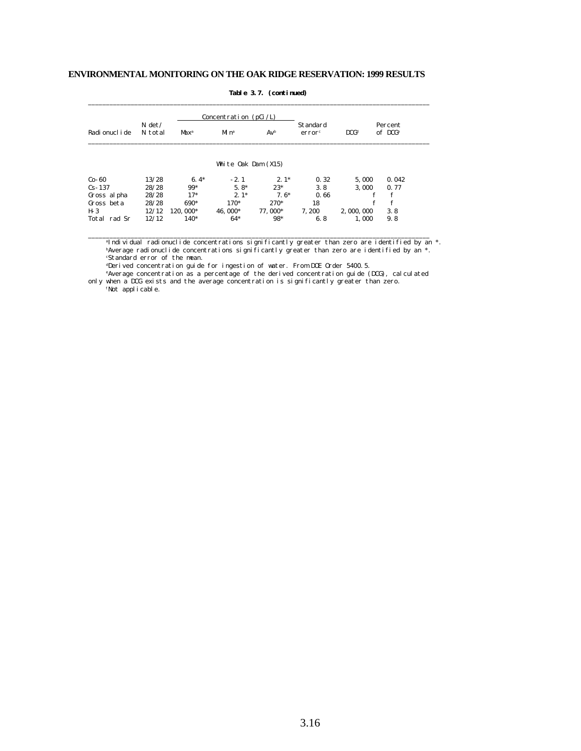|                 |                     |                  | Concentration $(pCi/L)$ |         |                                |                  |                        |
|-----------------|---------------------|------------------|-------------------------|---------|--------------------------------|------------------|------------------------|
| Radi onucl i de | $N \det$<br>N total | Max <sup>a</sup> | $Mn$ <sup>a</sup>       | $Av^b$  | Standard<br>error <sup>c</sup> | DCG <sup>d</sup> | Percent<br>$of$ $DCGe$ |
|                 |                     |                  | White Oak Dam (X15)     |         |                                |                  |                        |
| $Co-60$         | 13/28               | $6.4*$           | $-2.1$                  | $2.1*$  | 0.32                           | 5.000            | 0.042                  |
| $Cs - 137$      | 28/28               | 99*              | $5.8*$                  | $23*$   | 3.8                            | 3.000            | 0.77                   |
| Gross al pha    | 28/28               | $17*$            | $2.1*$                  | $7.6*$  | 0.66                           | f                | $\mathbf f$            |
| Gross beta      | 28/28               | 690*             | $170*$                  | $270*$  | 18                             | f                | f                      |
| $H-3$           | 12/12               | 120, 000*        | 46.000*                 | 77.000* | 7.200                          | 2,000,000        | 3.8                    |
| Total rad Sr    | 12/12               | 140*             | $64*$                   | 98*     | 6.8                            | 1.000            | 9.8                    |

#### **Table 3.7. (continued)**

\_\_\_\_\_\_\_\_\_\_\_\_\_\_\_\_\_\_\_\_\_\_\_\_\_\_\_\_\_\_\_\_\_\_\_\_\_\_\_\_\_\_\_\_\_\_\_\_\_\_\_\_\_\_\_\_\_\_\_\_\_\_\_\_\_\_\_\_\_\_\_\_\_\_\_\_\_\_\_\_\_\_\_\_\_\_\_\_\_\_\_\_\_\_\_\_

<sup>a</sup>Individual radionuclide concentrations significantly greater than zero are identified by an \*. <sup>b</sup>Average radionuclide concentrations significantly greater than zero are identified by an \*. <sup>c</sup>Standard error of the mean.

dDerived concentration guide for ingestion of water. From DOE Order 5400.5.

 <sup>e</sup>Average concentration as a percentage of the derived concentration guide (DCG), calculated only when a DCG exists and the average concentration is significantly greater than zero.

\_\_\_\_\_\_\_\_\_\_\_\_\_\_\_\_\_\_\_\_\_\_\_\_\_\_\_\_\_\_\_\_\_\_\_\_\_\_\_\_\_\_\_\_\_\_\_\_\_\_\_\_\_\_\_\_\_\_\_\_\_\_\_\_\_\_\_\_\_\_\_\_\_\_\_\_\_\_\_\_\_\_\_\_\_\_\_\_\_\_\_\_\_\_\_\_

fNot applicable.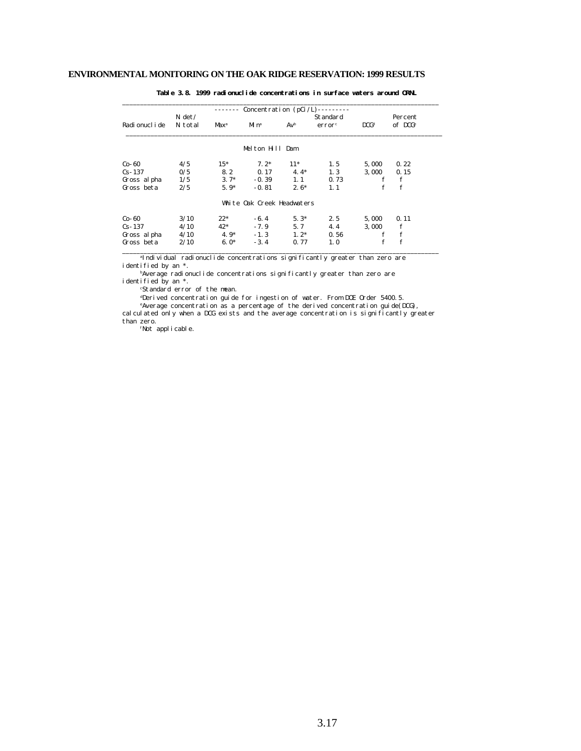|                 |          |                  |                            |               | Concentration $(pCi/L)$ -------- |                  |                     |
|-----------------|----------|------------------|----------------------------|---------------|----------------------------------|------------------|---------------------|
|                 | $N \det$ |                  |                            |               | Standard                         |                  | Percent             |
| Radi onucl i de | N total  | Max <sup>a</sup> | Mi nª                      | $Av^b$        | error <sup>c</sup>               | DCG <sup>d</sup> | of DCG <sup>e</sup> |
|                 |          |                  | Melton Hill Dam            |               |                                  |                  |                     |
| $Co-60$         | 4/5      | $15*$            | $7.2*$                     | $11*$         | 1.5                              | 5,000            | 0.22                |
| $Cs - 137$      | 0/5      | 8.2              |                            | $0.17$ $4.4*$ | 1.3                              | 3,000            | 0.15                |
| Gross al pha    | 1/5      | $3.7*$           |                            | $-0.39$ 1.1   | 0.73                             | f                | f                   |
| Gross beta      | 2/5      | $5.9*$           | $-0.81$                    | $2.6*$        | 1.1                              | f                | f                   |
|                 |          |                  | White Oak Creek Headwaters |               |                                  |                  |                     |
| $Co-60$         | 3/10     | $22*$            | $-6.4$                     | $5.3*$        | 2.5                              | 5,000            | 0.11                |
| $Cs - 137$      | 4/10     | $42*$            | $-7.9$                     | 5.7           | 4.4                              | 3,000            | f                   |
| Gross al pha    | 4/10     | $4.9*$           | $-1.3$                     | $1.2^*$       | 0.56                             | f                | f                   |
| Gross beta      | 2/10     | $6.0*$           | $-3.4$                     | 0.77          | 1.0                              |                  | $\mathbf f$         |

**Table 3.8. 1999 radionuclide concentrations in surface waters around ORNL**

<sup>a</sup>Individual radionuclide concentrations significantly greater than zero are identified by an \*.

bAverage radionuclide concentrations significantly greater than zero are identified by an \*.

<sup>c</sup>Standard error of the mean.

dDerived concentration guide for ingestion of water. From DOE Order 5400.5.

 <sup>e</sup>Average concentration as a percentage of the derived concentration guide(DCG), calculated only when a DCG exists and the average concentration is significantly greater than zero.

fNot applicable.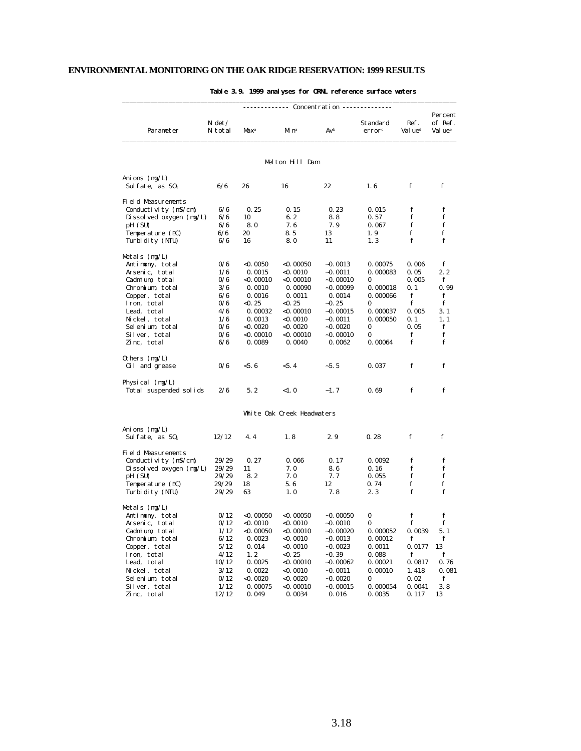|                           |                   | Concentration ----- |                            |            |                   |                             |                                           |  |  |  |  |
|---------------------------|-------------------|---------------------|----------------------------|------------|-------------------|-----------------------------|-------------------------------------------|--|--|--|--|
| Parameter                 | N det/<br>N total | Max <sup>a</sup>    | Mi nª                      | Avb        | Standard<br>error | Ref.<br>Val ue <sup>d</sup> | Percent<br>of Ref.<br>Val ue <sup>e</sup> |  |  |  |  |
|                           |                   |                     | Melton Hill Dam            |            |                   |                             |                                           |  |  |  |  |
| Anions $(mg/L)$           |                   |                     |                            |            |                   |                             |                                           |  |  |  |  |
| Sulfate, as $S0_4$        | 6/6               | 26                  | 16                         | 22         | 1.6               | f                           | f                                         |  |  |  |  |
| <b>Field Measurements</b> |                   |                     |                            |            |                   |                             |                                           |  |  |  |  |
| Conductivity $(mS/cm)$    | 6/6               | 0.25                | 0.15                       | 0.23       | 0.015             | f                           | f                                         |  |  |  |  |
| Dissolved oxygen $(mg/L)$ | 6/6               | 10                  | 6.2                        | 8.8        | 0.57              | f                           | f                                         |  |  |  |  |
| pH (SU)                   | 6/6               | 8.0                 | 7.6                        | 7.9        | 0.067             | f                           | f                                         |  |  |  |  |
| Temperature (EC)          | 6/6               | 20                  | 8.5                        | 13         | 1.9               | f                           | f                                         |  |  |  |  |
| Turbi di ty (NTU)         | 6/6               | 16                  | 8.0                        | 11         | 1.3               | f                           | f                                         |  |  |  |  |
| Metals $(mg/L)$           |                   |                     |                            |            |                   |                             |                                           |  |  |  |  |
| Antimony, total           | 0/6               | <0. 0050            | $<$ 0. 00050               | $-0.0013$  | 0.00075           | 0.006                       | f                                         |  |  |  |  |
| Arsenic, total            | 1/6               | 0.0015              | $<$ 0.0010                 | $-0.0011$  | 0.000083          | 0.05                        | 2.2                                       |  |  |  |  |
| Cadmium, total            | 0/6               | <0. 00010           | $<$ 0. 00010               | $-0.00010$ | 0                 | 0.005                       | f                                         |  |  |  |  |
| Chromium, total           | 3/6               | 0.0010              | 0.00090                    | $-0.00099$ | 0.000018          | 0.1                         | 0.99                                      |  |  |  |  |
| Copper, total             | 6/6               | 0.0016              | 0.0011                     | 0.0014     | 0.000066          | f                           | f                                         |  |  |  |  |
| Iron, total               | 0/6               | $<$ 0. 25           | $<$ 0.25                   | $-0.25$    | 0                 | f                           | f                                         |  |  |  |  |
| Lead, total               | 4/6               | 0.00032             | $<$ 0. 00010               | $-0.00015$ | 0.000037          | 0.005                       | 3.1                                       |  |  |  |  |
| Nickel, total             | 1/6               | 0.0013              | $<$ 0.0010                 | $-0.0011$  | 0.000050          | 0.1                         | 1.1                                       |  |  |  |  |
| Selenium, total           | 0/6               | $<$ 0. 0020         | $<$ 0. 0020                | $-0.0020$  | 0                 | 0.05                        | f                                         |  |  |  |  |
| Silver, total             | 0/6               | <0. 00010           | $<$ 0.00010                | $-0.00010$ | 0                 | f                           | f                                         |  |  |  |  |
| Zinc, total               | 6/6               | 0.0089              | 0.0040                     | 0.0062     | 0.00064           | f                           | f                                         |  |  |  |  |
| Others $(mg/L)$           |                   |                     |                            |            |                   |                             |                                           |  |  |  |  |
| 0il and grease            | 0/6               | $<$ 5.6             | < 5.4                      | $-5.5$     | 0.037             | f                           | f                                         |  |  |  |  |
| Physical $(mg/L)$         |                   |                     |                            |            |                   |                             |                                           |  |  |  |  |
| Total suspended solids    | 2/6               | 5.2                 | <1.0                       | $-1.7$     | 0.69              | f                           | f                                         |  |  |  |  |
|                           |                   |                     | White Oak Creek Headwaters |            |                   |                             |                                           |  |  |  |  |
| Ani ons $(mg/L)$          |                   |                     |                            |            |                   |                             |                                           |  |  |  |  |
| Sulfate, as $S0_4$        | 12/12             | 4.4                 | 1.8                        | 2.9        | 0.28              | f                           | f                                         |  |  |  |  |
| Field Measurements        |                   |                     |                            |            |                   |                             |                                           |  |  |  |  |
| Conductivity $(mS/cm)$    | 29/29             | 0.27                | 0.066                      | 0.17       | 0.0092            | f                           | f                                         |  |  |  |  |
| Dissolved oxygen $(mg/L)$ | 29/29             | 11                  | 7.0                        | 8.6        | 0.16              | f                           | f                                         |  |  |  |  |
| pH (SU)                   | 29/29             | 8.2                 | 7.0                        | 7. 7       | 0.055             | f                           | f                                         |  |  |  |  |
| Temperature (EC)          | 29/29             | 18                  | 5.6                        | 12         | 0.74              | f                           | f                                         |  |  |  |  |
| Turbi di ty (NTU)         | 29/29             | 63                  | 1.0                        | 7.8        | 2.3               | f                           | f                                         |  |  |  |  |
| Metals $(mg/L)$           |                   |                     |                            |            |                   |                             |                                           |  |  |  |  |
| Antimony, total           | 0/12              | $<$ 0. 00050        | $<$ 0. 00050               | $-0.00050$ | 0                 | f                           | f                                         |  |  |  |  |
| Arsenic, total            | 0/12              | <0. 0010            | $<$ 0. 0010                | $-0.0010$  | $\mathbf{0}$      | f                           | f                                         |  |  |  |  |
| Cadmium, total            | 1/12              | $<$ 0.00050         | $<$ 0.00010                | $-0.00020$ | 0.000052          | 0.0039                      | 5.1                                       |  |  |  |  |
| Chromium, total           | 6/12              | 0.0023              | $<$ 0.0010                 | $-0.0013$  | 0.00012           | f                           | f                                         |  |  |  |  |
| Copper, total             | 5/12              | 0.014               | $<$ 0.0010                 | $-0.0023$  | 0.0011            | 0.0177                      | 13                                        |  |  |  |  |
| Iron, total               | 4/12              | 1.2                 | < 0.25                     | $-0.39$    | 0.088             | f                           | f                                         |  |  |  |  |
| Lead, total               | 10/12             | 0.0025              | $<$ 0.00010                | $-0.00062$ | 0.00021           | 0.0817                      | 0.76                                      |  |  |  |  |
| Nickel, total             | 3/12              | 0.0022              | <0.0010                    | $-0.0011$  | 0.00010           | 1.418                       | 0.081                                     |  |  |  |  |
| Selenium, total           | 0/12              | $<$ 0.0020          | $<$ 0.0020                 | $-0.0020$  | 0                 | 0.02                        | f                                         |  |  |  |  |
| Silver, total             | 1/12              | 0.00075             | $<$ 0.00010                | $-0.00015$ | 0.000054          | 0.0041                      | 3.8                                       |  |  |  |  |
| Zinc, total               | 12/12             | 0.049               | 0.0034                     | 0.016      | 0.0035            | 0.117                       | 13                                        |  |  |  |  |

## **Table 3.9. 1999 analyses for ORNL reference surface waters**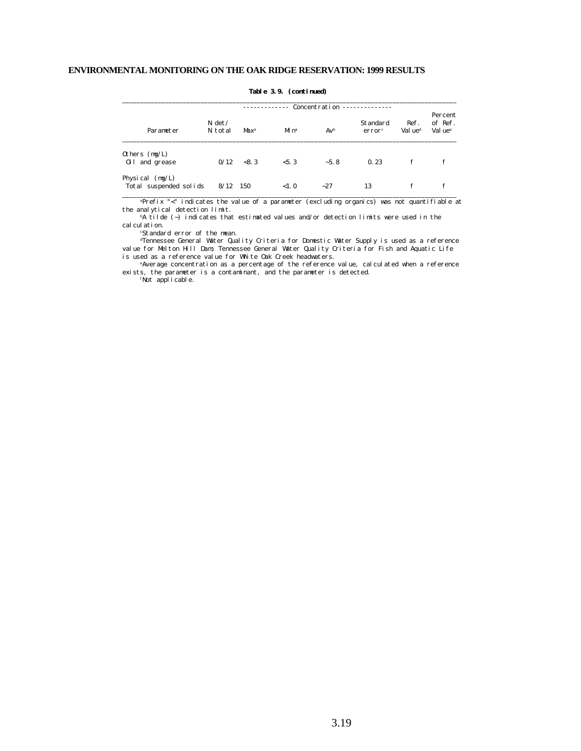|                                             | $Concentration$ ------------- |         |                   |        |                                       |                             |                                           |  |  |  |
|---------------------------------------------|-------------------------------|---------|-------------------|--------|---------------------------------------|-----------------------------|-------------------------------------------|--|--|--|
| Parameter                                   | $N \det$<br>N total           | $Max^a$ | $Mn$ <sup>a</sup> | $Av^b$ | <b>Standard</b><br>error <sup>c</sup> | Ref.<br>Val ue <sup>d</sup> | Percent<br>of Ref.<br>Val ue <sup>e</sup> |  |  |  |
| Others $(mg/L)$<br>0il and grease           | 0/12                          | < 8.3   | < 5.3             | $-5.8$ | 0.23                                  | f                           | f                                         |  |  |  |
| Physical $(mg/L)$<br>Total suspended solids | $8/12$ 150                    |         | <1.0              | $-27$  | 13                                    | f                           | f                                         |  |  |  |

 **Table 3.9. (continued)**

 <sup>a</sup>Prefix "<" indicates the value of a parameter (excluding organics) was not quantifiable at the analytical detection limit.

 $bA$  tilde (~) indicates that estimated values and/or detection limits were used in the cal cul ati on.

<sup>c</sup>Standard error of the mean.

 <sup>d</sup>Tennessee General Water Quality Criteria for Domestic Water Supply is used as a reference value for Melton Hill Dam; Tennessee General Water Quality Criteria for Fish and Aquatic Life is used as a reference value for White Oak Creek headwaters.

<sup>e</sup>Average concentration as a percentage of the reference value, calculated when a reference exists, the parameter is a contaminant, and the parameter is detected.

fNot applicable.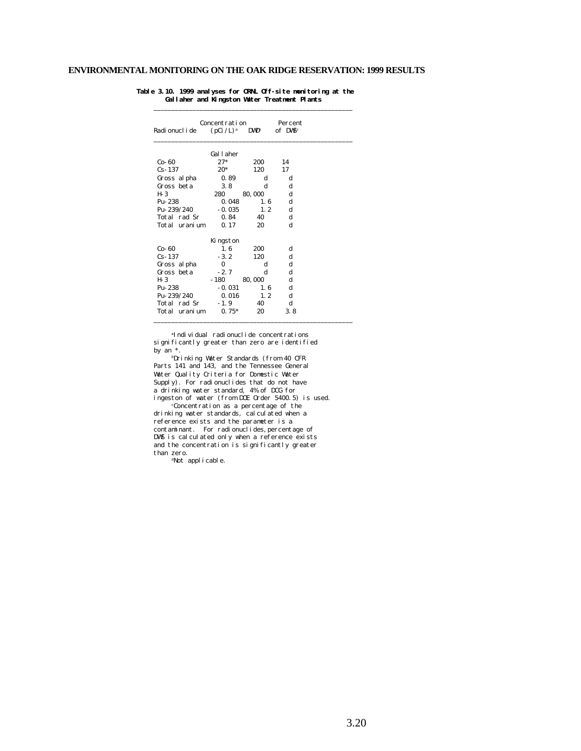| Radi onucl i de | Concentration<br>$(pCi / L)$ <sup>a</sup> | $\bf{D}\bf{W}\bf{D}^{\rm b}$ | Percent<br>of DWS <sup>c</sup> |  |
|-----------------|-------------------------------------------|------------------------------|--------------------------------|--|
|                 | Gallaher                                  |                              |                                |  |
| Co-60           | $27*$                                     | 200                          | 14                             |  |
| $Cs - 137$      | $20*$                                     | 120                          | 17                             |  |
| Gross al pha    | 0.89                                      | d                            | d                              |  |
| Gross beta      | 3.8                                       | d                            | d                              |  |
| H- 3            | 280                                       | 80,000                       | d                              |  |
| Pu-238          | 0.048                                     | 1.6                          | d                              |  |
| $Pu - 239/240$  | $-0.035$                                  | 1.2                          | d                              |  |
| Total rad Sr    | 0.84                                      | 40                           | d                              |  |
| Total uranium   | 0.17                                      | 20                           | d                              |  |
|                 | Kingston                                  |                              |                                |  |
| Co-60           | 1.6                                       | 200                          | d                              |  |
| $Cs - 137$      | $-3.2$                                    | 120                          | d                              |  |
| Gross al pha    | $\bf{0}$                                  | d                            | d                              |  |
| Gross beta      | $-2.7$                                    | d                            | d                              |  |
| H- 3            | $-180$                                    | 80,000                       | d                              |  |
| Pu-238          | $-0.031$                                  | 1.6                          | d                              |  |
| Pu-239/240      | 0.016                                     | 1.2                          | d                              |  |
| Total rad Sr    | $-1.9$                                    | 40                           | d                              |  |
| Total uranium   | $0.75*$                                   | 20                           | 3.8                            |  |

#### **Table 3.10. 1999 analyses for ORNL Off-site monitoring at the Gallaher and Kingston Water Treatment Plants**

\_\_\_\_\_\_\_\_\_\_\_\_\_\_\_\_\_\_\_\_\_\_\_\_\_\_\_\_\_\_\_\_\_\_\_\_\_\_\_\_\_\_\_\_\_\_\_\_\_\_\_\_\_\_\_\_

<sup>a</sup>Individual radionuclide concentrations significantly greater than zero are identified by  $an *$ .

<sup>b</sup>Drinking Water Standards (from 40 CFR Parts 141 and 143, and the Tennessee General Water Quality Criteria for Domestic Water Supply). For radionuclides that do not have a drinking water standard, 4% of DCG for ingeston of water (from DOE Order 5400.5) is used.

 <sup>c</sup>Concentration as a percentage of the drinking water standards, calculated when a reference exists and the parameter is a contaminant. For radionuclides, percentage of DWS is calculated only when a reference exists and the concentration is significantly greater than zero.

<sup>d</sup>Not applicable.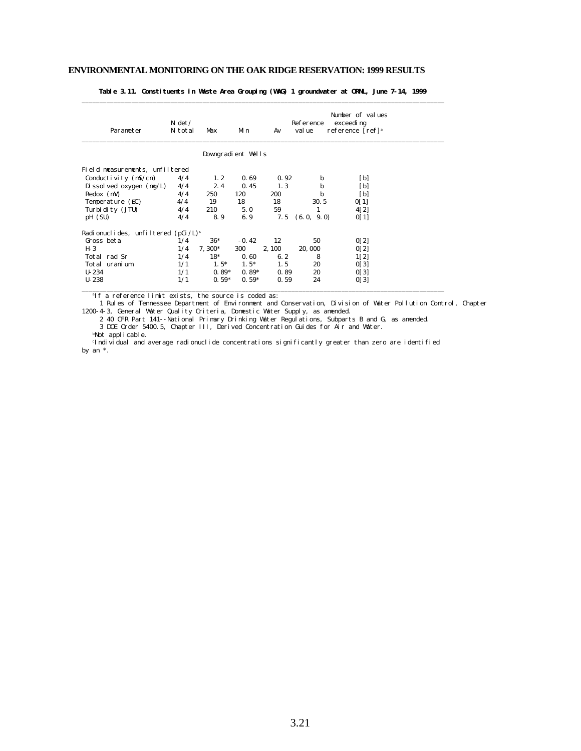| Parameter                             | $N \det$<br>N total | Max                | Min     | Av     | Reference<br>val ue | Number of values<br>exceedi ng<br>reference [ref] <sup>a</sup> |  |
|---------------------------------------|---------------------|--------------------|---------|--------|---------------------|----------------------------------------------------------------|--|
|                                       |                     | Downgradient Wells |         |        |                     |                                                                |  |
| Field measurements, unfiltered        |                     |                    |         |        |                     |                                                                |  |
| Conductivity $(mS/cm)$                | 4/4                 | 1, 2               | 0.69    | 0.92   | b                   | [b]                                                            |  |
| Di ssol ved oxygen $(mg/L)$           | 4/4                 | 2.4                | 0.45    | 1, 3   | b                   | [b]                                                            |  |
| $Redox$ (mV)                          | 4/4                 | 250                | 120     | 200    | b                   | $\lceil b \rceil$                                              |  |
| Temperature (EC)                      | 4/4                 | 19                 | 18      | 18     | 30.5                | 0[1]                                                           |  |
| Turbi di ty (JTU)                     | 4/4                 | 210                | 5.0     | 59     | 1                   | 4[2]                                                           |  |
| pH (SU)                               | 4/4                 | 8.9                | 6.9     | 7.5    | (6.0, 9.0)          | 0[1]                                                           |  |
| Radionuclides, unfiltered $(pCi/L)^c$ |                     |                    |         |        |                     |                                                                |  |
| Gross beta                            | 1/4                 | $36*$              | $-0.42$ | 12     | 50                  | 0[2]                                                           |  |
| H- 3                                  | 1/4                 | $7,300*$           | 300     | 2, 100 | 20,000              | 0[2]                                                           |  |
| Total rad Sr                          | 1/4                 | $18*$              | 0.60    | 6.2    | 8                   | 1[2]                                                           |  |
| Total uranium                         | 1/1                 | $1.5*$             | $1.5*$  | 1.5    | 20                  | 0[3]                                                           |  |
| $U-234$                               | 1/1                 | $0.89*$            | $0.89*$ | 0.89   | 20                  | 0[3]                                                           |  |
| $U - 238$                             | 1/1                 | $0.59*$            | $0.59*$ | 0.59   | 24                  | 0[3]                                                           |  |
|                                       |                     |                    |         |        |                     |                                                                |  |

**Table 3.11. Constituents in Waste Area Grouping (WAG) 1 groundwater at ORNL, June 7-14, 1999** \_\_\_\_\_\_\_\_\_\_\_\_\_\_\_\_\_\_\_\_\_\_\_\_\_\_\_\_\_\_\_\_\_\_\_\_\_\_\_\_\_\_\_\_\_\_\_\_\_\_\_\_\_\_\_\_\_\_\_\_\_\_\_\_\_\_\_\_\_\_\_\_\_\_\_\_\_\_\_\_\_\_\_\_\_\_\_\_\_\_\_\_\_\_\_\_\_\_\_\_\_\_

<sup>a</sup>If a reference limit exists, the source is coded as:

 1 Rules of Tennessee Department of Environment and Conservation, Division of Water Pollution Control, Chapter 1200-4-3, General Water Quality Criteria, Domestic Water Supply, as amended.

 2 40 CFR Part 141--National Primary Drinking Water Regulations, Subparts B and G, as amended. 3 DOE Order 5400.5, Chapter III, Derived Concentration Guides for Air and Water.

bNot applicable.

<sup>c</sup>Individual and average radionuclide concentrations significantly greater than zero are identified by an \*.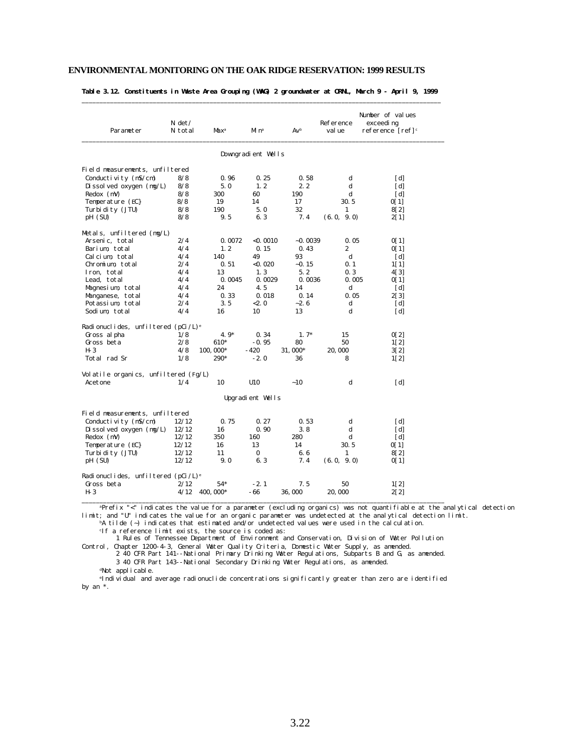| Table 3.12. Constituents in Waste Area Grouping (WAG) 2 groundwater at ORNL, March 9 - April 9, 1999 |  |  |  |  |  |  |  |
|------------------------------------------------------------------------------------------------------|--|--|--|--|--|--|--|
|                                                                                                      |  |  |  |  |  |  |  |

| Parameter                                      | $N \det$<br>N total | Max <sup>a</sup> | Mi n <sup>a</sup>  | $Av^b$    | Reference<br>val ue | Number of values<br>exceedi ng<br>reference $[ref]$ <sup>c</sup> |
|------------------------------------------------|---------------------|------------------|--------------------|-----------|---------------------|------------------------------------------------------------------|
|                                                |                     |                  | Downgradient Wells |           |                     |                                                                  |
| Field measurements, unfiltered                 |                     |                  |                    |           |                     |                                                                  |
| Conductivity (mS/cm)                           | 8/8                 | 0.96             | 0.25               | 0.58      | d                   | [d]                                                              |
| Di ssol ved oxygen $(mg/L)$                    | 8/8                 | 5.0              | 1, 2               | 2, 2      | d                   | [d]                                                              |
| Redox (mV)                                     | 8/8                 | 300              | 60                 | 190       | d                   | [d]                                                              |
| Temperature (EC}                               | 8/8                 | 19               | 14                 | 17        | 30.5                | 0[1]                                                             |
| Turbi di ty (JTU)                              | 8/8                 | 190              | 5.0                | 32        | 1                   | 8[2]                                                             |
| pH (SU)                                        | 8/8                 | 9.5              | 6.3                | 7.4       | (6.0, 9.0)          | 2[1]                                                             |
| Metals, unfiltered (mg/L)                      |                     |                  |                    |           |                     |                                                                  |
| Arsenic, total                                 | 2/4                 | 0.0072           | < 0.0010           | $-0.0039$ | 0.05                | 0[1]                                                             |
| Barium, total                                  | 4/4                 | 1.2              | 0.15               | 0.43      | 2                   | 0[1]                                                             |
| Calcium, total                                 | 4/4                 | 140              | 49                 | 93        | $\mathbf d$         | [d]                                                              |
| Chromium, total                                | 2/4                 | 0.51             | $<$ 0.020          | $-0.15$   | 0.1                 | $1\vert 1\rvert$                                                 |
| Iron, total                                    | 4/4                 | 13               | 1.3                | 5.2       | 0.3                 | 4[3]                                                             |
| Lead, total                                    | 4/4                 | 0.0045           | 0.0029             | 0.0036    | 0.005               | 0[1]                                                             |
| Magnesium, total                               | 4/4                 | 24               | 4.5                | 14        | d                   | [d]                                                              |
| Manganese, total                               | 4/4                 | 0.33             | 0.018              | 0.14      | 0.05                | 2[3]                                                             |
| Potassium, total                               | 2/4                 | 3.5              | < 2.0              | $-2.6$    | d                   | [d]                                                              |
| Sodium total                                   | 4/4                 | 16               | 10                 | 13        | d                   | [d]                                                              |
| Radionuclides, unfiltered $(pCi /L)^e$         |                     |                  |                    |           |                     |                                                                  |
| Gross al pha                                   | 1/8                 | $4.9*$           | 0.34               | $1.7*$    | 15                  | 0[2]                                                             |
| Gross beta                                     | 2/8                 | 610*             | $-0.95$            | 80        | 50                  | 1[2]                                                             |
| $H-3$                                          | 4/8                 | 100, 000*        | $-420$             | 31,000*   | 20,000              | 3[2]                                                             |
| Total rad Sr                                   | 1/8                 | 290*             | $-2.0$             | 36        | 8                   | 1[2]                                                             |
| Volatile organics, unfiltered (Fg/L)           |                     |                  |                    |           |                     |                                                                  |
| Acetone                                        | 1/4                 | 10               | U10                | ~10       | d                   | [d]                                                              |
|                                                |                     |                  | Upgradient Wells   |           |                     |                                                                  |
| Field measurements, unfiltered                 |                     |                  |                    |           |                     |                                                                  |
| Conductivity $(mS/cm)$                         | 12/12               | 0.75             | 0.27               | 0.53      | d                   | [d]                                                              |
| Di ssol ved oxygen $(mg/L)$                    | 12/12               | 16               | 0.90               | 3.8       | d                   | [d]                                                              |
| $Redox$ (mV)                                   | 12/12               | 350              | 160                | 280       | d                   | [d]                                                              |
| Temperature (EC}                               | 12/12               | 16               | 13                 | 14        | 30.5                | 0[1]                                                             |
| Turbi di ty (JTU)                              | 12/12               | 11               | $\Omega$           | 6.6       | 1                   | 8[2]                                                             |
| pH (SU)                                        | 12/12               | 9.0              | 6.3                | 7.4       | (6.0, 9.0)          | 0[1]                                                             |
| Radionuclides, unfiltered (pCi/L) <sup>e</sup> |                     |                  |                    |           |                     |                                                                  |
| Gross beta                                     | 2/12                | $54*$            | $-2.1$             | 7.5       | 50                  | 1[2]                                                             |
| $H-3$                                          | 4/12                | 400, 000*        | - 66               | 36,000    | 20,000              | 2[2]                                                             |

<sup>a</sup>Prefix "<" indicates the value for a parameter (excluding organics) was not quantifiable at the analytical detection limit; and "U" indicates the value for an organic parameter was undetected at the analytical detection limit.

bA tilde (~) indicates that estimated and/or undetected values were used in the calculation.

<sup>c</sup>If a reference limit exists, the source is coded as:

1 Rules of Tennessee Department of Environment and Conservation, Division of Water Pollution

Control, Chapter 1200-4-3, General Water Quality Criteria, Domestic Water Supply, as amended. 2 40 CFR Part 141--National Primary Drinking Water Regulations, Subparts B and G, as amended. 3 40 CFR Part 143--National Secondary Drinking Water Regulations, as amended.

<sup>d</sup>Not applicable.

<sup>e</sup>Individual and average radionuclide concentrations significantly greater than zero are identified by an \*.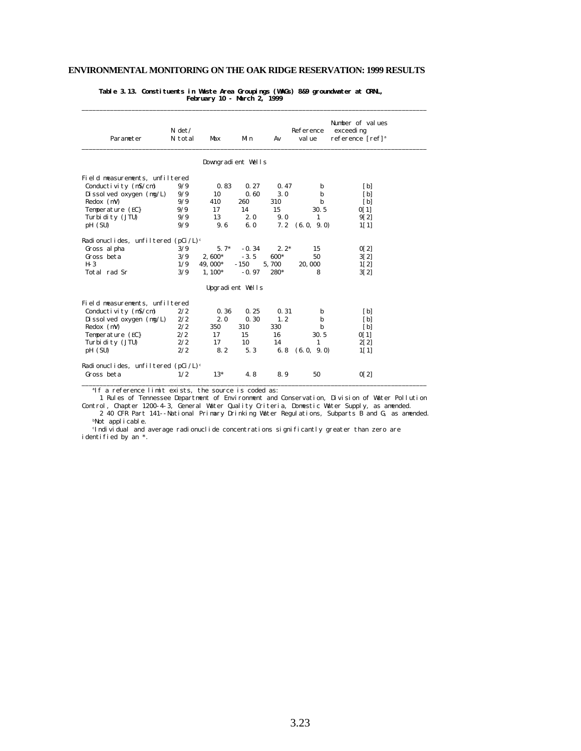\_\_\_\_\_\_\_\_\_\_\_\_\_\_\_\_\_\_\_\_\_\_\_\_\_\_\_\_\_\_\_\_\_\_\_\_\_\_\_\_\_\_\_\_\_\_\_\_\_\_\_\_\_\_\_\_\_\_\_\_\_\_\_\_\_\_\_\_\_\_\_\_\_\_\_\_\_\_\_\_\_\_\_\_\_\_\_\_\_\_\_\_\_\_\_\_\_

**Table 3.13. Constituents in Waste Area Groupings (WAGs) 8&9 groundwater at ORNL, February 10 - March 2, 1999**

| Parameter                                      | $N \det$<br>N total | Max                | Min     | Av     | Reference<br>val ue | Number of values<br>exceeding<br>reference [ref] <sup>a</sup> |
|------------------------------------------------|---------------------|--------------------|---------|--------|---------------------|---------------------------------------------------------------|
|                                                |                     | Downgradient Wells |         |        |                     |                                                               |
| Field measurements, unfiltered                 |                     |                    |         |        |                     |                                                               |
| Conductivity $(mS/cm)$                         | 9/9                 | 0.83               | 0.27    | 0.47   | b                   | $\mathbf{[b]}$                                                |
| Di ssol ved oxygen $(mg/L)$                    | 9/9                 | 10                 | 0.60    | 3.0    | b                   | [b]                                                           |
| $Redox$ (mV)                                   | 9/9                 | 410                | 260     | 310    | b                   | [b]                                                           |
| Temperature (EC)                               | 9/9                 | 17                 | 14      | 15     | 30.5                | 0[1]                                                          |
| Turbi di ty (JTU)                              | 9/9                 | 13                 | 2.0     | 9.0    | $\mathbf{1}$        | 9[2]                                                          |
| pH (SU)                                        | 9/9                 | 9.6                | 6.0     | 7.2    | (6.0, 9.0)          | 1[1]                                                          |
| Radionuclides, unfiltered (pCi/L) <sup>c</sup> |                     |                    |         |        |                     |                                                               |
| Gross al pha                                   | 3/9                 | $5.7*$             | $-0.34$ | $2.2*$ | 15                  | 0[2]                                                          |
| Gross beta                                     | 3/9                 | $2.600*$           | $-3.5$  | 600*   | 50                  | 3[2]                                                          |
| $H-3$                                          | 1/9                 | 49, 000*           | $-150$  | 5,700  | 20,000              | 1[2]                                                          |
| Total rad Sr                                   | 3/9                 | $1,100*$           | $-0.97$ | 280*   | 8                   | 3[2]                                                          |
|                                                |                     | Upgradient Wells   |         |        |                     |                                                               |
| Field measurements, unfiltered                 |                     |                    |         |        |                     |                                                               |
| Conductivity (mS/cm)                           | 2/2                 | 0.36               | 0.25    | 0.31   | b                   | $\mathbf{[b]}$                                                |
| Di ssol ved oxygen $(mg/L)$                    | 2/2                 | 2.0                | 0.30    | 1, 2   | b                   | $\mathbf{[b]}$                                                |
| $Redox$ (mV)                                   | 2/2                 | 350                | 310     | 330    | b                   | [b]                                                           |
| Temperature (EC)                               | 2/2                 | 17                 | 15      | 16     | 30.5                | 0[1]                                                          |
| Turbi di ty (JTU)                              | 2/2                 | 17                 | 10      | 14     | $\mathbf{1}$        | 2[2]                                                          |
| pH (SU)                                        | 2/2                 | 8.2                | 5.3     | 6.8    | (6.0, 9.0)          | 1[1]                                                          |
| Radionuclides, unfiltered (pCi/L) <sup>c</sup> |                     |                    |         |        |                     |                                                               |
| Gross beta                                     | 1/2                 | $13*$              | 4.8     | 8.9    | 50                  | 0[2]                                                          |

<sup>a</sup>If a reference limit exists, the source is coded as:

1 Rules of Tennessee Department of Environment and Conservation, Division of Water Pollution

Control, Chapter 1200-4-3, General Water Quality Criteria, Domestic Water Supply, as amended. 2 40 CFR Part 141--National Primary Drinking Water Regulations, Subparts B and G, as amended. <sup>b</sup>Not applicable.

<sup>c</sup>Individual and average radionuclide concentrations significantly greater than zero are identified by an \*.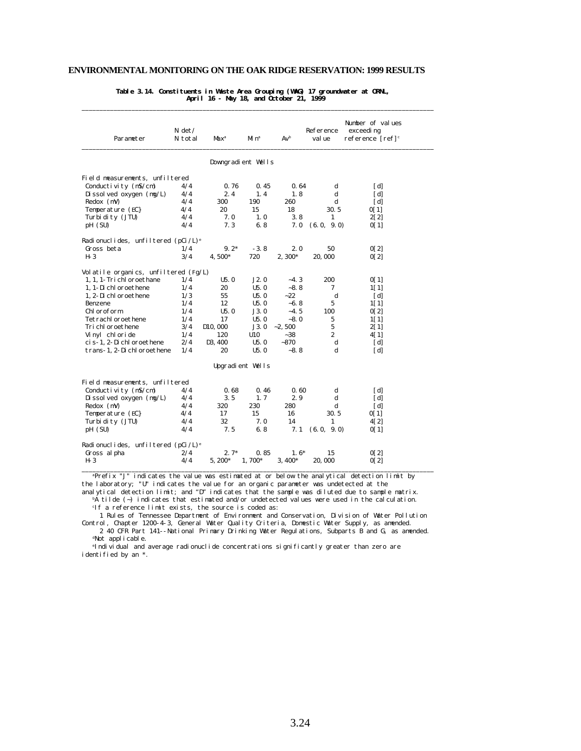**Table 3.14. Constituents in Waste Area Grouping (WAG) 17 groundwater at ORNL, April 16 - May 18, and October 21, 1999**

\_\_\_\_\_\_\_\_\_\_\_\_\_\_\_\_\_\_\_\_\_\_\_\_\_\_\_\_\_\_\_\_\_\_\_\_\_\_\_\_\_\_\_\_\_\_\_\_\_\_\_\_\_\_\_\_\_\_\_\_\_\_\_\_\_\_\_\_\_\_\_\_\_\_\_\_\_\_\_\_\_\_\_\_\_\_\_\_\_\_\_\_\_\_\_\_\_\_\_

| Parameter                             | $N \det$<br>N total | Max <sup>a</sup>             | Mi nª              | $Av^b$   | Reference<br>val ue | Number of values<br>exceedi ng<br>reference [ref] <sup>c</sup> |
|---------------------------------------|---------------------|------------------------------|--------------------|----------|---------------------|----------------------------------------------------------------|
|                                       |                     |                              | Downgradient Wells |          |                     |                                                                |
| Field measurements, unfiltered        |                     |                              |                    |          |                     |                                                                |
| Conductivity $(mS/cm)$                | 4/4                 | 0.76                         | 0.45               | 0.64     | d                   | [d]                                                            |
| Dissolved oxygen (mg/L)               | 4/4                 | 2.4                          | 1.4                | 1.8      | d                   | [d]                                                            |
| $Redox$ (mV)                          | 4/4                 | 300                          | 190                | 260      | d                   | [d]                                                            |
| Temperature (EC)                      | 4/4                 | 20                           | 15                 | 18       | 30.5                | 0[1]                                                           |
| Turbi di ty (JTU)                     | 4/4                 | 7.0                          | 1.0                | 3.8      | $\mathbf{1}$        | 2[2]                                                           |
| pH (SU)                               | 4/4                 | 7.3                          | 6.8                | 7.0      | (6.0, 9.0)          | 0[1]                                                           |
| Radionuclides, unfiltered $(pCi/L)^e$ |                     |                              |                    |          |                     |                                                                |
| Gross beta                            | 1/4                 | $9.2*$                       | $-3.8$             | 2.0      | 50                  | 0[2]                                                           |
| $H-3$                                 | 3/4                 | 4.500*                       | 720                | 2,300*   | 20,000              | 0[2]                                                           |
| Volatile organics, unfiltered (Fg/L)  |                     |                              |                    |          |                     |                                                                |
| 1, 1, 1- Tri chl oroethane            | 1/4                 | U5.0                         | J2.0               | $-4.3$   | 200                 | 0[1]                                                           |
| 1. 1-Dichloroethene                   | 1/4                 | 20                           | U5.0               | $-8.8$   | 7                   | 1[1]                                                           |
| 1, 2-Di chl oroethene                 | 1/3                 | 55                           | U5.0               | $-22$    | d                   | [d]                                                            |
| Benzene                               | 1/4                 | 12                           | U5.0               | $-6.8$   | 5                   | 1[1]                                                           |
| Chl oroform                           | 1/4                 | U5.0                         | J3.0               | $-4.5$   | 100                 |                                                                |
| Tetrachl oroethene                    | 1/4                 | 17                           | U5.0               | $-8.0$   | 5                   | 0[2]                                                           |
| Tri chl oroethene                     |                     |                              | J3.0               | $-2.500$ | 5                   | 1[1]                                                           |
| Vinyl chloride                        | 3/4<br>1/4          | D <sub>10</sub> , 000<br>120 | U10                | $-38$    | $\overline{2}$      | 2[1]                                                           |
| ci s-1, 2-Di chl oroethene            | 2/4                 | D3, 400                      | U5.0               | $-870$   |                     | 4 [ 1 ]                                                        |
|                                       |                     |                              |                    |          | d                   | [d]                                                            |
| trans-1, 2-Di chl oroethene           | 1/4                 | 20                           | U5.0               | $-8.8$   | d                   | [d]                                                            |
|                                       |                     |                              | Upgradient Wells   |          |                     |                                                                |
| Field measurements, unfiltered        |                     |                              |                    |          |                     |                                                                |
| Conductivity (mS/cm)                  | 4/4                 | 0.68                         | 0.46               | 0.60     | d                   | [d]                                                            |
| Dissolved oxygen (mg/L)               | 4/4                 | 3.5                          | 1, 7               | 2.9      | d                   | [d]                                                            |
| $Redox$ (mV)                          | 4/4                 | 320                          | 230                | 280      | d                   | [d]                                                            |
| Temperature (EC)                      | 4/4                 | 17                           | 15                 | 16       | 30.5                | 0[1]                                                           |
| Turbi di ty (JTU)                     | 4/4                 | 32                           | 7.0                | 14       | $\mathbf{1}$        | 4[2]                                                           |
| pH (SU)                               | 4/4                 | 7.5                          | 6.8                | 7.1      | (6.0, 9.0)          | 0[1]                                                           |
|                                       |                     |                              |                    |          |                     |                                                                |
| Radionuclides, unfiltered $(pCi/L)^e$ |                     |                              |                    |          |                     |                                                                |
| Gross al pha                          | 2/4                 | $2.7*$                       | 0.85               | $1.6*$   | 15                  | 0[2]                                                           |
| H-3                                   | 4/4                 | $5,200*$                     | $1.700*$           | $3.400*$ | 20,000              | 0[2]                                                           |

<sup>a</sup>Prefix "J" indicates the value was estimated at or below the analytical detection limit by the laboratory; "U" indicates the value for an organic parameter was undetected at the

analytical detection limit; and "D" indicates that the sample was diluted due to sample matrix. bA tilde (~) indicates that estimated and/or undetected values were used in the calculation. <sup>c</sup>If a reference limit exists, the source is coded as:

 1 Rules of Tennessee Department of Environment and Conservation, Division of Water Pollution Control, Chapter 1200-4-3, General Water Quality Criteria, Domestic Water Supply, as amended. 2 40 CFR Part 141--National Primary Drinking Water Regulations, Subparts B and G, as amended.

<sup>d</sup>Not applicable.

<sup>e</sup>Individual and average radionuclide concentrations significantly greater than zero are identified by an \*.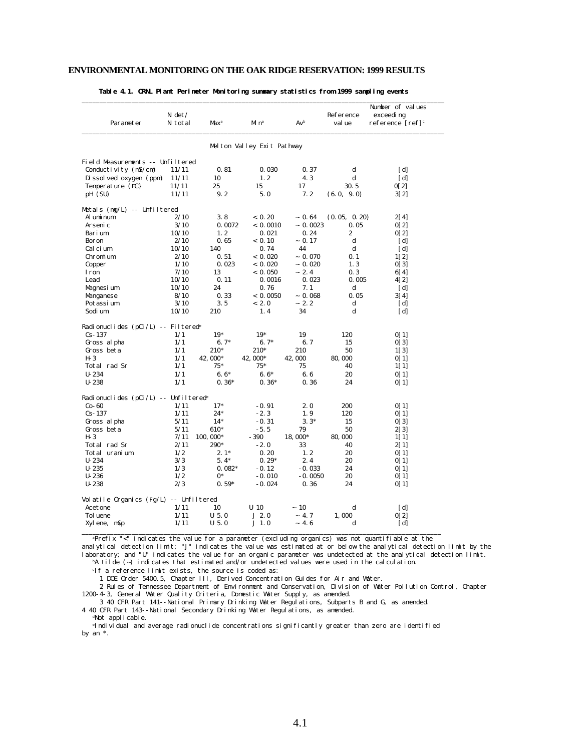| Parameter                                          | $N \det$<br>N total | Max <sup>a</sup> | Mi n <sup>a</sup>          | $Av^b$    | Reference<br>val ue | Number of values<br>exceedi ng<br>reference $[ref]$ <sup>c</sup> |
|----------------------------------------------------|---------------------|------------------|----------------------------|-----------|---------------------|------------------------------------------------------------------|
|                                                    |                     |                  | Melton Valley Exit Pathway |           |                     |                                                                  |
| Field Measurements -- Unfiltered                   |                     |                  |                            |           |                     |                                                                  |
| Conductivity (mS/cm)                               | 11/11               | 0.81             | 0.030                      | 0.37      | d                   | [d]                                                              |
| Dissolved oxygen (ppm)                             | 11/11               | 10               | 1.2                        | 4.3       | $\mathbf d$         | [d]                                                              |
| Temperature (EC)                                   | 11/11               | 25               | 15                         | 17        | 30.5                | 0[2]                                                             |
| pH (SU)                                            | 11/11               | 9.2              | 5.0                        | 7.2       | (6.0, 9.0)          | 3[2]                                                             |
| Metals (mg/L) -- Unfiltered                        |                     |                  |                            |           |                     |                                                                  |
| Al umi num                                         | 2/10                | 3.8              | < 0.20                     | ~10.64    | (0.05, 0.20)        | 2[4]                                                             |
| Arseni c                                           | 3/10                | 0.0072           | < 0.0010                   | ~10.0023  | 0.05                | 0[2]                                                             |
| Barium                                             | 10/10               | 1.2              | 0.021                      | 0.24      | $\boldsymbol{2}$    | 0[2]                                                             |
| Boron                                              | 2/10                | 0.65             | < 0.10                     | ~0.17     | d                   | [d]                                                              |
| Calcium                                            | 10/10               | 140              | 0.74                       | 44        | ${\bf d}$           | [d]                                                              |
| Chromium                                           | 2/10                | 0.51             | < 0.020                    | ~10.070   | 0.1                 | 1[2]                                                             |
| Copper                                             | 1/10                | 0.023            | < 0.020                    | ~10.020   | 1, 3                | 0[3]                                                             |
| <b>I</b> ron                                       | 7/10                | 13               | < 0.050                    | ~2.4      | 0.3                 | 6[4]                                                             |
| Lead                                               | 10/10               | 0.11             | 0.0016                     | 0.023     | 0.005               | 4[2]                                                             |
| Magnesium                                          | 10/10               | 24               | 0.76                       | 7.1       | $\mathbf d$         | [d]                                                              |
| Manganese                                          | 8/10                | 0.33             | < 0.0050                   | ~10.068   | 0.05                | 3[4]                                                             |
| Potassi um                                         | 3/10                | 3.5              | < 2.0                      | $-2.2$    | $\mathbf d$         | [d]                                                              |
| Sodi um                                            | 10/10               | 210              | 1.4                        | 34        | $\mathbf d$         | [d]                                                              |
| Radionuclides (pCi/L) -- Filtered <sup>e</sup>     |                     |                  |                            |           |                     |                                                                  |
| $Cs-137$                                           | 1/1                 | $19*$            | $19*$                      | 19        | 120                 | 0[1]                                                             |
| Gross al pha                                       | 1/1                 | $6.7*$           | $6.7*$                     | 6.7       | 15                  | 0[3]                                                             |
| Gross beta                                         | 1/1                 | 210*             | 210*                       | 210       | 50                  | 1[3]                                                             |
| $H-3$                                              | 1/1                 | 42,000*          | 42,000*                    | 42,000    | 80,000              | 0[1]                                                             |
| Total rad Sr                                       | 1/1                 | $75*$            | $75*$                      | 75        | 40                  | 1[1]                                                             |
| $U - 234$                                          | 1/1                 | $6.6*$           | $6.6*$                     | 6.6       | 20                  | 0[1]                                                             |
| $U - 238$                                          | 1/1                 | $0.36*$          | $0.36*$                    | 0.36      | 24                  | 0[1]                                                             |
| Radionuclides $(pCi/L)$ -- Unfiltered <sup>e</sup> |                     |                  |                            |           |                     |                                                                  |
| $Co-60$                                            | 1/11                | $17*$            | $-0.91$                    | 2.0       | 200                 | 0[1]                                                             |
| $Cs - 137$                                         | 1/11                | $24*$            | $-2.3$                     | 1.9       | 120                 | 0[1]                                                             |
| Gross al pha                                       | 5/11                | $14*$            | $-0.31$                    | $3.3*$    | 15                  | 0[3]                                                             |
| Gross beta                                         | 5/11                | 610*             | $-5.5$                     | 79        | 50                  | 2[3]                                                             |
| $H-3$                                              | 7/11                | 100, 000*        | $-390$                     | 18,000*   | 80,000              | 1[1]                                                             |
| Total rad Sr                                       | 2/11                | 290*             | $-2.0$                     | 33        | 40                  | 2[1]                                                             |
| Total uranium                                      | 1/2                 | $2.1*$           | 0.20                       | 1.2       | 20                  | 0[1]                                                             |
| $U - 234$                                          | 3/3                 | $5.4*$           | $0.29*$                    | 2.4       | 20                  | 0[1]                                                             |
| $U - 235$                                          | 1/3                 | $0.082*$         | $-0.12$                    | $-0.033$  | 24                  | 0[1]                                                             |
| $U-236$                                            | 1/2                 | $0^*$            | $-0.010$                   | $-0.0050$ | 20                  | 0[1]                                                             |
| $U - 238$                                          | 2/3                 | $0.59*$          | $-0.024$                   | 0.36      | 24                  | 0[1]                                                             |
| Volatile Organics (Fg/L) -- Unfiltered             |                     |                  |                            |           |                     |                                                                  |
| Acetone                                            | 1/11                | 10               | $U$ 10                     | ~10       | d                   | [d]                                                              |
| Tol uene                                           | 1/11                | $U$ 5.0          | J2.0                       | $-4.7$    | 1.000               | 0[2]                                                             |
|                                                    |                     |                  |                            |           |                     |                                                                  |

**Table 4.1. ORNL Plant Perimeter Monitoring summary statistics from 1999 sampling events**

<sup>a</sup>Prefix "<" indicates the value for a parameter (excluding organics) was not quantifiable at the

analytical detection limit; "J" indicates the value was estimated at or below the analytical detection limit by the laboratory; and "U" indicates the value for an organic parameter was undetected at the analytical detection limit. bA tilde (~) indicates that estimated and/or undetected values were used in the calculation.

<sup>c</sup>If a reference limit exists, the source is coded as:

1 DOE Order 5400.5, Chapter III, Derived Concentration Guides for Air and Water.

 2 Rules of Tennessee Department of Environment and Conservation, Division of Water Pollution Control, Chapter 1200-4-3, General Water Quality Criteria, Domestic Water Supply, as amended.

 3 40 CFR Part 141--National Primary Drinking Water Regulations, Subparts B and G, as amended. 4 40 CFR Part 143--National Secondary Drinking Water Regulations, as amended.

dNot applicable.

<sup>e</sup>Individual and average radionuclide concentrations significantly greater than zero are identified by an \*.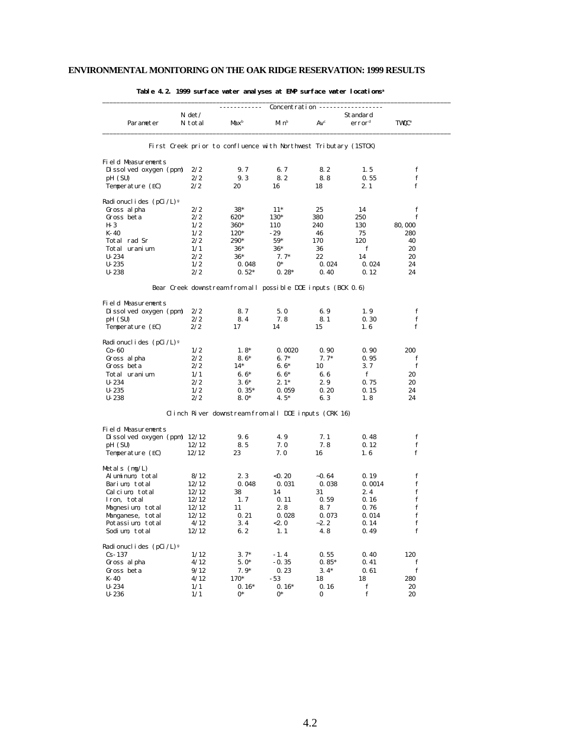|                                           | Concentration ------                                             |                  |                      |                 |                                |                         |  |
|-------------------------------------------|------------------------------------------------------------------|------------------|----------------------|-----------------|--------------------------------|-------------------------|--|
| Parameter                                 | $N \det$<br>N total                                              | Max <sup>b</sup> | $M\!$ n <sup>b</sup> | Av <sup>c</sup> | Standard<br>error <sup>d</sup> | <b>TWQC<sup>e</sup></b> |  |
|                                           | First Creek prior to confluence with Northwest Tributary (1STCK) |                  |                      |                 |                                |                         |  |
| <b>Field Measurements</b>                 |                                                                  |                  |                      |                 |                                |                         |  |
| Dissolved oxygen (ppm)                    | 2/2                                                              | 9.7              | 6.7                  | 8.2             | 1.5                            | f                       |  |
| pH (SU)                                   | 2/2                                                              | 9.3              | 8.2                  | 8.8             | 0.55                           | f                       |  |
| Temperature (EC)                          | 2/2                                                              | 20               | 16                   | 18              | 2.1                            | $\mathbf f$             |  |
| Radi onucl i des $(pCi / L)$ <sup>g</sup> |                                                                  |                  |                      |                 |                                |                         |  |
| Gross al pha                              | 2/2                                                              | $38*$            | $11*$                | 25              | 14                             | f                       |  |
| Gross beta                                | 2/2                                                              | 620*             | 130*                 | 380             | 250                            | f                       |  |
| $H-3$                                     | 1/2                                                              | 360*             | 110                  | 240             | 130                            | 80,000                  |  |
| $K-40$                                    | 1/2                                                              | 120*             | $-29$                | 46              | 75                             | 280                     |  |
| Total rad Sr                              | 2/2                                                              | 290*             | $59*$                | 170             | 120                            | 40                      |  |
| Total uranium                             | 1/1                                                              | $36*$            | $36*$                | 36              | f                              | 20                      |  |
| $U - 234$                                 | 2/2                                                              | $36*$            | $7.7*$               | 22              | 14                             | 20                      |  |
| $U - 235$                                 | 1/2                                                              | 0.048            | $0*$                 | 0.024           | 0.024                          | 24                      |  |
| $U - 238$                                 | 2/2                                                              | $0.52*$          | $0.28*$              | 0.40            | 0.12                           | 24                      |  |
|                                           | Bear Creek downstream from all possible DOE inputs (BCK 0.6)     |                  |                      |                 |                                |                         |  |
| <b>Field Measurements</b>                 |                                                                  |                  |                      |                 |                                |                         |  |
| Dissolved oxygen (ppm)                    | 2/2                                                              | 8.7              | 5.0                  | 6.9             | 1.9                            | f                       |  |
| pH (SU)                                   | 2/2                                                              | 8.4              | 7.8                  | 8.1             | 0.30                           | $\mathbf f$             |  |
| Temperature (EC)                          | 2/2                                                              | 17               | 14                   | 15              | 1.6                            | f                       |  |
| Radionuclides (pCi/L) <sup>8</sup>        |                                                                  |                  |                      |                 |                                |                         |  |
| $Co-60$                                   | 1/2                                                              | $1.8*$           | 0.0020               | 0.90            | 0.90                           | 200                     |  |
| Gross al pha                              | 2/2                                                              | $8.6*$           | $6.7*$               | $7.7*$          | 0.95                           | f                       |  |
| Gross beta                                | 2/2                                                              | $14*$            | $6.6*$               | 10              | 3.7                            | f                       |  |
| Total uranium                             | 1/1                                                              | $6.6*$           | $6.6*$               | 6.6             | f                              | 20                      |  |
| $U - 234$                                 | 2/2                                                              | $3.6*$           | $2.1*$               | 2.9             | 0.75                           | 20                      |  |
| $U - 235$                                 | 1/2                                                              | $0.35*$          | 0.059                | 0.20            | 0.15                           | 24                      |  |
| $U - 238$                                 | 2/2                                                              | $8.0*$           | $4.5*$               | 6.3             | 1.8                            | 24                      |  |
|                                           | Clinch River downstream from all DOE inputs (CRK 16)             |                  |                      |                 |                                |                         |  |
| <b>Field Measurements</b>                 |                                                                  |                  |                      |                 |                                |                         |  |
| Dissolved oxygen (ppm) $12/12$            |                                                                  | 9.6              | 4.9                  | 7.1             | 0.48                           | f                       |  |
| pH (SU)<br>Temperature (EC)               | 12/12<br>12/12                                                   | 8.5<br>23        | 7.0<br>7.0           | 7.8<br>16       | 0.12<br>1.6                    | $\mathbf f$<br>f        |  |
| Metals $(mg/L)$                           |                                                                  |                  |                      |                 |                                |                         |  |
| Aluminum, total                           | 8/12                                                             | 2.3              | < 0.20               | $-0.64$         | 0.19                           | f                       |  |
| Barium, total                             | 12/12                                                            | 0.048            | 0.031                | 0.038           | 0.0014                         | $\mathbf f$             |  |
| Calcium, total                            | 12/12                                                            | 38               | 14                   | 31              | 2.4                            | $\mathbf f$             |  |
|                                           | 12/12                                                            | 1, 7             |                      |                 | 0.16                           | f                       |  |
| Iron, total                               |                                                                  |                  | 0.11                 | 0.59            |                                | $\mathbf f$             |  |
| Magnesium, total                          | 12/12                                                            | 11               | 2.8                  | 8.7             | 0.76                           |                         |  |
| Manganese, total                          | 12/12                                                            | 0.21             | 0.028                | 0.073           | 0.014                          | $\mathbf f$             |  |
| Potassium, total<br>Sodium total          | 4/12<br>12/12                                                    | 3.4<br>6.2       | < 2.0<br>1, 1        | $-2.2$<br>4.8   | 0.14<br>0.49                   | f<br>f                  |  |
|                                           |                                                                  |                  |                      |                 |                                |                         |  |
| Radionuclides $(pCi / L)^g$<br>$Cs - 137$ | 1/12                                                             | $3.7*$           | $-1.4$               | 0.55            | 0.40                           | 120                     |  |
| Gross al pha                              | 4/12                                                             | $5.0*$           | $-0.35$              | $0.85*$         | 0.41                           | f                       |  |
| Gross beta                                | 9/12                                                             | $7.9*$           | 0.23                 | $3.4*$          | 0.61                           | $\mathbf f$             |  |
| $K-40$                                    | 4/12                                                             | 170*             | $-53$                | 18              | 18                             | 280                     |  |
| $U - 234$                                 | 1/1                                                              | $0.16*$          | $0.16*$              | 0.16            | f                              | 20                      |  |
|                                           |                                                                  |                  |                      |                 |                                |                         |  |

 $U-236$   $1/1$   $0^*$   $0^*$   $0$  f 20

**Table 4.2. 1999 surface water analyses at EMP surface water locations<sup>a</sup>**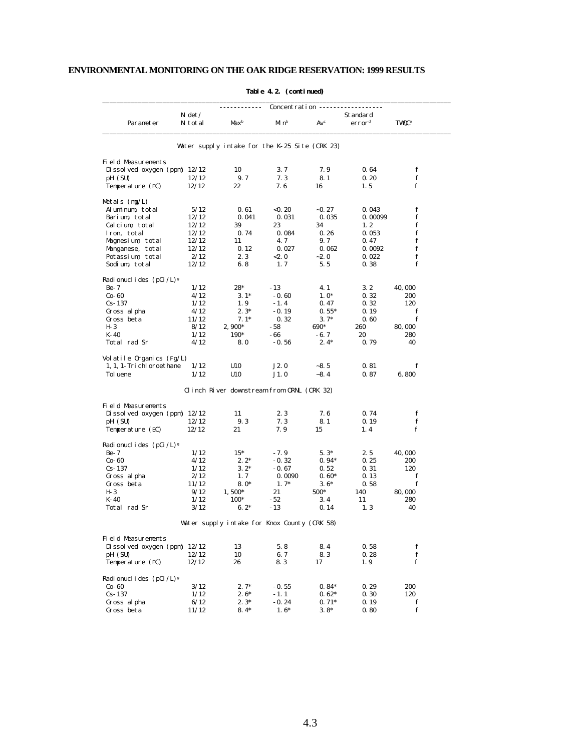|                                       | Concentration ----- |                                                |                   |                |                                |                          |  |  |
|---------------------------------------|---------------------|------------------------------------------------|-------------------|----------------|--------------------------------|--------------------------|--|--|
| Parameter                             | $N \det$<br>N total | Max <sup>b</sup>                               | Minb              | $Av^c$         | Standard<br>error <sup>d</sup> | <b>TWQC</b> <sup>e</sup> |  |  |
|                                       |                     | Water supply intake for the K-25 Site (CRK 23) |                   |                |                                |                          |  |  |
| Field Measurements                    |                     |                                                |                   |                |                                |                          |  |  |
| Dissolved oxygen (ppm) $12/12$        |                     | 10                                             | 3.7               | 7.9            | 0.64                           | f                        |  |  |
| pH (SU)                               | 12/12               | 9.7                                            | 7.3               | 8.1            | 0.20                           | f                        |  |  |
| Temperature (EC)                      | 12/12               | 22                                             | 7.6               | 16             | 1.5                            | f                        |  |  |
| Metals (mg/L)                         |                     |                                                |                   |                |                                |                          |  |  |
| Aluminum, total                       | 5/12                | 0.61                                           | < 0.20            | $-0.27$        | 0.043                          | f                        |  |  |
| Barium total                          | 12/12               | 0.041                                          | 0.031             | 0.035          | 0.00099                        | f                        |  |  |
| Calcium total                         | 12/12               | 39                                             | 23                | 34             | 1, 2                           | f                        |  |  |
| Iron, total                           | 12/12               | 0.74                                           | 0.084             | 0.26           | 0.053                          | f                        |  |  |
| Magnesium, total                      | 12/12               | 11                                             | 4.7               | 9.7            | 0.47                           | f                        |  |  |
| Manganese, total                      | 12/12               | 0.12                                           | 0.027             | 0.062          | 0.0092                         | f                        |  |  |
| Potassium, total                      | 2/12                | 2.3                                            | < 2.0             | $-2.0$         | 0.022                          | $\mathbf f$              |  |  |
| Sodium, total                         | 12/12               | 6.8                                            | 1, 7              | 5.5            | 0.38                           | f                        |  |  |
| Radionuclides $(pCi /L)$ <sup>g</sup> |                     | $28*$                                          |                   |                |                                |                          |  |  |
| $Be-7$<br>$Co-60$                     | 1/12                |                                                | $-13$             | 4.1            | 3. 2                           | 40,000                   |  |  |
| $Cs-137$                              | 4/12<br>1/12        | $3.1*$<br>1.9                                  | $-0.60$<br>$-1.4$ | $1.0*$<br>0.47 | 0.32<br>0.32                   | 200<br>120               |  |  |
| Gross al pha                          | 4/12                | $2.3*$                                         | $-0.19$           | $0.55*$        | 0.19                           | f                        |  |  |
| Gross beta                            | 11/12               | $7.1*$                                         | 0.32              | $3.7*$         | 0.60                           | f                        |  |  |
| H- 3                                  | 8/12                | $2,900*$                                       | - 58              | 690*           | 260                            | 80,000                   |  |  |
| $K-40$                                | 1/12                | 190*                                           | - 66              | - 6. 7         | 20                             | 280                      |  |  |
| Total rad Sr                          | 4/12                | 8.0                                            | $-0.56$           | $2.4*$         | 0.79                           | 40                       |  |  |
| Volatile Organics (Fg/L)              |                     |                                                |                   |                |                                |                          |  |  |
| 1, 1, 1- Tri chl oroethane            | 1/12                | U10                                            | J2.0              | $-8.5$         | 0.81                           | f                        |  |  |
| Tol uene                              | 1/12                | U10                                            | J1.0              | $-8.4$         | 0.87                           | 6,800                    |  |  |
|                                       |                     | Clinch River downstream from ORNL (CRK 32)     |                   |                |                                |                          |  |  |
| Field Measurements                    |                     |                                                |                   |                |                                |                          |  |  |
| Di ssol ved oxygen (ppm) $12/12$      |                     | 11                                             | 2.3               | 7.6            | 0.74                           | f                        |  |  |
| pH (SU)                               | 12/12               | 9.3                                            | 7.3               | 8.1            | 0.19                           | f                        |  |  |
| Temperature (EC)                      | 12/12               | 21                                             | 7.9               | 15             | 1.4                            | f                        |  |  |
| Radionuclides $(pCi /L)$ <sup>g</sup> |                     |                                                |                   |                |                                |                          |  |  |
| $Be-7$                                | 1/12                | $15*$                                          | $-7.9$            | $5.3*$         | 2.5                            | 40,000                   |  |  |
| $Co-60$                               | 4/12                | $2.2*$                                         | $-0.32$           | $0.94*$        | 0.25                           | 200                      |  |  |
| $Cs-137$                              | 1/12                | $3.2*$                                         | $-0.67$           | 0.52           | 0.31                           | 120                      |  |  |
| Gross al pha                          | 2/12                | 1.7                                            | 0.0090            | $0.60*$        | 0.13                           | f                        |  |  |
| Gross beta                            | 11/12               | $8.0*$                                         | $1.7*$            | $3.6*$         | 0.58                           | f                        |  |  |
| H- 3                                  | 9/12                | $1,500*$                                       | 21                | 500*           | 140                            | 80,000                   |  |  |
| K-40                                  | 1/12                | $100*$                                         | $-52$             | 3.4            | 11                             | 280                      |  |  |
| Total rad Sr                          | 3/12                | $6.2*$                                         | $-13$             | 0.14           | 1, 3                           | 40                       |  |  |
|                                       |                     | Water supply intake for Knox County (CRK 58)   |                   |                |                                |                          |  |  |
| Field Measurements                    |                     |                                                |                   |                |                                |                          |  |  |
| Dissolved oxygen (ppm) $12/12$        |                     | 13                                             | 5.8               | 8.4            | 0.58                           | f                        |  |  |
| pH (SU)                               | 12/12               | 10                                             | 6.7               | 8.3            | 0.28                           | f <sub>f</sub>           |  |  |
| Temperature (EC)                      | 12/12               | 26                                             | 8.3               | 17             | 1.9                            | f                        |  |  |
| Radionuclides $(pCi / L)^g$           |                     |                                                |                   |                |                                |                          |  |  |
| $Co-60$                               | 3/12                | $2.7*$                                         | $-0.55$           | $0.84*$        | 0.29                           | 200                      |  |  |
| $Cs-137$                              | 1/12                | $2.6*$                                         | $-1.1$            | $0.62*$        | 0.30                           | 120                      |  |  |
| Gross al pha                          | 6/12                | $2.3*$                                         | $-0.24$           | $0.71*$        | 0.19                           | f                        |  |  |
| Gross beta                            | 11/12               | $8.4*$                                         | $1.6*$            | $3.8*$         | 0.80                           | f                        |  |  |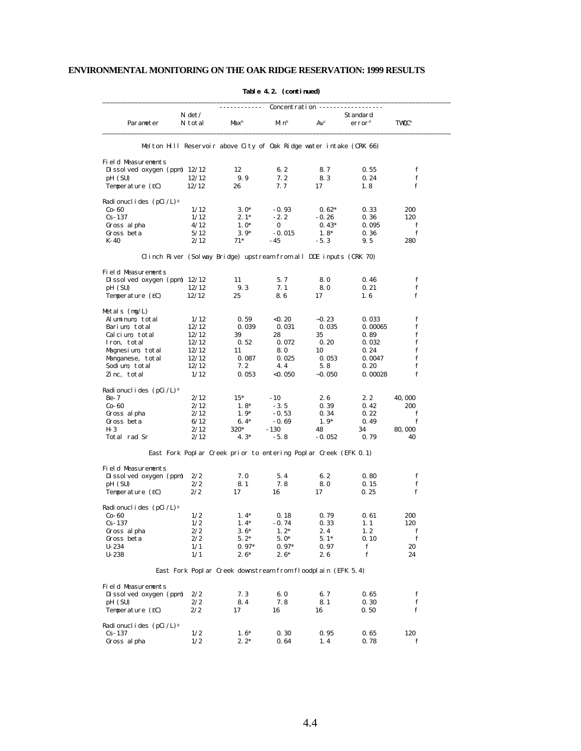|                                              |          |                                                                     | Concentration ---- |          |                    |                         |
|----------------------------------------------|----------|---------------------------------------------------------------------|--------------------|----------|--------------------|-------------------------|
|                                              | $N \det$ |                                                                     |                    |          | Standard           |                         |
| Parameter                                    | N total  | Max <sup>b</sup>                                                    | Minb               | $Av^c$   | error <sup>d</sup> | <b>TWQC<sup>e</sup></b> |
|                                              |          | Melton Hill Reservoir above City of Oak Ridge water intake (CRK 66) |                    |          |                    |                         |
| Field Measurements                           |          |                                                                     |                    |          |                    |                         |
| Dissolved oxygen (ppm) $12/12$               |          | 12                                                                  | 6.2                | 8.7      | 0.55               | f                       |
| pH (SU)                                      | 12/12    | 9.9                                                                 | 7.2                | 8.3      | 0.24               | f                       |
| Temperature (EC)                             | 12/12    | 26                                                                  | 7. 7               | 17       | 1.8                | f                       |
| Radionuclides $(pCi / L)^g$                  |          |                                                                     |                    |          |                    |                         |
| Co-60                                        | 1/12     | $3.0*$                                                              | $-0.93$            | $0.62*$  | 0.33               | 200                     |
| $Cs - 137$                                   | 1/12     | $2.1*$                                                              | $-2.2$             | $-0.26$  | 0.36               | 120                     |
| Gross alpha                                  | 4/12     | $1.0*$                                                              | 0                  | $0.43*$  | 0.095              | f                       |
| Gross beta                                   | 5/12     | $3.9*$                                                              | $-0.015$           | $1.8*$   | 0.36               | f                       |
| K-40                                         | 2/12     | $71*$                                                               | - 45               | $-5.3$   | 9.5                | 280                     |
|                                              |          | Clinch River (Solway Bridge) upstream from all DOE inputs (CRK 70)  |                    |          |                    |                         |
| Field Measurements                           |          |                                                                     |                    |          |                    |                         |
| Dissolved oxygen (ppm) $12/12$               |          | 11                                                                  | 5.7                | 8.0      | 0.46               | f                       |
| pH (SU)                                      | 12/12    | 9.3                                                                 | 7.1                | 8.0      | 0.21               | f                       |
| Temperature (EC)                             | 12/12    | 25                                                                  | 8.6                | 17       | 1.6                | f                       |
| Metals $(mg/L)$                              |          |                                                                     |                    |          |                    |                         |
| Aluminum, total                              | 1/12     | 0.59                                                                | < 0.20             | $-0.23$  | 0.033              | f                       |
| Barium, total                                | 12/12    | 0.039                                                               | 0.031              | 0.035    | 0.00065            | f                       |
| Calcium, total                               | 12/12    | 39                                                                  | 28                 | 35       | 0. 89              | f                       |
| Iron, total                                  | 12/12    | 0.52                                                                | 0.072              | 0.20     | 0.032              | f                       |
| Magnesium, total                             | 12/12    | 11                                                                  | 8.0                | 10       | 0.24               | f                       |
| Manganese, total                             | 12/12    | 0.087                                                               | 0.025              | 0.053    | 0.0047             | f                       |
| Sodium, total                                | 12/12    | 7.2                                                                 | 4.4                | 5.8      | 0.20               | f                       |
| Zinc, total                                  | 1/12     | 0.053                                                               | <0. 050            | $-0.050$ | 0.00028            | f                       |
| Radionuclides $(pCi/L)^g$                    |          |                                                                     |                    |          |                    |                         |
| Be- 7                                        | 2/12     | $15*$                                                               | $-10$              | 2.6      | 2.2                | 40, 000                 |
| Co-60                                        | 2/12     | $1.8*$                                                              | $-3.5$             | 0.39     | 0.42               | 200                     |
| Gross alpha                                  | 2/12     | $1.9*$                                                              | $-0.53$            | 0.34     | 0.22               | f                       |
| Gross beta                                   | 6/12     | $6.4*$                                                              | $-0.69$            | $1.9*$   | 0.49               | f                       |
| H- 3                                         | 2/12     | 320*                                                                | $-130$             | 48       | 34                 | 80, 000                 |
| Total rad Sr                                 | 2/12     | $4.3*$                                                              | $-5.8$             | $-0.052$ | 0.79               | 40                      |
|                                              |          | East Fork Poplar Creek prior to entering Poplar Creek (EFK 0.1)     |                    |          |                    |                         |
| Field Measurements                           |          |                                                                     |                    |          |                    |                         |
| Dissolved oxygen (ppm)                       | 2/2      | 7.0                                                                 | 5.4                | 6.2      | 0.80               | f                       |
| pH (SU)                                      | 2/2      | 8.1                                                                 | 7.8                | 8.0      | 0.15               | f                       |
| Temperature (EC)                             | 2/2      | 17                                                                  | 16                 | 17       | 0.25               | f                       |
| Radionuclides $(pCi / L)$ <sup>g</sup>       |          |                                                                     |                    |          |                    |                         |
| Co-60                                        | 1/2      | $1.4*$                                                              | 0.18               | 0.79     | 0.61               | 200                     |
| Cs- 137                                      | 1/2      | $1.4*$                                                              | $-0.74$            | 0.33     | 1. 1               | 120                     |
| Gross alpha                                  | 2/2      | $3.6*$                                                              | $1.2*$             | 2.4      | 1.2                | f                       |
| Gross beta                                   | 2/2      | $5.2*$                                                              | $5.0*$             | $5.1*$   | 0.10               | f                       |
| $U-234$                                      | 1/1      | $0.97*$                                                             | $0.97*$            | 0.97     | f                  | 20                      |
| $U - 238$                                    | 1/1      | $2.6*$                                                              | $2.6*$             | 2.6      | ${\bf f}$          | 24                      |
|                                              |          | East Fork Poplar Creek downstream from floodplain (EFK 5.4)         |                    |          |                    |                         |
|                                              |          |                                                                     |                    |          |                    |                         |
| Field Measurements<br>Dissolved oxygen (ppm) | 2/2      | 7.3                                                                 | 6.0                | 6.7      | 0.65               | f                       |
| pH (SU)                                      | 2/2      | 8.4                                                                 | 7.8                | 8.1      | 0.30               | f                       |
| Temperature (EC)                             | 2/2      | 17                                                                  | 16                 | 16       | 0.50               | f                       |
| Radionuclides (pCi/L) <sup>8</sup>           |          |                                                                     |                    |          |                    |                         |
| $Cs - 137$                                   | 1/2      | $1.6*$                                                              | 0.30               | 0.95     | 0.65               | 120                     |
| Gross al pha                                 | 1/2      | $2.2*$                                                              | 0.64               | 1.4      | 0.78               | f                       |
|                                              |          |                                                                     |                    |          |                    |                         |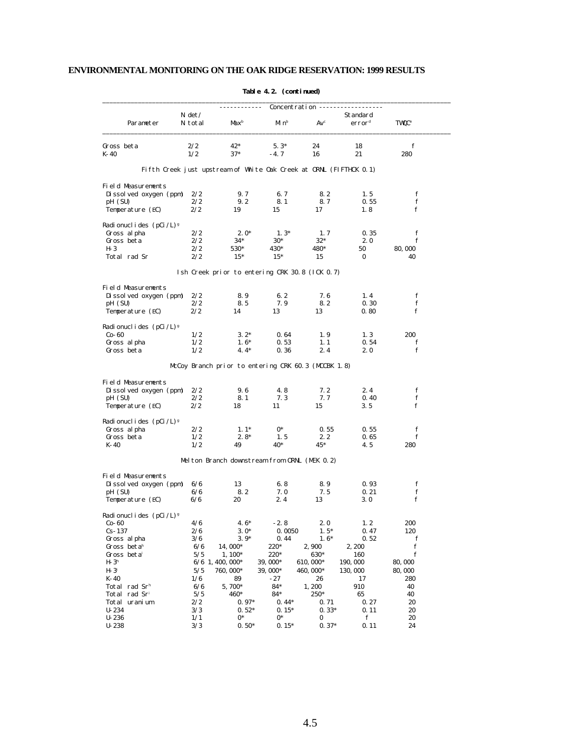|                                       | Concentration --    |                                                                    |                   |             |                                |                         |  |  |
|---------------------------------------|---------------------|--------------------------------------------------------------------|-------------------|-------------|--------------------------------|-------------------------|--|--|
| Parameter                             | $N \det$<br>N total | Max <sup>b</sup>                                                   | Mi n <sup>b</sup> | $Av^c$      | Standard<br>error <sup>d</sup> | <b>TWQC<sup>e</sup></b> |  |  |
| Gross beta                            | 2/2                 | $42*$                                                              | $5.3*$            | 24          | 18                             | f                       |  |  |
| $K-40$                                | 1/2                 | $37*$                                                              | $-4.7$            | 16          | 21                             | 280                     |  |  |
|                                       |                     | Fifth Creek just upstream of White Oak Creek at ORNL (FIFTHCK 0.1) |                   |             |                                |                         |  |  |
| Field Measurements                    | 2/2                 | 9.7                                                                | 6.7               | 8.2         | 1.5                            | f                       |  |  |
| Dissolved oxygen (ppm)<br>pH (SU)     | 2/2                 | 9.2                                                                | 8.1               | 8.7         | 0.55                           | f                       |  |  |
| Temperature (EC)                      | 2/2                 | 19                                                                 | 15                | 17          | 1.8                            | f                       |  |  |
| Radionuclides (pCi/L) <sup>8</sup>    |                     |                                                                    |                   |             |                                |                         |  |  |
| Gross al pha                          | 2/2                 | $2.0*$                                                             | $1.3*$            | 1, 7        | 0.35                           | f                       |  |  |
| Gross beta                            | 2/2                 | $34*$                                                              | $30*$             | $32*$       | 2.0                            | f                       |  |  |
| H- 3                                  | 2/2                 | 530*                                                               | 430*              | 480*        | 50                             | 80, 000                 |  |  |
| Total rad Sr                          | 2/2                 | $15*$                                                              | $15*$             | 15          | 0                              | 40                      |  |  |
|                                       |                     | Ish Creek prior to entering CRK 30.8 (ICK 0.7)                     |                   |             |                                |                         |  |  |
| Field Measurements                    |                     |                                                                    |                   |             |                                |                         |  |  |
| Dissolved oxygen (ppm)                | 2/2                 | 8.9                                                                | 6.2               | 7.6         | 1.4                            | f                       |  |  |
| pH (SU)                               | 2/2                 | 8.5                                                                | 7.9               | 8.2         | 0.30                           | f                       |  |  |
| Temperature (EC)                      | 2/2                 | 14                                                                 | 13                | 13          | 0.80                           | f                       |  |  |
| Radionuclides $(pCi /L)$ <sup>g</sup> |                     |                                                                    |                   |             |                                |                         |  |  |
| $Co-60$                               | 1/2                 | $3.2*$                                                             | 0.64              | 1.9         | 1, 3                           | 200                     |  |  |
| Gross al pha                          | 1/2                 | $1.6*$                                                             | 0.53              | 1, 1        | 0.54                           | f                       |  |  |
| Gross beta                            | 1/2                 | $4.4*$                                                             | 0.36              | 2.4         | 2.0                            | f                       |  |  |
|                                       |                     | McCoy Branch prior to entering CRK 60.3 (MCCBK 1.8)                |                   |             |                                |                         |  |  |
| Field Measurements                    |                     |                                                                    |                   |             |                                |                         |  |  |
| Dissolved oxygen (ppm)                | 2/2                 | 9.6                                                                | 4.8               | 7.2         | 2.4                            | f                       |  |  |
| pH (SU)                               | 2/2                 | 8.1                                                                | 7.3               | 7.7         | 0.40                           | f                       |  |  |
| Temperature (EC)                      | 2/2                 | 18                                                                 | 11                | 15          | 3.5                            | f                       |  |  |
| Radionuclides (pCi/L) <sup>8</sup>    |                     |                                                                    |                   |             |                                |                         |  |  |
| Gross al pha                          | 2/2                 | $1.1*$                                                             | 0*                | 0.55        | 0.55                           | f                       |  |  |
| Gross beta                            | 1/2                 | $2.8*$                                                             | 1.5               | 2.2         | 0.65                           | f                       |  |  |
| K-40                                  | 1/2                 | 49                                                                 | 40*               | 45*         | 4.5                            | 280                     |  |  |
|                                       |                     | Melton Branch downstream from ORNL (MEK 0.2)                       |                   |             |                                |                         |  |  |
| Field Measurements                    |                     |                                                                    |                   |             |                                |                         |  |  |
| Dissolved oxygen (ppm)                | 6/6                 | 13                                                                 | 6.8               | 8.9         | 0.93                           | f                       |  |  |
| pH (SU)<br>Temperature (EC)           | 6/6<br>6/6          | 8.2<br>20                                                          | 7. 0<br>2.4       | 7.5<br>13   | 0.21<br>3.0                    | f<br>f                  |  |  |
|                                       |                     |                                                                    |                   |             |                                |                         |  |  |
| Radionuclides (pCi/L) <sup>8</sup>    | 4/6                 | 4.6 $*$                                                            | $-2.8$            | 2.0         | 1, 2                           | 200                     |  |  |
| CO- OU<br>$Cs - 137$                  | 2/6                 | $3.0*$                                                             | 0.0050            | $1.5*$      | 0.47                           | 120                     |  |  |
| Gross al pha                          | 3/6                 | $3.9*$                                                             | 0.44              | $1.6*$      | 0.52                           | f                       |  |  |
| Gross betah                           | 6/6                 | 14,000*                                                            | 220*              | 2,900       | 2, 200                         | $\mathbf f$             |  |  |
| Gross betai                           | 5/5                 | 1, 100*                                                            | 220*              | 630*        | 160                            | f                       |  |  |
| $H-3h$                                |                     | $6/6$ 1, 400, 000*                                                 | 39, 000*          | 610, 000*   | 190, 000                       | 80,000                  |  |  |
|                                       |                     | 760, 000*                                                          |                   |             |                                | 80,000                  |  |  |
| $H-3^i$                               | 5/5                 |                                                                    | 39, 000*<br>$-27$ | 460, 000*   | 130, 000                       |                         |  |  |
| K-40<br>Total rad Sr <sup>h</sup>     | 1/6<br>6/6          | 89<br>5,700*                                                       | $84*$             | 26<br>1,200 | 17<br>910                      | 280<br>40               |  |  |
| Total rad Sr <sup>i</sup>             | 5/5                 | 460*                                                               | 84*               | 250*        | 65                             | 40                      |  |  |
| Total uranium                         | 2/2                 | $0.97*$                                                            | $0.44*$           | 0.71        | 0.27                           | 20                      |  |  |
| $U - 234$                             | 3/3                 | $0.52*$                                                            | $0.15*$           | $0.33*$     | 0.11                           | 20                      |  |  |
| $U - 236$                             | 1/1                 | $0*$                                                               | $0*$              | 0           | ${\bf f}$                      | 20                      |  |  |
| $U - 238$                             | 3/3                 | $0.50*$                                                            | $0.15*$           | $0.37*$     | 0.11                           | 24                      |  |  |
|                                       |                     |                                                                    |                   |             |                                |                         |  |  |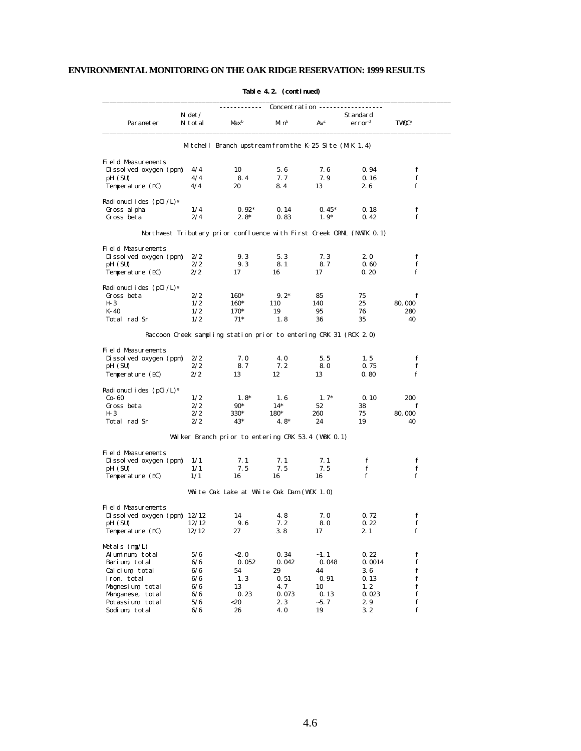|                                       |                     | Concentration --                                                      |        |         |                                |                         |
|---------------------------------------|---------------------|-----------------------------------------------------------------------|--------|---------|--------------------------------|-------------------------|
| Parameter                             | $N \det$<br>N total | Max <sup>b</sup>                                                      | Minb   | $Av^c$  | Standard<br>error <sup>d</sup> | <b>TWQC<sup>e</sup></b> |
|                                       |                     | Mitchell Branch upstream from the K-25 Site (MIK 1.4)                 |        |         |                                |                         |
| Field Measurements                    |                     |                                                                       |        |         |                                |                         |
| Dissolved oxygen (ppm)                | 4/4                 | 10                                                                    | 5.6    | 7.6     | 0.94                           | f                       |
| pH (SU)                               | 4/4                 | 8.4                                                                   | 7.7    | 7.9     | 0.16                           | f                       |
| Temperature (EC)                      | 4/4                 | 20                                                                    | 8.4    | 13      | 2.6                            | f                       |
| Radionuclides $(pCi / L)^g$           |                     |                                                                       |        |         |                                |                         |
| Gross alpha                           | 1/4                 | $0.92*$                                                               | 0.14   | $0.45*$ | 0.18                           | f                       |
| Gross beta                            | 2/4                 | $2.8*$                                                                | 0.83   | $1.9*$  | 0.42                           | f                       |
|                                       |                     | Northwest Tributary prior confluence with First Creek ORNL (NWTK 0.1) |        |         |                                |                         |
| Field Measurements                    |                     |                                                                       |        |         |                                |                         |
| Dissolved oxygen (ppm)                | 2/2                 | 9.3                                                                   | 5.3    | 7.3     | 2.0                            | f                       |
| pH (SU)                               | 2/2                 | 9.3                                                                   | 8.1    | 8.7     | 0.60                           | f                       |
| Temperature (EC)                      | 2/2                 | 17                                                                    | 16     | 17      | 0.20                           | f                       |
| Radionuclides $(pCi/L)^g$             |                     |                                                                       |        |         |                                |                         |
| Gross beta                            | 2/2                 | 160*                                                                  | $9.2*$ | 85      | 75                             | f                       |
| $H - 3$                               | 1/2                 | 160*                                                                  | 110    | 140     | 25                             | 80,000                  |
| K-40                                  | 1/2                 | 170*                                                                  | 19     | 95      | 76                             | 280                     |
| Total rad Sr                          | 1/2                 | $71*$                                                                 | 1.8    | 36      | 35                             | 40                      |
|                                       |                     | Raccoon Creek sampling station prior to entering CRK 31 (RCK 2.0)     |        |         |                                |                         |
| Field Measurements                    |                     |                                                                       |        |         |                                |                         |
| Dissolved oxygen (ppm)                | 2/2                 | 7. 0                                                                  | 4.0    | 5.5     | 1.5                            | f                       |
| pH (SU)                               | 2/2                 | 8.7                                                                   | 7.2    | 8.0     | 0.75                           | f                       |
| Temperature (EC)                      | 2/2                 | 13                                                                    | 12     | 13      | 0.80                           | f                       |
| Radionuclides $(pCi /L)$ <sup>g</sup> |                     |                                                                       |        |         |                                |                         |
| $Co-60$                               | 1/2                 | $1.8*$                                                                | 1.6    | $1.7*$  | 0.10                           | 200                     |
| Gross beta                            | 2/2                 | $90*$                                                                 | $14*$  | 52      | 38                             | f                       |
| H- 3                                  | 2/2                 | 330*                                                                  | 180*   | 260     | 75                             | 80, 000                 |
| Total rad Sr                          | 2/2                 | $43*$                                                                 | $4.8*$ | 24      | 19                             | 40                      |
|                                       |                     | Walker Branch prior to entering CRK 53.4 (WBK 0.1)                    |        |         |                                |                         |
| Field Measurements                    |                     |                                                                       |        |         |                                |                         |
| Dissolved oxygen (ppm)                | 1/1                 | 7.1                                                                   | 7.1    | 7.1     | f                              | f                       |
| pH (SU)                               | 1/1                 | 7.5                                                                   | 7.5    | 7.5     | f                              | f                       |
| Temperature (EC)                      | 1/1                 | 16                                                                    | 16     | 16      | f                              | f                       |
|                                       |                     | White Oak Lake at White Oak Dam (WCK 1.0)                             |        |         |                                |                         |
| Field Measurements                    |                     |                                                                       |        |         |                                |                         |
| Dissolved oxygen (ppm) $12/12$        |                     | 14                                                                    | 4.8    | 7.0     | 0.72                           | f                       |
| pH (SU)                               | 12/12               | 9.6                                                                   | 7. 2   | 8.0     | 0.22                           | f                       |
| Temperature (EC)                      | 12/12               | 27                                                                    | 3.8    | 17      | 2.1                            | f                       |
| Metals (mg/L)                         |                     |                                                                       |        |         |                                |                         |
| Aluminum, total                       | 5/6                 | < 2.0                                                                 | 0.34   | $-1.1$  | 0.22                           | ${\bf f}$               |
| Barium, total                         | 6/6                 | 0.052                                                                 | 0.042  | 0.048   | 0.0014                         | f                       |
| Calcium, total                        | 6/6                 | 54                                                                    | 29     | 44      | 3.6                            | f                       |
| Iron, total                           | 6/6                 | 1.3                                                                   | 0.51   | 0.91    | 0.13                           | ${\bf f}$               |
| Magnesium, total                      | 6/6                 | 13                                                                    | 4.7    | 10      | 1.2                            | f                       |
| Manganese, total                      | 6/6                 | 0.23                                                                  | 0.073  | 0.13    | 0.023                          | ${\bf f}$               |
| Potassium, total                      | 5/6                 | $<$ 20                                                                | 2.3    | $-5.7$  | 2.9                            | f <sub>f</sub>          |
| Sodium, total                         | 6/6                 | 26                                                                    | 4.0    | 19      | 3.2                            | $\mathbf f$             |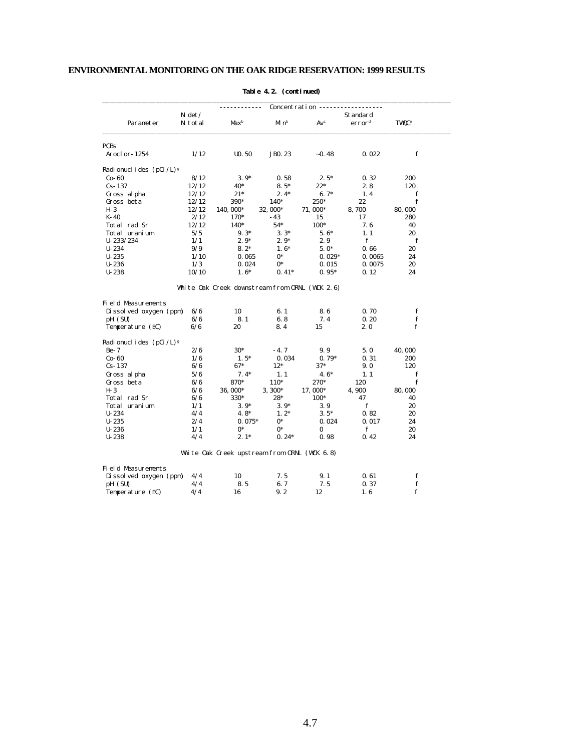|                                    | Concentration --    |                                                |                   |                 |                                |                          |  |
|------------------------------------|---------------------|------------------------------------------------|-------------------|-----------------|--------------------------------|--------------------------|--|
| Parameter                          | $N \det$<br>N total | Max <sup>b</sup>                               | Mi n <sup>b</sup> | Av <sup>c</sup> | Standard<br>error <sup>d</sup> | <b>TWQC</b> <sup>e</sup> |  |
| <b>PCBs</b>                        |                     |                                                |                   |                 |                                |                          |  |
| Aroclor-1254                       | 1/12                | U <sub>0</sub> .50                             | <b>JBO. 23</b>    | $-0.48$         | 0.022                          | f                        |  |
| Radi onucl i des $(pCi / L)^g$     |                     |                                                |                   |                 |                                |                          |  |
| $Co-60$                            | 8/12                | $3.9*$                                         | 0.58              | $2.5*$          | 0.32                           | 200                      |  |
| $Cs - 137$                         | 12/12               | 40*                                            | $8.5*$            | $22*$           | 2.8                            | 120                      |  |
| Gross al pha                       | 12/12               | $21*$                                          | $2.4*$            | $6.7*$          | 1.4                            | f                        |  |
| Gross beta                         | 12/12               | 390*                                           | $140*$            | 250*            | 22                             | f                        |  |
| $H - 3$                            | 12/12               | 140, 000*                                      | 32,000*           | 71,000*         | 8,700                          | 80,000                   |  |
| $K-40$                             | 2/12                | 170*                                           | $-43$             | 15              | 17                             | 280                      |  |
| Total rad Sr                       | 12/12               | 140*                                           | $54*$             | $100*$          | 7.6                            | 40                       |  |
| Total uranium                      | 5/5                 | $9.3*$                                         | $3.3*$            | $5.6*$          | 1.1                            | 20                       |  |
| $U - 233/234$                      | 1/1                 | $2.9*$                                         | $2.9*$            | 2.9             | f                              | f                        |  |
| $U - 234$                          | 9/9                 | $8.2*$                                         | $1.6*$            | $5.0*$          | 0.66                           | 20                       |  |
| $U - 235$                          | 1/10                | 0.065                                          | $0*$              | $0.029*$        | 0.0065                         | 24                       |  |
| $U - 236$                          | 1/3                 | 0.024                                          | $0^*$             | 0.015           | 0.0075                         | 20                       |  |
| $U - 238$                          | 10/10               | $1.6*$                                         | $0.41*$           | $0.95*$         | 0.12                           | 24                       |  |
|                                    |                     | White Oak Creek downstream from ORNL (WCK 2.6) |                   |                 |                                |                          |  |
| <b>Field Measurements</b>          |                     |                                                |                   |                 |                                |                          |  |
| Dissolved oxygen (ppm)             | 6/6                 | 10                                             | 6.1               | 8.6             | 0.70                           | f                        |  |
| pH (SU)                            | 6/6                 | 8.1                                            | 6.8               | 7.4             | 0.20                           | f                        |  |
| Temperature (EC)                   | 6/6                 | 20                                             | 8.4               | 15              | 2.0                            | $\mathbf f$              |  |
| Radionuclides (pCi/L) <sup>8</sup> |                     |                                                |                   |                 |                                |                          |  |
| $Be-7$                             | 2/6                 | $30*$                                          | $-4.7$            | 9.9             | 5.0                            | 40,000                   |  |
| $Co-60$                            | 1/6                 | $1.5*$                                         | 0.034             | $0.79*$         | 0.31                           | 200                      |  |
| $Cs - 137$                         | 6/6                 | $67*$                                          | $12*$             | $37*$           | 9.0                            | 120                      |  |
| Gross al pha                       | 5/6                 | $7.4*$                                         | 1.1               | $4.6*$          | 1.1                            | f                        |  |
| Gross beta                         | 6/6                 | 870*                                           | 110*              | 270*            | 120                            | f                        |  |
| $H-3$                              | 6/6                 | 36,000*                                        | $3,300*$          | 17,000*         | 4,900                          | 80,000                   |  |
| Total rad Sr                       | 6/6                 | 330*                                           | 28*               | $100*$          | 47                             | 40                       |  |
| Total uranium                      | 1/1                 | $3.9*$                                         | $3.9*$            | 3.9             | $\mathbf f$                    | 20                       |  |
| $U - 234$                          | 4/4                 | $4.8*$                                         | $1.2*$            | $3.5*$          | 0.82                           | 20                       |  |
| $U - 235$                          | 2/4                 | $0.075*$                                       | $0*$              | 0.024           | 0.017                          | 24                       |  |
| $U - 236$                          | 1/1                 | $0*$                                           | $0*$              | 0               | f                              | 20                       |  |
| $U - 238$                          | 4/4                 | $2.1*$                                         | $0.24*$           | 0.98            | 0.42                           | 24                       |  |
|                                    |                     | White Oak Creek upstream from ORNL (WCK 6.8)   |                   |                 |                                |                          |  |
| Field Measurements                 |                     |                                                |                   |                 |                                |                          |  |
| Dissolved oxygen (ppm)             | 4/4                 | 10                                             | 7.5               | 9.1             | 0.61                           | f                        |  |
|                                    |                     |                                                |                   |                 |                                |                          |  |
| pH (SU)                            | 4/4                 | 8.5                                            | 6.7               | 7.5             | 0.37                           | $\mathbf f$              |  |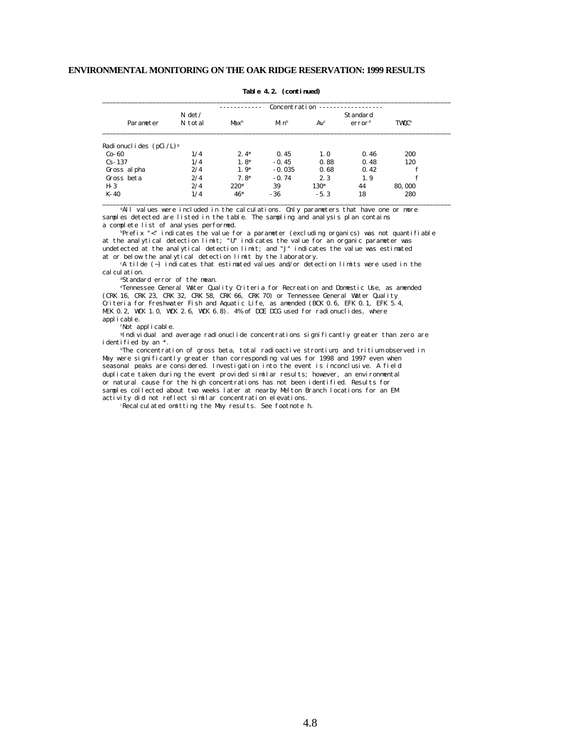|                                |                     |                  | Concentration        |        |                                |                          |
|--------------------------------|---------------------|------------------|----------------------|--------|--------------------------------|--------------------------|
| Parameter                      | $N \det$<br>N total | Max <sup>b</sup> | $M_1$ n <sup>b</sup> | $Av^c$ | Standard<br>error <sup>d</sup> | <b>TWQC</b> <sup>e</sup> |
| Radi onucl i des $(pCi / L)^g$ |                     |                  |                      |        |                                |                          |
| $Co-60$                        | 1/4                 | $2.4*$           | 0.45                 | 1.0    | 0.46                           | 200                      |
| $Cs - 137$                     | 1/4                 | $1.8*$           | $-0.45$              | 0.88   | 0.48                           | 120                      |
| Gross al pha                   | 2/4                 | $1.9*$           | $-0.035$             | 0.68   | 0.42                           | f                        |
| Gross beta                     | 2/4                 | $7.8*$           | $-0.74$              | 2.3    | 1.9                            | f                        |
| $H-3$                          | 2/4                 | $220*$           | 39                   | 130*   | 44                             | 80,000                   |
| K-40                           | 1/4                 | $46*$            | $-36$                | $-5.3$ | 18                             | 280                      |

#### **Table 4.2. (continued)**

<sup>a</sup>All values were included in the calculations. Only parameters that have one or more samples detected are listed in the table. The sampling and analysis plan contains a complete list of analyses performed.

 $\overline{p}$ Prefix "<" indicates the value for a parameter (excluding organics) was not quantifiable at the analytical detection limit; "U" indicates the value for an organic parameter was undetected at the analytical detection limit; and "J" indicates the value was estimated at or below the analytical detection limit by the laboratory.

<sup>c</sup>A tilde (~) indicates that estimated values and/or detection limits were used in the calculation.

<sup>d</sup>Standard error of the mean.

<sup>e</sup>Tennessee General Water Quality Criteria for Recreation and Domestic Use, as amended (CRK 16, CRK 23, CRK 32, CRK 58, CRK 66, CRK 70) or Tennessee General Water Quality Criteria for Freshwater Fish and Aquatic Life, as amended (BCK 0.6, EFK 0.1, EFK 5.4, MEK 0.2, WCK 1.0, WCK 2.6, WCK 6.8). 4% of DOE DCG used for radionuclides, where applicable.

fNot applicable.

<sup>g</sup>Individual and average radionuclide concentrations significantly greater than zero are identified by an \*.

<sup>h</sup>The concentration of gross beta, total radioactive strontium, and tritium observed in May were significantly greater than corresponding values for 1998 and 1997 even when seasonal peaks are considered. Investigation into the event is inconclusive. A field duplicate taken during the event provided similar results; however, an environmental or natural cause for the high concentrations has not been identified. Results for samples collected about two weeks later at nearby Melton Branch locations for an EM activity did not reflect similar concentration elevations.

iRecalculated omitting the May results. See footnote h.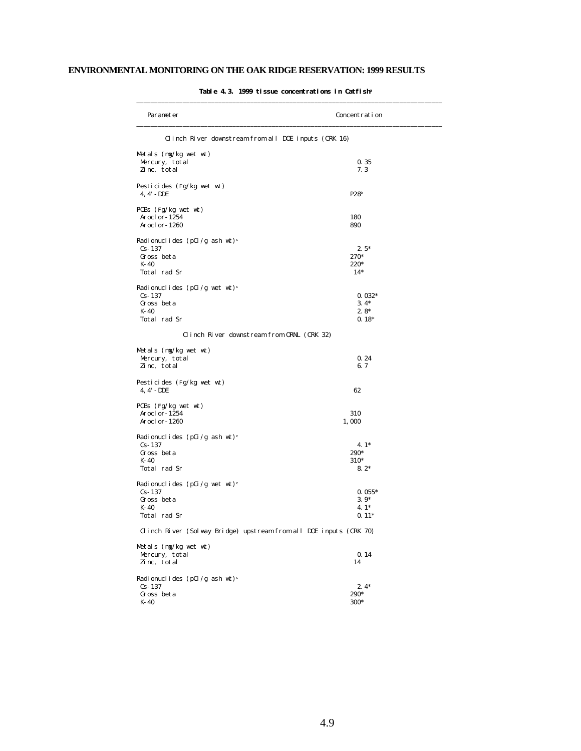| Parameter                                                          | Concentration    |
|--------------------------------------------------------------------|------------------|
| Clinch River downstream from all DOE inputs (CRK 16)               |                  |
| Metals $(mg/kg$ wet wt                                             |                  |
| Mercury, total                                                     | 0.35             |
| Zinc, total                                                        | 7.3              |
| Pesticides (Fg/kg wet wt)<br>4, 4' - DDE                           | P28 <sup>b</sup> |
| PCBs $(Fg/kg$ wet wt)                                              |                  |
| Aroclor-1254                                                       | 180              |
| Aroclor-1260                                                       | 890              |
| Radionuclides (pCi/g ash wt) <sup>c</sup>                          |                  |
| $Cs-137$                                                           | $2.5*$           |
| Gross beta                                                         | 270*             |
| K-40                                                               | 220*             |
| Total rad Sr                                                       | $14*$            |
| Radionuclides (pCi/g wet wt) <sup>c</sup>                          |                  |
| $Cs-137$                                                           | $0.032*$         |
| Gross beta                                                         | $3.4*$           |
| $K-40$                                                             | $2.8*$           |
| Total rad Sr                                                       | $0.18*$          |
| Clinch River downstream from ORNL (CRK 32)                         |                  |
| Metals $(mg/kg$ wet wt                                             |                  |
| Mercury, total                                                     | 0.24             |
| Zinc, total                                                        | 6.7              |
|                                                                    |                  |
| Pesticides (Fg/kg wet wt)                                          |                  |
| 4, 4' - DDE                                                        | 62               |
| PCBs $(Fg/kg$ wet wt)                                              |                  |
| Arocl or-1254                                                      | 310              |
| Aroclor-1260                                                       | 1,000            |
| Radionuclides (pCi/g ash wt) <sup>c</sup>                          |                  |
| $Cs-137$                                                           | $4.1*$           |
| Gross beta                                                         | 290*             |
| K-40                                                               | 310*             |
| Total rad Sr                                                       | $8.2*$           |
| Radionuclides (pCi/g wet wt) <sup>c</sup>                          |                  |
| $Cs-137$                                                           | $0.055*$         |
| Gross beta                                                         | $3.9*$           |
| K-40                                                               | $4.1*$           |
| Total rad Sr                                                       | $0.11*$          |
| Clinch River (Solway Bridge) upstream from all DOE inputs (CRK 70) |                  |
| Metals $(mg/kg$ wet wt                                             |                  |
| Mercury, total                                                     | 0.14             |
| Zinc, total                                                        | 14               |
|                                                                    |                  |
| Radi onucl i des (pCi/g ash wt) <sup>c</sup><br>$Cs-137$           | $2.4*$           |
| Gross beta                                                         | 290*             |
| K-40                                                               | 300*             |
|                                                                    |                  |

#### **Table 4.3. 1999 tissue concentrations in Catfish<sup>a</sup>** \_\_\_\_\_\_\_\_\_\_\_\_\_\_\_\_\_\_\_\_\_\_\_\_\_\_\_\_\_\_\_\_\_\_\_\_\_\_\_\_\_\_\_\_\_\_\_\_\_\_\_\_\_\_\_\_\_\_\_\_\_\_\_\_\_\_\_\_\_\_\_\_\_\_\_\_\_\_\_\_\_\_\_\_\_\_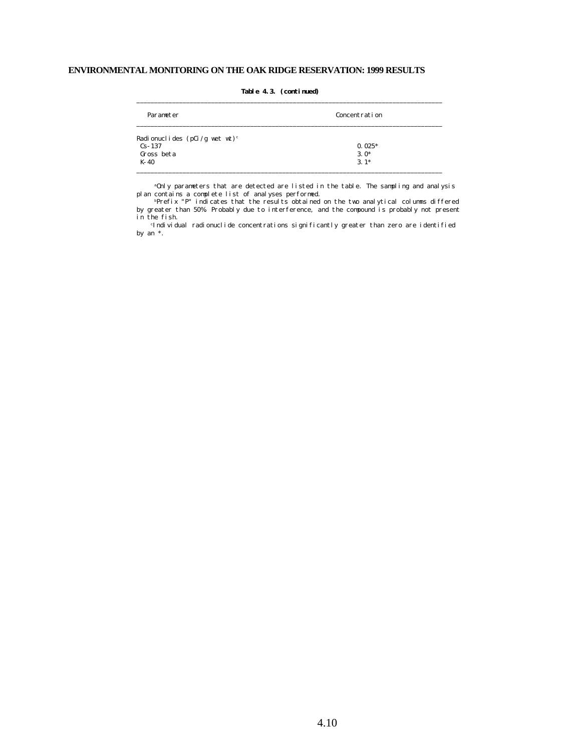| Parameter                                 | Concentration |
|-------------------------------------------|---------------|
| Radionuclides (pCi/g wet wt) <sup>c</sup> |               |
| $Cs - 137$                                | $0.025*$      |
| Gross beta                                | $3.0*$        |
| K-40                                      | $3.1*$        |

\_\_\_\_\_\_\_\_\_\_\_\_\_\_\_\_\_\_\_\_\_\_\_\_\_\_\_\_\_\_\_\_\_\_\_\_\_\_\_\_\_\_\_\_\_\_\_\_\_\_\_\_\_\_\_\_\_\_\_\_\_\_\_\_\_\_\_\_\_\_\_\_\_\_\_\_\_\_\_\_\_\_\_\_\_\_

#### **Table 4.3. (continued)**

 <sup>a</sup>Only parameters that are detected are listed in the table. The sampling and analysis plan contains a complete list of analyses performed.

 <sup>b</sup>Prefix "P" indicates that the results obtained on the two analytical columns differed by greater than 50%. Probably due to interference, and the compound is probably not present in the fish.

<sup>c</sup>Individual radionuclide concentrations significantly greater than zero are identified by an \*.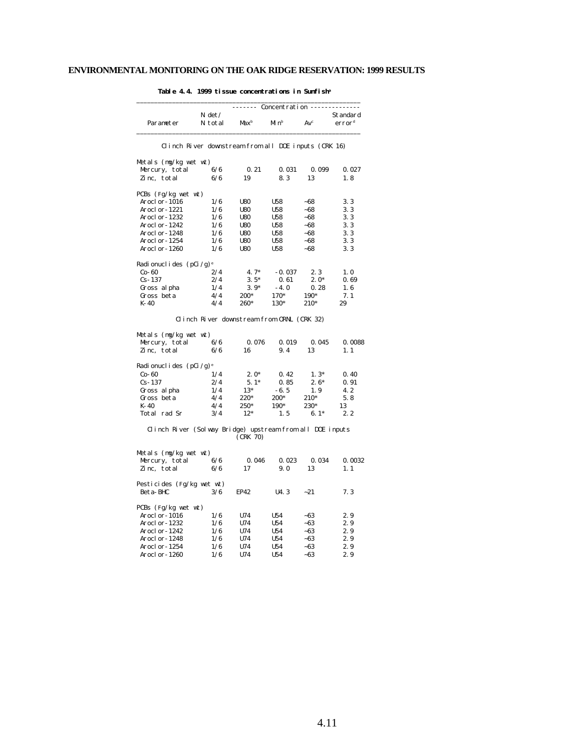|                                                                                                                                                                                                                                                                                                                                 |                                                      | ------ Concentration ------- |                  |                 |                                |
|---------------------------------------------------------------------------------------------------------------------------------------------------------------------------------------------------------------------------------------------------------------------------------------------------------------------------------|------------------------------------------------------|------------------------------|------------------|-----------------|--------------------------------|
| Parameter                                                                                                                                                                                                                                                                                                                       | N det /<br>N total                                   | Max <sup>b</sup>             | Min <sup>b</sup> | Av <sup>c</sup> | Standard<br>error <sup>d</sup> |
|                                                                                                                                                                                                                                                                                                                                 | Clinch River downstream from all DOE inputs (CRK 16) |                              |                  |                 |                                |
| Metals (mg/kg wet wt)                                                                                                                                                                                                                                                                                                           |                                                      |                              |                  |                 |                                |
| Mercury, total                                                                                                                                                                                                                                                                                                                  | 6/6                                                  | 0.21                         | 0.031            | 0.099           | 0.027                          |
| Zinc, total                                                                                                                                                                                                                                                                                                                     | 6/6                                                  | 19                           | 8.3              | 13              | 1.8                            |
| PCBs (Fg/kg wet wt)                                                                                                                                                                                                                                                                                                             |                                                      |                              |                  |                 |                                |
| Arocl or-1016                                                                                                                                                                                                                                                                                                                   | 1/6                                                  | <b>U80</b>                   | U58              | $-68$           | 3.3                            |
| Arocl or-1221                                                                                                                                                                                                                                                                                                                   | 1/6                                                  | <b>U80</b>                   | U58              | ~68             | 3.3                            |
| Arocl or-1232                                                                                                                                                                                                                                                                                                                   | 1/6                                                  | <b>U80</b>                   | U58              | $-68$           | 3.3                            |
| Arocl or-1242                                                                                                                                                                                                                                                                                                                   | 1/6                                                  | <b>U80</b>                   | U58              | $-68$           | 3.3                            |
| Aroclor-1248                                                                                                                                                                                                                                                                                                                    | 1/6                                                  | <b>U80</b>                   | U58              | $-68$           | 3.3                            |
| Aroclor-1254                                                                                                                                                                                                                                                                                                                    | 1/6                                                  | <b>U80</b>                   | <b>U58</b>       | $-68$           | 3.3                            |
| Aroclor-1260                                                                                                                                                                                                                                                                                                                    | 1/6                                                  | <b>U80</b>                   | U58              | ~68             | 3.3                            |
| Radionuclides (pCi/g) <sup>e</sup>                                                                                                                                                                                                                                                                                              |                                                      |                              |                  |                 |                                |
| $Co-60$                                                                                                                                                                                                                                                                                                                         | 2/4                                                  | $4.7*$                       | $-0.037$         | 2.3             | 1.0                            |
| $Cs - 137$                                                                                                                                                                                                                                                                                                                      | 2/4                                                  | $3.5*$                       | 0.61             | $2.0*$          | 0.69                           |
| Gross al pha                                                                                                                                                                                                                                                                                                                    | 1/4                                                  | $3.9*$                       | $-4.0$           | 0.28            | 1.6                            |
| Gross beta                                                                                                                                                                                                                                                                                                                      | 4/4                                                  | 200*                         | 170*             | 190*            | 7.1                            |
| K-40                                                                                                                                                                                                                                                                                                                            | 4/4                                                  | 260*                         | 130*             | $210*$          | 29                             |
|                                                                                                                                                                                                                                                                                                                                 | Clinch River downstream from ORNL (CRK 32)           |                              |                  |                 |                                |
| Metals (mg/kg wet wt)                                                                                                                                                                                                                                                                                                           |                                                      |                              |                  |                 |                                |
| Mercury, total                                                                                                                                                                                                                                                                                                                  | 6/6                                                  | 0.076                        | 0.019            | 0.045           | 0.0088                         |
| Zinc, total                                                                                                                                                                                                                                                                                                                     | 6/6                                                  | 16                           | 9.4              | 13              | 1.1                            |
| Radionuclides (pCi/g) <sup>e</sup>                                                                                                                                                                                                                                                                                              |                                                      |                              |                  |                 |                                |
| $Co-60$                                                                                                                                                                                                                                                                                                                         | 1/4                                                  | $2.0*$                       | 0.42             | $1.3*$          | 0.40                           |
| $Cs-137$                                                                                                                                                                                                                                                                                                                        | 2/4                                                  | $5.1*$                       | 0.85             | $2.6*$          | 0.91                           |
| Gross al pha                                                                                                                                                                                                                                                                                                                    | 1/4                                                  | $13*$                        | $-6.5$           | 1.9             | 4.2                            |
| Gross beta                                                                                                                                                                                                                                                                                                                      | 4/4                                                  | 220*                         | 200*             | 210*            | 5.8                            |
| K-40                                                                                                                                                                                                                                                                                                                            | 4/4                                                  | $250*$                       | 190*             | 230*            | 13                             |
| Total rad Sr                                                                                                                                                                                                                                                                                                                    | 3/4                                                  | $12*$                        | 1.5              | $6.1*$          | 2.2                            |
| Clinch River (Solway Bridge) upstream from all DOE inputs                                                                                                                                                                                                                                                                       |                                                      | (CRK 70)                     |                  |                 |                                |
| Metals (mg/kg wet wt)                                                                                                                                                                                                                                                                                                           |                                                      |                              |                  |                 |                                |
| $M$ <sub>p</sub> $\frac{1}{2}$ $\frac{1}{2}$ $\frac{1}{2}$ $\frac{1}{2}$ $\frac{1}{2}$ $\frac{1}{2}$ $\frac{1}{2}$ $\frac{1}{2}$ $\frac{1}{2}$ $\frac{1}{2}$ $\frac{1}{2}$ $\frac{1}{2}$ $\frac{1}{2}$ $\frac{1}{2}$ $\frac{1}{2}$ $\frac{1}{2}$ $\frac{1}{2}$ $\frac{1}{2}$ $\frac{1}{2}$ $\frac{1}{2}$ $\frac{1}{2}$ $\frac{$ |                                                      | 0.046                        | <b>0. 023</b>    | 0.034           | <b>0.0039</b>                  |

 **Table 4.4. 1999 tissue concentrations in Sunfish<sup>a</sup>**

### Gross beta  $4/4$   $220^*$   $200^*$   $210^*$  5.8 K-40  $4/4$   $250^*$   $190^*$   $230^*$  13 Total rad Sr  $3/4$   $12^*$   $1.5$   $6.1^*$   $2.2$  Clinch River (Solway Bridge) upstream from all DOE inputs (CRK 70) Metals (mg/kg wet wt)  $\frac{6}{6}$  0.046 0.023 0.034 0.0032<br>6/6 17 9.0 13 1.1 Mercury, total<br>Zinc, total Pesticides (Fg/kg wet wt) Beta-BHC 3/6 EP42 U4.3 ~21 7.3 PCBs (Fg/kg wet wt) Aroclor-1016 1/6 U74 U54 ~63 2.9 Aroclor-1232 1/6 U74 U54 ~63 2.9<br>Aroclor-1242 1/6 U74 U54 ~63 2.9 Aroclor-1242 1/6 U74 U54 ~63 2.9<br>Aroclor-1248 1/6 U74 U54 ~63 2.9 Aroclor-1248 1/6 U74 U54 ~63 2.9<br>Aroclor-1254 1/6 U74 U54 ~63 2.9 Aroclor-1254 1/6 U74 U54 ~63 2.9<br>Aroclor-1260 1/6 U74 U54 ~63 2.9  $A$ roclor-1260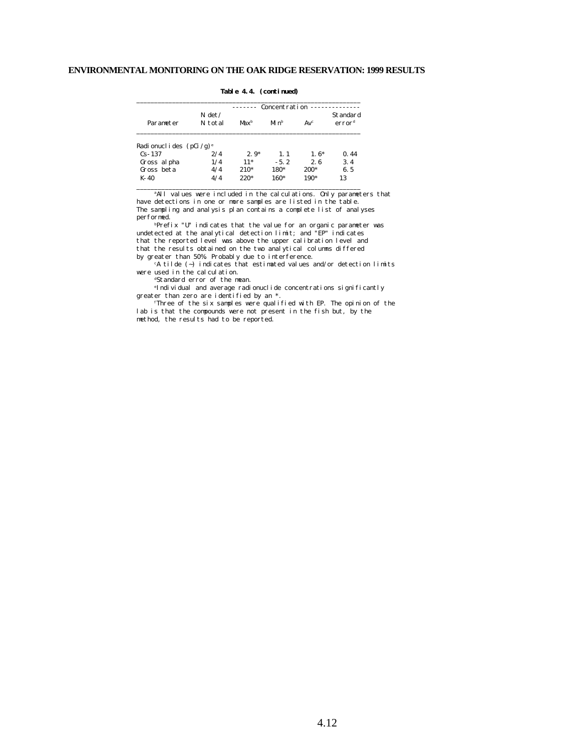| Parameter                    | Concentration       |         |          |                 |                                |
|------------------------------|---------------------|---------|----------|-----------------|--------------------------------|
|                              | $N \det$<br>N total | $Max^b$ | $M_1 nb$ | Av <sup>c</sup> | Standard<br>error <sup>d</sup> |
| Radi onucl i des $(pCi/g)^e$ |                     |         |          |                 |                                |
| $Cs - 137$                   | 2/4                 | $2.9*$  | 1.1      | $1.6*$          | 0.44                           |
| Gross al pha                 | 1/4                 | $11*$   | $-5.2$   | 2.6             | 3.4                            |
| Gross beta                   | 4/4                 | $210*$  | 180*     | 200*            | 6.5                            |
| K-40                         | 4/4                 | $220*$  | 160*     | 190*            | 13                             |

\_\_\_\_\_\_\_\_\_\_\_\_\_\_\_\_\_\_\_\_\_\_\_\_\_\_\_\_\_\_\_\_\_\_\_\_\_\_\_\_\_\_\_\_\_\_\_\_\_\_\_\_\_\_\_\_\_\_\_\_\_\_\_

#### **Table 4.4. (continued)**

<sup>a</sup>All values were included in the calculations. Only parameters that have detections in one or more samples are listed in the table. The sampling and analysis plan contains a complete list of analyses performed.

<sup>b</sup>Prefix "U" indicates that the value for an organic parameter was undetected at the analytical detection limit; and "EP" indicates that the reported level was above the upper calibration level and that the results obtained on the two analytical columns differed by greater than 50%. Probably due to interference.

<sup>c</sup>A tilde (~) indicates that estimated values and/or detection limits were used in the calculation.

<sup>d</sup>Standard error of the mean.

<sup>e</sup>Individual and average radionuclide concentrations significantly greater than zero are identified by an \*.

<sup>f</sup>Three of the six samples were qualified with EP. The opinion of the lab is that the compounds were not present in the fish but, by the method, the results had to be reported.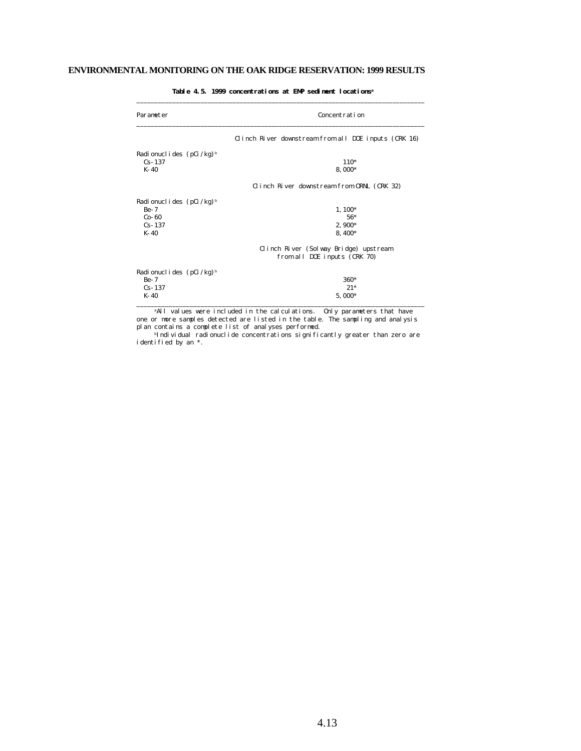## **ENVIRONMENTAL MONITORING ON THE OAK RIDGE RESERVATION: 1999 RESULTS**

| Parameter                           | Concentration                                        |  |  |  |
|-------------------------------------|------------------------------------------------------|--|--|--|
|                                     | Clinch River downstream from all DOE inputs (CRK 16) |  |  |  |
| Radi onucl i des $(pCi/kg)^{b}$     |                                                      |  |  |  |
| $Cs - 137$                          | $110*$                                               |  |  |  |
| $K - 40$                            | 8,000*                                               |  |  |  |
|                                     | Clinch River downstream from ORNL (CRK 32)           |  |  |  |
| Radionuclides (pCi/kg) <sup>b</sup> |                                                      |  |  |  |
| $Be-7$                              | $1,100*$                                             |  |  |  |
| $Co-60$                             | $56*$                                                |  |  |  |
| $Cs - 137$                          | $2,900*$                                             |  |  |  |
| $K - 40$                            | 8, 400*                                              |  |  |  |
|                                     | Clinch River (Solway Bridge) upstream                |  |  |  |
|                                     | from all DOE inputs (CRK 70)                         |  |  |  |
| Radionuclides (pCi/kg) <sup>b</sup> |                                                      |  |  |  |
| $Be-7$                              | 360*                                                 |  |  |  |
| $Cs - 137$                          | $21*$                                                |  |  |  |
| $K-40$                              | $5,000*$                                             |  |  |  |

**Table 4.5. 1999 concentrations at EMP sediment locations<sup>a</sup>**

<sup>a</sup>All values were included in the calculations. Only parameters that have one or more samples detected are listed in the table. The sampling and analysis plan contains a complete list of analyses performed.

<sup>b</sup>Individual radionuclide concentrations significantly greater than zero are identified by an \*.